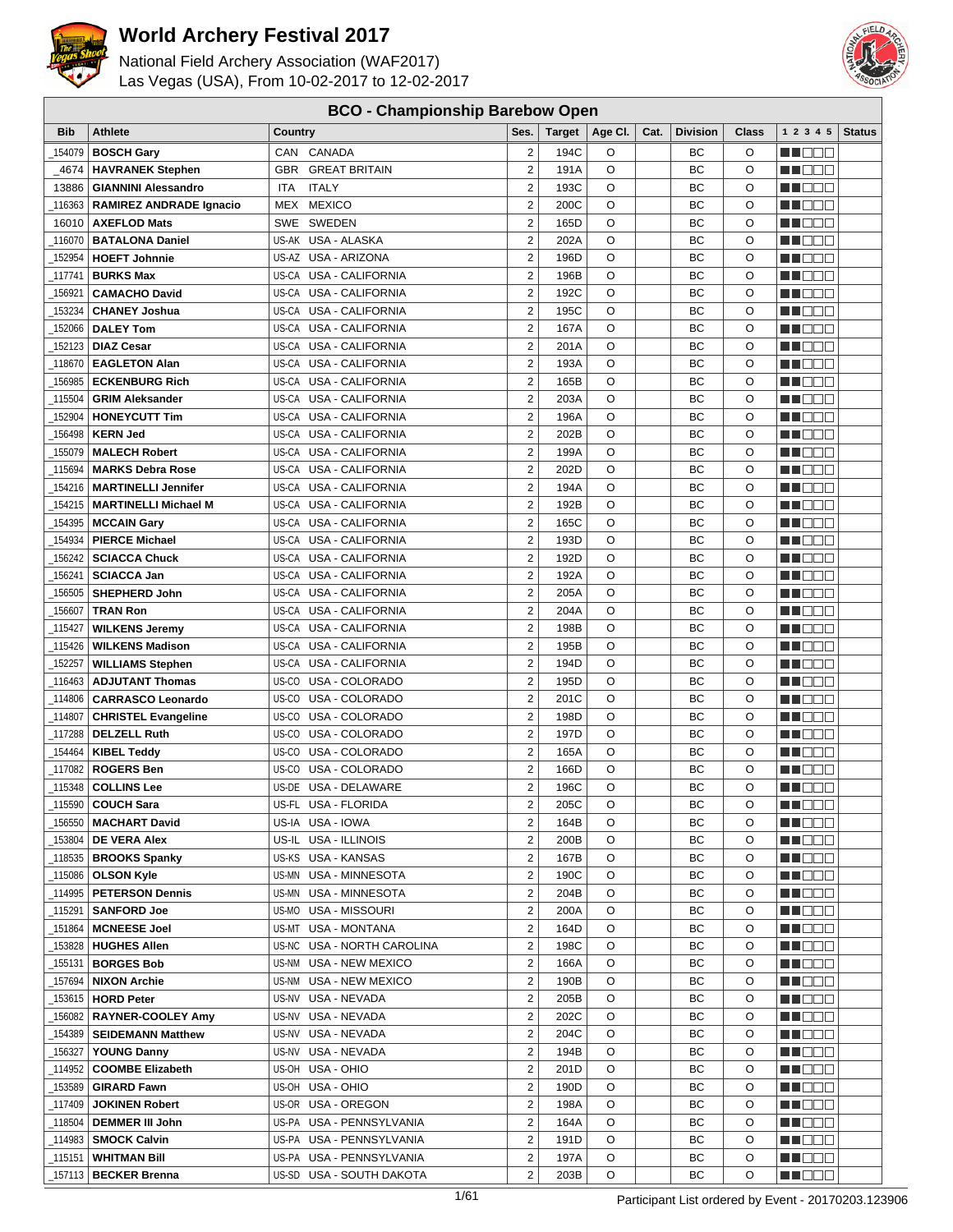

National Field Archery Association (WAF2017) Las Vegas (USA), From 10-02-2017 to 12-02-2017



#### **BCO - Championship Barebow Open**

| <b>Bib</b>          | <b>Athlete</b>                                       | Country                                                | Ses.                                      | <b>Target</b> | Age CI.      | Cat. | <b>Division</b> | <b>Class</b> | 12345                                                                                                                             | <b>Status</b> |
|---------------------|------------------------------------------------------|--------------------------------------------------------|-------------------------------------------|---------------|--------------|------|-----------------|--------------|-----------------------------------------------------------------------------------------------------------------------------------|---------------|
| 154079              | <b>BOSCH Gary</b>                                    | CANADA<br>CAN                                          | $\overline{2}$                            | 194C          | O            |      | BC              | O            | HI DEC                                                                                                                            |               |
| 4674                | <b>HAVRANEK Stephen</b>                              | <b>GBR</b><br><b>GREAT BRITAIN</b>                     | $\overline{2}$                            | 191A          | O            |      | BC              | $\circ$      | man man                                                                                                                           |               |
| 13886               | <b>GIANNINI Alessandro</b>                           | <b>ITALY</b><br>ITA                                    | $\overline{2}$                            | 193C          | O            |      | BC              | O            | n i DDE                                                                                                                           |               |
| 116363              | <b>RAMIREZ ANDRADE Ignacio</b>                       | MEX MEXICO                                             | $\overline{\mathbf{c}}$                   | 200C          | O            |      | ВC              | O            | MN 888                                                                                                                            |               |
| 16010               | <b>AXEFLOD Mats</b>                                  | SWEDEN<br>SWE                                          | $\overline{2}$                            | 165D          | O            |      | ВC              | O            | e de la p                                                                                                                         |               |
| 116070              | <b>BATALONA Daniel</b>                               | US-AK USA - ALASKA                                     | $\overline{2}$                            | 202A          | $\circ$      |      | BC              | O            | e de e                                                                                                                            |               |
| 152954              | <b>HOEFT Johnnie</b>                                 | US-AZ USA - ARIZONA                                    | $\overline{2}$                            | 196D          | O            |      | ВC              | O            | e de la construction de la construction de la consegue de la consegue de la consegue de la consegue de la cons                    |               |
| 117741              | <b>BURKS Max</b>                                     | US-CA USA - CALIFORNIA                                 | $\overline{2}$                            | 196B          | $\circ$      |      | BC              | O            | n i Belg                                                                                                                          |               |
| 156921              | <b>CAMACHO David</b>                                 | US-CA<br>USA - CALIFORNIA                              | $\overline{2}$                            | 192C          | O            |      | BC              | $\circ$      | MA DI DI M                                                                                                                        |               |
|                     |                                                      | US-CA<br>USA - CALIFORNIA                              | $\overline{2}$                            | 195C          | O            |      | ВC              | O            |                                                                                                                                   |               |
| 153234<br>152066    | <b>CHANEY Joshua</b><br><b>DALEY Tom</b>             | US-CA<br>USA - CALIFORNIA                              | $\overline{2}$                            | 167A          | O            |      | ВC              | O            | M DO O<br>M DE E                                                                                                                  |               |
|                     |                                                      | US-CA USA - CALIFORNIA                                 | $\overline{c}$                            | 201A          | O            |      | BC              | O            |                                                                                                                                   |               |
| 152123              | <b>DIAZ Cesar</b>                                    |                                                        |                                           |               |              |      |                 |              | n i De E                                                                                                                          |               |
| 118670              | <b>EAGLETON Alan</b>                                 | US-CA USA - CALIFORNIA                                 | $\overline{2}$                            | 193A          | O            |      | ВC              | O            | n de de                                                                                                                           |               |
| 156985              | <b>ECKENBURG Rich</b>                                | US-CA<br>USA - CALIFORNIA                              | $\overline{2}$                            | 165B          | O            |      | ВC              | O            | <u> a se es</u>                                                                                                                   |               |
| 115504              | <b>GRIM Aleksander</b>                               | US-CA USA - CALIFORNIA                                 | $\overline{2}$<br>$\overline{2}$          | 203A          | O            |      | BC              | O            | <u> Literatur</u>                                                                                                                 |               |
| 152904              | <b>HONEYCUTT Tim</b>                                 | US-CA USA - CALIFORNIA                                 |                                           | 196A          | O            |      | ВC              | O            | 11   8   8   8                                                                                                                    |               |
| 156498              | <b>KERN Jed</b>                                      | US-CA<br>USA - CALIFORNIA                              | $\overline{2}$                            | 202B          | O            |      | BC              | O            | HI EE E                                                                                                                           |               |
| 155079              | <b>MALECH Robert</b>                                 | US-CA<br>USA - CALIFORNIA                              | $\overline{2}$                            | 199A          | O            |      | ВC              | O            | N DE S                                                                                                                            |               |
| 115694              | <b>MARKS Debra Rose</b>                              | US-CA<br>USA - CALIFORNIA                              | $\overline{2}$                            | 202D          | O            |      | BC              | O            | MU O O O                                                                                                                          |               |
| 154216              | <b>MARTINELLI Jennifer</b>                           | US-CA USA - CALIFORNIA                                 | $\overline{2}$                            | 194A          | O            |      | BC              | O            | M DO V                                                                                                                            |               |
| 154215              | <b>MARTINELLI Michael M</b>                          | US-CA USA - CALIFORNIA                                 | $\overline{2}$                            | 192B          | O            |      | BC              | O            | MT DE E                                                                                                                           |               |
| 154395              | <b>MCCAIN Gary</b>                                   | US-CA USA - CALIFORNIA                                 | $\overline{2}$                            | 165C          | O            |      | BC              | O            | ME DE E                                                                                                                           |               |
| 154934              | <b>PIERCE Michael</b>                                | US-CA USA - CALIFORNIA                                 | $\overline{2}$                            | 193D          | O            |      | BC              | O            | n i Biblio                                                                                                                        |               |
| 156242              | <b>SCIACCA Chuck</b>                                 | US-CA USA - CALIFORNIA                                 | $\overline{2}$                            | 192D          | $\circ$      |      | BC              | O            | n na Bibli                                                                                                                        |               |
| 156241              | <b>SCIACCA Jan</b>                                   | US-CA USA - CALIFORNIA                                 | $\overline{2}$                            | 192A          | O            |      | ВC              | $\circ$      | n i BBC                                                                                                                           |               |
| 156505              | <b>SHEPHERD John</b>                                 | US-CA USA - CALIFORNIA                                 | $\overline{c}$                            | 205A          | O            |      | BC              | O            | <u> Hill Lill</u>                                                                                                                 |               |
| 156607              | <b>TRAN Ron</b>                                      | US-CA USA - CALIFORNIA                                 | $\overline{2}$                            | 204A          | O            |      | BC              | $\circ$      | n in Eise                                                                                                                         |               |
| 115427              | <b>WILKENS Jeremy</b>                                | US-CA<br>USA - CALIFORNIA                              | $\overline{2}$                            | 198B          | O            |      | ВC              | O            | MU DE E                                                                                                                           |               |
| 115426              | <b>WILKENS Madison</b>                               | US-CA USA - CALIFORNIA                                 | $\overline{2}$                            | 195B          | O            |      | BC              | O            | M DO T                                                                                                                            |               |
| 152257              | <b>WILLIAMS Stephen</b>                              | US-CA USA - CALIFORNIA                                 | $\overline{2}$                            | 194D          | O            |      | ВC              | O            | n i Biblio                                                                                                                        |               |
| 116463              | <b>ADJUTANT Thomas</b>                               | US-CO USA - COLORADO                                   | $\overline{2}$                            | 195D          | O            |      | BC              | O            | n i De B                                                                                                                          |               |
| 114806              | <b>CARRASCO Leonardo</b>                             | US-CO<br>USA - COLORADO                                | $\overline{2}$                            | 201C          | $\circ$      |      | BC              | O            | MA OO B                                                                                                                           |               |
| 114807              | <b>CHRISTEL Evangeline</b>                           | US-CO USA - COLORADO                                   | $\overline{2}$<br>$\overline{2}$          | 198D          | $\circ$<br>O |      | BC              | O<br>$\circ$ | M S S S                                                                                                                           |               |
| 117288              | <b>DELZELL Ruth</b>                                  | US-CO USA - COLORADO                                   |                                           | 197D          |              |      | BC              |              | ▕▕▕█▐▊█▏                                                                                                                          |               |
| 154464              | <b>KIBEL Teddy</b>                                   | US-CO USA - COLORADO                                   | $\overline{\mathbf{c}}$<br>$\overline{2}$ | 165A          | O<br>O       |      | ВC              | O            | <u> Halla</u>                                                                                                                     |               |
| 117082              | <b>ROGERS Ben</b>                                    | US-CO USA - COLORADO<br><b>USA - DELAWARE</b><br>US-DE | $\overline{2}$                            | 166D          | O            |      | BC<br>ВC        | O<br>O       | M DE O                                                                                                                            |               |
| 115348              | <b>COLLINS Lee</b>                                   | US-FL USA - FLORIDA                                    |                                           | 196C          |              |      |                 | O            | M I DE E                                                                                                                          |               |
| 115590              | <b>COUCH Sara</b>                                    |                                                        | 2                                         | 205C          | O            |      | ВC              |              | M OO O                                                                                                                            |               |
| _156550丨            | <b>MACHART David</b>                                 | US-IA USA - IOWA                                       | 2                                         | 164B          | O            |      | BС              | O            | MU DE BI                                                                                                                          |               |
| 153804              | DE VERA Alex                                         | US-IL USA - ILLINOIS                                   | $\overline{c}$                            | 200B          | O            |      | ВC              | O            | W DOO D                                                                                                                           |               |
| _118535             | <b>BROOKS Spanky</b>                                 | US-KS USA - KANSAS                                     | $\overline{2}$<br>$\boldsymbol{2}$        | 167B          | O<br>O       |      | ВC<br>ВC        | O<br>O       | MU DE B                                                                                                                           |               |
| _115086             | <b>OLSON Kyle</b><br><b>PETERSON Dennis</b>          | US-MN USA - MINNESOTA                                  | $\overline{2}$                            | 190C<br>204B  | O            |      | ВC              | O            | MOO D                                                                                                                             |               |
| _114995             | _115291 <b>  SANFORD Joe</b>                         | US-MN USA - MINNESOTA<br>US-MO USA - MISSOURI          | $\overline{2}$                            | 200A          | O            |      | BС              | O            | <u>HILLE</u>                                                                                                                      |               |
| _151864             | <b>MCNEESE Joel</b>                                  | US-MT USA - MONTANA                                    | $\overline{\mathbf{c}}$                   | 164D          | O            |      | BC              | O            | <u> - 1000 - 100 - 100 - 100 - 100 - 100 - 100 - 100 - 100 - 100 - 100 - 100 - 100 - 100 - 100 - 100 - 100 - 100 </u><br>MU O O O |               |
| _153828             |                                                      | US-NC USA - NORTH CAROLINA                             | $\overline{2}$                            | 198C          | O            |      | BС              | O            | MN O O O                                                                                                                          |               |
|                     | <b>HUGHES Allen</b>                                  |                                                        | $\overline{\mathbf{c}}$                   |               |              |      |                 | O            |                                                                                                                                   |               |
| 155131_             | <b>BORGES Bob</b><br><b>NIXON Archie</b>             | US-NM USA - NEW MEXICO                                 | $\overline{\mathbf{c}}$                   | 166A<br>190B  | O<br>O       |      | ВC<br>BС        | O            | <u>Maca</u>                                                                                                                       |               |
| 157694              | <b>HORD Peter</b>                                    | US-NM USA - NEW MEXICO<br>US-NV USA - NEVADA           | $\overline{\mathbf{c}}$                   | 205B          | O            |      | BС              | O            | <u>LL DOOL</u>                                                                                                                    |               |
| _153615  <br>156082 |                                                      | US-NV USA - NEVADA                                     | $\overline{2}$                            | 202C          | O            |      | BС              | O            | MU DE B                                                                                                                           |               |
| 154389              | <b>RAYNER-COOLEY Amy</b><br><b>SEIDEMANN Matthew</b> | US-NV USA - NEVADA                                     | $\overline{2}$                            | 204C          | O            |      | BС              | O            | MU DE E<br>MA DE E                                                                                                                |               |
| _156327             | <b>YOUNG Danny</b>                                   | US-NV USA - NEVADA                                     | $\overline{2}$                            | 194B          | O            |      | BC              | O            | <u> HISO S</u>                                                                                                                    |               |
| _114952             | <b>COOMBE Elizabeth</b>                              | US-OH USA - OHIO                                       | $\overline{2}$                            | 201D          | O            |      | ВC              | O            | <u> - 1000 - 100 - 100 - 100 - 100 - 100 - 100 - 100 - 100 - 100 - 100 - 100 - 100 - 100 - 100 - 100 - 100 - 100 </u>             |               |
| 153589              | <b>GIRARD Fawn</b>                                   | US-OH USA - OHIO                                       | $\overline{2}$                            | 190D          | O            |      | BС              | O            | MN 888                                                                                                                            |               |
| _117409             | <b>JOKINEN Robert</b>                                | US-OR USA - OREGON                                     | $\overline{2}$                            | 198A          | O            |      | BС              | O            | MI DE S                                                                                                                           |               |
| _118504             | <b>DEMMER III John</b>                               | US-PA USA - PENNSYLVANIA                               | $\overline{\mathbf{c}}$                   | 164A          | O            |      | ВC              | O            | <u>Maca</u>                                                                                                                       |               |
| _114983             | <b>SMOCK Calvin</b>                                  | US-PA USA - PENNSYLVANIA                               | $\overline{\mathbf{c}}$                   | 191D          | O            |      | BС              | O            | MU DO D                                                                                                                           |               |
| _115151             | <b>WHITMAN Bill</b>                                  | US-PA USA - PENNSYLVANIA                               | $\overline{\mathbf{c}}$                   | 197A          | O            |      | BС              | O            | MU BER                                                                                                                            |               |
| _157113             |                                                      | US-SD USA - SOUTH DAKOTA                               | $\overline{2}$                            | 203B          | O            |      | BС              | O            | MU DO D                                                                                                                           |               |
|                     | <b>BECKER Brenna</b>                                 |                                                        |                                           |               |              |      |                 |              |                                                                                                                                   |               |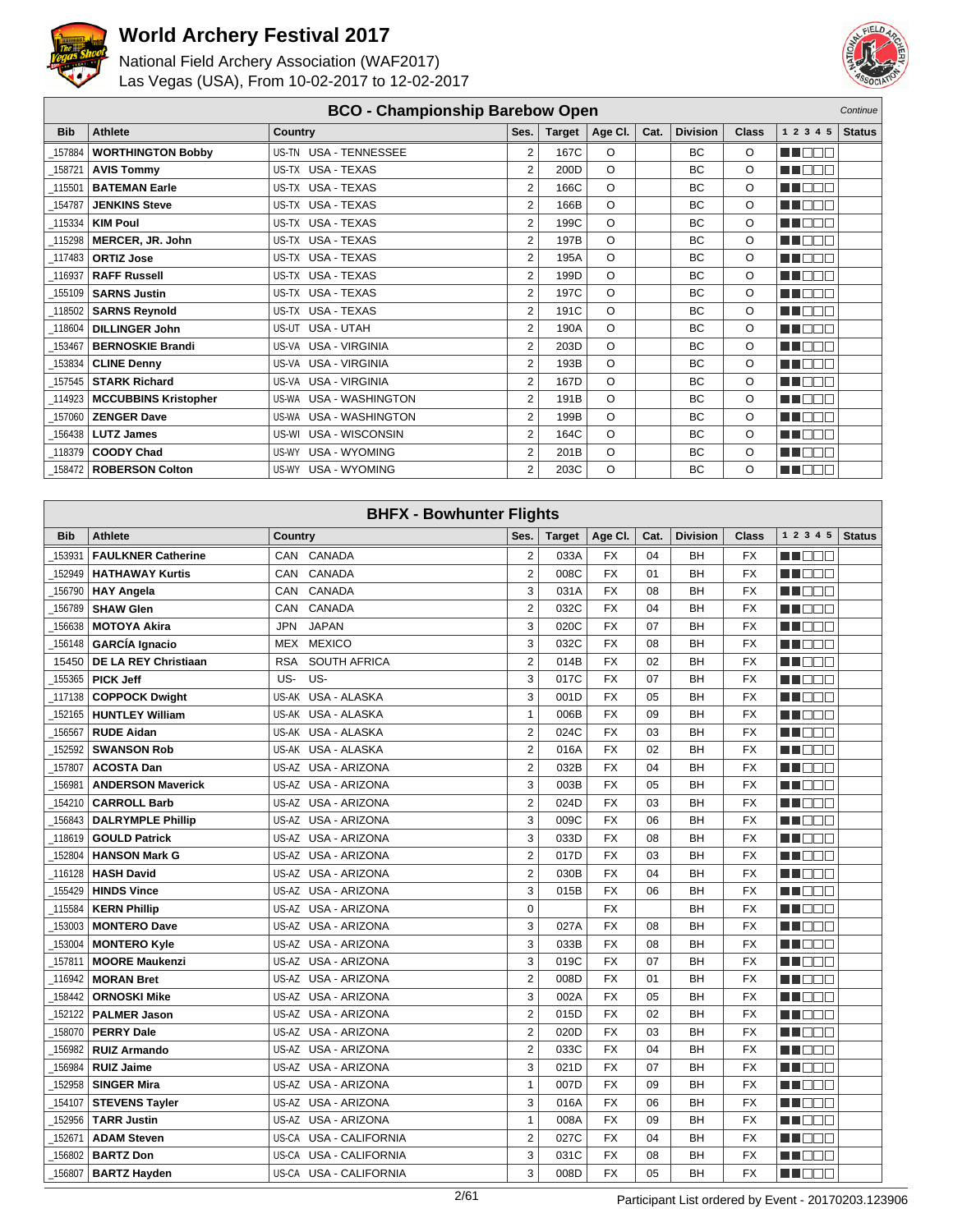



|            |                             | <b>BCO - Championship Barebow Open</b> |                |        |          |      |                 |              |               | Continue      |
|------------|-----------------------------|----------------------------------------|----------------|--------|----------|------|-----------------|--------------|---------------|---------------|
| <b>Bib</b> | Athlete                     | <b>Country</b>                         | Ses.           | Target | Age Cl.  | Cat. | <b>Division</b> | <b>Class</b> | 1 2 3 4 5     | <b>Status</b> |
| 157884     | <b>WORTHINGTON Bobby</b>    | US-TN USA - TENNESSEE                  | 2              | 167C   | $\circ$  |      | <b>BC</b>       | $\circ$      | MU DO O       |               |
| 158721     | <b>AVIS Tommy</b>           | US-TX USA - TEXAS                      | 2              | 200D   | $\Omega$ |      | BC              | $\circ$      | n noon        |               |
| 115501     | <b>BATEMAN Earle</b>        | US-TX USA - TEXAS                      | $\overline{2}$ | 166C   | $\circ$  |      | <b>BC</b>       | O            | MN O BIO      |               |
| 154787     | <b>JENKINS Steve</b>        | US-TX USA - TEXAS                      | $\overline{2}$ | 166B   | $\circ$  |      | BC              | O            | M BEE         |               |
| 115334     | <b>KIM Poul</b>             | US-TX USA - TEXAS                      | $\overline{2}$ | 199C   | $\Omega$ |      | <b>BC</b>       | O            | <b>MN</b> OOO |               |
| 115298     | MERCER, JR. John            | US-TX USA - TEXAS                      | $\overline{2}$ | 197B   | $\circ$  |      | BC              | O            | M NOCI        |               |
| 117483     | <b>ORTIZ Jose</b>           | US-TX USA - TEXAS                      | 2              | 195A   | $\circ$  |      | BC              | O            | MN O BIO      |               |
| 116937     | <b>RAFF Russell</b>         | US-TX USA - TEXAS                      | $\overline{2}$ | 199D   | $\Omega$ |      | <b>BC</b>       | $\circ$      | MN 888        |               |
| 155109     | <b>SARNS Justin</b>         | US-TX USA - TEXAS                      | 2              | 197C   | $\Omega$ |      | <b>BC</b>       | O            | MN DE O       |               |
| 118502     | <b>SARNS Reynold</b>        | US-TX USA - TEXAS                      | $\overline{2}$ | 191C   | $\Omega$ |      | <b>BC</b>       | $\circ$      | M NOCI        |               |
| 118604     | <b>DILLINGER John</b>       | US-UT USA - UTAH                       | 2              | 190A   | $\circ$  |      | BC              | O            | MU O O O      |               |
| 153467     | <b>BERNOSKIE Brandi</b>     | US-VA USA - VIRGINIA                   | $\overline{2}$ | 203D   | $\circ$  |      | BC              | O            | MN O O O      |               |
| 153834     | <b>CLINE Denny</b>          | US-VA USA - VIRGINIA                   | $\overline{2}$ | 193B   | $\Omega$ |      | <b>BC</b>       | $\circ$      | <b>MNOOO</b>  |               |
| 157545     | <b>STARK Richard</b>        | US-VA USA - VIRGINIA                   | $\overline{2}$ | 167D   | $\circ$  |      | BC              | O            | M NOCI        |               |
| 114923     | <b>MCCUBBINS Kristopher</b> | US-WA USA - WASHINGTON                 | $\overline{2}$ | 191B   | $\Omega$ |      | <b>BC</b>       | O            | n na sa       |               |
| 157060     | <b>ZENGER Dave</b>          | US-WA USA - WASHINGTON                 | $\overline{2}$ | 199B   | $\circ$  |      | BC              | O            | MN O O O      |               |
| 156438     | <b>LUTZ James</b>           | US-WI USA - WISCONSIN                  | 2              | 164C   | $\circ$  |      | BC              | O            | MN DE O       |               |
| _118379    | <b>COODY Chad</b>           | US-WY USA - WYOMING                    | $\overline{2}$ | 201B   | $\circ$  |      | <b>BC</b>       | $\circ$      | M NOCI        |               |
| $-158472$  | <b>ROBERSON Colton</b>      | US-WY USA - WYOMING                    | $\overline{2}$ | 203C   | O        |      | <b>BC</b>       | O            | MU O O O      |               |

|            | <b>BHFX - Bowhunter Flights</b><br>1 2 3 4 5<br>Ses.<br><b>Division</b><br><b>Status</b><br><b>Athlete</b><br>Class |                                   |                |               |           |      |           |           |           |  |  |
|------------|---------------------------------------------------------------------------------------------------------------------|-----------------------------------|----------------|---------------|-----------|------|-----------|-----------|-----------|--|--|
| <b>Bib</b> |                                                                                                                     | Country                           |                | <b>Target</b> | Age CI.   | Cat. |           |           |           |  |  |
| 153931     | <b>FAULKNER Catherine</b>                                                                                           | CANADA<br>CAN                     | 2              | 033A          | FX        | 04   | BH        | <b>FX</b> | N DE E    |  |  |
| 152949     | <b>HATHAWAY Kurtis</b>                                                                                              | <b>CANADA</b><br>CAN              | $\overline{2}$ | 008C          | <b>FX</b> | 01   | BH        | <b>FX</b> | n in nin  |  |  |
| 156790     | <b>HAY Angela</b>                                                                                                   | CANADA<br><b>CAN</b>              | 3              | 031A          | <b>FX</b> | 08   | BH        | <b>FX</b> | n de s    |  |  |
| 156789     | <b>SHAW Glen</b>                                                                                                    | CANADA<br>CAN                     | $\overline{2}$ | 032C          | <b>FX</b> | 04   | BH        | <b>FX</b> | n de e    |  |  |
| 156638     | <b>MOTOYA Akira</b>                                                                                                 | <b>JAPAN</b><br><b>JPN</b>        | 3              | 020C          | <b>FX</b> | 07   | BH        | <b>FX</b> | N I DE E  |  |  |
| 156148     | <b>GARCÍA Ignacio</b>                                                                                               | <b>MEXICO</b><br>MEX              | 3              | 032C          | <b>FX</b> | 08   | <b>BH</b> | <b>FX</b> | M DEL     |  |  |
| 15450      | <b>DE LA REY Christiaan</b>                                                                                         | <b>SOUTH AFRICA</b><br><b>RSA</b> | $\overline{2}$ | 014B          | <b>FX</b> | 02   | BH        | <b>FX</b> | M OO E    |  |  |
| 155365     | <b>PICK Jeff</b>                                                                                                    | US-<br>US-                        | 3              | 017C          | <b>FX</b> | 07   | BH        | <b>FX</b> | MA DEL    |  |  |
| 117138     | <b>COPPOCK Dwight</b>                                                                                               | USA - ALASKA<br>US-AK             | 3              | 001D          | <b>FX</b> | 05   | BH        | <b>FX</b> | M OO E    |  |  |
| 152165     | <b>HUNTLEY William</b>                                                                                              | <b>USA - ALASKA</b><br>US-AK      | $\mathbf{1}$   | 006B          | <b>FX</b> | 09   | BH        | <b>FX</b> | MA MAT    |  |  |
| 156567     | <b>RUDE Aidan</b>                                                                                                   | US-AK USA - ALASKA                | $\overline{2}$ | 024C          | <b>FX</b> | 03   | BH        | <b>FX</b> | ME E E E  |  |  |
| 152592     | <b>SWANSON Rob</b>                                                                                                  | US-AK USA - ALASKA                | $\overline{2}$ | 016A          | <b>FX</b> | 02   | BH        | <b>FX</b> | M DE O    |  |  |
| 157807     | <b>ACOSTA Dan</b>                                                                                                   | US-AZ USA - ARIZONA               | $\overline{2}$ | 032B          | <b>FX</b> | 04   | BH        | <b>FX</b> | N DE E    |  |  |
| 156981     | <b>ANDERSON Maverick</b>                                                                                            | US-AZ USA - ARIZONA               | 3              | 003B          | <b>FX</b> | 05   | BH        | <b>FX</b> | ma mata   |  |  |
| 154210     | <b>CARROLL Barb</b>                                                                                                 | US-AZ USA - ARIZONA               | $\overline{2}$ | 024D          | <b>FX</b> | 03   | BH        | <b>FX</b> | n in Eise |  |  |
| 156843     | <b>DALRYMPLE Phillip</b>                                                                                            | US-AZ USA - ARIZONA               | 3              | 009C          | <b>FX</b> | 06   | <b>BH</b> | <b>FX</b> | n de s    |  |  |
| 118619     | <b>GOULD Patrick</b>                                                                                                | USA - ARIZONA<br>US-AZ            | 3              | 033D          | <b>FX</b> | 08   | BH        | <b>FX</b> | MN OO E   |  |  |
| 152804     | <b>HANSON Mark G</b>                                                                                                | <b>USA - ARIZONA</b><br>US-AZ     | $\overline{2}$ | 017D          | <b>FX</b> | 03   | BH        | <b>FX</b> | ma mar    |  |  |
| 116128     | <b>HASH David</b>                                                                                                   | US-AZ USA - ARIZONA               | $\overline{2}$ | 030B          | <b>FX</b> | 04   | BH        | <b>FX</b> | MA MAT    |  |  |
| 155429     | <b>HINDS Vince</b>                                                                                                  | US-AZ USA - ARIZONA               | 3              | 015B          | <b>FX</b> | 06   | BH        | <b>FX</b> | M DE O    |  |  |
| 115584     | <b>KERN Phillip</b>                                                                                                 | US-AZ USA - ARIZONA               | $\mathbf 0$    |               | <b>FX</b> |      | <b>BH</b> | <b>FX</b> | M OO T    |  |  |
| 153003     | <b>MONTERO Dave</b>                                                                                                 | US-AZ USA - ARIZONA               | 3              | 027A          | <b>FX</b> | 08   | BH        | <b>FX</b> | man man   |  |  |
| 153004     | <b>MONTERO Kyle</b>                                                                                                 | US-AZ USA - ARIZONA               | 3              | 033B          | <b>FX</b> | 08   | BH        | <b>FX</b> | n in Eise |  |  |
| 157811     | <b>MOORE Maukenzi</b>                                                                                               | US-AZ USA - ARIZONA               | 3              | 019C          | <b>FX</b> | 07   | <b>BH</b> | <b>FX</b> | n i de s  |  |  |
| 116942     | <b>MORAN Bret</b>                                                                                                   | US-AZ USA - ARIZONA               | $\overline{2}$ | 008D          | <b>FX</b> | 01   | BH        | <b>FX</b> | n de e    |  |  |
| 158442     | <b>ORNOSKI Mike</b>                                                                                                 | US-AZ USA - ARIZONA               | 3              | 002A          | <b>FX</b> | 05   | BH        | <b>FX</b> | n in Film |  |  |
| 152122     | <b>PALMER Jason</b>                                                                                                 | US-AZ USA - ARIZONA               | $\overline{2}$ | 015D          | <b>FX</b> | 02   | <b>BH</b> | <b>FX</b> | MA BEL    |  |  |
| 158070     | <b>PERRY Dale</b>                                                                                                   | US-AZ USA - ARIZONA               | $\overline{2}$ | 020D          | <b>FX</b> | 03   | <b>BH</b> | <b>FX</b> | M OO E    |  |  |
| 156982     | <b>RUIZ Armando</b>                                                                                                 | US-AZ USA - ARIZONA               | $\overline{2}$ | 033C          | <b>FX</b> | 04   | BH        | <b>FX</b> | MA DEL    |  |  |
| 156984     | <b>RUIZ Jaime</b>                                                                                                   | US-AZ USA - ARIZONA               | 3              | 021D          | <b>FX</b> | 07   | BH        | <b>FX</b> | MA NOT    |  |  |
| 152958     | <b>SINGER Mira</b>                                                                                                  | US-AZ USA - ARIZONA               | $\mathbf{1}$   | 007D          | <b>FX</b> | 09   | BH        | <b>FX</b> | n de d    |  |  |
| 154107     | <b>STEVENS Tayler</b>                                                                                               | US-AZ USA - ARIZONA               | 3              | 016A          | <b>FX</b> | 06   | <b>BH</b> | <b>FX</b> | n i De E  |  |  |
| 152956     | <b>TARR Justin</b>                                                                                                  | US-AZ USA - ARIZONA               | $\mathbf{1}$   | 008A          | <b>FX</b> | 09   | BН        | <b>FX</b> | n de e    |  |  |
| 152671     | <b>ADAM Steven</b>                                                                                                  | <b>USA - CALIFORNIA</b><br>US-CA  | $\overline{2}$ | 027C          | <b>FX</b> | 04   | BH        | <b>FX</b> | MA NOT    |  |  |
| 156802     | <b>BARTZ Don</b>                                                                                                    | US-CA USA - CALIFORNIA            | 3              | 031C          | <b>FX</b> | 08   | BH        | <b>FX</b> | ma mata   |  |  |
| 156807     | <b>BARTZ Hayden</b>                                                                                                 | US-CA USA - CALIFORNIA            | 3              | 008D          | <b>FX</b> | 05   | <b>BH</b> | <b>FX</b> | n i De E  |  |  |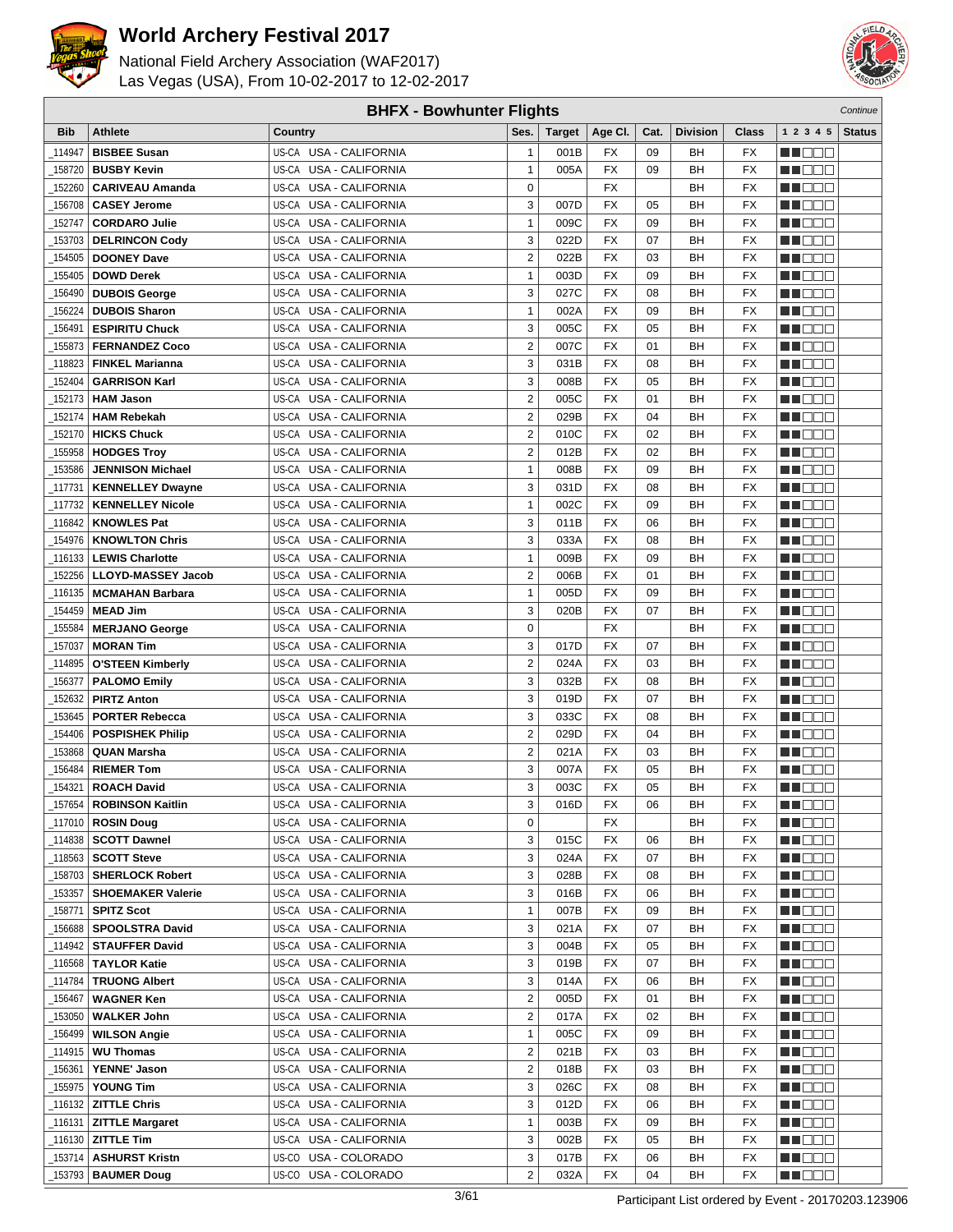



| <b>BHFX - Bowhunter Flights</b><br>Continue |                                                    |                                                  |                         |               |                 |          |                 |                          |                      |               |
|---------------------------------------------|----------------------------------------------------|--------------------------------------------------|-------------------------|---------------|-----------------|----------|-----------------|--------------------------|----------------------|---------------|
| <b>Bib</b>                                  | <b>Athlete</b>                                     | Country                                          | Ses.                    | <b>Target</b> | Age CI.         | Cat.     | <b>Division</b> | <b>Class</b>             | 1 2 3 4 5            | <b>Status</b> |
| 114947                                      | <b>BISBEE Susan</b>                                | US-CA USA - CALIFORNIA                           | $\mathbf{1}$            | 001B          | FX              | 09       | BН              | FX                       | e de e               |               |
| 158720                                      | <b>BUSBY Kevin</b>                                 | US-CA USA - CALIFORNIA                           | $\mathbf{1}$            | 005A          | <b>FX</b>       | 09       | BH              | <b>FX</b>                | n i De B             |               |
| 152260                                      | <b>CARIVEAU Amanda</b>                             | US-CA USA - CALIFORNIA                           | $\mathbf 0$             |               | <b>FX</b>       |          | BH              | <b>FX</b>                | MOOO                 |               |
| 156708                                      | <b>CASEY Jerome</b>                                | US-CA USA - CALIFORNIA                           | 3                       | 007D          | <b>FX</b>       | 05       | BН              | FX                       | ME DE L              |               |
| 152747                                      | <b>CORDARO Julie</b>                               | US-CA USA - CALIFORNIA                           | 1                       | 009C          | <b>FX</b>       | 09       | BН              | <b>FX</b>                | M DE B               |               |
| 153703                                      | <b>DELRINCON Cody</b>                              | US-CA<br><b>USA - CALIFORNIA</b>                 | 3                       | 022D          | FX              | 07       | BН              | <b>FX</b>                | MU OO O              |               |
| 154505                                      | <b>DOONEY Dave</b>                                 | US-CA USA - CALIFORNIA                           | $\overline{2}$          | 022B          | <b>FX</b>       | 03       | BН              | <b>FX</b>                | MN 888               |               |
| 155405                                      | <b>DOWD Derek</b>                                  | US-CA USA - CALIFORNIA                           | $\mathbf{1}$            | 003D          | <b>FX</b>       | 09       | BН              | FX                       | MN 888               |               |
|                                             |                                                    | US-CA USA - CALIFORNIA                           | 3                       | 027C          | <b>FX</b>       | 08       | BН              | <b>FX</b>                |                      |               |
| 156490                                      | <b>DUBOIS George</b>                               |                                                  | $\mathbf{1}$            |               | <b>FX</b>       | 09       | BH              | <b>FX</b>                | MO DO O              |               |
| 156224                                      | <b>DUBOIS Sharon</b>                               | US-CA USA - CALIFORNIA<br>US-CA USA - CALIFORNIA | 3                       | 002A          | <b>FX</b>       |          |                 | <b>FX</b>                | M DEE                |               |
| 156491                                      | <b>ESPIRITU Chuck</b>                              |                                                  | $\overline{2}$          | 005C<br>007C  | <b>FX</b>       | 05<br>01 | BН              | <b>FX</b>                | MU DO B              |               |
| 155873                                      | <b>FERNANDEZ Coco</b>                              | US-CA USA - CALIFORNIA                           |                         |               |                 |          | BН              |                          | MN D D D             |               |
| 118823                                      | <b>FINKEL Marianna</b>                             | US-CA USA - CALIFORNIA                           | 3                       | 031B          | FX              | 08       | BН              | <b>FX</b>                | n i Bele             |               |
| 152404                                      | <b>GARRISON Karl</b>                               | US-CA USA - CALIFORNIA                           | 3                       | 008B          | <b>FX</b>       | 05       | BН              | <b>FX</b>                | MA DE C              |               |
| 152173                                      | <b>HAM Jason</b>                                   | US-CA<br>USA - CALIFORNIA                        | $\overline{2}$          | 005C          | <b>FX</b>       | 01       | BН              | FX                       | MU DO B              |               |
| _152174                                     | <b>HAM Rebekah</b>                                 | US-CA USA - CALIFORNIA                           | $\overline{2}$          | 029B          | <b>FX</b>       | 04       | BН              | <b>FX</b>                | MN 888               |               |
| 152170                                      | <b>HICKS Chuck</b>                                 | US-CA USA - CALIFORNIA                           | $\overline{2}$          | 010C          | FX              | 02       | BН              | <b>FX</b>                | MA DE E              |               |
| 155958                                      | <b>HODGES Troy</b>                                 | US-CA USA - CALIFORNIA                           | $\overline{2}$          | 012B          | <b>FX</b>       | 02       | BН              | <b>FX</b>                | MU DO O              |               |
| 153586                                      | <b>JENNISON Michael</b>                            | US-CA USA - CALIFORNIA                           | $\mathbf{1}$            | 008B          | <b>FX</b>       | 09       | BH              | <b>FX</b>                | M DO B               |               |
| _117731                                     | <b>KENNELLEY Dwayne</b>                            | US-CA USA - CALIFORNIA                           | 3                       | 031D          | <b>FX</b>       | 08       | BН              | <b>FX</b>                | MN DO B              |               |
| 117732                                      | <b>KENNELLEY Nicole</b>                            | US-CA USA - CALIFORNIA                           | $\mathbf{1}$            | 002C          | <b>FX</b>       | 09       | BН              | <b>FX</b>                | MN D D D             |               |
| 116842                                      | <b>KNOWLES Pat</b>                                 | US-CA USA - CALIFORNIA                           | 3                       | 011B          | FX              | 06       | BН              | <b>FX</b>                | <b>HELLO</b>         |               |
| 154976                                      | <b>KNOWLTON Chris</b>                              | USA - CALIFORNIA<br>US-CA                        | 3                       | 033A          | <b>FX</b>       | 08       | BН              | <b>FX</b>                | M DO B               |               |
| 116133                                      | <b>LEWIS Charlotte</b>                             | US-CA<br>USA - CALIFORNIA                        | $\mathbf{1}$            | 009B          | <b>FX</b>       | 09       | BН              | <b>FX</b>                | MA OO B              |               |
| 152256                                      | <b>LLOYD-MASSEY Jacob</b>                          | US-CA USA - CALIFORNIA                           | $\overline{2}$          | 006B          | <b>FX</b>       | 01       | BН              | <b>FX</b>                | MN 888               |               |
| 116135                                      | <b>MCMAHAN Barbara</b>                             | USA - CALIFORNIA<br>US-CA                        | $\mathbf{1}$            | 005D          | <b>FX</b>       | 09       | BH              | <b>FX</b>                | MN OO O              |               |
| 154459                                      | <b>MEAD Jim</b>                                    | US-CA USA - CALIFORNIA                           | 3                       | 020B          | <b>FX</b>       | 07       | BН              | <b>FX</b>                | MU DO O              |               |
| 155584                                      | <b>MERJANO George</b>                              | US-CA USA - CALIFORNIA                           | 0                       |               | <b>FX</b>       |          | BH              | <b>FX</b>                | MU DO B              |               |
| _157037                                     | <b>MORAN Tim</b>                                   | US-CA USA - CALIFORNIA                           | 3                       | 017D          | <b>FX</b>       | 07       | BН              | <b>FX</b>                | MN OO B              |               |
| 114895_                                     | <b>O'STEEN Kimberly</b>                            | US-CA USA - CALIFORNIA                           | $\overline{2}$          | 024A          | <b>FX</b>       | 03       | BН              | <b>FX</b>                | n de de              |               |
| 156377                                      | <b>PALOMO Emily</b>                                | US-CA USA - CALIFORNIA                           | 3                       | 032B          | <b>FX</b>       | 08       | BН              | <b>FX</b>                | MA DE C              |               |
| 152632                                      | <b>PIRTZ Anton</b>                                 | USA - CALIFORNIA<br>US-CA                        | 3                       | 019D          | <b>FX</b>       | 07       | BН              | <b>FX</b>                | MU DO B              |               |
| 153645                                      | <b>PORTER Rebecca</b>                              | US-CA<br><b>USA - CALIFORNIA</b>                 | 3                       | 033C          | <b>FX</b>       | 08       | BН              | <b>FX</b>                | MN 888               |               |
| 154406                                      | <b>POSPISHEK Philip</b>                            | US-CA USA - CALIFORNIA                           | $\overline{2}$          | 029D          | <b>FX</b>       | 04       | BН              | <b>FX</b>                | MA DE E              |               |
| 153868                                      | <b>QUAN Marsha</b>                                 | US-CA USA - CALIFORNIA                           | 2                       | 021A          | <b>FX</b>       | 03       | BН              | FX                       | MA DE C              |               |
| 156484                                      | <b>RIEMER Tom</b>                                  | US-CA USA - CALIFORNIA                           | 3                       | 007A          | <b>FX</b>       | 05       | BН              | <b>FX</b>                | MU DE S              |               |
| _154321                                     | <b>ROACH David</b>                                 | US-CA USA - CALIFORNIA                           | 3                       | 003C          | <b>FX</b>       | 05       | BH              | <b>FX</b>                | MN DO B              |               |
|                                             | $\overline{\phantom{0}}$ 157654   ROBINSON Kaitlin | US-CA USA - CALIFORNIA                           | 3                       | 016D          | $\overline{FX}$ | 06       | <b>BH</b>       | $\overline{\mathsf{FX}}$ | <b>HOOD</b>          |               |
| _117010丨                                    | <b>ROSIN Doug</b>                                  | US-CA USA - CALIFORNIA                           | $\mathbf 0$             |               | FX              |          | BН              | FX                       | M DE S               |               |
| _114838                                     | <b>SCOTT Dawnel</b>                                | US-CA USA - CALIFORNIA                           | 3                       | 015C          | FX              | 06       | BН              | FX                       | WU O O O             |               |
| 118563                                      | <b>SCOTT Steve</b>                                 | US-CA USA - CALIFORNIA                           | 3                       | 024A          | FX              | 07       | BH              | FX                       | MUOOO                |               |
| _158703                                     | <b>SHERLOCK Robert</b>                             | US-CA USA - CALIFORNIA                           | 3                       | 028B          | FX              | 08       | BН              | FX                       | <u>in ja sis</u>     |               |
| _153357                                     | <b>SHOEMAKER Valerie</b>                           | US-CA USA - CALIFORNIA                           | 3                       | 016B          | FX              | 06       | BН              | FX                       | <u>Li Bee</u>        |               |
| _158771                                     | <b>SPITZ Scot</b>                                  | US-CA USA - CALIFORNIA                           | $\mathbf{1}$            | 007B          | FX              | 09       | BН              | FX                       | W OOO                |               |
| 156688                                      | <b>SPOOLSTRA David</b>                             | US-CA USA - CALIFORNIA                           | 3                       | 021A          | FX              | 07       | BH              | FX                       | MU O O O             |               |
| _114942                                     | <b>STAUFFER David</b>                              | US-CA USA - CALIFORNIA                           | 3                       | 004B          | FX              | 05       | BН              | FX                       | <u>in ja sis</u>     |               |
| _116568                                     | <b>TAYLOR Katie</b>                                | US-CA USA - CALIFORNIA                           | 3                       | 019B          | FX              | 07       | BН              | FX                       | M DE S               |               |
| 114784                                      | <b>TRUONG Albert</b>                               | US-CA USA - CALIFORNIA                           | 3                       | 014A          | FX              | 06       | BН              | FX                       | <u>LI OOD</u>        |               |
| 156467_                                     | <b>WAGNER Ken</b>                                  | US-CA USA - CALIFORNIA                           | $\overline{2}$          | 005D          | FX              | 01       | BН              | FX                       | WU 88                |               |
| _153050                                     | <b>WALKER John</b>                                 | US-CA USA - CALIFORNIA                           | $\overline{2}$          | 017A          | FX              | 02       | BН              | FX                       | MUOOO                |               |
| 156499_                                     | <b>WILSON Angie</b>                                | US-CA USA - CALIFORNIA                           | $\mathbf{1}$            | 005C          | FX              | 09       | BН              | FX                       | e de la p            |               |
| 114915                                      | <b>WU Thomas</b>                                   | US-CA USA - CALIFORNIA                           | $\overline{\mathbf{c}}$ | 021B          | FX              | 03       | BН              | FX                       | <u>Li Sec</u>        |               |
| _156361                                     | <b>YENNE' Jason</b>                                | US-CA USA - CALIFORNIA                           | $\overline{2}$          | 018B          | FX              | 03       | BН              | FX                       | WU 88                |               |
| 155975                                      | YOUNG Tim                                          | US-CA USA - CALIFORNIA                           | 3                       | 026C          | FX              | 08       | BН              | FX                       | NN O O O             |               |
| _116132                                     | <b>ZITTLE Chris</b>                                | US-CA USA - CALIFORNIA                           | 3                       | 012D          | FX              | 06       | BН              | FX                       | <u>in din Biblio</u> |               |
| $-116131$                                   | <b>ZITTLE Margaret</b>                             | US-CA USA - CALIFORNIA                           | $\mathbf{1}$            | 003B          | FX              | 09       | BН              | FX                       | <u>LI DEB</u>        |               |
|                                             | <b>ZITTLE Tim</b>                                  | US-CA USA - CALIFORNIA                           | 3                       | 002B          | FX              | 05       | BН              | FX                       | WU O O O             |               |
| _153714                                     | <b>ASHURST Kristn</b>                              | US-CO USA - COLORADO                             | 3                       | 017B          | FX              | 06       | BН              | FX                       | MUOOO                |               |
| _153793                                     | <b>BAUMER Doug</b>                                 | US-CO USA - COLORADO                             | $\overline{2}$          | 032A          | FX              | 04       | BН              | FX                       | MU DO D              |               |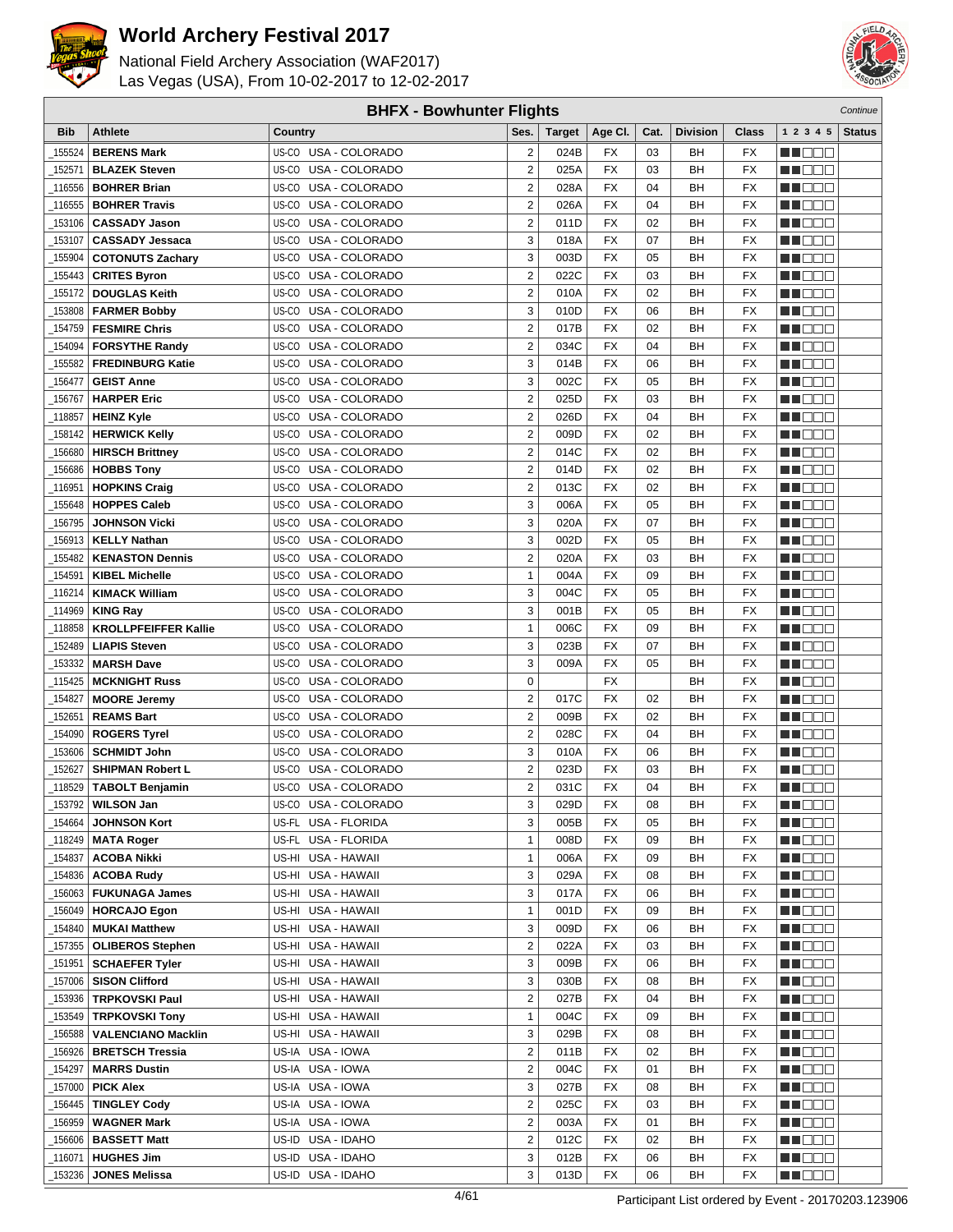



| <b>BHFX - Bowhunter Flights</b><br>Continue |                             |                         |                         |               |                 |      |                 |                 |                     |               |
|---------------------------------------------|-----------------------------|-------------------------|-------------------------|---------------|-----------------|------|-----------------|-----------------|---------------------|---------------|
| <b>Bib</b>                                  | <b>Athlete</b>              | Country                 | Ses.                    | <b>Target</b> | Age CI.         | Cat. | <b>Division</b> | Class           | 1 2 3 4 5           | <b>Status</b> |
| 155524                                      | <b>BERENS Mark</b>          | US-CO USA - COLORADO    | 2                       | 024B          | FX              | 03   | BН              | FX              | HI EE               |               |
| 152571                                      | <b>BLAZEK Steven</b>        | US-CO USA - COLORADO    | 2                       | 025A          | <b>FX</b>       | 03   | BH              | <b>FX</b>       | MU O O O            |               |
| 116556                                      | <b>BOHRER Brian</b>         | US-CO USA - COLORADO    | $\overline{\mathbf{c}}$ | 028A          | <b>FX</b>       | 04   | BH              | FX              | n i DDE             |               |
| 116555                                      | <b>BOHRER Travis</b>        | US-CO USA - COLORADO    | 2                       | 026A          | FX              | 04   | BH              | FX              | MN 888              |               |
| 153106                                      | <b>CASSADY Jason</b>        | USA - COLORADO<br>US-CO | $\overline{2}$          | 011D          | <b>FX</b>       | 02   | BH              | FX              | n de e              |               |
|                                             | <b>CASSADY Jessaca</b>      | US-CO<br>USA - COLORADO | 3                       | 018A          | <b>FX</b>       | 07   | BH              | FX              |                     |               |
| 153107                                      |                             |                         | 3                       |               | <b>FX</b>       |      |                 |                 | MA DE E<br>ME E E E |               |
| 155904                                      | <b>COTONUTS Zachary</b>     | US-CO USA - COLORADO    |                         | 003D          |                 | 05   | BH              | FX              |                     |               |
| 155443                                      | <b>CRITES Byron</b>         | US-CO<br>USA - COLORADO | $\overline{2}$          | 022C          | <b>FX</b>       | 03   | BH              | FX              | MN D D O            |               |
| 155172                                      | <b>DOUGLAS Keith</b>        | US-CO<br>USA - COLORADO | 2                       | 010A          | <b>FX</b>       | 02   | BH              | FX              | MO DO O             |               |
| 153808                                      | <b>FARMER Bobby</b>         | USA - COLORADO<br>US-CO | 3                       | 010D          | <b>FX</b>       | 06   | BH              | FX              | n i De E            |               |
| 154759                                      | <b>FESMIRE Chris</b>        | US-CO USA - COLORADO    | 2                       | 017B          | <b>FX</b>       | 02   | BH              | <b>FX</b>       | W OOO               |               |
| 154094                                      | <b>FORSYTHE Randy</b>       | US-CO USA - COLORADO    | $\overline{\mathbf{c}}$ | 034C          | <b>FX</b>       | 04   | BH              | FX              | M 1000              |               |
| 155582                                      | <b>FREDINBURG Katie</b>     | US-CO USA - COLORADO    | 3                       | 014B          | FX              | 06   | BН              | FX              | n i Bele            |               |
| 156477                                      | <b>GEIST Anne</b>           | USA - COLORADO<br>US-CO | 3                       | 002C          | <b>FX</b>       | 05   | BН              | FX              | MA DE L             |               |
| 156767                                      | <b>HARPER Eric</b>          | US-CO<br>USA - COLORADO | $\overline{2}$          | 025D          | FX              | 03   | BH              | <b>FX</b>       | M DE O              |               |
| 118857                                      | <b>HEINZ Kyle</b>           | US-CO USA - COLORADO    | $\overline{2}$          | 026D          | <b>FX</b>       | 04   | BН              | FX              | n i DDE             |               |
| 158142                                      | <b>HERWICK Kelly</b>        | US-CO USA - COLORADO    | $\overline{c}$          | 009D          | <b>FX</b>       | 02   | BH              | FX              | MO DO O             |               |
| 156680                                      | <b>HIRSCH Brittney</b>      | USA - COLORADO<br>US-CO | 2                       | 014C          | <b>FX</b>       | 02   | BН              | FX              | ME DE S             |               |
| 156686                                      | <b>HOBBS Tony</b>           | USA - COLORADO<br>US-CO | 2                       | 014D          | <b>FX</b>       | 02   | BH              | FX              | n i De E            |               |
| 116951                                      | <b>HOPKINS Craig</b>        | US-CO USA - COLORADO    | 2                       | 013C          | <b>FX</b>       | 02   | BH              | FX              | ME OOO              |               |
| 155648                                      | <b>HOPPES Caleb</b>         | US-CO USA - COLORADO    | 3                       | 006A          | <b>FX</b>       | 05   | BH              | FX              | MT DE E             |               |
| 156795                                      | <b>JOHNSON Vicki</b>        | US-CO USA - COLORADO    | 3                       | 020A          | FX              | 07   | BH              | FX              | n i Bele            |               |
| 156913                                      | <b>KELLY Nathan</b>         | USA - COLORADO<br>US-CO | 3                       | 002D          | <b>FX</b>       | 05   | BH              | FX              | MA DE E             |               |
| 155482                                      | <b>KENASTON Dennis</b>      | US-CO<br>USA - COLORADO | 2                       | 020A          | <b>FX</b>       | 03   | BH              | <b>FX</b>       | M OO U              |               |
| 154591                                      | <b>KIBEL Michelle</b>       | USA - COLORADO<br>US-CO | $\mathbf{1}$            | 004A          | <b>FX</b>       | 09   | BH              | FX              | MN 888              |               |
| 116214                                      | <b>KIMACK William</b>       | US-CO<br>USA - COLORADO | 3                       | 004C          | <b>FX</b>       | 05   | BН              | FX              | MO DO O             |               |
| 114969                                      | <b>KING Ray</b>             | US-CO<br>USA - COLORADO | 3                       | 001B          | <b>FX</b>       | 05   | BH              | FX              | MA DE S             |               |
| _118858                                     | <b>KROLLPFEIFFER Kallie</b> | US-CO<br>USA - COLORADO | $\mathbf{1}$            | 006C          | <b>FX</b>       | 09   | BH              | FX              | W OOO               |               |
| 152489                                      | <b>LIAPIS Steven</b>        | US-CO USA - COLORADO    | 3                       | 023B          | <b>FX</b>       | 07   | BH              | FX              | n i De E            |               |
| 153332                                      | <b>MARSH Dave</b>           | US-CO USA - COLORADO    | 3                       | 009A          | <b>FX</b>       | 05   | BН              | FX              | HI EEE              |               |
| 115425                                      | <b>MCKNIGHT Russ</b>        | US-CO USA - COLORADO    | $\mathbf 0$             |               | FX              |      | BН              | FX              | MA DE C             |               |
| _154827                                     | <b>MOORE Jeremy</b>         | USA - COLORADO<br>US-CO | $\overline{2}$          | 017C          | <b>FX</b>       | 02   | BН              | FX              | M DE E              |               |
| 152651                                      | <b>REAMS Bart</b>           | US-CO<br>USA - COLORADO | 2                       | 009B          | FX              | 02   | BH              | FX              | N I O O O           |               |
| 154090                                      | <b>ROGERS Tyrel</b>         | US-CO USA - COLORADO    | $\overline{2}$          | 028C          | <b>FX</b>       | 04   | BН              | FX              | MU DO O             |               |
| 153606                                      | <b>SCHMIDT John</b>         | US-CO<br>USA - COLORADO | 3                       | 010A          | FX              | 06   | BH              | FX              | M D D D             |               |
| 152627                                      | <b>SHIPMAN Robert L</b>     | USA - COLORADO<br>US-CO | 2                       | 023D          | <b>FX</b>       | 03   | BН              | FX              | M DO D              |               |
| _118529                                     | <b>TABOLT Benjamin</b>      | US-CO USA - COLORADO    | $\overline{2}$          | 031C          | <b>FX</b>       | 04   | BH              | <b>FX</b>       | MU O O O            |               |
|                                             | $\_$ 153792   WILSON Jan    | US-CO USA - COLORADO    | 3                       | 029D          | $\overline{FX}$ | 08   | BH              | $\overline{FX}$ | <b>BECOO</b>        |               |
| 154664                                      | <b>JOHNSON Kort</b>         | US-FL USA - FLORIDA     | 3                       | 005B          | FX              | 05   | BН              | FX              | <u>Li Bec</u>       |               |
| _118249                                     | <b>MATA Roger</b>           | US-FL USA - FLORIDA     | $\mathbf{1}$            | 008D          | FX              | 09   | BН              | FX              | WU O O O            |               |
| 154837                                      | <b>ACOBA Nikki</b>          | US-HI USA - HAWAII      | 1                       | 006A          | FX              | 09   | BН              | FX              | MUOOO               |               |
| _154836                                     | <b>ACOBA Rudy</b>           | US-HI USA - HAWAII      | 3                       | 029A          | FX              | 08   | BН              | FX              | <u>in ja sis</u>    |               |
| _156063                                     | <b>FUKUNAGA James</b>       | US-HI USA - HAWAII      | 3                       | 017A          | FX              | 06   | BН              | FX              | NN DOO              |               |
| _156049                                     | <b>HORCAJO Egon</b>         | US-HI USA - HAWAII      | $\mathbf{1}$            | 001D          | FX              | 09   | BН              | FX              | MU DO O I           |               |
| _154840                                     | <b>MUKAI Matthew</b>        | US-HI USA - HAWAII      | 3                       | 009D          | FX              | 06   | ВH              | FX              | MOOO I              |               |
| _157355                                     | <b>OLIBEROS Stephen</b>     | US-HI USA - HAWAII      | 2                       | 022A          | FX              | 03   | BН              | FX              | <u> Literatu</u>    |               |
| _151951                                     | <b>SCHAEFER Tyler</b>       | US-HI USA - HAWAII      | 3                       | 009B          | FX              | 06   | BН              | FX              | <u> Literatu</u>    |               |
| 157006                                      | <b>SISON Clifford</b>       | US-HI USA - HAWAII      | 3                       | 030B          | FX              | 08   | BН              | FX              | MU DO O I           |               |
| 153936                                      | <b>TRPKOVSKI Paul</b>       | US-HI USA - HAWAII      | $\overline{c}$          | 027B          | FX              | 04   | BН              | FX              | <u>LL DOO</u>       |               |
| 153549_                                     | <b>TRPKOVSKI Tony</b>       | US-HI USA - HAWAII      | 1                       | 004C          | FX              | 09   | BН              | FX              | MUOOO               |               |
| 156588                                      |                             | US-HI USA - HAWAII      | 3                       | 029B          | FX              | 08   | BH              | FX              |                     |               |
|                                             | <b>VALENCIANO Macklin</b>   |                         |                         |               |                 |      |                 |                 | <u> Lind a Bi</u>   |               |
| _156926                                     | <b>BRETSCH Tressia</b>      | US-IA USA - IOWA        | 2                       | 011B          | FX              | 02   | ВH              | FX              | <b>MA</b> DOO       |               |
| _154297                                     | <b>MARRS Dustin</b>         | US-IA USA - IOWA        | 2                       | 004C          | FX              | 01   | BН              | FX              | MU DO D             |               |
| _157000                                     | <b>PICK Alex</b>            | US-IA USA - IOWA        | 3                       | 027B          | FX              | 08   | ВH              | FX              | M OO D              |               |
| _156445                                     | <b>TINGLEY Cody</b>         | US-IA USA - IOWA        | 2                       | 025C          | FX              | 03   | BН              | FX              | <u> Literatu</u>    |               |
| 156959                                      | <b>WAGNER Mark</b>          | US-IA USA - IOWA        | 2                       | 003A          | FX              | 01   | BН              | FX              | <u> Literatur</u>   |               |
| 156606                                      | <b>BASSETT Matt</b>         | US-ID USA - IDAHO       | $\overline{2}$          | 012C          | FX              | 02   | ВH              | FX              | <u>Li Seci</u>      |               |
| _116071                                     | <b>HUGHES Jim</b>           | US-ID USA - IDAHO       | 3                       | 012B          | FX              | 06   | BН              | FX              | MU DE EL            |               |
| 153236                                      | <b>JONES Melissa</b>        | US-ID USA - IDAHO       | 3                       | 013D          | <b>FX</b>       | 06   | BН              | FX              | <b>HE</b> OOO       |               |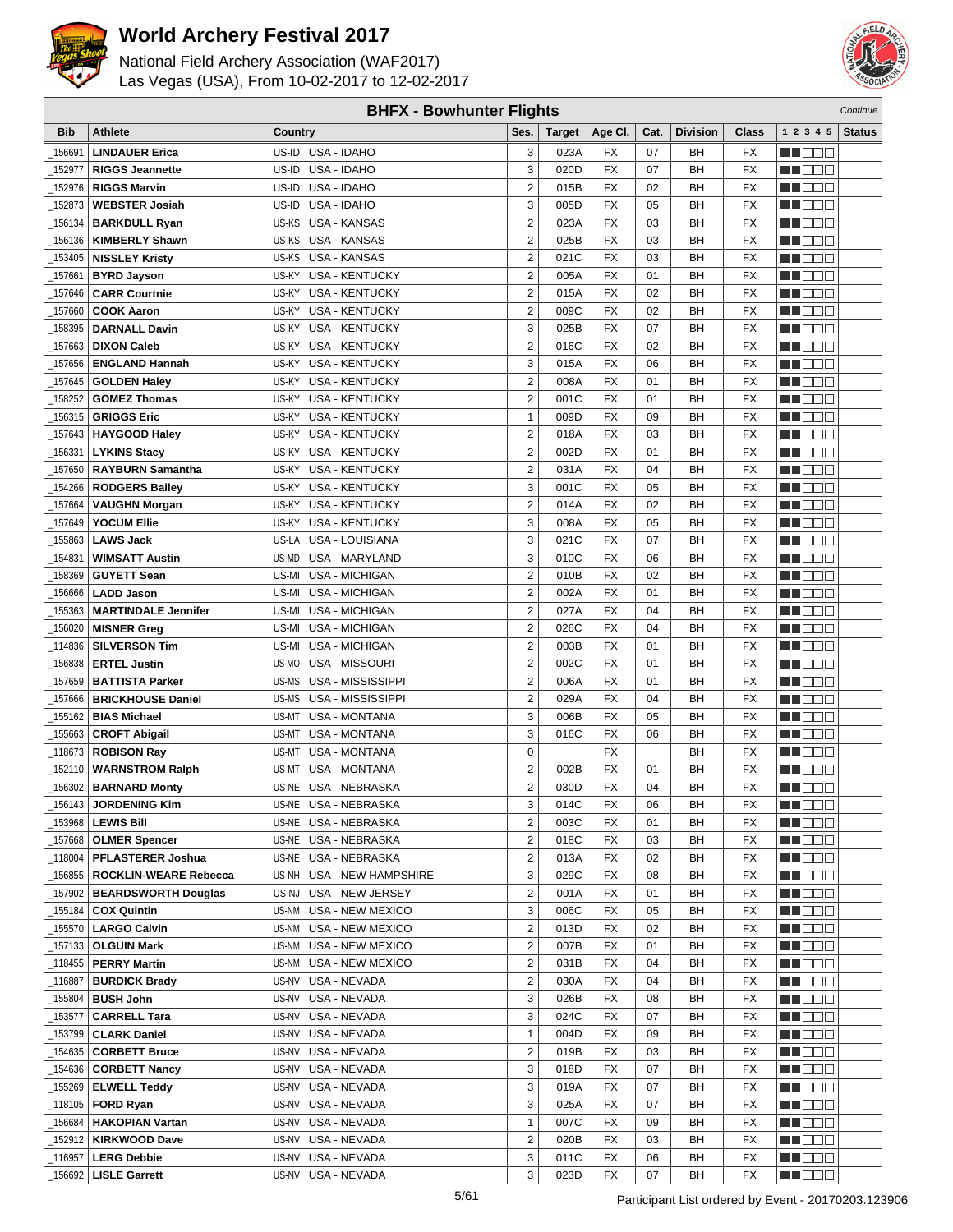



| <b>BHFX - Bowhunter Flights</b><br>Continue |                                   |                                |                         |               |                 |      |                 |                 |                   |               |
|---------------------------------------------|-----------------------------------|--------------------------------|-------------------------|---------------|-----------------|------|-----------------|-----------------|-------------------|---------------|
| Bib                                         | <b>Athlete</b>                    | Country                        | Ses.                    | <b>Target</b> | Age CI.         | Cat. | <b>Division</b> | Class           | 1 2 3 4 5         | <b>Status</b> |
| 156691                                      | <b>LINDAUER Erica</b>             | US-ID USA - IDAHO              | 3                       | 023A          | FX              | 07   | BН              | FX              | e de e            |               |
| 152977                                      | <b>RIGGS Jeannette</b>            | US-ID USA - IDAHO              | 3                       | 020D          | <b>FX</b>       | 07   | BH              | <b>FX</b>       | n i De E          |               |
| 152976                                      | <b>RIGGS Marvin</b>               | US-ID USA - IDAHO              | $\overline{2}$          | 015B          | <b>FX</b>       | 02   | BН              | <b>FX</b>       | MOOO              |               |
| 152873                                      | <b>WEBSTER Josiah</b>             | US-ID USA - IDAHO              | 3                       | 005D          | FX              | 05   | BН              | FX              | MA DE E           |               |
| 156134                                      | <b>BARKDULL Ryan</b>              | US-KS<br>USA - KANSAS          | $\overline{2}$          | 023A          | <b>FX</b>       | 03   | BН              | <b>FX</b>       | n i Bele          |               |
|                                             |                                   | US-KS                          |                         |               |                 |      |                 |                 |                   |               |
| 156136                                      | <b>KIMBERLY Shawn</b>             | <b>USA - KANSAS</b>            | $\overline{2}$          | 025B          | FX              | 03   | BH              | <b>FX</b>       | M DO B            |               |
| 153405                                      | <b>NISSLEY Kristy</b>             | US-KS USA - KANSAS             | $\overline{2}$          | 021C          | <b>FX</b>       | 03   | BН              | <b>FX</b>       | ME E E E          |               |
| 157661                                      | <b>BYRD Jayson</b>                | US-KY USA - KENTUCKY           | $\overline{2}$          | 005A          | <b>FX</b>       | 01   | BH              | <b>FX</b>       | ME E E E          |               |
| 157646                                      | <b>CARR Courtnie</b>              | <b>USA - KENTUCKY</b><br>US-KY | $\overline{2}$          | 015A          | <b>FX</b>       | 02   | BН              | <b>FX</b>       | MO DO O           |               |
| 157660                                      | <b>COOK Aaron</b>                 | US-KY<br><b>USA - KENTUCKY</b> | $\overline{\mathbf{c}}$ | 009C          | <b>FX</b>       | 02   | BH              | <b>FX</b>       | M DEE             |               |
| 158395                                      | <b>DARNALL Davin</b>              | US-KY USA - KENTUCKY           | 3                       | 025B          | <b>FX</b>       | 07   | BH              | <b>FX</b>       | MU DO B           |               |
| 157663                                      | <b>DIXON Caleb</b>                | US-KY USA - KENTUCKY           | $\overline{2}$          | 016C          | <b>FX</b>       | 02   | BН              | <b>FX</b>       | n i De E          |               |
| 157656                                      | <b>ENGLAND Hannah</b>             | US-KY USA - KENTUCKY           | 3                       | 015A          | FX              | 06   | BН              | <b>FX</b>       | MA DE E           |               |
| 157645                                      | <b>GOLDEN Haley</b>               | <b>USA - KENTUCKY</b><br>US-KY | $\overline{2}$          | 008A          | <b>FX</b>       | 01   | BН              | <b>FX</b>       | MA DE C           |               |
| 158252                                      | <b>GOMEZ Thomas</b>               | US-KY<br><b>USA - KENTUCKY</b> | $\overline{2}$          | 001C          | FX              | 01   | BН              | <b>FX</b>       | MU DO B           |               |
| 156315                                      | <b>GRIGGS Eric</b>                | US-KY USA - KENTUCKY           | $\mathbf{1}$            | 009D          | <b>FX</b>       | 09   | BН              | <b>FX</b>       | n i DDE           |               |
| 157643                                      | <b>HAYGOOD Haley</b>              | US-KY USA - KENTUCKY           | $\overline{2}$          | 018A          | <b>FX</b>       | 03   | BH              | <b>FX</b>       | MO DO O           |               |
| 156331                                      | <b>LYKINS Stacy</b>               | US-KY USA - KENTUCKY           | $\overline{2}$          | 002D          | <b>FX</b>       | 01   | BН              | <b>FX</b>       | MU DO 2           |               |
| 157650                                      | <b>RAYBURN Samantha</b>           | US-KY<br><b>USA - KENTUCKY</b> | $\overline{2}$          | 031A          | <b>FX</b>       | 04   | BH              | <b>FX</b>       | M DO B            |               |
| 154266                                      | <b>RODGERS Bailey</b>             | US-KY USA - KENTUCKY           | 3                       | 001C          | <b>FX</b>       | 05   | BH              | <b>FX</b>       | MN 888            |               |
| 157664                                      | <b>VAUGHN Morgan</b>              | US-KY USA - KENTUCKY           | $\overline{2}$          | 014A          | <b>FX</b>       | 02   | BН              | <b>FX</b>       | MA DO O           |               |
| 157649                                      | <b>YOCUM Ellie</b>                | US-KY USA - KENTUCKY           | 3                       | 008A          | FX              | 05   | BН              | <b>FX</b>       | <b>HE</b> OOO     |               |
| 155863                                      | <b>LAWS Jack</b>                  | US-LA USA - LOUISIANA          | 3                       | 021C          | <b>FX</b>       | 07   | BH              | <b>FX</b>       | M DO B            |               |
| 154831                                      | <b>WIMSATT Austin</b>             | US-MD<br><b>USA - MARYLAND</b> | 3                       | 010C          | FX              | 06   | BH              | <b>FX</b>       | MA OO B           |               |
| 158369                                      | <b>GUYETT Sean</b>                | US-MI USA - MICHIGAN           | $\overline{2}$          | 010B          | <b>FX</b>       | 02   | BН              | <b>FX</b>       | MN 888            |               |
| 156666                                      | <b>LADD Jason</b>                 | <b>USA - MICHIGAN</b><br>US-MI | $\overline{c}$          | 002A          | FX              | 01   | BН              | <b>FX</b>       | MO DO O           |               |
| 155363                                      | <b>MARTINDALE Jennifer</b>        | USA - MICHIGAN<br>US-MI        | $\overline{\mathbf{c}}$ | 027A          | <b>FX</b>       | 04   | BН              | <b>FX</b>       | MA DE S           |               |
| 156020                                      | <b>MISNER Greg</b>                | US-MI<br>USA - MICHIGAN        | $\overline{2}$          | 026C          | <b>FX</b>       | 04   | BH              | <b>FX</b>       | W OOO             |               |
|                                             |                                   |                                | $\overline{2}$          | 003B          | <b>FX</b>       | 01   | BН              | <b>FX</b>       |                   |               |
| 114836                                      | <b>SILVERSON Tim</b>              | US-MI USA - MICHIGAN           |                         |               |                 |      |                 |                 | MN 888            |               |
| 156838                                      | <b>ERTEL Justin</b>               | US-MO USA - MISSOURI           | $\overline{2}$          | 002C          | <b>FX</b>       | 01   | BН              | <b>FX</b>       | n i Biblio        |               |
| 157659                                      | <b>BATTISTA Parker</b>            | US-MS<br>USA - MISSISSIPPI     | $\overline{2}$          | 006A          | FX              | 01   | BН              | <b>FX</b>       | MA DE C           |               |
| 157666                                      | <b>BRICKHOUSE Daniel</b>          | US-MS<br>USA - MISSISSIPPI     | $\overline{2}$          | 029A          | <b>FX</b>       | 04   | BН              | FX              | MU DO B           |               |
| 155162                                      | <b>BIAS Michael</b>               | <b>USA - MONTANA</b><br>US-MT  | 3                       | 006B          | FX              | 05   | BН              | <b>FX</b>       | n i DDE           |               |
| 155663                                      | <b>CROFT Abigail</b>              | US-MT USA - MONTANA            | 3                       | 016C          | <b>FX</b>       | 06   | BН              | <b>FX</b>       | MA DE E           |               |
| 118673                                      | <b>ROBISON Ray</b>                | US-MT USA - MONTANA            | 0                       |               | FX              |      | BН              | FX              | M DE B            |               |
| 152110                                      | <b>WARNSTROM Ralph</b>            | <b>USA - MONTANA</b><br>US-MT  | $\overline{\mathbf{c}}$ | 002B          | <b>FX</b>       | 01   | BН              | <b>FX</b>       | M DO D            |               |
| 156302                                      | <b>BARNARD Monty</b>              | US-NE USA - NEBRASKA           | $\overline{2}$          | 030D          | <b>FX</b>       | 04   | BH              | <b>FX</b>       | MN DO B           |               |
|                                             | $\_156143$ JORDENING Kim          | US-NE USA - NEBRASKA           | 3                       | 014C          | $\overline{FX}$ | 06   | BH              | $\overline{FX}$ | <b>NH</b> OOO     |               |
|                                             | 153968   LEWIS Bill               | US-NE USA - NEBRASKA           | $\overline{2}$          | 003C          | FX              | 01   | BН              | FX              | MA DE E           |               |
|                                             | 157668   OLMER Spencer            | US-NE USA - NEBRASKA           | $\overline{\mathbf{c}}$ | 018C          | FX              | 03   | BН              | FX              | M DE E            |               |
|                                             | 118004   PFLASTERER Joshua        | US-NE USA - NEBRASKA           | $\overline{2}$          | 013A          | FX              | 02   | BН              | FX              | MUOOO             |               |
|                                             | 156855   ROCKLIN-WEARE Rebecca    | US-NH USA - NEW HAMPSHIRE      | 3                       | 029C          | FX              | 08   | BН              | FX              | NN OO E           |               |
| _157902                                     | <b>BEARDSWORTH Douglas</b>        | US-NJ USA - NEW JERSEY         | $\overline{\mathbf{c}}$ | 001A          | FX              | 01   | ВH              | FX              | MU DE B           |               |
| _155184                                     | <b>COX Quintin</b>                | US-NM USA - NEW MEXICO         | 3                       | 006C          | FX              | 05   | BН              | FX              | WU O O O          |               |
|                                             | 155570   LARGO Calvin             | US-NM USA - NEW MEXICO         | $\overline{\mathbf{c}}$ | 013D          | FX              | 02   | BH              | FX              | WO OO U           |               |
|                                             | <sub>-</sub> 157133   OLGUIN Mark | US-NM USA - NEW MEXICO         | $\boldsymbol{2}$        | 007B          | FX              | 01   | BН              | FX              | MA DE E           |               |
|                                             | 118455   PERRY Martin             | US-NM USA - NEW MEXICO         | $\overline{2}$          | 031B          | FX              | 04   | BН              | FX              | <u> Here</u>      |               |
|                                             | 116887   <b>BURDICK Brady</b>     | US-NV USA - NEVADA             | $\overline{2}$          | 030A          | FX              | 04   | BН              | <b>FX</b>       | <u>LI OOD</u>     |               |
| 155804                                      | <b>BUSH John</b>                  | US-NV USA - NEVADA             | 3                       | 026B          | FX              | 08   | BН              | FX              | WU 88             |               |
| 153577                                      | CARRELL Tara                      | US-NV USA - NEVADA             | 3                       | 024C          | FX              | 07   | BН              | FX              | MU DO O           |               |
| 153799                                      | <b>CLARK Daniel</b>               | US-NV USA - NEVADA             | $\mathbf{1}$            | 004D          | FX              | 09   | BН              | FX              | e de la p         |               |
|                                             | _154635   CORBETT Bruce           | US-NV USA - NEVADA             | $\overline{\mathbf{c}}$ | 019B          | FX              | 03   | ВH              | FX              | <u> Hose</u>      |               |
|                                             |                                   | US-NV USA - NEVADA             | 3                       | 018D          | FX              | 07   | BН              | FX              | WU 88             |               |
|                                             | 155269   ELWELL Teddy             | US-NV USA - NEVADA             | 3                       | 019A          | FX              | 07   | ВH              | FX              | NN O O O          |               |
|                                             |                                   |                                | 3                       |               | FX              | 07   | BН              | FX              |                   |               |
|                                             | _118105   <b>FORD Ryan</b>        | US-NV USA - NEVADA             |                         | 025A          |                 |      |                 |                 | <u> Literatur</u> |               |
|                                             | 156684   HAKOPIAN Vartan          | US-NV USA - NEVADA             | $\mathbf{1}$            | 007C          | FX              | 09   | BН              | FX              | <u> Hees</u>      |               |
|                                             | 152912   KIRKWOOD Dave            | US-NV USA - NEVADA             | $\overline{2}$          | 020B          | FX              | 03   | BН              | FX              | <u>Li Biblio</u>  |               |
|                                             | 116957   LERG Debbie              | US-NV USA - NEVADA             | 3                       | 011C          | FX              | 06   | BН              | FX              | M DE S            |               |
| 156692                                      | <b>LISLE Garrett</b>              | US-NV USA - NEVADA             | 3                       | 023D          | FX              | 07   | BН              | FX              | MU DO D           |               |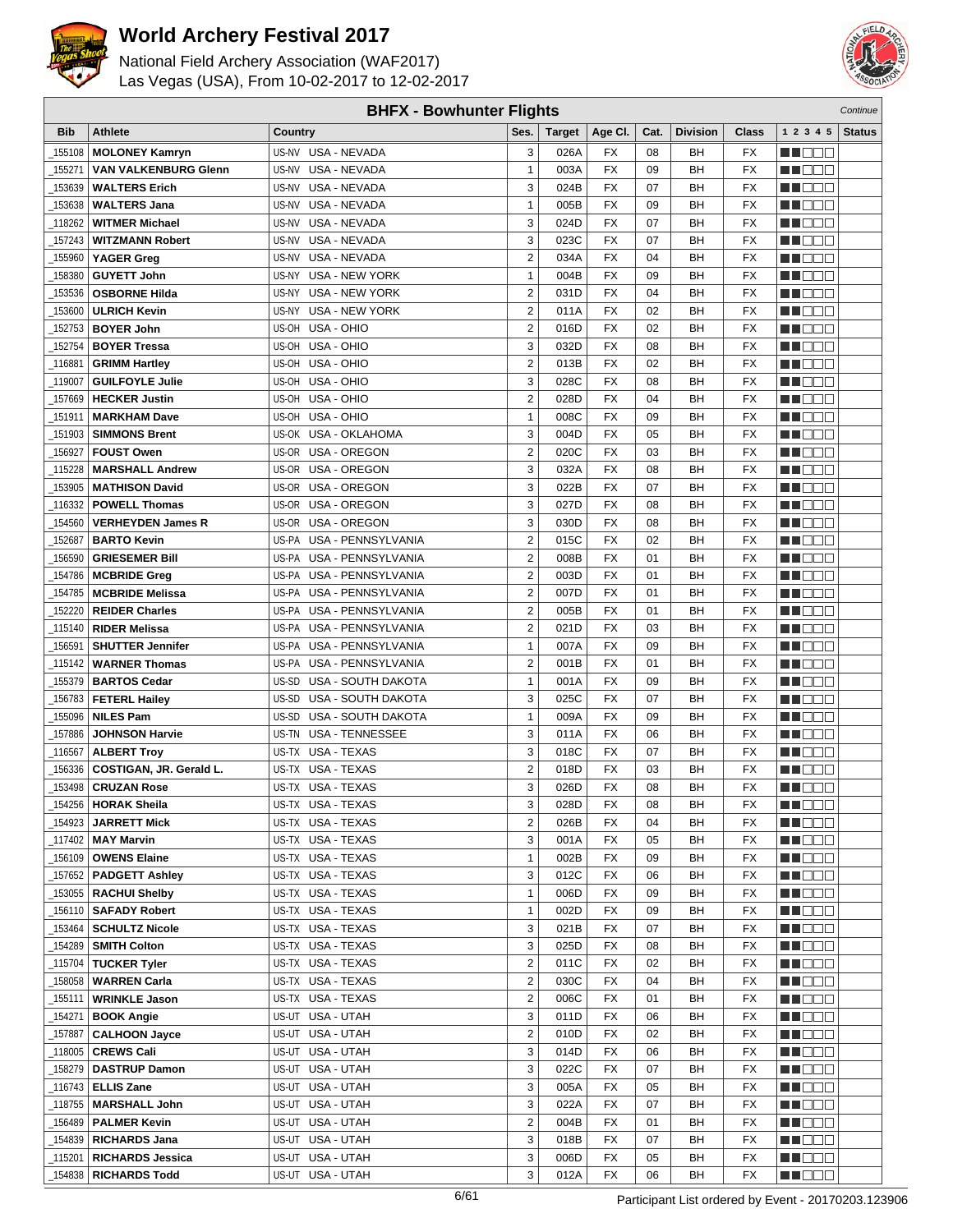



|            | <b>BHFX - Bowhunter Flights</b><br>Continue |                                |                |        |                 |      |                 |                 |                       |               |
|------------|---------------------------------------------|--------------------------------|----------------|--------|-----------------|------|-----------------|-----------------|-----------------------|---------------|
| <b>Bib</b> | <b>Athlete</b>                              | Country                        | Ses.           | Target | Age CI.         | Cat. | <b>Division</b> | Class           | 1 2 3 4 5             | <b>Status</b> |
| 155108     | <b>MOLONEY Kamryn</b>                       | US-NV USA - NEVADA             | 3              | 026A   | FX              | 08   | BH              | <b>FX</b>       | HI EE E               |               |
| 155271     | <b>VAN VALKENBURG Glenn</b>                 | US-NV USA - NEVADA             | $\mathbf{1}$   | 003A   | <b>FX</b>       | 09   | BH              | <b>FX</b>       | M DOO                 |               |
| 153639     | <b>WALTERS Erich</b>                        | US-NV USA - NEVADA             | 3              | 024B   | <b>FX</b>       | 07   | BH              | FX              | n i de e              |               |
| 153638     | <b>WALTERS Jana</b>                         | USA - NEVADA<br>US-NV          | $\mathbf{1}$   | 005B   | FX              | 09   | BH              | <b>FX</b>       | MA DEL A              |               |
| 118262     | <b>WITMER Michael</b>                       | US-NV<br>USA - NEVADA          | 3              | 024D   | <b>FX</b>       | 07   | BH              | FX              | n i Bele              |               |
| 157243     | <b>WITZMANN Robert</b>                      | US-NV<br>USA - NEVADA          | 3              | 023C   | <b>FX</b>       | 07   | BH              | FX              | M DO B                |               |
| 155960     | YAGER Greg                                  | USA - NEVADA<br>US-NV          | $\overline{2}$ | 034A   | <b>FX</b>       | 04   | BH              | <b>FX</b>       | n i De E              |               |
| 158380     | <b>GUYETT John</b>                          | <b>USA - NEW YORK</b><br>US-NY | $\mathbf{1}$   | 004B   | FX              | 09   | BH              | FX              | N I DE E              |               |
| 153536     | <b>OSBORNE Hilda</b>                        | <b>USA - NEW YORK</b><br>US-NY | $\overline{2}$ | 031D   | <b>FX</b>       | 04   | BH              | <b>FX</b>       | n i Biblio            |               |
| 153600     | <b>ULRICH Kevin</b>                         | <b>USA - NEW YORK</b><br>US-NY | $\sqrt{2}$     | 011A   | <b>FX</b>       | 02   | <b>BH</b>       | <b>FX</b>       | MA DE E               |               |
| 152753     | <b>BOYER John</b>                           | US-OH USA - OHIO               | $\overline{2}$ | 016D   | <b>FX</b>       | 02   | BH              | FX              | M DE E                |               |
| 152754     |                                             | US-OH USA - OHIO               | 3              | 032D   | <b>FX</b>       | 08   | BH              | <b>FX</b>       |                       |               |
|            | <b>BOYER Tressa</b>                         |                                |                |        |                 |      |                 |                 | ME E E                |               |
| 116881     | <b>GRIMM Hartley</b>                        | US-OH USA - OHIO               | $\overline{2}$ | 013B   | FX              | 02   | BH              | <b>FX</b>       | n i Biblio            |               |
| 119007     | <b>GUILFOYLE Julie</b>                      | USA - OHIO<br>US-OH            | 3              | 028C   | FX              | 08   | BH              | <b>FX</b>       | M D D D               |               |
| 157669     | <b>HECKER Justin</b>                        | US-OH<br>USA - OHIO            | $\overline{2}$ | 028D   | <b>FX</b>       | 04   | BH              | FX              | MU DO B               |               |
| 151911     | <b>MARKHAM Dave</b>                         | US-OH USA - OHIO               | $\mathbf{1}$   | 008C   | FX              | 09   | BH              | FX              | MUOOO                 |               |
| 151903     | <b>SIMMONS Brent</b>                        | US-OK USA - OKLAHOMA           | 3              | 004D   | <b>FX</b>       | 05   | <b>BH</b>       | <b>FX</b>       | MU DO D               |               |
| 156927     | <b>FOUST Owen</b>                           | US-OR USA - OREGON             | $\sqrt{2}$     | 020C   | <b>FX</b>       | 03   | BH              | <b>FX</b>       | MU DO 2               |               |
| 115228     | <b>MARSHALL Andrew</b>                      | US-OR USA - OREGON             | 3              | 032A   | <b>FX</b>       | 08   | BH              | <b>FX</b>       | MA DE E               |               |
| 153905     | <b>MATHISON David</b>                       | US-OR USA - OREGON             | 3              | 022B   | <b>FX</b>       | 07   | BH              | FX              | MUOOO                 |               |
| _116332    | <b>POWELL Thomas</b>                        | US-OR USA - OREGON             | 3              | 027D   | <b>FX</b>       | 08   | BH              | <b>FX</b>       | NN DE EI              |               |
| 154560     | <b>VERHEYDEN James R</b>                    | US-OR USA - OREGON             | 3              | 030D   | FX              | 08   | BH              | <b>FX</b>       | man man               |               |
| 152687     | <b>BARTO Kevin</b>                          | US-PA USA - PENNSYLVANIA       | $\overline{2}$ | 015C   | <b>FX</b>       | 02   | BH              | <b>FX</b>       | M DO B                |               |
| 156590     | <b>GRIESEMER Bill</b>                       | USA - PENNSYLVANIA<br>US-PA    | $\overline{2}$ | 008B   | <b>FX</b>       | 01   | BH              | <b>FX</b>       | n i Ooc               |               |
| 154786     | <b>MCBRIDE Greg</b>                         | US-PA USA - PENNSYLVANIA       | $\overline{2}$ | 003D   | <b>FX</b>       | 01   | BH              | <b>FX</b>       | N I DE E              |               |
| 154785     | <b>MCBRIDE Melissa</b>                      | US-PA USA - PENNSYLVANIA       | $\overline{2}$ | 007D   | <b>FX</b>       | 01   | BH              | <b>FX</b>       | MU O O O              |               |
| 152220     | <b>REIDER Charles</b>                       | US-PA USA - PENNSYLVANIA       | $\overline{2}$ | 005B   | <b>FX</b>       | 01   | BH              | <b>FX</b>       | MU DO D               |               |
| 115140     | <b>RIDER Melissa</b>                        | US-PA USA - PENNSYLVANIA       | $\overline{2}$ | 021D   | <b>FX</b>       | 03   | <b>BH</b>       | <b>FX</b>       | M DE E                |               |
| 156591     | <b>SHUTTER Jennifer</b>                     | US-PA USA - PENNSYLVANIA       | $\mathbf{1}$   | 007A   | <b>FX</b>       | 09   | BH              | <b>FX</b>       | MUOOO                 |               |
| 115142     | <b>WARNER Thomas</b>                        | US-PA USA - PENNSYLVANIA       | $\overline{2}$ | 001B   | <b>FX</b>       | 01   | BH              | <b>FX</b>       | <u>sa sa sa</u>       |               |
| 155379     | <b>BARTOS Cedar</b>                         | US-SD USA - SOUTH DAKOTA       | $\mathbf{1}$   | 001A   | FX              | 09   | BH              | <b>FX</b>       | MU DO D               |               |
| 156783     | <b>FETERL Hailey</b>                        | US-SD<br>USA - SOUTH DAKOTA    | 3              | 025C   | <b>FX</b>       | 07   | BH              | <b>FX</b>       | W DOO                 |               |
| 155096     | <b>NILES Pam</b>                            | US-SD<br>USA - SOUTH DAKOTA    | $\mathbf{1}$   | 009A   | <b>FX</b>       | 09   | BH              | FX              | n i DDE               |               |
| 157886     | <b>JOHNSON Harvie</b>                       | US-TN USA - TENNESSEE          | 3              | 011A   | <b>FX</b>       | 06   | BH              | <b>FX</b>       | MU DE B               |               |
| 116567     | <b>ALBERT Troy</b>                          | US-TX USA - TEXAS              | 3              | 018C   | FX              | 07   | BH              | FX              | <u> Hose</u>          |               |
| 156336     | COSTIGAN, JR. Gerald L.                     | US-TX USA - TEXAS              | $\sqrt{2}$     | 018D   | <b>FX</b>       | 03   | BH              | FX              | MU O O O              |               |
| 153498     | <b>CRUZAN Rose</b>                          | US-TX USA - TEXAS              | 3              | 026D   | <b>FX</b>       | 08   | <b>BH</b>       | FX              | MA DO O               |               |
|            | 154256   HORAK Sheila                       | US-TX USA - TEXAS              | 3              | 028D   | $\overline{FX}$ | 08   | BH              | $\overline{FX}$ | <b>NNOCIA</b>         |               |
| 154923     | <b>JARRETT Mick</b>                         | US-TX USA - TEXAS              | $\overline{2}$ | 026B   | FX              | 04   | BH              | FX              | <u> Hand</u>          |               |
|            | 117402   MAY Marvin                         | US-TX USA - TEXAS              | 3              | 001A   | FX              | 05   | BH              | FX              | M DE E                |               |
|            | 156109   OWENS Elaine                       | US-TX USA - TEXAS              | $\mathbf{1}$   | 002B   | FX              | 09   | BH              | FX              | NN O O O              |               |
|            | 157652   PADGETT Ashley                     | US-TX USA - TEXAS              | 3              | 012C   | FX              | 06   | BH              | FX              | MU DE S               |               |
|            | 153055   RACHUI Shelby                      | US-TX USA - TEXAS              | $\mathbf{1}$   | 006D   | FX              | 09   | BH              | FX              | MU DO D               |               |
|            | 156110   SAFADY Robert                      | US-TX USA - TEXAS              | $\mathbf{1}$   | 002D   | FX              | 09   | BH              | FX              | MU DECI               |               |
| 153464     | <b>SCHULTZ Nicole</b>                       | US-TX USA - TEXAS              | 3              | 021B   | FX              | 07   | BH              | FX              | MU DO D               |               |
| _154289    | <b>SMITH Colton</b>                         | US-TX USA - TEXAS              | 3              | 025D   | FX              | 08   | BH              | FX              | <u> Helena e port</u> |               |
| _115704    | <b>TUCKER Tyler</b>                         | US-TX USA - TEXAS              | $\overline{2}$ | 011C   | FX              | 02   | BH              | FX              | <u>LI BEE</u>         |               |
|            | 158058   WARREN Carla                       | US-TX USA - TEXAS              | $\overline{2}$ | 030C   | FX              | 04   | BH              | FX              | MI DE L               |               |
| _155111    | <b>WRINKLE Jason</b>                        | US-TX USA - TEXAS              | $\overline{2}$ | 006C   | FX              | 01   | BH              | FX              | <u>LL DOO</u>         |               |
| 154271_    | <b>BOOK Angie</b>                           | US-UT USA - UTAH               | 3              | 011D   | FX              | 06   | BH              | FX              | NN O O O              |               |
| 157887     | <b>CALHOON Jayce</b>                        | US-UT USA - UTAH               | $\overline{2}$ | 010D   | FX              | 02   | BH              | FX              | <u> Literatu</u>      |               |
| _118005    | <b>CREWS Cali</b>                           | US-UT USA - UTAH               | 3              | 014D   | FX              | 06   | BH              | FX              | <u>Li dec</u>         |               |
| _158279    | <b>DASTRUP Damon</b>                        | US-UT USA - UTAH               | 3              | 022C   | FX              | 07   | BH              | FX              | W DOO                 |               |
| 116743     | <b>ELLIS Zane</b>                           | US-UT USA - UTAH               | 3              | 005A   | FX              | 05   | BH              | FX              | MU O O O              |               |
|            | <sub>-</sub> 118755   MARSHALL John         | US-UT USA - UTAH               | 3              | 022A   | FX              | 07   | BH              | FX              | ME SE                 |               |
| 156489     | <b>PALMER Kevin</b>                         | US-UT USA - UTAH               | $\overline{2}$ | 004B   | FX              | 01   | BH              | FX              | <u> Libert</u>        |               |
|            |                                             | US-UT USA - UTAH               | 3              | 018B   | FX              | 07   | BH              | FX              | <u> Literatu</u>      |               |
|            | _115201   RICHARDS Jessica                  | US-UT USA - UTAH               | 3              | 006D   | FX              | 05   | BH              | FX              | ME SE                 |               |
|            | 154838   RICHARDS Todd                      | US-UT USA - UTAH               | 3              | 012A   | FX              | 06   | BH              | FX              | <b>MARGE</b>          |               |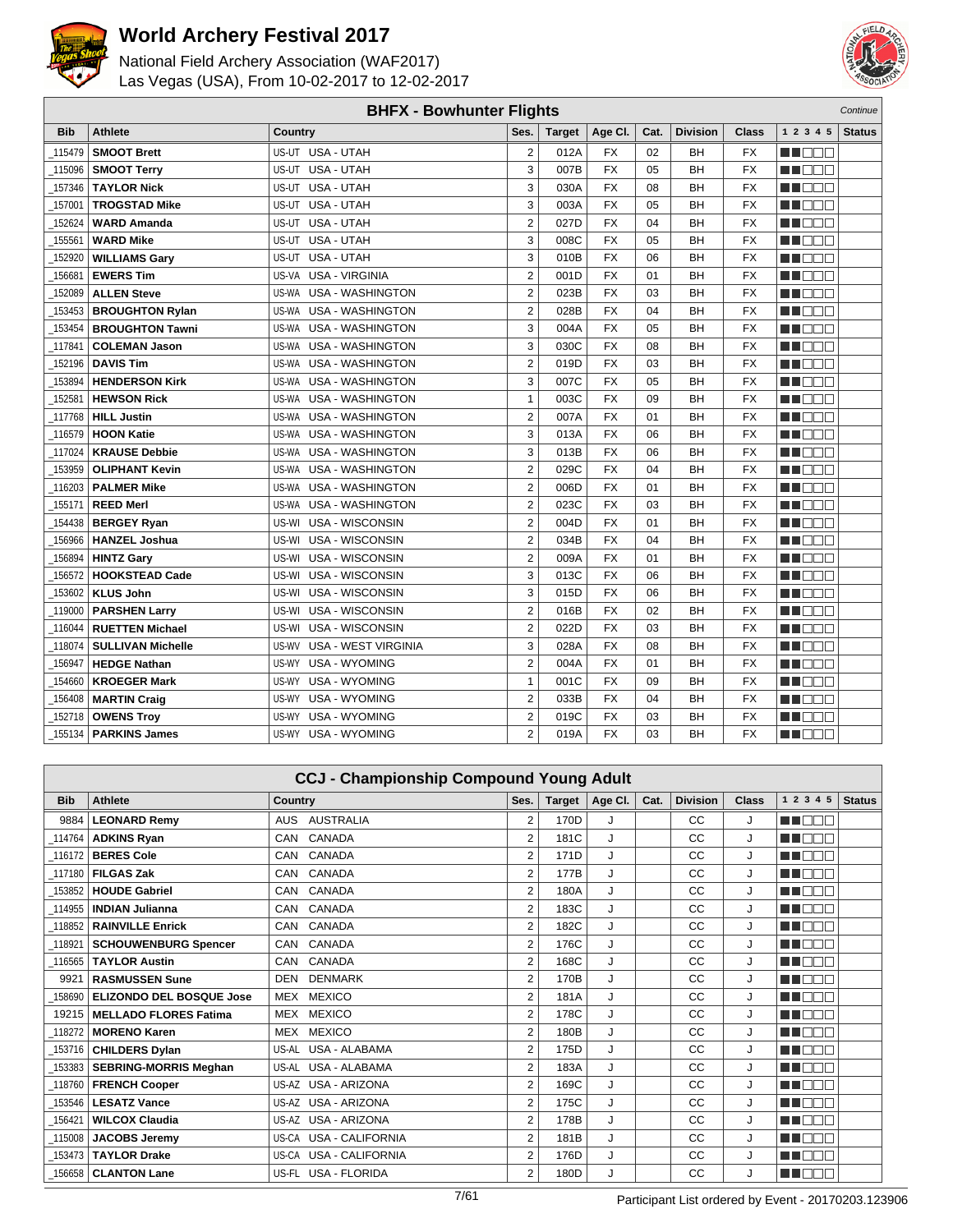



|            |                          | <b>BHFX - Bowhunter Flights</b>     |                |               |           |      |                 |           |             | Continue      |
|------------|--------------------------|-------------------------------------|----------------|---------------|-----------|------|-----------------|-----------|-------------|---------------|
| <b>Bib</b> | <b>Athlete</b>           | <b>Country</b>                      | Ses.           | <b>Target</b> | Age CI.   | Cat. | <b>Division</b> | Class     | 1 2 3 4 5   | <b>Status</b> |
| 115479     | <b>SMOOT Brett</b>       | US-UT USA - UTAH                    | $\overline{2}$ | 012A          | <b>FX</b> | 02   | BH              | <b>FX</b> | n i Biblio  |               |
| 115096     | <b>SMOOT Terry</b>       | US-UT USA - UTAH                    | 3              | 007B          | <b>FX</b> | 05   | BH              | <b>FX</b> | H EET       |               |
| 157346     | <b>TAYLOR Nick</b>       | US-UT USA - UTAH                    | 3              | 030A          | <b>FX</b> | 08   | BH              | <b>FX</b> | MT OOB      |               |
| 157001     | <b>TROGSTAD Mike</b>     | US-UT USA - UTAH                    | 3              | 003A          | <b>FX</b> | 05   | BН              | <b>FX</b> | MN 880      |               |
| 152624     | <b>WARD Amanda</b>       | USA - UTAH<br>US-UT                 | $\overline{2}$ | 027D          | <b>FX</b> | 04   | BH              | FX        | MA DE L     |               |
| 155561     | <b>WARD Mike</b>         | US-UT USA - UTAH                    | 3              | 008C          | <b>FX</b> | 05   | BH              | <b>FX</b> | MA KABU     |               |
| 152920     | <b>WILLIAMS Gary</b>     | US-UT USA - UTAH                    | 3              | 010B          | <b>FX</b> | 06   | BН              | <b>FX</b> | n de E      |               |
| 156681     | <b>EWERS Tim</b>         | US-VA USA - VIRGINIA                | $\overline{2}$ | 001D          | <b>FX</b> | 01   | BH              | <b>FX</b> | M DE B      |               |
| 152089     | <b>ALLEN Steve</b>       | US-WA USA - WASHINGTON              | $\overline{2}$ | 023B          | <b>FX</b> | 03   | BH              | <b>FX</b> | MN DE S     |               |
| 153453     | <b>BROUGHTON Rylan</b>   | US-WA USA - WASHINGTON              | $\overline{2}$ | 028B          | <b>FX</b> | 04   | <b>BH</b>       | FX        | M BER       |               |
| 153454     | <b>BROUGHTON Tawni</b>   | US-WA USA - WASHINGTON              | 3              | 004A          | <b>FX</b> | 05   | BH              | <b>FX</b> | MU BEG      |               |
| 117841     | <b>COLEMAN Jason</b>     | <b>USA - WASHINGTON</b><br>US-WA    | 3              | 030C          | <b>FX</b> | 08   | <b>BH</b>       | <b>FX</b> | MT OOB      |               |
| 152196     | <b>DAVIS Tim</b>         | <b>USA - WASHINGTON</b><br>US-WA    | $\overline{2}$ | 019D          | <b>FX</b> | 03   | BH              | <b>FX</b> | MT DE S     |               |
| 153894     | <b>HENDERSON Kirk</b>    | <b>USA - WASHINGTON</b><br>US-WA    | 3              | 007C          | <b>FX</b> | 05   | <b>BH</b>       | <b>FX</b> | MU DE B     |               |
| 152581     | <b>HEWSON Rick</b>       | US-WA<br><b>USA - WASHINGTON</b>    | $\mathbf{1}$   | 003C          | <b>FX</b> | 09   | BH              | <b>FX</b> | n i Bel     |               |
| 117768_    | <b>HILL Justin</b>       | <b>USA - WASHINGTON</b><br>US-WA    | $\overline{2}$ | 007A          | <b>FX</b> | 01   | BH              | FX        | MI OOC      |               |
| 116579     | <b>HOON Katie</b>        | <b>USA - WASHINGTON</b><br>US-WA    | 3              | 013A          | <b>FX</b> | 06   | BH              | <b>FX</b> | MA BEL      |               |
| 117024     | <b>KRAUSE Debbie</b>     | US-WA USA - WASHINGTON              | 3              | 013B          | <b>FX</b> | 06   | <b>BH</b>       | <b>FX</b> | MT DE S     |               |
| 153959     | <b>OLIPHANT Kevin</b>    | US-WA USA - WASHINGTON              | $\overline{2}$ | 029C          | <b>FX</b> | 04   | BH              | <b>FX</b> | MU BEG      |               |
| 116203     | <b>PALMER Mike</b>       | US-WA USA - WASHINGTON              | $\overline{2}$ | 006D          | <b>FX</b> | 01   | BH              | <b>FX</b> | M DE L      |               |
| $-155171$  | <b>REED Merl</b>         | US-WA USA - WASHINGTON              | $\overline{2}$ | 023C          | <b>FX</b> | 03   | BH              | <b>FX</b> | MN 880      |               |
| 154438     | <b>BERGEY Ryan</b>       | US-WI USA - WISCONSIN               | $\overline{2}$ | 004D          | <b>FX</b> | 01   | <b>BH</b>       | <b>FX</b> | M DE B      |               |
| 156966     | <b>HANZEL Joshua</b>     | US-WI USA - WISCONSIN               | $\overline{2}$ | 034B          | <b>FX</b> | 04   | <b>BH</b>       | <b>FX</b> | MU OOO      |               |
| 156894     | <b>HINTZ Gary</b>        | US-WI USA - WISCONSIN               | $\overline{2}$ | 009A          | <b>FX</b> | 01   | <b>BH</b>       | <b>FX</b> | MU BER      |               |
| 156572     | <b>HOOKSTEAD Cade</b>    | US-WI USA - WISCONSIN               | 3              | 013C          | <b>FX</b> | 06   | BH              | <b>FX</b> | MA BEL      |               |
| 153602     | <b>KLUS John</b>         | <b>USA - WISCONSIN</b><br>US-WI     | 3              | 015D          | <b>FX</b> | 06   | BН              | <b>FX</b> | MA BEL      |               |
| 119000     | <b>PARSHEN Larry</b>     | USA - WISCONSIN<br>US-WI            | $\overline{2}$ | 016B          | <b>FX</b> | 02   | <b>BH</b>       | <b>FX</b> | n in Biblio |               |
| 116044     | <b>RUETTEN Michael</b>   | US-WI<br>USA - WISCONSIN            | $\overline{2}$ | 022D          | <b>FX</b> | 03   | BH              | FX        | MU OO U     |               |
| 118074     | <b>SULLIVAN Michelle</b> | US-WV<br><b>USA - WEST VIRGINIA</b> | 3              | 028A          | <b>FX</b> | 08   | <b>BH</b>       | FX        | M DOO       |               |
| 156947     | <b>HEDGE Nathan</b>      | <b>USA - WYOMING</b><br>US-WY       | $\overline{2}$ | 004A          | <b>FX</b> | 01   | <b>BH</b>       | FX        | MT DE S     |               |
| 154660     | <b>KROEGER Mark</b>      | <b>USA - WYOMING</b><br>US-WY       | $\mathbf{1}$   | 001C          | <b>FX</b> | 09   | BH              | <b>FX</b> | MT DE E     |               |
| 156408     | <b>MARTIN Craig</b>      | US-WY<br><b>USA - WYOMING</b>       | $\overline{2}$ | 033B          | <b>FX</b> | 04   | BH              | <b>FX</b> | MU OOO      |               |
| 152718     | <b>OWENS Troy</b>        | <b>USA - WYOMING</b><br>US-WY       | $\overline{2}$ | 019C          | <b>FX</b> | 03   | <b>BH</b>       | <b>FX</b> | MA DE L     |               |
| 155134     | <b>PARKINS James</b>     | US-WY USA - WYOMING                 | $\overline{2}$ | 019A          | <b>FX</b> | 03   | <b>BH</b>       | <b>FX</b> | MA BEL      |               |

|            |                                 | <b>CCJ - Championship Compound Young Adult</b> |                |               |         |      |                 |              |                 |               |
|------------|---------------------------------|------------------------------------------------|----------------|---------------|---------|------|-----------------|--------------|-----------------|---------------|
| <b>Bib</b> | <b>Athlete</b>                  | <b>Country</b>                                 | Ses.           | <b>Target</b> | Age CI. | Cat. | <b>Division</b> | <b>Class</b> | 1 2 3 4 5       | <b>Status</b> |
| 9884       | <b>LEONARD Remy</b>             | AUSTRALIA<br><b>AUS</b>                        | 2              | 170D          | . I     |      | CC              | J            | man ma          |               |
| 114764     | <b>ADKINS Rvan</b>              | CANADA<br>CAN                                  | $\overline{2}$ | 181C          | J       |      | СC              | J            | man man         |               |
| 116172     | <b>BERES Cole</b>               | CANADA<br>CAN                                  | $\overline{2}$ | 171D          | J       |      | CC              | J            | ma mata         |               |
| 117180     | <b>FILGAS Zak</b>               | CAN CANADA                                     | $\overline{2}$ | 177B          | J       |      | CC              | J            | ME BEL          |               |
| 153852     | <b>HOUDE Gabriel</b>            | CAN CANADA                                     | $\overline{2}$ | 180A          | J       |      | CC              | J            | MA NA TITANI TA |               |
| 114955     | <b>INDIAN Julianna</b>          | CAN CANADA                                     | 2              | 183C          | J       |      | CC              | J            | MA NA TITANI T  |               |
| 118852     | <b>RAINVILLE Enrick</b>         | CANADA<br>CAN                                  | $\overline{2}$ | 182C          | J       |      | CC              | J            | man man         |               |
| 118921     | <b>SCHOUWENBURG Spencer</b>     | CAN CANADA                                     | $\overline{2}$ | 176C          | J       |      | CC              | J            | n na ma         |               |
| 116565     | <b>TAYLOR Austin</b>            | CANADA<br>CAN                                  | 2              | 168C          | J       |      | СC              | J            | n na m          |               |
| 9921       | <b>RASMUSSEN Sune</b>           | <b>DENMARK</b><br><b>DEN</b>                   | $\overline{2}$ | 170B          | J       |      | CC              | J            | ME E E E        |               |
| 158690     | <b>ELIZONDO DEL BOSQUE Jose</b> | MEX MEXICO                                     | $\overline{2}$ | 181A          | J       |      | СC              | J            | <b>RENATION</b> |               |
| 19215      | <b>MELLADO FLORES Fatima</b>    | MEX MEXICO                                     | $\overline{2}$ | 178C          | J       |      | СC              | J            | ma mara         |               |
| 118272     | <b>MORENO Karen</b>             | MEX MEXICO                                     | $\overline{2}$ | 180B          | J       |      | СC              | J            | n nam           |               |
| 153716     | <b>CHILDERS Dylan</b>           | US-AL USA - ALABAMA                            | $\overline{2}$ | 175D          | J       |      | СC              | J            | man ma          |               |
| 153383     | <b>SEBRING-MORRIS Meghan</b>    | US-AL USA - ALABAMA                            | $\overline{2}$ | 183A          | J       |      | CC              | J            | man man         |               |
| 118760     | <b>FRENCH Cooper</b>            | US-AZ USA - ARIZONA                            | 2              | 169C          | J       |      | CC              | J            | man man         |               |
| 153546     | <b>LESATZ Vance</b>             | US-AZ USA - ARIZONA                            | $\overline{2}$ | 175C          | J       |      | CC              | J            | MT EEE          |               |
| 156421     | <b>WILCOX Claudia</b>           | US-AZ USA - ARIZONA                            | $\overline{2}$ | 178B          | J       |      | CC              | J            | MA NA TITO      |               |
| 115008     | <b>JACOBS Jeremy</b>            | US-CA USA - CALIFORNIA                         | $\overline{2}$ | 181B          | J       |      | СC              | J            | man man         |               |
| 153473     | <b>TAYLOR Drake</b>             | US-CA USA - CALIFORNIA                         | $\overline{2}$ | 176D          | J       |      | CC              | J            | <b>REDUCTS</b>  |               |
| 156658     | <b>CLANTON Lane</b>             | <b>USA - FLORIDA</b><br>US-FL                  | $\overline{2}$ | 180D          | J       |      | CC              | J            | MT E E E        |               |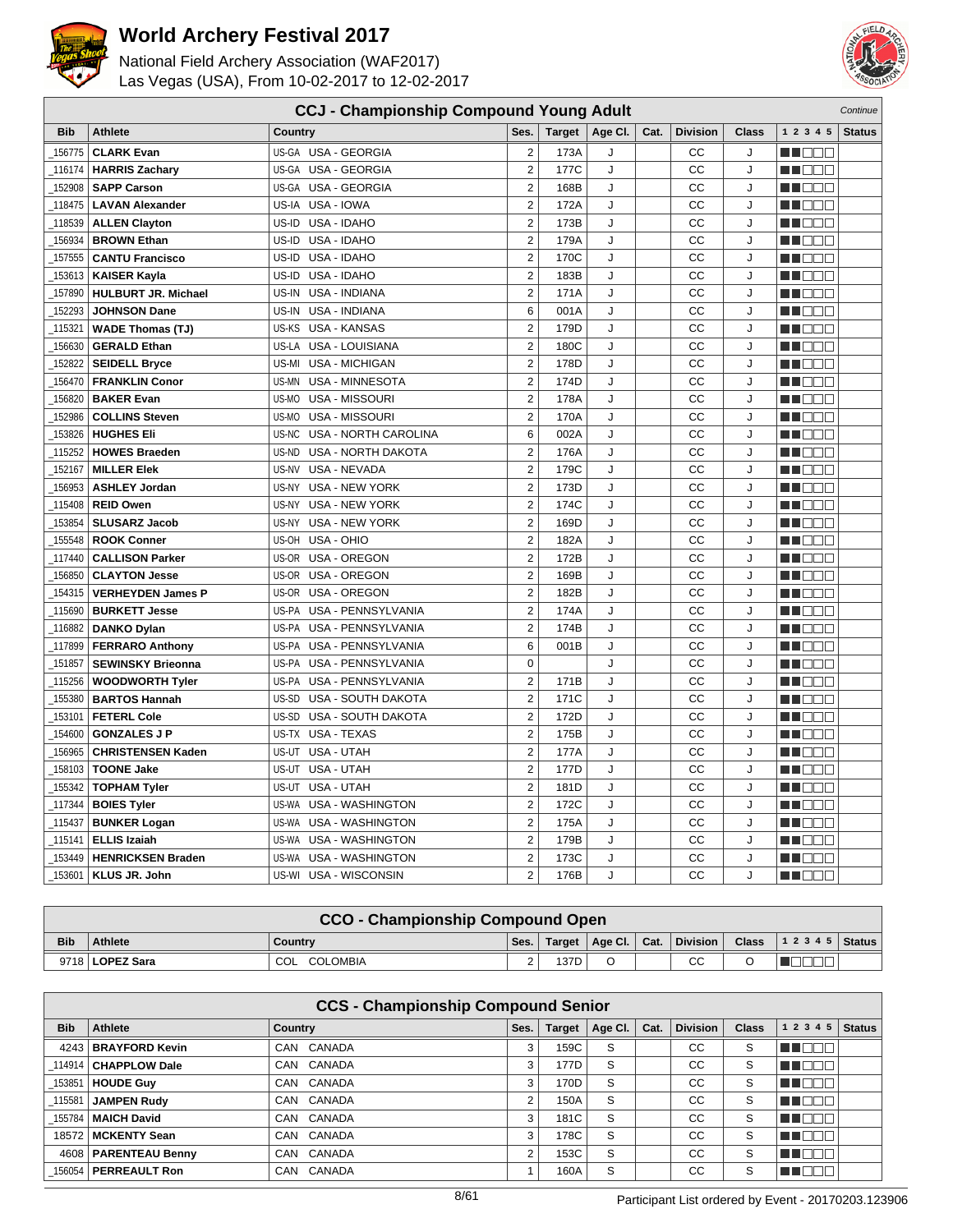



|            | <b>CCJ - Championship Compound Young Adult</b><br>Continue |                                    |                |        |         |      |                 |              |             |               |
|------------|------------------------------------------------------------|------------------------------------|----------------|--------|---------|------|-----------------|--------------|-------------|---------------|
| <b>Bib</b> | <b>Athlete</b>                                             | Country                            | Ses.           | Target | Age CI. | Cat. | <b>Division</b> | <b>Class</b> | 1 2 3 4 5   | <b>Status</b> |
| 156775     | <b>CLARK Evan</b>                                          | US-GA USA - GEORGIA                | $\overline{2}$ | 173A   | J       |      | CC              | J            | man man     |               |
| 116174     | <b>HARRIS Zachary</b>                                      | US-GA USA - GEORGIA                | $\overline{2}$ | 177C   | J       |      | CC              | J            | n i De E    |               |
| 152908     | <b>SAPP Carson</b>                                         | US-GA USA - GEORGIA                | $\overline{2}$ | 168B   | J       |      | CC              | J            | M OO B      |               |
| 118475     | <b>LAVAN Alexander</b>                                     | US-IA<br>USA - IOWA                | $\overline{2}$ | 172A   | J       |      | CC              | J            | NN OO E     |               |
| 118539     | <b>ALLEN Clayton</b>                                       | USA - IDAHO<br>US-ID               | $\mathbf 2$    | 173B   | J       |      | CC              | J            | man man     |               |
| 156934     | <b>BROWN Ethan</b>                                         | US-ID USA - IDAHO                  | $\overline{2}$ | 179A   | J       |      | CC              | J            | ME BEL      |               |
| 157555     | <b>CANTU Francisco</b>                                     | USA - IDAHO<br>US-ID               | $\overline{2}$ | 170C   | J       |      | CC              | J            | M OO B      |               |
| 153613     | <b>KAISER Kayla</b>                                        | US-ID<br>USA - IDAHO               | $\overline{2}$ | 183B   | J       |      | CC              | J            | MOOB        |               |
| 157890     | <b>HULBURT JR. Michael</b>                                 | USA - INDIANA<br>US-IN             | $\overline{2}$ | 171A   | J       |      | CC              | J            | MA DO O     |               |
| 152293     | <b>JOHNSON Dane</b>                                        | USA - INDIANA<br>US-IN             | 6              | 001A   | J       |      | CC              | J            | n i De E    |               |
| 115321     | <b>WADE Thomas (TJ)</b>                                    | US-KS USA - KANSAS                 | $\overline{2}$ | 179D   | J       |      | CC              | J            | MU DO B     |               |
| 156630     | <b>GERALD Ethan</b>                                        | US-LA USA - LOUISIANA              | $\overline{2}$ | 180C   | J       |      | CC              | J            | MOOB        |               |
| 152822     | <b>SEIDELL Bryce</b>                                       | <b>USA - MICHIGAN</b><br>US-MI     | $\overline{2}$ | 178D   | J       |      | CC              | J            | n na na     |               |
| 156470     | <b>FRANKLIN Conor</b>                                      | US-MN<br>USA - MINNESOTA           | $\overline{2}$ | 174D   | J       |      | CC              | J            | M DE E      |               |
| 156820     | <b>BAKER Evan</b>                                          | USA - MISSOURI<br>US-MO            | $\overline{2}$ | 178A   | J       |      | CC              | J            | MU DO B     |               |
| 152986     | <b>COLLINS Steven</b>                                      | US-MO<br>USA - MISSOURI            | $\overline{2}$ | 170A   | J       |      | CC              | J            | MN 888      |               |
| 153826     | <b>HUGHES Eli</b>                                          | US-NC<br>USA - NORTH CAROLINA      | 6              | 002A   | J       |      | CC              | J            | n na na     |               |
| 115252     | <b>HOWES Braeden</b>                                       | <b>USA - NORTH DAKOTA</b><br>US-ND | $\overline{2}$ | 176A   | J       |      | CC              | J            | MU DO O     |               |
| 152167     | <b>MILLER Elek</b>                                         | USA - NEVADA<br>US-NV              | $\overline{2}$ | 179C   | J       |      | CC              | J            | ME E E E    |               |
| 156953     | <b>ASHLEY Jordan</b>                                       | US-NY<br><b>USA - NEW YORK</b>     | $\overline{2}$ | 173D   | J       |      | CC              | J            | M OO B      |               |
| 115408     | <b>REID Owen</b>                                           | US-NY<br><b>USA - NEW YORK</b>     | $\overline{2}$ | 174C   | J       |      | CC              | J            | ME DE L     |               |
| 153854     | <b>SLUSARZ Jacob</b>                                       | <b>USA - NEW YORK</b><br>US-NY     | $\overline{2}$ | 169D   | J       |      | CC              | J            | M DE B      |               |
| 155548     | <b>ROOK Conner</b>                                         | US-OH USA - OHIO                   | $\overline{2}$ | 182A   | J       |      | CC              | J            | MU DO B     |               |
| 117440     | <b>CALLISON Parker</b>                                     | USA - OREGON<br>US-OR              | $\overline{2}$ | 172B   | J       |      | CC              | J            | M OO B      |               |
| 156850     | <b>CLAYTON Jesse</b>                                       | US-OR USA - OREGON                 | $\overline{2}$ | 169B   | J       |      | CC              | J            | MOOO        |               |
| 154315     | <b>VERHEYDEN James P</b>                                   | US-OR USA - OREGON                 | $\overline{2}$ | 182B   | J       |      | CC              | J            | n na m      |               |
| 115690     | <b>BURKETT Jesse</b>                                       | US-PA<br>USA - PENNSYLVANIA        | $\overline{2}$ | 174A   | J       |      | CC              | J            | ME BEL      |               |
| 116882     | <b>DANKO Dylan</b>                                         | US-PA USA - PENNSYLVANIA           | $\overline{2}$ | 174B   | J       |      | CC              | J            | MU O O O    |               |
| 117899     | <b>FERRARO Anthony</b>                                     | USA - PENNSYLVANIA<br>US-PA        | 6              | 001B   | J       |      | CC              | J            | MA DE L     |               |
| 151857     | <b>SEWINSKY Brieonna</b>                                   | US-PA<br><b>USA - PENNSYLVANIA</b> | 0              |        | J       |      | CC              | J            | man ma      |               |
| 115256     | <b>WOODWORTH Tyler</b>                                     | USA - PENNSYLVANIA<br>US-PA        | $\overline{2}$ | 171B   | J       |      | CC              | J            | MU DO O     |               |
| 155380     | <b>BARTOS Hannah</b>                                       | US-SD USA - SOUTH DAKOTA           | $\overline{2}$ | 171C   | J       |      | CC              | J            | n in Biblio |               |
| 153101     | <b>FETERL Cole</b>                                         | US-SD<br>USA - SOUTH DAKOTA        | $\overline{2}$ | 172D   | J       |      | CC              | J            | ME E E E    |               |
| 154600     | <b>GONZALES J P</b>                                        | US-TX USA - TEXAS                  | $\overline{2}$ | 175B   | J       |      | CC              | J            | n na na     |               |
| 156965     | <b>CHRISTENSEN Kaden</b>                                   | US-UT USA - UTAH                   | $\overline{2}$ | 177A   | J       |      | CC              | J            | M D D D     |               |
| 158103     | <b>TOONE Jake</b>                                          | USA - UTAH<br>US-UT                | $\overline{2}$ | 177D   | J       |      | CC              | J            | MU DE S     |               |
| 155342     | <b>TOPHAM Tyler</b>                                        | USA - UTAH<br>US-UT                | $\overline{2}$ | 181D   | J       |      | CC              | J            | ME BEE      |               |
| 117344     | <b>BOIES Tyler</b>                                         | US-WA USA - WASHINGTON             | $\overline{2}$ | 172C   | J       |      | CC              | J            | MU DO O     |               |
| 115437     | <b>BUNKER Logan</b>                                        | USA - WASHINGTON<br>US-WA          | $\overline{2}$ | 175A   | J       |      | CC              | J            | MA DE C     |               |
| 115141     | <b>ELLIS Izaiah</b>                                        | US-WA<br>USA - WASHINGTON          | $\overline{2}$ | 179B   | J       |      | CC              | J            | MU DO B     |               |
| 153449     | <b>HENRICKSEN Braden</b>                                   | <b>USA - WASHINGTON</b><br>US-WA   | $\overline{2}$ | 173C   | J       |      | CC              | J            | MN 888      |               |
| 153601     | KLUS JR. John                                              | US-WI USA - WISCONSIN              | $\overline{2}$ | 176B   | J       |      | CC              | J            | MA DE E     |               |

|            | <b>CCO - Championship Compound Open</b> |                 |        |      |  |  |    |  |                                                                 |  |
|------------|-----------------------------------------|-----------------|--------|------|--|--|----|--|-----------------------------------------------------------------|--|
| <b>Bib</b> | <b>Athlete</b>                          | Country         | Ses.   |      |  |  |    |  | Target   Age Cl.   Cat.   Division   Class   1 2 3 4 5   Status |  |
|            | 9718   <b>LOPEZ Sara</b>                | COL<br>COLOMBIA | $\sim$ | 137D |  |  | СC |  |                                                                 |  |

|            | <b>CCS - Championship Compound Senior</b> |                |        |               |              |      |                 |              |           |               |  |  |
|------------|-------------------------------------------|----------------|--------|---------------|--------------|------|-----------------|--------------|-----------|---------------|--|--|
| <b>Bib</b> | Athlete                                   | <b>Country</b> | Ses.   | <b>Target</b> | Age Cl.      | Cat. | <b>Division</b> | <b>Class</b> | 1 2 3 4 5 | <b>Status</b> |  |  |
|            | 4243   BRAYFORD Kevin                     | CAN CANADA     | 3      | 159C          | S            |      | СC              | S            | THE EL    |               |  |  |
|            | 114914   CHAPPLOW Dale                    | CANADA<br>CAN  | 3      | 177D          | S            |      | СC              | S            | T E E E   |               |  |  |
|            | _153851   HOUDE Guy                       | CAN CANADA     | 3      | 170D          | S            |      | СC              | S            | MT OOB    |               |  |  |
| 115581 l   | <b>JAMPEN Rudy</b>                        | CAN CANADA     | $\sim$ | 150A          | S            |      | СC              | S            | TOOO      |               |  |  |
|            | 155784   MAICH David                      | CAN CANADA     | 3      | 181C          | S            |      | СC              | S            | MT DE E   |               |  |  |
|            | 18572   MCKENTY Sean                      | CAN CANADA     | 3      | 178C          | <sub>S</sub> |      | СC              | S            | MA BEL    |               |  |  |
|            | 4608   PARENTEAU Benny                    | CAN CANADA     | C      | 153C          | S            |      | CC              | S            | MT OOB    |               |  |  |
|            | 156054   PERREAULT Ron                    | CAN CANADA     |        | 160A          | S            |      | СC              | S            | TEEE      |               |  |  |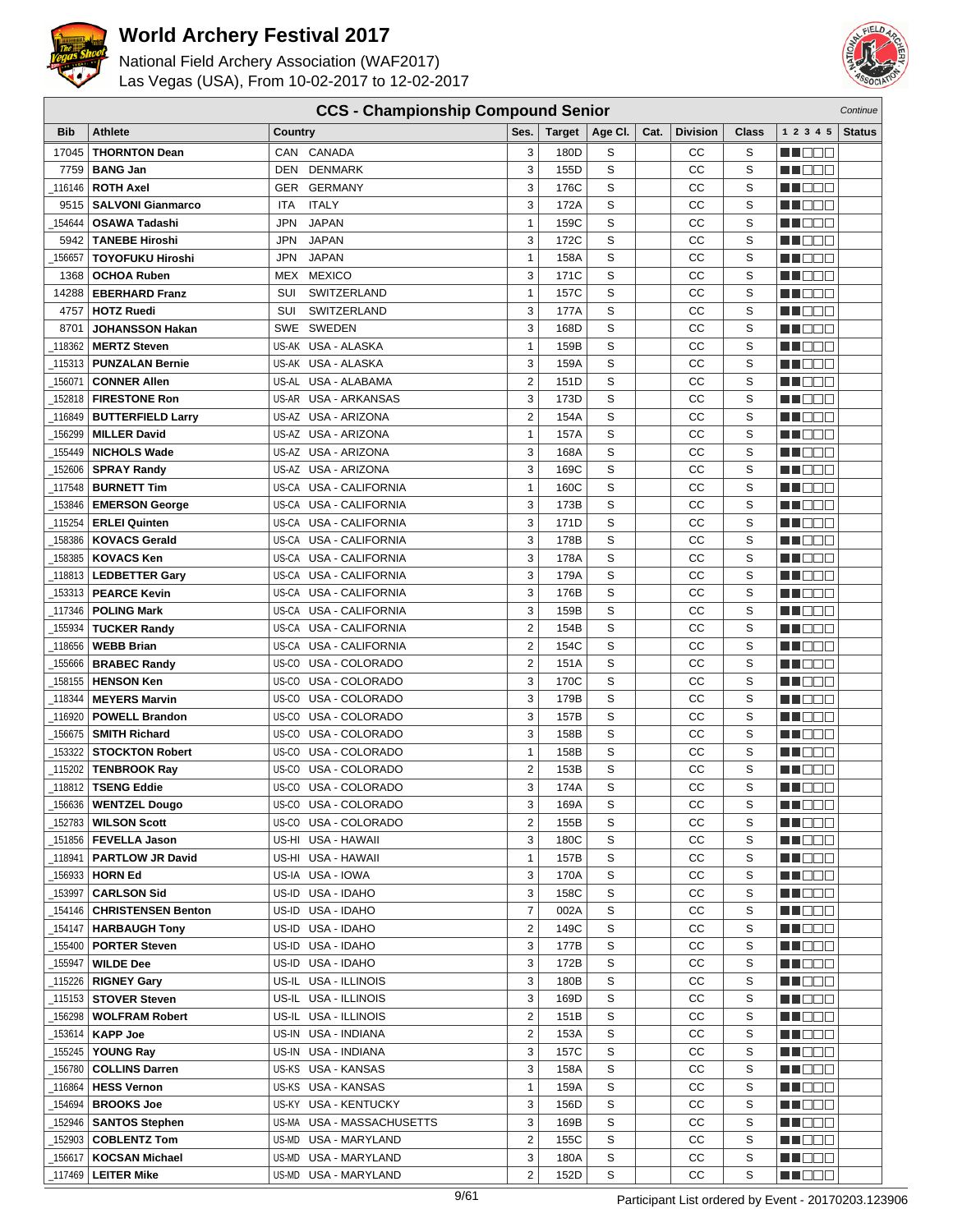

National Field Archery Association (WAF2017) Las Vegas (USA), From 10-02-2017 to 12-02-2017



| Bib                | <b>Athlete</b>                                    | <b>Country</b>                         | Ses.                | <b>Target</b> | Age CI. | Cat. | <b>Division</b> | Class       | 1 2 3 4 5                | <b>Status</b> |
|--------------------|---------------------------------------------------|----------------------------------------|---------------------|---------------|---------|------|-----------------|-------------|--------------------------|---------------|
| 17045              | <b>THORNTON Dean</b>                              | CAN CANADA                             | 3                   | 180D          | S       |      | СC              | S           | M DE E                   |               |
| 7759               | <b>BANG Jan</b>                                   | <b>DENMARK</b><br>DEN                  | 3                   | 155D          | S       |      | СC              | S           | MA O O O                 |               |
| 116146             | <b>ROTH Axel</b>                                  | GER GERMANY                            | 3                   | 176C          | S       |      | CC              | S           | MN 888                   |               |
| 9515               | <b>SALVONI Gianmarco</b>                          | <b>ITALY</b><br><b>ITA</b>             | 3                   | 172A          | S       |      | CC              | S           | MA DE E                  |               |
| 154644             | <b>OSAWA Tadashi</b>                              | <b>JAPAN</b><br>JPN                    | $\mathbf{1}$        | 159C          | S       |      | CC              | $\mathbf S$ | M DE E                   |               |
| 5942               | <b>TANEBE Hiroshi</b>                             | <b>JAPAN</b><br>JPN                    | 3                   | 172C          | S       |      | СC              | S           | M DEE                    |               |
| 156657             | <b>TOYOFUKU Hiroshi</b>                           | <b>JAPAN</b><br>JPN                    | 1                   | 158A          | S       |      | CC              | $\mathbf S$ | MN 888                   |               |
| 1368               | <b>OCHOA Ruben</b>                                | <b>MEXICO</b><br>MEX                   | 3                   | 171C          | S       |      | CC              | S           | n i BBC                  |               |
| 14288              | <b>EBERHARD Franz</b>                             | SWITZERLAND<br>SUI                     | $\mathbf{1}$        | 157C          | S       |      | СC              | S           | man man                  |               |
| 4757               | <b>HOTZ Ruedi</b>                                 | SWITZERLAND<br>SUI                     | 3                   | 177A          | S       |      | СC              | S           | MA DE C                  |               |
| 8701               | <b>JOHANSSON Hakan</b>                            | SWEDEN<br>SWE                          | 3                   | 168D          | S       |      | CC              | S           | M DOO                    |               |
| 118362             | <b>MERTZ Steven</b>                               | US-AK USA - ALASKA                     | $\mathbf{1}$        | 159B          | S       |      | CС              | S           | n i De E                 |               |
| 115313             | <b>PUNZALAN Bernie</b>                            | US-AK USA - ALASKA                     | 3                   | 159A          | S       |      | CC              | S           | ME DE L                  |               |
| _156071            | <b>CONNER Allen</b>                               | US-AL USA - ALABAMA                    | $\overline{2}$      | 151D          | S       |      | CC              | S           | MA DO O                  |               |
| 152818             | <b>FIRESTONE Ron</b>                              | US-AR USA - ARKANSAS                   | 3                   | 173D          | S       |      | CC              | S           | W DOO                    |               |
| 116849             | <b>BUTTERFIELD Larry</b>                          | US-AZ USA - ARIZONA                    | 2                   | 154A          | S       |      | CC              | S           | MN 888                   |               |
| 156299             | <b>MILLER David</b>                               | US-AZ USA - ARIZONA                    | 1                   | 157A          | S       |      | СC              | S           | MA DE C                  |               |
| 155449             | <b>NICHOLS Wade</b>                               | US-AZ USA - ARIZONA                    | 3                   | 168A          | S       |      | СC              | S           | MA DE C                  |               |
| 152606             | <b>SPRAY Randy</b>                                | US-AZ USA - ARIZONA                    | 3                   | 169C          | S       |      | СC              | S           | M DO B                   |               |
| 117548             | <b>BURNETT Tim</b>                                | US-CA USA - CALIFORNIA                 | 1                   | 160C          | S       |      | CC              | S           | MUOOO                    |               |
| 153846             | <b>EMERSON George</b>                             | US-CA USA - CALIFORNIA                 | 3                   | 173B          | S       |      | CС              | S           | MN 888                   |               |
| 115254             | <b>ERLEI Quinten</b>                              | US-CA USA - CALIFORNIA                 | 3                   | 171D          | S       |      | CC              | S           | M DEE                    |               |
| 158386             | <b>KOVACS Gerald</b>                              | US-CA USA - CALIFORNIA                 | 3                   | 178B          | S       |      | CC              | $\mathbf S$ | ME DE S                  |               |
| 158385             | <b>KOVACS Ken</b>                                 | US-CA USA - CALIFORNIA                 | 3                   | 178A          | S       |      | CC              | $\mathbf S$ | nn Oo S                  |               |
| _118813            | <b>LEDBETTER Gary</b>                             | US-CA USA - CALIFORNIA                 | 3                   | 179A          | S       |      | СC              | S           | MN 888                   |               |
| 153313             | <b>PEARCE Kevin</b>                               | <b>USA - CALIFORNIA</b><br>US-CA       | 3                   | 176B          | S       |      | CС              | S           | M D D D D                |               |
| _117346            | <b>POLING Mark</b>                                | US-CA<br>USA - CALIFORNIA              | 3                   | 159B          | S       |      | CC              | S           | M NO W                   |               |
| 155934             | <b>TUCKER Randy</b>                               | US-CA<br>USA - CALIFORNIA              | $\overline{2}$      | 154B          | S       |      | СC              | S           | M DE E                   |               |
| 118656             | <b>WEBB Brian</b>                                 | USA - CALIFORNIA<br>US-CA              | 2                   | 154C          | S       |      | CC              | S           | MN D D D                 |               |
| 155666             | <b>BRABEC Randy</b>                               | USA - COLORADO<br>US-CO                | $\overline{2}$      | 151A          | S       |      | CC              | S           | MU DE B                  |               |
| 158155             | <b>HENSON Ken</b>                                 | US-CO<br>USA - COLORADO                | 3                   | 170C          | S       |      | CC              | S           | M DEE                    |               |
| 118344             | <b>MEYERS Marvin</b>                              | USA - COLORADO<br>US-CO                | 3                   | 179B          | S       |      | CC              | S           | MU DO 2                  |               |
| _116920            | <b>POWELL Brandon</b>                             | US-CO USA - COLORADO                   | 3                   | 157B          | S       |      | CС              | S           | n i DDE                  |               |
| _156675            | <b>SMITH Richard</b>                              | USA - COLORADO<br>US-CO                | 3                   | 158B          | S       |      | CC              | S           | MN 888                   |               |
| 153322             | <b>STOCKTON Robert</b>                            | USA - COLORADO<br>US-CO                | 1                   | 158B          | S       |      | СC              | S           | MA DE C                  |               |
| 115202             | <b>TENBROOK Ray</b>                               | US-CO<br>USA - COLORADO                | 2                   | 153B          | S       |      | СC              | S           | M DO B                   |               |
| 118812             | <b>TSENG Eddie</b>                                | US-CO<br>USA - COLORADO                | 3                   | 174A          | S       |      | CC              | S           | M OO B                   |               |
| 156636             | <b>WENTZEL Dougo</b>                              | US-CO USA - COLORADO                   | 3                   | 169A          | S       |      | CC              | S           | MN 88 E                  |               |
| 152783             | <b>WILSON Scott</b>                               | US-CO USA - COLORADO                   | 2                   | 155B          | S       |      | CС              | S           | <u>Li doc</u>            |               |
| _151856            | <b>FEVELLA Jason</b>                              | US-HI USA - HAWAII                     | 3                   | 180C          | S       |      | СC              | S           | MU O O O                 |               |
| _118941            | <b>PARTLOW JR David</b>                           | US-HI USA - HAWAII                     | $\mathbf{1}$        | 157B          | S       |      | СC              | S           | <u> Literatur</u>        |               |
| 156933             | <b>HORN Ed</b>                                    | US-IA USA - IOWA                       | 3                   | 170A          | S       |      | CС              | S           | <u> Literatu</u>         |               |
| _153997            | <b>CARLSON Sid</b>                                | US-ID USA - IDAHO                      | 3<br>$\overline{7}$ | 158C<br>002A  | S<br>S  |      | CС              | S<br>S      | M DE S                   |               |
| _154146<br>_154147 | <b>CHRISTENSEN Benton</b><br><b>HARBAUGH Tony</b> | US-ID USA - IDAHO<br>US-ID USA - IDAHO | 2                   | 149C          | S       |      | CС<br>СC        | S           | MU DE B<br>MU O O O      |               |
| _155400            | <b>PORTER Steven</b>                              | US-ID USA - IDAHO                      | 3                   | 177B          | S       |      | СC              | S           | <u> Literatu</u>         |               |
| 155947             | <b>WILDE Dee</b>                                  | US-ID USA - IDAHO                      | 3                   | 172B          | S       |      | СC              | S           |                          |               |
| _115226            | <b>RIGNEY Gary</b>                                | US-IL USA - ILLINOIS                   | 3                   | 180B          | S       |      | СC              | S           | <u>Lielaid</u><br>MUO DO |               |
| _115153            | <b>STOVER Steven</b>                              | US-IL USA - ILLINOIS                   | 3                   | 169D          | S       |      | СC              | S           | MU O O O                 |               |
| _156298            | <b>WOLFRAM Robert</b>                             | US-IL USA - ILLINOIS                   | $\overline{2}$      | 151B          | S       |      | СC              | S           | NN O O O                 |               |
| _153614            | <b>KAPP Joe</b>                                   | US-IN USA - INDIANA                    | $\overline{2}$      | 153A          | S       |      | CС              | S           | <u> Literatu</u>         |               |
| _155245            | <b>YOUNG Ray</b>                                  | US-IN USA - INDIANA                    | 3                   | 157C          | S       |      | СC              | S           | <u>LI BEE</u>            |               |
| _156780            | <b>COLLINS Darren</b>                             | US-KS USA - KANSAS                     | 3                   | 158A          | S       |      | CС              | S           | MU DO 3                  |               |
| _116864            | <b>HESS Vernon</b>                                | US-KS USA - KANSAS                     | $\mathbf{1}$        | 159A          | S       |      | СC              | S           | <u>in ja sis</u>         |               |
| _154694            | <b>BROOKS Joe</b>                                 | US-KY USA - KENTUCKY                   | 3                   | 156D          | S       |      | СC              | S           | <u> HOOO</u>             |               |
| _152946            | <b>SANTOS Stephen</b>                             | US-MA USA - MASSACHUSETTS              | 3                   | 169B          | S       |      | СC              | S           | <u> Heleta</u>           |               |
| _152903            | <b>COBLENTZ Tom</b>                               | US-MD USA - MARYLAND                   | 2                   | 155C          | S       |      | СC              | S           | <u>LL OOD</u>            |               |
| 156617             | <b>KOCSAN Michael</b>                             | US-MD USA - MARYLAND                   | 3                   | 180A          | S       |      | СC              | S           | MU DE EL                 |               |
| _117469            | <b>LEITER Mike</b>                                | US-MD USA - MARYLAND                   | 2                   | 152D          | S       |      | СC              | S           | <b>HE</b> OOO            |               |
|                    |                                                   |                                        |                     |               |         |      |                 |             |                          |               |

**CCS - Championship Compound Senior** Continue Continue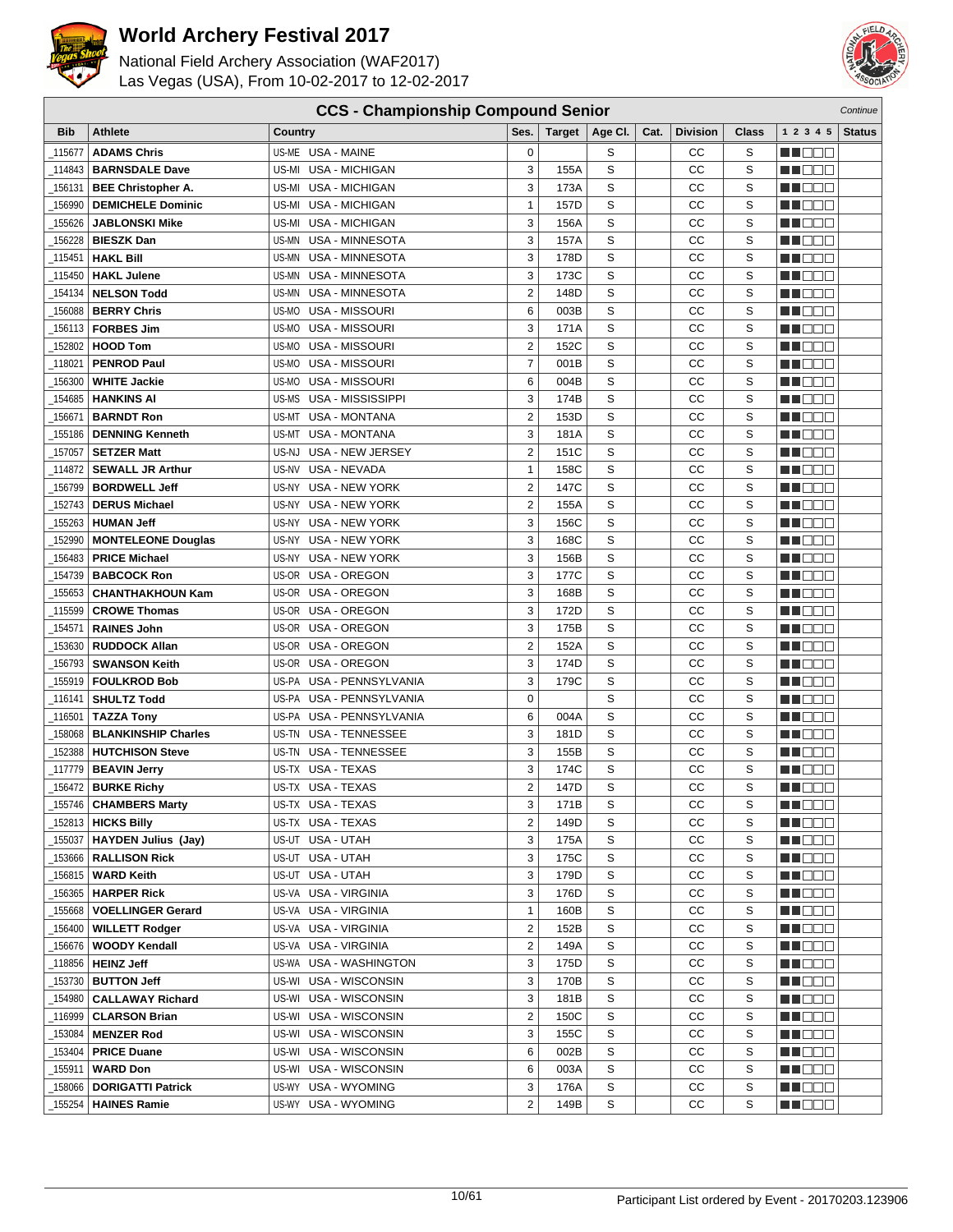

National Field Archery Association (WAF2017) Las Vegas (USA), From 10-02-2017 to 12-02-2017



| <b>Bib</b> | <b>Athlete</b>               | Country                         | Ses.           | <b>Target</b> | Age CI. | Cat. | <b>Division</b> | Class | 1 2 3 4 5           | <b>Status</b> |
|------------|------------------------------|---------------------------------|----------------|---------------|---------|------|-----------------|-------|---------------------|---------------|
| 115677     | <b>ADAMS Chris</b>           | US-ME USA - MAINE               | $\mathbf 0$    |               | S       |      | СC              | S     | M DE B              |               |
| 114843     | <b>BARNSDALE Dave</b>        | US-MI USA - MICHIGAN            | 3              | 155A          | S       |      | СC              | S     | MU O O O            |               |
| 156131     | <b>BEE Christopher A.</b>    | US-MI USA - MICHIGAN            | 3              | 173A          | S       |      | CC              | S     | M NO S              |               |
| 156990     | <b>DEMICHELE Dominic</b>     | US-MI USA - MICHIGAN            | $\mathbf{1}$   | 157D          | S       |      | СC              | S     | MA DE C             |               |
| 155626     | <b>JABLONSKI Mike</b>        | <b>USA - MICHIGAN</b><br>US-MI  | 3              | 156A          | S       |      | CC              | S     | MU DE E             |               |
| 156228     | <b>BIESZK Dan</b>            | US-MN USA - MINNESOTA           | 3              | 157A          | S       |      | CC              | S     | MA MA M             |               |
| 115451_    | <b>HAKL Bill</b>             | US-MN USA - MINNESOTA           | 3              | 178D          | S       |      | CC              | S     | ME OO O             |               |
| 115450     | <b>HAKL Julene</b>           | US-MN USA - MINNESOTA           | 3              | 173C          | S       |      | CC              | S     | MN DE G             |               |
| 154134     | <b>NELSON Todd</b>           | US-MN<br><b>USA - MINNESOTA</b> | $\overline{c}$ | 148D          | S       |      | СC              | S     | M DE B              |               |
| 156088     | <b>BERRY Chris</b>           | US-MO<br>USA - MISSOURI         | 6              | 003B          | S       |      | СC              | S     | MU O O O            |               |
| 156113     | <b>FORBES Jim</b>            | <b>US-MO USA - MISSOURI</b>     | 3              | 171A          | S       |      | cc              | S     | WU OO B             |               |
| 152802     | <b>HOOD Tom</b>              | US-MO USA - MISSOURI            | $\overline{c}$ | 152C          | S       |      | CC              | S     | MN O O O            |               |
| 118021     | <b>PENROD Paul</b>           | USA - MISSOURI<br>US-MO         | $\overline{7}$ | 001B          | S       |      | СC              | S     | MA DE E             |               |
| 156300     | <b>WHITE Jackie</b>          | US-MO<br>USA - MISSOURI         | 6              | 004B          | S       |      | CC              | S     | M DE E              |               |
| 154685     | <b>HANKINS AI</b>            | US-MS USA - MISSISSIPPI         | 3              | 174B          | S       |      | CC              | S     | M DOC               |               |
| 156671     | <b>BARNDT Ron</b>            | US-MT USA - MONTANA             | $\overline{c}$ | 153D          | S       |      | CC              | S     | M OO S              |               |
| 155186     | <b>DENNING Kenneth</b>       | US-MT<br><b>USA - MONTANA</b>   | 3              | 181A          | S       |      | СC              | S     | ma man              |               |
| 157057     | <b>SETZER Matt</b>           | US-NJ<br>USA - NEW JERSEY       | $\overline{c}$ | 151C          | S       |      | СC              | S     | M DE B              |               |
| 114872     | <b>SEWALL JR Arthur</b>      | US-NV<br>USA - NEVADA           | $\mathbf{1}$   | 158C          | S       |      | СC              | S     | M DE O              |               |
| 156799     | <b>BORDWELL Jeff</b>         | US-NY USA - NEW YORK            | $\overline{c}$ | 147C          | S       |      | СC              | S     | M OO S              |               |
| 152743     | <b>DERUS Michael</b>         | US-NY USA - NEW YORK            | 2              | 155A          | S       |      | CC              | S     | MA DE C             |               |
| 155263     | <b>HUMAN Jeff</b>            | US-NY USA - NEW YORK            | 3              | 156C          | S       |      | CC              | S     | <b>HELIOLI</b>      |               |
| 152990     | <b>MONTELEONE Douglas</b>    | US-NY USA - NEW YORK            | 3              | 168C          | S       |      | CC              | S     | <b>HE</b> OOO       |               |
| 156483     | <b>PRICE Michael</b>         | US-NY USA - NEW YORK            | 3              | 156B          | S       |      | CC              | S     | M DE O              |               |
| 154739     | <b>BABCOCK Ron</b>           | US-OR USA - OREGON              | 3              | 177C          | S       |      | CC              | S     | MO O O              |               |
| 155653     | <b>CHANTHAKHOUN Kam</b>      | US-OR USA - OREGON              | 3              | 168B          | S       |      | CC              | S     | N DE S              |               |
| 115599     | <b>CROWE Thomas</b>          | US-OR USA - OREGON              | 3              | 172D          | S       |      | СC              | S     | M NO W              |               |
| _154571    | <b>RAINES John</b>           | US-OR<br>USA - OREGON           | 3              | 175B          | S       |      | СC              | S     | MU O O O            |               |
| 153630     | <b>RUDDOCK Allan</b>         | US-OR USA - OREGON              | $\overline{c}$ | 152A          | S       |      | CC              | S     | M OO O              |               |
| 156793     | <b>SWANSON Keith</b>         | US-OR USA - OREGON              | 3              | 174D          | S       |      | CC              | S     | MA DE E             |               |
| 155919     | <b>FOULKROD Bob</b>          | US-PA USA - PENNSYLVANIA        | 3              | 179C          | S       |      | CC              | S     | <b>REDDO</b>        |               |
| 116141     | <b>SHULTZ Todd</b>           | US-PA USA - PENNSYLVANIA        | 0              |               | S       |      | CC              | S     | MU DE C             |               |
| 116501     | <b>TAZZA Tony</b>            | US-PA USA - PENNSYLVANIA        | 6              | 004A          | S       |      | CC              | S     | M NO S              |               |
| 158068     | <b>BLANKINSHIP Charles</b>   | US-TN USA - TENNESSEE           | 3              | 181D          | S       |      | CC              | S     | MA DE E             |               |
| 152388     | <b>HUTCHISON Steve</b>       | US-TN USA - TENNESSEE           | 3              | 155B          | S       |      | СC              | S     | M DE B              |               |
| 117779     | <b>BEAVIN Jerry</b>          | US-TX USA - TEXAS               | 3              | 174C          | S       |      | СC              | S     | MU DE C             |               |
| 156472     | <b>BURKE Richy</b>           | US-TX USA - TEXAS               | 2              | 147D          | S       |      | СC              | S     | MU DE S             |               |
| _155746    | <b>CHAMBERS Marty</b>        | US-TX USA - TEXAS               | 3              | 171B          | S       |      | CC              | S     | MA DE C             |               |
|            | _152813 <b>  HICKS Billy</b> | US-TX USA - TEXAS               | 2              | 149D          | s       |      | CС              | S     | <u> Helidi</u>      |               |
| _155037    | HAYDEN Julius (Jay)          | US-UT USA - UTAH                | 3              | 175A          | S       |      | СC              | S     | MUDEO               |               |
| _153666    | <b>RALLISON Rick</b>         | US-UT USA - UTAH                | 3              | 175C          | S       |      | СC              | S     | <u> Halen</u>       |               |
| 156815     | <b>WARD Keith</b>            | US-UT USA - UTAH                | 3              | 179D          | S       |      | СC              | S     | <u> Hand</u>        |               |
| _156365    | <b>HARPER Rick</b>           | US-VA USA - VIRGINIA            | 3              | 176D          | S       |      | СC              | S     | <u> Helio Li</u>    |               |
| _155668    | <b>VOELLINGER Gerard</b>     | US-VA USA - VIRGINIA            | $\mathbf{1}$   | 160B          | S       |      | СC              | S     | MU DE B             |               |
| _156400    | <b>WILLETT Rodger</b>        | US-VA USA - VIRGINIA            | 2              | 152B          | S       |      | CC              | S     | MU DO B             |               |
| _156676    | <b>WOODY Kendall</b>         | US-VA USA - VIRGINIA            | 2              | 149A          | S       |      | CC              | S     | <u> Halia di Bi</u> |               |
| _118856    | <b>HEINZ Jeff</b>            | US-WA USA - WASHINGTON          | 3              | 175D          | S       |      | CC              | S     | MU DE S             |               |
| _153730    | <b>BUTTON Jeff</b>           | US-WI USA - WISCONSIN           | 3              | 170B          | S       |      | СC              | S     | <u> HELLE</u>       |               |
| 154980     | <b>CALLAWAY Richard</b>      | US-WI USA - WISCONSIN           | 3              | 181B          | S       |      | CC              | S     | <b>HLOOD</b>        |               |
| _116999    | <b>CLARSON Brian</b>         | US-WI USA - WISCONSIN           | $\overline{c}$ | 150C          | S       |      | СC              | S     | <u> Halen</u>       |               |
| _153084    | <b>MENZER Rod</b>            | US-WI USA - WISCONSIN           | 3              | 155C          | S       |      | СC              | S     | <u> HEFF</u>        |               |
| 153404     | <b>PRICE Duane</b>           | US-WI USA - WISCONSIN           | 6              | 002B          | S       |      | СC              | S     | MU O O O            |               |
| _155911    | <b>WARD Don</b>              | US-WI USA - WISCONSIN           | 6              | 003A          | S       |      | СC              | S     | MU DO S             |               |
| 158066     | <b>DORIGATTI Patrick</b>     | US-WY USA - WYOMING             | 3              | 176A          | S       |      | CС              | S     | MN 888              |               |
| 155254     | <b>HAINES Ramie</b>          | US-WY USA - WYOMING             | 2              | 149B          | S       |      | СC              | S     | <u> E S S S S</u>   |               |

**CCS - Championship Compound Senior** Continue Continue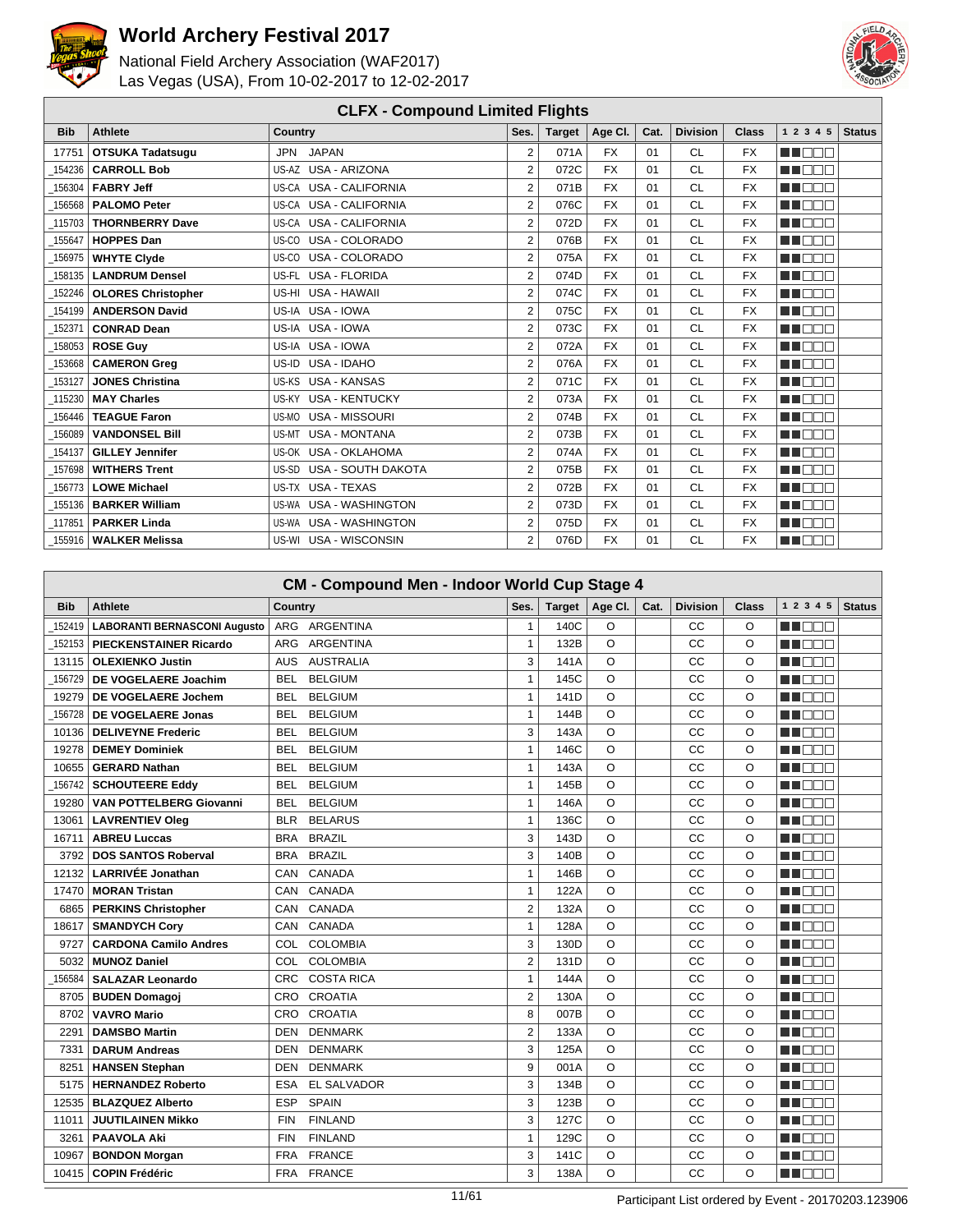



|            | <b>CLFX - Compound Limited Flights</b> |                               |                  |               |           |      |                 |              |               |               |  |  |
|------------|----------------------------------------|-------------------------------|------------------|---------------|-----------|------|-----------------|--------------|---------------|---------------|--|--|
| <b>Bib</b> | <b>Athlete</b>                         | <b>Country</b>                | Ses.             | <b>Target</b> | Age Cl.   | Cat. | <b>Division</b> | <b>Class</b> | 1 2 3 4 5     | <b>Status</b> |  |  |
| 17751      | <b>OTSUKA Tadatsugu</b>                | <b>JAPAN</b><br>JPN           | $\overline{2}$   | 071A          | <b>FX</b> | 01   | <b>CL</b>       | <b>FX</b>    | man man       |               |  |  |
| 154236     | <b>CARROLL Bob</b>                     | US-AZ USA - ARIZONA           | $\overline{2}$   | 072C          | <b>FX</b> | 01   | CL              | <b>FX</b>    | n na m        |               |  |  |
| 156304     | <b>FABRY Jeff</b>                      | US-CA USA - CALIFORNIA        | $\overline{2}$   | 071B          | <b>FX</b> | 01   | CL              | <b>FX</b>    | M BE S        |               |  |  |
| 156568     | <b>PALOMO Peter</b>                    | US-CA USA - CALIFORNIA        | $\overline{2}$   | 076C          | <b>FX</b> | 01   | CL              | <b>FX</b>    | ME E E E      |               |  |  |
| 115703     | <b>THORNBERRY Dave</b>                 | US-CA USA - CALIFORNIA        | $\overline{2}$   | 072D          | <b>FX</b> | 01   | CL              | <b>FX</b>    | <b>REFERE</b> |               |  |  |
| 155647     | <b>HOPPES Dan</b>                      | USA - COLORADO<br>US-CO       | $\overline{2}$   | 076B          | <b>FX</b> | 01   | CL              | <b>FX</b>    | M BEA         |               |  |  |
| 156975     | <b>WHYTE Clyde</b>                     | USA - COLORADO<br>US-CO       | $\overline{2}$   | 075A          | <b>FX</b> | 01   | CL              | <b>FX</b>    | ma mmm        |               |  |  |
| 158135     | <b>LANDRUM Densel</b>                  | US-FL USA - FLORIDA           | $\overline{2}$   | 074D          | <b>FX</b> | 01   | <b>CL</b>       | <b>FX</b>    | M DE S        |               |  |  |
| 152246     | <b>OLORES Christopher</b>              | <b>USA - HAWAII</b><br>US-HI  | $\overline{2}$   | 074C          | <b>FX</b> | 01   | <b>CL</b>       | <b>FX</b>    | man man       |               |  |  |
| 154199     | <b>ANDERSON David</b>                  | US-IA USA - IOWA              | $\overline{2}$   | 075C          | <b>FX</b> | 01   | <b>CL</b>       | <b>FX</b>    | MT BE B       |               |  |  |
| 152371     | <b>CONRAD Dean</b>                     | US-IA USA - IOWA              | $\boldsymbol{2}$ | 073C          | <b>FX</b> | 01   | <b>CL</b>       | <b>FX</b>    | n nam         |               |  |  |
| 158053     | <b>ROSE Guy</b>                        | US-IA USA - IOWA              | $\overline{2}$   | 072A          | <b>FX</b> | 01   | <b>CL</b>       | <b>FX</b>    | MA BER        |               |  |  |
| 153668     | <b>CAMERON Grea</b>                    | US-ID USA - IDAHO             | $\overline{2}$   | 076A          | <b>FX</b> | 01   | CL              | <b>FX</b>    | MA DE LA      |               |  |  |
| 153127     | <b>JONES Christina</b>                 | US-KS USA - KANSAS            | $\overline{2}$   | 071C          | <b>FX</b> | 01   | <b>CL</b>       | <b>FX</b>    | MU DO S       |               |  |  |
| 115230     | <b>MAY Charles</b>                     | US-KY USA - KENTUCKY          | $\overline{2}$   | 073A          | <b>FX</b> | 01   | CL              | <b>FX</b>    | <b>RENDE</b>  |               |  |  |
| 156446     | <b>TEAGUE Faron</b>                    | USA - MISSOURI<br>US-MO       | $\overline{2}$   | 074B          | <b>FX</b> | 01   | CL              | <b>FX</b>    | M BER         |               |  |  |
| 156089     | <b>VANDONSEL Bill</b>                  | <b>USA - MONTANA</b><br>US-MT | $\overline{2}$   | 073B          | <b>FX</b> | 01   | CL              | <b>FX</b>    | MA DELL'      |               |  |  |
| 154137     | <b>GILLEY Jennifer</b>                 | US-OK USA - OKLAHOMA          | 2                | 074A          | <b>FX</b> | 01   | <b>CL</b>       | <b>FX</b>    | <b>RENDE</b>  |               |  |  |
| 157698     | <b>WITHERS Trent</b>                   | US-SD USA - SOUTH DAKOTA      | $\overline{2}$   | 075B          | <b>FX</b> | 01   | <b>CL</b>       | <b>FX</b>    | M BEA         |               |  |  |
| 156773     | <b>LOWE Michael</b>                    | US-TX USA - TEXAS             | $\overline{2}$   | 072B          | <b>FX</b> | 01   | CL              | <b>FX</b>    | M BE S        |               |  |  |
| 155136     | <b>BARKER William</b>                  | US-WA USA - WASHINGTON        | $\overline{2}$   | 073D          | <b>FX</b> | 01   | <b>CL</b>       | <b>FX</b>    | <b>RECO</b>   |               |  |  |
| 117851     | <b>PARKER Linda</b>                    | US-WA USA - WASHINGTON        | $\overline{2}$   | 075D          | <b>FX</b> | 01   | <b>CL</b>       | <b>FX</b>    | ma de l       |               |  |  |
| 155916     | <b>WALKER Melissa</b>                  | US-WI USA - WISCONSIN         | $\overline{2}$   | 076D          | <b>FX</b> | 01   | CL              | <b>FX</b>    | MT E E E      |               |  |  |

|            | <b>CM - Compound Men - Indoor World Cup Stage 4</b> |                                  |                |               |          |      |                 |          |                            |  |  |
|------------|-----------------------------------------------------|----------------------------------|----------------|---------------|----------|------|-----------------|----------|----------------------------|--|--|
| <b>Bib</b> | <b>Athlete</b>                                      | <b>Country</b>                   | Ses.           | <b>Target</b> | Age Cl.  | Cat. | <b>Division</b> | Class    | 1 2 3 4 5<br><b>Status</b> |  |  |
| 152419     | <b>LABORANTI BERNASCONI Augusto</b>                 | ARGENTINA<br><b>ARG</b>          | $\mathbf{1}$   | 140C          | O        |      | CC              | O        | MN DO U                    |  |  |
| 152153     | <b>PIECKENSTAINER Ricardo</b>                       | <b>ARGENTINA</b><br>ARG          | $\mathbf{1}$   | 132B          | O        |      | cc              | O        | HE NOT                     |  |  |
| 13115      | <b>OLEXIENKO Justin</b>                             | <b>AUSTRALIA</b><br><b>AUS</b>   | 3              | 141A          | O        |      | CC              | $\circ$  | n na m                     |  |  |
| 156729     | DE VOGELAERE Joachim                                | <b>BELGIUM</b><br><b>BEL</b>     | $\mathbf{1}$   | 145C          | O        |      | CC              | $\Omega$ | M DE S                     |  |  |
| 19279      | <b>DE VOGELAERE Jochem</b>                          | <b>BELGIUM</b><br>BEL            | $\mathbf{1}$   | 141D          | $\Omega$ |      | CC              | $\circ$  | MA FIFTE                   |  |  |
| 156728     | <b>DE VOGELAERE Jonas</b>                           | <b>BELGIUM</b><br>BEL.           | $\mathbf{1}$   | 144B          | $\Omega$ |      | CC              | $\Omega$ | MA BEL                     |  |  |
| 10136      | <b>DELIVEYNE Frederic</b>                           | <b>BELGIUM</b><br><b>BEL</b>     | 3              | 143A          | $\circ$  |      | CC              | $\circ$  | M DOO                      |  |  |
| 19278      | <b>DEMEY Dominiek</b>                               | <b>BELGIUM</b><br>BEL            | $\mathbf{1}$   | 146C          | $\circ$  |      | CC              | $\circ$  | MA DO C                    |  |  |
| 10655      | <b>GERARD Nathan</b>                                | <b>BELGIUM</b><br>BEL            | $\mathbf{1}$   | 143A          | $\circ$  |      | CC              | $\circ$  | n de l'alt                 |  |  |
| 156742     | <b>SCHOUTEERE Eddy</b>                              | <b>BELGIUM</b><br>BEL            | $\mathbf{1}$   | 145B          | $\circ$  |      | CC              | $\circ$  | M BER                      |  |  |
| 19280      | <b>VAN POTTELBERG Giovanni</b>                      | <b>BELGIUM</b><br><b>BEL</b>     | $\mathbf{1}$   | 146A          | $\circ$  |      | CC              | $\circ$  | M OE E                     |  |  |
| 13061      | <b>LAVRENTIEV Oleg</b>                              | <b>BELARUS</b><br><b>BLR</b>     | $\mathbf{1}$   | 136C          | O        |      | CC              | O        | ME E E E                   |  |  |
| 16711      | <b>ABREU Luccas</b>                                 | <b>BRA</b><br><b>BRAZIL</b>      | 3              | 143D          | $\Omega$ |      | CC              | $\Omega$ | M E E E                    |  |  |
| 3792       | <b>DOS SANTOS Roberval</b>                          | <b>BRAZIL</b><br><b>BRA</b>      | 3              | 140B          | $\circ$  |      | CC              | $\circ$  | <b>THE LIGHT</b>           |  |  |
| 12132      | <b>LARRIVÉE Jonathan</b>                            | CANADA<br>CAN                    | $\mathbf{1}$   | 146B          | $\circ$  |      | CC              | $\circ$  | n in nin                   |  |  |
| 17470      | <b>MORAN Tristan</b>                                | CAN<br>CANADA                    | $\mathbf{1}$   | 122A          | $\circ$  |      | CC              | $\circ$  | ME E E                     |  |  |
| 6865       | <b>PERKINS Christopher</b>                          | CANADA<br>CAN                    | $\overline{2}$ | 132A          | $\circ$  |      | CC              | $\circ$  | M DO O                     |  |  |
| 18617      | <b>SMANDYCH Cory</b>                                | CANADA<br>CAN                    | $\mathbf{1}$   | 128A          | $\circ$  |      | CC              | $\circ$  | MN DE L                    |  |  |
| 9727       | <b>CARDONA Camilo Andres</b>                        | <b>COLOMBIA</b><br>COL           | 3              | 130D          | O        |      | CC              | O        | MA MAT                     |  |  |
| 5032       | <b>MUNOZ Daniel</b>                                 | <b>COLOMBIA</b><br>COL.          | $\overline{2}$ | 131D          | O        |      | CC              | $\Omega$ | M BEE                      |  |  |
| 156584     | <b>SALAZAR Leonardo</b>                             | <b>COSTA RICA</b><br><b>CRC</b>  | $\mathbf{1}$   | 144A          | $\Omega$ |      | CC              | $\circ$  | ME E E E                   |  |  |
| 8705       | <b>BUDEN Domagoj</b>                                | <b>CROATIA</b><br>CRO            | $\overline{2}$ | 130A          | $\circ$  |      | CC              | $\circ$  | <b>HELL TO BE</b>          |  |  |
| 8702       | <b>VAVRO Mario</b>                                  | <b>CROATIA</b><br>CRO            | 8              | 007B          | $\circ$  |      | CC              | $\circ$  | HI EE E                    |  |  |
| 2291       | <b>DAMSBO Martin</b>                                | <b>DENMARK</b><br><b>DEN</b>     | $\overline{2}$ | 133A          | $\circ$  |      | CC              | $\circ$  | HI DEE                     |  |  |
| 7331       | <b>DARUM Andreas</b>                                | <b>DENMARK</b><br><b>DEN</b>     | 3              | 125A          | $\circ$  |      | CC              | $\circ$  | MN 885                     |  |  |
| 8251       | <b>HANSEN Stephan</b>                               | <b>DENMARK</b><br><b>DEN</b>     | 9              | 001A          | $\circ$  |      | CC              | $\circ$  | n de e                     |  |  |
| 5175       | <b>HERNANDEZ Roberto</b>                            | <b>EL SALVADOR</b><br><b>ESA</b> | 3              | 134B          | $\circ$  |      | CC              | O        | man man                    |  |  |
| 12535      | <b>BLAZQUEZ Alberto</b>                             | <b>SPAIN</b><br>ESP              | 3              | 123B          | $\Omega$ |      | CC              | $\circ$  | man man                    |  |  |
| 11011      | <b>JUUTILAINEN Mikko</b>                            | <b>FINLAND</b><br><b>FIN</b>     | 3              | 127C          | $\circ$  |      | CC              | $\circ$  | M E E E                    |  |  |
| 3261       | <b>PAAVOLA Aki</b>                                  | <b>FIN</b><br><b>FINLAND</b>     | $\mathbf{1}$   | 129C          | $\Omega$ |      | CC              | $\Omega$ | n di Dini                  |  |  |
| 10967      | <b>BONDON Morgan</b>                                | <b>FRANCE</b><br><b>FRA</b>      | 3              | 141C          | $\circ$  |      | CC              | $\circ$  | n din bir                  |  |  |
| 10415      | <b>COPIN Frédéric</b>                               | FRA FRANCE                       | 3              | 138A          | O        |      | CC              | $\Omega$ | ME E E                     |  |  |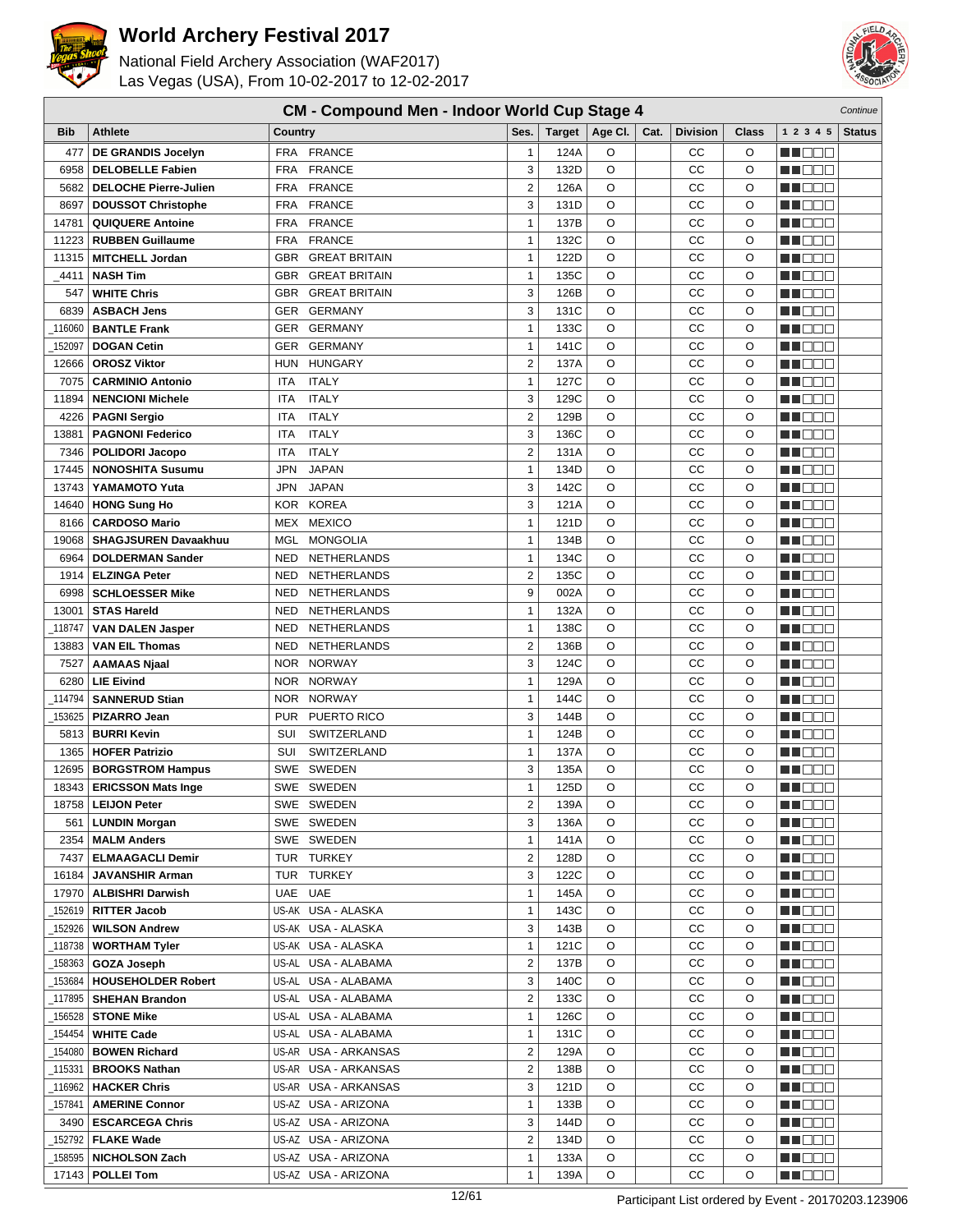



|                 | <b>CM - Compound Men - Indoor World Cup Stage 4</b><br>Continue |                   |                            |                   |               |         |      |                 |         |                       |               |
|-----------------|-----------------------------------------------------------------|-------------------|----------------------------|-------------------|---------------|---------|------|-----------------|---------|-----------------------|---------------|
| <b>Bib</b>      | <b>Athlete</b>                                                  | Country           |                            | Ses.              | <b>Target</b> | Age Cl. | Cat. | <b>Division</b> | Class   | 1 2 3 4 5             | <b>Status</b> |
| 477             | DE GRANDIS Jocelyn                                              | <b>FRA</b>        | <b>FRANCE</b>              | $\mathbf{1}$      | 124A          | O       |      | CС              | O       | n de d                |               |
| 6958            | <b>DELOBELLE Fabien</b>                                         | <b>FRA</b>        | <b>FRANCE</b>              | 3                 | 132D          | O       |      | СC              | O       | M DEE                 |               |
| 5682            | <b>DELOCHE Pierre-Julien</b>                                    | <b>FRA</b>        | <b>FRANCE</b>              | $\overline{2}$    | 126A          | O       |      | СC              | O       | N DE E                |               |
| 8697            | <b>DOUSSOT Christophe</b>                                       | <b>FRA</b>        | <b>FRANCE</b>              | 3                 | 131D          | O       |      | СC              | O       | N NO DI U             |               |
| 14781           | <b>QUIQUERE Antoine</b>                                         | <b>FRA</b>        | <b>FRANCE</b>              | $\mathbf{1}$      | 137B          | O       |      | CC              | O       | ME DE L               |               |
| 11223           | <b>RUBBEN Guillaume</b>                                         | <b>FRA</b>        | <b>FRANCE</b>              | $\mathbf{1}$      | 132C          | O       |      | CC              | O       | M DE S                |               |
| 11315           | <b>MITCHELL Jordan</b>                                          | <b>GBR</b>        | <b>GREAT BRITAIN</b>       | $\mathbf{1}$      | 122D          | O       |      | CC              | O       | M OO U                |               |
| _4411           | <b>NASH Tim</b>                                                 | <b>GBR</b>        | <b>GREAT BRITAIN</b>       | $\mathbf{1}$      | 135C          | O       |      | CC              | O       | N NO BIB              |               |
| 547             | <b>WHITE Chris</b>                                              | <b>GBR</b>        | <b>GREAT BRITAIN</b>       | 3                 | 126B          | O       |      | СC              | O       | n de e                |               |
| 6839            | <b>ASBACH Jens</b>                                              | GER               | <b>GERMANY</b>             | 3                 | 131C          | O       |      | СC              | O       | n i Biblio            |               |
| 116060          | <b>BANTLE Frank</b>                                             | <b>GER</b>        | <b>GERMANY</b>             | $\mathbf{1}$      | 133C          | O       |      | СC              | O       | H EET                 |               |
| 152097          | <b>DOGAN Cetin</b>                                              | GER               | <b>GERMANY</b>             | $\mathbf{1}$      | 141C          | O       |      | CC              | O       | N NO BIB              |               |
| 12666           | <b>OROSZ Viktor</b>                                             | <b>HUN</b>        | <b>HUNGARY</b>             | 2                 | 137A          | O       |      | CC              | O       | N NOTE                |               |
| 7075            | <b>CARMINIO Antonio</b>                                         | ITA               | <b>ITALY</b>               | $\mathbf{1}$      | 127C          | O       |      | CC              | O       | MA DE L               |               |
| 11894           | <b>NENCIONI Michele</b>                                         | ITA               | <b>ITALY</b>               | 3                 | 129C          | O       |      | CC              | O       | M DE E                |               |
| 4226            | <b>PAGNI Sergio</b>                                             | ITA               | <b>ITALY</b>               | $\overline{2}$    | 129B          | O       |      | CC              | O       | N I O O O             |               |
| 13881           | <b>PAGNONI Federico</b>                                         | ITA               | <b>ITALY</b>               | 3                 | 136C          | O       |      | CC              | O       | HI EE                 |               |
| 7346            | POLIDORI Jacopo                                                 | ITA               | <b>ITALY</b>               | $\overline{2}$    | 131A          | O       |      | СC              | O       | n de d                |               |
| 17445           | <b>NONOSHITA Susumu</b>                                         | <b>JPN</b>        | <b>JAPAN</b>               | $\mathbf{1}$      | 134D          | $\circ$ |      | СC              | O       | M DE E                |               |
| 13743           | YAMAMOTO Yuta                                                   | <b>JPN</b>        | <b>JAPAN</b>               | 3                 | 142C          | O       |      | СC              | O       | n i Bele              |               |
| 14640           | <b>HONG Sung Ho</b>                                             | KOR.              | <b>KOREA</b>               | 3                 | 121A          | O       |      | CC              | O       | MA DEL                |               |
| 8166            | <b>CARDOSO Mario</b>                                            | MEX               | <b>MEXICO</b>              | $\mathbf{1}$      | 121D          | O       |      | CC              | O       | n de e                |               |
| 19068           | <b>SHAGJSUREN Davaakhuu</b>                                     | MGL               | <b>MONGOLIA</b>            | $\mathbf{1}$      | 134B          | O       |      | СC              | O       | MA DE E               |               |
| 6964            | <b>DOLDERMAN Sander</b>                                         | NED               | NETHERLANDS                | $\mathbf{1}$      | 134C          | $\circ$ |      | CC              | O       | M O O O               |               |
| 1914            | <b>ELZINGA Peter</b>                                            | NED               | NETHERLANDS                | $\overline{2}$    | 135C          | O       |      | CC              | O       | N NO BIB              |               |
| 6998            | <b>SCHLOESSER Mike</b><br><b>STAS Hareld</b>                    | NED               | NETHERLANDS<br>NETHERLANDS | 9<br>$\mathbf{1}$ | 002A<br>132A  | O<br>O  |      | СC<br>СC        | O<br>O  | HI EE                 |               |
| 13001           |                                                                 | NED<br><b>NED</b> | NETHERLANDS                | $\mathbf{1}$      | 138C          | $\circ$ |      | СC              | O       | HI EE<br>M DE O       |               |
| 118747<br>13883 | <b>VAN DALEN Jasper</b><br><b>VAN EIL Thomas</b>                | <b>NED</b>        | NETHERLANDS                | $\overline{2}$    | 136B          | O       |      | CC              | O       | N NO BIB              |               |
| 7527            | <b>AAMAAS Njaal</b>                                             | <b>NOR</b>        | <b>NORWAY</b>              | 3                 | 124C          | O       |      | CC              | O       | n doo                 |               |
| 6280            | <b>LIE Eivind</b>                                               | NOR.              | <b>NORWAY</b>              | $\mathbf{1}$      | 129A          | O       |      | CC              | O       | M DE S                |               |
| 114794          | <b>SANNERUD Stian</b>                                           | NOR.              | <b>NORWAY</b>              | $\mathbf{1}$      | 144C          | O       |      | CC              | O       | M DE O                |               |
| 153625          | PIZARRO Jean                                                    | <b>PUR</b>        | PUERTO RICO                | 3                 | 144B          | O       |      | CC              | O       | M DO O                |               |
| 5813            | <b>BURRI Kevin</b>                                              | SUI               | SWITZERLAND                | $\mathbf{1}$      | 124B          | O       |      | СC              | O       | MA DE L               |               |
| 1365            | <b>HOFER Patrizio</b>                                           | SUI               | SWITZERLAND                | $\mathbf{1}$      | 137A          | O       |      | СC              | O       | HI EE                 |               |
| 12695           | <b>BORGSTROM Hampus</b>                                         | SWE               | SWEDEN                     | 3                 | 135A          | O       |      | СC              | O       | <u>Li Liber</u>       |               |
| 18343           | <b>ERICSSON Mats Inge</b>                                       |                   | SWE SWEDEN                 | $\mathbf{1}$      | 125D          | O       |      | CС              | $\circ$ | n i Bele              |               |
| 18758           | <b>LEIJON Peter</b>                                             |                   | SWE SWEDEN                 | $\overline{2}$    | 139A          | O       |      | CС              | O       | MA BELE               |               |
| 561             | <b>LUNDIN Morgan</b>                                            |                   | SWE SWEDEN                 | 3                 | 136A          | O       |      | СC              | O       | <u>LI BEE</u>         |               |
| 2354            | <b>MALM Anders</b>                                              |                   | SWE SWEDEN                 | $\mathbf{1}$      | 141A          | O       |      | СC              | O       | MU BI BI              |               |
| 7437            | <b>ELMAAGACLI Demir</b>                                         |                   | TUR TURKEY                 | $\overline{2}$    | 128D          | O       |      | СC              | O       | MU DO D               |               |
| 16184           | <b>JAVANSHIR Arman</b>                                          |                   | TUR TURKEY                 | 3                 | 122C          | O       |      | СC              | O       | <u>in ja sis</u>      |               |
| 17970           | <b>ALBISHRI Darwish</b>                                         |                   | UAE UAE                    | $\mathbf{1}$      | 145A          | O       |      | СC              | O       | <u> Heriotik</u>      |               |
| 152619          | <b>RITTER Jacob</b>                                             |                   | US-AK USA - ALASKA         | $\mathbf{1}$      | 143C          | O       |      | CС              | O       | <u> Here e</u>        |               |
| 152926          | <b>WILSON Andrew</b>                                            |                   | US-AK USA - ALASKA         | 3                 | 143B          | O       |      | CС              | O       | <u>Li i Biblio</u>    |               |
| _118738         | <b>WORTHAM Tyler</b>                                            |                   | US-AK USA - ALASKA         | $\mathbf{1}$      | 121C          | O       |      | CС              | O       | M DE S                |               |
| 158363          | <b>GOZA Joseph</b>                                              |                   | US-AL USA - ALABAMA        | $\overline{2}$    | 137B          | O       |      | СC              | O       | <u> Here i Biblio</u> |               |
| 153684          | <b>HOUSEHOLDER Robert</b>                                       |                   | US-AL USA - ALABAMA        | 3                 | 140C          | O       |      | СC              | O       | MU O O O              |               |
| 117895          | <b>SHEHAN Brandon</b>                                           |                   | US-AL USA - ALABAMA        | $\overline{2}$    | 133C          | O       |      | СC              | O       | MU DE S               |               |
| 156528          | <b>STONE Mike</b>                                               |                   | US-AL USA - ALABAMA        | $\mathbf{1}$      | 126C          | O       |      | СC              | O       | <u> Literatu</u>      |               |
| _154454         | <b>WHITE Cade</b>                                               |                   | US-AL USA - ALABAMA        | $\mathbf{1}$      | 131C          | O       |      | CС              | O       | <u> Literatu</u>      |               |
| 154080          | <b>BOWEN Richard</b>                                            |                   | US-AR USA - ARKANSAS       | $\overline{2}$    | 129A          | O       |      | СC              | O       | <u> Here de la</u>    |               |
| _115331         | <b>BROOKS Nathan</b>                                            |                   | US-AR USA - ARKANSAS       | $\overline{2}$    | 138B          | O       |      | CС              | O       | MA BIBLIO             |               |
| 116962          | <b>HACKER Chris</b>                                             |                   | US-AR USA - ARKANSAS       | 3                 | 121D          | O       |      | СC              | O       | M DE S                |               |
| _157841         | <b>AMERINE Connor</b>                                           |                   | US-AZ USA - ARIZONA        | $\mathbf{1}$      | 133B          | O       |      | СC              | O       | MO DO                 |               |
| 3490            | <b>ESCARCEGA Chris</b>                                          |                   | US-AZ USA - ARIZONA        | 3                 | 144D          | O       |      | СC              | O       | <u> Here de la</u>    |               |
| 152792          | <b>FLAKE Wade</b>                                               |                   | US-AZ USA - ARIZONA        | $\overline{2}$    | 134D          | O       |      | СC              | O       | MU DO 3               |               |
| 158595          | <b>NICHOLSON Zach</b>                                           |                   | US-AZ USA - ARIZONA        | $\mathbf{1}$      | 133A          | O       |      | СC              | O       | <u> Literatur</u>     |               |
| 17143           | <b>POLLEI Tom</b>                                               |                   | US-AZ USA - ARIZONA        | $\mathbf{1}$      | 139A          | O       |      | СC              | O       | MA DE S               |               |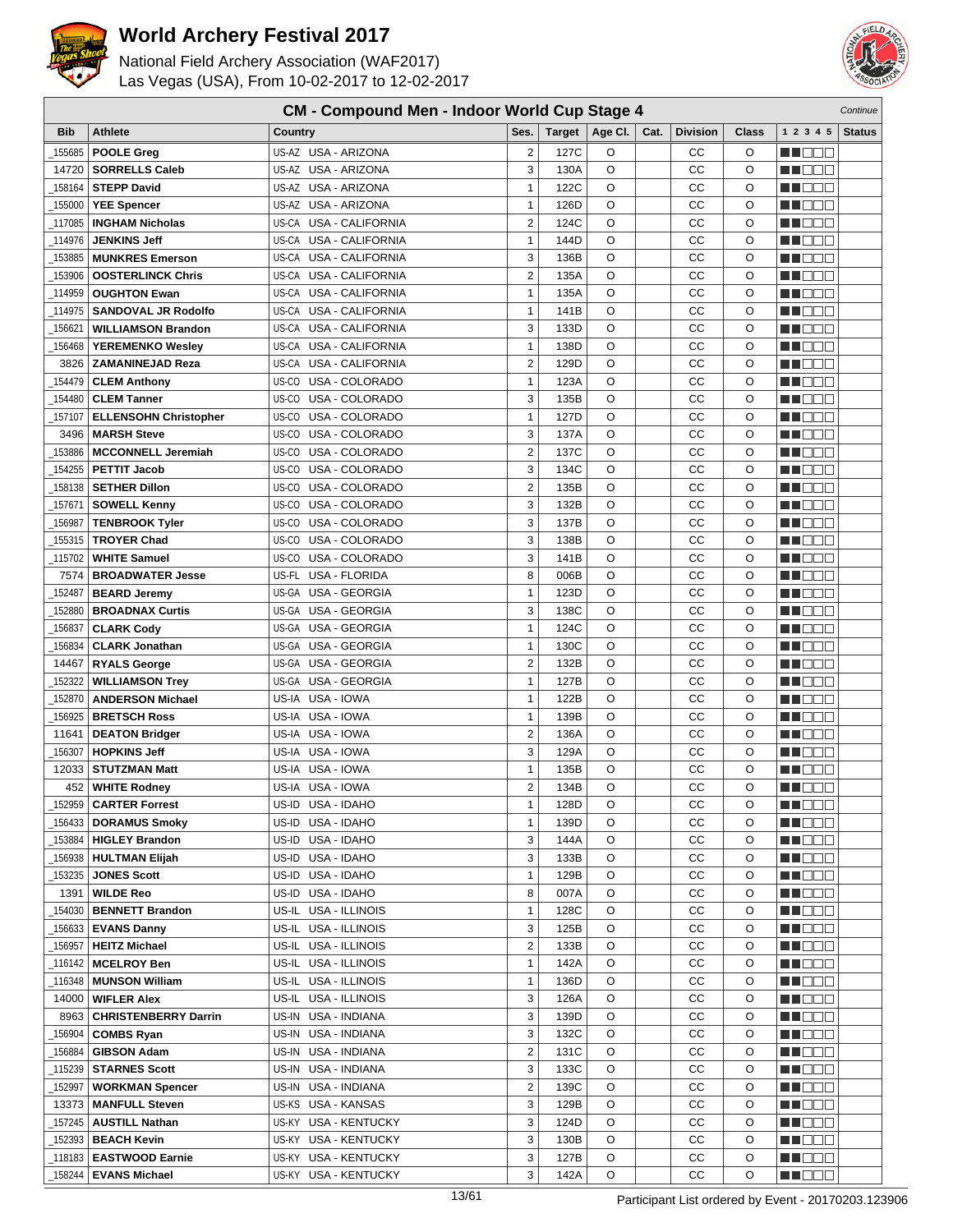



| <b>CM - Compound Men - Indoor World Cup Stage 4</b> |                              |                                  |                         |        |         |      |                 |         |                                                                                                                       | Continue      |
|-----------------------------------------------------|------------------------------|----------------------------------|-------------------------|--------|---------|------|-----------------|---------|-----------------------------------------------------------------------------------------------------------------------|---------------|
| <b>Bib</b>                                          | <b>Athlete</b>               | Country                          | Ses.                    | Target | Age Cl. | Cat. | <b>Division</b> | Class   | 1 2 3 4 5                                                                                                             | <b>Status</b> |
| 155685                                              | <b>POOLE Greg</b>            | US-AZ USA - ARIZONA              | $\overline{2}$          | 127C   | O       |      | CС              | O       | <u> Here i Ser</u>                                                                                                    |               |
| 14720                                               | <b>SORRELLS Caleb</b>        | US-AZ USA - ARIZONA              | 3                       | 130A   | O       |      | CC              | O       | n i De B                                                                                                              |               |
| 158164                                              | <b>STEPP David</b>           | US-AZ USA - ARIZONA              | $\mathbf{1}$            | 122C   | O       |      | СC              | O       | wa katifu katifu katifu n                                                                                             |               |
| 155000                                              | <b>YEE Spencer</b>           | US-AZ USA - ARIZONA              | 1                       | 126D   | O       |      | CC              | O       | MT DE E                                                                                                               |               |
| 117085                                              | <b>INGHAM Nicholas</b>       | US-CA USA - CALIFORNIA           | $\overline{2}$          | 124C   | O       |      | CC              | O       | M DE                                                                                                                  |               |
|                                                     | <b>JENKINS Jeff</b>          | US-CA<br>USA - CALIFORNIA        | $\mathbf{1}$            |        | O       |      | CC              | O       |                                                                                                                       |               |
| 114976                                              |                              | <b>USA - CALIFORNIA</b>          |                         | 144D   |         |      |                 |         | M D D D                                                                                                               |               |
| 153885                                              | <b>MUNKRES Emerson</b>       | US-CA                            | 3                       | 136B   | O       |      | CC              | O       | n i De E                                                                                                              |               |
| 153906                                              | <b>OOSTERLINCK Chris</b>     | <b>USA - CALIFORNIA</b><br>US-CA | $\overline{2}$          | 135A   | O       |      | СC              | O       | n i BBC                                                                                                               |               |
| 114959                                              | <b>OUGHTON Ewan</b>          | US-CA USA - CALIFORNIA           | $\mathbf{1}$            | 135A   | O       |      | CC              | O       | n de de                                                                                                               |               |
| 114975                                              | <b>SANDOVAL JR Rodolfo</b>   | USA - CALIFORNIA<br>US-CA        | $\mathbf{1}$            | 141B   | O       |      | СC              | $\circ$ | e de e                                                                                                                |               |
| 156621                                              | <b>WILLIAMSON Brandon</b>    | US-CA USA - CALIFORNIA           | 3                       | 133D   | O       |      | CC              | O       | M O O O                                                                                                               |               |
| 156468                                              | <b>YEREMENKO Wesley</b>      | US-CA USA - CALIFORNIA           | $\mathbf{1}$            | 138D   | O       |      | СC              | $\circ$ | THE EE                                                                                                                |               |
| 3826                                                | <b>ZAMANINEJAD Reza</b>      | US-CA USA - CALIFORNIA           | $\overline{2}$          | 129D   | O       |      | CC              | O       | n i Biblio                                                                                                            |               |
| 154479                                              | <b>CLEM Anthony</b>          | USA - COLORADO<br>US-CO          | $\mathbf{1}$            | 123A   | O       |      | CC              | O       | HE E E                                                                                                                |               |
| 154480                                              | <b>CLEM Tanner</b>           | US-CO<br>USA - COLORADO          | 3                       | 135B   | O       |      | CC              | O       | MU DO B                                                                                                               |               |
| 157107                                              | <b>ELLENSOHN Christopher</b> | US-CO USA - COLORADO             | $\mathbf{1}$            | 127D   | O       |      | CC              | O       | n i DDE                                                                                                               |               |
| 3496                                                | <b>MARSH Steve</b>           | US-CO USA - COLORADO             | 3                       | 137A   | O       |      | СC              | O       | n i Bele                                                                                                              |               |
| 153886                                              | <b>MCCONNELL Jeremiah</b>    | US-CO USA - COLORADO             | $\overline{2}$          | 137C   | O       |      | CC              | O       | N N D D D                                                                                                             |               |
| 154255                                              | <b>PETTIT Jacob</b>          | USA - COLORADO<br>US-CO          | 3                       | 134C   | $\circ$ |      | CC              | $\circ$ | <u>sa sa sa</u>                                                                                                       |               |
| 158138                                              | <b>SETHER Dillon</b>         | US-CO USA - COLORADO             | $\overline{2}$          | 135B   | O       |      | CC              | O       | MOOO                                                                                                                  |               |
| 157671                                              | <b>SOWELL Kenny</b>          | US-CO USA - COLORADO             | 3                       | 132B   | O       |      | CC              | $\circ$ | an di Biblio                                                                                                          |               |
| 156987                                              | <b>TENBROOK Tyler</b>        | US-CO USA - COLORADO             | 3                       | 137B   | O       |      | СC              | O       | ▕▕▕█▐▊█▏                                                                                                              |               |
| 155315                                              | <b>TROYER Chad</b>           | USA - COLORADO<br>US-CO          | 3                       | 138B   | O       |      | CC              | O       | MA DE L                                                                                                               |               |
| 115702                                              | <b>WHITE Samuel</b>          | US-CO<br>USA - COLORADO          | 3                       | 141B   | O       |      | CC              | O       | NN OO B                                                                                                               |               |
| 7574                                                | <b>BROADWATER Jesse</b>      | USA - FLORIDA<br>US-FL           | 8                       | 006B   | O       |      | CC              | O       | n i BBC                                                                                                               |               |
| 152487                                              | <b>BEARD Jeremy</b>          | <b>USA - GEORGIA</b><br>US-GA    | 1                       | 123D   | O       |      | CC              | O       | e de la co                                                                                                            |               |
| 152880                                              | <b>BROADNAX Curtis</b>       | US-GA USA - GEORGIA              | 3                       | 138C   | O       |      | CC              | O       | MA O O O                                                                                                              |               |
| 156837                                              | <b>CLARK Cody</b>            | US-GA USA - GEORGIA              | 1                       | 124C   | O       |      | СC              | $\circ$ | MA OO Z                                                                                                               |               |
| 156834                                              | <b>CLARK Jonathan</b>        | US-GA USA - GEORGIA              | $\mathbf{1}$            | 130C   | O       |      | CC              | O       | MU DO B                                                                                                               |               |
| 14467                                               | <b>RYALS George</b>          | US-GA USA - GEORGIA              | $\overline{2}$          | 132B   | O       |      | СC              | O       | ______                                                                                                                |               |
| 152322                                              | <b>WILLIAMSON Trey</b>       | US-GA USA - GEORGIA              | 1                       | 127B   | O       |      | CC              | O       | e de la p                                                                                                             |               |
| 152870                                              | <b>ANDERSON Michael</b>      | US-IA USA - IOWA                 | $\mathbf{1}$            | 122B   | O       |      | CC              | O       | MA OO E                                                                                                               |               |
| 156925                                              | <b>BRETSCH Ross</b>          | USA - IOWA<br>US-IA              | $\mathbf{1}$            | 139B   | O       |      | CC              | O       | N I DE E                                                                                                              |               |
| 11641                                               | <b>DEATON Bridger</b>        | US-IA USA - IOWA                 | $\overline{2}$          | 136A   | O       |      | CC              | O       | N NO DE                                                                                                               |               |
| 156307                                              | <b>HOPKINS Jeff</b>          | US-IA USA - IOWA                 | 3                       | 129A   | O       |      | СC              | O       | N NO D O                                                                                                              |               |
| 12033                                               | <b>STUTZMAN Matt</b>         | US-IA USA - IOWA                 | 1                       | 135B   | O       |      | СC              | $\circ$ | M D D D                                                                                                               |               |
| 452                                                 | <b>WHITE Rodney</b>          | US-IA USA - IOWA                 | $\overline{2}$          | 134B   | $\circ$ |      | СC              | $\circ$ | n i De E                                                                                                              |               |
| _152959                                             | <b>CARTER Forrest</b>        | US-ID USA - IDAHO                | 1                       | 128D   | O       |      | cc              | O       | <b>NH</b> OOO                                                                                                         |               |
| 156433                                              | <b>DORAMUS Smoky</b>         | US-ID USA - IDAHO                | $\mathbf{1}$            | 139D   | O       |      | CС              | O       | <u>sa sa sa</u>                                                                                                       |               |
| _153884                                             | <b>HIGLEY Brandon</b>        | US-ID USA - IDAHO                | 3                       | 144A   | O       |      | CС              | O       | <u> Hood</u>                                                                                                          |               |
| _156938                                             | <b>HULTMAN Elijah</b>        | US-ID USA - IDAHO                | 3                       | 133B   | O       |      | CС              | O       | ME E E                                                                                                                |               |
| _153235                                             | <b>JONES Scott</b>           | US-ID USA - IDAHO                | $\mathbf{1}$            | 129B   | O       |      | CC              | O       | <u> Here a</u>                                                                                                        |               |
| 1391                                                | <b>WILDE Reo</b>             | US-ID USA - IDAHO                | 8                       | 007A   | O       |      | CC              | O       | MOO O                                                                                                                 |               |
| 154030                                              | <b>BENNETT Brandon</b>       | US-IL USA - ILLINOIS             | $\mathbf{1}$            | 128C   | O       |      | CC              | O       | <u>Liel de la</u>                                                                                                     |               |
| 156633                                              | <b>EVANS Danny</b>           | US-IL USA - ILLINOIS             | 3                       | 125B   | O       |      | CC              | O       | MU 888                                                                                                                |               |
| _156957                                             | <b>HEITZ Michael</b>         | US-IL USA - ILLINOIS             | $\overline{2}$          | 133B   | O       |      | CC              | O       | <u> Here a</u>                                                                                                        |               |
| _116142                                             | <b>MCELROY Ben</b>           | US-IL USA - ILLINOIS             | $\mathbf{1}$            | 142A   | O       |      | CC              | O       | <u> Here</u>                                                                                                          |               |
| 116348                                              | <b>MUNSON William</b>        | US-IL USA - ILLINOIS             | $\mathbf{1}$            | 136D   | O       |      | CС              | O       | <u>LI DO O</u>                                                                                                        |               |
| 14000                                               |                              |                                  | 3                       | 126A   | O       |      | CС              | O       |                                                                                                                       |               |
|                                                     | <b>WIFLER Alex</b>           | US-IL USA - ILLINOIS             | 3                       |        | O       |      |                 | O       | MU O O U                                                                                                              |               |
| 8963                                                | <b>CHRISTENBERRY Darrin</b>  | US-IN USA - INDIANA              | 3                       | 139D   | O       |      | CC<br>CC        | O       | ME E E                                                                                                                |               |
| 156904                                              | <b>COMBS Ryan</b>            | US-IN USA - INDIANA              |                         | 132C   |         |      |                 |         | <u> Here</u>                                                                                                          |               |
| _156884                                             | <b>GIBSON Adam</b>           | US-IN USA - INDIANA              | $\overline{\mathbf{c}}$ | 131C   | O       |      | CC              | O       | MU O O O                                                                                                              |               |
| _115239                                             | <b>STARNES Scott</b>         | US-IN USA - INDIANA              | 3                       | 133C   | O       |      | CC              | O       | <u> - 1000 </u>                                                                                                       |               |
| 152997                                              | <b>WORKMAN Spencer</b>       | US-IN USA - INDIANA              | $\overline{\mathbf{c}}$ | 139C   | O       |      | CC              | O       | MU DE S                                                                                                               |               |
| 13373                                               | <b>MANFULL Steven</b>        | US-KS USA - KANSAS               | 3                       | 129B   | O       |      | СC              | O       | <u> Here a</u>                                                                                                        |               |
| 157245                                              | <b>AUSTILL Nathan</b>        | US-KY USA - KENTUCKY             | 3                       | 124D   | O       |      | CC              | O       | MU DE B                                                                                                               |               |
| 152393                                              | <b>BEACH Kevin</b>           | US-KY USA - KENTUCKY             | 3                       | 130B   | O       |      | CC              | O       | <u> - 1000 - 1000 - 1000 - 1000 - 1000 - 1000 - 1000 - 1000 - 1000 - 1000 - 1000 - 1000 - 1000 - 1000 - 1000 - 10</u> |               |
| _118183                                             | <b>EASTWOOD Earnie</b>       | US-KY USA - KENTUCKY             | 3                       | 127B   | O       |      | CС              | O       | ME E E                                                                                                                |               |
| _158244                                             | <b>EVANS Michael</b>         | US-KY USA - KENTUCKY             | 3                       | 142A   | O       |      | CC              | O       | <b>MA</b> OOO                                                                                                         |               |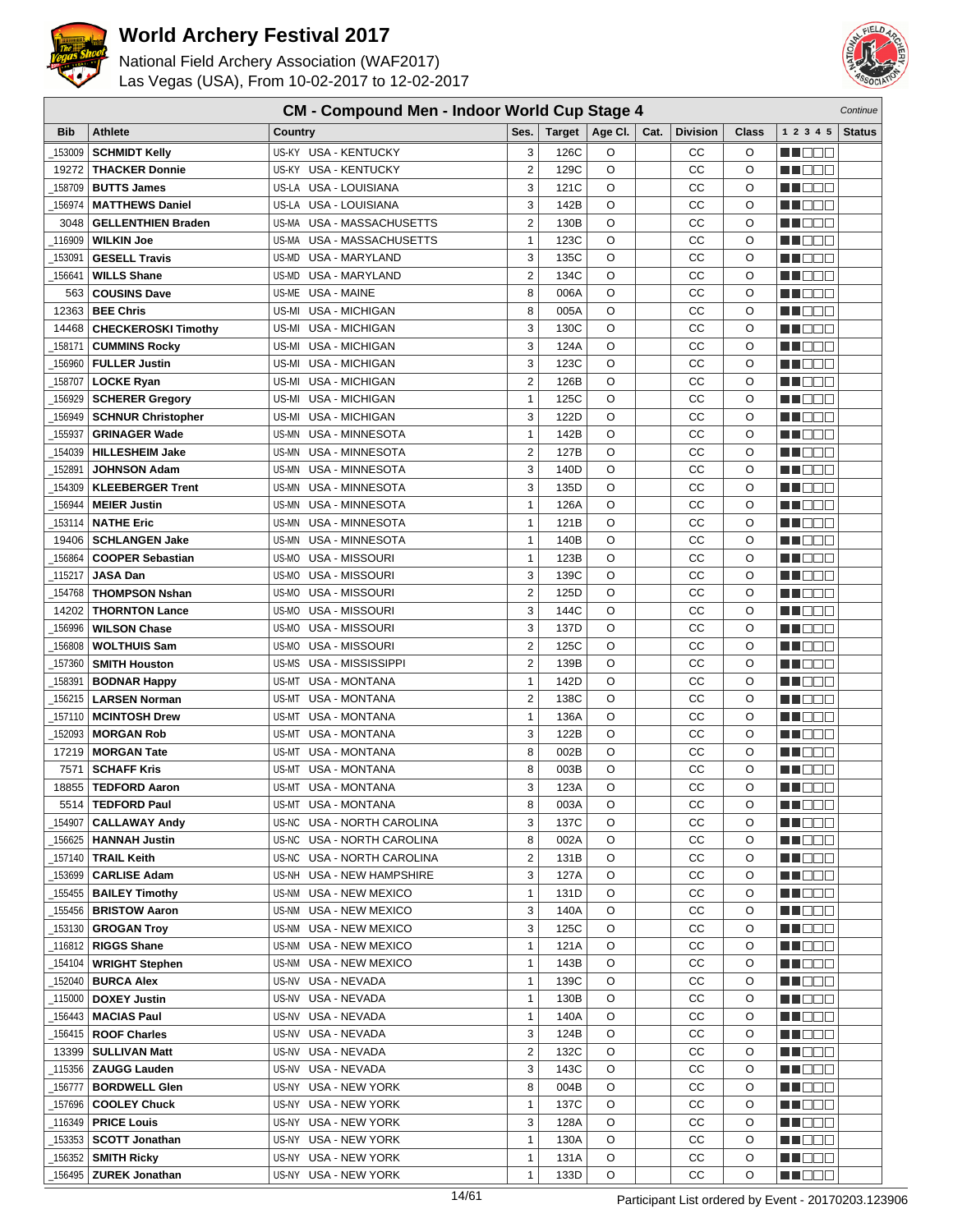



| <b>CM - Compound Men - Indoor World Cup Stage 4</b><br>Continue |                                          |                                                         |                         |               |         |      |                 |              |                             |               |
|-----------------------------------------------------------------|------------------------------------------|---------------------------------------------------------|-------------------------|---------------|---------|------|-----------------|--------------|-----------------------------|---------------|
| <b>Bib</b>                                                      | <b>Athlete</b>                           | Country                                                 | Ses.                    | <b>Target</b> | Age Cl. | Cat. | <b>Division</b> | Class        | 1 2 3 4 5                   | <b>Status</b> |
| 153009                                                          | <b>SCHMIDT Kelly</b>                     | US-KY USA - KENTUCKY                                    | 3                       | 126C          | O       |      | CС              | O            | n i De E                    |               |
| 19272                                                           | <b>THACKER Donnie</b>                    | US-KY<br><b>USA - KENTUCKY</b>                          | $\overline{2}$          | 129C          | O       |      | CC              | O            | n i De E                    |               |
| 158709                                                          | <b>BUTTS James</b>                       | US-LA USA - LOUISIANA                                   | 3                       | 121C          | O       |      | CC              | O            | n i Ooc                     |               |
| 156974                                                          | <b>MATTHEWS Daniel</b>                   | <b>USA - LOUISIANA</b><br>US-LA                         | 3                       | 142B          | O       |      | CC              | O            | NN OO E                     |               |
| 3048                                                            | <b>GELLENTHIEN Braden</b>                | USA - MASSACHUSETTS<br>US-MA                            | $\overline{2}$          | 130B          | O       |      | CC              | O            | ME DE S                     |               |
| 116909                                                          | <b>WILKIN Joe</b>                        | USA - MASSACHUSETTS<br>US-MA                            | $\mathbf{1}$            | 123C          | O       |      | CC              | O            | M DEE                       |               |
| 153091                                                          | <b>GESELL Travis</b>                     | US-MD USA - MARYLAND                                    | 3                       | 135C          | O       |      | CC              | O            | MA OO B                     |               |
| 156641                                                          | <b>WILLS Shane</b>                       | <b>USA - MARYLAND</b><br>US-MD                          | $\overline{2}$          | 134C          | O       |      | CC              | O            | n i BBC                     |               |
| 563                                                             | <b>COUSINS Dave</b>                      | <b>USA - MAINE</b><br>US-ME                             | 8                       | 006A          | O       |      | CC              | $\circ$      | M DOO                       |               |
| 12363                                                           | <b>BEE Chris</b>                         | USA - MICHIGAN<br>US-MI                                 | 8                       | 005A          | O       |      | CC              | O            | MA MAT                      |               |
| 14468                                                           | <b>CHECKEROSKI Timothy</b>               | US-MI<br><b>USA - MICHIGAN</b>                          | 3                       | 130C          | O       |      | CC              | O            | M DE O                      |               |
| 158171                                                          | <b>CUMMINS Rocky</b>                     | <b>USA - MICHIGAN</b><br>US-MI                          | 3                       | 124A          | O       |      | CC              | O            | MN 888                      |               |
| 156960                                                          | <b>FULLER Justin</b>                     | USA - MICHIGAN<br>US-MI                                 | 3                       | 123C          | O       |      | CC              | O            | n i Bele                    |               |
| 158707                                                          | <b>LOCKE Ryan</b>                        | USA - MICHIGAN<br>US-MI                                 | $\overline{2}$          | 126B          | O       |      | CC              | O            | M D D D                     |               |
| 156929                                                          | <b>SCHERER Gregory</b>                   | USA - MICHIGAN<br>US-MI                                 | $\mathbf{1}$            | 125C          | O       |      | CC              | O            | W DOO                       |               |
| 156949                                                          | <b>SCHNUR Christopher</b>                | USA - MICHIGAN<br>US-MI                                 | 3                       | 122D          | O       |      | CC              | O            | MU DOO                      |               |
| _155937                                                         | <b>GRINAGER Wade</b>                     | USA - MINNESOTA<br>US-MN                                | $\mathbf{1}$            | 142B          | O       |      | CC              | O            | n i Bele                    |               |
| 154039                                                          | <b>HILLESHEIM Jake</b>                   | US-MN<br>USA - MINNESOTA                                | $\overline{2}$          | 127B          | O       |      | CC              | O            | n i De E                    |               |
| 152891                                                          | <b>JOHNSON Adam</b>                      | US-MN<br><b>USA - MINNESOTA</b>                         | 3                       | 140D          | O       |      | CC              | O            | MA DE E                     |               |
| 154309                                                          | <b>KLEEBERGER Trent</b>                  | US-MN<br>USA - MINNESOTA                                | 3                       | 135D          | O       |      | CC              | O            | M DE O                      |               |
| 156944                                                          | <b>MEIER Justin</b>                      | US-MN<br>USA - MINNESOTA                                | $\mathbf{1}$            | 126A          | O       |      | CC              | O            | MA DO O                     |               |
| 153114                                                          | <b>NATHE Eric</b>                        | <b>USA - MINNESOTA</b><br>US-MN                         | $\mathbf{1}$            | 121B          | O       |      | CC              | O            | ME DE S                     |               |
| 19406                                                           | <b>SCHLANGEN Jake</b>                    | USA - MINNESOTA<br>US-MN                                | $\mathbf{1}$            | 140B          | O       |      | CC              | O            | MU OO O                     |               |
| 156864                                                          | <b>COOPER Sebastian</b>                  | USA - MISSOURI<br>US-MO                                 | $\mathbf{1}$            | 123B          | O       |      | CC              | O            | MA OO B                     |               |
| 115217                                                          | <b>JASA Dan</b>                          | USA - MISSOURI<br>US-MO                                 | 3                       | 139C          | O       |      | CC              | O            | MN 888                      |               |
| 154768                                                          | <b>THOMPSON Nshan</b>                    | USA - MISSOURI<br>US-MO                                 | $\overline{2}$          | 125D          | O       |      | CC              | O            | ▕▕▕█▐▊█▏                    |               |
| 14202                                                           | <b>THORNTON Lance</b>                    | USA - MISSOURI<br>US-MO                                 | 3                       | 144C          | O       |      | CC              | $\circ$      | n i De E                    |               |
| 156996                                                          | <b>WILSON Chase</b>                      | US-MO<br>USA - MISSOURI                                 | 3                       | 137D          | O       |      | CC              | O            | M DE O                      |               |
| 156808                                                          | <b>WOLTHUIS Sam</b>                      | USA - MISSOURI<br>US-MO                                 | $\overline{2}$          | 125C          | O       |      | CC              | O            | M DE O                      |               |
| 157360                                                          | <b>SMITH Houston</b>                     | USA - MISSISSIPPI<br>US-MS                              | $\overline{2}$          | 139B          | O       |      | CC              | O            | MA DE E                     |               |
| 158391                                                          | <b>BODNAR Happy</b>                      | <b>USA - MONTANA</b><br>US-MT                           | $\mathbf{1}$            | 142D          | O       |      | CC              | O            | MA DE C                     |               |
| 156215                                                          | <b>LARSEN Norman</b>                     | <b>USA - MONTANA</b><br>US-MT                           | $\overline{2}$          | 138C          | O       |      | CC              | O            | MU OO O                     |               |
| _157110                                                         | <b>MCINTOSH Drew</b>                     | US-MT<br><b>USA - MONTANA</b>                           | $\mathbf{1}$            | 136A          | O       |      | CC              | O            | n nooc                      |               |
| 152093                                                          | <b>MORGAN Rob</b>                        | US-MT<br>USA - MONTANA                                  | 3                       | 122B          | O       |      | CC              | O            | N NO DE                     |               |
| 17219<br>7571                                                   | <b>MORGAN Tate</b><br><b>SCHAFF Kris</b> | USA - MONTANA<br>US-MT<br><b>USA - MONTANA</b><br>US-MT | 8<br>8                  | 002B<br>003B  | O<br>O  |      | CC<br>CC        | O<br>$\circ$ | e de e                      |               |
| 18855                                                           | <b>TEDFORD Aaron</b>                     | US-MT USA - MONTANA                                     | 3                       | 123A          | O       |      | СC              | O            | M DO D<br>MN 888            |               |
| 5514                                                            | <b>TEDFORD Paul</b>                      | US-MT USA - MONTANA                                     | 8                       | 003A          | O       |      | CС              | O            |                             |               |
| 154907                                                          | <b>CALLAWAY Andy</b>                     | US-NC USA - NORTH CAROLINA                              | 3                       | 137C          | O       |      | CC              | O            | <u> Literatu</u><br>MU DO 2 |               |
| _156625                                                         | <b>HANNAH Justin</b>                     | US-NC USA - NORTH CAROLINA                              | 8                       | 002A          | O       |      | СC              | O            | WU O O O                    |               |
| _157140                                                         | <b>TRAIL Keith</b>                       | US-NC USA - NORTH CAROLINA                              | 2                       | 131B          | O       |      | CC              | O            | NN O O O                    |               |
| _153699                                                         | <b>CARLISE Adam</b>                      | US-NH USA - NEW HAMPSHIRE                               | 3                       | 127A          | O       |      | СC              | O            | <u>in ja sis</u>            |               |
| 155455_                                                         | <b>BAILEY Timothy</b>                    | US-NM USA - NEW MEXICO                                  | $\mathbf{1}$            | 131D          | O       |      | CC              | O            | <u> Literatu</u>            |               |
| 155456_                                                         | <b>BRISTOW Aaron</b>                     | US-NM USA - NEW MEXICO                                  | 3                       | 140A          | O       |      | CC              | O            | WU O O O                    |               |
| _153130                                                         | <b>GROGAN Troy</b>                       | US-NM USA - NEW MEXICO                                  | 3                       | 125C          | O       |      | CC              | O            | MU DE S                     |               |
| _116812                                                         | <b>RIGGS Shane</b>                       | US-NM USA - NEW MEXICO                                  | $\mathbf{1}$            | 121A          | O       |      | CС              | O            | M DE S                      |               |
| _154104                                                         | <b>WRIGHT Stephen</b>                    | US-NM<br>USA - NEW MEXICO                               | $\mathbf{1}$            | 143B          | O       |      | CC              | O            | <u>Li de d</u>              |               |
| _152040                                                         | <b>BURCA Alex</b>                        | USA - NEVADA<br>US-NV                                   | $\mathbf{1}$            | 139C          | O       |      | CC              | O            | <u>LI OOO</u>               |               |
| _115000                                                         | <b>DOXEY Justin</b>                      | US-NV USA - NEVADA                                      | $\mathbf{1}$            | 130B          | O       |      | СC              | O            | MU BER                      |               |
| 156443_                                                         | <b>MACIAS Paul</b>                       | US-NV USA - NEVADA                                      | 1                       | 140A          | O       |      | CС              | O            | NN O O O                    |               |
| _156415                                                         | <b>ROOF Charles</b>                      | US-NV USA - NEVADA                                      | 3                       | 124B          | O       |      | CС              | O            | <u> El Ser</u>              |               |
| 13399                                                           | <b>SULLIVAN Matt</b>                     | US-NV USA - NEVADA                                      | $\overline{\mathbf{c}}$ | 132C          | O       |      | CC              | O            | <u>LI OOD</u>               |               |
| _115356                                                         | <b>ZAUGG Lauden</b>                      | US-NV USA - NEVADA                                      | 3                       | 143C          | O       |      | CС              | O            | WU 88                       |               |
| _156777                                                         | <b>BORDWELL Glen</b>                     | US-NY USA - NEW YORK                                    | 8                       | 004B          | O       |      | СC              | O            | M DE S                      |               |
| _157696                                                         | <b>COOLEY Chuck</b>                      | US-NY USA - NEW YORK                                    | $\mathbf{1}$            | 137C          | O       |      | CC              | O            | MU DO D                     |               |
| 116349_                                                         | <b>PRICE Louis</b>                       | <b>USA - NEW YORK</b><br>US-NY                          | 3                       | 128A          | O       |      | СC              | O            | e de e                      |               |
| _153353                                                         | <b>SCOTT Jonathan</b>                    | US-NY USA - NEW YORK                                    | $\mathbf{1}$            | 130A          | O       |      | CC              | O            | MU O O O                    |               |
| _156352                                                         | <b>SMITH Ricky</b>                       | US-NY USA - NEW YORK                                    | $\mathbf{1}$            | 131A          | O       |      | CC              | O            | NN O O O                    |               |
| 156495                                                          | <b>ZUREK Jonathan</b>                    | US-NY USA - NEW YORK                                    | $\mathbf{1}$            | 133D          | O       |      | CC              | O            | <b>MARGO</b>                |               |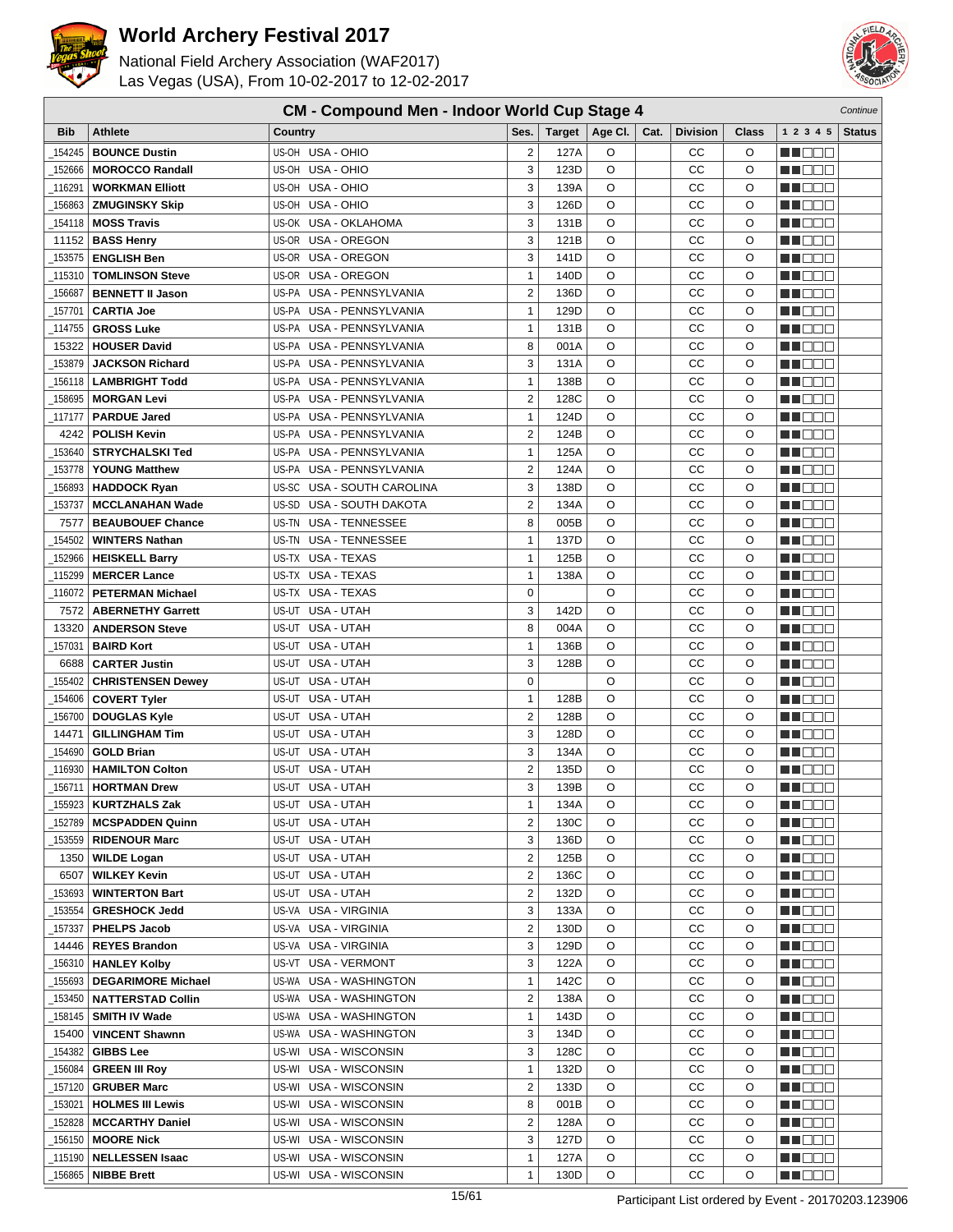

#### National Field Archery Association (WAF2017) Las Vegas (USA), From 10-02-2017 to 12-02-2017



| <b>Bib</b> | <b>Athlete</b>            | <b>Country</b>                     | Ses.                    | Target | Age Cl. | Cat. | <b>Division</b> | Class    | 1 2 3 4 5                                                                                                                                                                                                                      | <b>Status</b> |
|------------|---------------------------|------------------------------------|-------------------------|--------|---------|------|-----------------|----------|--------------------------------------------------------------------------------------------------------------------------------------------------------------------------------------------------------------------------------|---------------|
| 154245     | <b>BOUNCE Dustin</b>      | US-OH USA - OHIO                   | $\overline{2}$          | 127A   | O       |      | CC              | O        | M DE E                                                                                                                                                                                                                         |               |
| 152666     | <b>MOROCCO Randall</b>    | US-OH USA - OHIO                   | 3                       | 123D   | O       |      | CC              | O        | ME DE S                                                                                                                                                                                                                        |               |
| 116291     | <b>WORKMAN Elliott</b>    | US-OH USA - OHIO                   | 3                       | 139A   | O       |      | CС              | O        | n i DDE                                                                                                                                                                                                                        |               |
| 156863     | <b>ZMUGINSKY Skip</b>     | US-OH USA - OHIO                   | 3                       | 126D   | $\circ$ |      | CC              | O        | MOOO                                                                                                                                                                                                                           |               |
| 154118     | <b>MOSS Travis</b>        | US-OK USA - OKLAHOMA               | 3                       | 131B   | O       |      | cc              | O        | n de e                                                                                                                                                                                                                         |               |
| 11152      | <b>BASS Henry</b>         | US-OR USA - OREGON                 | 3                       | 121B   | O       |      | CC              | O        | en de la p                                                                                                                                                                                                                     |               |
| 153575     | <b>ENGLISH Ben</b>        | US-OR USA - OREGON                 | 3                       | 141D   | O       |      | CC              | O        | MOOD                                                                                                                                                                                                                           |               |
| 115310     | <b>TOMLINSON Steve</b>    | US-OR<br>USA - OREGON              | $\mathbf{1}$            | 140D   | O       |      | CC              | O        | n i BBC                                                                                                                                                                                                                        |               |
| 156687     | <b>BENNETT II Jason</b>   | US-PA<br><b>USA - PENNSYLVANIA</b> | $\overline{2}$          | 136D   | O       |      | CC              | O        | n i Biblio                                                                                                                                                                                                                     |               |
| 157701     | <b>CARTIA Joe</b>         | US-PA USA - PENNSYLVANIA           | $\mathbf{1}$            | 129D   | O       |      | CC              | O        | e de e                                                                                                                                                                                                                         |               |
| 114755     | <b>GROSS Luke</b>         | US-PA USA - PENNSYLVANIA           | 1                       | 131B   | O       |      | CC              | O        | n in Biblio                                                                                                                                                                                                                    |               |
| 15322      | <b>HOUSER David</b>       | US-PA USA - PENNSYLVANIA           | 8                       | 001A   | O       |      | CC              | O        | NN DE S                                                                                                                                                                                                                        |               |
| 153879     | <b>JACKSON Richard</b>    | US-PA USA - PENNSYLVANIA           | 3                       | 131A   | O       |      | CC              | $\circ$  | n de de                                                                                                                                                                                                                        |               |
| 156118     | <b>LAMBRIGHT Todd</b>     | US-PA USA - PENNSYLVANIA           | $\mathbf{1}$            | 138B   | O       |      | CC              | O        | <u> a se es</u>                                                                                                                                                                                                                |               |
| 158695     | <b>MORGAN Levi</b>        | US-PA USA - PENNSYLVANIA           | $\overline{2}$          | 128C   | O       |      | CC              | O        | <u> Hand</u>                                                                                                                                                                                                                   |               |
| 117177     | <b>PARDUE Jared</b>       | US-PA USA - PENNSYLVANIA           | 1                       | 124D   | O       |      | СC              | O        | n i De E                                                                                                                                                                                                                       |               |
| 4242       | <b>POLISH Kevin</b>       | US-PA<br>USA - PENNSYLVANIA        | $\overline{2}$          | 124B   | O       |      | СC              | O        | n i BBC                                                                                                                                                                                                                        |               |
| 153640     | <b>STRYCHALSKI Ted</b>    | USA - PENNSYLVANIA<br>US-PA        | 1                       | 125A   | O       |      | СC              | O        | M HOO E                                                                                                                                                                                                                        |               |
| 153778     | <b>YOUNG Matthew</b>      | US-PA USA - PENNSYLVANIA           | $\overline{\mathbf{c}}$ | 124A   | O       |      | СC              | O        | M D D D                                                                                                                                                                                                                        |               |
| 156893     | <b>HADDOCK Ryan</b>       | US-SC USA - SOUTH CAROLINA         | 3                       | 138D   | O       |      | СC              | O        | MN DO B                                                                                                                                                                                                                        |               |
| 153737     | <b>MCCLANAHAN Wade</b>    | US-SD USA - SOUTH DAKOTA           | $\overline{2}$          | 134A   | O       |      | СC              | O        | MA DE E                                                                                                                                                                                                                        |               |
| 7577       | <b>BEAUBOUEF Chance</b>   | US-TN USA - TENNESSEE              | 8                       | 005B   | O       |      | CC              | O        | MU DO D                                                                                                                                                                                                                        |               |
| 154502     | <b>WINTERS Nathan</b>     | US-TN USA - TENNESSEE              | $\mathbf{1}$            | 137D   | O       |      | cc              | O        | MA O O O                                                                                                                                                                                                                       |               |
| 152966     | <b>HEISKELL Barry</b>     | US-TX USA - TEXAS                  | $\mathbf{1}$            | 125B   | O       |      | CC              | O        | wa katifu katifu katifu n                                                                                                                                                                                                      |               |
| 115299     | <b>MERCER Lance</b>       | US-TX USA - TEXAS                  | 1                       | 138A   | O       |      | СC              | O        | n i BBC                                                                                                                                                                                                                        |               |
| 116072     | <b>PETERMAN Michael</b>   | US-TX USA - TEXAS                  | 0                       |        | O       |      | СC              | O        | n in Eise                                                                                                                                                                                                                      |               |
| 7572       | <b>ABERNETHY Garrett</b>  | US-UT<br>USA - UTAH                | 3                       | 142D   | O       |      | СC              | O        | n i Biblio                                                                                                                                                                                                                     |               |
| 13320      | <b>ANDERSON Steve</b>     | US-UT USA - UTAH                   | 8                       | 004A   | O       |      | CC              | O        | MO OO                                                                                                                                                                                                                          |               |
| 157031     | <b>BAIRD Kort</b>         | US-UT USA - UTAH                   | 1                       | 136B   | O       |      | СC              | O        | NN DE S                                                                                                                                                                                                                        |               |
| 6688       | <b>CARTER Justin</b>      | US-UT USA - UTAH                   | 3                       | 128B   | O       |      | СC              | O        | N N D D D                                                                                                                                                                                                                      |               |
| 155402     | <b>CHRISTENSEN Dewey</b>  | US-UT USA - UTAH                   | $\mathbf 0$             |        | O       |      | СC              | O        | e de la p                                                                                                                                                                                                                      |               |
| 154606     | <b>COVERT Tyler</b>       | US-UT USA - UTAH                   | $\mathbf{1}$            | 128B   | O       |      | СC              | O        | MA O O O                                                                                                                                                                                                                       |               |
| 156700     | <b>DOUGLAS Kyle</b>       | US-UT USA - UTAH                   | $\overline{2}$          | 128B   | O       |      | CC              | O        | __ _ _ _                                                                                                                                                                                                                       |               |
| 14471      | <b>GILLINGHAM Tim</b>     | US-UT USA - UTAH                   | 3                       | 128D   | O       |      | СC              | O        | n de e                                                                                                                                                                                                                         |               |
| 154690     | <b>GOLD Brian</b>         | US-UT<br>USA - UTAH                | 3                       | 134A   | O       |      | CС              | O        | <u> a se es</u>                                                                                                                                                                                                                |               |
| 116930     | <b>HAMILTON Colton</b>    | USA - UTAH<br>US-UT                | $\overline{2}$          | 135D   | O       |      | CC              | O        | MA DE E                                                                                                                                                                                                                        |               |
| 156711     | <b>HORTMAN Drew</b>       | US-UT USA - UTAH                   | 3                       | 139B   | O       |      | СC              | O        | e de la construcción de la construcción de la construcción de la construcción de la construcción de la construcción de la construcción de la construcción de la construcción de la construcción de la construcción de la const |               |
| 155923     | <b>KURTZHALS Zak</b>      | US-UT USA - UTAH                   | $\mathbf{1}$            | 134A   | $\circ$ |      | CC              | $\Omega$ | ma na n                                                                                                                                                                                                                        |               |
| 152789     | <b>MCSPADDEN Quinn</b>    | US-UT USA - UTAH                   | 2                       | 130C   | O       |      | CС              | O        | <u>ka kata</u>                                                                                                                                                                                                                 |               |
| 153559     | <b>RIDENOUR Marc</b>      | US-UT USA - UTAH                   | 3                       | 136D   | O       |      | CС              | O        | MU O O O                                                                                                                                                                                                                       |               |
| 1350       | <b>WILDE Logan</b>        | US-UT USA - UTAH                   | 2                       | 125B   | O       |      | CC              | O        | MA DO D                                                                                                                                                                                                                        |               |
| 6507       | <b>WILKEY Kevin</b>       | US-UT USA - UTAH                   | 2                       | 136C   | O       |      | СC              | O        | _______                                                                                                                                                                                                                        |               |
| 153693     | <b>WINTERTON Bart</b>     | US-UT USA - UTAH                   | 2                       | 132D   | O       |      | СC              | O        | n de c                                                                                                                                                                                                                         |               |
| 153554     | <b>GRESHOCK Jedd</b>      | US-VA USA - VIRGINIA               | 3                       | 133A   | O       |      | CС              | O        | e de e                                                                                                                                                                                                                         |               |
| 157337     | <b>PHELPS Jacob</b>       | US-VA USA - VIRGINIA               | $\overline{2}$          | 130D   | O       |      | CC              | O        | MU O O O                                                                                                                                                                                                                       |               |
| 14446      | <b>REYES Brandon</b>      | US-VA USA - VIRGINIA               | 3                       | 129D   | O       |      | CС              | O        | <u> Here a</u>                                                                                                                                                                                                                 |               |
| 156310     | <b>HANLEY Kolby</b>       | US-VT USA - VERMONT                | 3                       | 122A   | O       |      | СC              | O        | <u>sa sa sa</u>                                                                                                                                                                                                                |               |
| 155693     | <b>DEGARIMORE Michael</b> | US-WA USA - WASHINGTON             | $\mathbf{1}$            | 142C   | O       |      | СC              | O        | <u>in ja sis</u>                                                                                                                                                                                                               |               |
| 153450     | <b>NATTERSTAD Collin</b>  | US-WA USA - WASHINGTON             | 2                       | 138A   | O       |      | СC              | O        | <u>Li Biblio</u>                                                                                                                                                                                                               |               |
| 158145     | <b>SMITH IV Wade</b>      | US-WA USA - WASHINGTON             | $\mathbf{1}$            | 143D   | O       |      | CC              | O        | MU DO D                                                                                                                                                                                                                        |               |
| 15400      | <b>VINCENT Shawnn</b>     | US-WA USA - WASHINGTON             | 3                       | 134D   | O       |      | СC              | O        | لا الا الا الا ال                                                                                                                                                                                                              |               |
| 154382     | <b>GIBBS Lee</b>          | US-WI USA - WISCONSIN              | 3                       | 128C   | O       |      | СC              | O        | e de la construcción de la construcción de la construcción de la construcción de la construcción de la construcción de la construcción de la construcción de la construcción de la construcción de la construcción de la const |               |
| 156084     | <b>GREEN III Roy</b>      | US-WI<br>USA - WISCONSIN           | 1                       | 132D   | O       |      | CC              | O        | MU O O O                                                                                                                                                                                                                       |               |
| 157120     | <b>GRUBER Marc</b>        | US-WI<br>USA - WISCONSIN           | $\overline{2}$          | 133D   | O       |      | CC              | O        | <u> Here a</u>                                                                                                                                                                                                                 |               |
| 153021     | <b>HOLMES III Lewis</b>   | US-WI USA - WISCONSIN              | 8                       | 001B   | O       |      | CC              | O        | <u> Here a</u>                                                                                                                                                                                                                 |               |
| 152828     | <b>MCCARTHY Daniel</b>    | US-WI USA - WISCONSIN              | 2                       | 128A   | O       |      | СC              | O        | MU DE B                                                                                                                                                                                                                        |               |
| 156150     | <b>MOORE Nick</b>         | US-WI USA - WISCONSIN              | 3                       | 127D   | O       |      | CC              | O        | MU O O O                                                                                                                                                                                                                       |               |
| _115190    | <b>NELLESSEN Isaac</b>    | USA - WISCONSIN<br>US-WI           | $\mathbf{1}$            | 127A   | O       |      | СC              | O        | ME E E                                                                                                                                                                                                                         |               |
| 156865     | <b>NIBBE Brett</b>        | US-WI USA - WISCONSIN              | 1                       | 130D   | O       |      | СC              | O        | MU DO D                                                                                                                                                                                                                        |               |

**CM - Compound Men - Indoor World Cup Stage 4** Continue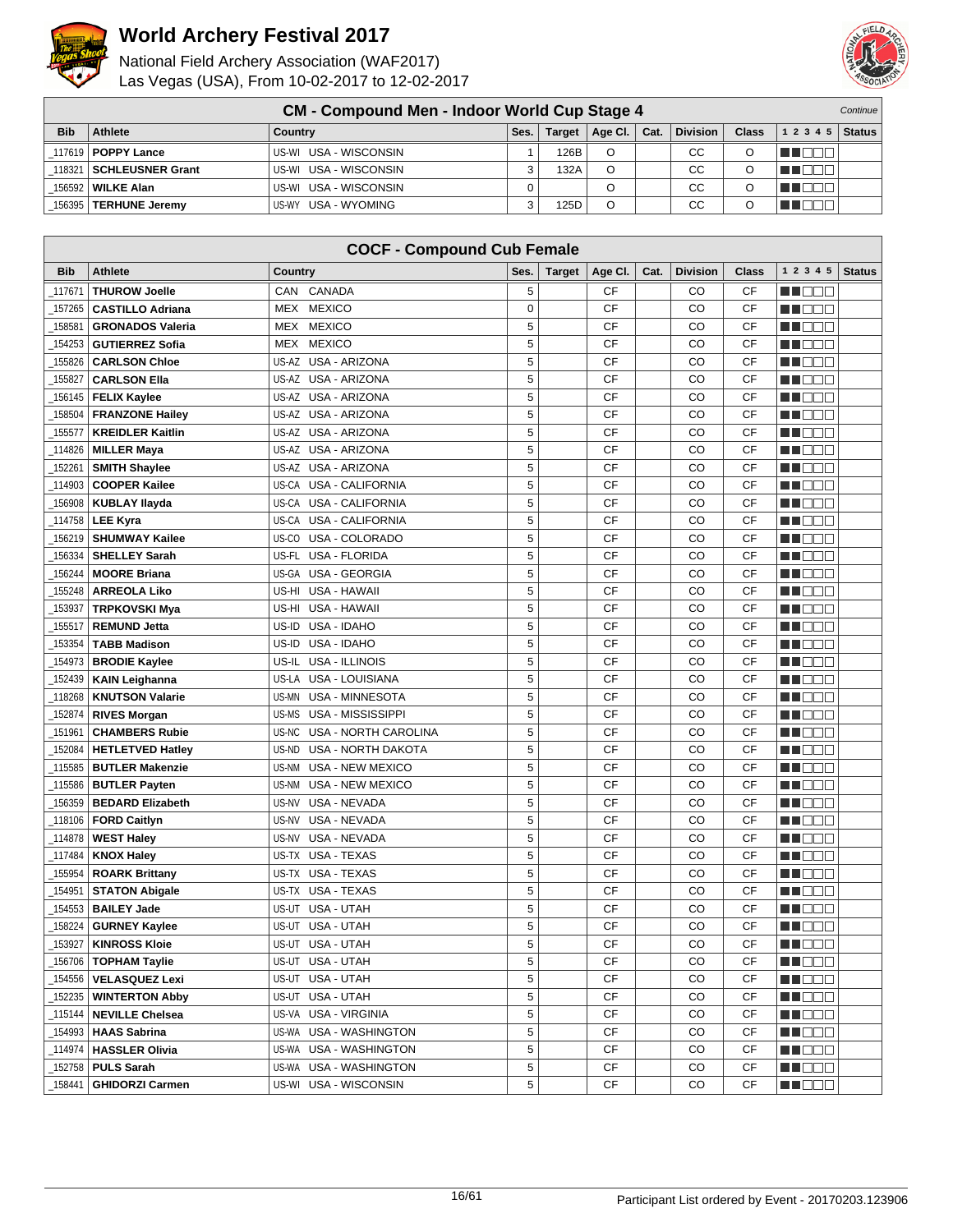



|            | <b>CM - Compound Men - Indoor World Cup Stage 4</b> |                        |      |        |         |      |                 |              |           |               |
|------------|-----------------------------------------------------|------------------------|------|--------|---------|------|-----------------|--------------|-----------|---------------|
| <b>Bib</b> | Athlete                                             | Country                | Ses. | Target | Age Cl. | Cat. | <b>Division</b> | <b>Class</b> | 1 2 3 4 5 | <b>Status</b> |
|            | 117619   POPPY Lance                                | US-WI USA - WISCONSIN  |      | 126B   | O       |      | СC              |              |           |               |
|            | 118321 SCHLEUSNER Grant                             | US-WI USA - WISCONSIN  |      | 132A   | O       |      | CC              |              |           |               |
|            | 156592   WILKE Alan                                 | US-WI USA - WISCONSIN  | 0    |        |         |      | CС              |              |           |               |
| 156395     | <b>TERHUNE Jeremy</b>                               | USA - WYOMING<br>US-WY |      | 125D   | O       |      | CС              |              |           |               |

|            | <b>COCF - Compound Cub Female</b> |                                    |             |               |           |      |                 |           |                 |               |  |
|------------|-----------------------------------|------------------------------------|-------------|---------------|-----------|------|-----------------|-----------|-----------------|---------------|--|
| <b>Bib</b> | Athlete                           | Country                            | Ses.        | <b>Target</b> | Age CI.   | Cat. | <b>Division</b> | Class     | 1 2 3 4 5       | <b>Status</b> |  |
| 117671     | <b>THUROW Joelle</b>              | CAN CANADA                         | 5           |               | <b>CF</b> |      | CO              | СF        | N I OO E        |               |  |
| 157265     | <b>CASTILLO Adriana</b>           | <b>MEXICO</b><br>MEX               | $\mathbf 0$ |               | <b>CF</b> |      | CO              | <b>CF</b> | n i Belg        |               |  |
| 158581     | <b>GRONADOS Valeria</b>           | MEX<br><b>MEXICO</b>               | 5           |               | <b>CF</b> |      | CO              | <b>CF</b> | n i Bele        |               |  |
| 154253     | <b>GUTIERREZ Sofia</b>            | MEX MEXICO                         | 5           |               | <b>CF</b> |      | CO              | <b>CF</b> | HI DE E         |               |  |
| 155826     | <b>CARLSON Chloe</b>              | US-AZ USA - ARIZONA                | 5           |               | CF        |      | CO              | <b>CF</b> | MU O O O        |               |  |
| 155827     | <b>CARLSON Ella</b>               | US-AZ USA - ARIZONA                | $\sqrt{5}$  |               | <b>CF</b> |      | CO              | <b>CF</b> | n i BBC         |               |  |
| 156145     | <b>FELIX Kaylee</b>               | US-AZ USA - ARIZONA                | 5           |               | <b>CF</b> |      | CO              | <b>CF</b> | n i Biblio      |               |  |
| 158504     | <b>FRANZONE Hailey</b>            | US-AZ USA - ARIZONA                | 5           |               | CF        |      | CO              | CF        | n i Biblio      |               |  |
| _155577    | <b>KREIDLER Kaitlin</b>           | US-AZ USA - ARIZONA                | 5           |               | CF        |      | CO              | <b>CF</b> | MU DO B         |               |  |
| _114826    | <b>MILLER Maya</b>                | US-AZ<br>USA - ARIZONA             | 5           |               | <b>CF</b> |      | CO              | <b>CF</b> | n i DDD         |               |  |
| 152261     | <b>SMITH Shaylee</b>              | US-AZ<br>USA - ARIZONA             | 5           |               | <b>CF</b> |      | CO              | <b>CF</b> | MA DE L         |               |  |
| 114903     | <b>COOPER Kailee</b>              | US-CA<br><b>USA - CALIFORNIA</b>   | 5           |               | <b>CF</b> |      | CO              | CF        | n i De E        |               |  |
| 156908     | <b>KUBLAY Ilayda</b>              | US-CA<br>USA - CALIFORNIA          | 5           |               | <b>CF</b> |      | CO              | CF        | <u>sa sa sa</u> |               |  |
| 114758     | <b>LEE Kyra</b>                   | <b>USA - CALIFORNIA</b><br>US-CA   | 5           |               | СF        |      | CO              | CF        | n i De E        |               |  |
| 156219     | <b>SHUMWAY Kailee</b>             | USA - COLORADO<br>US-CO            | $\sqrt{5}$  |               | <b>CF</b> |      | CO              | CF        | n i Bele        |               |  |
| 156334     | <b>SHELLEY Sarah</b>              | US-FL USA - FLORIDA                | 5           |               | <b>CF</b> |      | CO              | CF        | ▕▕▕█▐▊█▏        |               |  |
| 156244     | <b>MOORE Briana</b>               | <b>USA - GEORGIA</b><br>US-GA      | 5           |               | <b>CF</b> |      | CO              | CF        | <u> Hood</u>    |               |  |
| 155248     | <b>ARREOLA Liko</b>               | USA - HAWAII<br>US-HI              | 5           |               | CF        |      | CO              | CF        | n i De E        |               |  |
| 153937     | <b>TRPKOVSKI Mya</b>              | USA - HAWAII<br>US-HI              | 5           |               | <b>CF</b> |      | CO              | CF        | n i Belg        |               |  |
| 155517     | <b>REMUND Jetta</b>               | US-ID<br>USA - IDAHO               | 5           |               | <b>CF</b> |      | CO              | CF        | MU DE L         |               |  |
| 153354     | <b>TABB Madison</b>               | US-ID<br>USA - IDAHO               | 5           |               | <b>CF</b> |      | CO              | CF        | n in Biblio     |               |  |
| 154973     | <b>BRODIE Kaylee</b>              | USA - ILLINOIS<br>US-IL            | 5           |               | <b>CF</b> |      | CO              | CF        | MU O O O        |               |  |
| 152439     | <b>KAIN Leighanna</b>             | USA - LOUISIANA<br>US-LA           | 5           |               | CF        |      | CO              | CF        | MU OO U         |               |  |
| 118268     | <b>KNUTSON Valarie</b>            | US-MN<br>USA - MINNESOTA           | $\sqrt{5}$  |               | CF        |      | CO              | CF        | n i Biblio      |               |  |
| 152874     | <b>RIVES Morgan</b>               | US-MS<br>USA - MISSISSIPPI         | 5           |               | CF        |      | CO              | CF        | <u> Hose</u>    |               |  |
| 151961     | <b>CHAMBERS Rubie</b>             | US-NC<br>USA - NORTH CAROLINA      | 5           |               | CF        |      | CO              | <b>CF</b> | MA DE E         |               |  |
| 152084     | <b>HETLETVED Hatley</b>           | <b>USA - NORTH DAKOTA</b><br>US-ND | 5           |               | CF        |      | CO              | CF        | n i De E        |               |  |
| _115585    | <b>BUTLER Makenzie</b>            | <b>USA - NEW MEXICO</b><br>US-NM   | 5           |               | <b>CF</b> |      | CO              | <b>CF</b> | n i Biblio      |               |  |
| _115586    | <b>BUTLER Payten</b>              | US-NM<br>USA - NEW MEXICO          | 5           |               | <b>CF</b> |      | CO              | CF        | n de d          |               |  |
| 156359     | <b>BEDARD Elizabeth</b>           | USA - NEVADA<br>US-NV              | 5           |               | <b>CF</b> |      | CO              | CF        | n i De E        |               |  |
| _118106    | <b>FORD Caitlyn</b>               | USA - NEVADA<br>US-NV              | 5           |               | <b>CF</b> |      | CO              | CF        | n i De E        |               |  |
| 114878     | <b>WEST Haley</b>                 | USA - NEVADA<br>US-NV              | 5           |               | СF        |      | CO              | <b>CF</b> | n de e          |               |  |
| 117484     | <b>KNOX Haley</b>                 | <b>USA - TEXAS</b><br>US-TX        | 5           |               | CF        |      | CO              | CF        | n i Biblio      |               |  |
| 155954     | <b>ROARK Brittany</b>             | US-TX USA - TEXAS                  | 5           |               | <b>CF</b> |      | CO              | <b>CF</b> | M DE E          |               |  |
| 154951_    | <b>STATON Abigale</b>             | US-TX USA - TEXAS                  | 5           |               | <b>CF</b> |      | CO              | CF        | HI DE E         |               |  |
| 154553     | <b>BAILEY Jade</b>                | USA - UTAH<br>US-UT                | 5           |               | CF        |      | CO              | <b>CF</b> | n de e          |               |  |
| 158224     | <b>GURNEY Kaylee</b>              | US-UT USA - UTAH                   | 5           |               | <b>CF</b> |      | CO              | <b>CF</b> | man ma          |               |  |
| _153927    | <b>KINROSS Kloie</b>              | US-UT USA - UTAH                   | 5           |               | CF        |      | CO              | СF        | MU O O O        |               |  |
| _156706    | <b>TOPHAM Taylie</b>              | US-UT USA - UTAH                   | 5           |               | CF        |      | CO              | CF        | MU OO O         |               |  |
| 154556     | <b>VELASQUEZ Lexi</b>             | US-UT USA - UTAH                   | 5           |               | CF        |      | CO              | СF        | MU DO D         |               |  |
| 152235     | <b>WINTERTON Abby</b>             | US-UT USA - UTAH                   | 5           |               | СF        |      | CO              | СF        | ME DE L'        |               |  |
| 115144     | <b>NEVILLE Chelsea</b>            | US-VA USA - VIRGINIA               | $\mathbf 5$ |               | СF        |      | CO              | СF        | M DE S          |               |  |
| _154993    | <b>HAAS Sabrina</b>               | US-WA USA - WASHINGTON             | 5           |               | CF        |      | CO              | СF        | WO OO U         |               |  |
| _114974    | <b>HASSLER Olivia</b>             | US-WA USA - WASHINGTON             | 5           |               | CF        |      | CO              | CF        | ME SE           |               |  |
| 152758     | <b>PULS Sarah</b>                 | US-WA USA - WASHINGTON             | 5           |               | CF        |      | CO              | СF        | <u> HEE</u>     |               |  |
| _158441    | <b>GHIDORZI Carmen</b>            | US-WI USA - WISCONSIN              | 5           |               | CF        |      | CO              | СF        | <b>MA</b> OOO   |               |  |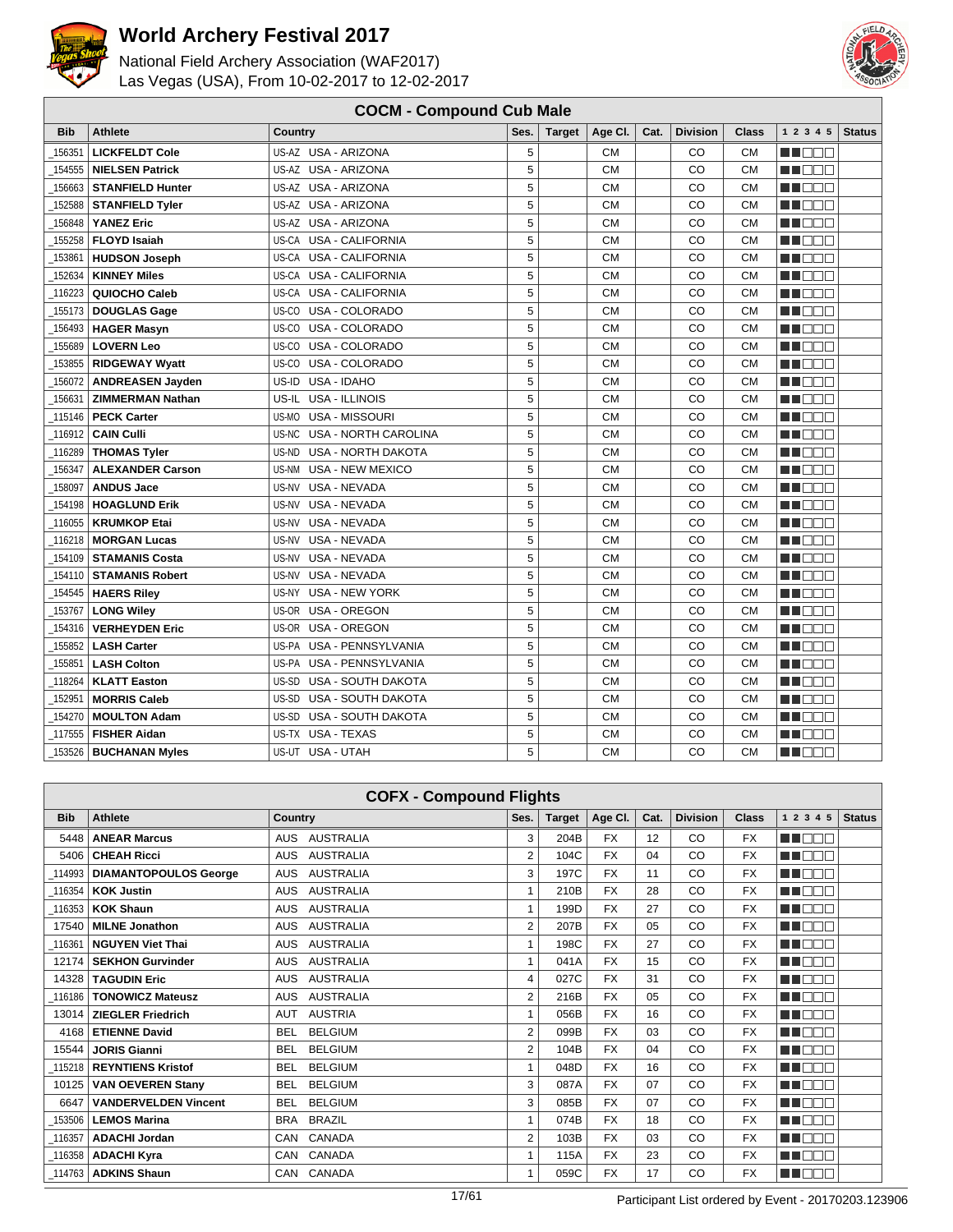



|            | <b>COCM - Compound Cub Male</b> |                                      |      |               |           |      |                 |           |            |               |  |
|------------|---------------------------------|--------------------------------------|------|---------------|-----------|------|-----------------|-----------|------------|---------------|--|
| <b>Bib</b> | <b>Athlete</b>                  | Country                              | Ses. | <b>Target</b> | Age CI.   | Cat. | <b>Division</b> | Class     | 1 2 3 4 5  | <b>Status</b> |  |
| 156351     | <b>LICKFELDT Cole</b>           | US-AZ USA - ARIZONA                  | 5    |               | <b>CM</b> |      | CO              | <b>CM</b> | n na m     |               |  |
| 154555     | <b>NIELSEN Patrick</b>          | US-AZ USA - ARIZONA                  | 5    |               | <b>CM</b> |      | CO              | <b>CM</b> | n i De E   |               |  |
| 156663     | <b>STANFIELD Hunter</b>         | US-AZ USA - ARIZONA                  | 5    |               | <b>CM</b> |      | CO              | <b>CM</b> | MN OO B    |               |  |
| 152588     | <b>STANFIELD Tyler</b>          | US-AZ USA - ARIZONA                  | 5    |               | <b>CM</b> |      | CO              | <b>CM</b> | MA DO O    |               |  |
| 156848     | <b>YANEZ Eric</b>               | <b>USA - ARIZONA</b><br>US-AZ        | 5    |               | <b>CM</b> |      | CO              | <b>CM</b> | M DE B     |               |  |
| 155258     | <b>FLOYD Isaiah</b>             | US-CA<br><b>USA - CALIFORNIA</b>     | 5    |               | <b>CM</b> |      | CO              | <b>CM</b> | n i De E   |               |  |
| 153861     | <b>HUDSON Joseph</b>            | <b>USA - CALIFORNIA</b><br>US-CA     | 5    |               | <b>CM</b> |      | CO              | <b>CM</b> | n nooc     |               |  |
| 152634     | <b>KINNEY Miles</b>             | <b>USA - CALIFORNIA</b><br>US-CA     | 5    |               | <b>CM</b> |      | CO              | <b>CM</b> | MA DO O    |               |  |
| 116223     | QUIOCHO Caleb                   | <b>USA - CALIFORNIA</b><br>US-CA     | 5    |               | <b>CM</b> |      | CO              | <b>CM</b> | n de e     |               |  |
| 155173     | <b>DOUGLAS Gage</b>             | USA - COLORADO<br>US-CO              | 5    |               | <b>CM</b> |      | CO              | <b>CM</b> | n i De E   |               |  |
| 156493     | <b>HAGER Masyn</b>              | USA - COLORADO<br>US-CO              | 5    |               | <b>CM</b> |      | CO              | <b>CM</b> | M BEE      |               |  |
| 155689     | <b>LOVERN Leo</b>               | US-CO<br>USA - COLORADO              | 5    |               | <b>CM</b> |      | CO              | <b>CM</b> | n de s     |               |  |
| 153855     | <b>RIDGEWAY Wyatt</b>           | USA - COLORADO<br>US-CO              | 5    |               | СM        |      | CO              | <b>CM</b> | n i Biblio |               |  |
| 156072     | <b>ANDREASEN Jayden</b>         | USA - IDAHO<br>US-ID                 | 5    |               | <b>CM</b> |      | CO              | <b>CM</b> | man ma     |               |  |
| 156631     | <b>ZIMMERMAN Nathan</b>         | US-IL<br><b>USA - ILLINOIS</b>       | 5    |               | <b>CM</b> |      | CO              | <b>CM</b> | H EET      |               |  |
| 115146     | <b>PECK Carter</b>              | US-MO<br><b>USA - MISSOURI</b>       | 5    |               | <b>CM</b> |      | CO              | <b>CM</b> | n nooc     |               |  |
| 116912     | <b>CAIN Culli</b>               | US-NC<br><b>USA - NORTH CAROLINA</b> | 5    |               | <b>CM</b> |      | CO              | <b>CM</b> | n na na    |               |  |
| 116289     | <b>THOMAS Tyler</b>             | <b>USA - NORTH DAKOTA</b><br>US-ND   | 5    |               | <b>CM</b> |      | CO              | <b>CM</b> | M DE B     |               |  |
| 156347     | <b>ALEXANDER Carson</b>         | US-NM<br>USA - NEW MEXICO            | 5    |               | <b>CM</b> |      | CO              | <b>CM</b> | n i De E   |               |  |
| 158097     | <b>ANDUS Jace</b>               | US-NV<br>USA - NEVADA                | 5    |               | <b>CM</b> |      | CO              | <b>CM</b> | n nooc     |               |  |
| 154198     | <b>HOAGLUND Erik</b>            | <b>USA - NEVADA</b><br>US-NV         | 5    |               | <b>CM</b> |      | CO              | <b>CM</b> | MA DEL     |               |  |
| 116055     | <b>KRUMKOP Etai</b>             | <b>USA - NEVADA</b><br>US-NV         | 5    |               | <b>CM</b> |      | CO              | <b>CM</b> | n din Film |               |  |
| 116218     | <b>MORGAN Lucas</b>             | <b>USA - NEVADA</b><br>US-NV         | 5    |               | <b>CM</b> |      | CO              | <b>CM</b> | n i De E   |               |  |
| 154109     | <b>STAMANIS Costa</b>           | <b>USA - NEVADA</b><br>US-NV         | 5    |               | <b>CM</b> |      | CO              | <b>CM</b> | n nooc     |               |  |
| 154110     | <b>STAMANIS Robert</b>          | USA - NEVADA<br>US-NV                | 5    |               | <b>CM</b> |      | CO              | <b>CM</b> | n noo      |               |  |
| 154545     | <b>HAERS Riley</b>              | <b>USA - NEW YORK</b><br>US-NY       | 5    |               | <b>CM</b> |      | CO              | <b>CM</b> | MA NA MA   |               |  |
| 153767     | <b>LONG Wiley</b>               | <b>USA - OREGON</b><br>US-OR         | 5    |               | <b>CM</b> |      | CO              | <b>CM</b> | man man    |               |  |
| 154316     | <b>VERHEYDEN Eric</b>           | <b>USA - OREGON</b><br>US-OR         | 5    |               | <b>CM</b> |      | CO              | <b>CM</b> | n nooc     |               |  |
| 155852     | <b>LASH Carter</b>              | US-PA<br>USA - PENNSYLVANIA          | 5    |               | <b>CM</b> |      | CO              | <b>CM</b> | MN DOB     |               |  |
| 155851     | <b>LASH Colton</b>              | USA - PENNSYLVANIA<br>US-PA          | 5    |               | <b>CM</b> |      | CO              | <b>CM</b> | MA NA MA   |               |  |
| 118264     | <b>KLATT Easton</b>             | <b>USA - SOUTH DAKOTA</b><br>US-SD   | 5    |               | <b>CM</b> |      | CO              | <b>CM</b> | MA DE E    |               |  |
| 152951     | <b>MORRIS Caleb</b>             | US-SD<br>USA - SOUTH DAKOTA          | 5    |               | <b>CM</b> |      | CO              | <b>CM</b> | n nooc     |               |  |
| 154270     | <b>MOULTON Adam</b>             | USA - SOUTH DAKOTA<br>US-SD          | 5    |               | <b>CM</b> |      | CO              | <b>CM</b> | MN 888     |               |  |
| 117555     | <b>FISHER Aidan</b>             | US-TX USA - TEXAS                    | 5    |               | <b>CM</b> |      | CO              | <b>CM</b> | n de e     |               |  |
| 153526     | <b>BUCHANAN Myles</b>           | US-UT USA - UTAH                     | 5    |               | <b>CM</b> |      | CO              | <b>CM</b> | n i De E   |               |  |

|            | <b>COFX - Compound Flights</b> |                                |                |               |           |      |                 |              |               |               |  |  |
|------------|--------------------------------|--------------------------------|----------------|---------------|-----------|------|-----------------|--------------|---------------|---------------|--|--|
| <b>Bib</b> | <b>Athlete</b>                 | <b>Country</b>                 | Ses.           | <b>Target</b> | Age CI.   | Cat. | <b>Division</b> | <b>Class</b> | 1 2 3 4 5     | <b>Status</b> |  |  |
| 5448       | <b>ANEAR Marcus</b>            | AUS AUSTRALIA                  | 3              | 204B          | <b>FX</b> | 12   | CO              | <b>FX</b>    | MA NA T       |               |  |  |
| 5406       | <b>CHEAH Ricci</b>             | <b>AUSTRALIA</b><br><b>AUS</b> | 2              | 104C          | <b>FX</b> | 04   | CO              | <b>FX</b>    | man man       |               |  |  |
| 114993     | <b>DIAMANTOPOULOS George</b>   | <b>AUSTRALIA</b><br><b>AUS</b> | 3              | 197C          | <b>FX</b> | 11   | CO              | <b>FX</b>    | MA E E E      |               |  |  |
| 116354     | <b>KOK Justin</b>              | AUSTRALIA<br><b>AUS</b>        |                | 210B          | <b>FX</b> | 28   | CO              | <b>FX</b>    | ME E E E      |               |  |  |
| 116353     | <b>KOK Shaun</b>               | <b>AUSTRALIA</b><br><b>AUS</b> |                | 199D          | <b>FX</b> | 27   | CO              | <b>FX</b>    | M DE E        |               |  |  |
| 17540      | <b>MILNE Jonathon</b>          | <b>AUSTRALIA</b><br><b>AUS</b> | $\overline{2}$ | 207B          | <b>FX</b> | 05   | CO              | <b>FX</b>    | man man       |               |  |  |
| 116361     | <b>NGUYEN Viet Thai</b>        | <b>AUSTRALIA</b><br><b>AUS</b> |                | 198C          | <b>FX</b> | 27   | CO              | <b>FX</b>    | MA BEL        |               |  |  |
| 12174      | <b>SEKHON Gurvinder</b>        | <b>AUSTRALIA</b><br><b>AUS</b> | 1              | 041A          | <b>FX</b> | 15   | CO              | <b>FX</b>    | MT DE E       |               |  |  |
| 14328      | <b>TAGUDIN Eric</b>            | <b>AUSTRALIA</b><br><b>AUS</b> | 4              | 027C          | <b>FX</b> | 31   | CO              | <b>FX</b>    | ma de e       |               |  |  |
| 116186     | <b>TONOWICZ Mateusz</b>        | <b>AUSTRALIA</b><br><b>AUS</b> | 2              | 216B          | <b>FX</b> | 05   | CO              | <b>FX</b>    | MN DE O       |               |  |  |
| 13014      | <b>ZIEGLER Friedrich</b>       | <b>AUSTRIA</b><br><b>AUT</b>   |                | 056B          | <b>FX</b> | 16   | CO              | <b>FX</b>    | man ma        |               |  |  |
| 4168       | <b>ETIENNE David</b>           | <b>BELGIUM</b><br><b>BEL</b>   | $\overline{2}$ | 099B          | <b>FX</b> | 03   | CO              | <b>FX</b>    | NN DE E       |               |  |  |
| 15544      | <b>JORIS Gianni</b>            | <b>BELGIUM</b><br>BEL          | 2              | 104B          | <b>FX</b> | 04   | CO              | <b>FX</b>    | MA DE E       |               |  |  |
| 115218     | <b>REYNTIENS Kristof</b>       | <b>BELGIUM</b><br><b>BEL</b>   |                | 048D          | <b>FX</b> | 16   | CO              | <b>FX</b>    | <b>REFERE</b> |               |  |  |
| 10125      | <b>VAN OEVEREN Stany</b>       | <b>BELGIUM</b><br><b>BEL</b>   | 3              | 087A          | <b>FX</b> | 07   | CO              | <b>FX</b>    | man man       |               |  |  |
| 6647       | <b>VANDERVELDEN Vincent</b>    | <b>BELGIUM</b><br><b>BEL</b>   | 3              | 085B          | <b>FX</b> | 07   | CO              | <b>FX</b>    | MA E E E      |               |  |  |
| 153506     | <b>LEMOS Marina</b>            | <b>BRAZIL</b><br><b>BRA</b>    | 1              | 074B          | <b>FX</b> | 18   | CO              | <b>FX</b>    | MA DEL        |               |  |  |
| 116357     | <b>ADACHI Jordan</b>           | CANADA<br>CAN                  | 2              | 103B          | <b>FX</b> | 03   | CO              | <b>FX</b>    | MA DE L       |               |  |  |
| 116358     | <b>ADACHI Kyra</b>             | CANADA<br>CAN                  |                | 115A          | <b>FX</b> | 23   | CO              | <b>FX</b>    | man man       |               |  |  |
| 114763     | <b>ADKINS Shaun</b>            | CANADA<br>CAN                  | 1              | 059C          | <b>FX</b> | 17   | CO              | <b>FX</b>    | MU OOO        |               |  |  |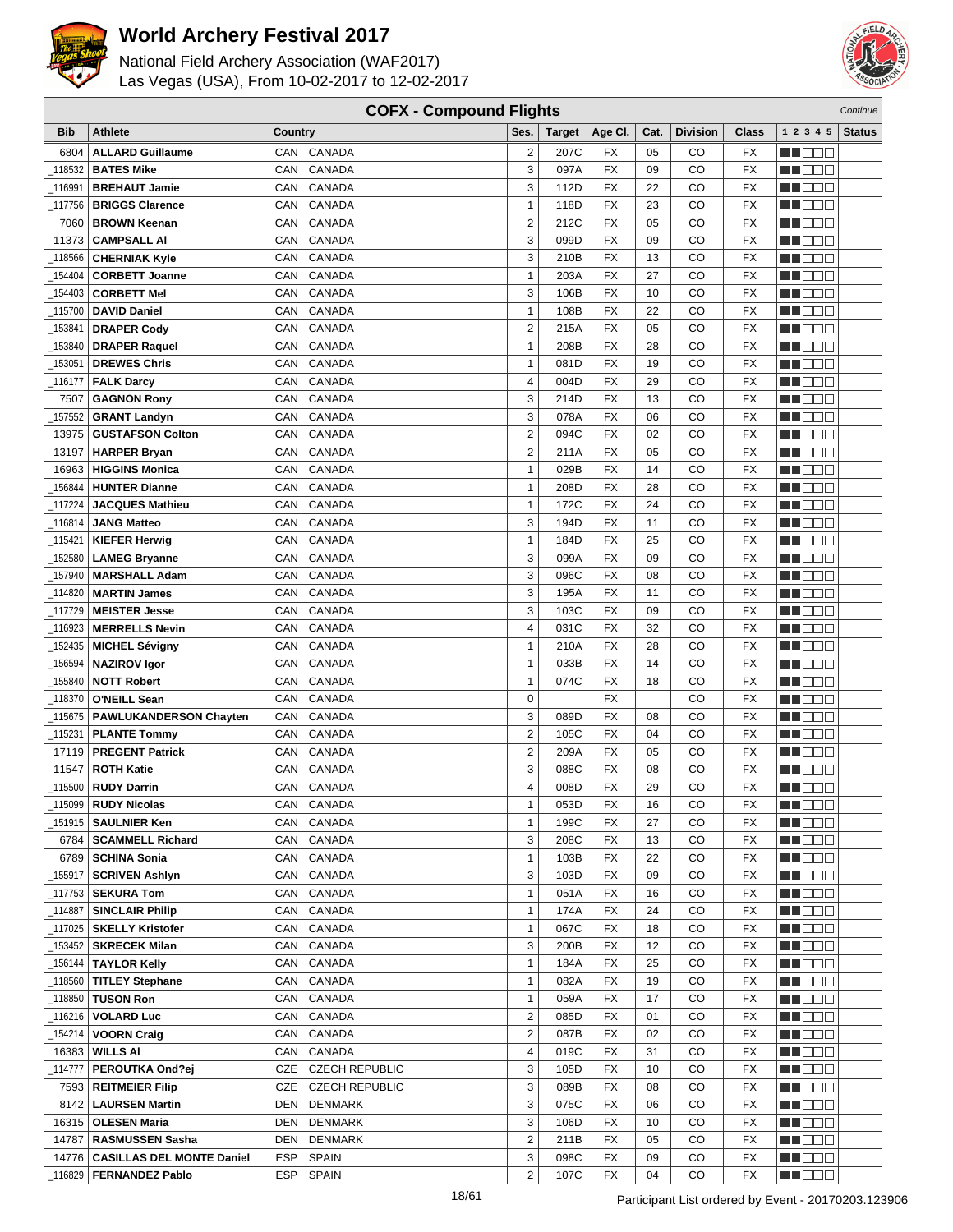



|            | <b>COFX - Compound Flights</b><br>Continue |                      |                         |               |           |      |                 |           |                  |               |
|------------|--------------------------------------------|----------------------|-------------------------|---------------|-----------|------|-----------------|-----------|------------------|---------------|
| <b>Bib</b> | Athlete                                    | Country              | Ses.                    | <b>Target</b> | Age CI.   | Cat. | <b>Division</b> | Class     | 1 2 3 4 5        | <b>Status</b> |
| 6804       | <b>ALLARD Guillaume</b>                    | CAN CANADA           | 2                       | 207C          | <b>FX</b> | 05   | CO              | <b>FX</b> | HEER             |               |
| 118532     | <b>BATES Mike</b>                          | CANADA<br><b>CAN</b> | 3                       | 097A          | <b>FX</b> | 09   | CO              | <b>FX</b> | M DO B           |               |
| 116991     | <b>BREHAUT Jamie</b>                       | CANADA<br>CAN        | 3                       | 112D          | <b>FX</b> | 22   | CO              | <b>FX</b> | MN 888           |               |
| 117756     |                                            | CANADA<br>CAN        | $\mathbf{1}$            | 118D          | <b>FX</b> | 23   | CO              | <b>FX</b> |                  |               |
|            | <b>BRIGGS Clarence</b>                     |                      |                         |               |           | 05   |                 |           | MT DE E          |               |
| 7060       | <b>BROWN Keenan</b>                        | CANADA<br>CAN        | $\overline{\mathbf{c}}$ | 212C          | <b>FX</b> |      | CO              | <b>FX</b> | M DE B           |               |
| 11373      | <b>CAMPSALL AI</b>                         | CANADA<br>CAN        | 3                       | 099D          | <b>FX</b> | 09   | CO              | <b>FX</b> | M DO B           |               |
| 118566     | <b>CHERNIAK Kyle</b>                       | CANADA<br>CAN        | 3                       | 210B          | <b>FX</b> | 13   | CO              | <b>FX</b> | M OO U           |               |
| 154404     | <b>CORBETT Joanne</b>                      | CANADA<br>CAN        | $\mathbf{1}$            | 203A          | <b>FX</b> | 27   | CO              | <b>FX</b> | ME E E E         |               |
| 154403     | <b>CORBETT Mel</b>                         | CANADA<br>CAN        | 3                       | 106B          | <b>FX</b> | 10   | CO              | <b>FX</b> | MO DO O          |               |
| 115700     | <b>DAVID Daniel</b>                        | <b>CANADA</b><br>CAN | 1                       | 108B          | <b>FX</b> | 22   | CO              | <b>FX</b> | MA DE S          |               |
| 153841     | <b>DRAPER Cody</b>                         | CANADA<br>CAN        | $\overline{\mathbf{c}}$ | 215A          | <b>FX</b> | 05   | CO              | <b>FX</b> | M O O O          |               |
| 153840     | <b>DRAPER Raquel</b>                       | CANADA<br>CAN        | $\mathbf{1}$            | 208B          | <b>FX</b> | 28   | CO              | <b>FX</b> | MN 888           |               |
| 153051     | <b>DREWES Chris</b>                        | CANADA<br>CAN        | $\mathbf{1}$            | 081D          | <b>FX</b> | 19   | CO              | <b>FX</b> | n i Biblio       |               |
| 116177     | <b>FALK Darcy</b>                          | CANADA<br>CAN        | 4                       | 004D          | <b>FX</b> | 29   | CO              | <b>FX</b> | MA DE C          |               |
| 7507       | <b>GAGNON Rony</b>                         | CANADA<br>CAN        | 3                       | 214D          | <b>FX</b> | 13   | CO              | <b>FX</b> | MU DO B          |               |
| 157552     | <b>GRANT Landyn</b>                        | CANADA<br>CAN        | 3                       | 078A          | <b>FX</b> | 06   | CO              | <b>FX</b> | M DE O           |               |
| 13975      | <b>GUSTAFSON Colton</b>                    | CANADA<br>CAN        | $\overline{\mathbf{c}}$ | 094C          | <b>FX</b> | 02   | CO              | <b>FX</b> | MA DE L          |               |
| 13197      | <b>HARPER Bryan</b>                        | CANADA<br>CAN        | $\overline{\mathbf{c}}$ | 211A          | <b>FX</b> | 05   | CO              | <b>FX</b> | ME DE S          |               |
| 16963      | <b>HIGGINS Monica</b>                      | CANADA<br>CAN        | 1                       | 029B          | <b>FX</b> | 14   | CO              | <b>FX</b> | MU OO O          |               |
| 156844     | <b>HUNTER Dianne</b>                       | CANADA<br>CAN        | $\mathbf{1}$            | 208D          | <b>FX</b> | 28   | CO              | <b>FX</b> | MOOO             |               |
| 117224     | <b>JACQUES Mathieu</b>                     | CANADA<br>CAN        | $\mathbf{1}$            | 172C          | <b>FX</b> | 24   | CO              | <b>FX</b> | MU DO O          |               |
| 116814     | <b>JANG Matteo</b>                         | CANADA<br>CAN        | 3                       | 194D          | <b>FX</b> | 11   | CO              | <b>FX</b> | N NO DE          |               |
| 115421     | <b>KIEFER Herwig</b>                       | CANADA<br>CAN        | 1                       | 184D          | <b>FX</b> | 25   | CO              | <b>FX</b> | M DO B           |               |
| 152580     | <b>LAMEG Bryanne</b>                       | CANADA<br>CAN        | 3                       | 099A          | <b>FX</b> | 09   | CO              | <b>FX</b> | M OO U           |               |
| 157940     | <b>MARSHALL Adam</b>                       | CANADA<br>CAN        | 3                       | 096C          | <b>FX</b> | 08   | CO              | <b>FX</b> | MA BEL           |               |
| 114820     | <b>MARTIN James</b>                        | CANADA<br>CAN        | 3                       | 195A          | <b>FX</b> | 11   | CO              | <b>FX</b> | M DOO            |               |
| 117729     | <b>MEISTER Jesse</b>                       | CANADA<br>CAN        | 3                       | 103C          | <b>FX</b> | 09   | CO              | <b>FX</b> | MA DE S          |               |
| 116923     | <b>MERRELLS Nevin</b>                      | CANADA<br>CAN        | 4                       | 031C          | <b>FX</b> | 32   | CO              | <b>FX</b> | MU OO O          |               |
| 152435     | <b>MICHEL Sévigny</b>                      | CANADA<br>CAN        | $\mathbf{1}$            | 210A          | <b>FX</b> | 28   | CO              | <b>FX</b> | n i BBC          |               |
| 156594     | <b>NAZIROV Igor</b>                        | CANADA<br>CAN        | $\mathbf{1}$            | 033B          | <b>FX</b> | 14   | CO              | <b>FX</b> | MA DE E          |               |
| 155840     | <b>NOTT Robert</b>                         | CANADA<br>CAN        | $\mathbf{1}$            | 074C          | <b>FX</b> | 18   | CO              | <b>FX</b> | MA DE C          |               |
| 118370     | O'NEILL Sean                               | CANADA<br>CAN        | $\mathbf 0$             |               | <b>FX</b> |      | CO              | <b>FX</b> | MU DO B          |               |
| _115675    | <b>PAWLUKANDERSON Chayten</b>              | CANADA<br>CAN        | 3                       | 089D          | <b>FX</b> | 08   | CO              | <b>FX</b> | MA OO B          |               |
| 115231     | <b>PLANTE Tommy</b>                        | CANADA<br>CAN        | $\overline{2}$          | 105C          | <b>FX</b> | 04   | CO              | <b>FX</b> | MA DO O          |               |
| 17119      | <b>PREGENT Patrick</b>                     | CANADA<br>CAN        | 2                       | 209A          | <b>FX</b> | 05   | CO              | <b>FX</b> | n i De E         |               |
| 11547      | <b>ROTH Katie</b>                          | CANADA<br>CAN        | 3                       | 088C          | <b>FX</b> | 08   | CO              | <b>FX</b> | M D D D          |               |
| 115500     | <b>RUDY Darrin</b>                         | CAN CANADA           | 4                       | 008D          | <b>FX</b> | 29   | CO              | <b>FX</b> | MN 888           |               |
|            |                                            | CAN CANADA           | 1                       | 053D          | FX        | 16   | CO              | FX        | MOOD I           |               |
| _151915    | <b>SAULNIER Ken</b>                        | CAN CANADA           | $\mathbf{1}$            | 199C          | FX        | 27   | CO              | FX        | M DE S           |               |
|            | 6784   SCAMMELL Richard                    | CANADA<br>CAN        | 3                       | 208C          | FX        | 13   | CO              | FX        | W OOO            |               |
|            | 6789   SCHINA Sonia                        | CAN CANADA           | $\mathbf{1}$            | 103B          | FX        | 22   | CO              | FX        | MUOOO            |               |
| 155917_    | <b>SCRIVEN Ashlyn</b>                      | CANADA<br>CAN        | 3                       | 103D          | FX        | 09   | CO              | FX        | NN O O O         |               |
| _117753    | <b>SEKURA Tom</b>                          | CANADA<br>CAN        | $\mathbf{1}$            | 051A          | FX        | 16   | CO              | FX        | <u> Literatu</u> |               |
| _114887    | <b>SINCLAIR Philip</b>                     | CAN CANADA           | $\mathbf{1}$            | 174A          | FX        | 24   | CO              | FX        | MU DO DI         |               |
| 117025     | <b>SKELLY Kristofer</b>                    | CAN CANADA           | $\mathbf{1}$            | 067C          | FX        | 18   | CO              | FX        | N DO O           |               |
| _153452    | <b>SKRECEK Milan</b>                       | CAN CANADA           | 3                       | 200B          | FX        | 12   | CO              | FX        | NN OO D          |               |
| _156144    | <b>TAYLOR Kelly</b>                        | CAN CANADA           | $\mathbf{1}$            | 184A          | FX        | 25   | CO              | FX        | <u>Li de la</u>  |               |
| _118560    | <b>TITLEY Stephane</b>                     | CAN CANADA           | $\mathbf{1}$            | 082A          | FX        | 19   | CO              | FX        | <u>Li de l</u>   |               |
|            | 118850   TUSON Ron                         | CAN CANADA           | $\mathbf{1}$            | 059A          | FX        | 17   | CO              | FX        | M OOO            |               |
|            | <b>VOLARD Luc</b>                          | CAN CANADA           | $\overline{2}$          | 085D          | FX        | 01   | CO              | FX        | M DE S           |               |
| 154214     | <b>VOORN Craig</b>                         | CANADA<br>CAN        | $\overline{2}$          | 087B          | FX        | 02   | CO              | FX        | N NO DEI         |               |
| 16383      | <b>WILLS AI</b>                            | CAN CANADA           | 4                       | 019C          | FX        | 31   | CO              | FX        | <u>LI OOD</u>    |               |
| _114777    | PEROUTKA Ond?ej                            | CZE CZECH REPUBLIC   | 3                       | 105D          | FX        | 10   | CO              | FX        | MU O O O         |               |
| 7593       | <b>REITMEIER Filip</b>                     | CZE CZECH REPUBLIC   | 3                       | 089B          | FX        | 08   | CO              | FX        | MA KATA          |               |
| 8142       | <b>LAURSEN Martin</b>                      | DEN DENMARK          | 3                       | 075C          | FX        | 06   | CO              | FX        | ME DE L'         |               |
|            | 16315   OLESEN Maria                       | DEN DENMARK          | 3                       | 106D          | FX        | 10   | CO              | FX        |                  |               |
|            |                                            | DEN DENMARK          | $\boldsymbol{2}$        |               | FX        | 05   | CO              | FX        | <u>Li dec</u>    |               |
| 14787      | <b>RASMUSSEN Sasha</b>                     |                      | 3                       | 211B          | FX        |      |                 |           | WO OO U          |               |
| 14776      | <b>CASILLAS DEL MONTE Daniel</b>           | <b>SPAIN</b><br>ESP  |                         | 098C          |           | 09   | CO              | FX        | MOO D            |               |
| 116829     | <b>FERNANDEZ Pablo</b>                     | ESP<br><b>SPAIN</b>  | $\overline{2}$          | 107C          | FX        | 04   | CO              | FX        | <u>in ja sis</u> |               |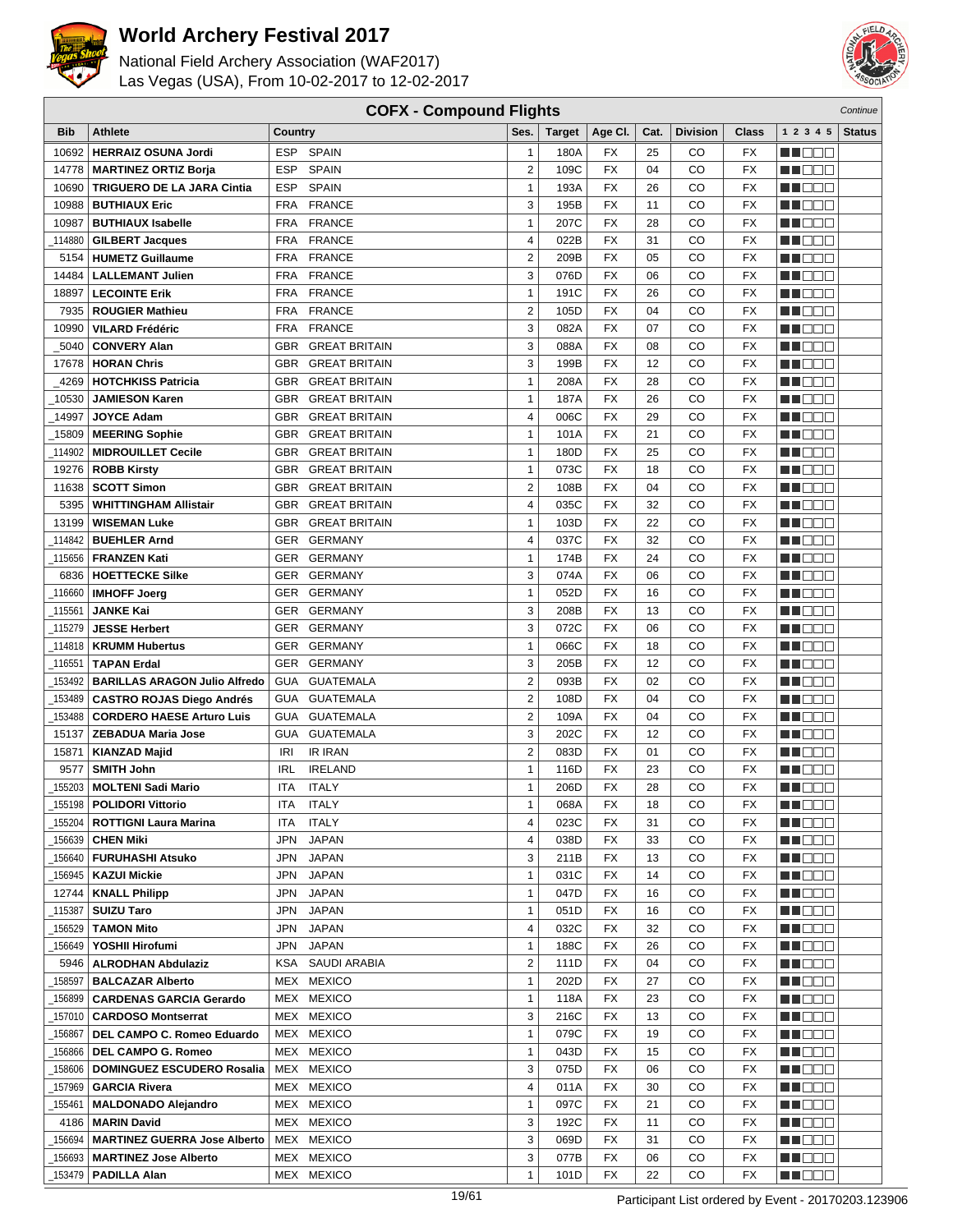



|            | <b>COFX - Compound Flights</b><br>Continue |            |                      |                  |               |           |          |                 |              |                   |               |
|------------|--------------------------------------------|------------|----------------------|------------------|---------------|-----------|----------|-----------------|--------------|-------------------|---------------|
| <b>Bib</b> | <b>Athlete</b>                             | Country    |                      | Ses.             | <b>Target</b> | Age CI.   | Cat.     | <b>Division</b> | <b>Class</b> | 1 2 3 4 5         | <b>Status</b> |
| 10692      | <b>HERRAIZ OSUNA Jordi</b>                 | <b>ESP</b> | <b>SPAIN</b>         | 1                | 180A          | FX        | 25       | <b>CO</b>       | <b>FX</b>    | n na m            |               |
| 14778      | <b>MARTINEZ ORTIZ Borja</b>                | <b>ESP</b> | <b>SPAIN</b>         | $\overline{2}$   | 109C          | <b>FX</b> | 04       | CO              | <b>FX</b>    | M DO B            |               |
| 10690      | <b>TRIGUERO DE LA JARA Cintia</b>          | <b>ESP</b> | <b>SPAIN</b>         | $\mathbf{1}$     | 193A          | <b>FX</b> | 26       | CO              | <b>FX</b>    | MU DOO            |               |
| 10988      | <b>BUTHIAUX Eric</b>                       | <b>FRA</b> | <b>FRANCE</b>        | 3                | 195B          | <b>FX</b> | 11       | CO              | <b>FX</b>    | MOOO              |               |
| 10987      | <b>BUTHIAUX Isabelle</b>                   | <b>FRA</b> | <b>FRANCE</b>        | 1                | 207C          | <b>FX</b> | 28       | CO              | <b>FX</b>    | HI EEE            |               |
| 114880     | <b>GILBERT Jacques</b>                     | <b>FRA</b> | <b>FRANCE</b>        | 4                | 022B          | <b>FX</b> | 31       | CO              | <b>FX</b>    | n i De E          |               |
| 5154       | <b>HUMETZ Guillaume</b>                    | <b>FRA</b> | <b>FRANCE</b>        | $\overline{2}$   | 209B          | <b>FX</b> | 05       | CO              | <b>FX</b>    | MN 888            |               |
| 14484      | <b>LALLEMANT Julien</b>                    | <b>FRA</b> | <b>FRANCE</b>        | 3                | 076D          | <b>FX</b> | 06       | CO              | <b>FX</b>    | M DOO             |               |
| 18897      | <b>LECOINTE Erik</b>                       | <b>FRA</b> | <b>FRANCE</b>        | $\mathbf{1}$     | 191C          | <b>FX</b> | 26       | CO              | <b>FX</b>    | n i Bele          |               |
| 7935       | <b>ROUGIER Mathieu</b>                     | <b>FRA</b> | <b>FRANCE</b>        | $\overline{2}$   | 105D          | FX        | 04       | CO              | FX           | ME BEL            |               |
| 10990      | <b>VILARD Frédéric</b>                     | <b>FRA</b> | <b>FRANCE</b>        | 3                | 082A          | <b>FX</b> | 07       | CO              | <b>FX</b>    | MU DO B           |               |
| 5040       | <b>CONVERY Alan</b>                        | <b>GBR</b> | <b>GREAT BRITAIN</b> | 3                | 088A          | <b>FX</b> | 08       | CO              | <b>FX</b>    | MN D D D          |               |
| 17678      | <b>HORAN Chris</b>                         | <b>GBR</b> | <b>GREAT BRITAIN</b> | 3                | 199B          | <b>FX</b> | 12       | CO              | <b>FX</b>    | MA DE S           |               |
| 4269       | <b>HOTCHKISS Patricia</b>                  | <b>GBR</b> | <b>GREAT BRITAIN</b> | $\mathbf{1}$     | 208A          | <b>FX</b> | 28       | CO              | <b>FX</b>    | <u> a se es</u>   |               |
| 10530      | <b>JAMIESON Karen</b>                      | <b>GBR</b> | <b>GREAT BRITAIN</b> | $\mathbf{1}$     | 187A          | <b>FX</b> | 26       | CO              | <b>FX</b>    | MU DO B           |               |
| 14997      | <b>JOYCE Adam</b>                          | <b>GBR</b> | <b>GREAT BRITAIN</b> | 4                | 006C          | <b>FX</b> | 29       | CO              | <b>FX</b>    | n de s            |               |
| 15809      | <b>MEERING Sophie</b>                      | <b>GBR</b> | <b>GREAT BRITAIN</b> | $\mathbf{1}$     | 101A          | <b>FX</b> | 21       | CO              | <b>FX</b>    | M DOO             |               |
| 114902     | <b>MIDROUILLET Cecile</b>                  | <b>GBR</b> | <b>GREAT BRITAIN</b> | $\mathbf{1}$     | 180D          | <b>FX</b> | 25       | CO              | <b>FX</b>    | man man           |               |
| 19276      | <b>ROBB Kirsty</b>                         | <b>GBR</b> | <b>GREAT BRITAIN</b> | $\mathbf{1}$     | 073C          | FX        | 18       | CO              | FX           | M DO B            |               |
| 11638      | <b>SCOTT Simon</b>                         | <b>GBR</b> | <b>GREAT BRITAIN</b> | $\overline{2}$   | 108B          | <b>FX</b> | 04       | CO              | <b>FX</b>    | MN 888            |               |
| 5395       | <b>WHITTINGHAM Allistair</b>               | <b>GBR</b> | <b>GREAT BRITAIN</b> | 4                | 035C          | <b>FX</b> | 32       | CO              | <b>FX</b>    | MN D D D          |               |
| 13199      | <b>WISEMAN Luke</b>                        | <b>GBR</b> | <b>GREAT BRITAIN</b> | $\mathbf{1}$     | 103D          | <b>FX</b> | 22       | CO              | <b>FX</b>    | n i Bele          |               |
| 114842     | <b>BUEHLER Arnd</b>                        | <b>GER</b> | <b>GERMANY</b>       | 4                | 037C          | <b>FX</b> | 32       | CO              | <b>FX</b>    | M D D D           |               |
| 115656     | <b>FRANZEN Kati</b>                        | <b>GER</b> | <b>GERMANY</b>       | $\mathbf{1}$     | 174B          | <b>FX</b> | 24       | CO              | <b>FX</b>    | MA E E E          |               |
| 6836       | <b>HOETTECKE Silke</b>                     | <b>GER</b> | <b>GERMANY</b>       | 3                | 074A          | <b>FX</b> | 06       | CO              | <b>FX</b>    | MN 888            |               |
| 116660     | <b>IMHOFF Joerg</b>                        | <b>GER</b> | <b>GERMANY</b>       | $\mathbf{1}$     | 052D          | <b>FX</b> | 16       | CO              | <b>FX</b>    | n i Bele          |               |
| 115561     | <b>JANKE Kai</b>                           | GER        | <b>GERMANY</b>       | 3                | 208B          | <b>FX</b> | 13       | CO              | <b>FX</b>    | n i De E          |               |
| 115279     | <b>JESSE Herbert</b>                       | <b>GER</b> | <b>GERMANY</b>       | 3                | 072C          | <b>FX</b> | 06       | CO              | <b>FX</b>    | MU DO B           |               |
| 114818     | <b>KRUMM Hubertus</b>                      | <b>GER</b> | <b>GERMANY</b>       | $\mathbf{1}$     | 066C          | <b>FX</b> | 18       | CO              | <b>FX</b>    | MN OO B           |               |
| 116551     | <b>TAPAN Erdal</b>                         | <b>GER</b> | <b>GERMANY</b>       | 3                | 205B          | <b>FX</b> | 12       | CO              | <b>FX</b>    | MO DO O           |               |
| 153492     | <b>BARILLAS ARAGON Julio Alfredo</b>       | <b>GUA</b> | <b>GUATEMALA</b>     | $\overline{2}$   | 093B          | <b>FX</b> | 02       | CO              | <b>FX</b>    | MU DO O           |               |
| 153489     | <b>CASTRO ROJAS Diego Andrés</b>           | <b>GUA</b> | <b>GUATEMALA</b>     | $\overline{c}$   | 108D          | <b>FX</b> | 04       | CO              | <b>FX</b>    | MA OO B           |               |
| 153488     | <b>CORDERO HAESE Arturo Luis</b>           | <b>GUA</b> | <b>GUATEMALA</b>     | $\overline{c}$   | 109A          | <b>FX</b> | 04       | CO              | <b>FX</b>    | MA OO B           |               |
| 15137      | <b>ZEBADUA Maria Jose</b>                  | <b>GUA</b> | <b>GUATEMALA</b>     | 3                | 202C          | <b>FX</b> | 12       | CO              | <b>FX</b>    | n na na           |               |
| 15871      | <b>KIANZAD Majid</b>                       | IRI        | <b>IR IRAN</b>       | $\overline{2}$   | 083D          | FX        | 01       | CO              | <b>FX</b>    | n i De E          |               |
| 9577       | <b>SMITH John</b>                          | <b>IRL</b> | <b>IRELAND</b>       | $\mathbf{1}$     | 116D          | <b>FX</b> | 23       | CO              | FX           | M DO D            |               |
| 155203     | <b>MOLTENI Sadi Mario</b>                  | <b>ITA</b> | <b>ITALY</b>         | $\mathbf{1}$     | 206D          | <b>FX</b> | 28       | CO              | <b>FX</b>    | MN 888            |               |
|            | 155198   POLIDORI Vittorio                 | ITA.       | ITALY                | 1                | 068A          | FX        | 18       | CO              | FX           | <u> Literatu</u>  |               |
| 155204     | <b>ROTTIGNI Laura Marina</b>               | ITA        | <b>ITALY</b>         | 4                | 023C          | FX        | 31       | CO              | FX           | MA DE E           |               |
| _156639    | <b>CHEN Miki</b>                           | JPN        | <b>JAPAN</b>         | 4                | 038D          | FX        | 33       | CO              | FX           | M DOO             |               |
|            | <sub>_</sub> 156640   FURUHASHI Atsuko     | JPN        | <b>JAPAN</b>         | 3                | 211B          | FX        | 13       | CO              | FX           | ME E E            |               |
| _156945    | <b>KAZUI Mickie</b>                        | JPN        | <b>JAPAN</b>         | 1                | 031C          | FX        | 14       | CO              | FX           | MUOOO             |               |
| 12744      | <b>KNALL Philipp</b>                       | JPN        | <b>JAPAN</b>         | $\mathbf{1}$     | 047D          | FX        | 16       | CO              | FX           | n i Biblio        |               |
| 115387     | <b>SUIZU Taro</b>                          | JPN        | <b>JAPAN</b>         | $\mathbf{1}$     | 051D          | FX        | 16       | CO              | FX           | MU DO D           |               |
| 156529     | <b>TAMON Mito</b>                          | JPN        | <b>JAPAN</b>         | 4                | 032C          | FX        | 32       | CO              | FX           | WU 88             |               |
| 156649     | YOSHII Hirofumi                            | JPN        | <b>JAPAN</b>         | $\mathbf{1}$     | 188C          | FX        | 26       | CO              | FX           | <u>in ja sis</u>  |               |
| 5946       | <b>ALRODHAN Abdulaziz</b>                  |            | KSA SAUDI ARABIA     | $\boldsymbol{2}$ | 111D          | FX        | 04       | CO              | FX           | <b>MARGE</b>      |               |
| 158597     | <b>BALCAZAR Alberto</b>                    |            | MEX MEXICO           | 1                | 202D          | FX        | 27       | CO              | FX           | <u>LI OOD</u>     |               |
| _156899    | <b>CARDENAS GARCIA Gerardo</b>             |            | MEX MEXICO           | 1                | 118A          | FX        | 23       | CO              | FX           | MU O O O          |               |
|            | 157010   CARDOSO Montserrat                |            | MEX MEXICO           | 3                | 216C          | FX        | 13       | CO              | FX           | NN O O O          |               |
| 156867     | DEL CAMPO C. Romeo Eduardo                 |            | MEX MEXICO           | 1                | 079C          | FX        | 19       | CO              | FX           | MU DE B           |               |
| 156866     | DEL CAMPO G. Romeo                         |            | MEX MEXICO           | 1                | 043D          | FX        | 15       | CO              | FX           | <u>LI OOD</u>     |               |
| 158606     | DOMINGUEZ ESCUDERO Rosalia                 |            | MEX MEXICO           | 3                | 075D          | FX        | 06       | CO              | FX           | WU 88             |               |
| 157969_    | <b>GARCIA Rivera</b>                       |            | MEX MEXICO           | 4                | 011A          | FX        | 30       | CO              | FX           | MUOOO             |               |
| 155461     | <b>MALDONADO Alejandro</b>                 |            | MEX MEXICO           | 1                | 097C          | FX        | 21       | CO              | FX           | <u> Literatur</u> |               |
| 4186       | <b>MARIN David</b>                         |            | MEX MEXICO           | 3                | 192C          | FX        | 11       | CO              | FX           | <b>MA</b> OOO     |               |
| 156694     | <b>MARTINEZ GUERRA Jose Alberto</b>        |            | MEX MEXICO           | 3<br>3           | 069D          | FX        | 31       | CO              | FX           | WU O O O          |               |
| 156693     | <b>MARTINEZ Jose Alberto</b>               |            | MEX MEXICO           | $\mathbf{1}$     | 077B          | FX        | 06<br>22 | CO              | FX           | NN O O O          |               |
|            | _153479 <b>  PADILLA Alan</b>              |            | MEX MEXICO           |                  | 101D          | FX        |          | CO              | FX           | <u> Hara</u>      |               |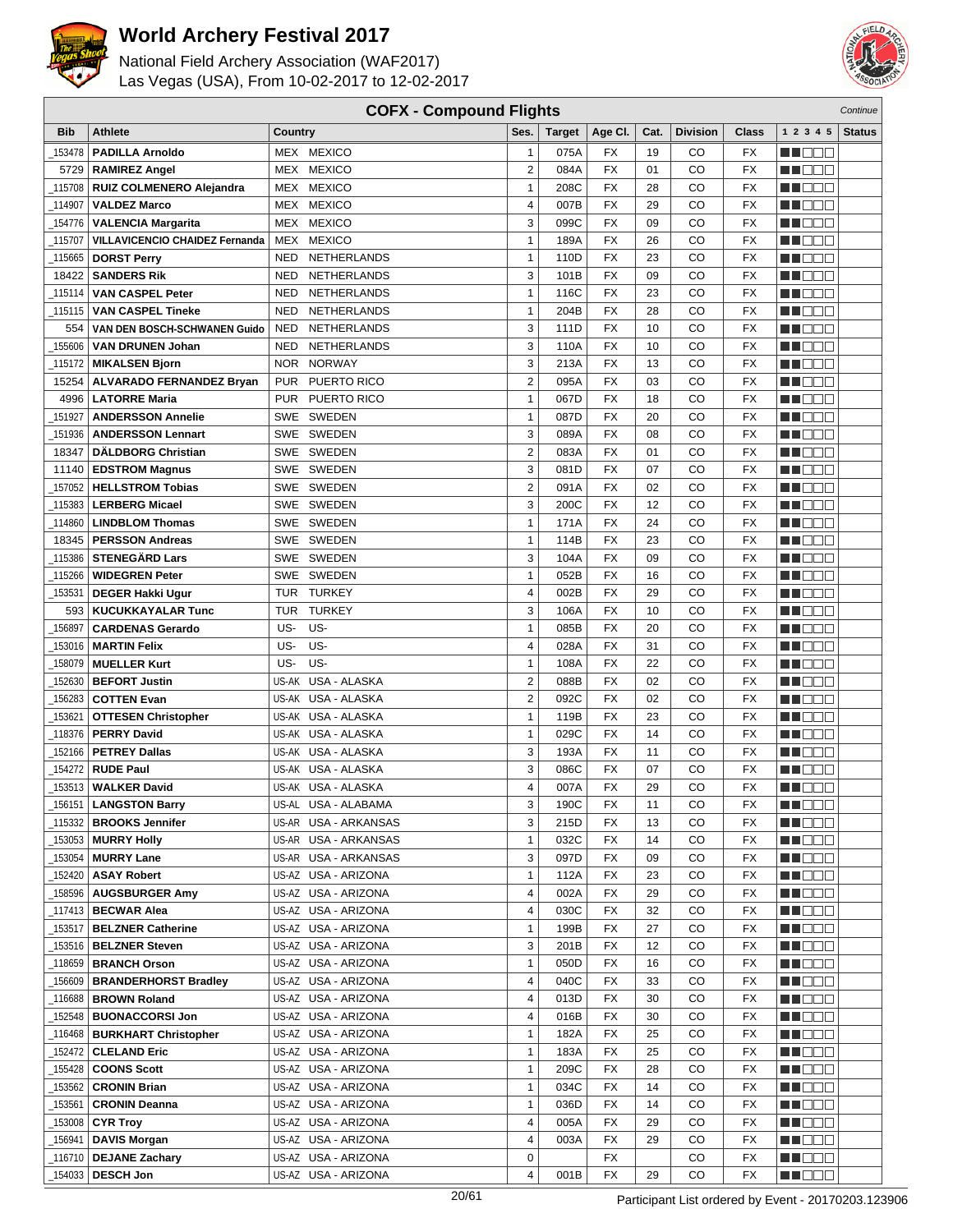



|               | <b>COFX - Compound Flights</b><br>Continue |                          |                      |                |               |           |      |          |           |                    |               |
|---------------|--------------------------------------------|--------------------------|----------------------|----------------|---------------|-----------|------|----------|-----------|--------------------|---------------|
| <b>Bib</b>    | Athlete                                    | Country                  |                      | Ses.           | <b>Target</b> | Age CI.   | Cat. | Division | Class     | 1 2 3 4 5          | <b>Status</b> |
| 153478        | <b>PADILLA Arnoldo</b>                     |                          | MEX MEXICO           | $\mathbf{1}$   | 075A          | <b>FX</b> | 19   | CO       | <b>FX</b> | n na m             |               |
| 5729          | <b>RAMIREZ Angel</b>                       |                          | MEX MEXICO           | $\overline{2}$ | 084A          | <b>FX</b> | 01   | CO       | <b>FX</b> | M DO B             |               |
| 115708        | RUIZ COLMENERO Alejandra                   |                          | MEX MEXICO           | $\mathbf{1}$   | 208C          | <b>FX</b> | 28   | CO       | <b>FX</b> | MN 888             |               |
| 114907_       | <b>VALDEZ Marco</b>                        |                          | MEX MEXICO           | 4              | 007B          | <b>FX</b> | 29   | CO       | <b>FX</b> | MA DE E            |               |
| 154776        | <b>VALENCIA Margarita</b>                  | MEX                      | <b>MEXICO</b>        | 3              | 099C          | <b>FX</b> | 09   | CO       | <b>FX</b> | HI EEE             |               |
| 115707        | VILLAVICENCIO CHAIDEZ Fernanda             | <b>MEX</b>               | <b>MEXICO</b>        | $\mathbf{1}$   | 189A          | <b>FX</b> | 26   | CO       | <b>FX</b> | M DO B             |               |
| 115665        | <b>DORST Perry</b>                         | <b>NED</b>               | NETHERLANDS          | $\mathbf{1}$   | 110D          | <b>FX</b> | 23   | CO       | <b>FX</b> | MN 888             |               |
| 18422         | <b>SANDERS Rik</b>                         | <b>NED</b>               | NETHERLANDS          | 3              | 101B          | <b>FX</b> | 09   | CO       | <b>FX</b> | MN 888             |               |
| 115114        | <b>VAN CASPEL Peter</b>                    | <b>NED</b>               | NETHERLANDS          | $\mathbf{1}$   | 116C          | <b>FX</b> | 23   | CO       | <b>FX</b> | M DOO              |               |
|               | <b>VAN CASPEL Tineke</b>                   | <b>NED</b>               | NETHERLANDS          | $\mathbf{1}$   | 204B          | <b>FX</b> | 28   | CO       | FX        | ME BEL             |               |
| 115115        |                                            |                          | NETHERLANDS          | 3              | 111D          | <b>FX</b> | 10   | CO       | <b>FX</b> |                    |               |
| 554<br>155606 | VAN DEN BOSCH-SCHWANEN Guido               | <b>NED</b><br><b>NED</b> | NETHERLANDS          | 3              | 110A          | <b>FX</b> | 10   | CO       | <b>FX</b> | MU DO B            |               |
|               | <b>VAN DRUNEN Johan</b>                    |                          |                      |                |               | <b>FX</b> |      |          |           | MU DO B            |               |
| 115172        | <b>MIKALSEN Bjorn</b>                      | <b>NOR</b>               | <b>NORWAY</b>        | 3              | 213A          |           | 13   | CO       | <b>FX</b> | n i Bele           |               |
| 15254         | <b>ALVARADO FERNANDEZ Bryan</b>            | <b>PUR</b>               | PUERTO RICO          | $\overline{2}$ | 095A          | <b>FX</b> | 03   | CO       | <b>FX</b> | M DEE              |               |
| 4996          | <b>LATORRE Maria</b>                       | <b>PUR</b>               | PUERTO RICO          | $\mathbf{1}$   | 067D          | <b>FX</b> | 18   | CO       | <b>FX</b> | MU OO O            |               |
| 151927        | <b>ANDERSSON Annelie</b>                   | <b>SWE</b>               | <b>SWEDEN</b>        | $\mathbf{1}$   | 087D          | <b>FX</b> | 20   | CO       | <b>FX</b> | ME E E E           |               |
| 151936        | <b>ANDERSSON Lennart</b>                   |                          | SWE SWEDEN           | 3              | 089A          | <b>FX</b> | 08   | CO       | <b>FX</b> | MA DE E            |               |
| 18347         | <b>DÄLDBORG Christian</b>                  |                          | SWE SWEDEN           | $\overline{2}$ | 083A          | <b>FX</b> | 01   | CO       | FX        | n i De E           |               |
| 11140         | <b>EDSTROM Magnus</b>                      |                          | SWE SWEDEN           | 3              | 081D          | <b>FX</b> | 07   | CO       | FX        | M DO B             |               |
| 157052        | <b>HELLSTROM Tobias</b>                    |                          | SWE SWEDEN           | $\overline{2}$ | 091A          | <b>FX</b> | 02   | CO       | <b>FX</b> | n i DDE            |               |
| 115383        | <b>LERBERG Micael</b>                      |                          | SWE SWEDEN           | 3              | 200C          | <b>FX</b> | 12   | CO       | <b>FX</b> | NN OO E            |               |
| 114860        | <b>LINDBLOM Thomas</b>                     |                          | SWE SWEDEN           | $\mathbf{1}$   | 171A          | <b>FX</b> | 24   | CO       | <b>FX</b> | M DE B             |               |
| 18345         | <b>PERSSON Andreas</b>                     |                          | SWE SWEDEN           | $\mathbf{1}$   | 114B          | <b>FX</b> | 23   | CO       | <b>FX</b> | M DO B             |               |
| 115386        | <b>STENEGÄRD Lars</b>                      |                          | SWE SWEDEN           | 3              | 104A          | <b>FX</b> | 09   | CO       | <b>FX</b> | MA E E E           |               |
| 115266        | <b>WIDEGREN Peter</b>                      | <b>SWE</b>               | SWEDEN               | $\mathbf{1}$   | 052B          | <b>FX</b> | 16   | CO       | <b>FX</b> | MN 888             |               |
| 153531        | <b>DEGER Hakki Ugur</b>                    | <b>TUR</b>               | <b>TURKEY</b>        | 4              | 002B          | <b>FX</b> | 29   | CO       | FX        | n i Bele           |               |
| 593           | <b>KUCUKKAYALAR Tunc</b>                   | <b>TUR</b>               | <b>TURKEY</b>        | 3              | 106A          | <b>FX</b> | 10   | CO       | <b>FX</b> | n i De E           |               |
| 156897        | <b>CARDENAS Gerardo</b>                    | US-                      | US-                  | $\mathbf{1}$   | 085B          | <b>FX</b> | 20   | CO       | <b>FX</b> | MU DO B            |               |
| 153016        | <b>MARTIN Felix</b>                        | US-                      | US-                  | 4              | 028A          | <b>FX</b> | 31   | CO       | <b>FX</b> | MN 888             |               |
| 158079        | <b>MUELLER Kurt</b>                        | US-                      | US-                  | $\mathbf{1}$   | 108A          | <b>FX</b> | 22   | CO       | <b>FX</b> | MO DO O            |               |
| 152630        | <b>BEFORT Justin</b>                       |                          | US-AK USA - ALASKA   | $\overline{2}$ | 088B          | <b>FX</b> | 02   | CO       | <b>FX</b> | n i De E           |               |
| 156283        | <b>COTTEN Evan</b>                         |                          | US-AK USA - ALASKA   | $\overline{c}$ | 092C          | <b>FX</b> | 02   | CO       | <b>FX</b> | MU DO B            |               |
| 153621        | <b>OTTESEN Christopher</b>                 | US-AK                    | USA - ALASKA         | $\mathbf{1}$   | 119B          | <b>FX</b> | 23   | CO       | <b>FX</b> | MA OO B            |               |
| _118376       | <b>PERRY David</b>                         | US-AK                    | USA - ALASKA         | $\mathbf{1}$   | 029C          | <b>FX</b> | 14   | CO       | <b>FX</b> | n na na            |               |
| 152166        | <b>PETREY Dallas</b>                       |                          | US-AK USA - ALASKA   | 3              | 193A          | FX        | 11   | CO       | <b>FX</b> | n i De E           |               |
| 154272        | <b>RUDE Paul</b>                           |                          | US-AK USA - ALASKA   | 3              | 086C          | <b>FX</b> | 07   | CO       | FX        | M DO D             |               |
| 153513        | <b>WALKER David</b>                        |                          | US-AK USA - ALASKA   | $\overline{4}$ | 007A          | <b>FX</b> | 29   | CO       | <b>FX</b> | MN 888             |               |
| _156151       | <b>LANGSTON Barry</b>                      |                          | US-AL USA - ALABAMA  | 3              | 190C          | FX        | 11   | CO       | FX        | <u> Literatu</u>   |               |
| _115332       | <b>BROOKS Jennifer</b>                     |                          | US-AR USA - ARKANSAS | 3              | 215D          | FX        | 13   | CO       | FX        | MA DE E            |               |
| _153053       | <b>MURRY Holly</b>                         |                          | US-AR USA - ARKANSAS | $\mathbf{1}$   | 032C          | FX        | 14   | CO       | FX        | W OOO              |               |
| _153054       | <b>MURRY Lane</b>                          |                          | US-AR USA - ARKANSAS | 3              | 097D          | FX        | 09   | CO       | FX        | ME E E             |               |
| _152420       | <b>ASAY Robert</b>                         |                          | US-AZ USA - ARIZONA  | 1              | 112A          | FX        | 23   | CO       | FX        | MUOOO              |               |
| 158596        | <b>AUGSBURGER Amy</b>                      |                          | US-AZ USA - ARIZONA  | 4              | 002A          | FX        | 29   | CO       | FX        | <u> Literatu</u>   |               |
| _117413       | <b>BECWAR Alea</b>                         |                          | US-AZ USA - ARIZONA  | 4              | 030C          | FX        | 32   | CO       | FX        | WU O O O           |               |
| _153517       | <b>BELZNER Catherine</b>                   |                          | US-AZ USA - ARIZONA  | $\mathbf{1}$   | 199B          | FX        | 27   | CO       | FX        | WU 88              |               |
| _153516       | <b>BELZNER Steven</b>                      |                          | US-AZ USA - ARIZONA  | 3              | 201B          | FX        | 12   | CO       | FX        | MA DE E            |               |
| _118659       | <b>BRANCH Orson</b>                        |                          | US-AZ USA - ARIZONA  | $\mathbf{1}$   | 050D          | FX        | 16   | CO       | FX        | <b>MARGE</b>       |               |
| _156609       | <b>BRANDERHORST Bradley</b>                |                          | US-AZ USA - ARIZONA  | 4              | 040C          | FX        | 33   | CO       | FX        | <u> Here de la</u> |               |
| 116688        | <b>BROWN Roland</b>                        |                          | US-AZ USA - ARIZONA  | 4              | 013D          | FX        | 30   | CO       | FX        | M OOO              |               |
| 152548        | <b>BUONACCORSI Jon</b>                     |                          | US-AZ USA - ARIZONA  | 4              | 016B          | FX        | 30   | CO       | FX        | ME E E             |               |
| _116468丨      | <b>BURKHART Christopher</b>                |                          | US-AZ USA - ARIZONA  | 1              | 182A          | FX        | 25   | CO       | FX        | MU DE B            |               |
| 152472_       | <b>CLELAND Eric</b>                        |                          | US-AZ USA - ARIZONA  | $\mathbf{1}$   | 183A          | FX        | 25   | CO       | FX        | <u> Hose</u>       |               |
| 155428_       | <b>COONS Scott</b>                         |                          | US-AZ USA - ARIZONA  | $\mathbf{1}$   | 209C          | FX        | 28   | CO       | FX        | WU 88              |               |
| _153562       | <b>CRONIN Brian</b>                        |                          | US-AZ USA - ARIZONA  | $\mathbf{1}$   | 034C          | FX        | 14   | CO       | FX        | MUOOO              |               |
| _153561       | <b>CRONIN Deanna</b>                       |                          | US-AZ USA - ARIZONA  | $\mathbf{1}$   | 036D          | FX        | 14   | CO       | FX        | <u> Literatur</u>  |               |
| _153008       | <b>CYR Troy</b>                            |                          | US-AZ USA - ARIZONA  | 4              | 005A          | FX        | 29   | CO       | FX        | <b>MA</b> OOO      |               |
| _156941       | <b>DAVIS Morgan</b>                        |                          | US-AZ USA - ARIZONA  | 4              | 003A          | FX        | 29   | CO       | FX        | <u> HELEL</u>      |               |
| _116710       | <b>DEJANE Zachary</b>                      |                          | US-AZ USA - ARIZONA  | 0              |               | FX        |      | CO       | FX        | NN O O O           |               |
| 154033        | <b>DESCH Jon</b>                           |                          | US-AZ USA - ARIZONA  | 4              | 001B          | FX        | 29   | CO       | FX        | MA DE E            |               |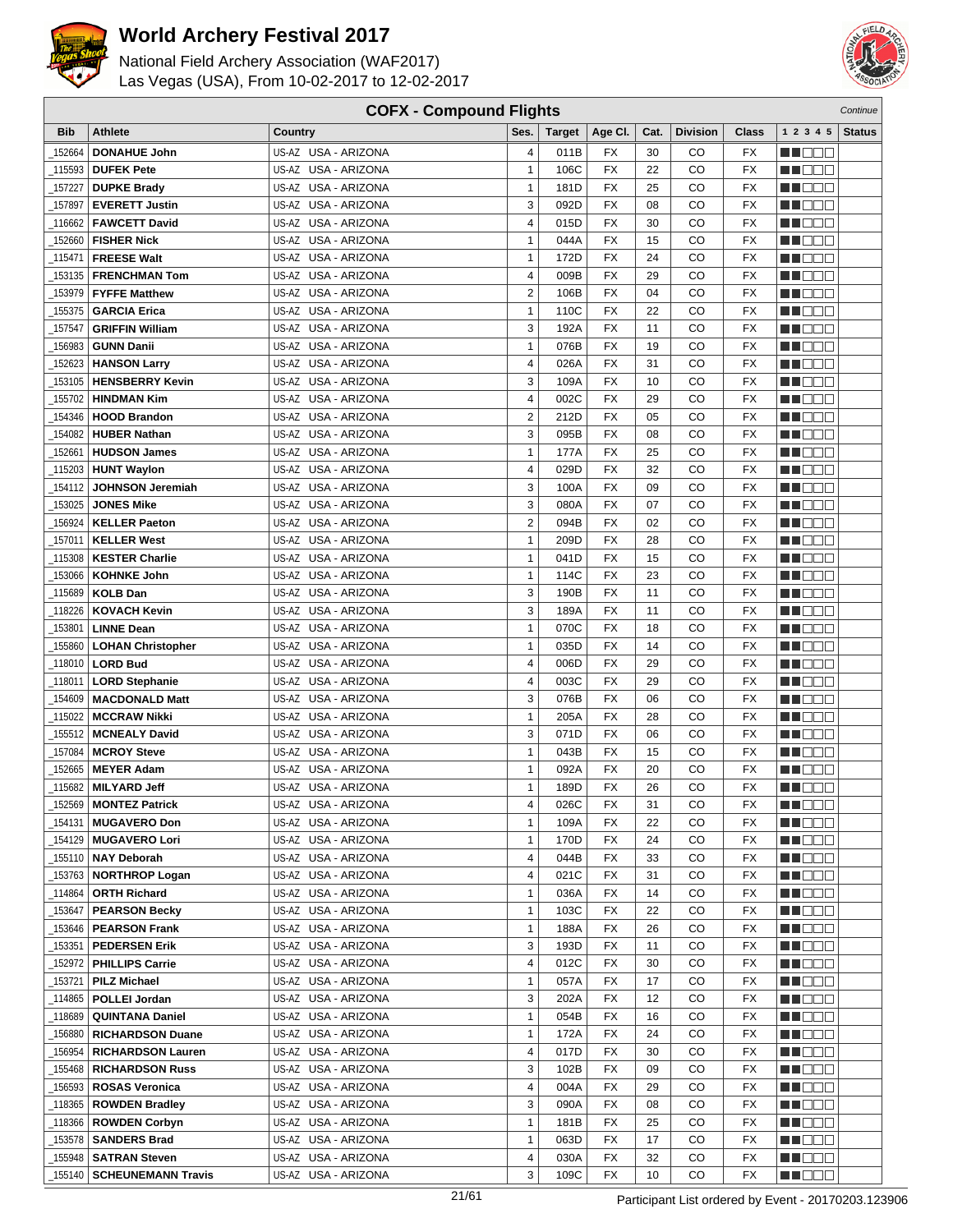



| <b>COFX - Compound Flights</b> |                           |                     |                |        |                 |                 |                 | Continue        |                    |               |
|--------------------------------|---------------------------|---------------------|----------------|--------|-----------------|-----------------|-----------------|-----------------|--------------------|---------------|
| <b>Bib</b>                     | <b>Athlete</b>            | Country             | Ses.           | Target | Age CI.         | Cat.            | <b>Division</b> | Class           | 1 2 3 4 5          | <b>Status</b> |
| 152664                         | <b>DONAHUE John</b>       | US-AZ USA - ARIZONA | 4              | 011B   | FX              | 30              | CО              | FX              | HI EE              |               |
| 115593                         | <b>DUFEK Pete</b>         | US-AZ USA - ARIZONA | $\mathbf{1}$   | 106C   | <b>FX</b>       | 22              | CO              | <b>FX</b>       | MU O O O           |               |
| 157227                         | <b>DUPKE Brady</b>        | US-AZ USA - ARIZONA | $\mathbf{1}$   | 181D   | <b>FX</b>       | 25              | CO              | FX              | n i DDE            |               |
| 157897                         | <b>EVERETT Justin</b>     | US-AZ USA - ARIZONA | 3              | 092D   | <b>FX</b>       | 08              | CO              | FX              | MA DE E            |               |
| 116662                         | <b>FAWCETT David</b>      | US-AZ USA - ARIZONA | 4              | 015D   | <b>FX</b>       | 30              | CO              | FX              | n de e             |               |
| 152660                         | <b>FISHER Nick</b>        | US-AZ USA - ARIZONA | $\mathbf{1}$   | 044A   | FX              | 15              | CO              | <b>FX</b>       | MU DE E            |               |
| 115471                         | <b>FREESE Walt</b>        | US-AZ USA - ARIZONA | $\mathbf{1}$   | 172D   | <b>FX</b>       | 24              | CO              | FX              | ME E E E           |               |
| 153135                         |                           | US-AZ USA - ARIZONA | 4              | 009B   | <b>FX</b>       | 29              | CO              | FX              |                    |               |
|                                | <b>FRENCHMAN Tom</b>      |                     |                |        |                 |                 |                 |                 | MN D D O           |               |
| 153979                         | <b>FYFFE Matthew</b>      | US-AZ USA - ARIZONA | 2              | 106B   | <b>FX</b>       | 04              | CO              | FX              | MO DO O            |               |
| 155375                         | <b>GARCIA Erica</b>       | US-AZ USA - ARIZONA | 1              | 110C   | <b>FX</b>       | 22              | CO              | FX              | n i De E           |               |
| 157547                         | <b>GRIFFIN William</b>    | US-AZ USA - ARIZONA | 3              | 192A   | <b>FX</b>       | 11              | CO              | <b>FX</b>       | W OOO              |               |
| 156983                         | <b>GUNN Danii</b>         | US-AZ USA - ARIZONA | $\mathbf{1}$   | 076B   | <b>FX</b>       | 19              | CO              | FX              | M 1000             |               |
| 152623                         | <b>HANSON Larry</b>       | US-AZ USA - ARIZONA | 4              | 026A   | FX              | 31              | CO              | FX              | n i Bele           |               |
| 153105                         | <b>HENSBERRY Kevin</b>    | US-AZ USA - ARIZONA | 3              | 109A   | <b>FX</b>       | 10              | CO              | FX              | MA DE L            |               |
| 155702                         | <b>HINDMAN Kim</b>        | US-AZ USA - ARIZONA | 4              | 002C   | FX              | 29              | CO              | <b>FX</b>       | M DE O             |               |
| 154346                         | <b>HOOD Brandon</b>       | US-AZ USA - ARIZONA | $\overline{2}$ | 212D   | FX              | 05              | CO              | FX              | MU DO O            |               |
| 154082                         | <b>HUBER Nathan</b>       | US-AZ USA - ARIZONA | 3              | 095B   | <b>FX</b>       | 08              | CO              | FX              | MO DO O            |               |
| 152661                         | <b>HUDSON James</b>       | US-AZ USA - ARIZONA | 1              | 177A   | <b>FX</b>       | 25              | CO              | FX              | ME DE S            |               |
| 115203                         | <b>HUNT Waylon</b>        | US-AZ USA - ARIZONA | 4              | 029D   | <b>FX</b>       | 32              | CO              | FX              | n i De E           |               |
| 154112                         | <b>JOHNSON Jeremiah</b>   | US-AZ USA - ARIZONA | 3              | 100A   | <b>FX</b>       | 09              | CO              | FX              | MN DO B            |               |
| 153025                         | <b>JONES Mike</b>         | US-AZ USA - ARIZONA | 3              | 080A   | <b>FX</b>       | 07              | CO              | FX              | MT DE E            |               |
| 156924                         | <b>KELLER Paeton</b>      | US-AZ USA - ARIZONA | $\overline{2}$ | 094B   | FX              | 02              | CO              | FX              | M DE B             |               |
| _157011                        | <b>KELLER West</b>        | US-AZ USA - ARIZONA | 1              | 209D   | <b>FX</b>       | 28              | CO              | <b>FX</b>       | MA DE E            |               |
| 115308                         | <b>KESTER Charlie</b>     | US-AZ USA - ARIZONA | $\mathbf{1}$   | 041D   | <b>FX</b>       | 15              | CO              | <b>FX</b>       | MU DEL             |               |
| 153066                         | <b>KOHNKE John</b>        | US-AZ USA - ARIZONA | $\mathbf{1}$   | 114C   | <b>FX</b>       | 23              | CO              | FX              | <b>HE</b> OOO      |               |
| 115689                         | <b>KOLB Dan</b>           | US-AZ USA - ARIZONA | 3              | 190B   | <b>FX</b>       | 11              | CO              | FX              | MO DO O            |               |
| 118226                         | <b>KOVACH Kevin</b>       | US-AZ USA - ARIZONA | 3              | 189A   | <b>FX</b>       | 11              | CO              | FX              | MA DE S            |               |
| 153801                         | <b>LINNE Dean</b>         | US-AZ USA - ARIZONA | $\mathbf{1}$   | 070C   | <b>FX</b>       | 18              | CO              | FX              | MU DO B            |               |
| 155860                         | <b>LOHAN Christopher</b>  | US-AZ USA - ARIZONA | $\mathbf{1}$   | 035D   | <b>FX</b>       | 14              | CO              | FX              | n i De E           |               |
| 118010                         | <b>LORD Bud</b>           | US-AZ USA - ARIZONA | 4              | 006D   | <b>FX</b>       | 29              | CO              | FX              | ▕▕▕█▐▊█▏           |               |
| 118011                         | <b>LORD Stephanie</b>     | US-AZ USA - ARIZONA | 4              | 003C   | FX              | 29              | CO              | FX              | MA DE C            |               |
| 154609                         | <b>MACDONALD Matt</b>     | US-AZ USA - ARIZONA | 3              | 076B   | <b>FX</b>       | 06              | CO              | <b>FX</b>       | M DE O             |               |
| _115022                        | <b>MCCRAW Nikki</b>       | US-AZ USA - ARIZONA | $\mathbf{1}$   | 205A   | FX              | 28              | CO              | <b>FX</b>       | N I O O O          |               |
| 155512                         | <b>MCNEALY David</b>      | US-AZ USA - ARIZONA | 3              | 071D   | <b>FX</b>       | 06              | CO              | FX              | <b>NH</b> OOO      |               |
| 157084                         | <b>MCROY Steve</b>        | US-AZ USA - ARIZONA | $\mathbf{1}$   | 043B   | FX              | 15              | CO              | FX              | M D D D            |               |
| 152665                         | <b>MEYER Adam</b>         | US-AZ USA - ARIZONA | 1              | 092A   | <b>FX</b>       | 20              | CO              | FX              | M DO D             |               |
| _115682                        | <b>MILYARD Jeff</b>       | US-AZ USA - ARIZONA | $\mathbf{1}$   | 189D   | <b>FX</b>       | 26              | CO              | <b>FX</b>       | MU O O O           |               |
|                                | $-152569$ MONTEZ Patrick  | US-AZ USA - ARIZONA | 4              | 026C   | $\overline{FX}$ | $\overline{31}$ | CO              | $\overline{FX}$ | <b>BECOO</b>       |               |
| _154131                        | <b>MUGAVERO Don</b>       | US-AZ USA - ARIZONA | $\mathbf{1}$   | 109A   | FX              | 22              | CO              | FX              | <u>Li Bec</u>      |               |
| _154129                        | <b>MUGAVERO Lori</b>      | US-AZ USA - ARIZONA | 1              | 170D   | FX              | 24              | CO              | FX              | MU O O U           |               |
| _155110                        | <b>NAY Deborah</b>        | US-AZ USA - ARIZONA | 4              | 044B   | FX              | 33              | CO              | FX              | M DE S             |               |
| _153763                        | <b>NORTHROP Logan</b>     | US-AZ USA - ARIZONA | 4              | 021C   | FX              | 31              | CO              | FX              | MUOOO              |               |
| _114864                        | <b>ORTH Richard</b>       | US-AZ USA - ARIZONA | $\mathbf{1}$   | 036A   | FX              | 14              | CO              | FX              | <b>MARGE 1</b>     |               |
| _153647                        | <b>PEARSON Becky</b>      | US-AZ USA - ARIZONA | 1              | 103C   | FX              | 22              | CO              | FX              | <u>La Belgi</u>    |               |
| _153646                        | <b>PEARSON Frank</b>      | US-AZ USA - ARIZONA | 1              | 188A   | FX              | 26              | CO              | FX              | MU DO D            |               |
| _153351                        | <b>PEDERSEN Erik</b>      | US-AZ USA - ARIZONA | 3              | 193D   | FX              | 11              | CO              | FX              | <u> Literatu</u>   |               |
| 152972                         | <b>PHILLIPS Carrie</b>    | US-AZ USA - ARIZONA | 4              | 012C   | FX              | 30              | CO              | FX              | <u> Literatu</u>   |               |
| _153721                        | <b>PILZ Michael</b>       | US-AZ USA - ARIZONA | 1              | 057A   | FX              | 17              | CO              | FX              | <u>La Bibliott</u> |               |
| 114865_                        | <b>POLLEI Jordan</b>      | US-AZ USA - ARIZONA | 3              | 202A   | FX              | 12              | CO              | FX              | <u>LL DOO</u>      |               |
| _118689                        | <b>QUINTANA Daniel</b>    | US-AZ USA - ARIZONA | 1              | 054B   | FX              | 16              | CO              | FX              | MUOOO              |               |
| 156880                         | <b>RICHARDSON Duane</b>   | US-AZ USA - ARIZONA | 1              | 172A   | FX              | 24              | CO              | FX              | <u> Lind a Bi</u>  |               |
| _156954                        | <b>RICHARDSON Lauren</b>  | US-AZ USA - ARIZONA | 4              | 017D   | FX              | 30              | CO              | FX              | <b>MA</b> DOO      |               |
| _155468                        | <b>RICHARDSON Russ</b>    | US-AZ USA - ARIZONA | 3              | 102B   | FX              | 09              | CO              | FX              | MU DO D            |               |
| _156593                        | <b>ROSAS Veronica</b>     | US-AZ USA - ARIZONA | 4              | 004A   | FX              | 29              | CO              | FX              | M OO D             |               |
| _118365                        | <b>ROWDEN Bradley</b>     | US-AZ USA - ARIZONA | 3              | 090A   | FX              | 08              | CO              | FX              | <u> Literatu</u>   |               |
| _118366                        | <b>ROWDEN Corbyn</b>      | US-AZ USA - ARIZONA | 1              | 181B   | FX              | 25              | CO              | FX              | <u> Literatur</u>  |               |
| _153578                        | <b>SANDERS Brad</b>       | US-AZ USA - ARIZONA | $\mathbf{1}$   | 063D   | FX              | 17              | CO              | FX              | <u>Li Seci</u>     |               |
| _155948                        | <b>SATRAN Steven</b>      | US-AZ USA - ARIZONA | 4              | 030A   | FX              | 32              | CO              | FX              | MU BER             |               |
| _155140                        | <b>SCHEUNEMANN Travis</b> | US-AZ USA - ARIZONA | 3              | 109C   | FX              | 10              | CO              | FX              | MU DO D            |               |
|                                |                           |                     |                |        |                 |                 |                 |                 |                    |               |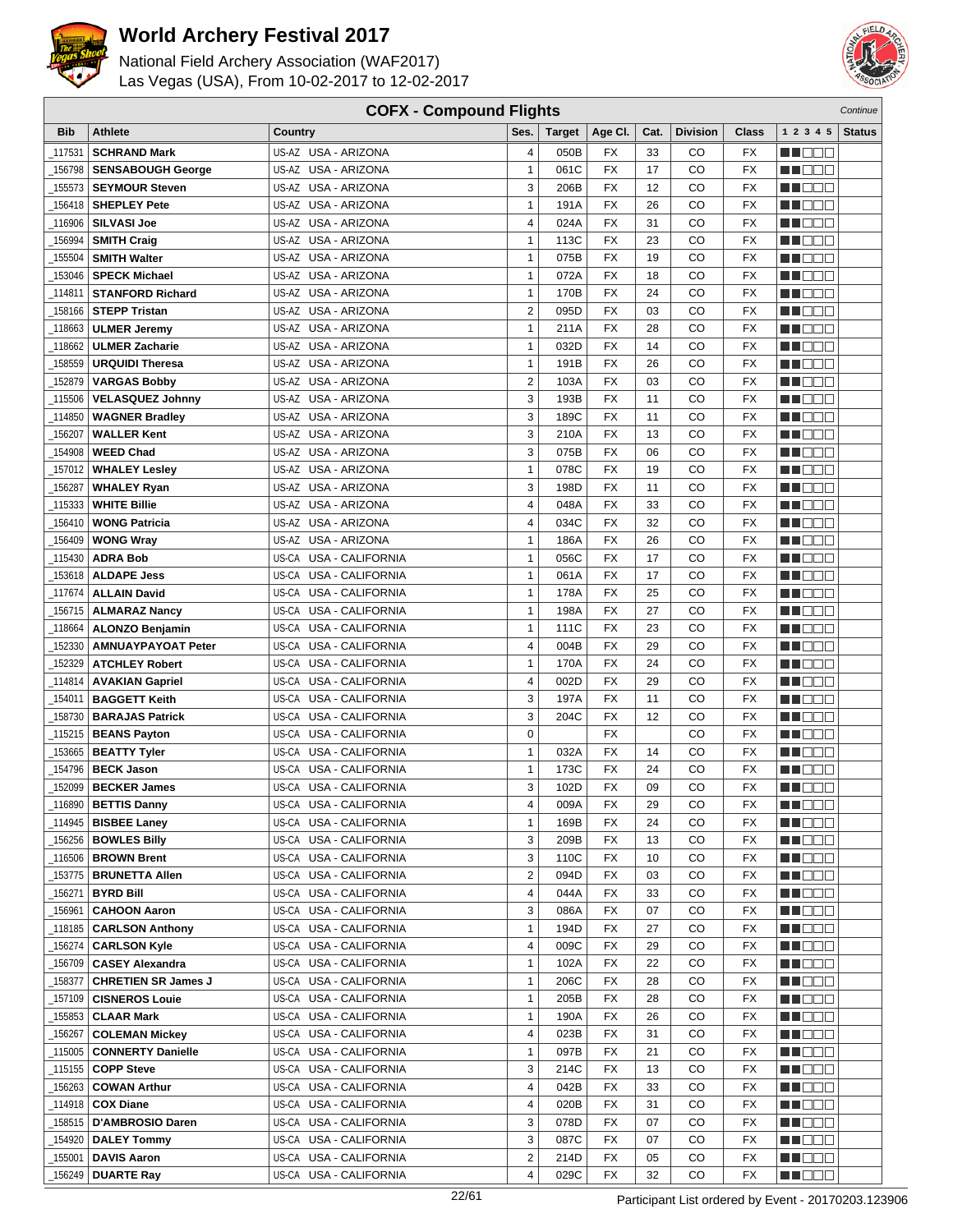



|            | <b>COFX - Compound Flights</b><br>Continue |                                  |                         |               |                 |      |                 |                          |                  |               |
|------------|--------------------------------------------|----------------------------------|-------------------------|---------------|-----------------|------|-----------------|--------------------------|------------------|---------------|
| <b>Bib</b> | <b>Athlete</b>                             | Country                          | Ses.                    | <b>Target</b> | Age CI.         | Cat. | <b>Division</b> | <b>Class</b>             | 1 2 3 4 5        | <b>Status</b> |
| 117531     | <b>SCHRAND Mark</b>                        | US-AZ USA - ARIZONA              | 4                       | 050B          | FX              | 33   | CO              | FX                       | e de e           |               |
| 156798     | <b>SENSABOUGH George</b>                   | US-AZ USA - ARIZONA              | $\mathbf{1}$            | 061C          | <b>FX</b>       | 17   | CO              | <b>FX</b>                | n i De B         |               |
| 155573     | <b>SEYMOUR Steven</b>                      | US-AZ USA - ARIZONA              | 3                       | 206B          | <b>FX</b>       | 12   | CO              | <b>FX</b>                | MOOO             |               |
| 156418     | <b>SHEPLEY Pete</b>                        | US-AZ USA - ARIZONA              | 1                       | 191A          | <b>FX</b>       | 26   | CO              | FX                       | MN 888           |               |
| 116906     | <b>SILVASI Joe</b>                         | US-AZ USA - ARIZONA              | 4                       | 024A          | <b>FX</b>       | 31   | CO              | <b>FX</b>                | M DE B           |               |
| 156994     | <b>SMITH Craig</b>                         | US-AZ USA - ARIZONA              | $\mathbf{1}$            | 113C          | FX              | 23   | CO              | <b>FX</b>                | MU OO O          |               |
| 155504     | <b>SMITH Walter</b>                        | US-AZ USA - ARIZONA              | $\mathbf{1}$            | 075B          | <b>FX</b>       | 19   | CO              | <b>FX</b>                | MA OO B          |               |
| 153046     | <b>SPECK Michael</b>                       | US-AZ USA - ARIZONA              | $\mathbf{1}$            | 072A          | <b>FX</b>       | 18   | CO              | <b>FX</b>                | MN 888           |               |
| 114811     | <b>STANFORD Richard</b>                    | US-AZ USA - ARIZONA              | $\mathbf{1}$            | 170B          | <b>FX</b>       | 24   | CO              | <b>FX</b>                |                  |               |
|            | <b>STEPP Tristan</b>                       | US-AZ USA - ARIZONA              | $\overline{2}$          | 095D          | <b>FX</b>       | 03   | CO              | <b>FX</b>                | MO DO O          |               |
| 158166     |                                            | US-AZ USA - ARIZONA              | $\mathbf{1}$            | 211A          | <b>FX</b>       | 28   | CO              | <b>FX</b>                | M DEE            |               |
| 118663     | <b>ULMER Jeremy</b>                        | US-AZ USA - ARIZONA              | $\mathbf{1}$            | 032D          | <b>FX</b>       | 14   | CO              | <b>FX</b>                | MU DO B          |               |
| 118662     | <b>ULMER Zacharie</b>                      |                                  |                         |               |                 |      |                 |                          | n i De E         |               |
| 158559     | <b>URQUIDI Theresa</b>                     | US-AZ USA - ARIZONA              | $\mathbf{1}$            | 191B          | FX              | 26   | CO              | <b>FX</b>                | MA DE E          |               |
| 152879     | <b>VARGAS Bobby</b>                        | US-AZ USA - ARIZONA              | $\overline{2}$          | 103A          | <b>FX</b>       | 03   | CO              | <b>FX</b>                | M D D D          |               |
| _115506    | <b>VELASQUEZ Johnny</b>                    | US-AZ USA - ARIZONA              | 3                       | 193B          | <b>FX</b>       | 11   | CO              | <b>FX</b>                | MU DO B          |               |
| _114850    | <b>WAGNER Bradley</b>                      | US-AZ USA - ARIZONA              | 3                       | 189C          | <b>FX</b>       | 11   | CO              | <b>FX</b>                | MN 888           |               |
| 156207     | <b>WALLER Kent</b>                         | US-AZ USA - ARIZONA              | 3                       | 210A          | FX              | 13   | CO              | <b>FX</b>                | MA DE E          |               |
| 154908     | <b>WEED Chad</b>                           | US-AZ USA - ARIZONA              | 3                       | 075B          | <b>FX</b>       | 06   | CO              | <b>FX</b>                | MU DO O          |               |
| 157012     | <b>WHALEY Lesley</b>                       | US-AZ USA - ARIZONA              | $\mathbf{1}$            | 078C          | <b>FX</b>       | 19   | CO              | <b>FX</b>                | M DO B           |               |
| 156287     | <b>WHALEY Ryan</b>                         | US-AZ USA - ARIZONA              | 3                       | 198D          | <b>FX</b>       | 11   | CO              | <b>FX</b>                | MN DO B          |               |
| 115333     | <b>WHITE Billie</b>                        | US-AZ USA - ARIZONA              | 4                       | 048A          | <b>FX</b>       | 33   | CO              | <b>FX</b>                | MT DE E          |               |
| 156410     | <b>WONG Patricia</b>                       | US-AZ USA - ARIZONA              | 4                       | 034C          | FX              | 32   | CO              | <b>FX</b>                | <b>HELLO</b>     |               |
| 156409     | <b>WONG Wray</b>                           | US-AZ USA - ARIZONA              | $\mathbf{1}$            | 186A          | <b>FX</b>       | 26   | CO              | <b>FX</b>                | ME E E E         |               |
| _115430    | <b>ADRA Bob</b>                            | US-CA<br><b>USA - CALIFORNIA</b> | $\mathbf{1}$            | 056C          | <b>FX</b>       | 17   | CO              | <b>FX</b>                | MA OO B          |               |
| 153618     | <b>ALDAPE Jess</b>                         | US-CA USA - CALIFORNIA           | $\mathbf{1}$            | 061A          | <b>FX</b>       | 17   | CO              | <b>FX</b>                | MN 888           |               |
| 117674     | <b>ALLAIN David</b>                        | USA - CALIFORNIA<br>US-CA        | $\mathbf{1}$            | 178A          | <b>FX</b>       | 25   | CO              | <b>FX</b>                | MN OO O          |               |
| 156715     | <b>ALMARAZ Nancy</b>                       | US-CA USA - CALIFORNIA           | $\mathbf{1}$            | 198A          | <b>FX</b>       | 27   | CO              | <b>FX</b>                | MU DO O          |               |
| 118664     | <b>ALONZO Benjamin</b>                     | US-CA USA - CALIFORNIA           | $\mathbf{1}$            | 111C          | <b>FX</b>       | 23   | CO              | <b>FX</b>                | MU DO B          |               |
| 152330     | <b>AMNUAYPAYOAT Peter</b>                  | US-CA USA - CALIFORNIA           | $\overline{\mathbf{4}}$ | 004B          | <b>FX</b>       | 29   | CO              | <b>FX</b>                | MN OO B          |               |
| 152329     | <b>ATCHLEY Robert</b>                      | US-CA USA - CALIFORNIA           | $\mathbf{1}$            | 170A          | <b>FX</b>       | 24   | CO              | <b>FX</b>                | n de de          |               |
| 114814     | <b>AVAKIAN Gapriel</b>                     | US-CA USA - CALIFORNIA           | 4                       | 002D          | FX              | 29   | CO              | <b>FX</b>                | MA DE C          |               |
| _154011    | <b>BAGGETT Keith</b>                       | <b>USA - CALIFORNIA</b><br>US-CA | 3                       | 197A          | <b>FX</b>       | 11   | CO              | FX                       | MU DO B          |               |
| 158730     | <b>BARAJAS Patrick</b>                     | US-CA<br><b>USA - CALIFORNIA</b> | 3                       | 204C          | FX              | 12   | CO              | <b>FX</b>                | MN 888           |               |
| 115215     | <b>BEANS Payton</b>                        | US-CA USA - CALIFORNIA           | 0                       |               | <b>FX</b>       |      | CO              | <b>FX</b>                | MA DE LA         |               |
| 153665     | <b>BEATTY Tyler</b>                        | US-CA USA - CALIFORNIA           | $\mathbf{1}$            | 032A          | FX              | 14   | CO              | <b>FX</b>                | MA DE C          |               |
| 154796     | <b>BECK Jason</b>                          | US-CA USA - CALIFORNIA           | $\mathbf{1}$            | 173C          | <b>FX</b>       | 24   | CO              | <b>FX</b>                | MU DE S          |               |
| 152099     | <b>BECKER James</b>                        | US-CA USA - CALIFORNIA           | 3                       | 102D          | <b>FX</b>       | 09   | CO              | <b>FX</b>                | MN DO B          |               |
|            | $_1$ 116890   BETTIS Danny                 | US-CA USA - CALIFORNIA           | 4                       | 009A          | $\overline{FX}$ | 29   | $_{\rm CO}$     | $\overline{\mathsf{FX}}$ | <b>HOOD</b>      |               |
| _114945    | <b>BISBEE Laney</b>                        | US-CA USA - CALIFORNIA           | $\mathbf{1}$            | 169B          | FX              | 24   | CO              | FX                       | M DE S           |               |
| _156256    | <b>BOWLES Billy</b>                        | US-CA USA - CALIFORNIA           | 3                       | 209B          | FX              | 13   | CO              | FX                       | WU O O O         |               |
| _116506    | <b>BROWN Brent</b>                         | US-CA USA - CALIFORNIA           | 3                       | 110C          | FX              | 10   | CO              | FX                       | MUOOO            |               |
| _153775    | <b>BRUNETTA Allen</b>                      | US-CA USA - CALIFORNIA           | $\overline{2}$          | 094D          | FX              | 03   | CO              | FX                       | <u>in ja sis</u> |               |
| _156271    | <b>BYRD Bill</b>                           | US-CA USA - CALIFORNIA           | 4                       | 044A          | FX              | 33   | CO              | FX                       | <u>Li Bee</u>    |               |
| _156961    | <b>CAHOON Aaron</b>                        | US-CA USA - CALIFORNIA           | 3                       | 086A          | FX              | 07   | CO              | FX                       | W OOO            |               |
| _118185    | <b>CARLSON Anthony</b>                     | US-CA USA - CALIFORNIA           | $\mathbf{1}$            | 194D          | FX              | 27   | CO              | FX                       | MU O O O         |               |
| _156274    | <b>CARLSON Kyle</b>                        | US-CA USA - CALIFORNIA           | 4                       | 009C          | FX              | 29   | CO              | FX                       | <u> Literatu</u> |               |
| 156709     | <b>CASEY Alexandra</b>                     | US-CA USA - CALIFORNIA           | $\mathbf{1}$            | 102A          | FX              | 22   | CO              | FX                       | M DE S           |               |
| _158377    | <b>CHRETIEN SR James J</b>                 | US-CA USA - CALIFORNIA           | $\mathbf{1}$            | 206C          | FX              | 28   | CO              | FX                       | <u>LI OOD</u>    |               |
| _157109    | <b>CISNEROS Louie</b>                      | US-CA USA - CALIFORNIA           | $\mathbf{1}$            | 205B          | FX              | 28   | CO              | FX                       | WU 88            |               |
| _155853    | <b>CLAAR Mark</b>                          | US-CA USA - CALIFORNIA           | $\mathbf{1}$            | 190A          | FX              | 26   | CO              | FX                       | MUOOO            |               |
| _156267    | <b>COLEMAN Mickey</b>                      | US-CA USA - CALIFORNIA           | 4                       | 023B          | FX              | 31   | CO              | FX                       | <u> El Ser</u>   |               |
| _115005    | <b>CONNERTY Danielle</b>                   | US-CA USA - CALIFORNIA           | $\mathbf{1}$            | 097B          | FX              | 21   | CO              | FX                       | <u>Li Sec</u>    |               |
| _115155    | <b>COPP Steve</b>                          | US-CA USA - CALIFORNIA           | 3                       | 214C          | FX              | 13   | CO              | FX                       | W OO D           |               |
| 156263     | <b>COWAN Arthur</b>                        | US-CA USA - CALIFORNIA           | 4                       | 042B          | FX              | 33   | CO              | FX                       | NN O O O         |               |
| _114918    | <b>COX Diane</b>                           | US-CA USA - CALIFORNIA           | 4                       | 020B          | <b>FX</b>       | 31   | CO              | FX                       | <u> Literatu</u> |               |
| 158515_    | D'AMBROSIO Daren                           | US-CA USA - CALIFORNIA           | 3                       | 078D          | <b>FX</b>       | 07   | CO              | FX                       | <u>Li Bee</u>    |               |
| _154920    | <b>DALEY Tommy</b>                         | US-CA USA - CALIFORNIA           | 3                       | 087C          | <b>FX</b>       | 07   | CO              | FX                       | WU O O O         |               |
| _155001    | <b>DAVIS Aaron</b>                         | US-CA USA - CALIFORNIA           | 2                       | 214D          | FX              | 05   | CO              | FX                       | M DE S           |               |
| _156249    | <b>DUARTE Ray</b>                          | US-CA USA - CALIFORNIA           | 4                       | 029C          | FX              | 32   | CO              | <b>FX</b>                | <b>MA</b> OOO    |               |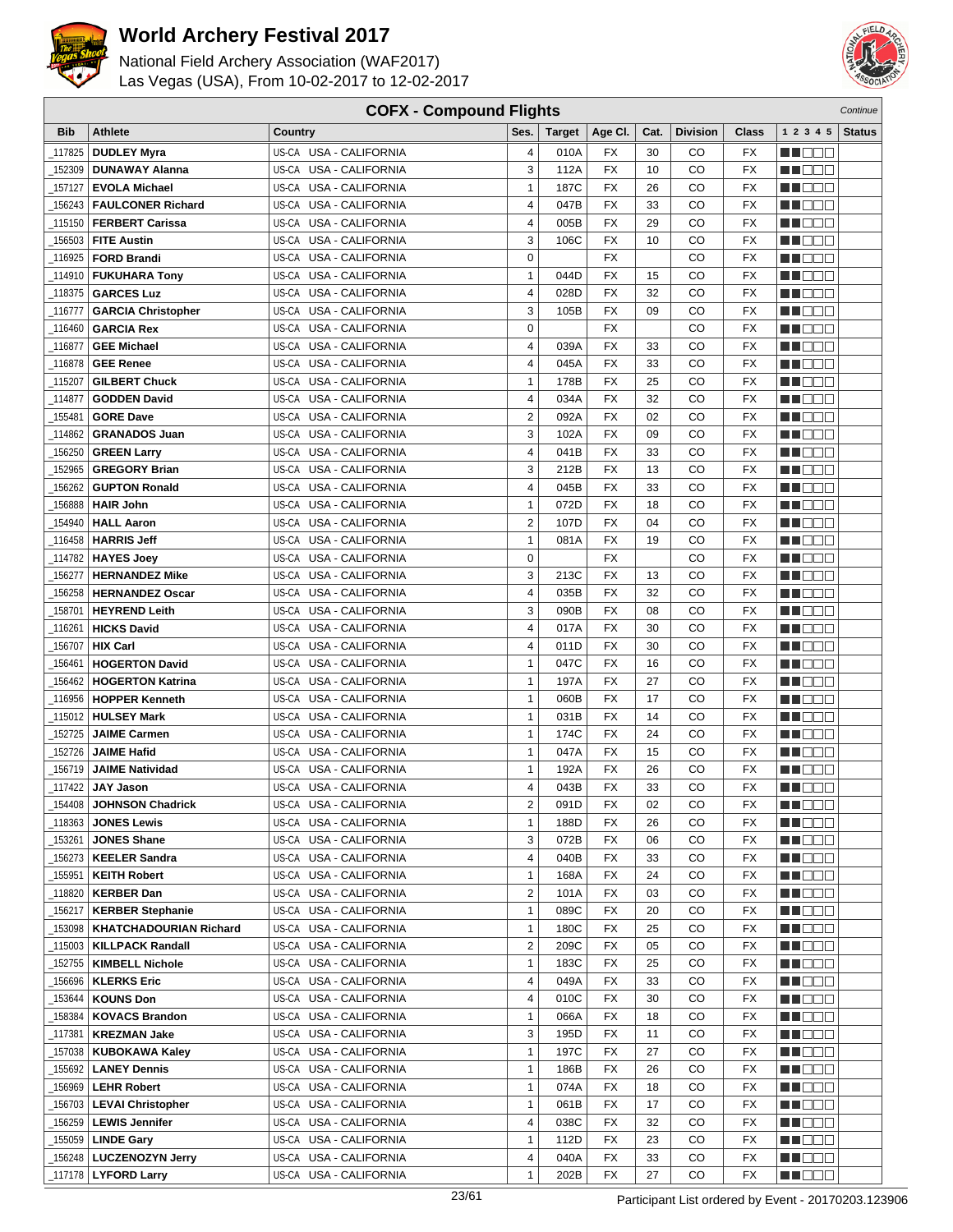



|            | <b>COFX - Compound Flights</b><br>Continue |                                  |                         |               |                 |      |                 |                 |                    |               |
|------------|--------------------------------------------|----------------------------------|-------------------------|---------------|-----------------|------|-----------------|-----------------|--------------------|---------------|
| <b>Bib</b> | <b>Athlete</b>                             | Country                          | Ses.                    | <b>Target</b> | Age CI.         | Cat. | <b>Division</b> | Class           | 1 2 3 4 5          | <b>Status</b> |
| 117825     | <b>DUDLEY Myra</b>                         | US-CA USA - CALIFORNIA           | 4                       | 010A          | FX              | 30   | CO              | FX              | e de e             |               |
| 152309     | <b>DUNAWAY Alanna</b>                      | US-CA USA - CALIFORNIA           | 3                       | 112A          | <b>FX</b>       | 10   | CO              | <b>FX</b>       | ME E E E           |               |
| 157127     | <b>EVOLA Michael</b>                       | US-CA USA - CALIFORNIA           | $\mathbf{1}$            | 187C          | <b>FX</b>       | 26   | CO              | <b>FX</b>       | MOOO               |               |
| 156243     | <b>FAULCONER Richard</b>                   | US-CA USA - CALIFORNIA           | 4                       | 047B          | FX              | 33   | CO              | <b>FX</b>       | MN 888             |               |
| 115150     | <b>FERBERT Carissa</b>                     | USA - CALIFORNIA<br>US-CA        | 4                       | 005B          | <b>FX</b>       | 29   | CO              | <b>FX</b>       | M DE B             |               |
| 156503     | <b>FITE Austin</b>                         | US-CA<br>USA - CALIFORNIA        | 3                       | 106C          | FX              | 10   | CO              | <b>FX</b>       | M DO B             |               |
| 116925     | <b>FORD Brandi</b>                         | US-CA USA - CALIFORNIA           | $\mathbf 0$             |               | <b>FX</b>       |      | CO              | <b>FX</b>       | ME E E E           |               |
| 114910     | <b>FUKUHARA Tony</b>                       | US-CA USA - CALIFORNIA           | $\mathbf{1}$            | 044D          | <b>FX</b>       | 15   | CO              | <b>FX</b>       | MN 888             |               |
| 118375     | <b>GARCES Luz</b>                          | US-CA USA - CALIFORNIA           | 4                       | 028D          | FX              | 32   | CO              | <b>FX</b>       | MO DO O            |               |
| 116777_    | <b>GARCIA Christopher</b>                  | <b>USA - CALIFORNIA</b><br>US-CA | 3                       | 105B          | <b>FX</b>       | 09   | CO              | <b>FX</b>       | n i De E           |               |
| 116460     | <b>GARCIA Rex</b>                          | US-CA USA - CALIFORNIA           | $\mathbf 0$             |               | <b>FX</b>       |      | CO              | <b>FX</b>       | MU DO B            |               |
| _116877    | <b>GEE Michael</b>                         | US-CA USA - CALIFORNIA           | 4                       | 039A          | <b>FX</b>       | 33   | CO              | <b>FX</b>       | n i De E           |               |
| 116878     | <b>GEE Renee</b>                           | US-CA USA - CALIFORNIA           | 4                       | 045A          | FX              | 33   | CO              | <b>FX</b>       | MA DE E            |               |
| 115207     | <b>GILBERT Chuck</b>                       | USA - CALIFORNIA<br>US-CA        | $\mathbf{1}$            | 178B          | <b>FX</b>       | 25   | CO              | <b>FX</b>       | MA DE C            |               |
| 114877_    | <b>GODDEN David</b>                        | US-CA<br>USA - CALIFORNIA        | 4                       | 034A          | FX              | 32   | CO              | <b>FX</b>       | MU DO B            |               |
| _155481    | <b>GORE Dave</b>                           | US-CA USA - CALIFORNIA           | $\overline{2}$          | 092A          | <b>FX</b>       | 02   | CO              | <b>FX</b>       | MN 888             |               |
| 114862     | <b>GRANADOS Juan</b>                       | US-CA USA - CALIFORNIA           | 3                       | 102A          | <b>FX</b>       | 09   | CO              | <b>FX</b>       | MN OO O            |               |
| 156250     | <b>GREEN Larry</b>                         | US-CA USA - CALIFORNIA           | 4                       | 041B          | <b>FX</b>       | 33   | CO              | <b>FX</b>       | MU DO 2            |               |
| 152965     | <b>GREGORY Brian</b>                       | US-CA USA - CALIFORNIA           | 3                       | 212B          | <b>FX</b>       | 13   | CO              | <b>FX</b>       | M DO B             |               |
| 156262     | <b>GUPTON Ronald</b>                       | US-CA USA - CALIFORNIA           | 4                       | 045B          | <b>FX</b>       | 33   | CO              | <b>FX</b>       | MN 888             |               |
| 156888     | <b>HAIR John</b>                           | US-CA USA - CALIFORNIA           | $\mathbf{1}$            | 072D          | <b>FX</b>       | 18   | CO              | <b>FX</b>       | MT DE E            |               |
| 154940     | <b>HALL Aaron</b>                          | US-CA USA - CALIFORNIA           | $\overline{2}$          | 107D          | FX              | 04   | CO              | <b>FX</b>       | M DE B             |               |
| 116458     | <b>HARRIS Jeff</b>                         | <b>USA - CALIFORNIA</b><br>US-CA | $\mathbf{1}$            | 081A          | <b>FX</b>       | 19   | CO              | <b>FX</b>       | M DO B             |               |
| 114782_    | <b>HAYES Joey</b>                          | US-CA<br>USA - CALIFORNIA        | $\mathbf 0$             |               | <b>FX</b>       |      | CO              | <b>FX</b>       | MA OO B            |               |
| 156277     | <b>HERNANDEZ Mike</b>                      | US-CA USA - CALIFORNIA           | 3                       | 213C          | <b>FX</b>       | 13   | CO              | <b>FX</b>       | MN 888             |               |
| 156258     | <b>HERNANDEZ Oscar</b>                     | <b>USA - CALIFORNIA</b><br>US-CA | 4                       | 035B          | FX              | 32   | CO              | <b>FX</b>       | MA DOO             |               |
| 158701     | <b>HEYREND Leith</b>                       | US-CA USA - CALIFORNIA           | 3                       | 090B          | <b>FX</b>       | 08   | CO              | <b>FX</b>       | MA DE S            |               |
| 116261     | <b>HICKS David</b>                         | USA - CALIFORNIA<br>US-CA        | 4                       | 017A          | <b>FX</b>       | 30   | CO              | <b>FX</b>       | MU DO B            |               |
| 156707     | <b>HIX Carl</b>                            | US-CA USA - CALIFORNIA           | 4                       | 011D          | <b>FX</b>       | 30   | CO              | <b>FX</b>       | MN OO B            |               |
| 156461     | <b>HOGERTON David</b>                      | US-CA USA - CALIFORNIA           | $\mathbf{1}$            | 047C          | <b>FX</b>       | 16   | CO              | <b>FX</b>       | n i Biblio         |               |
| 156462     | <b>HOGERTON Katrina</b>                    | US-CA USA - CALIFORNIA           | $\mathbf{1}$            | 197A          | FX              | 27   | CO              | <b>FX</b>       | MA DE C            |               |
| 116956     | <b>HOPPER Kenneth</b>                      | US-CA USA - CALIFORNIA           | $\mathbf{1}$            | 060B          | <b>FX</b>       | 17   | CO              | <b>FX</b>       | MU DO B            |               |
| _115012    | <b>HULSEY Mark</b>                         | US-CA<br><b>USA - CALIFORNIA</b> | $\mathbf{1}$            | 031B          | FX              | 14   | CO              | <b>FX</b>       | MN 888             |               |
| 152725     | <b>JAIME Carmen</b>                        | US-CA USA - CALIFORNIA           | $\mathbf{1}$            | 174C          | <b>FX</b>       | 24   | CO              | <b>FX</b>       | MA DE E            |               |
| 152726     | <b>JAIME Hafid</b>                         | US-CA<br>USA - CALIFORNIA        | 1                       | 047A          | <b>FX</b>       | 15   | CO              | FX              | M D D D            |               |
| 156719     | <b>JAIME Natividad</b>                     | US-CA USA - CALIFORNIA           | $\mathbf{1}$            | 192A          | <b>FX</b>       | 26   | CO              | <b>FX</b>       | MU OO O            |               |
| 117422_    | <b>JAY Jason</b>                           | US-CA USA - CALIFORNIA           | 4                       | 043B          | <b>FX</b>       | 33   | CO              | <b>FX</b>       | MN DO B            |               |
|            | 154408 JOHNSON Chadrick                    | US-CA USA - CALIFORNIA           | 2                       | 091D          | $\overline{FX}$ | 02   | CO              | $\overline{FX}$ | <b>NH</b> OOO      |               |
| _118363    | <b>JONES Lewis</b>                         | US-CA USA - CALIFORNIA           | $\mathbf{1}$            | 188D          | FX              | 26   | CO              | FX              | <u> Literatu</u>   |               |
| 153261     | <b>JONES Shane</b>                         | US-CA USA - CALIFORNIA           | 3                       | 072B          | FX              | 06   | CO              | FX              | M DEE              |               |
| 156273     | <b>KEELER Sandra</b>                       | US-CA USA - CALIFORNIA           | 4                       | 040B          | FX              | 33   | CO              | FX              | MUOOO              |               |
| 155951     | <b>KEITH Robert</b>                        | US-CA USA - CALIFORNIA           | $\mathbf{1}$            | 168A          | FX              | 24   | CO              | FX              | M DE S             |               |
| _118820    | <b>KERBER Dan</b>                          | US-CA USA - CALIFORNIA           | $\overline{\mathbf{c}}$ | 101A          | FX              | 03   | CO              | FX              | <u>Li de d</u>     |               |
| 156217_    | <b>KERBER Stephanie</b>                    | US-CA USA - CALIFORNIA           | 1                       | 089C          | FX              | 20   | CO              | FX              | WU O O O           |               |
| 153098     | <b>KHATCHADOURIAN Richard</b>              | US-CA USA - CALIFORNIA           | 1                       | 180C          | FX              | 25   | CO              | FX              | MU O O O           |               |
| _115003    | <b>KILLPACK Randall</b>                    | US-CA USA - CALIFORNIA           | $\mathbf 2$             | 209C          | FX              | 05   | CO              | FX              | M DE S             |               |
| 152755     | <b>KIMBELL Nichole</b>                     | US-CA USA - CALIFORNIA           | $\mathbf{1}$            | 183C          | FX              | 25   | CO              | FX              | <u> Here</u>       |               |
| 156696     | <b>KLERKS Eric</b>                         | US-CA USA - CALIFORNIA           | 4                       | 049A          | FX              | 33   | CO              | <b>FX</b>       | <u>LI OOD</u>      |               |
| 153644     | <b>KOUNS Don</b>                           | US-CA USA - CALIFORNIA           | 4                       | 010C          | FX              | 30   | CO              | FX              | M DE E             |               |
| 158384     | <b>KOVACS Brandon</b>                      | US-CA USA - CALIFORNIA           | $\mathbf{1}$            | 066A          | FX              | 18   | CO              | FX              | MU DO O            |               |
| 117381     | <b>KREZMAN Jake</b>                        | US-CA USA - CALIFORNIA           | 3                       | 195D          | FX              | 11   | CO              | FX              | e de la p          |               |
| 157038     | <b>KUBOKAWA Kaley</b>                      | US-CA USA - CALIFORNIA           | 1                       | 197C          | FX              | 27   | CO              | FX              | N DO D             |               |
| _155692    | <b>LANEY Dennis</b>                        | US-CA USA - CALIFORNIA           | 1                       | 186B          | FX              | 26   | CO              | FX              | WU 88              |               |
| 156969     | <b>LEHR Robert</b>                         | US-CA USA - CALIFORNIA           | 1                       | 074A          | FX              | 18   | CO              | FX              | NN O O O           |               |
|            | 156703   LEVAI Christopher                 | US-CA USA - CALIFORNIA           | $\mathbf{1}$            | 061B          | FX              | 17   | CO              | FX              | <u> Literatur</u>  |               |
|            | 156259   LEWIS Jennifer                    | US-CA USA - CALIFORNIA           | 4                       | 038C          | FX              | 32   | CO              | FX              | <u> Hees</u>       |               |
|            | 155059   LINDE Gary                        | US-CA USA - CALIFORNIA           | $\mathbf{1}$            | 112D          | FX              | 23   | CO              | <b>FX</b>       | <u> Liberal Se</u> |               |
|            | 156248   LUCZENOZYN Jerry                  | US-CA USA - CALIFORNIA           | 4                       | 040A          | FX              | 33   | CO              | FX              | ME E E             |               |
|            | _117178   LYFORD Larry                     | US-CA USA - CALIFORNIA           | $\mathbf{1}$            | 202B          | FX              | 27   | CO              | <b>FX</b>       | <b>MA</b> OOO      |               |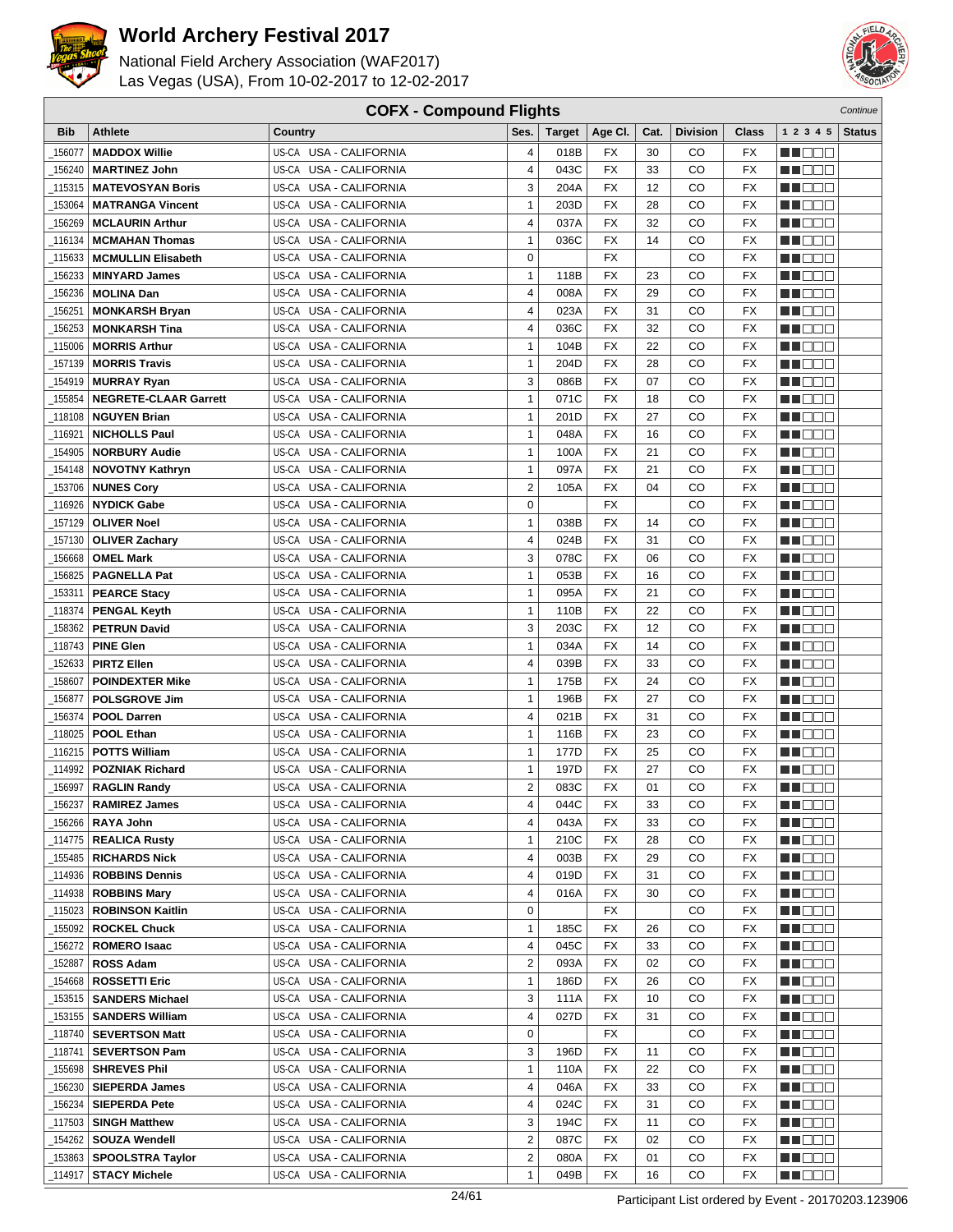



| <b>COFX - Compound Flights</b><br>Continue |                              |                                  |                         |               |                 |      |                 |                 |                    |               |
|--------------------------------------------|------------------------------|----------------------------------|-------------------------|---------------|-----------------|------|-----------------|-----------------|--------------------|---------------|
| Bib                                        | <b>Athlete</b>               | Country                          | Ses.                    | <b>Target</b> | Age CI.         | Cat. | <b>Division</b> | Class           | 1 2 3 4 5          | <b>Status</b> |
| 156077                                     | <b>MADDOX Willie</b>         | US-CA USA - CALIFORNIA           | 4                       | 018B          | FX              | 30   | CO              | FX              | e de e             |               |
| 156240                                     | <b>MARTINEZ John</b>         | US-CA USA - CALIFORNIA           | 4                       | 043C          | <b>FX</b>       | 33   | CO              | <b>FX</b>       | n i De E           |               |
| 115315                                     | <b>MATEVOSYAN Boris</b>      | US-CA USA - CALIFORNIA           | 3                       | 204A          | <b>FX</b>       | 12   | CO              | <b>FX</b>       | n i DDE            |               |
| 153064                                     | <b>MATRANGA Vincent</b>      | US-CA USA - CALIFORNIA           | $\mathbf{1}$            | 203D          | FX              | 28   | CO              | <b>FX</b>       | MA DE E            |               |
| 156269                                     | <b>MCLAURIN Arthur</b>       | <b>USA - CALIFORNIA</b><br>US-CA | 4                       | 037A          | <b>FX</b>       | 32   | CO              | <b>FX</b>       | n i Bele           |               |
| 116134                                     | <b>MCMAHAN Thomas</b>        | US-CA<br><b>USA - CALIFORNIA</b> | $\mathbf{1}$            | 036C          | FX              | 14   | CO              | <b>FX</b>       | M DO B             |               |
| 115633                                     | <b>MCMULLIN Elisabeth</b>    | US-CA USA - CALIFORNIA           | $\mathbf 0$             |               | <b>FX</b>       |      | CO              | <b>FX</b>       | ME E E E           |               |
| 156233                                     | <b>MINYARD James</b>         | US-CA USA - CALIFORNIA           | $\mathbf{1}$            | 118B          | <b>FX</b>       | 23   | CO              | <b>FX</b>       | MN 888             |               |
|                                            | <b>MOLINA Dan</b>            | USA - CALIFORNIA                 | $\overline{\mathbf{4}}$ |               | <b>FX</b>       | 29   | CO              | <b>FX</b>       |                    |               |
| 156236                                     |                              | US-CA<br>USA - CALIFORNIA        | 4                       | 008A          | <b>FX</b>       | 31   | CO              | <b>FX</b>       | MO DO O            |               |
| 156251                                     | <b>MONKARSH Bryan</b>        | US-CA<br>US-CA USA - CALIFORNIA  | 4                       | 023A<br>036C  | <b>FX</b>       | 32   | CO              | <b>FX</b>       | M DEE              |               |
| 156253                                     | <b>MONKARSH Tina</b>         | US-CA USA - CALIFORNIA           | $\mathbf{1}$            | 104B          | <b>FX</b>       | 22   | CO              | <b>FX</b>       | MU DO B            |               |
| 115006                                     | <b>MORRIS Arthur</b>         | US-CA USA - CALIFORNIA           |                         |               |                 |      |                 |                 | n i De E           |               |
| 157139                                     | <b>MORRIS Travis</b>         |                                  | $\mathbf{1}$            | 204D          | FX              | 28   | CO              | <b>FX</b>       | MA DE E            |               |
| 154919                                     | <b>MURRAY Ryan</b>           | <b>USA - CALIFORNIA</b><br>US-CA | 3                       | 086B          | <b>FX</b>       | 07   | CO              | <b>FX</b>       | MA DE C            |               |
| 155854                                     | <b>NEGRETE-CLAAR Garrett</b> | US-CA<br><b>USA - CALIFORNIA</b> | $\mathbf{1}$            | 071C          | FX              | 18   | CO              | <b>FX</b>       | MU DO B            |               |
| 118108                                     | <b>NGUYEN Brian</b>          | US-CA USA - CALIFORNIA           | $\mathbf{1}$            | 201D          | <b>FX</b>       | 27   | CO              | <b>FX</b>       | n nooc             |               |
| 116921                                     | <b>NICHOLLS Paul</b>         | US-CA USA - CALIFORNIA           | $\mathbf{1}$            | 048A          | <b>FX</b>       | 16   | CO              | <b>FX</b>       | MO DO O            |               |
| 154905                                     | <b>NORBURY Audie</b>         | US-CA USA - CALIFORNIA           | $\mathbf{1}$            | 100A          | <b>FX</b>       | 21   | CO              | <b>FX</b>       | M DE B             |               |
| 154148                                     | <b>NOVOTNY Kathryn</b>       | USA - CALIFORNIA<br>US-CA        | $\mathbf{1}$            | 097A          | <b>FX</b>       | 21   | CO              | <b>FX</b>       | M DO B             |               |
| _153706                                    | <b>NUNES Cory</b>            | US-CA USA - CALIFORNIA           | $\overline{2}$          | 105A          | <b>FX</b>       | 04   | CO              | <b>FX</b>       | MN 888             |               |
| _116926                                    | <b>NYDICK Gabe</b>           | US-CA USA - CALIFORNIA           | $\mathbf 0$             |               | <b>FX</b>       |      | CO              | <b>FX</b>       | MT DE E            |               |
| 157129                                     | <b>OLIVER Noel</b>           | US-CA USA - CALIFORNIA           | $\mathbf{1}$            | 038B          | FX              | 14   | CO              | <b>FX</b>       | M DE B             |               |
| 157130                                     | <b>OLIVER Zachary</b>        | <b>USA - CALIFORNIA</b><br>US-CA | 4                       | 024B          | <b>FX</b>       | 31   | CO              | <b>FX</b>       | M DO B             |               |
| 156668                                     | <b>OMEL Mark</b>             | US-CA<br><b>USA - CALIFORNIA</b> | 3                       | 078C          | FX              | 06   | CO              | <b>FX</b>       | MA OO B            |               |
| 156825                                     | <b>PAGNELLA Pat</b>          | US-CA USA - CALIFORNIA           | $\mathbf{1}$            | 053B          | <b>FX</b>       | 16   | CO              | <b>FX</b>       | MN 888             |               |
| 153311                                     | <b>PEARCE Stacy</b>          | USA - CALIFORNIA<br>US-CA        | 1                       | 095A          | <b>FX</b>       | 21   | CO              | <b>FX</b>       | MO DO O            |               |
| 118374                                     | <b>PENGAL Keyth</b>          | USA - CALIFORNIA<br>US-CA        | 1                       | 110B          | <b>FX</b>       | 22   | CO              | <b>FX</b>       | MA DE S            |               |
| 158362                                     | <b>PETRUN David</b>          | USA - CALIFORNIA<br>US-CA        | 3                       | 203C          | <b>FX</b>       | 12   | CO              | <b>FX</b>       | W OOO              |               |
| 118743_                                    | <b>PINE Glen</b>             | US-CA USA - CALIFORNIA           | $\mathbf{1}$            | 034A          | <b>FX</b>       | 14   | CO              | <b>FX</b>       | MN 888             |               |
| 152633                                     | <b>PIRTZ Ellen</b>           | US-CA USA - CALIFORNIA           | 4                       | 039B          | <b>FX</b>       | 33   | CO              | <b>FX</b>       | n i Biblio         |               |
| 158607                                     | <b>POINDEXTER Mike</b>       | US-CA USA - CALIFORNIA           | $\mathbf{1}$            | 175B          | FX              | 24   | CO              | <b>FX</b>       | MA DE C            |               |
| 156877                                     | <b>POLSGROVE Jim</b>         | USA - CALIFORNIA<br>US-CA        | $\mathbf{1}$            | 196B          | <b>FX</b>       | 27   | CO              | <b>FX</b>       | MU DO B            |               |
| 156374                                     | <b>POOL Darren</b>           | US-CA<br><b>USA - CALIFORNIA</b> | 4                       | 021B          | FX              | 31   | CO              | <b>FX</b>       | n nooc             |               |
| 118025                                     | <b>POOL Ethan</b>            | US-CA USA - CALIFORNIA           | $\mathbf{1}$            | 116B          | <b>FX</b>       | 23   | CO              | <b>FX</b>       | MA DE E            |               |
| _116215                                    | <b>POTTS William</b>         | USA - CALIFORNIA<br>US-CA        | 1                       | 177D          | FX              | 25   | CO              | FX              | M D D D            |               |
| 114992                                     | <b>POZNIAK Richard</b>       | USA - CALIFORNIA<br>US-CA        | 1                       | 197D          | <b>FX</b>       | 27   | CO              | <b>FX</b>       | ME E E E           |               |
| 156997                                     | <b>RAGLIN Randy</b>          | US-CA USA - CALIFORNIA           | $\overline{2}$          | 083C          | <b>FX</b>       | 01   | CO              | <b>FX</b>       | ME DE E            |               |
| 156237                                     | <b>RAMIREZ James</b>         | US-CA USA - CALIFORNIA           | 4                       | 044C          | $\overline{FX}$ | 33   | $_{\rm CO}$     | $\overline{FX}$ | <b>NH</b> OOO      |               |
|                                            | 156266   RAYA John           | US-CA USA - CALIFORNIA           | 4                       | 043A          | FX              | 33   | CO              | FX              | <u> Literatu</u>   |               |
|                                            | 114775   REALICA Rusty       | US-CA USA - CALIFORNIA           | 1                       | 210C          | FX              | 28   | CO              | FX              | M DE E             |               |
|                                            |                              | US-CA USA - CALIFORNIA           | 4                       | 003B          | FX              | 29   | CO              | FX              | M DE S             |               |
|                                            | 114936   ROBBINS Dennis      | US-CA USA - CALIFORNIA           | 4                       | 019D          | FX              | 31   | CO              | FX              | M DE S             |               |
| _114938                                    | <b>ROBBINS Mary</b>          | US-CA USA - CALIFORNIA           | 4                       | 016A          | FX              | 30   | CO              | FX              | <u>Li de d</u>     |               |
| _115023                                    | <b>ROBINSON Kaitlin</b>      | US-CA USA - CALIFORNIA           | 0                       |               | FX              |      | CO              | FX              | WU O O O           |               |
| 155092                                     | <b>ROCKEL Chuck</b>          | US-CA USA - CALIFORNIA           | $\mathbf{1}$            | 185C          | FX              | 26   | CO              | FX              | MU O O O           |               |
|                                            | 156272   ROMERO Isaac        | US-CA USA - CALIFORNIA           | 4                       | 045C          | FX              | 33   | CO              | FX              | <u>in ja sis</u>   |               |
| 152887                                     | <b>ROSS Adam</b>             | US-CA USA - CALIFORNIA           | $\overline{2}$          | 093A          | FX              | 02   | CO              | FX              | <u> Here</u>       |               |
|                                            | 154668   ROSSETTI Eric       | US-CA USA - CALIFORNIA           | $\mathbf{1}$            | 186D          | FX              | 26   | CO              | FX              | <u>LI OOD</u>      |               |
|                                            | 153515   SANDERS Michael     | US-CA USA - CALIFORNIA           | 3                       | 111A          | FX              | 10   | CO              | FX              | WU 88              |               |
|                                            | 153155   SANDERS William     | US-CA USA - CALIFORNIA           | 4                       | 027D          | FX              | 31   | CO              | FX              | MU DO O            |               |
| 118740_                                    | <b>SEVERTSON Matt</b>        | US-CA USA - CALIFORNIA           | 0                       |               | FX              |      | CO              | FX              | e de la p          |               |
| _118741                                    | <b>SEVERTSON Pam</b>         | US-CA USA - CALIFORNIA           | 3                       | 196D          | FX              | 11   | CO              | FX              | N DO D             |               |
| _155698                                    | <b>SHREVES Phil</b>          | US-CA USA - CALIFORNIA           | 1                       | 110A          | FX              | 22   | CO              | FX              | WU 88              |               |
| 156230                                     | <b>SIEPERDA James</b>        | US-CA USA - CALIFORNIA           | 4                       | 046A          | FX              | 33   | CO              | FX              | NN O O O           |               |
| 156234_                                    | <b>SIEPERDA Pete</b>         | US-CA USA - CALIFORNIA           | 4                       | 024C          | FX              | 31   | CO              | FX              | <u> Literatur</u>  |               |
| 117503                                     | <b>SINGH Matthew</b>         | US-CA USA - CALIFORNIA           | 3                       | 194C          | FX              | 11   | CO              | FX              | <u> Here de la</u> |               |
|                                            | 154262   SOUZA Wendell       | US-CA USA - CALIFORNIA           | $\overline{2}$          | 087C          | FX              | 02   | CO              | FX              | <u> HELEL</u>      |               |
|                                            | 153863 SPOOLSTRA Taylor_     | US-CA USA - CALIFORNIA           | $\overline{2}$          | 080A          | FX              | 01   | CO              | FX              | <u>sa sa sa</u>    |               |
| _114917                                    | <b>STACY Michele</b>         | US-CA USA - CALIFORNIA           | $\mathbf{1}$            | 049B          | FX              | 16   | CO              | FX              | <b>MA</b> OOO      |               |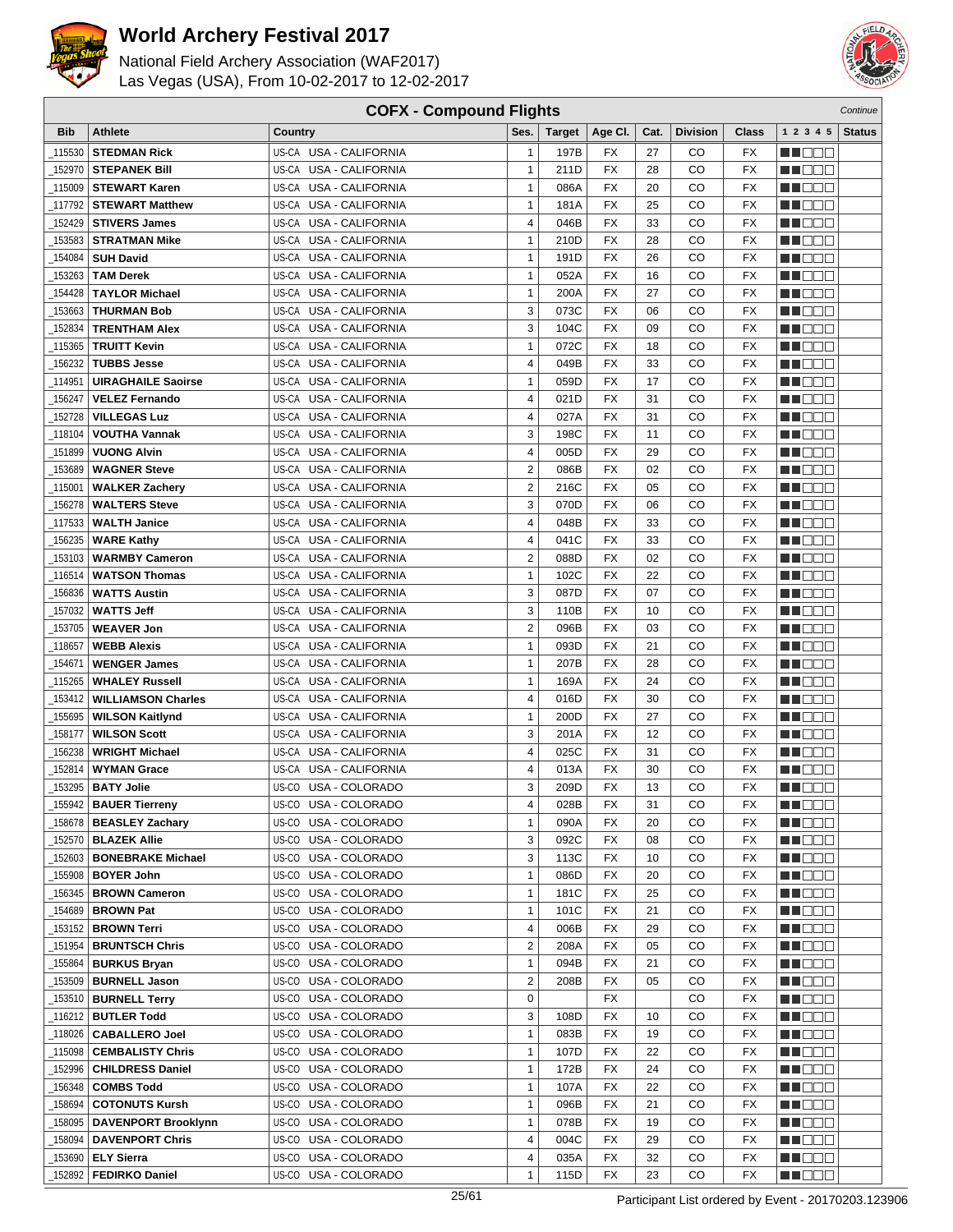



| <b>COFX - Compound Flights</b><br>Continue |                                                  |                                                     |                  |               |                 |                 |                 |                 |                    |               |
|--------------------------------------------|--------------------------------------------------|-----------------------------------------------------|------------------|---------------|-----------------|-----------------|-----------------|-----------------|--------------------|---------------|
| Bib                                        | <b>Athlete</b>                                   | Country                                             | Ses.             | <b>Target</b> | Age CI.         | Cat.            | <b>Division</b> | Class           | 1 2 3 4 5          | <b>Status</b> |
| 115530                                     | <b>STEDMAN Rick</b>                              | US-CA USA - CALIFORNIA                              | $\mathbf{1}$     | 197B          | FX              | 27              | CO              | FX              | e de e             |               |
| 152970                                     | <b>STEPANEK Bill</b>                             | US-CA USA - CALIFORNIA                              | $\mathbf{1}$     | 211D          | <b>FX</b>       | 28              | CO              | <b>FX</b>       | n i De E           |               |
| 115009                                     | <b>STEWART Karen</b>                             | US-CA USA - CALIFORNIA                              | $\mathbf{1}$     | 086A          | <b>FX</b>       | 20              | CO              | <b>FX</b>       | MOOO               |               |
| 117792                                     | <b>STEWART Matthew</b>                           | US-CA USA - CALIFORNIA                              | $\mathbf{1}$     | 181A          | FX              | 25              | CO              | FX              | MA DE E            |               |
| 152429                                     | <b>STIVERS James</b>                             | USA - CALIFORNIA<br>US-CA                           | 4                | 046B          | <b>FX</b>       | 33              | CO              | <b>FX</b>       | n i Bele           |               |
| 153583                                     | <b>STRATMAN Mike</b>                             | US-CA<br><b>USA - CALIFORNIA</b>                    | $\mathbf{1}$     | 210D          | FX              | 28              | CO              | <b>FX</b>       | M DO B             |               |
| 154084                                     | <b>SUH David</b>                                 | US-CA USA - CALIFORNIA                              | $\mathbf{1}$     | 191D          | <b>FX</b>       | 26              | CO              | <b>FX</b>       | ME E E E           |               |
| 153263                                     | <b>TAM Derek</b>                                 | US-CA USA - CALIFORNIA                              | $\mathbf{1}$     | 052A          | <b>FX</b>       | 16              | CO              | <b>FX</b>       | MN OO B            |               |
|                                            |                                                  | <b>USA - CALIFORNIA</b>                             | $\mathbf{1}$     |               | <b>FX</b>       |                 |                 | <b>FX</b>       |                    |               |
| 154428                                     | <b>TAYLOR Michael</b>                            | US-CA                                               | 3                | 200A          | <b>FX</b>       | 27<br>06        | CO              | <b>FX</b>       | MO DO O            |               |
| 153663                                     | <b>THURMAN Bob</b>                               | USA - CALIFORNIA<br>US-CA<br>US-CA USA - CALIFORNIA | 3                | 073C          | <b>FX</b>       |                 | CO<br>CO        | <b>FX</b>       | n i De E           |               |
| 152834                                     | <b>TRENTHAM Alex</b>                             | US-CA USA - CALIFORNIA                              | $\mathbf{1}$     | 104C<br>072C  | <b>FX</b>       | 09<br>18        | CO              | <b>FX</b>       | MU DO B            |               |
| 115365                                     | <b>TRUITT Kevin</b>                              |                                                     |                  |               |                 |                 |                 |                 | n i De E           |               |
| 156232                                     | <b>TUBBS Jesse</b>                               | US-CA USA - CALIFORNIA                              | 4                | 049B          | FX              | 33              | CO              | <b>FX</b>       | MA DE E            |               |
| 114951                                     | <b>UIRAGHAILE Saoirse</b>                        | USA - CALIFORNIA<br>US-CA                           | $\mathbf{1}$     | 059D          | <b>FX</b>       | 17              | CO              | <b>FX</b>       | MA DE C            |               |
| 156247                                     | <b>VELEZ Fernando</b>                            | US-CA<br>USA - CALIFORNIA                           | 4                | 021D          | FX              | 31              | CO              | <b>FX</b>       | MU DO B            |               |
| 152728                                     | <b>VILLEGAS Luz</b>                              | US-CA USA - CALIFORNIA                              | 4                | 027A          | <b>FX</b>       | 31              | CO              | FX              | n i DDE            |               |
| 118104                                     | <b>VOUTHA Vannak</b>                             | US-CA USA - CALIFORNIA                              | 3                | 198C          | <b>FX</b>       | 11              | CO              | <b>FX</b>       | MN OO O            |               |
| 151899                                     | <b>VUONG Alvin</b>                               | US-CA USA - CALIFORNIA                              | 4                | 005D          | <b>FX</b>       | 29              | CO              | <b>FX</b>       | MA DE E            |               |
| 153689                                     | <b>WAGNER Steve</b>                              | USA - CALIFORNIA<br>US-CA                           | $\mathbf 2$      | 086B          | <b>FX</b>       | 02              | CO              | <b>FX</b>       | M DO B             |               |
| 115001                                     | <b>WALKER Zachery</b>                            | US-CA USA - CALIFORNIA                              | $\overline{2}$   | 216C          | <b>FX</b>       | 05              | CO              | <b>FX</b>       | MN 888             |               |
| 156278                                     | <b>WALTERS Steve</b>                             | US-CA USA - CALIFORNIA                              | 3                | 070D          | <b>FX</b>       | 06              | CO              | <b>FX</b>       | MT DE E            |               |
| 117533                                     | <b>WALTH Janice</b>                              | US-CA USA - CALIFORNIA                              | 4                | 048B          | FX              | 33              | CO              | FX              | M DE B             |               |
| 156235                                     | <b>WARE Kathy</b>                                | <b>USA - CALIFORNIA</b><br>US-CA                    | 4                | 041C          | <b>FX</b>       | 33              | CO              | <b>FX</b>       | M DO B             |               |
| 153103                                     | <b>WARMBY Cameron</b>                            | US-CA<br><b>USA - CALIFORNIA</b>                    | $\overline{2}$   | 088D          | FX              | 02              | CO              | <b>FX</b>       | MA OO B            |               |
| 116514                                     | <b>WATSON Thomas</b>                             | US-CA USA - CALIFORNIA                              | $\mathbf{1}$     | 102C          | <b>FX</b>       | 22              | CO              | <b>FX</b>       | MN 888             |               |
| 156836                                     | <b>WATTS Austin</b>                              | <b>USA - CALIFORNIA</b><br>US-CA                    | 3                | 087D          | <b>FX</b>       | 07              | CO              | <b>FX</b>       | MO DO O            |               |
| 157032                                     | <b>WATTS Jeff</b>                                | USA - CALIFORNIA<br>US-CA                           | 3                | 110B          | <b>FX</b>       | 10              | CO              | <b>FX</b>       | MA DE S            |               |
| 153705                                     | <b>WEAVER Jon</b>                                | US-CA<br>USA - CALIFORNIA                           | $\overline{2}$   | 096B          | <b>FX</b>       | 03              | CO              | <b>FX</b>       | W OOO              |               |
| 118657                                     | <b>WEBB Alexis</b>                               | US-CA USA - CALIFORNIA                              | 1                | 093D          | <b>FX</b>       | 21              | CO              | <b>FX</b>       | <b>NNODO</b>       |               |
| 154671                                     | <b>WENGER James</b>                              | US-CA USA - CALIFORNIA                              | $\mathbf{1}$     | 207B          | <b>FX</b>       | 28              | CO              | <b>FX</b>       | n i Biblio         |               |
| 115265                                     | <b>WHALEY Russell</b>                            | US-CA USA - CALIFORNIA                              | $\mathbf{1}$     | 169A          | FX              | 24              | CO              | <b>FX</b>       | MA DE C            |               |
| 153412                                     | <b>WILLIAMSON Charles</b>                        | USA - CALIFORNIA<br>US-CA                           | 4                | 016D          | <b>FX</b>       | 30              | CO              | FX              | MU DO B            |               |
| 155695                                     | <b>WILSON Kaitlynd</b>                           | US-CA<br><b>USA - CALIFORNIA</b>                    | $\mathbf{1}$     | 200D          | FX              | 27              | CO              | <b>FX</b>       | n i DDE            |               |
| 158177                                     | <b>WILSON Scott</b>                              | US-CA USA - CALIFORNIA                              | 3                | 201A          | <b>FX</b>       | 12              | CO              | <b>FX</b>       | MA DE E            |               |
| 156238                                     | <b>WRIGHT Michael</b>                            | <b>USA - CALIFORNIA</b><br>US-CA                    | 4                | 025C          | FX              | 31              | CO              | FX              | M D D D            |               |
| 152814                                     | <b>WYMAN Grace</b>                               | USA - CALIFORNIA<br>US-CA                           | 4                | 013A          | <b>FX</b>       | 30              | CO              | <b>FX</b>       | MU OO O            |               |
| 153295                                     | <b>BATY Jolie</b>                                | US-CO USA - COLORADO                                | 3                | 209D          | <b>FX</b>       | 13              | CO              | <b>FX</b>       | MN DO B            |               |
|                                            | $\overline{\phantom{0}}$ 155942   BAUER Tierreny | US-CO USA - COLORADO                                | 4                | 028B          | $\overline{FX}$ | $\overline{31}$ | CO              | $\overline{FX}$ | <b>HE</b> OOO      |               |
|                                            | 158678   BEASLEY Zachary                         | US-CO USA - COLORADO                                | $\mathbf{1}$     | 090A          | FX              | 20              | CO              | FX              | MA DE E            |               |
|                                            | 152570   <b>BLAZEK Allie</b>                     | US-CO USA - COLORADO                                | 3                | 092C          | FX              | 08              | CO              | FX              | M DE E             |               |
|                                            | 152603   BONEBRAKE Michael                       | US-CO USA - COLORADO                                | 3                | 113C          | FX              | 10              | CO              | FX              | M DE S             |               |
| 155908                                     | <b>BOYER John</b>                                | US-CO USA - COLORADO                                | $\mathbf{1}$     | 086D          | FX              | 20              | CO              | FX              | M DE S             |               |
|                                            | 156345   BROWN Cameron                           | US-CO USA - COLORADO                                | $\mathbf{1}$     | 181C          | FX              | 25              | CO              | FX              | <u>Li de d</u>     |               |
|                                            | _154689   BROWN Pat                              | US-CO USA - COLORADO                                | 1                | 101C          | FX              | 21              | CO              | FX              | WU O O O           |               |
| _153152                                    | <b>BROWN Terri</b>                               | US-CO USA - COLORADO                                | 4                | 006B          | FX              | 29              | CO              | FX              | MU OO O            |               |
| _151954                                    | <b>BRUNTSCH Chris</b>                            | US-CO USA - COLORADO                                | $\boldsymbol{2}$ | 208A          | FX              | 05              | CO              | FX              | <u>in ja sis</u>   |               |
| 155864                                     | <b>BURKUS Bryan</b>                              | US-CO USA - COLORADO                                | $\mathbf{1}$     | 094B          | FX              | 21              | CO              | FX              | <u> Here</u>       |               |
|                                            | 153509   BURNELL Jason                           | US-CO USA - COLORADO                                | $\overline{2}$   | 208B          | FX              | 05              | CO              | FX              | <u>LI OOD</u>      |               |
|                                            | 153510   BURNELL Terry                           | US-CO USA - COLORADO                                | 0                |               | FX              |                 | CO              | FX              | WU 88              |               |
|                                            | 116212   BUTLER Todd                             | US-CO USA - COLORADO                                | 3                | 108D          | FX              | 10              | CO              | FX              | MU DO O            |               |
| 118026                                     | <b>CABALLERO Joel</b>                            | US-CO USA - COLORADO                                | $\mathbf{1}$     | 083B          | FX              | 19              | CO              | FX              | e de la p          |               |
| _115098                                    | <b>CEMBALISTY Chris</b>                          | US-CO USA - COLORADO                                | $\mathbf{1}$     | 107D          | FX              | 22              | CO              | FX              | N DO D             |               |
| 152996                                     | <b>CHILDRESS Daniel</b>                          | US-CO USA - COLORADO                                | 1                | 172B          | FX              | 24              | CO              | FX              | WU 88              |               |
| 156348                                     | <b>COMBS Todd</b>                                | US-CO USA - COLORADO                                | 1                | 107A          | FX              | 22              | CO              | FX              | NN O O O           |               |
| 158694_                                    | <b>COTONUTS Kursh</b>                            | US-CO USA - COLORADO                                | $\mathbf{1}$     | 096B          | FX              | 21              | CO              | FX              | <u> Literatur</u>  |               |
| 158095                                     | <b>DAVENPORT Brooklynn</b>                       | US-CO USA - COLORADO                                | $\mathbf{1}$     | 078B          | FX              | 19              | CO              | FX              | <u> Here de la</u> |               |
|                                            | 158094   DAVENPORT Chris                         | US-CO USA - COLORADO                                | 4                | 004C          | FX              | 29              | CO              | FX              | <u> HELEL</u>      |               |
| 153690                                     | <b>ELY Sierra</b>                                | US-CO USA - COLORADO                                | 4                | 035A          | FX              | 32              | CO              | FX              | M DE S             |               |
| _152892                                    | <b>FEDIRKO Daniel</b>                            | US-CO USA - COLORADO                                | $\mathbf{1}$     | 115D          | FX              | 23              | CO              | FX              | <b>MA</b> OOO      |               |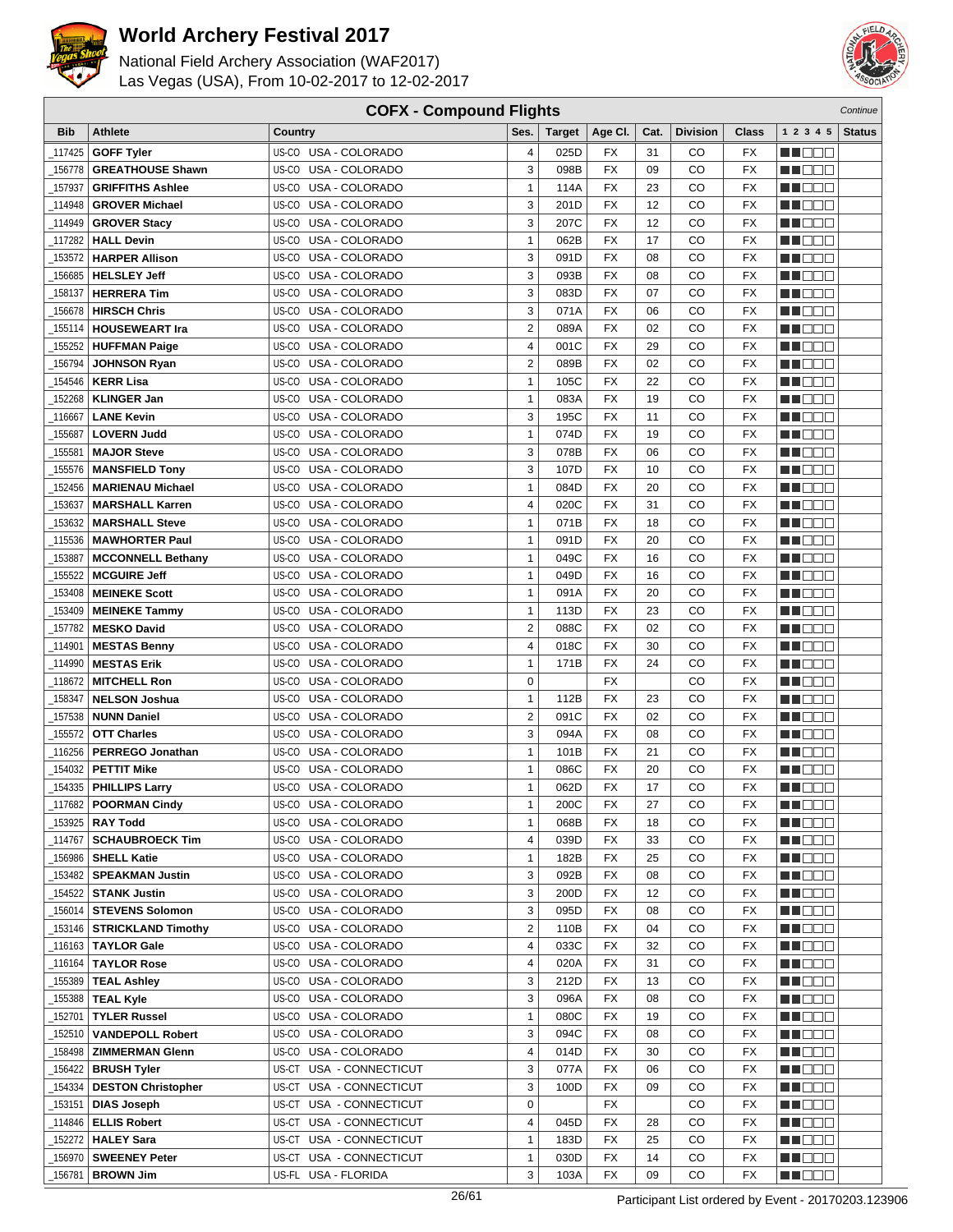



| <b>COFX - Compound Flights</b><br>Continue |                           |                                           |                  |               |                 |      |                 |                          |                      |               |
|--------------------------------------------|---------------------------|-------------------------------------------|------------------|---------------|-----------------|------|-----------------|--------------------------|----------------------|---------------|
| <b>Bib</b>                                 | <b>Athlete</b>            | Country                                   | Ses.             | <b>Target</b> | Age CI.         | Cat. | <b>Division</b> | Class                    | 1 2 3 4 5            | <b>Status</b> |
| 117425                                     | <b>GOFF Tyler</b>         | US-CO USA - COLORADO                      | 4                | 025D          | FX              | 31   | CO              | FX                       | <u> Here i Ser</u>   |               |
| 156778                                     | <b>GREATHOUSE Shawn</b>   | US-CO USA - COLORADO                      | 3                | 098B          | <b>FX</b>       | 09   | CO              | <b>FX</b>                | n i De B             |               |
| 157937                                     | <b>GRIFFITHS Ashlee</b>   | US-CO USA - COLORADO                      | $\mathbf{1}$     | 114A          | <b>FX</b>       | 23   | CO              | <b>FX</b>                | n i DDE              |               |
| 114948                                     | <b>GROVER Michael</b>     | USA - COLORADO<br>US-CO                   | 3                | 201D          | <b>FX</b>       | 12   | CO              | <b>FX</b>                | MT DE E              |               |
| 114949_                                    | <b>GROVER Stacy</b>       | USA - COLORADO<br>US-CO                   | 3                | 207C          | FX              | 12   | CO              | <b>FX</b>                | n in Eise            |               |
|                                            | <b>HALL Devin</b>         | US-CO<br>USA - COLORADO                   |                  |               | FX              | 17   | CO              |                          |                      |               |
| 117282                                     |                           |                                           | 1<br>3           | 062B          | <b>FX</b>       |      | CO              | FX                       | M DE L               |               |
| 153572                                     | <b>HARPER Allison</b>     | USA - COLORADO<br>US-CO<br>USA - COLORADO |                  | 091D          |                 | 08   |                 | <b>FX</b>                | n i DDE              |               |
| 156685                                     | <b>HELSLEY Jeff</b>       | US-CO                                     | 3                | 093B          | FX              | 08   | CO              | <b>FX</b>                | n i BBC              |               |
| 158137                                     | <b>HERRERA Tim</b>        | US-CO<br>USA - COLORADO                   | 3                | 083D          | <b>FX</b>       | 07   | CO              | <b>FX</b>                | n de de              |               |
| 156678                                     | <b>HIRSCH Chris</b>       | US-CO<br>USA - COLORADO                   | 3                | 071A          | <b>FX</b>       | 06   | CO              | <b>FX</b>                | MA DE S              |               |
| 155114                                     | <b>HOUSEWEART Ira</b>     | US-CO USA - COLORADO                      | $\boldsymbol{2}$ | 089A          | <b>FX</b>       | 02   | CO              | <b>FX</b>                | M O O O              |               |
| 155252                                     | <b>HUFFMAN Paige</b>      | US-CO USA - COLORADO                      | 4                | 001C          | <b>FX</b>       | 29   | CO              | <b>FX</b>                | n i De E             |               |
| 156794                                     | <b>JOHNSON Ryan</b>       | US-CO<br>USA - COLORADO                   | $\overline{2}$   | 089B          | FX              | 02   | CO              | <b>FX</b>                | n i Bele             |               |
| 154546                                     | <b>KERR Lisa</b>          | USA - COLORADO<br>US-CO                   | $\mathbf{1}$     | 105C          | <b>FX</b>       | 22   | CO              | <b>FX</b>                | MA DE L              |               |
| 152268                                     | <b>KLINGER Jan</b>        | US-CO<br>USA - COLORADO                   | 1                | 083A          | FX              | 19   | CO              | <b>FX</b>                | MU OO U              |               |
| 116667                                     | <b>LANE Kevin</b>         | US-CO USA - COLORADO                      | 3                | 195C          | <b>FX</b>       | 11   | CO              | <b>FX</b>                | MA DE E              |               |
| 155687                                     | <b>LOVERN Judd</b>        | USA - COLORADO<br>US-CO                   | $\mathbf{1}$     | 074D          | FX              | 19   | CO              | <b>FX</b>                | N NO DE              |               |
| 155581                                     | <b>MAJOR Steve</b>        | USA - COLORADO<br>US-CO                   | 3                | 078B          | <b>FX</b>       | 06   | CO              | <b>FX</b>                | N NO D O             |               |
| 155576                                     | <b>MANSFIELD Tony</b>     | USA - COLORADO<br>US-CO                   | 3                | 107D          | <b>FX</b>       | 10   | CO              | <b>FX</b>                | <u>sa sa sa</u>      |               |
| 152456                                     | <b>MARIENAU Michael</b>   | US-CO USA - COLORADO                      | $\mathbf{1}$     | 084D          | <b>FX</b>       | 20   | CO              | <b>FX</b>                | MU DO B              |               |
| 153637                                     | <b>MARSHALL Karren</b>    | US-CO USA - COLORADO                      | 4                | 020C          | <b>FX</b>       | 31   | CO              | <b>FX</b>                | MT DE E              |               |
| 153632                                     | <b>MARSHALL Steve</b>     | US-CO USA - COLORADO                      | 1                | 071B          | FX              | 18   | CO              | <b>FX</b>                | MA DE C              |               |
| 115536                                     | <b>MAWHORTER Paul</b>     | USA - COLORADO<br>US-CO                   | $\mathbf{1}$     | 091D          | <b>FX</b>       | 20   | CO              | <b>FX</b>                | MA KABU              |               |
| 153887                                     | <b>MCCONNELL Bethany</b>  | US-CO<br>USA - COLORADO                   | $\mathbf{1}$     | 049C          | <b>FX</b>       | 16   | CO              | <b>FX</b>                | N NOOC               |               |
| 155522                                     | <b>MCGUIRE Jeff</b>       | USA - COLORADO<br>US-CO                   | $\mathbf{1}$     | 049D          | <b>FX</b>       | 16   | CO              | <b>FX</b>                | n i DDE              |               |
| 153408                                     | <b>MEINEKE Scott</b>      | USA - COLORADO<br>US-CO                   | $\mathbf{1}$     | 091A          | FX              | 20   | CO              | <b>FX</b>                | n de e               |               |
| 153409                                     | <b>MEINEKE Tammy</b>      | US-CO<br>USA - COLORADO                   | $\mathbf{1}$     | 113D          | <b>FX</b>       | 23   | CO              | <b>FX</b>                | M D D D              |               |
| 157782                                     | <b>MESKO David</b>        | USA - COLORADO<br>US-CO                   | $\overline{2}$   | 088C          | <b>FX</b>       | 02   | CO              | <b>FX</b>                | MA OO Z              |               |
| 114901_                                    | <b>MESTAS Benny</b>       | USA - COLORADO<br>US-CO                   | 4                | 018C          | <b>FX</b>       | 30   | CO              | <b>FX</b>                | n i BBC              |               |
| 114990                                     | <b>MESTAS Erik</b>        | US-CO USA - COLORADO                      | 1                | 171B          | <b>FX</b>       | 24   | CO              | <b>FX</b>                | e de la co           |               |
| 118672                                     | <b>MITCHELL Ron</b>       | US-CO USA - COLORADO                      | $\mathbf 0$      |               | FX              |      | CO              | <b>FX</b>                | MU DO O              |               |
| 158347                                     | <b>NELSON Joshua</b>      | USA - COLORADO<br>US-CO                   | $\mathbf{1}$     | 112B          | FX              | 23   | CO              | <b>FX</b>                | MU DO G              |               |
| 157538                                     | <b>NUNN Daniel</b>        | US-CO<br>USA - COLORADO                   | $\overline{2}$   | 091C          | FX              | 02   | CO              | <b>FX</b>                | N I DE E             |               |
| 155572                                     | <b>OTT Charles</b>        | USA - COLORADO<br>US-CO                   | 3                | 094A          | <b>FX</b>       | 08   | CO              | <b>FX</b>                | N NO DE              |               |
| 116256                                     | <b>PERREGO Jonathan</b>   | USA - COLORADO<br>US-CO                   | $\mathbf{1}$     | 101B          | <b>FX</b>       | 21   | CO              | <b>FX</b>                | M D D D              |               |
| 154032                                     | <b>PETTIT Mike</b>        | US-CO<br>USA - COLORADO                   | $\mathbf{1}$     | 086C          | <b>FX</b>       | 20   | CO              | <b>FX</b>                | M D D D              |               |
| 154335                                     | <b>PHILLIPS Larry</b>     | US-CO USA - COLORADO                      | $\mathbf{1}$     | 062D          | <b>FX</b>       | 17   | CO              | <b>FX</b>                | NN O O O             |               |
|                                            | $\_117682$ POORMAN Cindy  | US-CO USA - COLORADO                      | 1                | 200C          | $\overline{FX}$ | 27   | $_{\rm CO}$     | $\overline{\mathsf{FX}}$ | <b>NH</b> OOO        |               |
|                                            | 153925   RAY Todd         | US-CO USA - COLORADO                      | $\mathbf{1}$     | 068B          | FX              | 18   | CO              | FX                       | <u>sa sa sa</u>      |               |
| 114767                                     | <b>SCHAUBROECK Tim</b>    | US-CO USA - COLORADO                      | 4                | 039D          | FX              | 33   | CO              | FX                       | <u> Hood</u>         |               |
| _156986                                    | <b>SHELL Katie</b>        | US-CO USA - COLORADO                      | $\mathbf{1}$     | 182B          | FX              | 25   | CO              | FX                       | NN OOO               |               |
| _153482                                    | <b>SPEAKMAN Justin</b>    | US-CO USA - COLORADO                      | 3                | 092B          | FX              | 08   | CO              | FX                       | MA DE E              |               |
| 154522                                     | <b>STANK Justin</b>       | US-CO USA - COLORADO                      | 3                | 200D          | FX              | 12   | CO              | FX                       | <b>HEDDE</b>         |               |
|                                            | <b>STEVENS Solomon</b>    | US-CO USA - COLORADO                      | 3                | 095D          | FX              | 08   | CO              | FX                       |                      |               |
| 156014                                     | <b>STRICKLAND Timothy</b> |                                           | $\overline{2}$   |               |                 | 04   |                 |                          | <u>in ja sis</u>     |               |
| _153146                                    |                           | US-CO USA - COLORADO                      |                  | 110B          | FX              |      | CO              | FX                       | MU O O O             |               |
| _116163                                    | <b>TAYLOR Gale</b>        | US-CO USA - COLORADO                      | 4                | 033C          | FX              | 32   | CO              | FX                       | <u> Here a</u>       |               |
| _116164                                    | <b>TAYLOR Rose</b>        | US-CO USA - COLORADO                      | 4                | 020A          | FX              | 31   | CO              | FX                       | <u>Ma Bibi</u>       |               |
| 155389                                     | <b>TEAL Ashley</b>        | US-CO USA - COLORADO                      | 3                | 212D          | FX              | 13   | CO              | FX                       | <u>Liel Liel Lie</u> |               |
| 155388                                     | <b>TEAL Kyle</b>          | US-CO USA - COLORADO                      | 3                | 096A          | FX              | 08   | CO              | FX                       | MA DE E              |               |
| 152701_                                    | <b>TYLER Russel</b>       | US-CO USA - COLORADO                      | $\mathbf{1}$     | 080C          | FX              | 19   | CO              | FX                       | NN O O O             |               |
| 152510                                     | <b>VANDEPOLL Robert</b>   | US-CO<br>USA - COLORADO                   | 3                | 094C          | FX              | 08   | CO              | FX                       | e de la co           |               |
| _158498                                    | <b>ZIMMERMAN Glenn</b>    | US-CO USA - COLORADO                      | 4                | 014D          | FX              | 30   | CO              | FX                       | <b>MNDDD</b>         |               |
| _156422                                    | <b>BRUSH Tyler</b>        | US-CT USA - CONNECTICUT                   | 3                | 077A          | FX              | 06   | CO              | FX                       | MU O O O             |               |
| 154334                                     | <b>DESTON Christopher</b> | US-CT USA - CONNECTICUT                   | 3                | 100D          | FX              | 09   | CO              | FX                       | NN O O O             |               |
| _153151                                    | <b>DIAS Joseph</b>        | US-CT USA - CONNECTICUT                   | 0                |               | FX              |      | CO              | FX                       | <u> Hood</u>         |               |
| _114846                                    | <b>ELLIS Robert</b>       | US-CT USA - CONNECTICUT                   | 4                | 045D          | FX              | 28   | CO              | FX                       | MU O O O             |               |
| _152272                                    | <b>HALEY Sara</b>         | US-CT USA - CONNECTICUT                   | $\mathbf{1}$     | 183D          | FX              | 25   | CO              | FX                       | MU O O O             |               |
| _156970                                    | <b>SWEENEY Peter</b>      | US-CT USA - CONNECTICUT                   | $\mathbf{1}$     | 030D          | FX              | 14   | CO              | FX                       | NN O O O             |               |
| _156781                                    | <b>BROWN Jim</b>          | US-FL USA - FLORIDA                       | 3                | 103A          | FX              | 09   | CO              | FX                       | NN O O O             |               |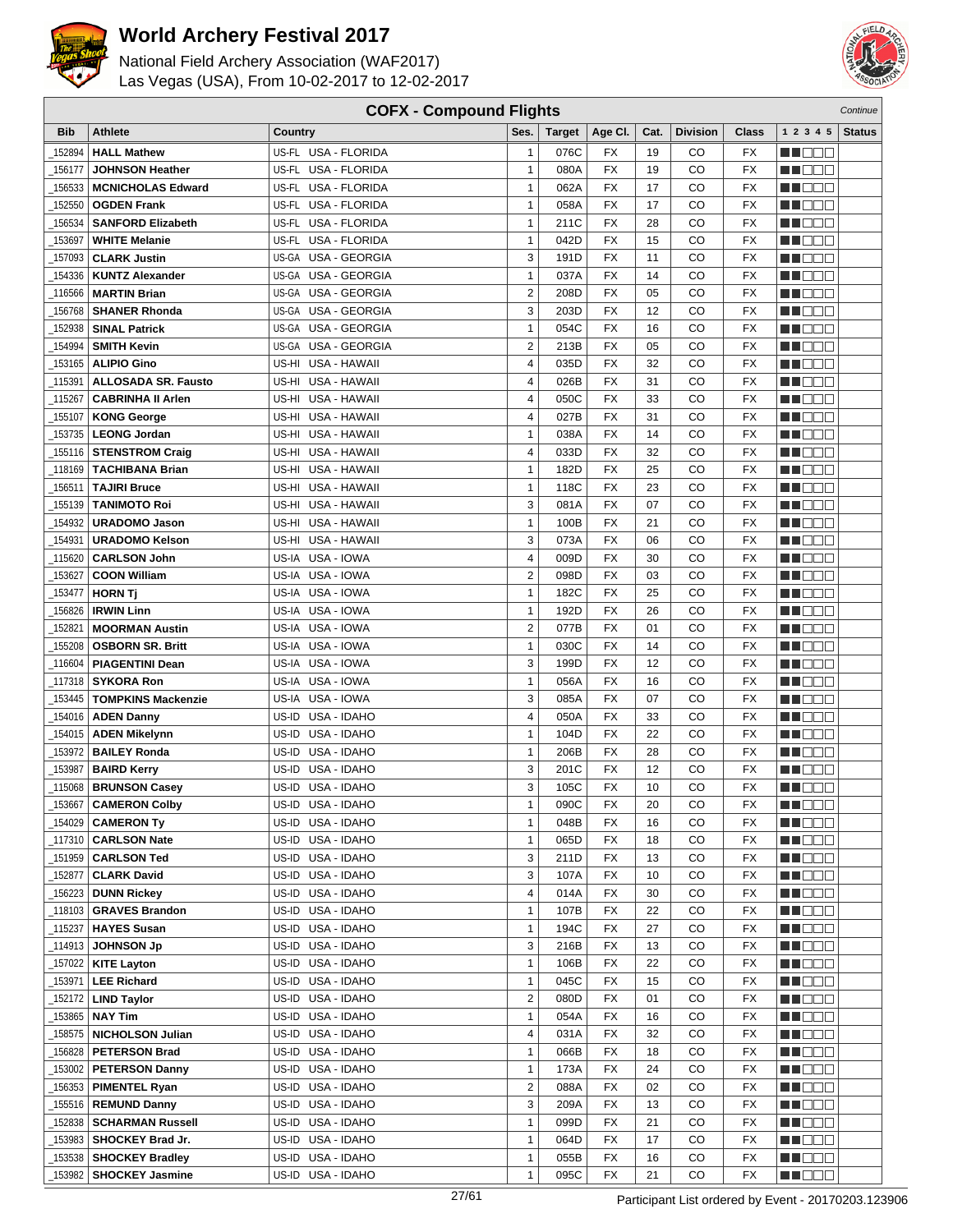



| <b>COFX - Compound Flights</b><br>Continue |                            |                               |                |               |                          |      |                 |                 |                   |               |
|--------------------------------------------|----------------------------|-------------------------------|----------------|---------------|--------------------------|------|-----------------|-----------------|-------------------|---------------|
| <b>Bib</b>                                 | <b>Athlete</b>             | Country                       | Ses.           | <b>Target</b> | Age CI.                  | Cat. | <b>Division</b> | <b>Class</b>    | 1 2 3 4 5         | <b>Status</b> |
| 152894                                     | <b>HALL Mathew</b>         | US-FL USA - FLORIDA           | $\mathbf{1}$   | 076C          | FX                       | 19   | CO              | FX              | HI EE E           |               |
| 156177                                     | <b>JOHNSON Heather</b>     | US-FL USA - FLORIDA           | $\mathbf{1}$   | 080A          | <b>FX</b>                | 19   | CO              | <b>FX</b>       | MU O O O          |               |
| 156533                                     | <b>MCNICHOLAS Edward</b>   | US-FL USA - FLORIDA           | $\mathbf{1}$   | 062A          | <b>FX</b>                | 17   | CO              | FX              | n i DDE           |               |
| 152550                                     | <b>OGDEN Frank</b>         | US-FL USA - FLORIDA           | $\mathbf{1}$   | 058A          | <b>FX</b>                | 17   | CO              | FX              | MN 888            |               |
|                                            |                            |                               |                |               |                          |      |                 |                 |                   |               |
| 156534                                     | <b>SANFORD Elizabeth</b>   | US-FL<br><b>USA - FLORIDA</b> | $\mathbf{1}$   | 211C          | <b>FX</b>                | 28   | CO              | FX              | MA BEL            |               |
| 153697                                     | <b>WHITE Melanie</b>       | USA - FLORIDA<br>US-FL        | $\mathbf{1}$   | 042D          | <b>FX</b>                | 15   | CO              | FX              | M OO O            |               |
| 157093                                     | <b>CLARK Justin</b>        | US-GA USA - GEORGIA           | 3              | 191D          | <b>FX</b>                | 11   | CO              | FX              | MA OO B           |               |
| 154336                                     | <b>KUNTZ Alexander</b>     | US-GA USA - GEORGIA           | $\mathbf{1}$   | 037A          | <b>FX</b>                | 14   | CO              | FX              | MN D D O          |               |
| 116566                                     | <b>MARTIN Brian</b>        | US-GA USA - GEORGIA           | $\overline{2}$ | 208D          | <b>FX</b>                | 05   | CО              | <b>FX</b>       | MO DO O           |               |
| 156768                                     | <b>SHANER Rhonda</b>       | US-GA USA - GEORGIA           | 3              | 203D          | <b>FX</b>                | 12   | CO              | <b>FX</b>       | MU DO B           |               |
| 152938                                     | <b>SINAL Patrick</b>       | US-GA USA - GEORGIA           | $\mathbf{1}$   | 054C          | <b>FX</b>                | 16   | CO              | <b>FX</b>       | WU 88             |               |
| 154994                                     | <b>SMITH Kevin</b>         | US-GA USA - GEORGIA           | $\overline{2}$ | 213B          | <b>FX</b>                | 05   | CO              | FX              | en de la p        |               |
| 153165                                     | <b>ALIPIO Gino</b>         | US-HI USA - HAWAII            | 4              | 035D          | FX                       | 32   | CO              | FX              | n i Bele          |               |
| 115391                                     | <b>ALLOSADA SR. Fausto</b> | USA - HAWAII<br>US-HI         | 4              | 026B          | <b>FX</b>                | 31   | CO              | FX              | MA DE L           |               |
| 115267                                     | <b>CABRINHA II Arlen</b>   | USA - HAWAII<br>US-HI         | 4              | 050C          | <b>FX</b>                | 33   | CO              | FX              | M DE O            |               |
| 155107                                     | <b>KONG George</b>         | USA - HAWAII<br>US-HI         | $\overline{4}$ | 027B          | <b>FX</b>                | 31   | CO              | FX              | n i DDE           |               |
| 153735                                     | <b>LEONG Jordan</b>        | US-HI USA - HAWAII            | $\mathbf{1}$   | 038A          | <b>FX</b>                | 14   | CO              | FX              | MO DO O           |               |
| 155116                                     | <b>STENSTROM Craig</b>     | US-HI USA - HAWAII            | 4              | 033D          | <b>FX</b>                | 32   | CO              | <b>FX</b>       | MU DO O           |               |
| 118169                                     | <b>TACHIBANA Brian</b>     | USA - HAWAII<br>US-HI         | $\mathbf{1}$   | 182D          | <b>FX</b>                | 25   | CO              | FX              | MU DO B           |               |
| 156511                                     | <b>TAJIRI Bruce</b>        | US-HI USA - HAWAII            | $\mathbf{1}$   | 118C          | <b>FX</b>                | 23   | CO              | <b>FX</b>       | MU DE B           |               |
| 155139                                     | <b>TANIMOTO Roi</b>        | US-HI USA - HAWAII            | 3              | 081A          | <b>FX</b>                | 07   | CO              | FX              | N N D D D         |               |
| 154932                                     | <b>URADOMO Jason</b>       | US-HI USA - HAWAII            | $\mathbf{1}$   | 100B          | <b>FX</b>                | 21   | CO              | FX              | ME DE S           |               |
|                                            | <b>URADOMO Kelson</b>      | USA - HAWAII<br>US-HI         | 3              | 073A          | <b>FX</b>                | 06   | CO              | FX              | MA DE E           |               |
| 154931                                     |                            |                               |                |               |                          |      |                 |                 |                   |               |
| 115620                                     | <b>CARLSON John</b>        | US-IA<br>USA - IOWA           | 4              | 009D          | <b>FX</b>                | 30   | CO              | FX              | n i Bele          |               |
| 153627                                     | <b>COON William</b>        | US-IA USA - IOWA              | $\overline{2}$ | 098D          | <b>FX</b>                | 03   | CO              | FX              | MN 888            |               |
| 153477                                     | <b>HORN Tj</b>             | US-IA USA - IOWA              | $\mathbf{1}$   | 182C          | <b>FX</b>                | 25   | CO              | FX              | MO DO O           |               |
| 156826                                     | <b>IRWIN Linn</b>          | US-IA USA - IOWA              | $\mathbf{1}$   | 192D          | <b>FX</b>                | 26   | CO              | <b>FX</b>       | MU DO O           |               |
| 152821                                     | <b>MOORMAN Austin</b>      | US-IA USA - IOWA              | $\overline{2}$ | 077B          | <b>FX</b>                | 01   | CO              | <b>FX</b>       | MU DO B           |               |
| 155208                                     | <b>OSBORN SR. Britt</b>    | US-IA USA - IOWA              | $\mathbf{1}$   | 030C          | <b>FX</b>                | 14   | CO              | <b>FX</b>       | MN D D D          |               |
| 116604                                     | <b>PIAGENTINI Dean</b>     | US-IA USA - IOWA              | 3              | 199D          | <b>FX</b>                | 12   | CO              | FX              | e de la co        |               |
| 117318                                     | <b>SYKORA Ron</b>          | US-IA USA - IOWA              | $\mathbf{1}$   | 056A          | FX                       | 16   | CO              | FX              | MA DE C           |               |
| 153445                                     | <b>TOMPKINS Mackenzie</b>  | US-IA USA - IOWA              | 3              | 085A          | <b>FX</b>                | 07   | CO              | FX              | M DE E            |               |
| 154016                                     | <b>ADEN Danny</b>          | US-ID<br>USA - IDAHO          | $\overline{4}$ | 050A          | FX                       | 33   | CO              | <b>FX</b>       | M DO O            |               |
| 154015                                     | <b>ADEN Mikelynn</b>       | USA - IDAHO<br>US-ID          | $\mathbf{1}$   | 104D          | <b>FX</b>                | 22   | CO              | FX              | MU DO O           |               |
| 153972                                     | <b>BAILEY Ronda</b>        | USA - IDAHO<br>US-ID          | $\mathbf{1}$   | 206B          | <b>FX</b>                | 28   | CO              | FX              | M DE B            |               |
| 153987                                     | <b>BAIRD Kerry</b>         | USA - IDAHO<br>US-ID          | 3              | 201C          | <b>FX</b>                | 12   | CO              | <b>FX</b>       | M DO D            |               |
| 115068                                     | <b>BRUNSON Casey</b>       | US-ID USA - IDAHO             | 3              | 105C          | <b>FX</b>                | 10   | CO              | <b>FX</b>       | <b>NN</b> OOO     |               |
| $-153667$                                  | <b>CAMERON Colby</b>       | US-ID USA - IDAHO             | 1              | 090C          | $\overline{\mathsf{FX}}$ | 20   | CO              | $\overline{FX}$ | <b>BECOO</b>      |               |
| 154029                                     | <b>CAMERON Ty</b>          | US-ID USA - IDAHO             | $\mathbf{1}$   | 048B          | <b>FX</b>                | 16   | CO              | FX              | N NO D            |               |
|                                            | <b>CARLSON Nate</b>        | US-ID USA - IDAHO             | $\mathbf{1}$   | 065D          | FX                       | 18   | CO              | FX              | WU O O O          |               |
| 151959                                     | <b>CARLSON Ted</b>         | US-ID USA - IDAHO             | 3              | 211D          | <b>FX</b>                | 13   | CO              | FX              | MUOOO             |               |
| _152877                                    | <b>CLARK David</b>         | US-ID USA - IDAHO             | 3              | 107A          | FX                       | 10   | CO              | FX              | <u>in dia ka</u>  |               |
| 156223                                     | <b>DUNN Rickey</b>         | US-ID USA - IDAHO             | 4              | 014A          | FX                       | 30   | CO              | FX              | <b>MA</b> DOO     |               |
| _118103                                    | <b>GRAVES Brandon</b>      | US-ID USA - IDAHO             | $\mathbf{1}$   | 107B          | FX                       | 22   | CO              | FX              |                   |               |
|                                            |                            |                               |                |               |                          |      |                 |                 | MU DECI           |               |
| 115237                                     | <b>HAYES Susan</b>         | US-ID USA - IDAHO             | $\mathbf{1}$   | 194C          | FX                       | 27   | CO              | FX              | MU DO D           |               |
| _114913                                    | <b>JOHNSON Jp</b>          | US-ID USA - IDAHO             | 3              | 216B          | FX                       | 13   | CO              | FX              | MN OO O           |               |
| 157022                                     | <b>KITE Layton</b>         | US-ID USA - IDAHO             | $\mathbf{1}$   | 106B          | FX                       | 22   | CO              | FX              | ME DE L'          |               |
| 153971                                     | <b>LEE Richard</b>         | US-ID USA - IDAHO             | $\mathbf{1}$   | 045C          | FX                       | 15   | CO              | FX              | MU DECI           |               |
| 152172                                     | <b>LIND Taylor</b>         | US-ID USA - IDAHO             | $\overline{2}$ | 080D          | FX                       | 01   | CO              | FX              | WU 88             |               |
| 153865                                     | <b>NAY Tim</b>             | US-ID USA - IDAHO             | $\mathbf{1}$   | 054A          | FX                       | 16   | CO              | FX              | MU DO O           |               |
| 158575_                                    | <b>NICHOLSON Julian</b>    | US-ID USA - IDAHO             | 4              | 031A          | FX                       | 32   | CO              | FX              | <u> Lind a Bi</u> |               |
| 156828                                     | <b>PETERSON Brad</b>       | US-ID USA - IDAHO             | $\mathbf{1}$   | 066B          | FX                       | 18   | CO              | FX              | <b>MA</b> DOO     |               |
| 153002                                     | <b>PETERSON Danny</b>      | US-ID USA - IDAHO             | $\mathbf{1}$   | 173A          | FX                       | 24   | CO              | FX              | MU DO D           |               |
| 156353                                     | <b>PIMENTEL Ryan</b>       | US-ID USA - IDAHO             | $\overline{2}$ | 088A          | FX                       | 02   | CO              | FX              | N DO O            |               |
| 155516                                     | <b>REMUND Danny</b>        | US-ID USA - IDAHO             | 3              | 209A          | <b>FX</b>                | 13   | CO              | FX              | <u> Literatu</u>  |               |
| 152838                                     | <b>SCHARMAN Russell</b>    | US-ID USA - IDAHO             | $\mathbf{1}$   | 099D          | FX                       | 21   | CO              | FX              | <u>Li Bec</u>     |               |
| 153983                                     | SHOCKEY Brad Jr.           | US-ID USA - IDAHO             | $\mathbf{1}$   | 064D          | FX                       | 17   | CO              | FX              | MU DO O           |               |
| 153538                                     | <b>SHOCKEY Bradley</b>     | US-ID USA - IDAHO             | $\mathbf{1}$   | 055B          | FX                       | 16   | CO              | FX              | M DE S            |               |
| 153982                                     | <b>SHOCKEY Jasmine</b>     | US-ID USA - IDAHO             | $\mathbf{1}$   | 095C          | FX                       | 21   | CO              | FX              | <b>MA</b> OOO     |               |
|                                            |                            |                               |                |               |                          |      |                 |                 |                   |               |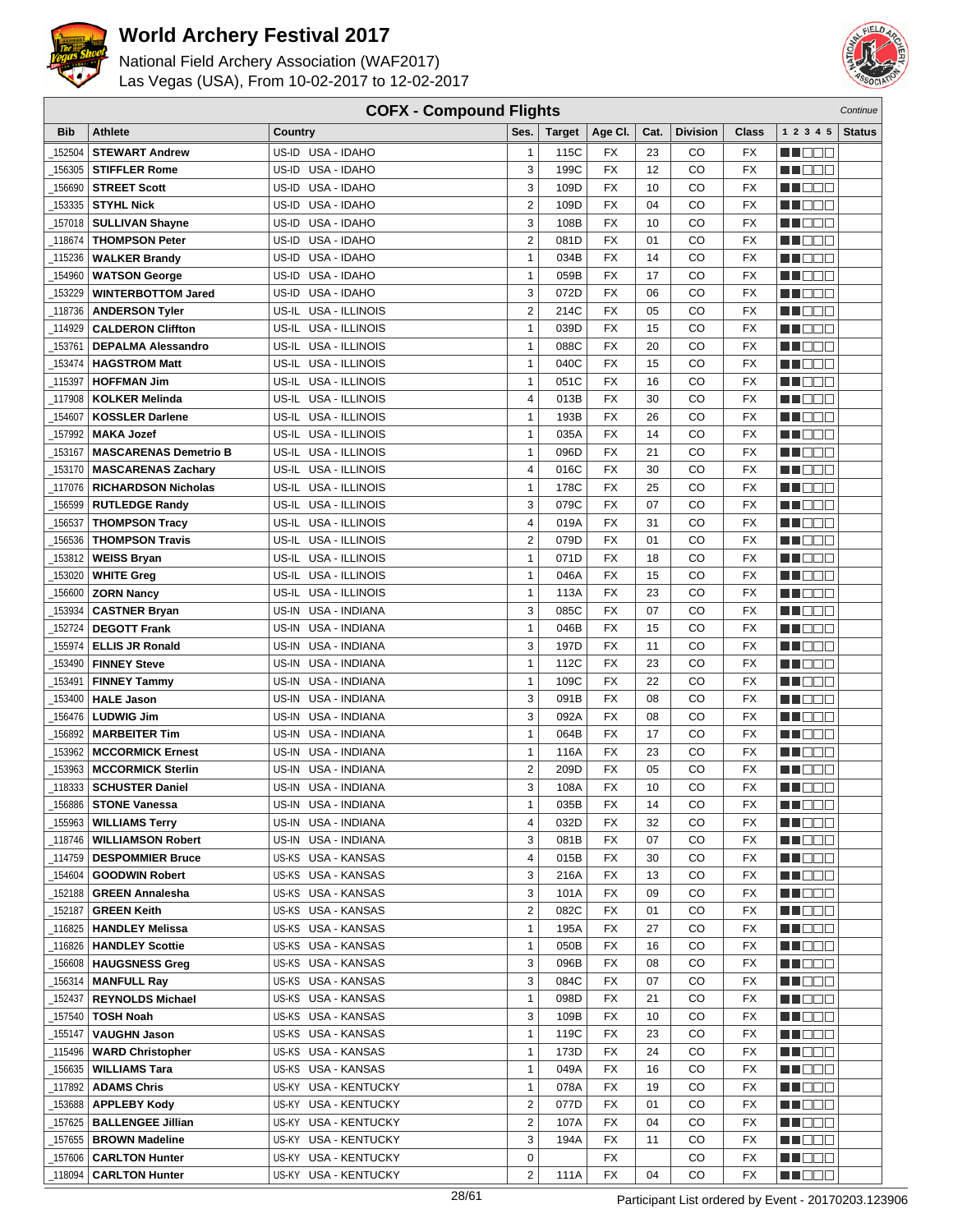



|            |                              | <b>COFX - Compound Flights</b> |                         |               |           |      |                 |              |                  | Continue      |
|------------|------------------------------|--------------------------------|-------------------------|---------------|-----------|------|-----------------|--------------|------------------|---------------|
| <b>Bib</b> | <b>Athlete</b>               | Country                        | Ses.                    | <b>Target</b> | Age CI.   | Cat. | <b>Division</b> | <b>Class</b> | 1 2 3 4 5        | <b>Status</b> |
| 152504     | <b>STEWART Andrew</b>        | US-ID USA - IDAHO              | $\mathbf{1}$            | 115C          | FX        | 23   | CO              | <b>FX</b>    | n na m           |               |
| 156305     | <b>STIFFLER Rome</b>         | USA - IDAHO<br>US-ID           | 3                       | 199C          | <b>FX</b> | 12   | CO              | <b>FX</b>    | M DO B           |               |
| 156690     | <b>STREET Scott</b>          | US-ID USA - IDAHO              | 3                       | 109D          | <b>FX</b> | 10   | CO              | <b>FX</b>    | MN 888           |               |
| 153335     | <b>STYHL Nick</b>            | US-ID USA - IDAHO              | $\overline{c}$          | 109D          | <b>FX</b> | 04   | CO              | <b>FX</b>    | MN 888           |               |
| 157018     | <b>SULLIVAN Shayne</b>       | USA - IDAHO<br>US-ID           | 3                       | 108B          | <b>FX</b> | 10   | CO              | <b>FX</b>    | N DE S           |               |
| 118674     | <b>THOMPSON Peter</b>        | USA - IDAHO<br>US-ID           | $\overline{2}$          | 081D          | <b>FX</b> | 01   | CO              | <b>FX</b>    | MU OO O          |               |
| 115236     | <b>WALKER Brandy</b>         | USA - IDAHO<br>US-ID           | $\mathbf{1}$            | 034B          | <b>FX</b> | 14   | CO              | <b>FX</b>    | ME E E E         |               |
| 154960     | <b>WATSON George</b>         | US-ID<br>USA - IDAHO           | $\mathbf{1}$            | 059B          | <b>FX</b> | 17   | CO              | <b>FX</b>    | MN 888           |               |
| 153229     | <b>WINTERBOTTOM Jared</b>    | USA - IDAHO<br>US-ID           | 3                       | 072D          | <b>FX</b> | 06   | CO              | FX           | n i Bele         |               |
| 118736     | <b>ANDERSON Tyler</b>        | USA - ILLINOIS<br>US-IL        | $\overline{2}$          | 214C          | FX        | 05   | CO              | <b>FX</b>    | MA DE S          |               |
| 114929     | <b>CALDERON Cliffton</b>     | <b>USA - ILLINOIS</b><br>US-IL | $\mathbf{1}$            | 039D          | <b>FX</b> | 15   | CO              | <b>FX</b>    | MU DO B          |               |
| 153761     | <b>DEPALMA Alessandro</b>    | US-IL USA - ILLINOIS           | $\mathbf{1}$            | 088C          | <b>FX</b> | 20   | CO              | <b>FX</b>    | MN D D D         |               |
| 153474     | <b>HAGSTROM Matt</b>         | US-IL USA - ILLINOIS           | $\mathbf{1}$            | 040C          | <b>FX</b> | 15   | CO              | <b>FX</b>    | n i Bele         |               |
| 115397     | <b>HOFFMAN Jim</b>           | US-IL USA - ILLINOIS           | $\mathbf{1}$            | 051C          | <b>FX</b> | 16   | CO              | <b>FX</b>    | N N D D D        |               |
| 117908     | <b>KOLKER Melinda</b>        | US-IL<br>USA - ILLINOIS        | 4                       | 013B          | <b>FX</b> | 30   | CO              | <b>FX</b>    | MU OO O          |               |
| 154607     | <b>KOSSLER Darlene</b>       | US-IL<br>USA - ILLINOIS        | $\mathbf{1}$            | 193B          | <b>FX</b> | 26   | CO              | <b>FX</b>    | MN 888           |               |
| 157992     | <b>MAKA Jozef</b>            | USA - ILLINOIS<br>US-IL        | $\mathbf{1}$            | 035A          | <b>FX</b> | 14   | CO              | <b>FX</b>    | MA DE E          |               |
| 153167     | <b>MASCARENAS Demetrio B</b> | US-IL USA - ILLINOIS           | $\mathbf{1}$            | 096D          | <b>FX</b> | 21   | CO              | FX           | n i De E         |               |
| 153170     | <b>MASCARENAS Zachary</b>    | US-IL USA - ILLINOIS           | 4                       | 016C          | FX        | 30   | CO              | <b>FX</b>    | MU OO O          |               |
| 117076     | <b>RICHARDSON Nicholas</b>   | US-IL USA - ILLINOIS           | $\mathbf{1}$            | 178C          | <b>FX</b> | 25   | CO              | <b>FX</b>    | MN 888           |               |
| 156599     | <b>RUTLEDGE Randy</b>        | US-IL USA - ILLINOIS           | 3                       | 079C          | <b>FX</b> | 07   | CO              | <b>FX</b>    | MN D D D         |               |
| 156537     | <b>THOMPSON Tracy</b>        | US-IL USA - ILLINOIS           | 4                       | 019A          | <b>FX</b> | 31   | CO              | <b>FX</b>    | n i Bele         |               |
| 156536     | <b>THOMPSON Travis</b>       | US-IL USA - ILLINOIS           | $\overline{2}$          | 079D          | <b>FX</b> | 01   | CO              | <b>FX</b>    | M D D D          |               |
| 153812     | <b>WEISS Bryan</b>           | US-IL USA - ILLINOIS           | 1                       | 071D          | <b>FX</b> | 18   | CO              | <b>FX</b>    | MA E E E         |               |
| 153020     | <b>WHITE Greg</b>            | USA - ILLINOIS<br>US-IL        | $\mathbf{1}$            | 046A          | <b>FX</b> | 15   | CO              | <b>FX</b>    | MN 888           |               |
| 156600     | <b>ZORN Nancy</b>            | USA - ILLINOIS<br>US-IL        | $\mathbf{1}$            | 113A          | <b>FX</b> | 23   | CO              | FX           | M DOO            |               |
| 153934     | <b>CASTNER Bryan</b>         | USA - INDIANA<br>US-IN         | 3                       | 085C          | <b>FX</b> | 07   | CO              | <b>FX</b>    | n i De E         |               |
| 152724     | <b>DEGOTT Frank</b>          | USA - INDIANA<br>US-IN         | 1                       | 046B          | <b>FX</b> | 15   | CO              | <b>FX</b>    | MU DO B          |               |
| 155974     | <b>ELLIS JR Ronald</b>       | US-IN<br>USA - INDIANA         | 3                       | 197D          | <b>FX</b> | 11   | CO              | <b>FX</b>    | MN 888           |               |
| 153490     | <b>FINNEY Steve</b>          | USA - INDIANA<br>US-IN         | $\mathbf{1}$            | 112C          | <b>FX</b> | 23   | CO              | <b>FX</b>    | MO DO O          |               |
| 153491     | <b>FINNEY Tammy</b>          | USA - INDIANA<br>US-IN         | $\mathbf{1}$            | 109C          | <b>FX</b> | 22   | CO              | <b>FX</b>    | n i De E         |               |
| 153400     | <b>HALE Jason</b>            | US-IN<br>USA - INDIANA         | 3                       | 091B          | <b>FX</b> | 08   | CO              | <b>FX</b>    | MU DO B          |               |
| 156476     | <b>LUDWIG Jim</b>            | US-IN<br>USA - INDIANA         | 3                       | 092A          | <b>FX</b> | 08   | CO              | FX           | MA OO B          |               |
| 156892     | <b>MARBEITER Tim</b>         | US-IN<br>USA - INDIANA         | $\mathbf{1}$            | 064B          | <b>FX</b> | 17   | CO              | <b>FX</b>    | MA DO O          |               |
| 153962     | <b>MCCORMICK Ernest</b>      | USA - INDIANA<br>US-IN         | $\mathbf{1}$            | 116A          | FX        | 23   | CO              | FX           | M D D D          |               |
| 153963     | <b>MCCORMICK Sterlin</b>     | USA - INDIANA<br>US-IN         | $\overline{2}$          | 209D          | <b>FX</b> | 05   | CO              | FX           | M DO D           |               |
| 118333     | <b>SCHUSTER Daniel</b>       | US-IN USA - INDIANA            | 3                       | 108A          | <b>FX</b> | 10   | CO              | <b>FX</b>    | MN 888           |               |
| 156886     | <b>STONE Vanessa</b>         | US-IN USA - INDIANA            | 1                       | 035B          | FX        | 14   | CO              | FX           | N DO O           |               |
| _155963    | <b>WILLIAMS Terry</b>        | US-IN USA - INDIANA            | 4                       | 032D          | FX        | 32   | CO              | FX           | MA DE E          |               |
| _118746    | <b>WILLIAMSON Robert</b>     | US-IN USA - INDIANA            | 3                       | 081B          | FX        | 07   | CO              | FX           | <u>Li de d</u>   |               |
| _114759    | <b>DESPOMMIER Bruce</b>      | US-KS USA - KANSAS             | 4                       | 015B          | FX        | 30   | CO              | FX           | M DE S           |               |
| _154604    | <b>GOODWIN Robert</b>        | US-KS USA - KANSAS             | 3                       | 216A          | FX        | 13   | CO              | FX           | MUOOO            |               |
| 152188     | <b>GREEN Annalesha</b>       | US-KS USA - KANSAS             | 3                       | 101A          | FX        | 09   | CO              | FX           | <u> Literatu</u> |               |
| _152187    | <b>GREEN Keith</b>           | US-KS USA - KANSAS             | $\overline{\mathbf{c}}$ | 082C          | FX        | 01   | CO              | FX           | WU O O O         |               |
| _116825    | <b>HANDLEY Melissa</b>       | US-KS USA - KANSAS             | $\mathbf{1}$            | 195A          | FX        | 27   | CO              | FX           | WO OO U          |               |
| _116826    | <b>HANDLEY Scottie</b>       | US-KS USA - KANSAS             | 1                       | 050B          | FX        | 16   | CO              | FX           | MU D D D         |               |
| 156608     | <b>HAUGSNESS Greg</b>        | US-KS USA - KANSAS             | 3                       | 096B          | FX        | 08   | CO              | FX           | MU DO D          |               |
| 156314     | <b>MANFULL Ray</b>           | US-KS USA - KANSAS             | 3                       | 084C          | FX        | 07   | CO              | FX           | <u> HELLI</u>    |               |
| _152437    | <b>REYNOLDS Michael</b>      | US-KS USA - KANSAS             | $\mathbf{1}$            | 098D          | FX        | 21   | CO              | FX           | <u>Li doo</u>    |               |
| _157540    | <b>TOSH Noah</b>             | US-KS USA - KANSAS             | 3                       | 109B          | FX        | 10   | CO              | FX           | <u>in ja sis</u> |               |
| _155147    | <b>VAUGHN Jason</b>          | US-KS USA - KANSAS             | 1                       | 119C          | FX        | 23   | CO              | FX           | N NO DEI         |               |
| _115496    | <b>WARD Christopher</b>      | US-KS USA - KANSAS             | 1                       | 173D          | FX        | 24   | CO              | FX           | <u>LI OOD</u>    |               |
| 156635     | <b>WILLIAMS Tara</b>         | US-KS USA - KANSAS             | $\mathbf{1}$            | 049A          | FX        | 16   | CO              | FX           | MA BIBLIO        |               |
| _117892    | <b>ADAMS Chris</b>           | US-KY USA - KENTUCKY           | $\mathbf{1}$            | 078A          | FX        | 19   | CO              | FX           | MA KATA          |               |
| 153688     | <b>APPLEBY Kody</b>          | US-KY USA - KENTUCKY           | 2                       | 077D          | FX        | 01   | CO              | FX           | MA E E E         |               |
| _157625    | <b>BALLENGEE Jillian</b>     | US-KY USA - KENTUCKY           | 2                       | 107A          | FX        | 04   | CO              | FX           | N DE E           |               |
| _157655    | <b>BROWN Madeline</b>        | US-KY USA - KENTUCKY           | 3                       | 194A          | FX        | 11   | CO              | FX           | MU BI BI         |               |
| _157606    | <b>CARLTON Hunter</b>        | US-KY USA - KENTUCKY           | 0                       |               | FX        |      | CO              | FX           | N DO D           |               |
| 118094     | <b>CARLTON Hunter</b>        | US-KY USA - KENTUCKY           | $\overline{\mathbf{c}}$ | 111A          | FX        | 04   | CO              | FX           | MU DE S          |               |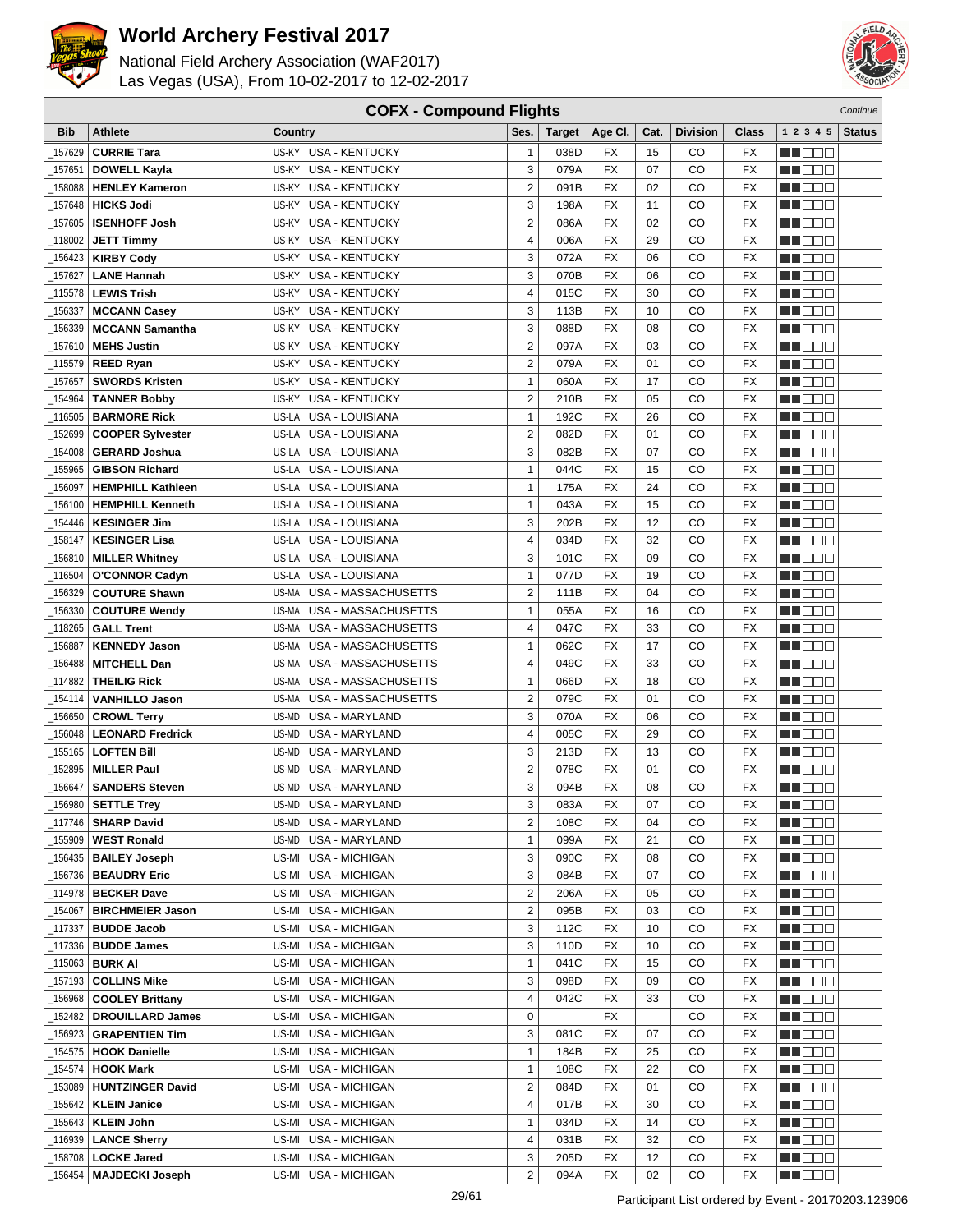



|            | <b>COFX - Compound Flights</b><br>Continue |                                |                         |               |                 |        |                 |                          |                  |               |
|------------|--------------------------------------------|--------------------------------|-------------------------|---------------|-----------------|--------|-----------------|--------------------------|------------------|---------------|
| <b>Bib</b> | Athlete                                    | Country                        | Ses.                    | <b>Target</b> | Age CI.         | Cat.   | <b>Division</b> | <b>Class</b>             | 1 2 3 4 5        | <b>Status</b> |
| 157629     | <b>CURRIE Tara</b>                         | US-KY USA - KENTUCKY           | $\mathbf{1}$            | 038D          | FX              | 15     | CO              | FX                       | e de e           |               |
| 157651     | <b>DOWELL Kayla</b>                        | US-KY USA - KENTUCKY           | 3                       | 079A          | <b>FX</b>       | 07     | CO              | <b>FX</b>                | MU O O O         |               |
| 158088     | <b>HENLEY Kameron</b>                      | US-KY USA - KENTUCKY           | $\overline{2}$          | 091B          | <b>FX</b>       | 02     | CO              | <b>FX</b>                | MOOO             |               |
| 157648     | <b>HICKS Jodi</b>                          | US-KY USA - KENTUCKY           | 3                       | 198A          | <b>FX</b>       | 11     | CO              | FX                       | MA DE E          |               |
| 157605     | <b>ISENHOFF Josh</b>                       | <b>USA - KENTUCKY</b><br>US-KY | $\overline{2}$          | 086A          | <b>FX</b>       | 02     | CO              | <b>FX</b>                | MU DO O          |               |
| 118002     | <b>JETT Timmy</b>                          | US-KY<br><b>USA - KENTUCKY</b> | 4                       | 006A          | <b>FX</b>       | 29     | CO              | FX                       | <b>NH</b> OOO    |               |
| 156423     | <b>KIRBY Cody</b>                          | <b>USA - KENTUCKY</b><br>US-KY | 3                       | 072A          | <b>FX</b>       | 06     | CO              | <b>FX</b>                | ME E E E         |               |
| 157627     | <b>LANE Hannah</b>                         | <b>USA - KENTUCKY</b><br>US-KY | 3                       | 070B          | FX              | 06     | CO              | <b>FX</b>                | ME E E E         |               |
| 115578     | <b>LEWIS Trish</b>                         | <b>USA - KENTUCKY</b><br>US-KY | 4                       | 015C          | <b>FX</b>       | 30     | CO              | <b>FX</b>                | MN 888           |               |
| 156337     | <b>MCCANN Casey</b>                        | <b>USA - KENTUCKY</b><br>US-KY | 3                       | 113B          | <b>FX</b>       | 10     | CO              | <b>FX</b>                | MA DE S          |               |
| 156339     | <b>MCCANN Samantha</b>                     | US-KY USA - KENTUCKY           | 3                       | 088D          | <b>FX</b>       | 08     | CO              | <b>FX</b>                | MU DO B          |               |
| 157610     | <b>MEHS Justin</b>                         | US-KY USA - KENTUCKY           | $\overline{\mathbf{c}}$ | 097A          | <b>FX</b>       | 03     | CO              | <b>FX</b>                | n i De E         |               |
| 115579     | <b>REED Ryan</b>                           | US-KY<br>USA - KENTUCKY        | $\overline{2}$          | 079A          | FX              | 01     | CO              | <b>FX</b>                | MN OO O          |               |
|            | <b>SWORDS Kristen</b>                      | <b>USA - KENTUCKY</b><br>US-KY | $\mathbf{1}$            | 060A          | <b>FX</b>       | 17     | CO              | <b>FX</b>                | MA DE C          |               |
| 157657     |                                            | US-KY<br><b>USA - KENTUCKY</b> | $\overline{2}$          |               | <b>FX</b>       | 05     | CO              | <b>FX</b>                |                  |               |
| 154964     | <b>TANNER Bobby</b><br><b>BARMORE Rick</b> | US-LA USA - LOUISIANA          |                         | 210B          | <b>FX</b>       |        |                 |                          | MU DO B          |               |
| 116505     |                                            |                                | $\mathbf{1}$            | 192C          |                 | 26     | CO              | FX                       | MN 888           |               |
| 152699     | <b>COOPER Sylvester</b>                    | US-LA USA - LOUISIANA          | $\overline{2}$          | 082D          | <b>FX</b>       | 01     | CO              | <b>FX</b>                | MN OO O          |               |
| 154008     | <b>GERARD Joshua</b>                       | US-LA USA - LOUISIANA          | 3                       | 082B          | <b>FX</b>       | 07     | CO              | <b>FX</b>                | MU DO O          |               |
| 155965     | <b>GIBSON Richard</b>                      | US-LA USA - LOUISIANA          | $\mathbf{1}$            | 044C          | <b>FX</b>       | 15     | CO              | <b>FX</b>                | M DO B           |               |
| 156097     | <b>HEMPHILL Kathleen</b>                   | US-LA USA - LOUISIANA          | $\mathbf{1}$            | 175A          | <b>FX</b>       | 24     | CO              | <b>FX</b>                | MN 888           |               |
| 156100     | <b>HEMPHILL Kenneth</b>                    | US-LA USA - LOUISIANA          | $\mathbf{1}$            | 043A          | <b>FX</b>       | 15     | CO              | <b>FX</b>                | MOOO             |               |
| 154446     | <b>KESINGER Jim</b>                        | US-LA USA - LOUISIANA          | 3                       | 202B          | <b>FX</b>       | 12     | CO              | FX                       | <b>HELLO</b>     |               |
| 158147     | <b>KESINGER Lisa</b>                       | US-LA USA - LOUISIANA          | 4                       | 034D          | <b>FX</b>       | 32     | CO              | <b>FX</b>                | MU OO O          |               |
| 156810     | <b>MILLER Whitney</b>                      | US-LA<br>USA - LOUISIANA       | 3                       | 101C          | <b>FX</b>       | 09     | CO              | <b>FX</b>                | MA OO B          |               |
| 116504     | <b>O'CONNOR Cadyn</b>                      | US-LA USA - LOUISIANA          | $\mathbf{1}$            | 077D          | <b>FX</b>       | 19     | CO              | <b>FX</b>                | MN 888           |               |
| 156329     | <b>COUTURE Shawn</b>                       | USA - MASSACHUSETTS<br>US-MA   | $\overline{2}$          | 111B          | <b>FX</b>       | 04     | CO              | <b>FX</b>                | MO DO O          |               |
| 156330     | <b>COUTURE Wendy</b>                       | US-MA USA - MASSACHUSETTS      | 1                       | 055A          | <b>FX</b>       | 16     | CO              | <b>FX</b>                | MU DO O          |               |
| 118265     | <b>GALL Trent</b>                          | USA - MASSACHUSETTS<br>US-MA   | 4                       | 047C          | <b>FX</b>       | 33     | CO              | <b>FX</b>                | MU DO B          |               |
| 156887     | <b>KENNEDY Jason</b>                       | US-MA USA - MASSACHUSETTS      | $\mathbf{1}$            | 062C          | <b>FX</b>       | 17     | CO              | <b>FX</b>                | MN OO B          |               |
| 156488     | <b>MITCHELL Dan</b>                        | US-MA USA - MASSACHUSETTS      | 4                       | 049C          | <b>FX</b>       | 33     | CO              | <b>FX</b>                | n de de          |               |
| 114882     | <b>THEILIG Rick</b>                        | USA - MASSACHUSETTS<br>US-MA   | 1                       | 066D          | FX              | 18     | CO              | <b>FX</b>                | MA DE C          |               |
| 154114     | <b>VANHILLO Jason</b>                      | US-MA<br>USA - MASSACHUSETTS   | $\overline{2}$          | 079C          | <b>FX</b>       | 01     | CO              | <b>FX</b>                | MU DO B          |               |
| 156650     | <b>CROWL Terry</b>                         | <b>USA - MARYLAND</b><br>US-MD | 3                       | 070A          | <b>FX</b>       | 06     | CO              | <b>FX</b>                | MA OO B          |               |
| 156048     | <b>LEONARD Fredrick</b>                    | <b>USA - MARYLAND</b><br>US-MD | 4                       | 005C          | <b>FX</b>       | 29     | CO              | <b>FX</b>                | MA DE E          |               |
| 155165     | <b>LOFTEN Bill</b>                         | <b>USA - MARYLAND</b><br>US-MD | 3                       | 213D          | <b>FX</b>       | 13     | CO              | FX                       | M D D D          |               |
| 152895     | <b>MILLER Paul</b>                         | US-MD<br><b>USA - MARYLAND</b> | 2                       | 078C          | <b>FX</b>       | 01     | CO              | <b>FX</b>                | MU DE S          |               |
| 156647     | <b>SANDERS Steven</b>                      | US-MD USA - MARYLAND           | 3                       | 094B          | <b>FX</b>       | 08     | CO              | <b>FX</b>                | MN DO B          |               |
|            | $\_156980$ SETTLE Trey                     | US-MD USA - MARYLAND           | 3                       | 083A          | $\overline{FX}$ | $07\,$ | $_{\rm CO}$     | $\overline{\mathsf{FX}}$ | <b>NH</b> OOO    |               |
|            | 117746   SHARP David                       | US-MD USA - MARYLAND           | $\overline{2}$          | 108C          | FX              | 04     | CO              | FX                       | M DE S           |               |
| _155909    | <b>WEST Ronald</b>                         | US-MD USA - MARYLAND           | $\mathbf{1}$            | 099A          | FX              | 21     | CO              | FX                       | WU O O O         |               |
| 156435     | <b>BAILEY Joseph</b>                       | US-MI USA - MICHIGAN           | 3                       | 090C          | FX              | 08     | CO              | FX                       | MUOOO            |               |
| _156736    | <b>BEAUDRY Eric</b>                        | US-MI USA - MICHIGAN           | 3                       | 084B          | <b>FX</b>       | 07     | CO              | FX                       | <u>in ja sis</u> |               |
| _114978    | <b>BECKER Dave</b>                         | US-MI USA - MICHIGAN           | $\overline{\mathbf{c}}$ | 206A          | FX              | 05     | CO              | FX                       | <u>Li Bee</u>    |               |
| _154067    | <b>BIRCHMEIER Jason</b>                    | US-MI USA - MICHIGAN           | 2                       | 095B          | FX              | 03     | CO              | FX                       | W OOO            |               |
| _117337    | <b>BUDDE Jacob</b>                         | US-MI USA - MICHIGAN           | 3                       | 112C          | FX              | 10     | CO              | FX                       | MU O O O         |               |
| _117336    | <b>BUDDE James</b>                         | US-MI USA - MICHIGAN           | 3                       | 110D          | FX              | 10     | CO              | FX                       | NN O O O         |               |
| 115063     | <b>BURK AI</b>                             | US-MI USA - MICHIGAN           | $\mathbf{1}$            | 041C          | FX              | 15     | CO              | FX                       | <u>Li Bee</u>    |               |
| 157193     | <b>COLLINS Mike</b>                        | US-MI USA - MICHIGAN           | 3                       | 098D          | FX              | 09     | CO              | FX                       | <u>LI OOD</u>    |               |
| 156968     | <b>COOLEY Brittany</b>                     | US-MI USA - MICHIGAN           | 4                       | 042C          | FX              | 33     | CO              | FX                       | WU 88            |               |
| _152482    | <b>DROUILLARD James</b>                    | US-MI USA - MICHIGAN           | 0                       |               | FX              |        | CO              | FX                       | MUOOO            |               |
| 156923     | <b>GRAPENTIEN Tim</b>                      | USA - MICHIGAN<br>US-MI        | 3                       | 081C          | FX              | 07     | CO              | FX                       | MU DE B          |               |
| 154575     | <b>HOOK Danielle</b>                       | US-MI USA - MICHIGAN           | $\mathbf{1}$            | 184B          | FX              | 25     | CO              | FX                       | N DE E           |               |
| 154574     | <b>HOOK Mark</b>                           | US-MI USA - MICHIGAN           | $\mathbf{1}$            | 108C          | FX              | 22     | CO              | FX                       | WO OO U          |               |
| 153089     | <b>HUNTZINGER David</b>                    | US-MI USA - MICHIGAN           | 2                       | 084D          | FX              | 01     | CO              | FX                       | N DO O           |               |
| _155642    | <b>KLEIN Janice</b>                        | US-MI USA - MICHIGAN           | 4                       | 017B          | FX              | 30     | CO              | FX                       | <u> Literatu</u> |               |
| 155643     | <b>KLEIN John</b>                          | US-MI USA - MICHIGAN           | 1                       | 034D          | FX              | 14     | CO              | FX                       | <u>Li Bee</u>    |               |
| 116939     | <b>LANCE Sherry</b>                        | US-MI USA - MICHIGAN           | 4                       | 031B          | FX              | 32     | CO              | FX                       | <u> HELEL</u>    |               |
| _158708    | <b>LOCKE Jared</b>                         | US-MI USA - MICHIGAN           | 3                       | 205D          | FX              | 12     | CO              | FX                       | M DE S           |               |
| 156454     | <b>MAJDECKI Joseph</b>                     | US-MI USA - MICHIGAN           | $\overline{2}$          | 094A          | <b>FX</b>       | 02     | CO              | FX                       | <b>MA</b> OOO    |               |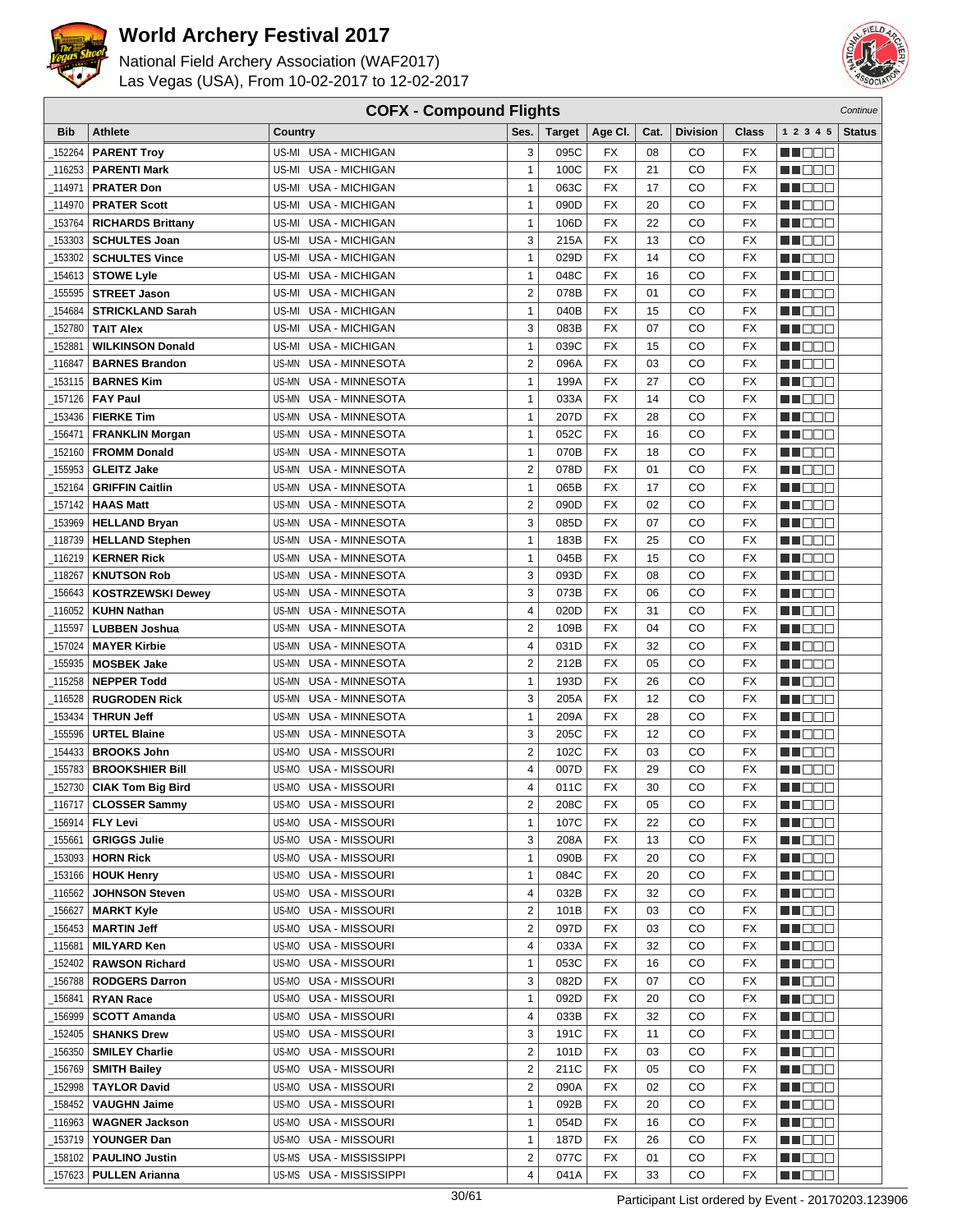



| <b>COFX - Compound Flights</b><br>Continue |                                                 |                                 |                         |               |                 |      |                 |                          |                      |               |
|--------------------------------------------|-------------------------------------------------|---------------------------------|-------------------------|---------------|-----------------|------|-----------------|--------------------------|----------------------|---------------|
| <b>Bib</b>                                 | <b>Athlete</b>                                  | Country                         | Ses.                    | <b>Target</b> | Age CI.         | Cat. | <b>Division</b> | <b>Class</b>             | 1 2 3 4 5            | <b>Status</b> |
| 152264                                     | <b>PARENT Troy</b>                              | US-MI USA - MICHIGAN            | 3                       | 095C          | FX              | 08   | CO              | FX                       | e de e               |               |
| 116253                                     | <b>PARENTI Mark</b>                             | USA - MICHIGAN<br>US-MI         | $\mathbf{1}$            | 100C          | <b>FX</b>       | 21   | CO              | <b>FX</b>                | n i De B             |               |
| 114971                                     | <b>PRATER Don</b>                               | US-MI USA - MICHIGAN            | $\mathbf{1}$            | 063C          | <b>FX</b>       | 17   | CO              | <b>FX</b>                | MOOO                 |               |
| _114970                                    | <b>PRATER Scott</b>                             | <b>USA - MICHIGAN</b><br>US-MI  | $\mathbf{1}$            | 090D          | <b>FX</b>       | 20   | CO              | <b>FX</b>                | ME DE L              |               |
| 153764                                     | <b>RICHARDS Brittany</b>                        | USA - MICHIGAN<br>US-MI         | $\mathbf{1}$            | 106D          | <b>FX</b>       | 22   | CO              | <b>FX</b>                | MU DO O              |               |
|                                            | <b>SCHULTES Joan</b>                            | US-MI<br><b>USA - MICHIGAN</b>  | 3                       |               | <b>FX</b>       | 13   | CO              | <b>FX</b>                | MU OO O              |               |
| 153303                                     |                                                 |                                 |                         | 215A          |                 |      |                 |                          |                      |               |
| 153302                                     | <b>SCHULTES Vince</b>                           | USA - MICHIGAN<br>US-MI         | $\mathbf{1}$            | 029D          | <b>FX</b>       | 14   | CO              | <b>FX</b>                | MN 888               |               |
| 154613                                     | <b>STOWE Lyle</b>                               | <b>USA - MICHIGAN</b><br>US-MI  | $\mathbf{1}$            | 048C          | <b>FX</b>       | 16   | CO              | <b>FX</b>                | MN OO B              |               |
| 155595                                     | <b>STREET Jason</b>                             | <b>USA - MICHIGAN</b><br>US-MI  | $\mathbf 2$             | 078B          | <b>FX</b>       | 01   | CO              | <b>FX</b>                | MO DO O              |               |
| 154684                                     | <b>STRICKLAND Sarah</b>                         | USA - MICHIGAN<br>US-MI         | $\mathbf{1}$            | 040B          | <b>FX</b>       | 15   | CO              | <b>FX</b>                | M DEE                |               |
| 152780                                     | <b>TAIT Alex</b>                                | <b>USA - MICHIGAN</b><br>US-MI  | 3                       | 083B          | <b>FX</b>       | 07   | CO              | <b>FX</b>                | MU DO B              |               |
| 152881                                     | <b>WILKINSON Donald</b>                         | USA - MICHIGAN<br>US-MI         | $\mathbf{1}$            | 039C          | <b>FX</b>       | 15   | CO              | <b>FX</b>                | MN D D D             |               |
| 116847                                     | <b>BARNES Brandon</b>                           | US-MN<br>USA - MINNESOTA        | $\overline{2}$          | 096A          | <b>FX</b>       | 03   | CO              | <b>FX</b>                | MN OO O              |               |
| 153115                                     | <b>BARNES Kim</b>                               | US-MN<br>USA - MINNESOTA        | $\mathbf{1}$            | 199A          | <b>FX</b>       | 27   | CO              | <b>FX</b>                | MA DE C              |               |
| 157126                                     | <b>FAY Paul</b>                                 | US-MN<br>USA - MINNESOTA        | $\mathbf{1}$            | 033A          | <b>FX</b>       | 14   | CO              | FX                       | MU DO B              |               |
| _153436                                    | <b>FIERKE Tim</b>                               | US-MN<br><b>USA - MINNESOTA</b> | $\mathbf{1}$            | 207D          | <b>FX</b>       | 28   | CO              | <b>FX</b>                | MN 888               |               |
| 156471                                     | <b>FRANKLIN Morgan</b>                          | <b>USA - MINNESOTA</b><br>US-MN | $\mathbf{1}$            | 052C          | <b>FX</b>       | 16   | CO              | <b>FX</b>                | MN OO O              |               |
| 152160                                     | <b>FROMM Donald</b>                             | <b>USA - MINNESOTA</b><br>US-MN | $\mathbf{1}$            | 070B          | <b>FX</b>       | 18   | CO              | <b>FX</b>                | MU DO O              |               |
| 155953                                     | <b>GLEITZ Jake</b>                              | USA - MINNESOTA<br>US-MN        | $\overline{2}$          | 078D          | <b>FX</b>       | 01   | CO              | <b>FX</b>                | M DO B               |               |
| 152164                                     | <b>GRIFFIN Caitlin</b>                          | US-MN USA - MINNESOTA           | $\mathbf{1}$            | 065B          | <b>FX</b>       | 17   | CO              | <b>FX</b>                | MN DO B              |               |
| 157142                                     | <b>HAAS Matt</b>                                | US-MN USA - MINNESOTA           | $\overline{c}$          | 090D          | <b>FX</b>       | 02   | CO              | <b>FX</b>                | N NO D O             |               |
| 153969                                     | <b>HELLAND Bryan</b>                            | USA - MINNESOTA<br>US-MN        | 3                       | 085D          | <b>FX</b>       | 07   | CO              | <b>FX</b>                | <b>HELLO</b>         |               |
| _118739                                    | <b>HELLAND Stephen</b>                          | USA - MINNESOTA<br>US-MN        | $\mathbf{1}$            | 183B          | <b>FX</b>       | 25   | CO              | <b>FX</b>                | M DO B               |               |
| 116219                                     | <b>KERNER Rick</b>                              | USA - MINNESOTA<br>US-MN        | $\mathbf{1}$            | 045B          | <b>FX</b>       | 15   | CO              | <b>FX</b>                | MA OO B              |               |
| 118267                                     | <b>KNUTSON Rob</b>                              | USA - MINNESOTA<br>US-MN        | 3                       | 093D          | <b>FX</b>       | 08   | CO              | <b>FX</b>                | MN 888               |               |
| 156643                                     | <b>KOSTRZEWSKI Dewey</b>                        | US-MN<br>USA - MINNESOTA        | 3                       | 073B          | <b>FX</b>       | 06   | CO              | <b>FX</b>                | MN OO O              |               |
| 116052                                     | <b>KUHN Nathan</b>                              | USA - MINNESOTA<br>US-MN        | 4                       | 020D          | <b>FX</b>       | 31   | CO              | <b>FX</b>                | MU DO O              |               |
| 115597                                     | <b>LUBBEN Joshua</b>                            | USA - MINNESOTA<br>US-MN        | $\overline{2}$          | 109B          | <b>FX</b>       | 04   | CO              | <b>FX</b>                | MU DO B              |               |
| 157024                                     | <b>MAYER Kirbie</b>                             | US-MN<br>USA - MINNESOTA        | 4                       | 031D          | <b>FX</b>       | 32   | CO              | <b>FX</b>                | MN OO B              |               |
| 155935                                     | <b>MOSBEK Jake</b>                              | USA - MINNESOTA<br>US-MN        | $\overline{2}$          | 212B          | <b>FX</b>       | 05   | CO              | <b>FX</b>                | n de de              |               |
| 115258                                     | <b>NEPPER Todd</b>                              | US-MN<br>USA - MINNESOTA        | $\mathbf{1}$            | 193D          | FX              | 26   | CO              | <b>FX</b>                | MA DE C              |               |
| _116528                                    | <b>RUGRODEN Rick</b>                            | US-MN<br>USA - MINNESOTA        | 3                       | 205A          | <b>FX</b>       | 12   | CO              | FX                       | MU DO B              |               |
| 153434                                     | <b>THRUN Jeff</b>                               | US-MN<br><b>USA - MINNESOTA</b> | $\mathbf{1}$            | 209A          | FX              | 28   | CO              | <b>FX</b>                | MN DO B              |               |
| 155596                                     | <b>URTEL Blaine</b>                             | <b>USA - MINNESOTA</b><br>US-MN | 3                       | 205C          | <b>FX</b>       | 12   | CO              | <b>FX</b>                | MA DE E              |               |
| 154433                                     | <b>BROOKS John</b>                              | US-MO<br><b>USA - MISSOURI</b>  | 2                       | 102C          | <b>FX</b>       | 03   | CO              | <b>FX</b>                | M D D D              |               |
| 155783                                     | <b>BROOKSHIER Bill</b>                          | USA - MISSOURI<br>US-MO         | 4                       | 007D          | <b>FX</b>       | 29   | CO              | <b>FX</b>                | MU DE S              |               |
| 152730                                     | <b>CIAK Tom Big Bird</b>                        | <b>US-MO USA - MISSOURI</b>     | 4                       | 011C          | <b>FX</b>       | 30   | CO              | <b>FX</b>                | MN DO B              |               |
|                                            | $\overline{\phantom{0}}$ 116717   CLOSSER Sammy | US-MO USA - MISSOURI            | 2                       | 208C          | $\overline{FX}$ | 05   | $_{\rm CO}$     | $\overline{\mathsf{FX}}$ | <b>HE</b> OOO        |               |
| _156914                                    | <b>FLY Levi</b>                                 | US-MO USA - MISSOURI            | $\mathbf{1}$            | 107C          | FX              | 22   | CO              | FX                       | MA DE E              |               |
| _155661                                    | <b>GRIGGS Julie</b>                             | US-MO USA - MISSOURI            | 3                       | 208A          | FX              | 13   | CO              | FX                       | WU O O O             |               |
| _153093                                    | <b>HORN Rick</b>                                | US-MO USA - MISSOURI            | $\mathbf{1}$            | 090B          | FX              | 20   | CO              | FX                       | MUOOO                |               |
| _153166                                    | <b>HOUK Henry</b>                               | US-MO USA - MISSOURI            | $\mathbf{1}$            | 084C          | FX              | 20   | CO              | FX                       | <u>in dia ka</u>     |               |
| _116562                                    | <b>JOHNSON Steven</b>                           | US-MO USA - MISSOURI            | 4                       | 032B          | FX              | 32   | CO              | FX                       | <u>Li de d</u>       |               |
| _156627                                    | <b>MARKT Kyle</b>                               | US-MO USA - MISSOURI            | 2                       | 101B          | FX              | 03   | CO              | FX                       | <u> Here e</u>       |               |
| 156453                                     | <b>MARTIN Jeff</b>                              | US-MO USA - MISSOURI            | $\overline{\mathbf{c}}$ | 097D          | FX              | 03   | CO              | FX                       | WO OO U              |               |
| _115681                                    | <b>MILYARD Ken</b>                              | US-MO USA - MISSOURI            | 4                       | 033A          | FX              | 32   | CO              | FX                       | <u>in ja sis</u>     |               |
| 152402                                     | <b>RAWSON Richard</b>                           | US-MO USA - MISSOURI            | $\mathbf{1}$            | 053C          | FX              | 16   | CO              | FX                       | <u>Li de d</u>       |               |
| 156788                                     | <b>RODGERS Darron</b>                           | US-MO USA - MISSOURI            | 3                       | 082D          | FX              | 07   | CO              | FX                       | <u>LI OOD</u>        |               |
| _156841                                    | <b>RYAN Race</b>                                | US-MO USA - MISSOURI            | $\mathbf{1}$            | 092D          | FX              | 20   | CO              | FX                       | WU 88                |               |
| _156999                                    |                                                 | US-MO USA - MISSOURI            | 4                       | 033B          | FX              | 32   | CO              | FX                       | MU DO O              |               |
| 152405                                     | <b>SCOTT Amanda</b>                             | US-MO<br>USA - MISSOURI         | 3                       | 191C          | FX              | 11   | CO              | FX                       |                      |               |
|                                            | <b>SHANKS Drew</b>                              |                                 |                         |               |                 |      |                 |                          | <u> Lind a Bi</u>    |               |
| _156350                                    | <b>SMILEY Charlie</b>                           | US-MO USA - MISSOURI            | $\overline{\mathbf{c}}$ | 101D          | FX              | 03   | CO              | FX                       | <u>LI OOD</u>        |               |
| _156769                                    | <b>SMITH Bailey</b>                             | US-MO USA - MISSOURI            | 2                       | 211C          | FX              | 05   | CO              | FX                       | WU 88                |               |
| 152998                                     | <b>TAYLOR David</b>                             | US-MO USA - MISSOURI            | 2                       | 090A          | FX              | 02   | CO              | FX                       | MUOOO                |               |
| 158452                                     | <b>VAUGHN Jaime</b>                             | US-MO USA - MISSOURI            | $\mathbf{1}$            | 092B          | FX              | 20   | CO              | FX                       | <u>in din Biblio</u> |               |
| _116963                                    | <b>WAGNER Jackson</b>                           | US-MO USA - MISSOURI            | $\mathbf{1}$            | 054D          | FX              | 16   | CO              | FX                       | <u>LI DEB</u>        |               |
| _153719                                    | <b>YOUNGER Dan</b>                              | US-MO USA - MISSOURI            | $\mathbf{1}$            | 187D          | FX              | 26   | CO              | FX                       | WU O O O             |               |
| _158102                                    | <b>PAULINO Justin</b>                           | US-MS USA - MISSISSIPPI         | 2                       | 077C          | FX              | 01   | CO              | FX                       | MUOOO                |               |
| _157623                                    | <b>PULLEN Arianna</b>                           | US-MS USA - MISSISSIPPI         | 4                       | 041A          | FX              | 33   | CO              | FX                       | <b>MA</b> OOO        |               |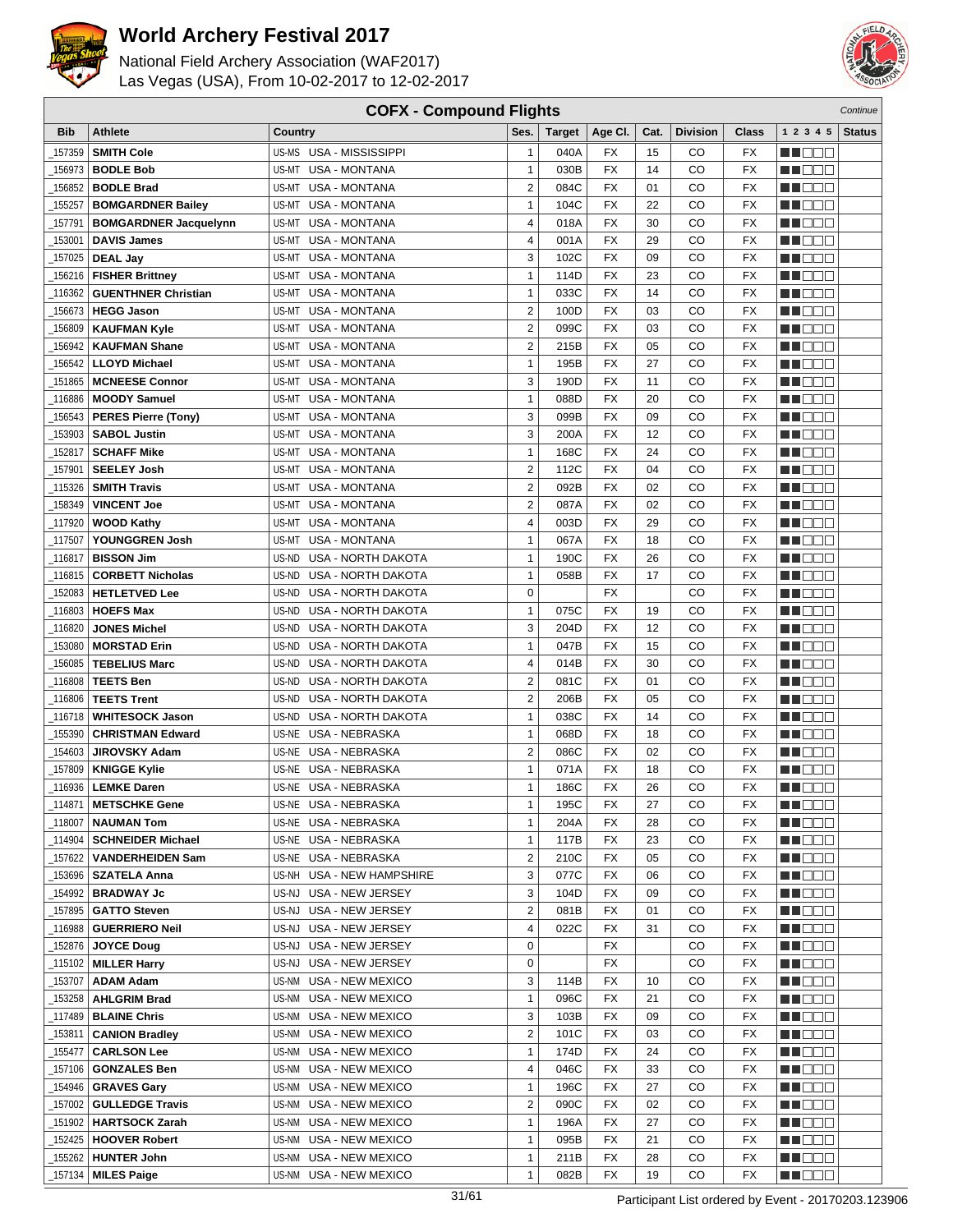



| <b>COFX - Compound Flights</b><br>Continue |                                               |                                                   |                              |               |                 |          |                 |                          |                    |               |
|--------------------------------------------|-----------------------------------------------|---------------------------------------------------|------------------------------|---------------|-----------------|----------|-----------------|--------------------------|--------------------|---------------|
| <b>Bib</b>                                 | Athlete                                       | Country                                           | Ses.                         | <b>Target</b> | Age CI.         | Cat.     | <b>Division</b> | <b>Class</b>             | 1 2 3 4 5          | <b>Status</b> |
| 157359                                     | <b>SMITH Cole</b>                             | US-MS USA - MISSISSIPPI                           | $\mathbf{1}$                 | 040A          | FX              | 15       | CO              | FX                       | e de e             |               |
| 156973                                     | <b>BODLE Bob</b>                              | US-MT USA - MONTANA                               | $\mathbf{1}$                 | 030B          | <b>FX</b>       | 14       | CO              | <b>FX</b>                | MU O O O           |               |
| 156852                                     | <b>BODLE Brad</b>                             | US-MT USA - MONTANA                               | $\overline{2}$               | 084C          | <b>FX</b>       | 01       | CO              | <b>FX</b>                | MOOO               |               |
| 155257                                     |                                               | US-MT<br><b>USA - MONTANA</b>                     | 1                            | 104C          | <b>FX</b>       | 22       | CO              | FX                       | MA DE E            |               |
|                                            | <b>BOMGARDNER Bailey</b>                      |                                                   |                              |               |                 |          |                 |                          |                    |               |
| 157791                                     | <b>BOMGARDNER Jacquelynn</b>                  | <b>USA - MONTANA</b><br>US-MT                     | 4                            | 018A          | <b>FX</b>       | 30       | CO              | <b>FX</b>                | MU DO O            |               |
| 153001                                     | <b>DAVIS James</b>                            | US-MT<br><b>USA - MONTANA</b>                     | 4                            | 001A          | <b>FX</b>       | 29       | CO              | FX                       | MU OO O            |               |
| 157025                                     | <b>DEAL Jay</b>                               | <b>USA - MONTANA</b><br>US-MT                     | 3                            | 102C          | <b>FX</b>       | 09       | CO              | <b>FX</b>                | ME E E E           |               |
| 156216                                     | <b>FISHER Brittney</b>                        | <b>USA - MONTANA</b><br>US-MT                     | 1                            | 114D          | <b>FX</b>       | 23       | CO              | <b>FX</b>                | ME E E E           |               |
| 116362                                     | <b>GUENTHNER Christian</b>                    | US-MT<br><b>USA - MONTANA</b>                     | 1                            | 033C          | <b>FX</b>       | 14       | CO              | <b>FX</b>                | MN 888             |               |
| 156673                                     | <b>HEGG Jason</b>                             | US-MT<br><b>USA - MONTANA</b>                     | $\overline{2}$               | 100D          | <b>FX</b>       | 03       | CO              | <b>FX</b>                | MA DE S            |               |
| 156809                                     | <b>KAUFMAN Kyle</b>                           | <b>USA - MONTANA</b><br>US-MT                     | $\overline{c}$               | 099C          | <b>FX</b>       | 03       | CO              | <b>FX</b>                | MU DO B            |               |
| 156942                                     | <b>KAUFMAN Shane</b>                          | US-MT<br><b>USA - MONTANA</b>                     | $\overline{\mathbf{c}}$      | 215B          | <b>FX</b>       | 05       | CO              | <b>FX</b>                | n i De E           |               |
| 156542                                     | <b>LLOYD Michael</b>                          | US-MT<br><b>USA - MONTANA</b>                     | 1                            | 195B          | FX              | 27       | CO              | FX                       | MN OO O            |               |
| 151865                                     | <b>MCNEESE Connor</b>                         | <b>USA - MONTANA</b><br>US-MT                     | 3                            | 190D          | <b>FX</b>       | 11       | CO              | <b>FX</b>                | MA DE C            |               |
| 116886                                     | <b>MOODY Samuel</b>                           | US-MT<br><b>USA - MONTANA</b>                     | $\mathbf{1}$                 | 088D          | <b>FX</b>       | 20       | CO              | <b>FX</b>                | MU DO B            |               |
| 156543                                     | <b>PERES Pierre (Tony)</b>                    | <b>USA - MONTANA</b><br>US-MT                     | 3                            | 099B          | <b>FX</b>       | 09       | CO              | FX                       | MN 888             |               |
| 153903                                     | <b>SABOL Justin</b>                           | US-MT<br><b>USA - MONTANA</b>                     | 3                            | 200A          | <b>FX</b>       | 12       | CO              | <b>FX</b>                | MN OO O            |               |
| 152817                                     | <b>SCHAFF Mike</b>                            | US-MT<br><b>USA - MONTANA</b>                     | 1                            | 168C          | FX              | 24       | CO              | <b>FX</b>                | MU DO O            |               |
| 157901                                     | <b>SEELEY Josh</b>                            | <b>USA - MONTANA</b><br>US-MT                     | 2                            | 112C          | <b>FX</b>       | 04       | CO              | <b>FX</b>                | M DO B             |               |
| 115326                                     | <b>SMITH Travis</b>                           | US-MT USA - MONTANA                               | $\overline{c}$               | 092B          | <b>FX</b>       | 02       | CO              | <b>FX</b>                | MN 888             |               |
| 158349                                     | <b>VINCENT Joe</b>                            | US-MT USA - MONTANA                               | $\overline{2}$               | 087A          | <b>FX</b>       | 02       | CO              | <b>FX</b>                | MA DE E            |               |
| 117920                                     | <b>WOOD Kathy</b>                             | US-MT<br><b>USA - MONTANA</b>                     | 4                            | 003D          | <b>FX</b>       | 29       | CO              | FX                       | <b>HELLO</b>       |               |
| 117507                                     | YOUNGGREN Josh                                | <b>USA - MONTANA</b><br>US-MT                     | 1                            | 067A          | <b>FX</b>       | 18       | CO              | <b>FX</b>                | MU OO O            |               |
| 116817                                     | <b>BISSON Jim</b>                             | US-ND<br><b>USA - NORTH DAKOTA</b>                | $\mathbf{1}$                 | 190C          | <b>FX</b>       | 26       | CO              | <b>FX</b>                | MA OO B            |               |
| 116815                                     | <b>CORBETT Nicholas</b>                       | <b>USA - NORTH DAKOTA</b><br>US-ND                | $\mathbf{1}$                 | 058B          | <b>FX</b>       | 17       | CO              | <b>FX</b>                | MN 888             |               |
| 152083                                     | <b>HETLETVED Lee</b>                          | USA - NORTH DAKOTA<br>US-ND                       | $\mathbf 0$                  |               | <b>FX</b>       |          | CO              | <b>FX</b>                | MO DO O            |               |
| 116803                                     | <b>HOEFS Max</b>                              | US-ND<br><b>USA - NORTH DAKOTA</b>                | 1                            | 075C          | <b>FX</b>       | 19       | CO              | <b>FX</b>                | MU DO O            |               |
| 116820                                     | <b>JONES Michel</b>                           | USA - NORTH DAKOTA<br>US-ND                       | 3                            | 204D          | <b>FX</b>       | 12       | CO              | <b>FX</b>                | MU DO B            |               |
| 153080                                     | <b>MORSTAD Erin</b>                           | US-ND USA - NORTH DAKOTA                          | $\mathbf{1}$                 | 047B          | <b>FX</b>       | 15       | CO              | <b>FX</b>                | MN OO B            |               |
| 156085                                     | <b>TEBELIUS Marc</b>                          | US-ND USA - NORTH DAKOTA                          | 4                            | 014B          | <b>FX</b>       | 30       | CO              | <b>FX</b>                | n de de            |               |
| 116808                                     | <b>TEETS Ben</b>                              | USA - NORTH DAKOTA<br>US-ND                       | 2                            | 081C          | FX              | 01       | CO              | <b>FX</b>                | MA DE C            |               |
| 116806                                     | <b>TEETS Trent</b>                            | USA - NORTH DAKOTA<br>US-ND                       | $\overline{2}$               | 206B          | <b>FX</b>       | 05       | CO              | <b>FX</b>                | MU DO B            |               |
| 116718_                                    | <b>WHITESOCK Jason</b>                        | USA - NORTH DAKOTA<br>US-ND                       | $\mathbf{1}$                 | 038C          | FX              | 14       | CO              | <b>FX</b>                | MA OO B            |               |
| 155390                                     | <b>CHRISTMAN Edward</b>                       | US-NE USA - NEBRASKA                              | $\mathbf{1}$                 | 068D          | <b>FX</b>       | 18       | CO              | <b>FX</b>                | MA DE E            |               |
| 154603                                     | <b>JIROVSKY Adam</b>                          | US-NE USA - NEBRASKA                              | $\overline{c}$               | 086C          | <b>FX</b>       | 02       | CO              | <b>FX</b>                | M D D D            |               |
| 157809                                     | <b>KNIGGE Kylie</b>                           | US-NE USA - NEBRASKA                              | 1                            | 071A          | <b>FX</b>       | 18       | CO              | <b>FX</b>                | MU DE S            |               |
| 116936                                     | <b>LEMKE Daren</b>                            | US-NE USA - NEBRASKA                              | $\mathbf{1}$                 | 186C          | <b>FX</b>       | 26       | CO              | <b>FX</b>                | MN DO B            |               |
| $\_114871$                                 | <b>METSCHKE Gene</b>                          | US-NE USA - NEBRASKA                              | 1                            | 195C          | $\overline{FX}$ | 27       | $_{\rm CO}$     | $\overline{\mathsf{FX}}$ | <b>NH</b> OOO      |               |
|                                            |                                               |                                                   | $\mathbf{1}$                 |               | FX              | 28       | CO              | FX                       |                    |               |
| 118007<br>_114904                          | <b>NAUMAN Tom</b><br><b>SCHNEIDER Michael</b> | US-NE USA - NEBRASKA<br>US-NE USA - NEBRASKA      | 1                            | 204A<br>117B  | FX              | 23       | CO              | FX                       | M DE S             |               |
|                                            |                                               |                                                   |                              |               |                 |          |                 |                          | WU O O O           |               |
| _157622                                    | <b>VANDERHEIDEN Sam</b>                       | US-NE USA - NEBRASKA<br>US-NH USA - NEW HAMPSHIRE | $\overline{\mathbf{c}}$<br>3 | 210C          | FX<br>FX        | 05<br>06 | CO<br>CO        | FX                       | MUOOO              |               |
| _153696                                    | <b>SZATELA Anna</b>                           |                                                   | 3                            | 077C          |                 | 09       |                 | FX                       | <u>in ja sis</u>   |               |
| _154992                                    | <b>BRADWAY Jc</b>                             | US-NJ USA - NEW JERSEY<br>US-NJ USA - NEW JERSEY  | 2                            | 104D          | FX              | 01       | CO              | FX                       | <u>Li Bee</u>      |               |
| _157895                                    | <b>GATTO Steven</b>                           |                                                   |                              | 081B          | FX              |          | CO              | FX                       | <u> Here e</u>     |               |
| _116988                                    | <b>GUERRIERO Neil</b>                         | US-NJ USA - NEW JERSEY                            | 4                            | 022C          | FX              | 31       | CO              | FX                       | <u>LL DOO</u>      |               |
| _152876                                    | <b>JOYCE Doug</b>                             | US-NJ USA - NEW JERSEY                            | 0                            |               | FX              |          | CO              | FX                       | <u>in ja sis</u>   |               |
| _115102                                    | <b>MILLER Harry</b>                           | US-NJ USA - NEW JERSEY                            | 0                            |               | FX              |          | CO              | FX                       | <u> Literatu</u>   |               |
| 153707                                     | <b>ADAM Adam</b>                              | US-NM USA - NEW MEXICO                            | 3                            | 114B          | FX              | 10       | CO              | FX                       | <u>LI OOD</u>      |               |
| 153258                                     | <b>AHLGRIM Brad</b>                           | US-NM USA - NEW MEXICO                            | 1                            | 096C          | FX              | 21       | CO              | FX                       | WU 88              |               |
| _117489                                    | <b>BLAINE Chris</b>                           | US-NM USA - NEW MEXICO                            | 3                            | 103B          | FX              | 09       | CO              | FX                       | MUOOO              |               |
| _153811                                    | <b>CANION Bradley</b>                         | US-NM USA - NEW MEXICO                            | 2                            | 101C          | FX              | 03       | CO              | FX                       | MU DE B            |               |
| _155477                                    | <b>CARLSON Lee</b>                            | US-NM USA - NEW MEXICO                            | $\mathbf{1}$                 | 174D          | FX              | 24       | CO              | FX                       | N DO D             |               |
| _157106                                    | <b>GONZALES Ben</b>                           | US-NM USA - NEW MEXICO                            | 4                            | 046C          | FX              | 33       | CO              | FX                       | WU 88              |               |
| _154946                                    | <b>GRAVES Gary</b>                            | US-NM USA - NEW MEXICO                            | 1                            | 196C          | FX              | 27       | CO              | FX                       | NN O O O           |               |
| _157002                                    | <b>GULLEDGE Travis</b>                        | US-NM USA - NEW MEXICO                            | 2                            | 090C          | FX              | 02       | CO              | FX                       | <u> Literatu</u>   |               |
| _151902                                    | <b>HARTSOCK Zarah</b>                         | US-NM USA - NEW MEXICO                            | $\mathbf{1}$                 | 196A          | FX              | 27       | CO              | FX                       | <u> Here de la</u> |               |
| 152425                                     | <b>HOOVER Robert</b>                          | US-NM USA - NEW MEXICO                            | $\mathbf{1}$                 | 095B          | FX              | 21       | CO              | FX                       | <u> HELEL</u>      |               |
| 155262                                     | <b>HUNTER John</b>                            | US-NM USA - NEW MEXICO                            | 1                            | 211B          | FX              | 28       | CO              | FX                       | M DE S             |               |
| _157134                                    | <b>MILES Paige</b>                            | US-NM USA - NEW MEXICO                            | $\mathbf{1}$                 | 082B          | FX              | 19       | CO              | FX                       | <b>MA</b> OOO      |               |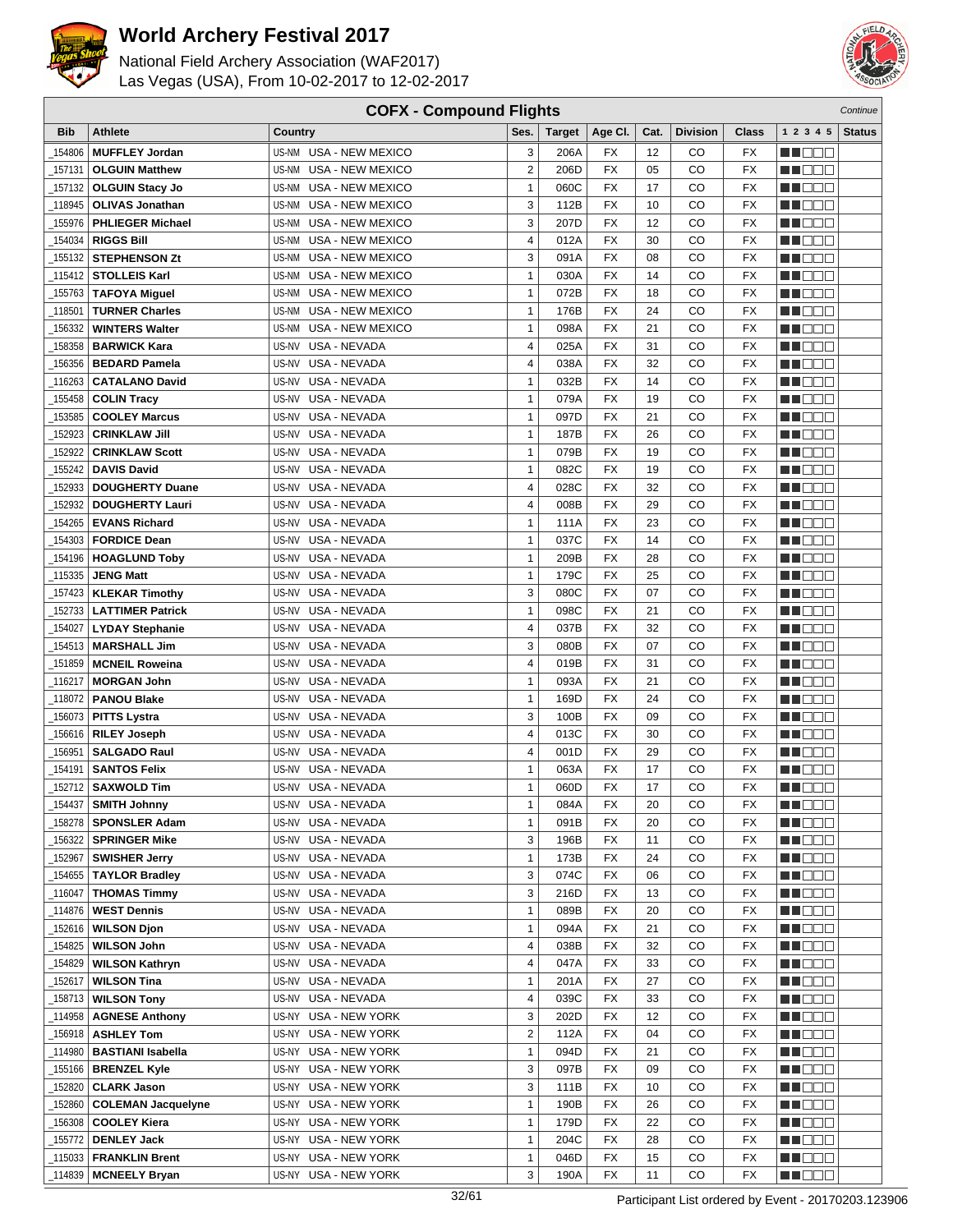



| <b>COFX - Compound Flights</b> |                           |                                  |                         |        |                 |      |                 |                 | Continue          |               |
|--------------------------------|---------------------------|----------------------------------|-------------------------|--------|-----------------|------|-----------------|-----------------|-------------------|---------------|
| <b>Bib</b>                     | <b>Athlete</b>            | Country                          | Ses.                    | Target | Age CI.         | Cat. | <b>Division</b> | Class           | 1 2 3 4 5         | <b>Status</b> |
| 154806                         | <b>MUFFLEY Jordan</b>     | US-NM<br>USA - NEW MEXICO        | 3                       | 206A   | FX              | 12   | CO              | FX              | HI EE E           |               |
| 157131                         | <b>OLGUIN Matthew</b>     | <b>USA - NEW MEXICO</b><br>US-NM | $\overline{\mathbf{c}}$ | 206D   | <b>FX</b>       | 05   | CO              | <b>FX</b>       | M DO B            |               |
| 157132                         | <b>OLGUIN Stacy Jo</b>    | US-NM<br><b>USA - NEW MEXICO</b> | $\mathbf{1}$            | 060C   | <b>FX</b>       | 17   | CO              | FX              | n i DDE           |               |
| _118945                        | <b>OLIVAS Jonathan</b>    | USA - NEW MEXICO<br>US-NM        | 3                       | 112B   | <b>FX</b>       | 10   | CO              | FX              | MA DE E           |               |
| 155976                         | <b>PHLIEGER Michael</b>   | USA - NEW MEXICO<br>US-NM        | 3                       | 207D   | <b>FX</b>       | 12   | CO              | FX              | n de e            |               |
|                                | <b>RIGGS Bill</b>         | US-NM<br>USA - NEW MEXICO        | 4                       | 012A   | <b>FX</b>       | 30   | CO              | <b>FX</b>       |                   |               |
| 154034                         | <b>STEPHENSON Zt</b>      |                                  | 3                       |        | <b>FX</b>       |      |                 |                 | MA DE E           |               |
| 155132                         |                           | USA - NEW MEXICO<br>US-NM        |                         | 091A   | <b>FX</b>       | 08   | CO              | FX              | MN 888            |               |
| 115412                         | <b>STOLLEIS Karl</b>      | <b>USA - NEW MEXICO</b><br>US-NM | 1                       | 030A   |                 | 14   | CO              | FX              | MN D D O          |               |
| 155763                         | <b>TAFOYA Miguel</b>      | USA - NEW MEXICO<br>US-NM        | 1                       | 072B   | <b>FX</b>       | 18   | CO              | FX              | MO DO O           |               |
| 118501                         | <b>TURNER Charles</b>     | USA - NEW MEXICO<br>US-NM        | $\mathbf{1}$            | 176B   | <b>FX</b>       | 24   | CO              | FX              | n i De E          |               |
| 156332                         | <b>WINTERS Walter</b>     | USA - NEW MEXICO<br>US-NM        | $\mathbf{1}$            | 098A   | <b>FX</b>       | 21   | CO              | <b>FX</b>       | W OOO             |               |
| 158358                         | <b>BARWICK Kara</b>       | US-NV<br>USA - NEVADA            | 4                       | 025A   | <b>FX</b>       | 31   | CO              | FX              | 11   8   8   8    |               |
| 156356                         | <b>BEDARD Pamela</b>      | US-NV<br>USA - NEVADA            | 4                       | 038A   | <b>FX</b>       | 32   | CO              | FX              | n i Bele          |               |
| 116263                         | <b>CATALANO David</b>     | USA - NEVADA<br>US-NV            | 1                       | 032B   | <b>FX</b>       | 14   | CO              | FX              | MA DE L           |               |
| 155458                         | <b>COLIN Tracy</b>        | US-NV<br>USA - NEVADA            | $\mathbf{1}$            | 079A   | <b>FX</b>       | 19   | CO              | <b>FX</b>       | M DE O            |               |
| 153585                         | <b>COOLEY Marcus</b>      | USA - NEVADA<br>US-NV            | $\mathbf{1}$            | 097D   | <b>FX</b>       | 21   | CO              | FX              | MU DO O           |               |
| 152923                         | <b>CRINKLAW Jill</b>      | USA - NEVADA<br>US-NV            | 1                       | 187B   | <b>FX</b>       | 26   | CO              | FX              | MO DO O           |               |
| 152922                         | <b>CRINKLAW Scott</b>     | <b>USA - NEVADA</b><br>US-NV     | 1                       | 079B   | <b>FX</b>       | 19   | CO              | FX              | ME DE S           |               |
| 155242                         | <b>DAVIS David</b>        | USA - NEVADA<br>US-NV            | $\mathbf{1}$            | 082C   | <b>FX</b>       | 19   | CO              | FX              | M DEE             |               |
| 152933                         | <b>DOUGHERTY Duane</b>    | USA - NEVADA<br>US-NV            | 4                       | 028C   | <b>FX</b>       | 32   | CO              | FX              | ME OOO            |               |
| 152932                         | <b>DOUGHERTY Lauri</b>    | US-NV<br><b>USA - NEVADA</b>     | 4                       | 008B   | <b>FX</b>       | 29   | CO              | FX              | MT DE E           |               |
| 154265                         | <b>EVANS Richard</b>      | US-NV<br>USA - NEVADA            | 1                       | 111A   | <b>FX</b>       | 23   | CO              | FX              | n i Bele          |               |
| 154303                         | <b>FORDICE Dean</b>       | USA - NEVADA<br>US-NV            | 1                       | 037C   | <b>FX</b>       | 14   | CO              | FX              | MA DE E           |               |
| 154196_                        | <b>HOAGLUND Toby</b>      | US-NV<br>USA - NEVADA            | $\mathbf{1}$            | 209B   | <b>FX</b>       | 28   | CO              | <b>FX</b>       | MU DEL            |               |
| 115335                         | <b>JENG Matt</b>          | USA - NEVADA<br>US-NV            | $\mathbf{1}$            | 179C   | <b>FX</b>       | 25   | CO              | FX              | n i DDE           |               |
| 157423                         | <b>KLEKAR Timothy</b>     | USA - NEVADA<br>US-NV            | 3                       | 080C   | <b>FX</b>       | 07   | CO              | FX              | MO DO O           |               |
| 152733                         | <b>LATTIMER Patrick</b>   | US-NV<br>USA - NEVADA            | 1                       | 098C   | <b>FX</b>       | 21   | CO              | FX              | MA DE S           |               |
| 154027                         | <b>LYDAY Stephanie</b>    | USA - NEVADA<br>US-NV            | 4                       | 037B   | <b>FX</b>       | 32   | CO              | FX              | W OOO             |               |
| 154513                         | <b>MARSHALL Jim</b>       | USA - NEVADA<br>US-NV            | 3                       | 080B   | <b>FX</b>       | 07   | CO              | FX              | n i De E          |               |
| 151859                         | <b>MCNEIL Roweina</b>     | USA - NEVADA<br>US-NV            | 4                       | 019B   | <b>FX</b>       | 31   | CO              | FX              | ▕▕▕█▐▊█▏          |               |
| 116217                         | <b>MORGAN John</b>        | USA - NEVADA<br>US-NV            | 1                       | 093A   | FX              | 21   | CO              | FX              | MA DE C           |               |
| _118072                        | <b>PANOU Blake</b>        | USA - NEVADA<br>US-NV            | $\mathbf{1}$            | 169D   | <b>FX</b>       | 24   | CO              | FX              | M DE E            |               |
| 156073                         | <b>PITTS Lystra</b>       | USA - NEVADA<br>US-NV            | 3                       | 100B   | FX              | 09   | CO              | <b>FX</b>       | N I O O O         |               |
| 156616                         | <b>RILEY Joseph</b>       | USA - NEVADA<br>US-NV            | 4                       | 013C   | <b>FX</b>       | 30   | CO              | FX              | MO DO O           |               |
| 156951                         | <b>SALGADO Raul</b>       | USA - NEVADA<br>US-NV            | 4                       | 001D   | <b>FX</b>       | 29   | CO              | FX              | MA DE C           |               |
| 154191                         | <b>SANTOS Felix</b>       | USA - NEVADA<br>US-NV            | 1                       | 063A   | <b>FX</b>       | 17   | CO              | FX              | M DO D            |               |
| 152712                         | <b>SAXWOLD Tim</b>        | US-NV USA - NEVADA               | $\mathbf{1}$            | 060D   | <b>FX</b>       | 17   | CO              | <b>FX</b>       | M DO O            |               |
| $-154437$                      | <b>SMITH Johnny</b>       | US-NV USA - NEVADA               | 1                       | 084A   | $\overline{FX}$ | 20   | $_{\rm CO}$     | $\overline{FX}$ | <b>BECOO</b>      |               |
| 158278                         | <b>SPONSLER Adam</b>      | US-NV USA - NEVADA               | $\mathbf{1}$            | 091B   | FX              | 20   | CO              | FX              | <u>Li Bec</u>     |               |
| _156322                        | <b>SPRINGER Mike</b>      | US-NV USA - NEVADA               | 3                       | 196B   | FX              | 11   | CO              | FX              | WU O O O          |               |
| _152967                        | <b>SWISHER Jerry</b>      | US-NV USA - NEVADA               | 1                       | 173B   | FX              | 24   | CO              | FX              | MUOOO             |               |
| 154655                         | <b>TAYLOR Bradley</b>     | USA - NEVADA<br>US-NV            | 3                       | 074C   | FX              | 06   | CO              | FX              | MA DE E           |               |
| _116047                        | <b>THOMAS Timmy</b>       | US-NV USA - NEVADA               | 3                       | 216D   | FX              | 13   | CO              | FX              | NN DOO            |               |
| _114876                        | <b>WEST Dennis</b>        | US-NV USA - NEVADA               | $\mathbf{1}$            | 089B   | FX              | 20   | CO              | FX              | MU DO O I         |               |
| _152616                        | <b>WILSON Djon</b>        | US-NV USA - NEVADA               | $\mathbf{1}$            | 094A   | FX              | 21   | CO              | FX              | MA BELI           |               |
| _154825                        | <b>WILSON John</b>        | US-NV USA - NEVADA               | 4                       | 038B   | FX              | 32   | CO              | FX              | <u> Literatu</u>  |               |
| 154829                         | <b>WILSON Kathryn</b>     | US-NV USA - NEVADA               | 4                       | 047A   | FX              | 33   | CO              | FX              | <u> Literatu</u>  |               |
| 152617                         | <b>WILSON Tina</b>        | US-NV USA - NEVADA               | $\mathbf{1}$            | 201A   | FX              | 27   | CO              | FX              | MU DO O I         |               |
| $-158713$                      | <b>WILSON Tony</b>        | US-NV USA - NEVADA               | 4                       | 039C   | FX              | 33   | CO              | FX              | <u>LL DOO</u>     |               |
| _114958                        | <b>AGNESE Anthony</b>     | US-NY<br>USA - NEW YORK          | 3                       | 202D   | FX              | 12   | CO              | FX              | MUOOO             |               |
| 156918                         | <b>ASHLEY Tom</b>         | USA - NEW YORK<br>US-NY          | $\overline{2}$          | 112A   | FX              | 04   | CO              | FX              | <u> Lind a Bi</u> |               |
| 114980                         | <b>BASTIANI Isabella</b>  | USA - NEW YORK<br>US-NY          | $\mathbf{1}$            | 094D   | FX              | 21   | CO              | FX              | <b>MA</b> DOO     |               |
| _155166                        | <b>BRENZEL Kyle</b>       | US-NY USA - NEW YORK             | 3                       | 097B   | FX              | 09   | CO              | FX              | MU DO D           |               |
| 152820                         | <b>CLARK Jason</b>        | US-NY USA - NEW YORK             | 3                       | 111B   | FX              | 10   | CO              | FX              | MU DO D           |               |
| _152860                        | <b>COLEMAN Jacquelyne</b> | US-NY USA - NEW YORK             | $\mathbf{1}$            | 190B   | FX              | 26   | CO              | FX              |                   |               |
|                                |                           |                                  | $\mathbf{1}$            |        | FX              | 22   | CO              |                 | <u> Literatu</u>  |               |
| _156308                        | <b>COOLEY Kiera</b>       | US-NY USA - NEW YORK             | $\mathbf{1}$            | 179D   | <b>FX</b>       | 28   |                 | FX              | <u> Literatur</u> |               |
| _155772                        | <b>DENLEY Jack</b>        | US-NY USA - NEW YORK             |                         | 204C   |                 |      | CO              | FX              | <u>Li de la</u>   |               |
| 115033                         | <b>FRANKLIN Brent</b>     | US-NY USA - NEW YORK             | $\mathbf{1}$            | 046D   | FX              | 15   | CO              | FX              | ME SE             |               |
| _114839                        | <b>MCNEELY Bryan</b>      | US-NY USA - NEW YORK             | 3                       | 190A   | <b>FX</b>       | 11   | CO              | FX              | <b>MA</b> OOO     |               |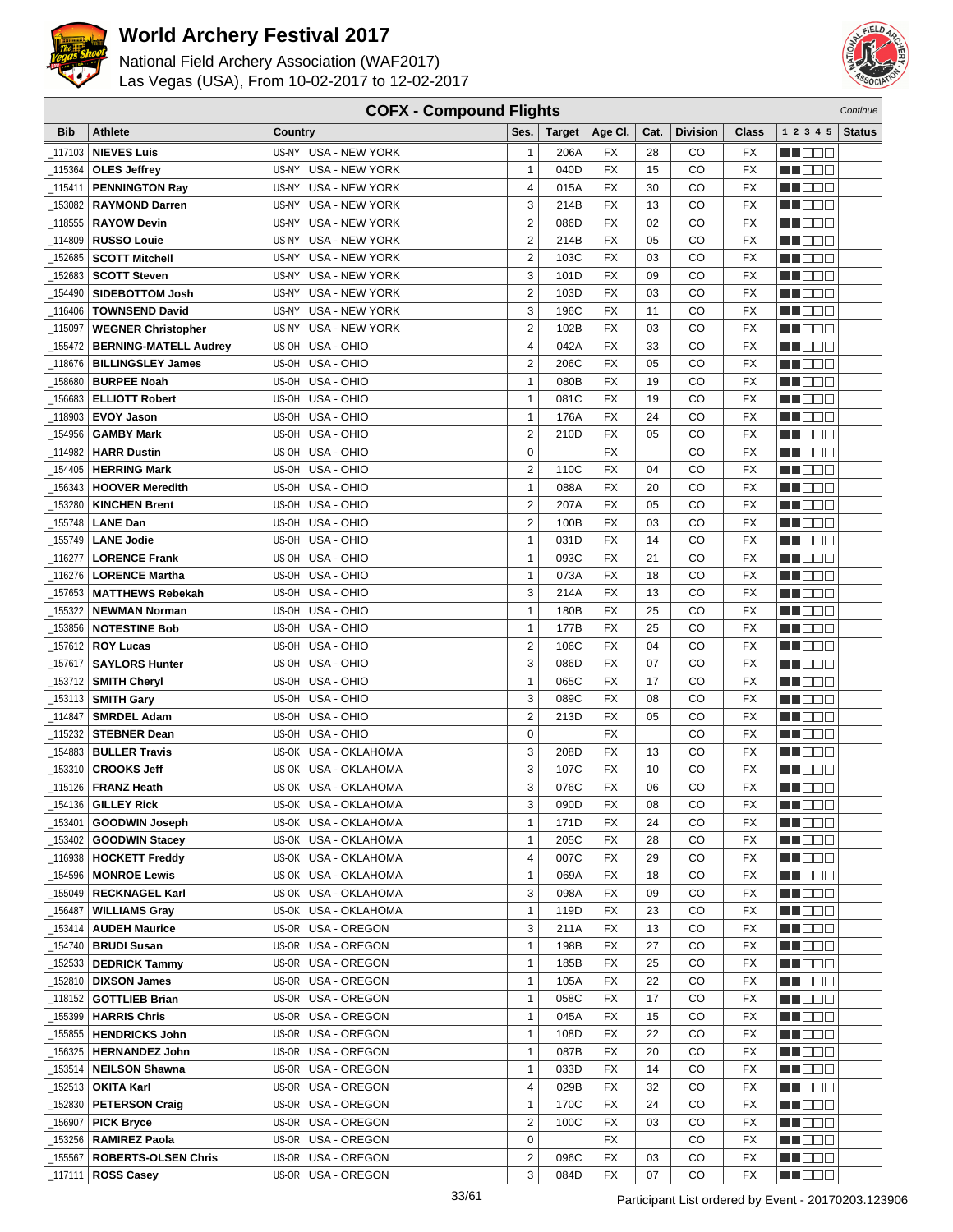



| <b>COFX - Compound Flights</b><br>Continue |                              |                                |                         |               |                 |      |                 |                                    |                      |               |
|--------------------------------------------|------------------------------|--------------------------------|-------------------------|---------------|-----------------|------|-----------------|------------------------------------|----------------------|---------------|
| <b>Bib</b>                                 | <b>Athlete</b>               | Country                        | Ses.                    | <b>Target</b> | Age CI.         | Cat. | <b>Division</b> | Class                              | 1 2 3 4 5            | <b>Status</b> |
| 117103                                     | <b>NIEVES Luis</b>           | US-NY USA - NEW YORK           | $\mathbf{1}$            | 206A          | FX              | 28   | CO              | FX                                 | e de e               |               |
| _115364                                    | <b>OLES Jeffrey</b>          | US-NY USA - NEW YORK           | $\mathbf{1}$            | 040D          | <b>FX</b>       | 15   | CO              | <b>FX</b>                          | n in Biblio          |               |
| 115411_                                    | <b>PENNINGTON Ray</b>        | US-NY USA - NEW YORK           | 4                       | 015A          | <b>FX</b>       | 30   | CO              | FX                                 | MOOO                 |               |
| 153082                                     | <b>RAYMOND Darren</b>        | US-NY USA - NEW YORK           | 3                       | 214B          | FX              | 13   | CO              | FX                                 | ME DE L              |               |
|                                            |                              |                                | $\overline{2}$          |               | <b>FX</b>       |      |                 |                                    | <b>HELL</b>          |               |
| 118555                                     | <b>RAYOW Devin</b>           | <b>USA - NEW YORK</b><br>US-NY |                         | 086D          |                 | 02   | CO              | <b>FX</b>                          |                      |               |
| 114809                                     | <b>RUSSO Louie</b>           | US-NY<br><b>USA - NEW YORK</b> | $\overline{2}$          | 214B          | FX              | 05   | CO              | <b>FX</b>                          | <b>NH</b> OOO        |               |
| 152685                                     | <b>SCOTT Mitchell</b>        | US-NY USA - NEW YORK           | $\overline{2}$          | 103C          | <b>FX</b>       | 03   | CO              | <b>FX</b>                          | ME E E E             |               |
| 152683                                     | <b>SCOTT Steven</b>          | US-NY USA - NEW YORK           | 3                       | 101D          | <b>FX</b>       | 09   | CO              | <b>FX</b>                          | MN OO B              |               |
| 154490                                     | <b>SIDEBOTTOM Josh</b>       | US-NY USA - NEW YORK           | $\overline{2}$          | 103D          | <b>FX</b>       | 03   | CO              | <b>FX</b>                          | MO DO O              |               |
| 116406                                     | <b>TOWNSEND David</b>        | <b>USA - NEW YORK</b><br>US-NY | 3                       | 196C          | <b>FX</b>       | 11   | CO              | <b>FX</b>                          | M DEE                |               |
| _115097                                    | <b>WEGNER Christopher</b>    | US-NY USA - NEW YORK           | $\overline{2}$          | 102B          | <b>FX</b>       | 03   | CO              | <b>FX</b>                          | MU DO B              |               |
| $-155472$                                  | <b>BERNING-MATELL Audrey</b> | US-OH USA - OHIO               | 4                       | 042A          | <b>FX</b>       | 33   | CO              | <b>FX</b>                          | MN D D D             |               |
| 118676                                     | <b>BILLINGSLEY James</b>     | US-OH USA - OHIO               | 2                       | 206C          | FX              | 05   | CO              | <b>FX</b>                          | M DE B               |               |
| 158680                                     | <b>BURPEE Noah</b>           | US-OH USA - OHIO               | $\mathbf{1}$            | 080B          | <b>FX</b>       | 19   | CO              | <b>FX</b>                          | M D D D              |               |
| 156683                                     | <b>ELLIOTT Robert</b>        | US-OH<br>USA - OHIO            | $\mathbf{1}$            | 081C          | <b>FX</b>       | 19   | CO              | FX                                 | MU DO B              |               |
| 118903                                     | <b>EVOY Jason</b>            | US-OH USA - OHIO               | $\mathbf{1}$            | 176A          | FX              | 24   | CO              | <b>FX</b>                          | ME E E E             |               |
| 154956                                     | <b>GAMBY Mark</b>            | US-OH USA - OHIO               | $\overline{2}$          | 210D          | FX              | 05   | CO              | <b>FX</b>                          | MA DE E              |               |
| 114982                                     | <b>HARR Dustin</b>           | US-OH USA - OHIO               | 0                       |               | <b>FX</b>       |      | CO              | <b>FX</b>                          | MU DO O              |               |
| 154405                                     | <b>HERRING Mark</b>          | US-OH USA - OHIO               | $\overline{2}$          | 110C          | <b>FX</b>       | 04   | CO              | <b>FX</b>                          | M DO B               |               |
| 156343                                     | <b>HOOVER Meredith</b>       | US-OH USA - OHIO               | $\mathbf{1}$            | 088A          | <b>FX</b>       | 20   | CO              | <b>FX</b>                          | MN DO B              |               |
| 153280                                     | <b>KINCHEN Brent</b>         | US-OH USA - OHIO               | $\overline{2}$          | 207A          | <b>FX</b>       | 05   | CO              | <b>FX</b>                          | NN OO E              |               |
| 155748                                     | <b>LANE Dan</b>              | US-OH USA - OHIO               | 2                       | 100B          | FX              | 03   | CO              | <b>FX</b>                          | <b>HELLO</b>         |               |
|                                            | <b>LANE Jodie</b>            | US-OH USA - OHIO               | $\mathbf{1}$            | 031D          | <b>FX</b>       | 14   | CO              | <b>FX</b>                          | M DO B               |               |
| 155749                                     |                              |                                |                         |               |                 |      |                 |                                    |                      |               |
| _116277                                    | <b>LORENCE Frank</b>         | USA - OHIO<br>US-OH            | $\mathbf{1}$            | 093C          | <b>FX</b>       | 21   | CO              | <b>FX</b>                          | MA OO B              |               |
| _116276                                    | <b>LORENCE Martha</b>        | US-OH USA - OHIO               | $\mathbf{1}$            | 073A          | <b>FX</b>       | 18   | CO              | FX                                 | MN 888               |               |
| 157653                                     | <b>MATTHEWS Rebekah</b>      | USA - OHIO<br>US-OH            | 3                       | 214A          | <b>FX</b>       | 13   | CO              | <b>FX</b>                          | MA DOO               |               |
| 155322                                     | <b>NEWMAN Norman</b>         | US-OH USA - OHIO               | $\mathbf{1}$            | 180B          | <b>FX</b>       | 25   | CO              | <b>FX</b>                          | MU DO O              |               |
| 153856                                     | <b>NOTESTINE Bob</b>         | US-OH USA - OHIO               | $\mathbf{1}$            | 177B          | <b>FX</b>       | 25   | CO              | <b>FX</b>                          | MU DO B              |               |
| _157612                                    | <b>ROY Lucas</b>             | US-OH USA - OHIO               | $\overline{\mathbf{c}}$ | 106C          | <b>FX</b>       | 04   | CO              | <b>FX</b>                          | MN OO B              |               |
| 157617                                     | <b>SAYLORS Hunter</b>        | US-OH USA - OHIO               | 3                       | 086D          | <b>FX</b>       | 07   | CO              | <b>FX</b>                          | n de de              |               |
| 153712                                     | <b>SMITH Cheryl</b>          | US-OH USA - OHIO               | $\mathbf{1}$            | 065C          | FX              | 17   | CO              | <b>FX</b>                          | MA DE C              |               |
| _153113                                    | <b>SMITH Gary</b>            | US-OH USA - OHIO               | 3                       | 089C          | <b>FX</b>       | 08   | CO              | FX                                 | MU DO B              |               |
| 114847                                     | <b>SMRDEL Adam</b>           | USA - OHIO<br>US-OH            | $\overline{2}$          | 213D          | FX              | 05   | CO              | <b>FX</b>                          | MA OO B              |               |
| 115232                                     | <b>STEBNER Dean</b>          | US-OH USA - OHIO               | 0                       |               | <b>FX</b>       |      | CO              | FX                                 | MA DE E              |               |
| 154883                                     | <b>BULLER Travis</b>         | US-OK USA - OKLAHOMA           | 3                       | 208D          | FX              | 13   | CO              | FX                                 | M D D D              |               |
| 153310                                     | <b>CROOKS Jeff</b>           | US-OK USA - OKLAHOMA           | 3                       | 107C          | <b>FX</b>       | 10   | CO              | <b>FX</b>                          | MU DE S              |               |
| _115126                                    | <b>FRANZ Heath</b>           | US-OK USA - OKLAHOMA           | 3                       | 076C          | <b>FX</b>       | 06   | CO              | <b>FX</b>                          | MN DO B              |               |
| $-154136$                                  | <b>GILLEY Rick</b>           | US-OK USA - OKLAHOMA           | 3                       | 090D          | $\overline{FX}$ | 08   | $_{\rm CO}$     | $\overline{\mathsf{F} \mathsf{X}}$ | <b>NH</b> OOO        |               |
| _153401                                    | <b>GOODWIN Joseph</b>        | US-OK USA - OKLAHOMA           | $\mathbf{1}$            | 171D          | FX              | 24   | CO              | FX                                 | M DE S               |               |
| _153402                                    | <b>GOODWIN Stacey</b>        | US-OK USA - OKLAHOMA           | $\mathbf{1}$            | 205C          | FX              | 28   | CO              | FX                                 | M DE E               |               |
| 116938                                     | <b>HOCKETT Freddy</b>        | US-OK USA - OKLAHOMA           | 4                       | 007C          | FX              | 29   | CO              | FX                                 | MUOOO                |               |
| 154596                                     | <b>MONROE Lewis</b>          | US-OK USA - OKLAHOMA           | $\mathbf{1}$            | 069A          | FX              | 18   | CO              | FX                                 | <u>in ja sis</u>     |               |
| _155049                                    | <b>RECKNAGEL Karl</b>        | US-OK USA - OKLAHOMA           | 3                       | 098A          | FX              | 09   | CO              | FX                                 | <u>Li Bee</u>        |               |
| _156487                                    | <b>WILLIAMS Gray</b>         | US-OK USA - OKLAHOMA           | $\mathbf{1}$            | 119D          | FX              | 23   | CO              | FX                                 |                      |               |
|                                            |                              |                                |                         |               |                 |      |                 |                                    | W OOO                |               |
| _153414                                    | <b>AUDEH Maurice</b>         | US-OR USA - OREGON             | 3                       | 211A          | FX              | 13   | CO              | FX                                 | MU O O O             |               |
| 154740                                     | <b>BRUDI Susan</b>           | US-OR USA - OREGON             | $\mathbf{1}$            | 198B          | FX              | 27   | CO              | FX                                 | <u>in ja sis</u>     |               |
| 152533                                     | <b>DEDRICK Tammy</b>         | US-OR USA - OREGON             | $\mathbf{1}$            | 185B          | FX              | 25   | CO              | FX                                 | MA E E E             |               |
| _152810                                    | <b>DIXSON James</b>          | US-OR USA - OREGON             | $\mathbf{1}$            | 105A          | FX              | 22   | CO              | FX                                 | <u>LI OOD</u>        |               |
| _118152                                    | <b>GOTTLIEB Brian</b>        | US-OR USA - OREGON             | $\mathbf{1}$            | 058C          | FX              | 17   | CO              | FX                                 | WU 88                |               |
| _155399                                    | <b>HARRIS Chris</b>          | US-OR USA - OREGON             | $\mathbf{1}$            | 045A          | FX              | 15   | CO              | FX                                 | MUOOO                |               |
| 155855                                     | <b>HENDRICKS John</b>        | US-OR USA - OREGON             | $\mathbf{1}$            | 108D          | FX              | 22   | CO              | FX                                 | <u> DEE</u>          |               |
| 156325                                     | <b>HERNANDEZ John</b>        | US-OR USA - OREGON             | $\mathbf{1}$            | 087B          | FX              | 20   | CO              | FX                                 | <u>Li Sec</u>        |               |
| _153514                                    | <b>NEILSON Shawna</b>        | US-OR USA - OREGON             | $\mathbf{1}$            | 033D          | FX              | 14   | CO              | FX                                 | WU 88                |               |
| 152513                                     | <b>OKITA Karl</b>            | US-OR USA - OREGON             | 4                       | 029B          | FX              | 32   | CO              | FX                                 | NN O O O             |               |
| 152830                                     | <b>PETERSON Craig</b>        | US-OR USA - OREGON             | $\mathbf{1}$            | 170C          | FX              | 24   | CO              | FX                                 | <u>in din Biblio</u> |               |
| 156907                                     | <b>PICK Bryce</b>            | US-OR USA - OREGON             | $\overline{\mathbf{c}}$ | 100C          | FX              | 03   | CO              | FX                                 | <u>LI DEB</u>        |               |
| _153256                                    | <b>RAMIREZ Paola</b>         | US-OR USA - OREGON             | $\mathbf 0$             |               | FX              |      | CO              | FX                                 | WU O O O             |               |
| _155567                                    | <b>ROBERTS-OLSEN Chris</b>   | US-OR USA - OREGON             | $\overline{2}$          | 096C          | FX              | 03   | CO              | FX                                 | MUOOO                |               |
| _117111                                    | <b>ROSS Casey</b>            | US-OR USA - OREGON             | 3                       | 084D          | FX              | 07   | CO              | FX                                 | MUOOO                |               |
|                                            |                              |                                |                         |               |                 |      |                 |                                    |                      |               |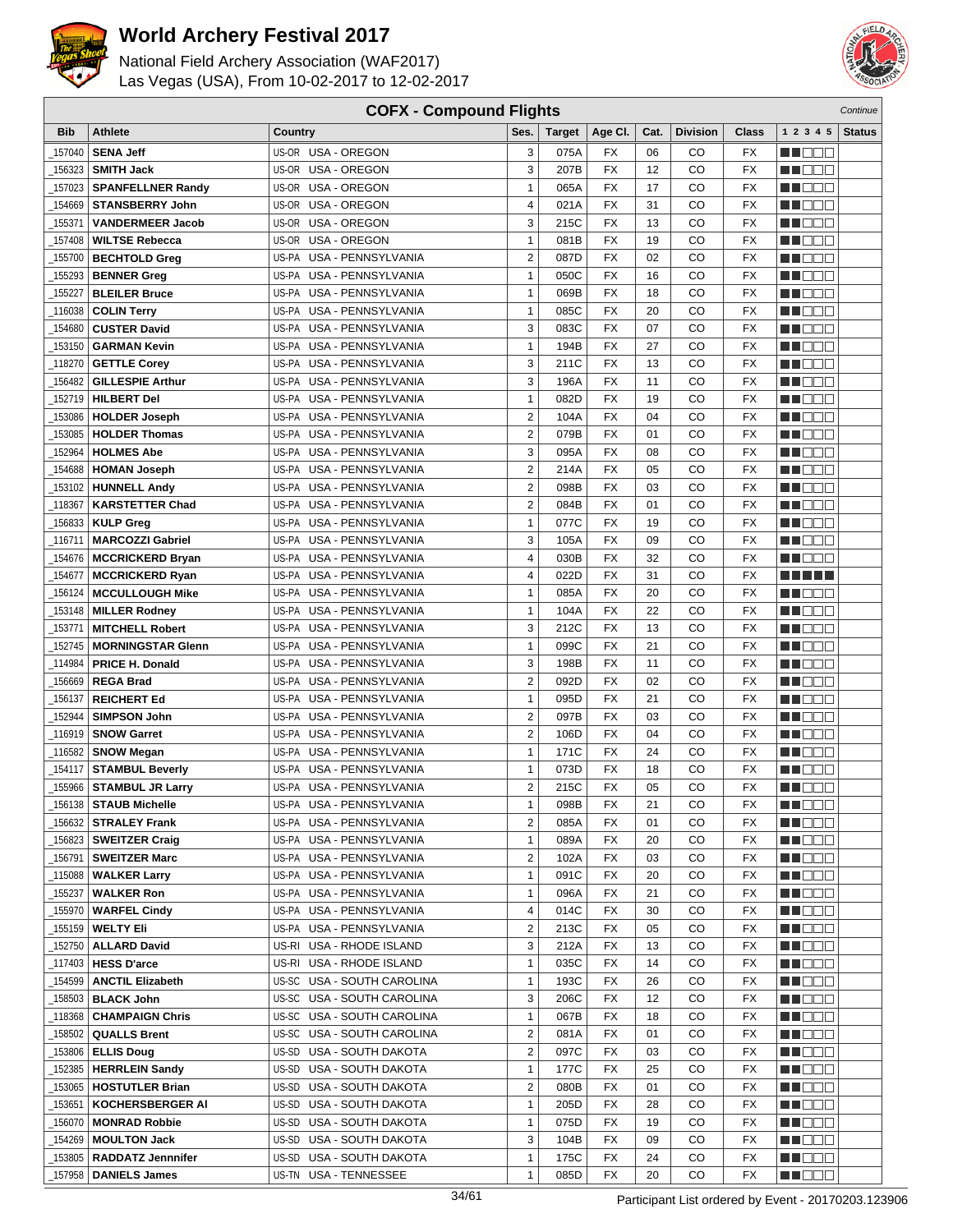



| <b>COFX - Compound Flights</b><br>Continue |                             |                                    |                |               |           |          |                 |           |                  |               |
|--------------------------------------------|-----------------------------|------------------------------------|----------------|---------------|-----------|----------|-----------------|-----------|------------------|---------------|
| <b>Bib</b>                                 | <b>Athlete</b>              | <b>Country</b>                     | Ses.           | <b>Target</b> | Age CI.   | Cat.     | <b>Division</b> | Class     | 1 2 3 4 5        | <b>Status</b> |
| 157040                                     | <b>SENA Jeff</b>            | US-OR USA - OREGON                 | 3              | 075A          | FX        | 06       | CO              | FX        | HI EE E          |               |
| 156323                                     | <b>SMITH Jack</b>           | US-OR USA - OREGON                 | 3              | 207B          | FX        | 12       | CO              | <b>FX</b> | M DEE            |               |
| 157023                                     | <b>SPANFELLNER Randy</b>    | US-OR USA - OREGON                 | $\mathbf{1}$   | 065A          | <b>FX</b> | 17       | CO              | <b>FX</b> | n i DDE          |               |
| 154669                                     |                             | US-OR USA - OREGON                 | 4              | 021A          | <b>FX</b> | 31       | CO              | <b>FX</b> |                  |               |
|                                            | <b>STANSBERRY John</b>      |                                    |                |               |           |          |                 |           | n i BBC          |               |
| 155371                                     | <b>VANDERMEER Jacob</b>     | US-OR<br>USA - OREGON              | 3              | 215C          | <b>FX</b> | 13       | CO              | <b>FX</b> | M DE L           |               |
| 157408                                     | <b>WILTSE Rebecca</b>       | US-OR<br>USA - OREGON              | 1              | 081B          | <b>FX</b> | 19       | CO              | <b>FX</b> | M DO B           |               |
| 155700                                     | <b>BECHTOLD Greg</b>        | US-PA<br><b>USA - PENNSYLVANIA</b> | $\overline{2}$ | 087D          | <b>FX</b> | 02       | CO              | <b>FX</b> | ME E E E         |               |
| 155293                                     | <b>BENNER Greg</b>          | US-PA USA - PENNSYLVANIA           | 1              | 050C          | <b>FX</b> | 16       | CO              | <b>FX</b> | n i Belg         |               |
| 155227                                     | <b>BLEILER Bruce</b>        | US-PA USA - PENNSYLVANIA           | 1              | 069B          | FX        | 18       | CO              | <b>FX</b> | n i Bele         |               |
| 116038                                     | <b>COLIN Terry</b>          | US-PA USA - PENNSYLVANIA           | $\mathbf{1}$   | 085C          | <b>FX</b> | 20       | CO              | <b>FX</b> | MA DE C          |               |
| 154680                                     | <b>CUSTER David</b>         | US-PA USA - PENNSYLVANIA           | 3              | 083C          | <b>FX</b> | 07       | CO              | <b>FX</b> | MU DE E          |               |
| 153150                                     | <b>GARMAN Kevin</b>         | US-PA USA - PENNSYLVANIA           | $\mathbf{1}$   | 194B          | <b>FX</b> | 27       | CO              | <b>FX</b> | NN DE S          |               |
| 118270                                     | <b>GETTLE Corey</b>         | US-PA USA - PENNSYLVANIA           | 3              | 211C          | <b>FX</b> | 13       | CO              | <b>FX</b> | <u> HEEE</u>     |               |
| 156482                                     | <b>GILLESPIE Arthur</b>     | US-PA USA - PENNSYLVANIA           | 3              | 196A          | <b>FX</b> | 11       | CO              | <b>FX</b> | MA DE L          |               |
| 152719                                     | <b>HILBERT Del</b>          | US-PA<br>USA - PENNSYLVANIA        | $\mathbf{1}$   | 082D          | <b>FX</b> | 19       | CO              | <b>FX</b> | MU DE E          |               |
| 153086                                     | <b>HOLDER Joseph</b>        | USA - PENNSYLVANIA<br>US-PA        | $\overline{2}$ | 104A          | <b>FX</b> | 04       | CO              | <b>FX</b> | N I O O O        |               |
| 153085                                     | <b>HOLDER Thomas</b>        | US-PA USA - PENNSYLVANIA           | $\overline{2}$ | 079B          | <b>FX</b> | 01       | CO              | FX        | N NO DE          |               |
| 152964                                     | <b>HOLMES Abe</b>           | US-PA USA - PENNSYLVANIA           | 3              | 095A          | FX        | 08       | CO              | FX        | n i De E         |               |
| 154688                                     | <b>HOMAN Joseph</b>         | US-PA USA - PENNSYLVANIA           | $\overline{2}$ | 214A          | <b>FX</b> | 05       | CO              | <b>FX</b> | MA DE E          |               |
| 153102                                     | <b>HUNNELL Andy</b>         | US-PA USA - PENNSYLVANIA           | $\overline{2}$ | 098B          | <b>FX</b> | 03       | CO              | <b>FX</b> | M O O O          |               |
| 118367                                     | <b>KARSTETTER Chad</b>      | US-PA USA - PENNSYLVANIA           | $\overline{2}$ | 084B          | <b>FX</b> | 01       | CO              | <b>FX</b> | n i BBC          |               |
| 156833                                     | <b>KULP Greg</b>            | US-PA USA - PENNSYLVANIA           | $\mathbf{1}$   | 077C          | <b>FX</b> | 19       | CO              | <b>FX</b> | <u>s de la p</u> |               |
| 116711                                     | <b>MARCOZZI Gabriel</b>     | US-PA USA - PENNSYLVANIA           | 3              | 105A          | <b>FX</b> | 09       | CO              | <b>FX</b> | M DO B           |               |
| 154676                                     | <b>MCCRICKERD Bryan</b>     | US-PA<br>USA - PENNSYLVANIA        | 4              | 030B          | <b>FX</b> | 32       | CO              | <b>FX</b> | n i Bele         |               |
| 154677                                     | <b>MCCRICKERD Ryan</b>      | US-PA USA - PENNSYLVANIA           | 4              | 022D          | <b>FX</b> | 31       | CO              | <b>FX</b> | n di Titolo      |               |
| 156124                                     | <b>MCCULLOUGH Mike</b>      | USA - PENNSYLVANIA<br>US-PA        | $\mathbf{1}$   | 085A          | <b>FX</b> | 20       | CO              | FX        | n de e           |               |
| 153148                                     | <b>MILLER Rodney</b>        | US-PA USA - PENNSYLVANIA           | 1              | 104A          | FX        | 22       | CO              | FX        | MA DE S          |               |
| 153771                                     | <b>MITCHELL Robert</b>      | US-PA USA - PENNSYLVANIA           | 3              | 212C          | <b>FX</b> | 13       | CO              | <b>FX</b> | MA OO Z          |               |
| 152745                                     | <b>MORNINGSTAR Glenn</b>    | US-PA USA - PENNSYLVANIA           | $\mathbf{1}$   | 099C          | <b>FX</b> | 21       | CO              | <b>FX</b> | N N D D D        |               |
|                                            |                             |                                    | 3              |               | <b>FX</b> |          |                 | <b>FX</b> |                  |               |
| 114984                                     | PRICE H. Donald             | US-PA USA - PENNSYLVANIA           | $\overline{2}$ | 198B          | <b>FX</b> | 11<br>02 | CO<br>CO        | <b>FX</b> | n i Biblio       |               |
| 156669                                     | <b>REGA Brad</b>            | US-PA USA - PENNSYLVANIA           |                | 092D          |           |          |                 |           | MA DE C          |               |
| 156137                                     | <b>REICHERT Ed</b>          | US-PA USA - PENNSYLVANIA           | $\mathbf{1}$   | 095D          | <b>FX</b> | 21       | CO              | <b>FX</b> | MU DO B          |               |
| 152944                                     | <b>SIMPSON John</b>         | US-PA<br>USA - PENNSYLVANIA        | $\overline{2}$ | 097B          | <b>FX</b> | 03       | CO              | <b>FX</b> | n i BBE          |               |
| 116919                                     | <b>SNOW Garret</b>          | US-PA<br>USA - PENNSYLVANIA        | 2              | 106D          | <b>FX</b> | 04       | CO              | <b>FX</b> | N NO BIB         |               |
| _116582                                    | <b>SNOW Megan</b>           | US-PA<br>USA - PENNSYLVANIA        | $\mathbf{1}$   | 171C          | FX        | 24       | CO              | FX        | n i De E         |               |
| 154117                                     | <b>STAMBUL Beverly</b>      | USA - PENNSYLVANIA<br>US-PA        | 1              | 073D          | FX        | 18       | CO              | FX        | MA DE E          |               |
| 155966                                     | <b>STAMBUL JR Larry</b>     | US-PA USA - PENNSYLVANIA           | $\overline{2}$ | 215C          | <b>FX</b> | 05       | CO              | FX        | MOOO             |               |
|                                            | $\_156138$ STAUB Michelle   | US-PA USA - PENNSYLVANIA           | 1              | 098B          | <b>FX</b> | 21       | CO              | FX        | <b>HE</b> OOO    |               |
| 156632                                     | <b>STRALEY Frank</b>        | US-PA USA - PENNSYLVANIA           | $\overline{2}$ | 085A          | FX        | 01       | CO              | FX        | MU DO 2          |               |
|                                            | 156823   SWEITZER Craig     | US-PA USA - PENNSYLVANIA           | $\mathbf{1}$   | 089A          | FX        | 20       | CO              | FX        | <u> HELEL</u>    |               |
| _156791丨                                   | <b>SWEITZER Marc</b>        | US-PA USA - PENNSYLVANIA           | 2              | 102A          | FX        | 03       | CO              | FX        | MUOOO            |               |
| _115088丨                                   | <b>WALKER Larry</b>         | US-PA USA - PENNSYLVANIA           | $\mathbf{1}$   | 091C          | FX        | 20       | CO              | FX        | MA DE E          |               |
| 155237_                                    | <b>WALKER Ron</b>           | US-PA USA - PENNSYLVANIA           | $\mathbf{1}$   | 096A          | FX        | 21       | CO              | FX        | <b>HEEEU</b>     |               |
| _155970                                    | <b>WARFEL Cindy</b>         | US-PA USA - PENNSYLVANIA           | 4              | 014C          | FX        | 30       | CO              | FX        | W OOO            |               |
| _155159                                    | <b>WELTY Eli</b>            | US-PA USA - PENNSYLVANIA           | 2              | 213C          | FX        | 05       | CO              | FX        | M D B B          |               |
| _152750                                    | <b>ALLARD David</b>         | US-RI USA - RHODE ISLAND           | 3              | 212A          | FX        | 13       | CO              | FX        | M DE S           |               |
|                                            | 117403   HESS D'arce        | US-RI USA - RHODE ISLAND           | $\mathbf{1}$   | 035C          | FX        | 14       | CO              | FX        | <u>Ma Bibi</u>   |               |
| _154599                                    | <b>ANCTIL Elizabeth</b>     | US-SC USA - SOUTH CAROLINA         | $\mathbf{1}$   | 193C          | FX        | 26       | CO              | FX        | MU O O O         |               |
|                                            | _158503 <b>  BLACK John</b> | US-SC USA - SOUTH CAROLINA         | 3              | 206C          | FX        | 12       | CO              | FX        | MA DE E          |               |
|                                            | 118368   CHAMPAIGN Chris    | US-SC USA - SOUTH CAROLINA         | 1              | 067B          | FX        | 18       | CO              | FX        | MUOOO            |               |
| _158502                                    | <b>QUALLS Brent</b>         | US-SC USA - SOUTH CAROLINA         | 2              | 081A          | FX        | 01       | CO              | FX        | e de la p        |               |
| 153806                                     | <b>ELLIS Doug</b>           | US-SD USA - SOUTH DAKOTA           | 2              | 097C          | FX        | 03       | CO              | FX        | <u>LI OOD</u>    |               |
| 152385                                     | <b>HERRLEIN Sandy</b>       | US-SD USA - SOUTH DAKOTA           | $\mathbf{1}$   | 177C          | FX        | 25       | CO              | FX        | WU 88            |               |
| 153065                                     | <b>HOSTUTLER Brian</b>      | US-SD USA - SOUTH DAKOTA           | 2              | 080B          | FX        | 01       | CO              | FX        | ME E E           |               |
| 153651                                     | <b>KOCHERSBERGER AI</b>     | US-SD USA - SOUTH DAKOTA           | $\mathbf{1}$   | 205D          | FX        | 28       | CO              | FX        | MA DE E          |               |
| 156070                                     | <b>MONRAD Robbie</b>        | US-SD USA - SOUTH DAKOTA           | $\mathbf{1}$   | 075D          | FX        | 19       | CO              | FX        | <u> Heleti</u>   |               |
| 154269                                     | <b>MOULTON Jack</b>         | US-SD USA - SOUTH DAKOTA           | 3              | 104B          | FX        | 09       | CO              | FX        | MU O O O         |               |
|                                            | _153805   RADDATZ Jennnifer | US-SD USA - SOUTH DAKOTA           | $\mathbf{1}$   | 175C          | FX        | 24       | CO              | FX        | <u>Li de C</u>   |               |
| _157958                                    | <b>DANIELS James</b>        | US-TN USA - TENNESSEE              | 1              | 085D          | FX        | 20       | CO              | FX        | MUOOO            |               |
|                                            |                             |                                    |                |               |           |          |                 |           |                  |               |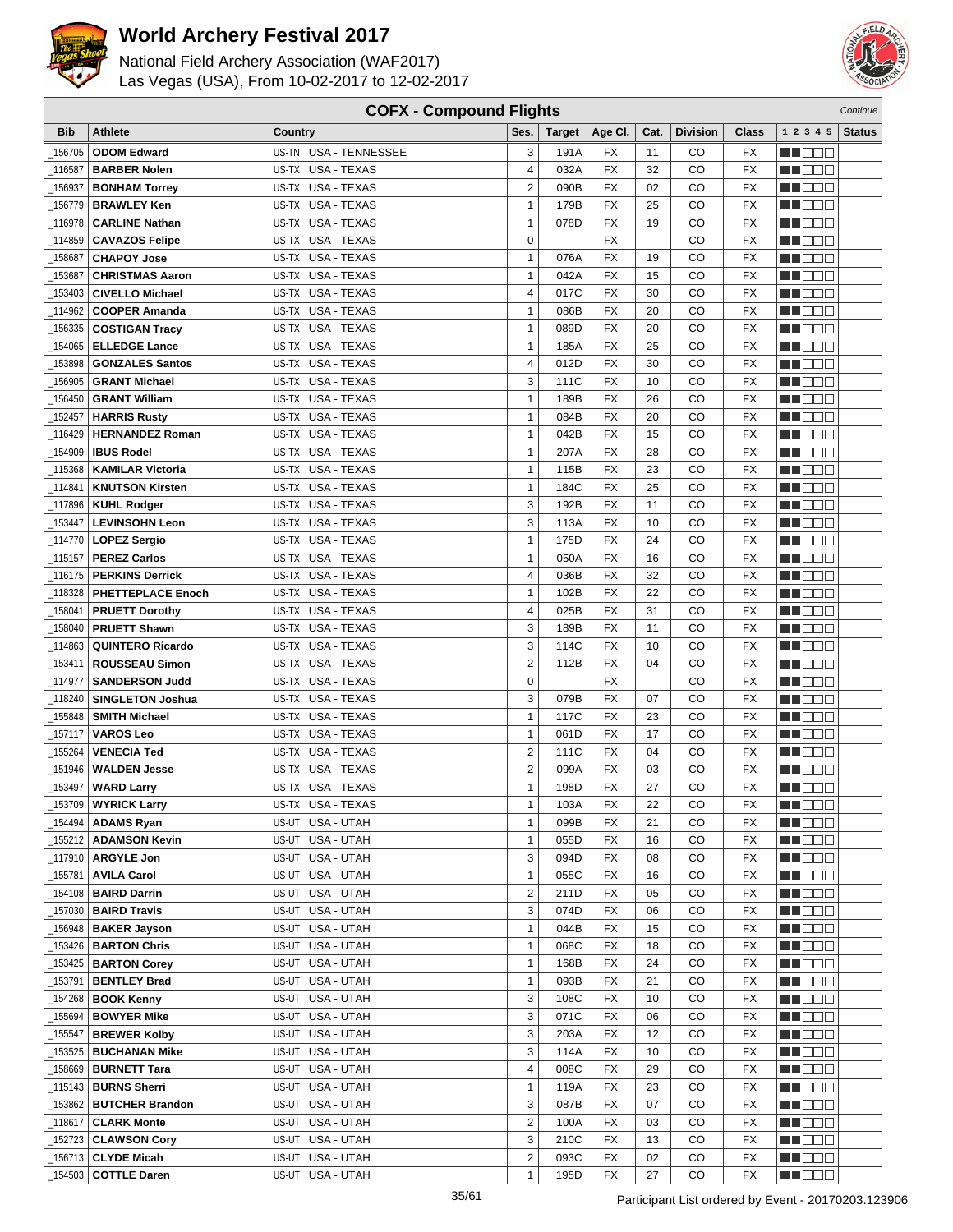



| <b>COFX - Compound Flights</b><br>Continue |                                                |                                        |                              |               |                 |          |                 |                        |                   |               |
|--------------------------------------------|------------------------------------------------|----------------------------------------|------------------------------|---------------|-----------------|----------|-----------------|------------------------|-------------------|---------------|
| <b>Bib</b>                                 | <b>Athlete</b>                                 | Country                                | Ses.                         | <b>Target</b> | Age CI.         | Cat.     | <b>Division</b> | Class                  | 1 2 3 4 5         | <b>Status</b> |
| 156705                                     | <b>ODOM Edward</b>                             | US-TN USA - TENNESSEE                  | 3                            | 191A          | FX              | 11       | CO              | FX                     | e de e            |               |
| 116587                                     | <b>BARBER Nolen</b>                            | US-TX USA - TEXAS                      | 4                            | 032A          | <b>FX</b>       | 32       | CO              | <b>FX</b>              | n in Biblio       |               |
| 156937                                     | <b>BONHAM Torrey</b>                           | US-TX USA - TEXAS                      | $\overline{2}$               | 090B          | <b>FX</b>       | 02       | CO              | FX                     | n i DDE           |               |
| 156779                                     | <b>BRAWLEY Ken</b>                             | US-TX USA - TEXAS                      | $\mathbf{1}$                 | 179B          | FX              | 25       | CO              | FX                     | MN 888            |               |
| 116978                                     | <b>CARLINE Nathan</b>                          | US-TX USA - TEXAS                      | $\mathbf{1}$                 | 078D          | <b>FX</b>       | 19       | CO              | <b>FX</b>              | ME DE S           |               |
|                                            |                                                | US-TX USA - TEXAS                      | $\mathbf 0$                  |               | FX              |          | CO              | <b>FX</b>              | M DO B            |               |
| 114859                                     | <b>CAVAZOS Felipe</b><br><b>CHAPOY Jose</b>    | US-TX USA - TEXAS                      | $\mathbf{1}$                 | 076A          | <b>FX</b>       | 19       | CO              | FX                     | MA OO B           |               |
| 158687<br>153687                           | <b>CHRISTMAS Aaron</b>                         | US-TX USA - TEXAS                      | $\mathbf{1}$                 | 042A          | <b>FX</b>       | 15       | CO              | <b>FX</b>              |                   |               |
|                                            |                                                | US-TX USA - TEXAS                      | 4                            | 017C          | FX              | 30       |                 | <b>FX</b>              | MN D D O          |               |
| 153403                                     | <b>CIVELLO Michael</b>                         |                                        |                              |               | <b>FX</b>       |          | CO              |                        | MO DO O           |               |
| 114962                                     | <b>COOPER Amanda</b>                           | US-TX USA - TEXAS                      | $\mathbf{1}$                 | 086B          | <b>FX</b>       | 20       | CO<br>CO        | <b>FX</b><br><b>FX</b> | M DEE             |               |
| 156335                                     | <b>COSTIGAN Tracy</b>                          | US-TX USA - TEXAS<br>US-TX USA - TEXAS | $\mathbf{1}$<br>$\mathbf{1}$ | 089D<br>185A  | <b>FX</b>       | 20<br>25 | CO              | <b>FX</b>              | MU DO B           |               |
| 154065                                     | <b>ELLEDGE Lance</b>                           |                                        |                              |               |                 |          |                 |                        | n i De E          |               |
| 153898                                     | <b>GONZALES Santos</b>                         | US-TX USA - TEXAS                      | 4                            | 012D          | FX              | 30       | CO              | <b>FX</b>              | n i Bele          |               |
| 156905                                     | <b>GRANT Michael</b>                           | US-TX USA - TEXAS                      | 3                            | 111C          | FX              | 10       | CO              | FX                     | MA DE C           |               |
| 156450                                     | <b>GRANT William</b>                           | US-TX USA - TEXAS                      | $\mathbf{1}$                 | 189B          | FX              | 26       | CO              | <b>FX</b>              | MU DO B           |               |
| 152457                                     | <b>HARRIS Rusty</b>                            | US-TX USA - TEXAS                      | $\mathbf{1}$                 | 084B          | <b>FX</b>       | 20       | CO              | FX                     | n i DDE           |               |
| 116429                                     | <b>HERNANDEZ Roman</b>                         | US-TX USA - TEXAS                      | $\mathbf{1}$                 | 042B          | <b>FX</b>       | 15       | CO              | <b>FX</b>              | MA DE E           |               |
| 154909                                     | <b>IBUS Rodel</b>                              | US-TX USA - TEXAS                      | $\mathbf{1}$                 | 207A          | FX              | 28       | CO              | <b>FX</b>              | MU DO 2           |               |
| _115368                                    | <b>KAMILAR Victoria</b>                        | US-TX USA - TEXAS                      | $\mathbf{1}$                 | 115B          | <b>FX</b>       | 23       | CO              | <b>FX</b>              | M DEE             |               |
| 114841                                     | <b>KNUTSON Kirsten</b>                         | US-TX USA - TEXAS                      | $\mathbf{1}$                 | 184C          | <b>FX</b>       | 25       | CO              | <b>FX</b>              | MN 888            |               |
| _117896                                    | <b>KUHL Rodger</b>                             | US-TX USA - TEXAS                      | 3                            | 192B          | <b>FX</b>       | 11       | CO              | <b>FX</b>              | MT DE E           |               |
| 153447                                     | <b>LEVINSOHN Leon</b>                          | US-TX USA - TEXAS                      | 3                            | 113A          | FX              | 10       | CO              | FX                     | MU DE B           |               |
|                                            | 114770   LOPEZ Sergio                          | US-TX USA - TEXAS                      | $\mathbf{1}$                 | 175D          | <b>FX</b>       | 24       | CO              | <b>FX</b>              | M DO B            |               |
| 115157_                                    | <b>PEREZ Carlos</b>                            | US-TX USA - TEXAS                      | $\mathbf{1}$                 | 050A          | FX              | 16       | CO              | <b>FX</b>              | MA OO B           |               |
| 116175                                     | <b>PERKINS Derrick</b>                         | US-TX USA - TEXAS                      | 4                            | 036B          | <b>FX</b>       | 32       | CO              | <b>FX</b>              | n i DDE           |               |
| 118328                                     | <b>PHETTEPLACE Enoch</b>                       | US-TX USA - TEXAS                      | 1                            | 102B          | FX              | 22       | CO              | <b>FX</b>              | MO DO O           |               |
| 158041                                     | <b>PRUETT Dorothy</b>                          | US-TX USA - TEXAS                      | 4                            | 025B          | <b>FX</b>       | 31       | CO              | <b>FX</b>              | MA DE S           |               |
| 158040                                     | <b>PRUETT Shawn</b>                            | US-TX USA - TEXAS                      | 3                            | 189B          | <b>FX</b>       | 11       | CO              | <b>FX</b>              | W OOO             |               |
| 114863                                     | <b>QUINTERO Ricardo</b>                        | US-TX USA - TEXAS                      | 3                            | 114C          | <b>FX</b>       | 10       | CO              | <b>FX</b>              | <b>NNODO</b>      |               |
| 153411                                     | <b>ROUSSEAU Simon</b>                          | US-TX USA - TEXAS                      | $\overline{2}$               | 112B          | <b>FX</b>       | 04       | CO              | <b>FX</b>              | e de la co        |               |
| 114977                                     | <b>SANDERSON Judd</b>                          | US-TX USA - TEXAS                      | $\mathbf 0$                  |               | FX              |          | CO              | <b>FX</b>              | MA DE C           |               |
| 118240                                     | <b>SINGLETON Joshua</b>                        | US-TX USA - TEXAS                      | 3                            | 079B          | FX              | 07       | CO              | <b>FX</b>              | MU DO B           |               |
| 155848                                     | <b>SMITH Michael</b>                           | US-TX USA - TEXAS                      | $\mathbf{1}$                 | 117C          | FX              | 23       | CO              | <b>FX</b>              | MU DO O           |               |
| 157117                                     | <b>VAROS Leo</b>                               | US-TX USA - TEXAS                      | $\mathbf{1}$                 | 061D          | <b>FX</b>       | 17       | CO              | <b>FX</b>              | N NO DE           |               |
| 155264                                     | <b>VENECIA Ted</b>                             | US-TX USA - TEXAS                      | $\overline{\mathbf{c}}$      | 111C          | FX              | 04       | CO              | FX                     | MA DE C           |               |
| 151946                                     | <b>WALDEN Jesse</b>                            | US-TX USA - TEXAS                      | $\overline{\mathbf{c}}$      | 099A          | <b>FX</b>       | 03       | CO              | <b>FX</b>              | MU O O O          |               |
| _153497                                    | <b>WARD Larry</b>                              | US-TX USA - TEXAS                      | $\mathbf{1}$                 | 198D          | <b>FX</b>       | 27       | CO              | <b>FX</b>              | ME DE E           |               |
|                                            | $\overline{\phantom{1}}$ 153709   WYRICK Larry | US-TX USA - TEXAS                      | 1                            | 103A          | $\overline{FX}$ | 22       | CO              | $\overline{FX}$        | <b>HE</b> OOO     |               |
|                                            | 154494   <b>ADAMS Ryan</b>                     | US-UT USA - UTAH                       | $\mathbf{1}$                 | 099B          | FX              | 21       | CO              | FX                     | <u> Literatu</u>  |               |
|                                            | 155212   ADAMSON Kevin                         | US-UT USA - UTAH                       | $\mathbf{1}$                 | 055D          | FX              | 16       | CO              | FX                     | M DE E            |               |
|                                            | _117910 <b>  ARGYLE Jon</b>                    | US-UT USA - UTAH                       | 3                            | 094D          | FX              | 08       | CO              | FX                     | MUOOO             |               |
| 155781                                     | <b>AVILA Carol</b>                             | US-UT USA - UTAH                       | $\mathbf{1}$                 | 055C          | FX              | 16       | CO              | FX                     | MA DE S           |               |
|                                            | 154108   BAIRD Darrin                          | US-UT USA - UTAH                       | $\overline{\mathbf{c}}$      | 211D          | FX              | 05       | CO              | FX                     | <b>MA</b> DOO     |               |
| _157030                                    | <b>BAIRD Travis</b>                            | US-UT USA - UTAH                       | 3                            | 074D          | FX              | 06       | CO              | FX                     | WU O O O          |               |
| 156948                                     | <b>BAKER Jayson</b>                            | US-UT USA - UTAH                       | 1                            | 044B          | FX              | 15       | CO              | FX                     | MU O O O          |               |
| _153426                                    | <b>BARTON Chris</b>                            | US-UT USA - UTAH                       | $\mathbf{1}$                 | 068C          | FX              | 18       | CO              | FX                     | <u>in ja sis</u>  |               |
| _153425                                    | <b>BARTON Corey</b>                            | US-UT USA - UTAH                       | $\mathbf{1}$                 | 168B          | FX              | 24       | CO              | FX                     | <u> Here</u>      |               |
|                                            | 153791   <b>BENTLEY Brad</b>                   | US-UT USA - UTAH                       | $\mathbf{1}$                 | 093B          | FX              | 21       | CO              | FX                     | <u>LI OOD</u>     |               |
| 154268                                     | <b>BOOK Kenny</b>                              | US-UT USA - UTAH                       | 3                            | 108C          | FX              | 10       | CO              | FX                     | WU 88             |               |
| 155694                                     | <b>BOWYER Mike</b>                             | US-UT USA - UTAH                       | 3                            | 071C          | FX              | 06       | CO              | FX                     | MUOOO             |               |
| 155547                                     | <b>BREWER Kolby</b>                            | US-UT USA - UTAH                       | 3                            | 203A          | FX              | 12       | CO              | FX                     | e de la p         |               |
| 153525                                     | <b>BUCHANAN Mike</b>                           | US-UT USA - UTAH                       | 3                            | 114A          | FX              | 10       | CO              | FX                     | N NO DEI          |               |
|                                            | _158669   <b>BURNETT Tara</b>                  | US-UT USA - UTAH                       | 4                            | 008C          | FX              | 29       | CO              | FX                     | WU 88             |               |
| _115143                                    | <b>BURNS Sherri</b>                            | US-UT USA - UTAH                       | 1                            | 119A          | FX              | 23       | CO              | FX                     | NN O O O          |               |
| _153862                                    | <b>BUTCHER Brandon</b>                         | US-UT USA - UTAH                       | 3                            | 087B          | FX              | 07       | CO              | FX                     | <u> Literatur</u> |               |
| 118617_                                    | <b>CLARK Monte</b>                             | US-UT USA - UTAH                       | $\overline{2}$               | 100A          | FX              | 03       | CO              | FX                     | <u> Hees</u>      |               |
|                                            | _152723 <b>CLAWSON Cory</b>                    | US-UT USA - UTAH                       | 3                            | 210C          | FX              | 13       | CO              | FX                     | WU O O O          |               |
| _156713                                    | <b>CLYDE Micah</b>                             | US-UT USA - UTAH                       | $\overline{2}$               | 093C          | FX              | 02       | CO              | FX                     | M DE S            |               |
| 154503                                     | <b>COTTLE Daren</b>                            | US-UT USA - UTAH                       | $\mathbf{1}$                 | 195D          | FX              | 27       | CO              | FX                     | MU DO D           |               |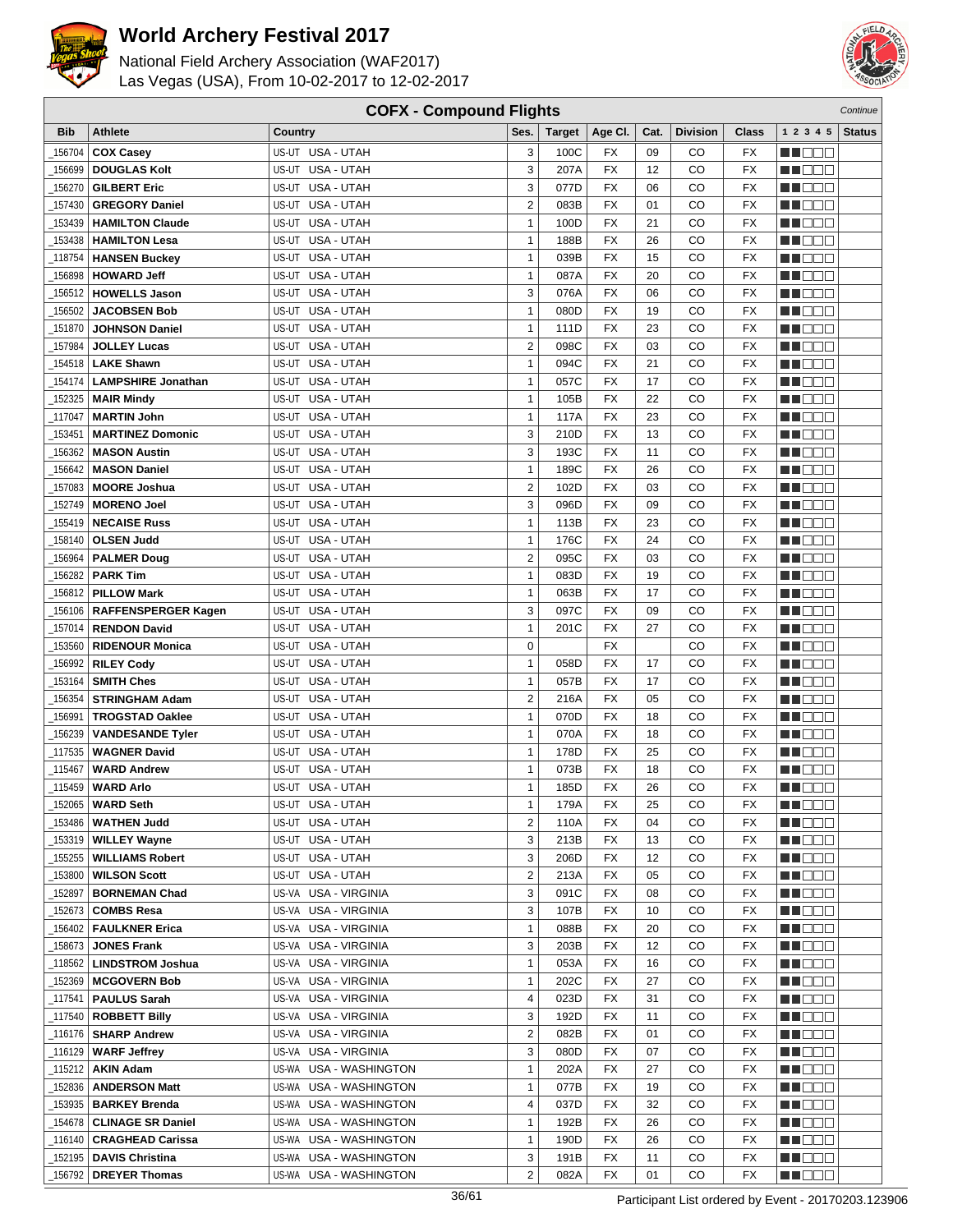



| <b>COFX - Compound Flights</b><br>Continue |                                            |                                      |                |               |                 |      |                 |                 |                      |               |
|--------------------------------------------|--------------------------------------------|--------------------------------------|----------------|---------------|-----------------|------|-----------------|-----------------|----------------------|---------------|
| <b>Bib</b>                                 | <b>Athlete</b>                             | Country                              | Ses.           | <b>Target</b> | Age CI.         | Cat. | <b>Division</b> | Class           | 1 2 3 4 5            | <b>Status</b> |
| 156704                                     | <b>COX Casey</b>                           | US-UT USA - UTAH                     | 3              | 100C          | FX              | 09   | CO              | <b>FX</b>       | e de e               |               |
| 156699                                     | <b>DOUGLAS Kolt</b>                        | US-UT USA - UTAH                     | 3              | 207A          | <b>FX</b>       | 12   | CO              | <b>FX</b>       | n i De E             |               |
| 156270                                     | <b>GILBERT Eric</b>                        | US-UT USA - UTAH                     | 3              | 077D          | <b>FX</b>       | 06   | CO              | <b>FX</b>       | MOOO                 |               |
| 157430                                     | <b>GREGORY Daniel</b>                      | US-UT USA - UTAH                     | $\overline{2}$ | 083B          | FX              | 01   | CO              | FX              | MN 888               |               |
| 153439                                     | <b>HAMILTON Claude</b>                     | USA - UTAH<br>US-UT                  | $\mathbf{1}$   | 100D          | <b>FX</b>       | 21   | CO              | <b>FX</b>       | n i Bele             |               |
| 153438                                     | <b>HAMILTON Lesa</b>                       | USA - UTAH<br>US-UT                  | $\mathbf{1}$   | 188B          | <b>FX</b>       | 26   | CO              | <b>FX</b>       | M DO B               |               |
| 118754                                     | <b>HANSEN Buckey</b>                       | US-UT USA - UTAH                     | $\mathbf{1}$   | 039B          | <b>FX</b>       | 15   | CO              | FX              | ME E E E             |               |
| 156898                                     |                                            | US-UT USA - UTAH                     | $\mathbf{1}$   | 087A          | <b>FX</b>       | 20   | CO              | <b>FX</b>       | MN OO B              |               |
|                                            | <b>HOWARD Jeff</b>                         |                                      | 3              |               | <b>FX</b>       |      |                 | <b>FX</b>       | M DOO                |               |
| 156512                                     | <b>HOWELLS Jason</b>                       | US-UT USA - UTAH<br>US-UT USA - UTAH |                | 076A          |                 | 06   | CO              |                 |                      |               |
| 156502                                     | <b>JACOBSEN Bob</b>                        |                                      | $\mathbf{1}$   | 080D          | <b>FX</b>       | 19   | CO              | <b>FX</b>       | M DEE                |               |
| 151870                                     | <b>JOHNSON Daniel</b>                      | US-UT USA - UTAH                     | $\mathbf{1}$   | 111D          | <b>FX</b>       | 23   | CO              | <b>FX</b>       | MU DO B              |               |
| 157984                                     | <b>JOLLEY Lucas</b>                        | US-UT USA - UTAH                     | $\overline{2}$ | 098C          | <b>FX</b>       | 03   | CO              | <b>FX</b>       | n i De E             |               |
| 154518                                     | <b>LAKE Shawn</b>                          | US-UT USA - UTAH                     | $\mathbf{1}$   | 094C          | FX              | 21   | CO              | <b>FX</b>       | MA DE E              |               |
| 154174                                     | <b>LAMPSHIRE Jonathan</b>                  | US-UT<br>USA - UTAH                  | $\mathbf{1}$   | 057C          | <b>FX</b>       | 17   | CO              | <b>FX</b>       | M D D D              |               |
| 152325                                     | <b>MAIR Mindy</b>                          | US-UT<br>USA - UTAH                  | $\mathbf{1}$   | 105B          | FX              | 22   | CO              | <b>FX</b>       | MU DO B              |               |
| 117047                                     | <b>MARTIN John</b>                         | US-UT USA - UTAH                     | $\mathbf{1}$   | 117A          | <b>FX</b>       | 23   | CO              | FX              | MN 888               |               |
| 153451                                     | <b>MARTINEZ Domonic</b>                    | US-UT USA - UTAH                     | 3              | 210D          | <b>FX</b>       | 13   | CO              | <b>FX</b>       | MN OO O              |               |
| 156362                                     | <b>MASON Austin</b>                        | US-UT USA - UTAH                     | 3              | 193C          | <b>FX</b>       | 11   | CO              | <b>FX</b>       | MU DO O              |               |
| 156642                                     | <b>MASON Daniel</b>                        | US-UT USA - UTAH                     | $\mathbf{1}$   | 189C          | <b>FX</b>       | 26   | CO              | <b>FX</b>       | M DO B               |               |
| 157083                                     | <b>MOORE Joshua</b>                        | US-UT USA - UTAH                     | $\overline{2}$ | 102D          | <b>FX</b>       | 03   | CO              | <b>FX</b>       | MN 888               |               |
| 152749                                     | <b>MORENO Joel</b>                         | US-UT USA - UTAH                     | 3              | 096D          | <b>FX</b>       | 09   | CO              | <b>FX</b>       | MT DE E              |               |
| 155419                                     | <b>NECAISE Russ</b>                        | US-UT USA - UTAH                     | $\mathbf{1}$   | 113B          | FX              | 23   | CO              | FX              | M DE B               |               |
| 158140                                     | <b>OLSEN Judd</b>                          | US-UT<br>USA - UTAH                  | $\mathbf{1}$   | 176C          | <b>FX</b>       | 24   | CO              | <b>FX</b>       | M DO B               |               |
| 156964                                     | <b>PALMER Doug</b>                         | US-UT<br>USA - UTAH                  | $\overline{2}$ | 095C          | <b>FX</b>       | 03   | CO              | <b>FX</b>       | MA OO B              |               |
| 156282                                     | <b>PARK Tim</b>                            | US-UT USA - UTAH                     | $\mathbf{1}$   | 083D          | <b>FX</b>       | 19   | CO              | <b>FX</b>       | MN 888               |               |
| 156812                                     | <b>PILLOW Mark</b>                         | USA - UTAH<br>US-UT                  | 1              | 063B          | FX              | 17   | CO              | <b>FX</b>       | MN OO O              |               |
| 156106                                     | <b>RAFFENSPERGER Kagen</b>                 | US-UT USA - UTAH                     | 3              | 097C          | <b>FX</b>       | 09   | CO              | <b>FX</b>       | MA DE S              |               |
| 157014                                     | <b>RENDON David</b>                        | US-UT USA - UTAH                     | $\mathbf{1}$   | 201C          | <b>FX</b>       | 27   | CO              | <b>FX</b>       | W OOO                |               |
| 153560                                     | <b>RIDENOUR Monica</b>                     | US-UT USA - UTAH                     | $\mathbf 0$    |               | <b>FX</b>       |      | CO              | <b>FX</b>       | MN 888               |               |
| 156992                                     | <b>RILEY Cody</b>                          | US-UT USA - UTAH                     | $\mathbf{1}$   | 058D          | <b>FX</b>       | 17   | CO              | <b>FX</b>       | n i Biblio           |               |
| 153164                                     | <b>SMITH Ches</b>                          | US-UT USA - UTAH                     | $\mathbf{1}$   | 057B          | FX              | 17   | CO              | <b>FX</b>       | MA DE C              |               |
| 156354                                     | <b>STRINGHAM Adam</b>                      | USA - UTAH<br>US-UT                  | $\overline{2}$ | 216A          | <b>FX</b>       | 05   | CO              | FX              | MU DO B              |               |
| 156991                                     | <b>TROGSTAD Oaklee</b>                     | US-UT<br>USA - UTAH                  | $\mathbf{1}$   | 070D          | FX              | 18   | CO              | <b>FX</b>       | MA OO B              |               |
| 156239                                     | <b>VANDESANDE Tyler</b>                    | US-UT USA - UTAH                     | $\mathbf{1}$   | 070A          | <b>FX</b>       | 18   | CO              | <b>FX</b>       | MA DE E              |               |
| 117535                                     | <b>WAGNER David</b>                        | US-UT USA - UTAH                     | 1              | 178D          | <b>FX</b>       | 25   | CO              | <b>FX</b>       | M D D D              |               |
| 115467                                     | <b>WARD Andrew</b>                         | US-UT USA - UTAH                     | $\mathbf{1}$   | 073B          | <b>FX</b>       | 18   | CO              | <b>FX</b>       | MU OO O              |               |
| 115459_                                    | <b>WARD Arlo</b>                           | US-UT USA - UTAH                     | $\mathbf{1}$   | 185D          | <b>FX</b>       | 26   | CO              | <b>FX</b>       | MN 888               |               |
|                                            | $\_$ 152065 WARD Seth                      | US-UT USA - UTAH                     | 1              | 179A          | $\overline{FX}$ | 25   | CO              | $\overline{FX}$ | <b>HOOD</b>          |               |
| 153486                                     | <b>WATHEN Judd</b>                         | US-UT USA - UTAH                     | $\overline{2}$ | 110A          | FX              | 04   | CO              | FX              | MA DE E              |               |
| 153319                                     | <b>WILLEY Wayne</b>                        | US-UT USA - UTAH                     | 3              | 213B          | FX              | 13   | CO              | FX              | M DE E               |               |
| _155255                                    | <b>WILLIAMS Robert</b>                     | US-UT USA - UTAH                     | 3              | 206D          | FX              | 12   | CO              | FX              | M DE S               |               |
| 153800                                     | <b>WILSON Scott</b>                        | US-UT USA - UTAH                     | $\overline{2}$ | 213A          | FX              | 05   | CO              | FX              | M DE S               |               |
| 152897                                     | <b>BORNEMAN Chad</b>                       | US-VA USA - VIRGINIA                 | 3              | 091C          | FX              | 08   | CO              | FX              | MU DE B              |               |
| _152673                                    | <b>COMBS Resa</b>                          | US-VA USA - VIRGINIA                 | 3              | 107B          | FX              | 10   | CO              | FX              | <u> Here e</u>       |               |
| 156402_                                    | <b>FAULKNER Erica</b>                      | US-VA USA - VIRGINIA                 | 1              | 088B          | FX              | 20   | CO              | FX              | WO OO U              |               |
| _158673                                    | <b>JONES Frank</b>                         | US-VA USA - VIRGINIA                 | 3              | 203B          | FX              | 12   | CO              | FX              | <u>in ja sis</u>     |               |
|                                            | 118562   LINDSTROM Joshua                  | US-VA USA - VIRGINIA                 | $\mathbf{1}$   | 053A          | FX              | 16   | CO              | FX              | <u> Here</u>         |               |
|                                            | 152369   MCGOVERN Bob                      | US-VA USA - VIRGINIA                 | $\mathbf{1}$   | 202C          | FX              | 27   | CO              | FX              | <u>LI OOD</u>        |               |
|                                            | 117541   PAULUS Sarah                      | US-VA USA - VIRGINIA                 | 4              | 023D          | FX              | 31   | CO              | FX              | M DE E               |               |
|                                            | [117540   ROBBETT Billy                    | US-VA USA - VIRGINIA                 | 3              | 192D          | FX              | 11   | CO              | FX              | MU DO O              |               |
|                                            |                                            | US-VA USA - VIRGINIA                 | $\overline{2}$ | 082B          | FX              | 01   | CO              | FX              | e de la p            |               |
| _116129丨                                   | <b>WARF Jeffrey</b>                        | US-VA USA - VIRGINIA                 | 3              | 080D          | FX              | 07   | CO              | FX              | M DE S               |               |
| _115212                                    | <b>AKIN Adam</b>                           | US-WA USA - WASHINGTON               | 1              | 202A          | FX              | 27   | CO              | FX              | WU 88                |               |
| 152836                                     | <b>ANDERSON Matt</b>                       | US-WA USA - WASHINGTON               | 1              | 077B          | FX              | 19   | CO              | FX              | NN O O O             |               |
|                                            | <sub>-</sub> 153935   <b>BARKEY Brenda</b> | US-WA USA - WASHINGTON               | 4              | 037D          | FX              | 32   | CO              | FX              | <u>in din Biblio</u> |               |
| <sub>-</sub> 154678                        | <b>CLINAGE SR Daniel</b>                   | US-WA USA - WASHINGTON               | $\mathbf{1}$   | 192B          | FX              | 26   | CO              | FX              | <u> Here de la</u>   |               |
|                                            | _116140   CRAGHEAD Carissa                 | US-WA USA - WASHINGTON               | $\mathbf{1}$   | 190D          | FX              | 26   | CO              | FX              | <u> HELEL</u>        |               |
|                                            | <sub>_152195</sub>   DAVIS Christina       | US-WA USA - WASHINGTON               | 3              | 191B          | FX              | 11   | CO              | FX              | <u>sa sa sa</u>      |               |
| _156792                                    | <b>DREYER Thomas</b>                       | US-WA USA - WASHINGTON               | $\overline{2}$ | 082A          | FX              | 01   | CO              | FX              | <u>in ja sis</u>     |               |
|                                            |                                            |                                      |                |               |                 |      |                 |                 |                      |               |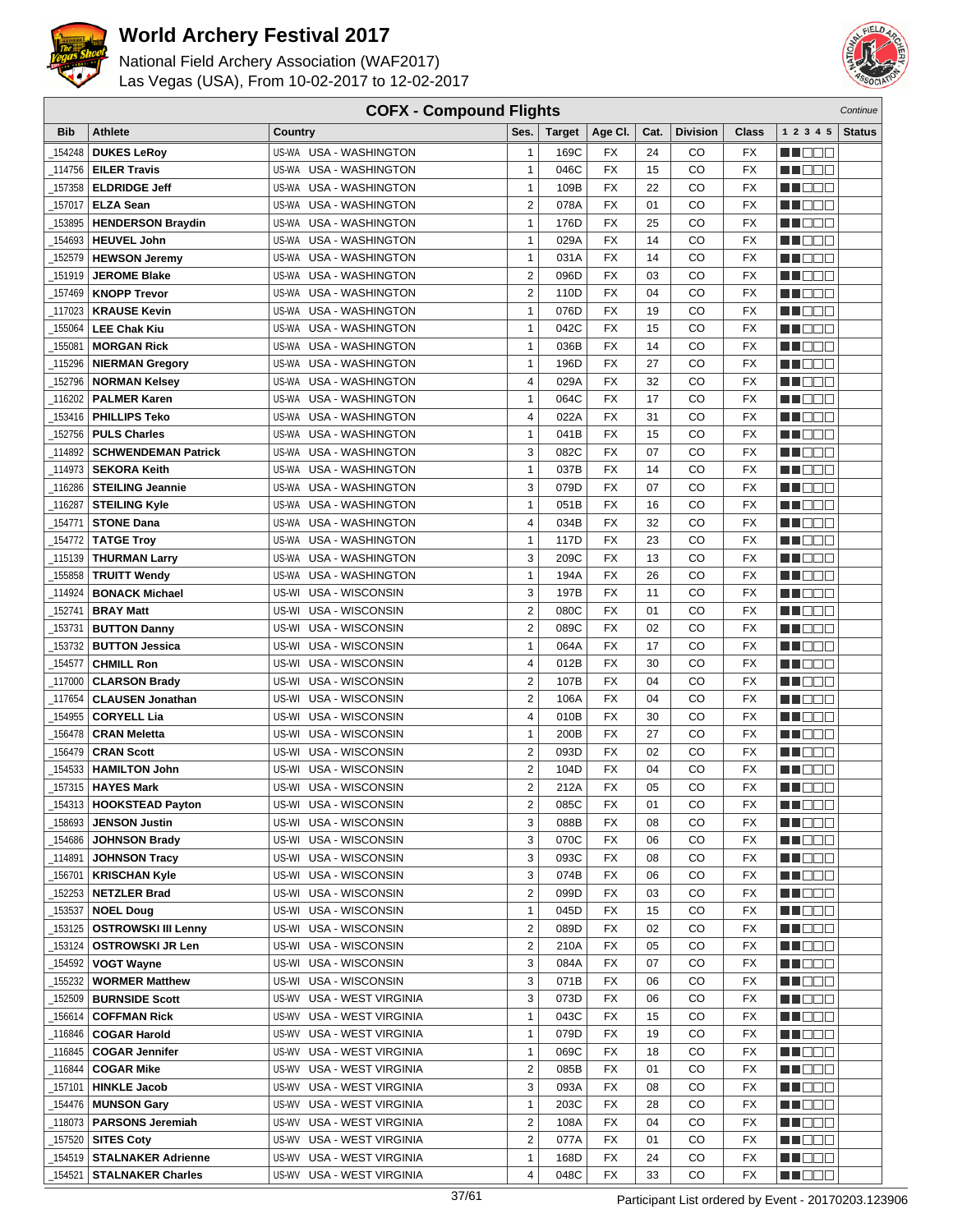



|            | <b>COFX - Compound Flights</b><br>Continue |                                  |                         |               |                 |      |                 |                 |                    |               |
|------------|--------------------------------------------|----------------------------------|-------------------------|---------------|-----------------|------|-----------------|-----------------|--------------------|---------------|
| <b>Bib</b> | <b>Athlete</b>                             | Country                          | Ses.                    | <b>Target</b> | Age CI.         | Cat. | <b>Division</b> | Class           | 1 2 3 4 5          | <b>Status</b> |
| 154248     | <b>DUKES LeRoy</b>                         | US-WA USA - WASHINGTON           | $\mathbf{1}$            | 169C          | FX              | 24   | CO              | FX              | <u> Here i Ser</u> |               |
| 114756     | <b>EILER Travis</b>                        | US-WA USA - WASHINGTON           | $\mathbf{1}$            | 046C          | <b>FX</b>       | 15   | CO              | <b>FX</b>       | n in Biblio        |               |
| 157358     | <b>ELDRIDGE Jeff</b>                       | US-WA USA - WASHINGTON           | $\mathbf{1}$            | 109B          | <b>FX</b>       | 22   | CO              | <b>FX</b>       | n i DDE            |               |
| 157017     | <b>ELZA Sean</b>                           | US-WA USA - WASHINGTON           | $\overline{2}$          | 078A          | FX              | 01   | CO              | <b>FX</b>       | MT DE E            |               |
|            |                                            |                                  |                         |               |                 |      |                 |                 |                    |               |
| 153895     | <b>HENDERSON Braydin</b>                   | US-WA<br>USA - WASHINGTON        | 1                       | 176D          | FX              | 25   | CO              | <b>FX</b>       | n in Eise          |               |
| 154693     | <b>HEUVEL John</b>                         | USA - WASHINGTON<br>US-WA        | $\mathbf{1}$            | 029A          | FX              | 14   | CO              | FX              | M DOC              |               |
| 152579     | <b>HEWSON Jeremy</b>                       | USA - WASHINGTON<br>US-WA        | $\mathbf{1}$            | 031A          | <b>FX</b>       | 14   | CO              | <b>FX</b>       | n i De E           |               |
| 151919     | <b>JEROME Blake</b>                        | <b>USA - WASHINGTON</b><br>US-WA | $\overline{2}$          | 096D          | FX              | 03   | CO              | <b>FX</b>       | n i BBC            |               |
| 157469     | <b>KNOPP Trevor</b>                        | <b>USA - WASHINGTON</b><br>US-WA | $\overline{2}$          | 110D          | <b>FX</b>       | 04   | CO              | <b>FX</b>       | n de de            |               |
| 117023     | <b>KRAUSE Kevin</b>                        | USA - WASHINGTON<br>US-WA        | $\mathbf{1}$            | 076D          | <b>FX</b>       | 19   | CO              | <b>FX</b>       | e de e             |               |
| 155064     | <b>LEE Chak Kiu</b>                        | US-WA USA - WASHINGTON           | $\mathbf{1}$            | 042C          | <b>FX</b>       | 15   | CO              | <b>FX</b>       | M O O O            |               |
| 155081     | <b>MORGAN Rick</b>                         | US-WA USA - WASHINGTON           | $\mathbf{1}$            | 036B          | <b>FX</b>       | 14   | CO              | <b>FX</b>       | THE EE             |               |
| 115296     | <b>NIERMAN Gregory</b>                     | US-WA<br>USA - WASHINGTON        | 1                       | 196D          | FX              | 27   | CO              | <b>FX</b>       | n i Biblio         |               |
| 152796     | <b>NORMAN Kelsey</b>                       | <b>USA - WASHINGTON</b><br>US-WA | 4                       | 029A          | FX              | 32   | CO              | <b>FX</b>       | MA DE L            |               |
| 116202     | <b>PALMER Karen</b>                        | <b>USA - WASHINGTON</b><br>US-WA | $\mathbf{1}$            | 064C          | FX              | 17   | CO              | <b>FX</b>       | M DOC              |               |
| 153416     | <b>PHILLIPS Teko</b>                       | USA - WASHINGTON<br>US-WA        | 4                       | 022A          | FX              | 31   | CO              | <b>FX</b>       | n i DDE            |               |
| 152756     | <b>PULS Charles</b>                        | <b>USA - WASHINGTON</b><br>US-WA | $\mathbf{1}$            | 041B          | FX              | 15   | CO              | <b>FX</b>       | n i Bele           |               |
| 114892     | <b>SCHWENDEMAN Patrick</b>                 | <b>USA - WASHINGTON</b><br>US-WA | 3                       | 082C          | <b>FX</b>       | 07   | CO              | <b>FX</b>       | N NO D O           |               |
| 114973     | <b>SEKORA Keith</b>                        | USA - WASHINGTON<br>US-WA        | $\mathbf{1}$            | 037B          | <b>FX</b>       | 14   | CO              | <b>FX</b>       | <u>sa sa sa</u>    |               |
| 116286     | <b>STEILING Jeannie</b>                    | US-WA USA - WASHINGTON           | 3                       | 079D          | <b>FX</b>       | 07   | CO              | <b>FX</b>       | MU DO B            |               |
| 116287     | <b>STEILING Kyle</b>                       | US-WA USA - WASHINGTON           | $\mathbf{1}$            | 051B          | <b>FX</b>       | 16   | CO              | <b>FX</b>       | MT DE E            |               |
| 154771     | <b>STONE Dana</b>                          | US-WA USA - WASHINGTON           | 4                       | 034B          | FX              | 32   | CO              | <b>FX</b>       | MA DE C            |               |
| 154772     | <b>TATGE Troy</b>                          | <b>USA - WASHINGTON</b><br>US-WA | $\mathbf{1}$            | 117D          | <b>FX</b>       | 23   | CO              | <b>FX</b>       | MA DE L            |               |
| _115139    | <b>THURMAN Larry</b>                       | <b>USA - WASHINGTON</b><br>US-WA | 3                       | 209C          | FX              | 13   | CO              | <b>FX</b>       | N I OO E           |               |
| 155858     | <b>TRUITT Wendy</b>                        | <b>USA - WASHINGTON</b><br>US-WA | $\mathbf{1}$            | 194A          | <b>FX</b>       | 26   | CO              | <b>FX</b>       | n i DDE            |               |
| 114924     | <b>BONACK Michael</b>                      | USA - WISCONSIN<br>US-WI         | 3                       | 197B          | FX              | 11   | CO              | <b>FX</b>       | e de la co         |               |
| 152741     | <b>BRAY Matt</b>                           | USA - WISCONSIN<br>US-WI         | $\boldsymbol{2}$        | 080C          | <b>FX</b>       | 01   | CO              | <b>FX</b>       | M D D D            |               |
|            |                                            |                                  |                         |               |                 |      |                 |                 |                    |               |
| 153731     | <b>BUTTON Danny</b>                        | US-WI<br>USA - WISCONSIN         | $\overline{2}$          | 089C          | <b>FX</b>       | 02   | CO              | <b>FX</b>       | MA OO Z            |               |
| 153732     | <b>BUTTON Jessica</b>                      | US-WI<br>USA - WISCONSIN         | 1                       | 064A          | <b>FX</b>       | 17   | CO              | <b>FX</b>       | MU DO B            |               |
| 154577     | <b>CHMILL Ron</b>                          | US-WI USA - WISCONSIN            | 4                       | 012B          | <b>FX</b>       | 30   | CO              | <b>FX</b>       | e de la co         |               |
| 117000     | <b>CLARSON Brady</b>                       | US-WI<br>USA - WISCONSIN         | $\overline{2}$          | 107B          | FX              | 04   | CO              | <b>FX</b>       | e de la p          |               |
| 117654     | <b>CLAUSEN Jonathan</b>                    | US-WI<br>USA - WISCONSIN         | $\overline{2}$          | 106A          | FX              | 04   | CO              | <b>FX</b>       | MU DO G            |               |
| 154955     | <b>CORYELL Lia</b>                         | US-WI<br><b>USA - WISCONSIN</b>  | 4                       | 010B          | FX              | 30   | CO              | <b>FX</b>       | N I DE E           |               |
| 156478     | <b>CRAN Meletta</b>                        | US-WI<br>USA - WISCONSIN         | $\mathbf{1}$            | 200B          | <b>FX</b>       | 27   | CO              | <b>FX</b>       | ma man             |               |
| 156479     | <b>CRAN Scott</b>                          | <b>USA - WISCONSIN</b><br>US-WI  | $\overline{2}$          | 093D          | FX              | 02   | CO              | <b>FX</b>       | MA DE C            |               |
| 154533     | <b>HAMILTON John</b>                       | <b>USA - WISCONSIN</b><br>US-WI  | $\overline{\mathbf{c}}$ | 104D          | <b>FX</b>       | 04   | CO              | <b>FX</b>       | M D D D            |               |
| _157315    | <b>HAYES Mark</b>                          | US-WI USA - WISCONSIN            | $\overline{2}$          | 212A          | <b>FX</b>       | 05   | CO              | <b>FX</b>       | NN O O O           |               |
|            | $-154313$ HOOKSTEAD Payton                 | US-WI USA - WISCONSIN            | 2                       | 085C          | $\overline{FX}$ | 01   | $_{\rm CO}$     | $\overline{FX}$ | <b>NH</b> OOO      |               |
| 158693     | <b>JENSON Justin</b>                       | US-WI USA - WISCONSIN            | 3                       | 088B          | FX              | 08   | CO              | FX              | <u> Hose</u>       |               |
| 154686     | <b>JOHNSON Brady</b>                       | US-WI USA - WISCONSIN            | 3                       | 070C          | FX              | 06   | CO              | FX              | <u> Hood</u>       |               |
| _114891    | <b>JOHNSON Tracy</b>                       | US-WI USA - WISCONSIN            | 3                       | 093C          | FX              | 08   | CO              | FX              | ME E E             |               |
| _156701    | <b>KRISCHAN Kyle</b>                       | US-WI<br>USA - WISCONSIN         | 3                       | 074B          | FX              | 06   | CO              | FX              | MA DE E            |               |
| 152253     | <b>NETZLER Brad</b>                        | USA - WISCONSIN<br>US-WI         | $\overline{2}$          | 099D          | FX              | 03   | CO              | FX              | <u>Li de d</u>     |               |
| 153537     | <b>NOEL Doug</b>                           | US-WI USA - WISCONSIN            | $\mathbf{1}$            | 045D          | FX              | 15   | CO              | FX              | <u>Liel de la</u>  |               |
| _153125    | <b>OSTROWSKI III Lenny</b>                 | US-WI USA - WISCONSIN            | $\overline{2}$          | 089D          | FX              | 02   | CO              | FX              | MU O O O           |               |
| _153124    | <b>OSTROWSKI JR Len</b>                    | US-WI USA - WISCONSIN            | $\overline{2}$          | 210A          | FX              | 05   | CO              | FX              | <u> Here a</u>     |               |
| 154592     | <b>VOGT Wayne</b>                          | US-WI USA - WISCONSIN            | 3                       | 084A          | FX              | 07   | CO              | FX              | MA O O O           |               |
| 155232     | <b>WORMER Matthew</b>                      | US-WI USA - WISCONSIN            | 3                       | 071B          | FX              | 06   | CO              | FX              | <u> Helet</u>      |               |
| 152509     | <b>BURNSIDE Scott</b>                      | US-WV USA - WEST VIRGINIA        | 3                       | 073D          | FX              | 06   | CO              | FX              | MA DE E            |               |
| 156614     | <b>COFFMAN Rick</b>                        | US-WV<br>USA - WEST VIRGINIA     | 1                       | 043C          | FX              | 15   | CO              | FX              | ME E E             |               |
| _116846    | <b>COGAR Harold</b>                        | US-WV<br>USA - WEST VIRGINIA     | $\mathbf{1}$            | 079D          | FX              | 19   | CO              | FX              | e de la co         |               |
| _116845    | <b>COGAR Jennifer</b>                      | USA - WEST VIRGINIA<br>US-WV     | $\mathbf{1}$            | 069C          | FX              | 18   | CO              | FX              | <u>LI OOD</u>      |               |
| _116844    | <b>COGAR Mike</b>                          | US-WV<br>USA - WEST VIRGINIA     | 2                       | 085B          | FX              | 01   | CO              | FX              |                    |               |
|            |                                            | US-WV                            | 3                       |               |                 | 08   | CO              |                 | MU O O O           |               |
| _157101    | <b>HINKLE Jacob</b>                        | USA - WEST VIRGINIA              | $\mathbf{1}$            | 093A          | FX              |      |                 | FX<br>FX        | MU DE S            |               |
| _154476    | <b>MUNSON Gary</b>                         | US-WV<br>USA - WEST VIRGINIA     |                         | 203C          | FX              | 28   | CO              |                 | <u> Hood</u>       |               |
| _118073    | <b>PARSONS Jeremiah</b>                    | USA - WEST VIRGINIA<br>US-WV     | $\overline{\mathbf{c}}$ | 108A          | FX              | 04   | CO              | FX              | MU DE B            |               |
| 157520     | <b>SITES Coty</b>                          | US-WV USA - WEST VIRGINIA        | $\boldsymbol{2}$        | 077A          | FX              | 01   | CO              | FX              | <u> Liberal Se</u> |               |
| _154519    | <b>STALNAKER Adrienne</b>                  | US-WV USA - WEST VIRGINIA        | 1                       | 168D          | FX              | 24   | CO              | FX              | <u>Li de C</u>     |               |
| _154521    | <b>STALNAKER Charles</b>                   | US-WV USA - WEST VIRGINIA        | 4                       | 048C          | FX              | 33   | CO              | FX              | MU DO D            |               |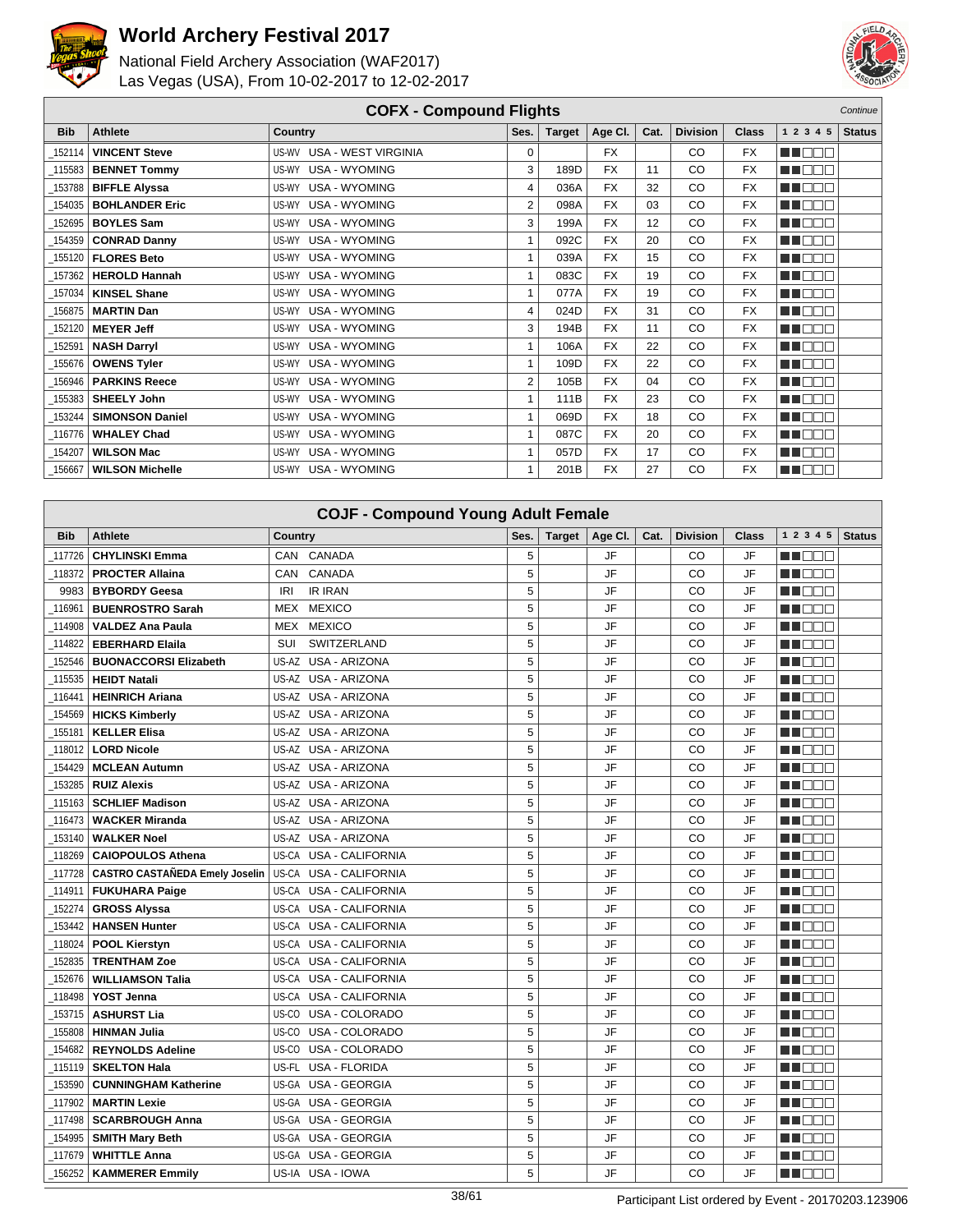



|            | <b>COFX - Compound Flights</b><br>Continue |                           |      |               |           |      |                 |              |           |               |  |
|------------|--------------------------------------------|---------------------------|------|---------------|-----------|------|-----------------|--------------|-----------|---------------|--|
| <b>Bib</b> | Athlete                                    | <b>Country</b>            | Ses. | <b>Target</b> | Age Cl.   | Cat. | <b>Division</b> | <b>Class</b> | 1 2 3 4 5 | <b>Status</b> |  |
| 152114     | <b>VINCENT Steve</b>                       | US-WV USA - WEST VIRGINIA | 0    |               | <b>FX</b> |      | CO              | <b>FX</b>    | MT DE E   |               |  |
| 115583     | <b>BENNET Tommy</b>                        | US-WY USA - WYOMING       | 3    | 189D          | <b>FX</b> | 11   | CO              | <b>FX</b>    | M OOO     |               |  |
| 153788     | <b>BIFFLE Alyssa</b>                       | US-WY USA - WYOMING       | 4    | 036A          | <b>FX</b> | 32   | CO              | <b>FX</b>    | MN O BIB  |               |  |
| 154035     | <b>BOHLANDER Eric</b>                      | US-WY USA - WYOMING       | 2    | 098A          | <b>FX</b> | 03   | CO              | <b>FX</b>    | MN 888    |               |  |
|            | 152695   BOYLES Sam                        | US-WY USA - WYOMING       | 3    | 199A          | <b>FX</b> | 12   | <b>CO</b>       | <b>FX</b>    | MN DE O   |               |  |
| 154359     | <b>CONRAD Danny</b>                        | US-WY USA - WYOMING       |      | 092C          | <b>FX</b> | 20   | CO              | <b>FX</b>    | MA BER    |               |  |
| 155120     | <b>FLORES Beto</b>                         | US-WY USA - WYOMING       |      | 039A          | <b>FX</b> | 15   | CO              | <b>FX</b>    | MN O BIS  |               |  |
| 157362     | <b>HEROLD Hannah</b>                       | US-WY USA - WYOMING       |      | 083C          | <b>FX</b> | 19   | CO              | <b>FX</b>    | M E E E   |               |  |
| 157034     | KINSEL Shane                               | US-WY USA - WYOMING       | 1    | 077A          | <b>FX</b> | 19   | CO              | <b>FX</b>    | MN DE O   |               |  |
| 156875     | <b>MARTIN Dan</b>                          | US-WY USA - WYOMING       | 4    | 024D          | <b>FX</b> | 31   | CO              | <b>FX</b>    | MT E E E  |               |  |
| 152120     | <b>MEYER Jeff</b>                          | US-WY USA - WYOMING       | 3    | 194B          | <b>FX</b> | 11   | CO              | <b>FX</b>    | MA O O O  |               |  |
| 152591     | <b>NASH Darryl</b>                         | US-WY USA - WYOMING       |      | 106A          | <b>FX</b> | 22   | CO              | <b>FX</b>    | MN 888    |               |  |
| 155676     | <b>OWENS Tyler</b>                         | US-WY USA - WYOMING       | 1    | 109D          | <b>FX</b> | 22   | CO              | <b>FX</b>    | n an Den  |               |  |
| 156946     | <b>PARKINS Reece</b>                       | US-WY USA - WYOMING       | 2    | 105B          | <b>FX</b> | 04   | CO              | <b>FX</b>    | MT E E E  |               |  |
| 155383     | <b>SHEELY John</b>                         | US-WY USA - WYOMING       | 1    | 111B          | <b>FX</b> | 23   | CO              | <b>FX</b>    | MA E E E  |               |  |
| 153244     | <b>SIMONSON Daniel</b>                     | US-WY USA - WYOMING       |      | 069D          | <b>FX</b> | 18   | CO              | <b>FX</b>    | MN O O O  |               |  |
| 116776     | <b>WHALEY Chad</b>                         | US-WY USA - WYOMING       | 1    | 087C          | <b>FX</b> | 20   | CO              | <b>FX</b>    | MN OO O   |               |  |
| 154207     | <b>WILSON Mac</b>                          | US-WY USA - WYOMING       | 1    | 057D          | <b>FX</b> | 17   | CO              | <b>FX</b>    | MT DE E   |               |  |
| 156667     | <b>WILSON Michelle</b>                     | US-WY USA - WYOMING       | 1    | 201B          | <b>FX</b> | 27   | CO              | <b>FX</b>    | MA O O O  |               |  |

|            | <b>COJF - Compound Young Adult Female</b> |                                  |      |               |           |      |                 |       |                                   |               |  |
|------------|-------------------------------------------|----------------------------------|------|---------------|-----------|------|-----------------|-------|-----------------------------------|---------------|--|
| <b>Bib</b> | Athlete                                   | Country                          | Ses. | <b>Target</b> | Age Cl.   | Cat. | <b>Division</b> | Class | 1 2 3 4 5                         | <b>Status</b> |  |
| 117726     | <b>CHYLINSKI Emma</b>                     | CANADA<br>CAN                    | 5    |               | JF        |      | CO              | JF    | man man                           |               |  |
| 118372     | <b>PROCTER Allaina</b>                    | <b>CAN</b><br>CANADA             | 5    |               | JF        |      | CO              | JF    | n de e                            |               |  |
| 9983       | <b>BYBORDY Geesa</b>                      | <b>IR IRAN</b><br>IRI            | 5    |               | JF        |      | CO              | JF    | TT OO O                           |               |  |
| 116961     | <b>BUENROSTRO Sarah</b>                   | <b>MEX</b><br><b>MEXICO</b>      | 5    |               | JF        |      | CO              | JF    | NA NA BI                          |               |  |
| 114908     | <b>VALDEZ Ana Paula</b>                   | <b>MEXICO</b><br>MEX             | 5    |               | JF        |      | CO              | JF    | an di Biblio                      |               |  |
| 114822     | <b>EBERHARD Elaila</b>                    | SWITZERLAND<br>SUI               | 5    |               | JF        |      | CO              | JF    | n noon                            |               |  |
| 152546     | <b>BUONACCORSI Elizabeth</b>              | US-AZ<br>USA - ARIZONA           | 5    |               | JF        |      | CO              | JF    | n de e                            |               |  |
| 115535     | <b>HEIDT Natali</b>                       | US-AZ<br>USA - ARIZONA           | 5    |               | JF        |      | CO              | JF    | n de e                            |               |  |
| 116441     | <b>HEINRICH Ariana</b>                    | US-AZ USA - ARIZONA              | 5    |               | JF        |      | CO              | JF    | n na m                            |               |  |
| 154569     | <b>HICKS Kimberly</b>                     | US-AZ USA - ARIZONA              | 5    |               | JF        |      | CO              | JF    | n i De E                          |               |  |
| 155181     | <b>KELLER Elisa</b>                       | US-AZ USA - ARIZONA              | 5    |               | JF        |      | CO              | JF    | n nooc                            |               |  |
| 118012     | <b>LORD Nicole</b>                        | US-AZ USA - ARIZONA              | 5    |               | <b>JF</b> |      | CO              | JF    | ME E E E                          |               |  |
| 154429     | <b>MCLEAN Autumn</b>                      | US-AZ USA - ARIZONA              | 5    |               | JF        |      | CO              | JF    | TI NOT                            |               |  |
| 153285     | <b>RUIZ Alexis</b>                        | US-AZ USA - ARIZONA              | 5    |               | JF        |      | CO              | JF    | an di kacamatan Ing Bandar        |               |  |
| 115163     | <b>SCHLIEF Madison</b>                    | US-AZ USA - ARIZONA              | 5    |               | JF        |      | CO              | JF    | n in Biblio                       |               |  |
| 116473     | <b>WACKER Miranda</b>                     | US-AZ USA - ARIZONA              | 5    |               | JF        |      | CO              | JF    | THE EL                            |               |  |
| _153140    | <b>WALKER Noel</b>                        | US-AZ USA - ARIZONA              | 5    |               | JF        |      | CO              | JF    | a di kacamatan ing Kabupatén Kabu |               |  |
| 118269     | <b>CAIOPOULOS Athena</b>                  | US-CA<br><b>USA - CALIFORNIA</b> | 5    |               | JF        |      | CO              | JF    | ma mata                           |               |  |
| 117728     | <b>CASTRO CASTAÑEDA Emely Joselin</b>     | <b>USA - CALIFORNIA</b><br>US-CA | 5    |               | JF        |      | CO              | JF    | n de e                            |               |  |
| 114911     | <b>FUKUHARA Paige</b>                     | US-CA<br><b>USA - CALIFORNIA</b> | 5    |               | JF        |      | CO              | JF    | ma mar                            |               |  |
| 152274     | <b>GROSS Alyssa</b>                       | USA - CALIFORNIA<br>US-CA        | 5    |               | JF        |      | CO              | JF    | n na na                           |               |  |
| 153442     | <b>HANSEN Hunter</b>                      | USA - CALIFORNIA<br>US-CA        | 5    |               | JF        |      | CO              | JF    | THE EIL                           |               |  |
| 118024     | <b>POOL Kierstyn</b>                      | <b>USA - CALIFORNIA</b><br>US-CA | 5    |               | JF        |      | CO              | JF    | n noon                            |               |  |
| 152835     | <b>TRENTHAM Zoe</b>                       | US-CA<br><b>USA - CALIFORNIA</b> | 5    |               | JF        |      | CO              | JF    | n nooc                            |               |  |
| 152676     | <b>WILLIAMSON Talia</b>                   | <b>USA - CALIFORNIA</b><br>US-CA | 5    |               | JF        |      | CO              | JF    | THE EE                            |               |  |
| 118498     | YOST Jenna                                | <b>USA - CALIFORNIA</b><br>US-CA | 5    |               | JF        |      | CO              | JF    | n de s                            |               |  |
| 153715     | <b>ASHURST Lia</b>                        | US-CO<br>USA - COLORADO          | 5    |               | JF        |      | CO              | JF    | THE EN                            |               |  |
| _155808    | <b>HINMAN Julia</b>                       | US-CO<br>USA - COLORADO          | 5    |               | JF        |      | CO              | JF    | W OOO                             |               |  |
| 154682     | <b>REYNOLDS Adeline</b>                   | US-CO<br>USA - COLORADO          | 5    |               | JF        |      | CO              | JF    | ME E E E                          |               |  |
| 115119     | <b>SKELTON Hala</b>                       | US-FL<br>USA - FLORIDA           | 5    |               | JF        |      | CO              | JF    | N NOTE                            |               |  |
| 153590     | <b>CUNNINGHAM Katherine</b>               | US-GA<br><b>USA - GEORGIA</b>    | 5    |               | JF        |      | CO              | JF    | n de d                            |               |  |
| 117902     | <b>MARTIN Lexie</b>                       | <b>USA - GEORGIA</b><br>US-GA    | 5    |               | JF        |      | CO              | JF    | ma man                            |               |  |
| 117498     | <b>SCARBROUGH Anna</b>                    | <b>USA - GEORGIA</b><br>US-GA    | 5    |               | JF        |      | CO              | JF    | MN 888                            |               |  |
| 154995     | <b>SMITH Mary Beth</b>                    | <b>USA - GEORGIA</b><br>US-GA    | 5    |               | JF        |      | CO              | JF    | n na n                            |               |  |
| 117679     | <b>WHITTLE Anna</b>                       | <b>USA - GEORGIA</b><br>US-GA    | 5    |               | JF        |      | CO              | JF    | TI BER                            |               |  |
| 156252     | <b>KAMMERER Emmily</b>                    | US-IA USA - IOWA                 | 5    |               | JF        |      | CO              | JF    | a a basa                          |               |  |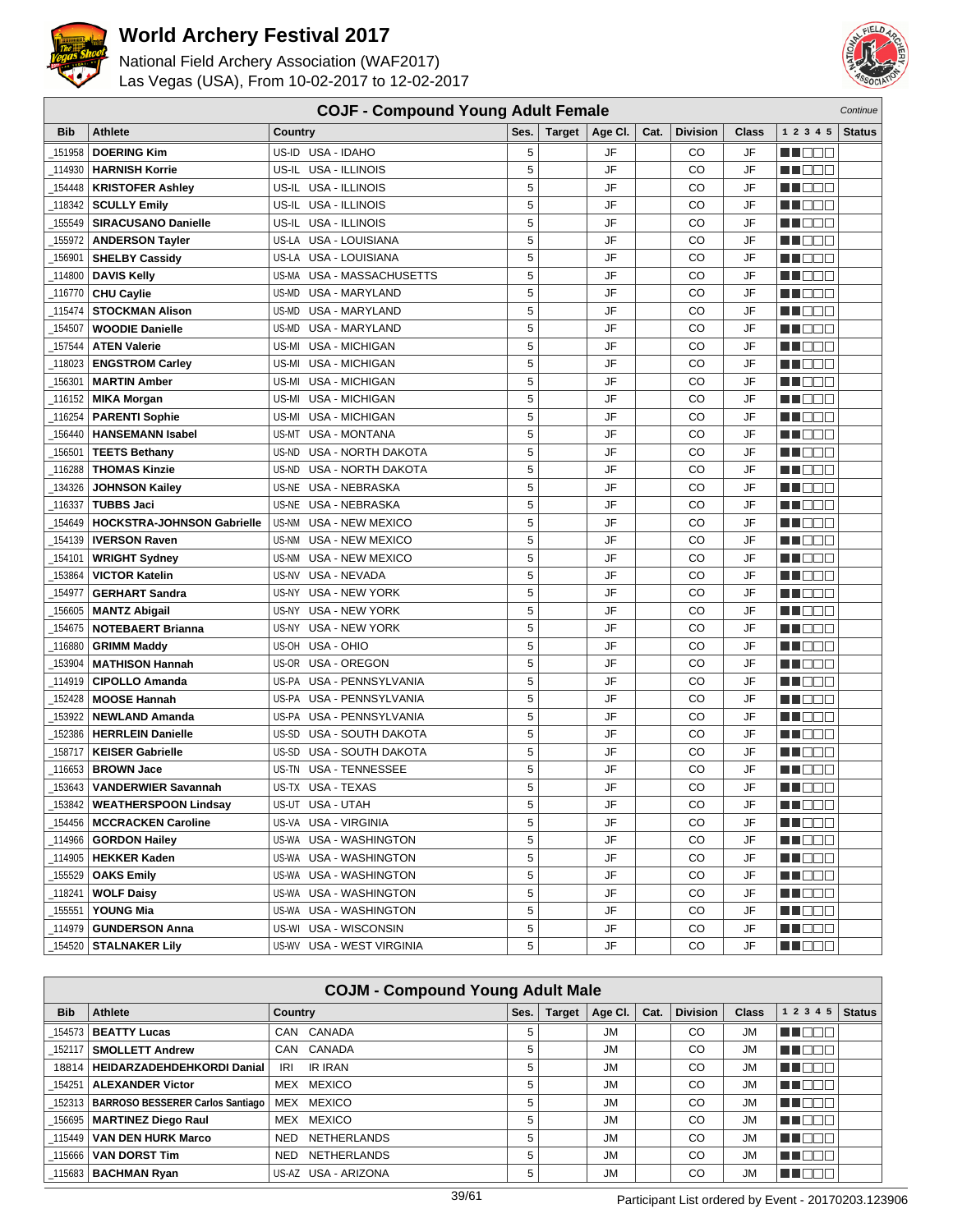



|                    | <b>COJF - Compound Young Adult Female</b><br>Continue |                                                |        |               |          |      |                 |              |                                   |               |
|--------------------|-------------------------------------------------------|------------------------------------------------|--------|---------------|----------|------|-----------------|--------------|-----------------------------------|---------------|
| <b>Bib</b>         | <b>Athlete</b>                                        | Country                                        | Ses.   | <b>Target</b> | Age CI.  | Cat. | <b>Division</b> | <b>Class</b> | 1 2 3 4 5                         | <b>Status</b> |
| 151958             | <b>DOERING Kim</b>                                    | US-ID USA - IDAHO                              | 5      |               | JF       |      | CO              | JF           | n i De E                          |               |
| 114930             | <b>HARNISH Korrie</b>                                 | US-IL<br>USA - ILLINOIS                        | 5      |               | JF       |      | CO              | JF           | n i De E                          |               |
| 154448             | <b>KRISTOFER Ashley</b>                               | USA - ILLINOIS<br>US-IL                        | 5      |               | JF       |      | CO              | JF           | MN 888                            |               |
| 118342             | <b>SCULLY Emily</b>                                   | US-IL USA - ILLINOIS                           | 5      |               | JF       |      | CO              | JF           | MA DE E                           |               |
| 155549             | <b>SIRACUSANO Danielle</b>                            | US-IL<br>USA - ILLINOIS                        | 5      |               | JF       |      | CO              | JF           | n i Bele                          |               |
| 155972             | <b>ANDERSON Tayler</b>                                | US-LA USA - LOUISIANA                          | 5      |               | JF       |      | CO              | JF           | M DO B                            |               |
| 156901             | <b>SHELBY Cassidy</b>                                 | US-LA USA - LOUISIANA                          | 5      |               | JF       |      | CO              | JF           | MN 888                            |               |
| 114800             | <b>DAVIS Kelly</b>                                    | USA - MASSACHUSETTS<br>US-MA                   | 5      |               | JF       |      | CO              | JF           | n i BBC                           |               |
| 116770             | <b>CHU Caylie</b>                                     | US-MD<br><b>USA - MARYLAND</b>                 | 5      |               | JF       |      | CO              | JF           | man ma                            |               |
| 115474             | <b>STOCKMAN Alison</b>                                | US-MD<br><b>USA - MARYLAND</b>                 | 5      |               | JF       |      | CO              | JF           | MA DE L                           |               |
| 154507             | <b>WOODIE Danielle</b>                                | US-MD<br><b>USA - MARYLAND</b>                 | 5      |               | JF       |      | CO              | JF           | n nooc                            |               |
| 157544             | <b>ATEN Valerie</b>                                   | <b>USA - MICHIGAN</b><br>US-MI                 | 5      |               | JF       |      | CO              | JF           | n i De E                          |               |
| 118023             | <b>ENGSTROM Carley</b>                                | <b>USA - MICHIGAN</b><br>US-MI                 | 5      |               | JF       |      | CO              | JF           | n i Bele                          |               |
| 156301             | <b>MARTIN Amber</b>                                   | US-MI<br>USA - MICHIGAN                        | 5      |               | JF       |      | CO              | JF           | M DEE                             |               |
| 116152_            | <b>MIKA Morgan</b>                                    | USA - MICHIGAN<br>US-MI                        | 5      |               | JF       |      | CO              | JF           | M DE E                            |               |
| 116254             | <b>PARENTI Sophie</b>                                 | US-MI<br><b>USA - MICHIGAN</b>                 | 5      |               | JF       |      | CO              | JF           | N I O O O                         |               |
| 156440             | <b>HANSEMANN Isabel</b>                               | US-MT<br><b>USA - MONTANA</b>                  | 5      |               | JF       |      | CO              | JF           | n i Bele                          |               |
| 156501             | <b>TEETS Bethany</b>                                  | US-ND<br><b>USA - NORTH DAKOTA</b>             | 5      |               | JF       |      | CO              | JF           | man man                           |               |
| 116288             | <b>THOMAS Kinzie</b>                                  | US-ND<br>USA - NORTH DAKOTA                    | 5      |               | JF       |      | CO              | JF           | M DO B                            |               |
| 134326             | <b>JOHNSON Kailey</b>                                 | <b>USA - NEBRASKA</b><br>US-NE                 | 5      |               | JF       |      | CO              | JF           | n nooc                            |               |
| 116337             | <b>TUBBS Jaci</b>                                     | USA - NEBRASKA<br>US-NE                        | 5      |               | JF       |      | CO              | JF           | NN OO E                           |               |
| 154649             | <b>HOCKSTRA-JOHNSON Gabrielle</b>                     | <b>USA - NEW MEXICO</b><br>US-NM               | 5      |               | JF       |      | CO              | JF           | M DE B                            |               |
| 154139             | <b>IVERSON Raven</b>                                  | US-NM<br>USA - NEW MEXICO                      | 5      |               | JF       |      | CO              | JF           | M DO B                            |               |
| _154101            | <b>WRIGHT Sydney</b>                                  | US-NM<br>USA - NEW MEXICO                      | 5      |               | JF       |      | CO              | JF           | MA OO B                           |               |
| 153864             | <b>VICTOR Katelin</b>                                 | US-NV<br>USA - NEVADA                          | 5      |               | JF       |      | CO              | JF           | MOOO                              |               |
| 154977             | <b>GERHART Sandra</b>                                 | US-NY<br><b>USA - NEW YORK</b>                 | 5      |               | JF       |      | CO              | JF           | n de e                            |               |
| 156605             | <b>MANTZ Abigail</b>                                  | US-NY<br><b>USA - NEW YORK</b>                 | 5      |               | JF       |      | CO              | JF           | ME BEL                            |               |
| 154675             | <b>NOTEBAERT Brianna</b>                              | US-NY<br><b>USA - NEW YORK</b>                 | 5      |               | JF       |      | CO              | JF           | MU DO B                           |               |
| 116880             | <b>GRIMM Maddy</b>                                    | USA - OHIO<br>US-OH                            | 5      |               | JF       |      | CO              | JF           | MN 888                            |               |
| 153904             | <b>MATHISON Hannah</b>                                | <b>USA - OREGON</b><br>US-OR                   | 5      |               | JF       |      | CO              | JF           | n i Bele                          |               |
| 114919             | <b>CIPOLLO Amanda</b>                                 | USA - PENNSYLVANIA<br>US-PA                    | 5      |               | JF       |      | CO              | JF           | n i De E                          |               |
| 152428             | <b>MOOSE Hannah</b>                                   | US-PA<br>USA - PENNSYLVANIA                    | 5      |               | JF       |      | CO              | JF           | W DOO                             |               |
| 153922             | <b>NEWLAND Amanda</b>                                 | US-PA<br>USA - PENNSYLVANIA                    | 5<br>5 |               | JF       |      | CO              | JF           | MU DO O                           |               |
| 152386             | <b>HERRLEIN Danielle</b>                              | US-SD<br>USA - SOUTH DAKOTA                    |        |               | JF       |      | CO              | JF           | N NO DE                           |               |
| 158717<br>116653   | <b>KEISER Gabrielle</b>                               | US-SD<br>USA - SOUTH DAKOTA                    | 5<br>5 |               | JF<br>JF |      | CO              | JF<br>JF     | <u> a se es</u>                   |               |
|                    | <b>BROWN Jace</b>                                     | <b>USA - TENNESSEE</b><br>US-TN                | 5      |               | JF       |      | CO<br>CO        | JF           | M DO D                            |               |
| 153643             | <b>VANDERWIER Savannah</b>                            | US-TX USA - TEXAS                              |        |               |          |      |                 |              | MA OO B                           |               |
| _153842            | <b>WEATHERSPOON Lindsay</b>                           | US-UT USA - UTAH                               | 5      |               | JF       |      | CO              | JF           | <u> Literatu</u>                  |               |
| 154456_<br>114966  | <b>MCCRACKEN Caroline</b><br><b>GORDON Hailey</b>     | US-VA USA - VIRGINIA<br>US-WA USA - WASHINGTON | 5<br>5 |               | JF<br>JF |      | CO<br>CO        | JF<br>JF     | <u>Li Bee</u>                     |               |
| _114905            | <b>HEKKER Kaden</b>                                   | US-WA USA - WASHINGTON                         | 5      |               | JF       |      | CO              | JF           | <u>Li dec</u>                     |               |
|                    |                                                       | US-WA USA - WASHINGTON                         | 5      |               | JF       |      | CO              | JF           | M D D D                           |               |
| _155529            | <b>OAKS Emily</b><br><b>WOLF Daisy</b>                | US-WA USA - WASHINGTON                         | 5      |               | JF       |      | CO              | JF           | <u>in ja sis</u><br><b>HELLER</b> |               |
| _118241<br>_155551 | YOUNG Mia                                             | US-WA USA - WASHINGTON                         | 5      |               | JF       |      | CO              | JF           | W OOO                             |               |
| _114979            | <b>GUNDERSON Anna</b>                                 | US-WI USA - WISCONSIN                          | 5      |               | JF       |      | CO              | JF           | MU O O O                          |               |
| 154520             | <b>STALNAKER Lily</b>                                 | US-WV USA - WEST VIRGINIA                      | 5      |               | JF       |      | CO              | JF           | MN O O O                          |               |
|                    |                                                       |                                                |        |               |          |      |                 |              |                                   |               |

|            | <b>COJM - Compound Young Adult Male</b>   |                                  |      |               |           |      |                 |              |              |               |  |  |
|------------|-------------------------------------------|----------------------------------|------|---------------|-----------|------|-----------------|--------------|--------------|---------------|--|--|
| <b>Bib</b> | Athlete                                   | Country                          | Ses. | <b>Target</b> | Age CI.   | Cat. | <b>Division</b> | <b>Class</b> | 1 2 3 4 5    | <b>Status</b> |  |  |
|            | 154573   <b>BEATTY Lucas</b>              | CANADA<br>CAN                    | 5    |               | <b>JM</b> |      | CO              | <b>JM</b>    | n de a       |               |  |  |
| 152117     | <b>SMOLLETT Andrew</b>                    | CAN CANADA                       | 5    |               | <b>JM</b> |      | CO              | <b>JM</b>    | THEED        |               |  |  |
| 18814      | HEIDARZADEHDEHKORDI Danial                | <b>IR IRAN</b><br>IRI            | 5    |               | <b>JM</b> |      | CO              | <b>JM</b>    | NN BEIB      |               |  |  |
| 154251     | <b>ALEXANDER Victor</b>                   | MEX MEXICO                       | 5    |               | <b>JM</b> |      | CO              | <b>JM</b>    | u mana       |               |  |  |
|            | 152313   BARROSO BESSERER Carlos Santiago | MEX MEXICO                       | 5    |               | <b>JM</b> |      | CO              | <b>JM</b>    | n de el      |               |  |  |
|            | 156695   MARTINEZ Diego Raul              | <b>MEXICO</b><br>MEX             | 5    |               | <b>JM</b> |      | CO              | <b>JM</b>    | <b>HALL</b>  |               |  |  |
| 115449     | <b>VAN DEN HURK Marco</b>                 | <b>NETHERLANDS</b><br><b>NED</b> | 5    |               | <b>JM</b> |      | CO              | <b>JM</b>    | NA NA TITO M |               |  |  |
| 115666     | <b>VAN DORST Tim</b>                      | <b>NETHERLANDS</b><br>NED        | 5    |               | <b>JM</b> |      | CO              | <b>JM</b>    | THEEL        |               |  |  |
|            | 115683   <b>BACHMAN Rvan</b>              | US-AZ USA - ARIZONA              | 5    |               | <b>JM</b> |      | CO              | <b>JM</b>    | n n n n n    |               |  |  |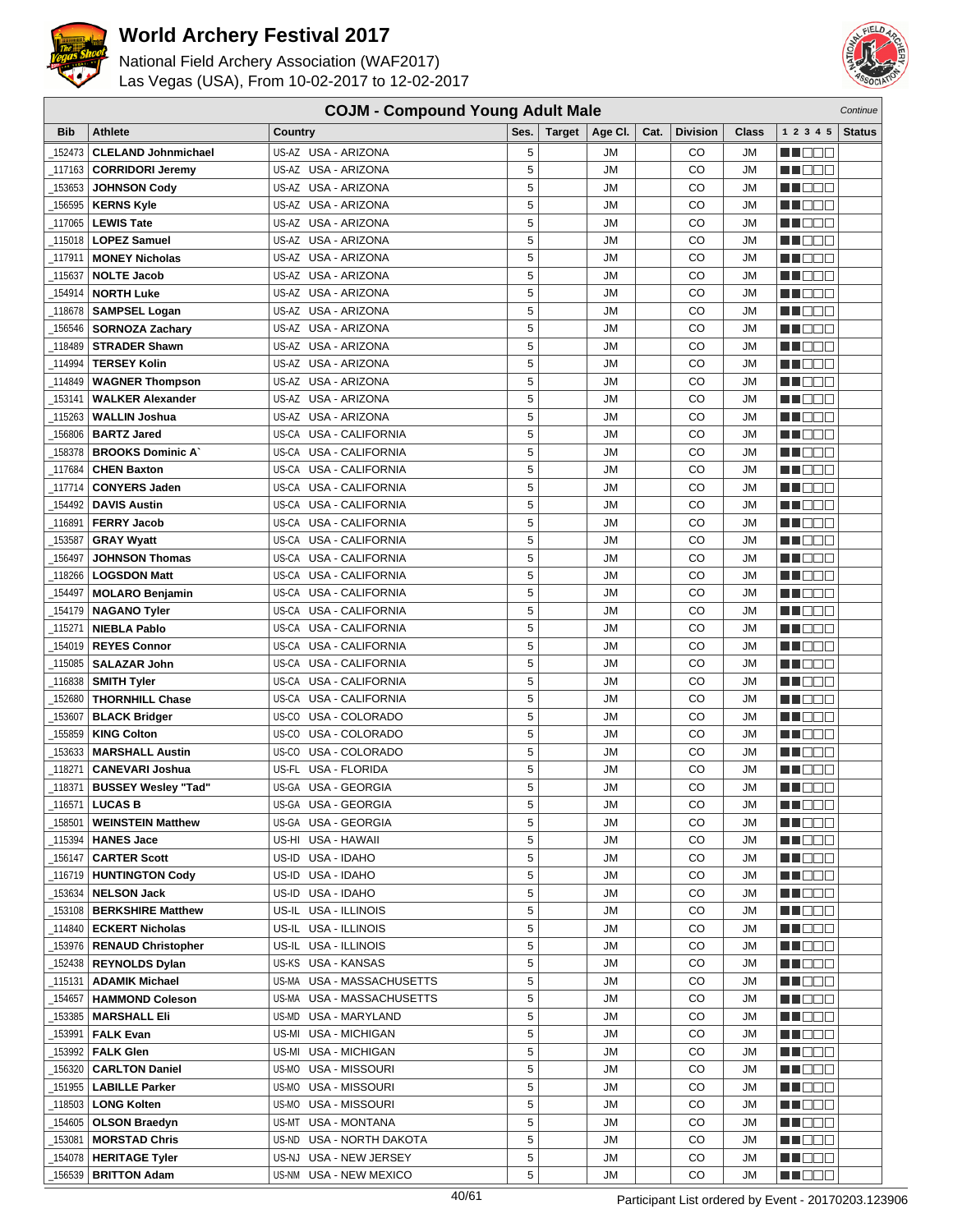

National Field Archery Association (WAF2017) Las Vegas (USA), From 10-02-2017 to 12-02-2017



| <b>Bib</b> | <b>Athlete</b>                                | Country                                      | Ses.   | <b>Target</b> | Age CI.                | Cat. | <b>Division</b> | Class                  | 1 2 3 4 5       | <b>Status</b> |
|------------|-----------------------------------------------|----------------------------------------------|--------|---------------|------------------------|------|-----------------|------------------------|-----------------|---------------|
| 152473     | <b>CLELAND Johnmichael</b>                    | US-AZ USA - ARIZONA                          | 5      |               | JМ                     |      | CO              | <b>JM</b>              | HEER            |               |
| 117163     | <b>CORRIDORI Jeremy</b>                       | US-AZ USA - ARIZONA                          | 5      |               | <b>JM</b>              |      | CO              | <b>JM</b>              | <u>sa sa sa</u> |               |
| 153653     | <b>JOHNSON Cody</b>                           | US-AZ USA - ARIZONA                          | 5      |               | <b>JM</b>              |      | CO              | <b>JM</b>              | M DE O          |               |
| 156595     | <b>KERNS Kyle</b>                             | US-AZ USA - ARIZONA                          | 5      |               | <b>JM</b>              |      | CO              | <b>JM</b>              | MA DELE         |               |
| 117065     | <b>LEWIS Tate</b>                             | US-AZ USA - ARIZONA                          | 5      |               | <b>JM</b>              |      | CO              | <b>JM</b>              | MA DO O         |               |
| 115018     | <b>LOPEZ Samuel</b>                           | US-AZ USA - ARIZONA                          | 5      |               | <b>JM</b>              |      | CO              | <b>JM</b>              | MA DE C         |               |
| 117911     | <b>MONEY Nicholas</b>                         | US-AZ USA - ARIZONA                          | 5      |               | <b>JM</b>              |      | CO              | <b>JM</b>              | n i De E        |               |
| 115637     | <b>NOLTE Jacob</b>                            | US-AZ USA - ARIZONA                          | 5      |               | <b>JM</b>              |      | CO              | <b>JM</b>              | n i BBC         |               |
| 154914     | <b>NORTH Luke</b>                             | US-AZ USA - ARIZONA                          | 5      |               | <b>JM</b>              |      | CO              | <b>JM</b>              | e de la co      |               |
| 118678     | <b>SAMPSEL Logan</b>                          | US-AZ USA - ARIZONA                          | 5      |               | <b>JM</b>              |      | CO              | <b>JM</b>              | MA O O O        |               |
| 156546     | <b>SORNOZA Zachary</b>                        | US-AZ USA - ARIZONA                          | 5      |               | <b>JM</b>              |      | CO              | <b>JM</b>              | MU DE E         |               |
| 118489     | <b>STRADER Shawn</b>                          | US-AZ USA - ARIZONA                          | 5      |               | <b>JM</b>              |      | CO              | <b>JM</b>              | n i Belg        |               |
| 114994     | <b>TERSEY Kolin</b>                           | US-AZ USA - ARIZONA                          | 5      |               | <b>JM</b>              |      | CO              | <b>JM</b>              | HI DEC          |               |
| 114849     | <b>WAGNER Thompson</b>                        | US-AZ USA - ARIZONA                          | 5      |               | <b>JM</b>              |      | CO              | <b>JM</b>              | MA DE L         |               |
| 153141     | <b>WALKER Alexander</b>                       | US-AZ USA - ARIZONA                          | 5      |               | <b>JM</b>              |      | CO              | <b>JM</b>              | MU DO B         |               |
| 115263     | <b>WALLIN Joshua</b>                          | US-AZ USA - ARIZONA                          | 5      |               | <b>JM</b>              |      | CO              | <b>JM</b>              | n i De E        |               |
| 156806     | <b>BARTZ Jared</b>                            | US-CA USA - CALIFORNIA                       | 5      |               | <b>JM</b>              |      | CO              | <b>JM</b>              | n i Bele        |               |
| 158378     | <b>BROOKS Dominic A</b>                       | US-CA USA - CALIFORNIA                       | 5      |               | <b>JM</b>              |      | CO              | <b>JM</b>              | <u> a se es</u> |               |
| 117684     | <b>CHEN Baxton</b>                            | US-CA USA - CALIFORNIA                       | 5      |               | <b>JM</b>              |      | CO              | <b>JM</b>              | MA O O O        |               |
| 117714     | <b>CONYERS Jaden</b>                          | US-CA USA - CALIFORNIA                       | 5      |               | <b>JM</b>              |      | CO              | <b>JM</b>              | THE EL          |               |
| 154492     | <b>DAVIS Austin</b>                           | US-CA USA - CALIFORNIA                       | 5      |               | <b>JM</b>              |      | CO              | <b>JM</b>              | n i BBC         |               |
| 116891     | <b>FERRY Jacob</b>                            | USA - CALIFORNIA<br>US-CA                    | 5      |               | <b>JM</b>              |      | CO              | <b>JM</b>              | M DOC           |               |
| 153587     | <b>GRAY Wyatt</b>                             | US-CA<br>USA - CALIFORNIA                    | 5      |               | <b>JM</b>              |      | CO              | <b>JM</b>              | MA DE E         |               |
| 156497     | <b>JOHNSON Thomas</b>                         | USA - CALIFORNIA<br>US-CA                    | 5      |               | <b>JM</b>              |      | CO              | <b>JM</b>              | n i BBC         |               |
| 118266     | <b>LOGSDON Matt</b>                           | US-CA USA - CALIFORNIA                       | 5      |               | <b>JM</b>              |      | CO              | <b>JM</b>              | n i BBC         |               |
| 154497     |                                               | US-CA USA - CALIFORNIA                       | 5      |               | <b>JM</b>              |      | CO              | <b>JM</b>              | n de de         |               |
| 154179_    | <b>MOLARO Benjamin</b><br><b>NAGANO Tyler</b> | USA - CALIFORNIA<br>US-CA                    | 5      |               | <b>JM</b>              |      | CO              | <b>JM</b>              | e de e          |               |
|            | <b>NIEBLA Pablo</b>                           | US-CA USA - CALIFORNIA                       | 5      |               | <b>JM</b>              |      | CO              | <b>JM</b>              |                 |               |
| 115271_    |                                               |                                              | 5      |               | <b>JM</b>              |      | CO              | <b>JM</b>              | MA OO Z         |               |
| 154019     | <b>REYES Connor</b>                           | US-CA USA - CALIFORNIA                       |        |               |                        |      |                 |                        | an di Biblio    |               |
| 115085     | <b>SALAZAR John</b>                           | US-CA USA - CALIFORNIA                       | 5<br>5 |               | <b>JM</b><br><b>JM</b> |      | CO<br>CO        | <b>JM</b><br><b>JM</b> | N NOTE          |               |
| 116838     | <b>SMITH Tyler</b>                            | US-CA<br>USA - CALIFORNIA                    | 5      |               | <b>JM</b>              |      | CO              |                        | M J D D D       |               |
| 152680     | <b>THORNHILL Chase</b>                        | USA - CALIFORNIA<br>US-CA                    | 5      |               | <b>JM</b>              |      | CO              | <b>JM</b>              | M DE E          |               |
| 153607     | <b>BLACK Bridger</b>                          | US-CO USA - COLORADO<br>US-CO USA - COLORADO | 5      |               | <b>JM</b>              |      | CO              | <b>JM</b><br><b>JM</b> | n i BBE         |               |
| 155859     | <b>KING Colton</b>                            |                                              |        |               |                        |      |                 |                        | n i Bele        |               |
| 153633     | <b>MARSHALL Austin</b>                        | US-CO USA - COLORADO                         | 5      |               | <b>JM</b>              |      | CO              | <b>JM</b>              | N NO D O        |               |
| 118271     | <b>CANEVARI Joshua</b>                        | USA - FLORIDA<br>US-FL                       | 5      |               | <b>JM</b>              |      | CO              | <b>JM</b>              | MA DE E         |               |
| _118371    | <b>BUSSEY Wesley "Tad"</b>                    | US-GA USA - GEORGIA                          | 5      |               | <b>JM</b>              |      | CO              | <b>JM</b>              | nn de a         |               |
| 116571_    | <b>LUCAS B</b>                                | US-GA USA - GEORGIA                          | 5      |               | <b>JM</b>              |      | CO              | <b>JM</b>              | n de e          |               |
|            | _158501   WEINSTEIN Matthew                   | US-GA USA - GEORGIA                          | 5      |               | <b>JM</b>              |      | $_{\rm CO}$     | <b>JM</b>              | <b>NH</b> DEE   |               |
| _115394    | <b>HANES Jace</b>                             | US-HI USA - HAWAII                           | 5      |               | JM                     |      | CO              | JM                     | MU DE E         |               |
| _156147    | <b>CARTER Scott</b>                           | US-ID USA - IDAHO                            | 5      |               | JM                     |      | CO              | JM                     | M DE S          |               |
| _116719    | <b>HUNTINGTON Cody</b>                        | US-ID USA - IDAHO                            | 5      |               | <b>JM</b>              |      | CO              | JM                     | N DO D          |               |
| 153634     | <b>NELSON Jack</b>                            | US-ID USA - IDAHO                            | 5      |               | JМ                     |      | CO              | JM                     | n de d          |               |
| _153108    | <b>BERKSHIRE Matthew</b>                      | US-IL USA - ILLINOIS                         | 5      |               | <b>JM</b>              |      | CO              | JM                     | MU DO O         |               |
| _114840    | <b>ECKERT Nicholas</b>                        | US-IL USA - ILLINOIS                         | 5      |               | <b>JM</b>              |      | CO              | JM                     | MU O O O        |               |
| _153976    | <b>RENAUD Christopher</b>                     | US-IL USA - ILLINOIS                         | 5      |               | <b>JM</b>              |      | CO              | JM                     | NN DE E         |               |
| 152438     | <b>REYNOLDS Dylan</b>                         | US-KS USA - KANSAS                           | 5      |               | JM                     |      | CO              | JM                     | THE EIL         |               |
| 115131     | <b>ADAMIK Michael</b>                         | US-MA USA - MASSACHUSETTS                    | 5      |               | JМ                     |      | CO              | JM                     | MA O O O        |               |
| 154657     | <b>HAMMOND Coleson</b>                        | US-MA USA - MASSACHUSETTS                    | 5      |               | <b>JM</b>              |      | CO              | JM                     | MU DO B         |               |
| _153385    | <b>MARSHALL Eli</b>                           | US-MD USA - MARYLAND                         | 5      |               | JМ                     |      | CO              | JM                     | n i De E        |               |
| _153991    | <b>FALK Evan</b>                              | US-MI USA - MICHIGAN                         | 5      |               | <b>JM</b>              |      | CO              | JM                     | N DE B          |               |
| 153992     | <b>FALK Glen</b>                              | US-MI USA - MICHIGAN                         | 5      |               | JМ                     |      | CO              | JМ                     | <u> HIDDO</u>   |               |
| 156320     | <b>CARLTON Daniel</b>                         | US-MO USA - MISSOURI                         | 5      |               | JМ                     |      | CO              | JM                     | MU DO O         |               |
| 151955_    | <b>LABILLE Parker</b>                         | US-MO USA - MISSOURI                         | 5      |               | <b>JM</b>              |      | CO              | JM                     | ME E E          |               |
| _118503    | <b>LONG Kolten</b>                            | US-MO USA - MISSOURI                         | 5      |               | JM                     |      | CO              | JM                     |                 |               |
| 154605     | <b>OLSON Braedyn</b>                          | US-MT USA - MONTANA                          | 5      |               | JМ                     |      | CO              | <b>JM</b>              | e de la co      |               |
| _153081    | <b>MORSTAD Chris</b>                          | US-ND USA - NORTH DAKOTA                     | 5      |               | JМ                     |      | CO              | JM                     | M DE E          |               |
| 154078     | <b>HERITAGE Tyler</b>                         | US-NJ<br>USA - NEW JERSEY                    | 5      |               | JM                     |      | CO              | JM                     | M DE S          |               |
| _156539    | <b>BRITTON Adam</b>                           | US-NM USA - NEW MEXICO                       | 5      |               | JM                     |      | CO              | JM                     | MI DE S         |               |

**COJM - Compound Young Adult Male** Continue Continue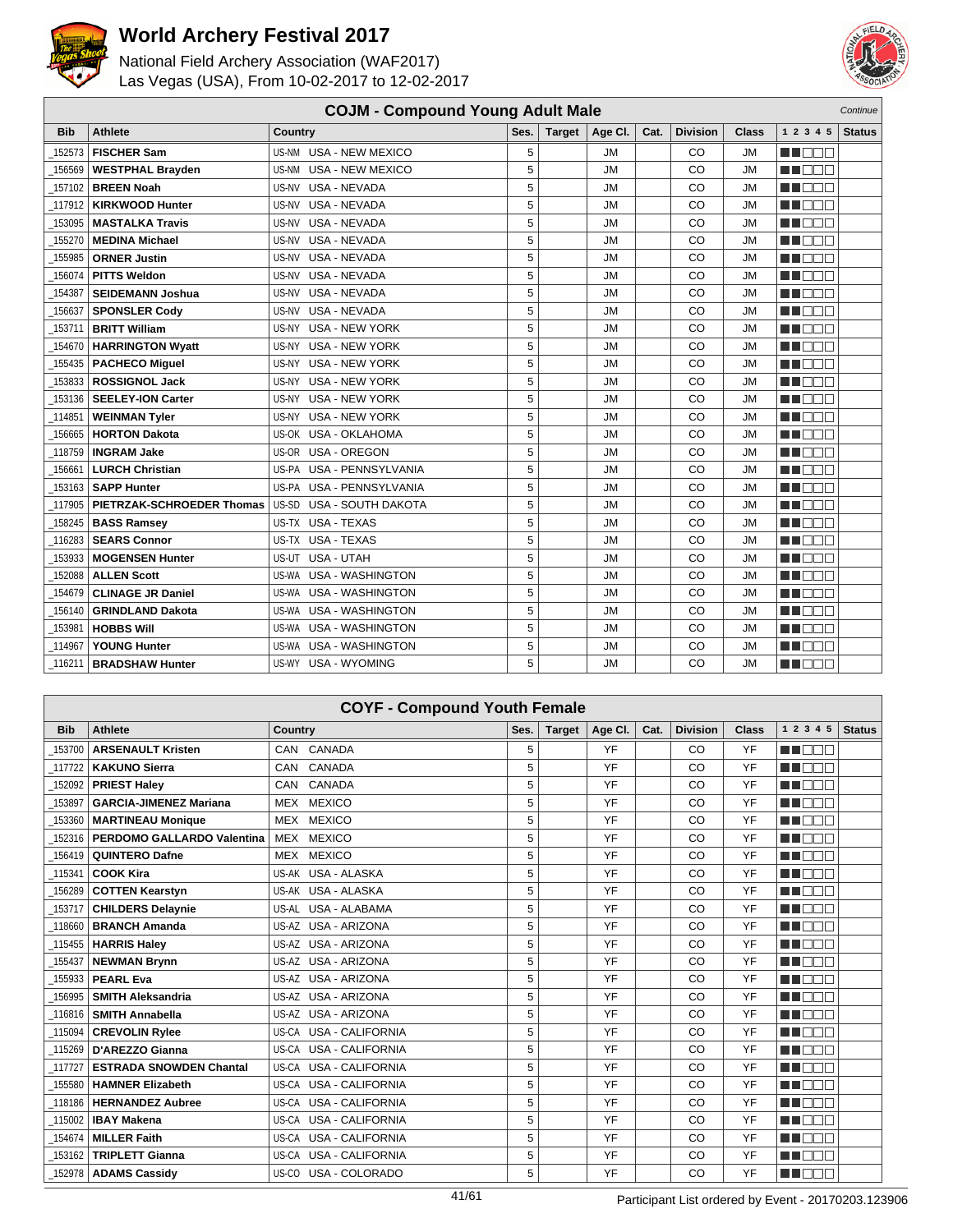



|            | <b>COJM - Compound Young Adult Male</b><br>Continue |                                    |      |               |           |      |                 |              |                |               |
|------------|-----------------------------------------------------|------------------------------------|------|---------------|-----------|------|-----------------|--------------|----------------|---------------|
| <b>Bib</b> | <b>Athlete</b>                                      | Country                            | Ses. | <b>Target</b> | Age CI.   | Cat. | <b>Division</b> | <b>Class</b> | 1 2 3 4 5      | <b>Status</b> |
| 152573     | <b>FISCHER Sam</b>                                  | US-NM<br><b>USA - NEW MEXICO</b>   | 5    |               | <b>JM</b> |      | CO              | <b>JM</b>    | MU DE C        |               |
| 156569     | <b>WESTPHAL Brayden</b>                             | US-NM<br><b>USA - NEW MEXICO</b>   | 5    |               | <b>JM</b> |      | CO              | <b>JM</b>    | man man        |               |
| 157102     | <b>BREEN Noah</b>                                   | <b>USA - NEVADA</b><br>US-NV       | 5    |               | <b>JM</b> |      | CO              | <b>JM</b>    | ME E E E       |               |
| 117912     | <b>KIRKWOOD Hunter</b>                              | <b>USA - NEVADA</b><br>US-NV       | 5    |               | <b>JM</b> |      | CO              | <b>JM</b>    | <b>RENAR</b>   |               |
| 153095     | <b>MASTALKA Travis</b>                              | <b>USA - NEVADA</b><br>US-NV       | 5    |               | <b>JM</b> |      | CO              | JM           | <b>RENAISE</b> |               |
| 155270     | <b>MEDINA Michael</b>                               | <b>USA - NEVADA</b><br>US-NV       | 5    |               | <b>JM</b> |      | CO              | JM           | MA EL B        |               |
| 155985     | <b>ORNER Justin</b>                                 | <b>USA - NEVADA</b><br>US-NV       | 5    |               | <b>JM</b> |      | CO              | <b>JM</b>    | ME E E E       |               |
| 156074     | <b>PITTS Weldon</b>                                 | <b>USA - NEVADA</b><br>US-NV       | 5    |               | <b>JM</b> |      | CO              | <b>JM</b>    | ma an a        |               |
| 154387     | <b>SEIDEMANN Joshua</b>                             | <b>USA - NEVADA</b><br>US-NV       | 5    |               | <b>JM</b> |      | CO              | <b>JM</b>    | man ma         |               |
| 156637     | <b>SPONSLER Cody</b>                                | USA - NEVADA<br>US-NV              | 5    |               | <b>JM</b> |      | CO              | <b>JM</b>    | MA MAT         |               |
| 153711     | <b>BRITT William</b>                                | <b>USA - NEW YORK</b><br>US-NY     | 5    |               | <b>JM</b> |      | CO              | <b>JM</b>    | M DOO          |               |
| 154670     | <b>HARRINGTON Wyatt</b>                             | <b>USA - NEW YORK</b><br>US-NY     | 5    |               | JM        |      | CO              | JM           | ME E E E       |               |
| 155435     | <b>PACHECO Miguel</b>                               | <b>USA - NEW YORK</b><br>US-NY     | 5    |               | <b>JM</b> |      | CO              | <b>JM</b>    | MA DELE        |               |
| 153833     | <b>ROSSIGNOL Jack</b>                               | <b>USA - NEW YORK</b><br>US-NY     | 5    |               | <b>JM</b> |      | CO              | <b>JM</b>    | M DEC          |               |
| 153136     | <b>SEELEY-ION Carter</b>                            | <b>USA - NEW YORK</b><br>US-NY     | 5    |               | <b>JM</b> |      | CO              | <b>JM</b>    | <b>HELL</b>    |               |
| 114851     | <b>WEINMAN Tyler</b>                                | US-NY<br><b>USA - NEW YORK</b>     | 5    |               | <b>JM</b> |      | CO              | <b>JM</b>    | n na Bibli     |               |
| 156665     | <b>HORTON Dakota</b>                                | <b>USA - OKLAHOMA</b><br>US-OK     | 5    |               | <b>JM</b> |      | CO              | <b>JM</b>    | MA DELL'       |               |
| 118759     | <b>INGRAM Jake</b>                                  | US-OR USA - OREGON                 | 5    |               | <b>JM</b> |      | CO              | JM           | MA DE LA P     |               |
| 156661     | <b>LURCH Christian</b>                              | <b>USA - PENNSYLVANIA</b><br>US-PA | 5    |               | <b>JM</b> |      | CO              | <b>JM</b>    | ME E E E       |               |
| 153163     | <b>SAPP Hunter</b>                                  | US-PA USA - PENNSYLVANIA           | 5    |               | <b>JM</b> |      | CO              | JM           | M BER          |               |
| 117905     | PIETRZAK-SCHROEDER Thomas                           | <b>USA - SOUTH DAKOTA</b><br>US-SD | 5    |               | <b>JM</b> |      | CO              | <b>JM</b>    | ME DE L        |               |
| 158245     | <b>BASS Ramsey</b>                                  | US-TX USA - TEXAS                  | 5    |               | <b>JM</b> |      | CO              | <b>JM</b>    | MATI DELL'     |               |
| 116283     | <b>SEARS Connor</b>                                 | US-TX USA - TEXAS                  | 5    |               | <b>JM</b> |      | CO              | <b>JM</b>    | ME BEL         |               |
| 153933     | <b>MOGENSEN Hunter</b>                              | USA - UTAH<br>US-UT                | 5    |               | <b>JM</b> |      | CO              | <b>JM</b>    | ME E E         |               |
| 152088     | <b>ALLEN Scott</b>                                  | US-WA USA - WASHINGTON             | 5    |               | <b>JM</b> |      | CO              | <b>JM</b>    | ME E E E       |               |
| 154679     | <b>CLINAGE JR Daniel</b>                            | <b>USA - WASHINGTON</b><br>US-WA   | 5    |               | JM        |      | CO              | JM           | MA BEL         |               |
| 156140     | <b>GRINDLAND Dakota</b>                             | <b>USA - WASHINGTON</b><br>US-WA   | 5    |               | JM        |      | CO              | JM           | n n n n        |               |
| 153981     | <b>HOBBS WIII</b>                                   | <b>USA - WASHINGTON</b><br>US-WA   | 5    |               | <b>JM</b> |      | CO              | <b>JM</b>    | M BEE          |               |
| 114967     | <b>YOUNG Hunter</b>                                 | <b>USA - WASHINGTON</b><br>US-WA   | 5    |               | <b>JM</b> |      | CO              | <b>JM</b>    | M BER          |               |
| 116211     | <b>BRADSHAW Hunter</b>                              | US-WY USA - WYOMING                | 5    |               | <b>JM</b> |      | CO              | <b>JM</b>    | n din bir      |               |

|            | <b>COYF - Compound Youth Female</b> |                                  |      |               |         |      |                 |              |                |               |  |
|------------|-------------------------------------|----------------------------------|------|---------------|---------|------|-----------------|--------------|----------------|---------------|--|
| <b>Bib</b> | <b>Athlete</b>                      | Country                          | Ses. | <b>Target</b> | Age CI. | Cat. | <b>Division</b> | <b>Class</b> | 1 2 3 4 5      | <b>Status</b> |  |
| 153700     | <b>ARSENAULT Kristen</b>            | CAN CANADA                       | 5    |               | YF      |      | CO              | YF           | man man        |               |  |
| 117722     | <b>KAKUNO Sierra</b>                | CANADA<br><b>CAN</b>             | 5    |               | YF      |      | CO              | YF           | ma mar         |               |  |
| 152092     | <b>PRIEST Haley</b>                 | CANADA<br><b>CAN</b>             | 5    |               | YF      |      | CO              | YF           | MA DO D        |               |  |
| 153897     | <b>GARCIA-JIMENEZ Mariana</b>       | <b>MEXICO</b><br>MEX             | 5    |               | YF      |      | CO              | YF           | man man        |               |  |
| 153360     | <b>MARTINEAU Monique</b>            | <b>MEXICO</b><br>MEX             | 5    |               | YF      |      | CO              | YF           | M BE S         |               |  |
| 152316     | PERDOMO GALLARDO Valentina          | MEX<br><b>MEXICO</b>             | 5    |               | YF      |      | CO              | YF           | MA DOC         |               |  |
| 156419     | <b>QUINTERO Dafne</b>               | MEX MEXICO                       | 5    |               | YF      |      | CO              | YF           | <b>REDUCTS</b> |               |  |
| 115341     | <b>COOK Kira</b>                    | US-AK USA - ALASKA               | 5    |               | YF      |      | CO              | YF           | MU DELTI       |               |  |
| 156289     | <b>COTTEN Kearstyn</b>              | US-AK USA - ALASKA               | 5    |               | YF      |      | CO              | YF           | M E E E        |               |  |
| 153717     | <b>CHILDERS Delaynie</b>            | US-AL USA - ALABAMA              | 5    |               | YF      |      | CO              | YF           | <b>RENDE</b>   |               |  |
| 118660     | <b>BRANCH Amanda</b>                | US-AZ USA - ARIZONA              | 5    |               | YF      |      | CO              | YF           | man ma         |               |  |
| 115455     | <b>HARRIS Haley</b>                 | US-AZ USA - ARIZONA              | 5    |               | YF      |      | CO              | YF           | man man        |               |  |
| 155437     | <b>NEWMAN Brynn</b>                 | US-AZ USA - ARIZONA              | 5    |               | YF      |      | CO              | YF           | <b>RENDE</b>   |               |  |
| 155933     | <b>PEARL Eva</b>                    | US-AZ USA - ARIZONA              | 5    |               | YF      |      | CO              | YF           | ME E E E       |               |  |
| 156995     | <b>SMITH Aleksandria</b>            | US-AZ USA - ARIZONA              | 5    |               | YF      |      | CO              | YF           | man man        |               |  |
| 116816     | <b>SMITH Annabella</b>              | US-AZ USA - ARIZONA              | 5    |               | YF      |      | CO              | YF           | MA NO M        |               |  |
| 115094     | <b>CREVOLIN Rylee</b>               | <b>USA - CALIFORNIA</b><br>US-CA | 5    |               | YF      |      | CO              | YF           | n i Bel        |               |  |
| 115269     | D'AREZZO Gianna                     | US-CA<br><b>USA - CALIFORNIA</b> | 5    |               | YF      |      | CO              | YF           | M E E E        |               |  |
| 117727     | <b>ESTRADA SNOWDEN Chantal</b>      | <b>USA - CALIFORNIA</b><br>US-CA | 5    |               | YF      |      | CO              | YF           | <b>RENDE</b>   |               |  |
| 155580     | <b>HAMNER Elizabeth</b>             | <b>USA - CALIFORNIA</b><br>US-CA | 5    |               | YF      |      | CO              | YF           | M DEC          |               |  |
| 118186     | <b>HERNANDEZ Aubree</b>             | <b>USA - CALIFORNIA</b><br>US-CA | 5    |               | YF      |      | CO              | YF           | ma mar         |               |  |
| 115002     | <b>IBAY Makena</b>                  | <b>USA - CALIFORNIA</b><br>US-CA | 5    |               | YF      |      | CO              | YF           | <b>RENDE</b>   |               |  |
| 154674     | <b>MILLER Faith</b>                 | <b>USA - CALIFORNIA</b><br>US-CA | 5    |               | YF      |      | CO              | YF           | MA DEL         |               |  |
| 153162     | <b>TRIPLETT Gianna</b>              | <b>USA - CALIFORNIA</b><br>US-CA | 5    |               | YF      |      | CO              | YF           | n mar          |               |  |
| 152978     | <b>ADAMS Cassidv</b>                | USA - COLORADO<br>US-CO          | 5    |               | YF      |      | CO              | YF           | MA BEL         |               |  |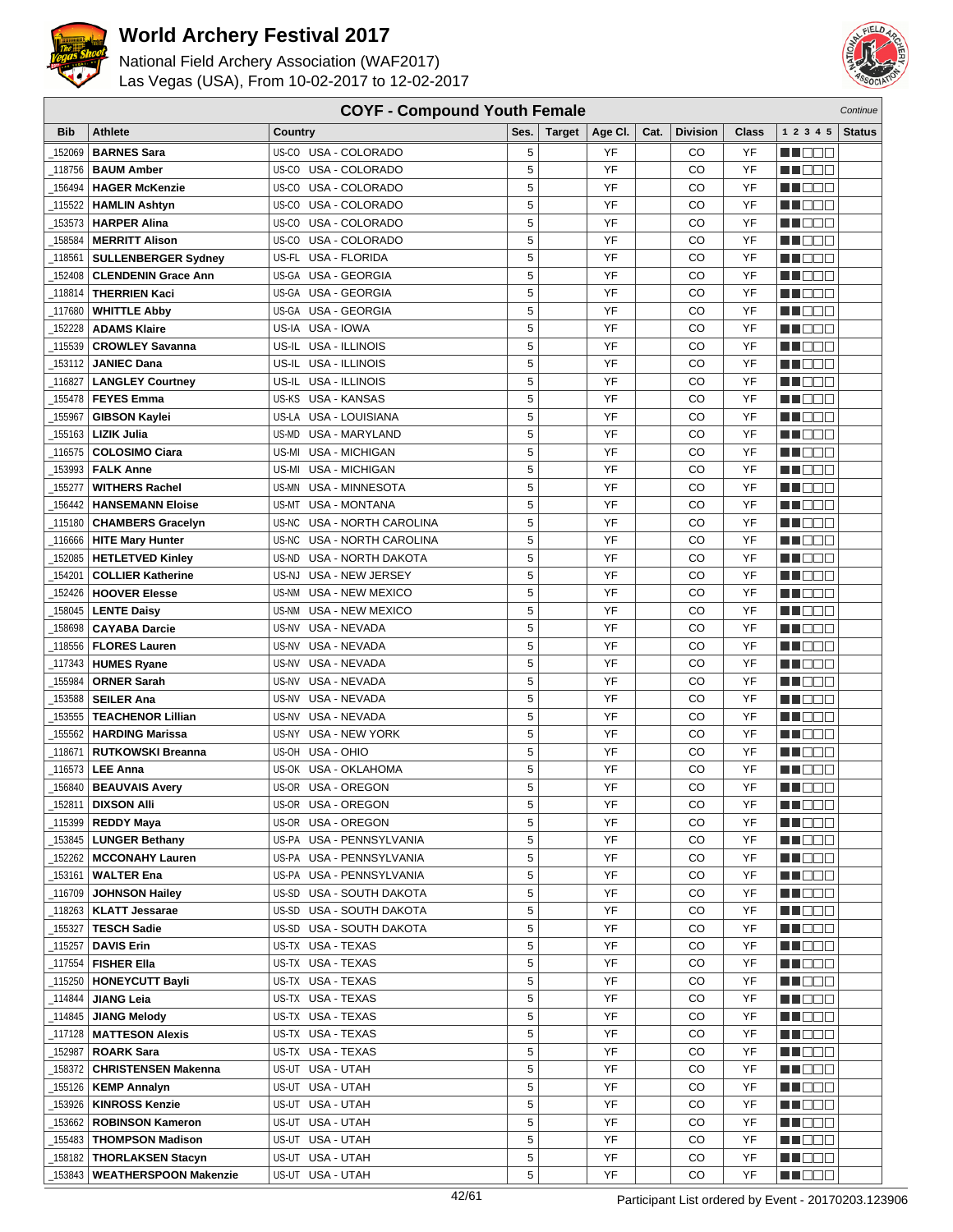

National Field Archery Association (WAF2017) Las Vegas (USA), From 10-02-2017 to 12-02-2017



| <b>COYF - Compound Youth Female</b><br>Continue |                              |                                    |      |               |         |      |                 |       |                 |               |
|-------------------------------------------------|------------------------------|------------------------------------|------|---------------|---------|------|-----------------|-------|-----------------|---------------|
| <b>Bib</b>                                      | <b>Athlete</b>               | Country                            | Ses. | <b>Target</b> | Age CI. | Cat. | <b>Division</b> | Class | 1 2 3 4 5       | <b>Status</b> |
| 152069                                          | <b>BARNES Sara</b>           | US-CO USA - COLORADO               | 5    |               | YF      |      | CO              | YF    | an di Biblio    |               |
| 118756                                          | <b>BAUM Amber</b>            | US-CO USA - COLORADO               | 5    |               | YF      |      | CO              | YF    | MA DE S         |               |
| 156494                                          | <b>HAGER McKenzie</b>        | US-CO USA - COLORADO               | 5    |               | YF      |      | CO              | YF    | n i Biblio      |               |
| 115522                                          | <b>HAMLIN Ashtyn</b>         | US-CO USA - COLORADO               | 5    |               | YF      |      | CO              | YF    | N I DE E        |               |
| 153573                                          | <b>HARPER Alina</b>          | USA - COLORADO<br>US-CO            | 5    |               | YF      |      | CO              | YF    | M DE L          |               |
|                                                 |                              | US-CO<br>USA - COLORADO            | 5    |               | YF      |      | CO              | YF    |                 |               |
| 158584                                          | <b>MERRITT Alison</b>        |                                    |      |               |         |      |                 |       | MA DE E         |               |
| 118561                                          | <b>SULLENBERGER Sydney</b>   | US-FL USA - FLORIDA                | 5    |               | YF      |      | CO              | YF    | n i Bele        |               |
| 152408                                          | <b>CLENDENIN Grace Ann</b>   | US-GA USA - GEORGIA                | 5    |               | YF      |      | CO              | YF    | N NOOC          |               |
| 118814                                          | <b>THERRIEN Kaci</b>         | US-GA USA - GEORGIA                | 5    |               | YF      |      | CO              | YF    | en de la        |               |
| 117680                                          | <b>WHITTLE Abby</b>          | US-GA USA - GEORGIA                | 5    |               | YF      |      | CO              | YF    |                 |               |
| 152228                                          | <b>ADAMS Klaire</b>          | US-IA USA - IOWA                   | 5    |               | YF      |      | CO              | YF    | MU O O O        |               |
| 115539                                          | <b>CROWLEY Savanna</b>       | US-IL USA - ILLINOIS               | 5    |               | YF      |      | CO              | YF    | M E E E         |               |
| 153112                                          | <b>JANIEC Dana</b>           | US-IL USA - ILLINOIS               | 5    |               | YF      |      | CO              | YF    | n i Biblio      |               |
| 116827                                          | <b>LANGLEY Courtney</b>      | US-IL USA - ILLINOIS               | 5    |               | YF      |      | CO              | YF    | M DO B          |               |
| 155478                                          | <b>FEYES Emma</b>            | US-KS USA - KANSAS                 | 5    |               | YF      |      | CO              | YF    | MU DO 2         |               |
| 155967                                          | <b>GIBSON Kaylei</b>         | US-LA USA - LOUISIANA              | 5    |               | YF      |      | CO              | YF    | n i De E        |               |
| 155163                                          | <b>LIZIK Julia</b>           | US-MD USA - MARYLAND               | 5    |               | YF      |      | CO              | YF    | n na m          |               |
| 116575                                          | <b>COLOSIMO Ciara</b>        | US-MI USA - MICHIGAN               | 5    |               | YF      |      | CO              | YF    | N DE B          |               |
| 153993                                          | <b>FALK Anne</b>             | <b>USA - MICHIGAN</b><br>US-MI     | 5    |               | YF      |      | CO              | YF    | M D D D         |               |
| 155277                                          | <b>WITHERS Rachel</b>        | US-MN USA - MINNESOTA              | 5    |               | YF      |      | CO              | YF    | MU DO B         |               |
| 156442                                          | <b>HANSEMANN Eloise</b>      | US-MT USA - MONTANA                | 5    |               | YF      |      | CO              | YF    | M DE E          |               |
| 115180                                          | <b>CHAMBERS Gracelyn</b>     | US-NC USA - NORTH CAROLINA         | 5    |               | YF      |      | CO              | YF    | n i Biblio      |               |
| 116666                                          | <b>HITE Mary Hunter</b>      | US-NC USA - NORTH CAROLINA         | 5    |               | YF      |      | CO              | YF    | M DE L          |               |
| 152085                                          | <b>HETLETVED Kinley</b>      | <b>USA - NORTH DAKOTA</b><br>US-ND | 5    |               | YF      |      | CO              | YF    | n i Bele        |               |
| 154201                                          | <b>COLLIER Katherine</b>     | US-NJ USA - NEW JERSEY             | 5    |               | YF      |      | CO              | YF    | N I DE E        |               |
| 152426                                          | <b>HOOVER Elesse</b>         | USA - NEW MEXICO<br>US-NM          | 5    |               | YF      |      | CO              | YF    | MU DE B         |               |
| 158045                                          | <b>LENTE Daisy</b>           | USA - NEW MEXICO<br>US-NM          | 5    |               | YF      |      | CO              | YF    | N NO DEI        |               |
| 158698                                          | <b>CAYABA Darcie</b>         | USA - NEVADA<br>US-NV              | 5    |               | YF      |      | CO              | YF    | WU 88           |               |
| 118556                                          | <b>FLORES Lauren</b>         | US-NV USA - NEVADA                 | 5    |               | YF      |      | CO              | YF    | MO O O          |               |
| 117343                                          | <b>HUMES Ryane</b>           | US-NV USA - NEVADA                 | 5    |               | YF      |      | CO              | YF    | MU DE B         |               |
| 155984                                          | <b>ORNER Sarah</b>           | USA - NEVADA<br>US-NV              | 5    |               | YF      |      | CO              | YF    | n in Die Ei     |               |
| 153588                                          | <b>SEILER Ana</b>            | US-NV<br>USA - NEVADA              | 5    |               | YF      |      | CO              | YF    | M DE E          |               |
| 153555                                          | <b>TEACHENOR Lillian</b>     | USA - NEVADA<br>US-NV              | 5    |               | YF      |      | CO              | YF    | N I O O O       |               |
| 155562                                          | <b>HARDING Marissa</b>       | US-NY USA - NEW YORK               | 5    |               | YF      |      | CO              | YF    | n i Biblio      |               |
| 118671                                          | <b>RUTKOWSKI Breanna</b>     | US-OH USA - OHIO                   | 5    |               | YF      |      | CO              | YF    | MU DO 2         |               |
| 116573                                          | <b>LEE Anna</b>              | US-OK USA - OKLAHOMA               | 5    |               | YF      |      | CO              | YF    | M DE E          |               |
| 156840                                          | <b>BEAUVAIS Avery</b>        | US-OR USA - OREGON                 | 5    |               | YF      |      | CO              | YF    | n i Biblio      |               |
| $-152811$                                       | <b>DIXSON Alli</b>           | US-OR USA - OREGON                 | 5    |               | YF      |      | CO              | YF    | <b>NH</b> OOO   |               |
| 115399                                          | <b>REDDY Maya</b>            | US-OR USA - OREGON                 | 5    |               | YF      |      | CO              | YF    | M DE S          |               |
| _153845                                         | <b>LUNGER Bethany</b>        | US-PA USA - PENNSYLVANIA           | 5    |               | YF      |      | CO              | YF    |                 |               |
| 152262                                          | <b>MCCONAHY Lauren</b>       | US-PA USA - PENNSYLVANIA           | 5    |               | YF      |      | CO              | YF    | <u> - 1000 </u> |               |
| _153161                                         | <b>WALTER Ena</b>            | US-PA USA - PENNSYLVANIA           | 5    |               | YF      |      | CO              | YF    | MA KATA         |               |
| _116709                                         | <b>JOHNSON Hailey</b>        | US-SD USA - SOUTH DAKOTA           | 5    |               | YF      |      | CO              | YF    | <u>Li dec</u>   |               |
| _118263                                         | <b>KLATT Jessarae</b>        | US-SD USA - SOUTH DAKOTA           | 5    |               | YF      |      | CO              | YF    | <u>Li dec</u>   |               |
| _155327                                         | <b>TESCH Sadie</b>           | US-SD USA - SOUTH DAKOTA           | 5    |               | YF      |      | CO              | YF    | MU DO O         |               |
| _115257                                         | <b>DAVIS Erin</b>            | US-TX USA - TEXAS                  | 5    |               | YF      |      | CO              | YF    | ________        |               |
| 117554                                          | <b>FISHER Ella</b>           | US-TX USA - TEXAS                  | 5    |               | YF      |      | CO              | YF    | كالحاط كالحاب   |               |
| 115250                                          | <b>HONEYCUTT Bayli</b>       | US-TX USA - TEXAS                  | 5    |               | YF      |      | CO              | YF    | <u> U S S S</u> |               |
| 114844                                          | <b>JIANG Leia</b>            | US-TX USA - TEXAS                  | 5    |               | YF      |      | CO              | YF    | UU 88           |               |
| _114845                                         | <b>JIANG Melody</b>          | US-TX USA - TEXAS                  | 5    |               | YF      |      | CO              | YF    | N I DE E        |               |
| _117128                                         | <b>MATTESON Alexis</b>       | US-TX USA - TEXAS                  | 5    |               | YF      |      | CO              | YF    |                 |               |
| 152987                                          | <b>ROARK Sara</b>            | US-TX USA - TEXAS                  | 5    |               | YF      |      | CO              | YF    | N DE B          |               |
| 158372                                          | <b>CHRISTENSEN Makenna</b>   | US-UT USA - UTAH                   | 5    |               | YF      |      | CO              | YF    |                 |               |
|                                                 |                              |                                    | 5    |               | YF      |      | CO              |       | <u>LL OOC</u>   |               |
| _155126                                         | <b>KEMP Annalyn</b>          | US-UT USA - UTAH                   | 5    |               | YF      |      |                 | YF    | N DO O          |               |
| _153926                                         | <b>KINROSS Kenzie</b>        | US-UT USA - UTAH                   |      |               |         |      | CO              | YF    |                 |               |
| 153662                                          | <b>ROBINSON Kameron</b>      | US-UT USA - UTAH                   | 5    |               | YF      |      | CO              | YF    |                 |               |
| _155483                                         | <b>THOMPSON Madison</b>      | US-UT USA - UTAH                   | 5    |               | YF      |      | CO              | YF    | <u>shee a</u>   |               |
| _158182                                         | <b>THORLAKSEN Stacyn</b>     | US-UT USA - UTAH                   | 5    |               | YF      |      | CO              | YF    | NN O O O        |               |
| 153843                                          | <b>WEATHERSPOON Makenzie</b> | US-UT USA - UTAH                   | 5    |               | YF      |      | CO              | YF    | N NO DEI        |               |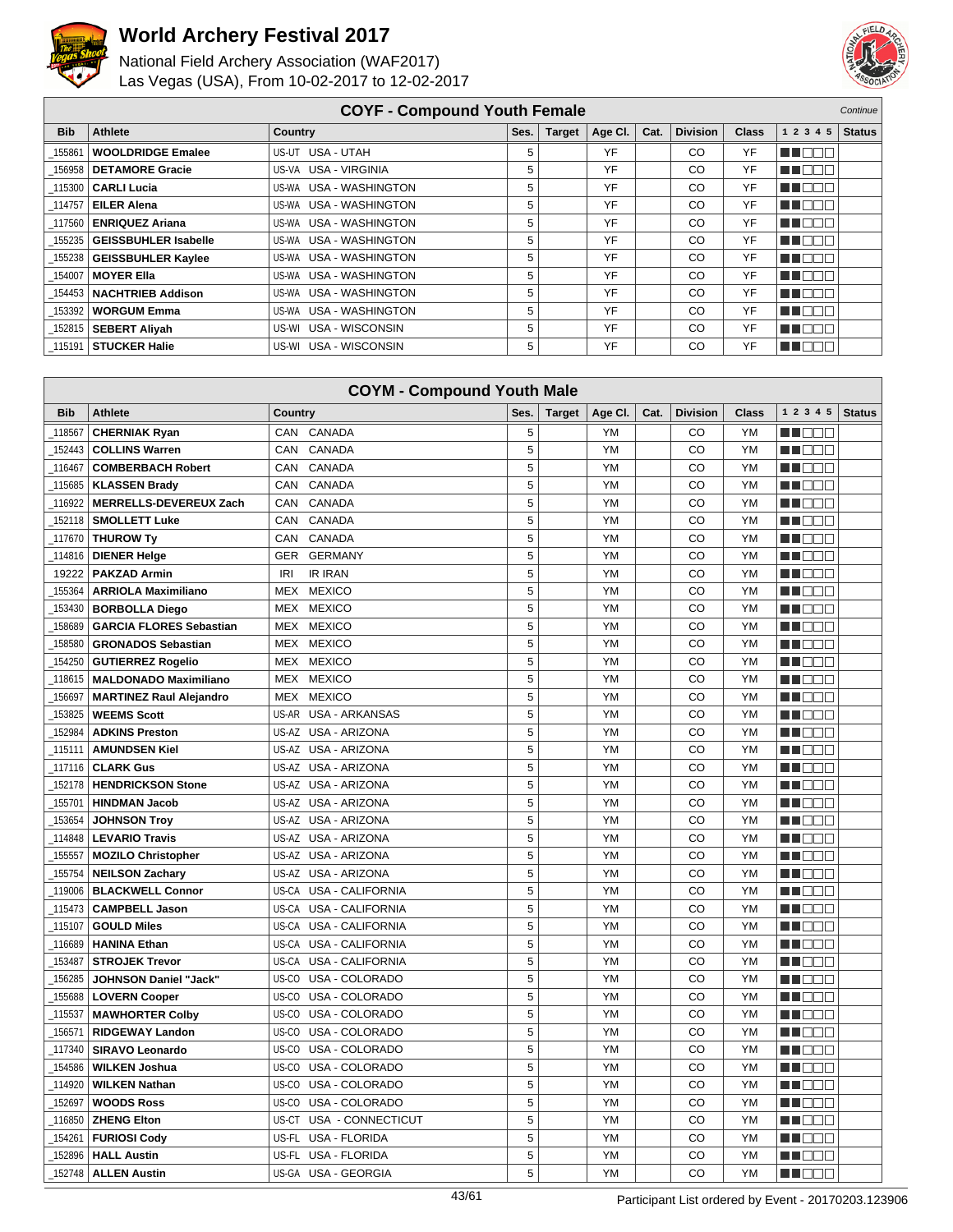



|            | <b>COYF - Compound Youth Female</b> |                        |      |               |         |      |                 |              |             | Continue      |
|------------|-------------------------------------|------------------------|------|---------------|---------|------|-----------------|--------------|-------------|---------------|
| <b>Bib</b> | Athlete                             | Country                | Ses. | <b>Target</b> | Age CI. | Cat. | <b>Division</b> | <b>Class</b> | 1 2 3 4 5   | <b>Status</b> |
| 155861     | <b>WOOLDRIDGE Emalee</b>            | US-UT USA - UTAH       | 5    |               | YF      |      | CO              | YF           | n i de la   |               |
| 156958     | <b>DETAMORE Gracie</b>              | US-VA USA - VIRGINIA   | 5    |               | YF      |      | CO              | YF           | n noon      |               |
| 115300     | <b>CARLI Lucia</b>                  | US-WA USA - WASHINGTON | 5    |               | YF      |      | CO              | YF           | MN DE EI    |               |
| 114757     | <b>EILER Alena</b>                  | US-WA USA - WASHINGTON | 5    |               | YF      |      | CO              | YF           | NN DE E     |               |
| 117560     | <b>ENRIQUEZ Ariana</b>              | US-WA USA - WASHINGTON | 5    |               | YF      |      | CO              | YF           | n in Biblio |               |
| 155235     | <b>GEISSBUHLER Isabelle</b>         | US-WA USA - WASHINGTON | 5    |               | YF      |      | CO              | YF           | MT EE E     |               |
| 155238     | <b>GEISSBUHLER Kaylee</b>           | US-WA USA - WASHINGTON | 5    |               | YF      |      | CO              | YF           | M E E E     |               |
| 154007     | <b>MOYER Ella</b>                   | US-WA USA - WASHINGTON | 5    |               | YF      |      | CO              | YF           | M DE O      |               |
| 154453     | <b>NACHTRIEB Addison</b>            | US-WA USA - WASHINGTON | 5    |               | YF      |      | CO              | YF           | THEEL       |               |
| 153392     | <b>WORGUM Emma</b>                  | US-WA USA - WASHINGTON | 5    |               | YF      |      | CO              | YF           | THE EN      |               |
| 152815     | <b>SEBERT Aliyah</b>                | US-WI USA - WISCONSIN  | 5    |               | YF      |      | CO              | YF           | n in Biblio |               |
|            | 115191   STUCKER Halie              | US-WI USA - WISCONSIN  | 5    |               | YF      |      | CО              | YF           | TOOO        |               |

| <b>COYM - Compound Youth Male</b> |                                |                                  |      |               |           |      |                 |              |            |               |
|-----------------------------------|--------------------------------|----------------------------------|------|---------------|-----------|------|-----------------|--------------|------------|---------------|
| <b>Bib</b>                        | <b>Athlete</b>                 | <b>Country</b>                   | Ses. | <b>Target</b> | Age CI.   | Cat. | <b>Division</b> | <b>Class</b> | 1 2 3 4 5  | <b>Status</b> |
| 118567                            | <b>CHERNIAK Ryan</b>           | CAN CANADA                       | 5    |               | YM        |      | CO              | <b>YM</b>    | n na m     |               |
| 152443                            | <b>COLLINS Warren</b>          | CAN<br>CANADA                    | 5    |               | <b>YM</b> |      | CO              | <b>YM</b>    | M DOC      |               |
| 116467                            | <b>COMBERBACH Robert</b>       | CAN<br>CANADA                    | 5    |               | YM        |      | CO              | <b>YM</b>    | n nooc     |               |
| 115685                            | <b>KLASSEN Brady</b>           | <b>CAN</b><br>CANADA             | 5    |               | YM        |      | CO              | YM           | HI EE E    |               |
| 116922                            | <b>MERRELLS-DEVEREUX Zach</b>  | CAN<br>CANADA                    | 5    |               | <b>YM</b> |      | CO              | <b>YM</b>    | M DO V     |               |
| 152118                            | <b>SMOLLETT Luke</b>           | CAN<br>CANADA                    | 5    |               | <b>YM</b> |      | CO              | YM           | n i BBC    |               |
| 117670                            | <b>THUROW Ty</b>               | <b>CAN</b><br>CANADA             | 5    |               | <b>YM</b> |      | CO              | <b>YM</b>    | MA DEL     |               |
| 114816                            | <b>DIENER Helge</b>            | <b>GER</b><br><b>GERMANY</b>     | 5    |               | YM        |      | CO              | YM           | N DE S     |               |
| 19222                             | <b>PAKZAD Armin</b>            | <b>IRI</b><br><b>IR IRAN</b>     | 5    |               | YM        |      | CO              | YM           | MU O O O   |               |
| 155364                            | <b>ARRIOLA Maximiliano</b>     | <b>MEXICO</b><br>MEX             | 5    |               | YM        |      | CO              | <b>YM</b>    | n no sin   |               |
| 153430                            | <b>BORBOLLA Diego</b>          | <b>MEX</b><br><b>MEXICO</b>      | 5    |               | YM        |      | CO              | <b>YM</b>    | MO O O     |               |
| 158689                            | <b>GARCIA FLORES Sebastian</b> | <b>MEX</b><br><b>MEXICO</b>      | 5    |               | YM        |      | CO              | <b>YM</b>    | n n n n    |               |
| 158580                            | <b>GRONADOS Sebastian</b>      | <b>MEXICO</b><br><b>MEX</b>      | 5    |               | <b>YM</b> |      | CO              | <b>YM</b>    | M NO W     |               |
| 154250                            | <b>GUTIERREZ Rogelio</b>       | <b>MEXICO</b><br>MEX             | 5    |               | YM        |      | CO              | YM           | MU O O O   |               |
| 118615                            | <b>MALDONADO Maximiliano</b>   | <b>MEXICO</b><br>MEX             | 5    |               | YM        |      | CO              | YM           | n i Belg   |               |
| 156697                            | <b>MARTINEZ Raul Alejandro</b> | <b>MEXICO</b><br><b>MEX</b>      | 5    |               | <b>YM</b> |      | CO              | <b>YM</b>    | n de E     |               |
| 153825                            | <b>WEEMS Scott</b>             | US-AR USA - ARKANSAS             | 5    |               | YM        |      | CO              | <b>YM</b>    | M DO O     |               |
| 152984                            | <b>ADKINS Preston</b>          | US-AZ USA - ARIZONA              | 5    |               | YM        |      | CO              | <b>YM</b>    | HI NOT     |               |
| 115111                            | <b>AMUNDSEN Kiel</b>           | US-AZ USA - ARIZONA              | 5    |               | YM        |      | CO              | YM           | MN 888     |               |
| 117116                            | <b>CLARK Gus</b>               | US-AZ USA - ARIZONA              | 5    |               | YM        |      | CO              | YM           | MA DO O    |               |
| 152178                            | <b>HENDRICKSON Stone</b>       | US-AZ USA - ARIZONA              | 5    |               | <b>YM</b> |      | CO              | <b>YM</b>    | M DO O     |               |
| 155701                            | <b>HINDMAN Jacob</b>           | US-AZ<br>USA - ARIZONA           | 5    |               | <b>YM</b> |      | CO              | <b>YM</b>    | n in Eise  |               |
| 153654                            | <b>JOHNSON Troy</b>            | US-AZ USA - ARIZONA              | 5    |               | YM        |      | CO              | <b>YM</b>    | n na Bibli |               |
| 114848                            | <b>LEVARIO Travis</b>          | US-AZ<br><b>USA - ARIZONA</b>    | 5    |               | YM        |      | CO              | <b>YM</b>    | M DOO      |               |
| 155557                            | <b>MOZILO Christopher</b>      | US-AZ USA - ARIZONA              | 5    |               | YM        |      | CO              | YM           | M DE B     |               |
| 155754                            | <b>NEILSON Zachary</b>         | US-AZ<br>USA - ARIZONA           | 5    |               | <b>YM</b> |      | CO              | <b>YM</b>    | HI DE E    |               |
| 119006                            | <b>BLACKWELL Connor</b>        | US-CA<br><b>USA - CALIFORNIA</b> | 5    |               | <b>YM</b> |      | CO              | <b>YM</b>    | M DE O     |               |
| 115473                            | <b>CAMPBELL Jason</b>          | <b>USA - CALIFORNIA</b><br>US-CA | 5    |               | <b>YM</b> |      | CO              | <b>YM</b>    | MA DEL     |               |
| 115107                            | <b>GOULD Miles</b>             | US-CA<br>USA - CALIFORNIA        | 5    |               | YM        |      | CO              | YM           | M DE S     |               |
| 116689                            | <b>HANINA Ethan</b>            | US-CA<br>USA - CALIFORNIA        | 5    |               | YM        |      | CO              | <b>YM</b>    | n in Eise  |               |
| 153487                            | <b>STROJEK Trevor</b>          | US-CA USA - CALIFORNIA           | 5    |               | YM        |      | CO              | YM           | M OO O     |               |
| 156285                            | <b>JOHNSON Daniel "Jack"</b>   | US-CO<br>USA - COLORADO          | 5    |               | <b>YM</b> |      | CO              | <b>YM</b>    | n de e     |               |
| 155688                            | <b>LOVERN Cooper</b>           | US-CO<br>USA - COLORADO          | 5    |               | <b>YM</b> |      | CO              | <b>YM</b>    | N DE S     |               |
| 115537                            | <b>MAWHORTER Colby</b>         | US-CO<br>USA - COLORADO          | 5    |               | YM        |      | CO              | <b>YM</b>    | n n n n    |               |
| 156571                            | <b>RIDGEWAY Landon</b>         | US-CO<br>USA - COLORADO          | 5    |               | YM        |      | CO              | YM           | n de a     |               |
| 117340                            | SIRAVO Leonardo                | US-CO<br>USA - COLORADO          | 5    |               | YM        |      | CO              | <b>YM</b>    | n i BBE    |               |
| 154586                            | <b>WILKEN Joshua</b>           | US-CO<br>USA - COLORADO          | 5    |               | <b>YM</b> |      | CO              | <b>YM</b>    | M B B B    |               |
| 114920                            | <b>WILKEN Nathan</b>           | US-CO<br>USA - COLORADO          | 5    |               | <b>YM</b> |      | CO              | <b>YM</b>    | N DE S     |               |
| 152697                            | <b>WOODS Ross</b>              | US-CO USA - COLORADO             | 5    |               | YM        |      | CO              | <b>YM</b>    | man man    |               |
| 116850                            | <b>ZHENG Elton</b>             | US-CT<br>USA - CONNECTICUT       | 5    |               | YM        |      | CO              | YM           | NN OOC     |               |
| 154261                            | <b>FURIOSI Cody</b>            | US-FL<br>USA - FLORIDA           | 5    |               | YM        |      | CO              | YM           | M OO O     |               |
| 152896                            | <b>HALL Austin</b>             | US-FL<br><b>USA - FLORIDA</b>    | 5    |               | YM        |      | CO              | <b>YM</b>    | HI NOTE    |               |
| 152748                            | <b>ALLEN Austin</b>            | US-GA USA - GEORGIA              | 5    |               | YM        |      | CO              | <b>YM</b>    | M DE E     |               |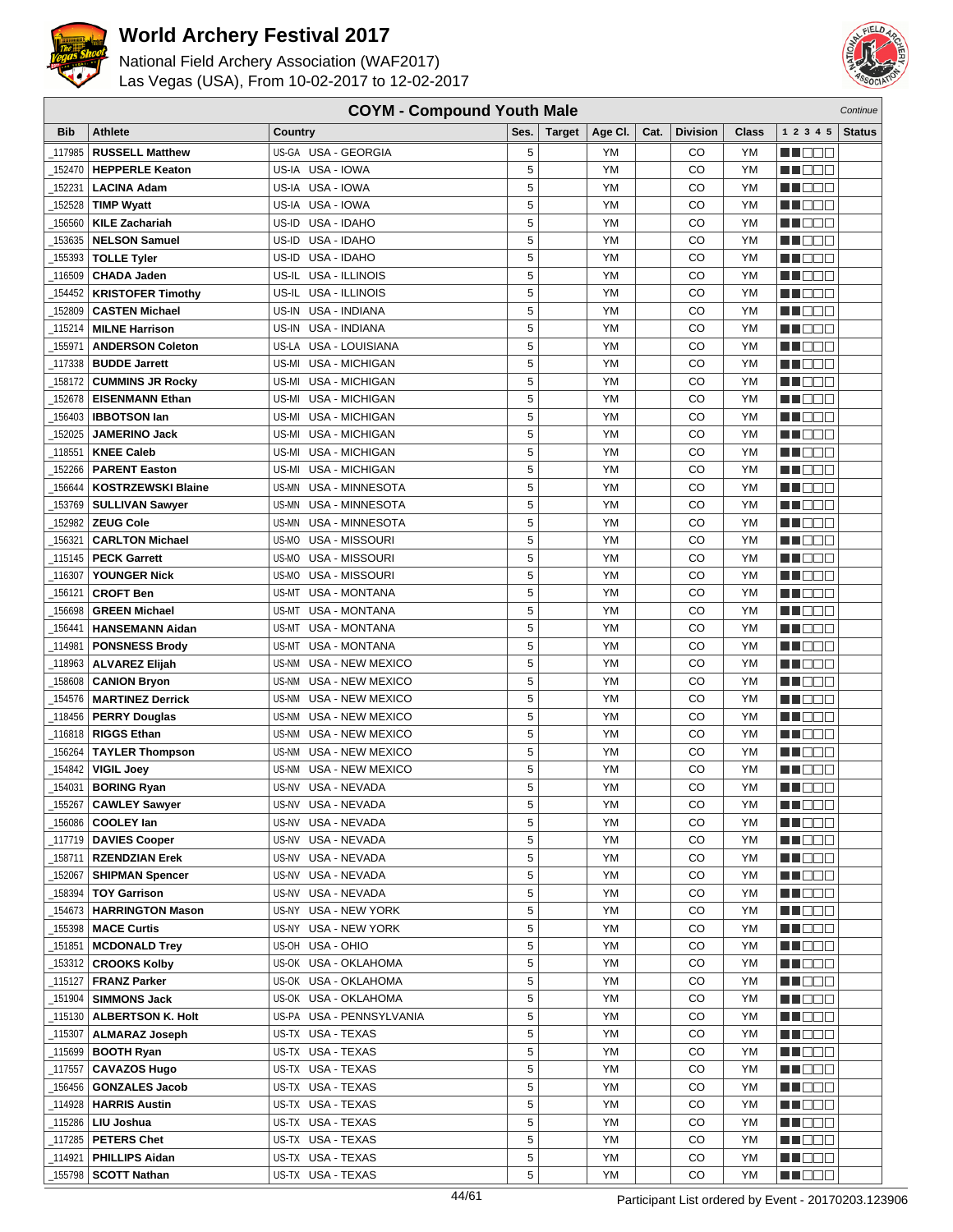



| <b>COYM - Compound Youth Male</b><br>Continue |                           |                                  |      |               |         |      |                 |           |                 |               |
|-----------------------------------------------|---------------------------|----------------------------------|------|---------------|---------|------|-----------------|-----------|-----------------|---------------|
| <b>Bib</b>                                    | <b>Athlete</b>            | Country                          | Ses. | <b>Target</b> | Age CI. | Cat. | <b>Division</b> | Class     | 1 2 3 4 5       | <b>Status</b> |
| 117985                                        | <b>RUSSELL Matthew</b>    | US-GA USA - GEORGIA              | 5    |               | YM      |      | CO              | YM        | ME DE S         |               |
| 152470                                        | <b>HEPPERLE Keaton</b>    | US-IA USA - IOWA                 | 5    |               | YM      |      | CO              | YM        | M DEE           |               |
| 152231                                        | <b>LACINA Adam</b>        | US-IA USA - IOWA                 | 5    |               | YM      |      | CO              | YM        | n i DDE         |               |
| 152528                                        | <b>TIMP Wyatt</b>         | US-IA USA - IOWA                 | 5    |               | YM      |      | CO              | <b>YM</b> |                 |               |
|                                               |                           |                                  | 5    |               |         |      |                 |           | N NO D O        |               |
| 156560                                        | <b>KILE Zachariah</b>     | US-ID<br>USA - IDAHO             |      |               | YM      |      | CO              | YM        | ME DE S         |               |
| 153635                                        | <b>NELSON Samuel</b>      | US-ID<br>USA - IDAHO             | 5    |               | YM      |      | CO              | YM        | MA DE E         |               |
| 155393                                        | <b>TOLLE Tyler</b>        | USA - IDAHO<br>US-ID-            | 5    |               | YM      |      | CO              | YM        | ME E E E        |               |
| 116509                                        | <b>CHADA Jaden</b>        | USA - ILLINOIS<br>US-IL          | 5    |               | YM      |      | CO              | <b>YM</b> | n i BBC         |               |
| 154452                                        | <b>KRISTOFER Timothy</b>  | US-IL USA - ILLINOIS             | 5    |               | YM      |      | CO              | <b>YM</b> | n i Bele        |               |
| 152809                                        | <b>CASTEN Michael</b>     | US-IN<br>USA - INDIANA           | 5    |               | YM      |      | CO              | YM        | MA DE S         |               |
| 115214                                        | <b>MILNE Harrison</b>     | USA - INDIANA<br>US-IN           | 5    |               | YM      |      | CO              | YM        | W OOO           |               |
| 155971                                        | <b>ANDERSON Coleton</b>   | US-LA USA - LOUISIANA            | 5    |               | YM      |      | CO              | YM        | n i De E        |               |
| 117338                                        | <b>BUDDE Jarrett</b>      | US-MI USA - MICHIGAN             | 5    |               | YM      |      | CO              | YM        | n de de         |               |
| 158172                                        | <b>CUMMINS JR Rocky</b>   | US-MI<br><b>USA - MICHIGAN</b>   | 5    |               | YM      |      | CO              | YM        | MA DE C         |               |
| 152678                                        | <b>EISENMANN Ethan</b>    | US-MI<br><b>USA - MICHIGAN</b>   | 5    |               | YM      |      | CO              | YM        | MU DO B         |               |
| 156403                                        | <b>IBBOTSON lan</b>       | USA - MICHIGAN<br>US-MI          | 5    |               | YM      |      | CO              | YM        | MN 888          |               |
| 152025                                        | <b>JAMERINO Jack</b>      | USA - MICHIGAN<br>US-MI          | 5    |               | YM      |      | CO              | <b>YM</b> | n na na         |               |
| 118551                                        | <b>KNEE Caleb</b>         | USA - MICHIGAN<br>US-MI          | 5    |               | YM      |      | CO              | YM        | ME DE S         |               |
| 152266                                        | <b>PARENT Easton</b>      | US-MI<br><b>USA - MICHIGAN</b>   | 5    |               | YM      |      | CO              | YM        | <u>sa sa sa</u> |               |
| 156644                                        | <b>KOSTRZEWSKI Blaine</b> | USA - MINNESOTA<br>US-MN         | 5    |               | YM      |      | CO              | YM        | MU O O O        |               |
| 153769                                        | <b>SULLIVAN Sawyer</b>    | US-MN USA - MINNESOTA            | 5    |               | YM      |      | CO              | <b>YM</b> | MT DE E         |               |
| 152982                                        | <b>ZEUG Cole</b>          | US-MN USA - MINNESOTA            | 5    |               | YM      |      | CO              | YM        | N NO DE         |               |
| 156321                                        | <b>CARLTON Michael</b>    | US-MO<br>USA - MISSOURI          | 5    |               | YM      |      | CO              | YM        | M DO B          |               |
| _115145                                       | <b>PECK Garrett</b>       | US-MO<br>USA - MISSOURI          | 5    |               | YM      |      | CO              | YM        | MA OO B         |               |
| 116307                                        | <b>YOUNGER Nick</b>       | USA - MISSOURI<br>US-MO          | 5    |               | YM      |      | CO              | YM        | MN 888          |               |
| 156121                                        | <b>CROFT Ben</b>          | <b>USA - MONTANA</b><br>US-MT    | 5    |               | YM      |      | CO              | <b>YM</b> | n i Bele        |               |
| 156698                                        | <b>GREEN Michael</b>      | <b>USA - MONTANA</b><br>US-MT    | 5    |               | YM      |      | CO              | <b>YM</b> | MA DE S         |               |
| 156441                                        | <b>HANSEMANN Aidan</b>    | US-MT<br>USA - MONTANA           | 5    |               | YM      |      | CO              | <b>YM</b> | W OOO           |               |
| 114981                                        | <b>PONSNESS Brody</b>     | US-MT<br>USA - MONTANA           | 5    |               | YM      |      | CO              | YM        | MN D D D        |               |
| 118963                                        | <b>ALVAREZ Elijah</b>     | US-NM USA - NEW MEXICO           | 5    |               | YM      |      | CO              | YM        | n de de         |               |
| 158608                                        | <b>CANION Bryon</b>       | US-NM USA - NEW MEXICO           | 5    |               | YM      |      | CO              | YM        | <u> a se es</u> |               |
| 154576                                        | <b>MARTINEZ Derrick</b>   | <b>USA - NEW MEXICO</b><br>US-NM | 5    |               | YM      |      | CO              | YM        | MU DO B         |               |
| _118456                                       | <b>PERRY Douglas</b>      | US-NM<br>USA - NEW MEXICO        | 5    |               | YM      |      | CO              | YM        | N I O O O       |               |
| _116818                                       | <b>RIGGS Ethan</b>        | USA - NEW MEXICO<br>US-NM        | 5    |               | YM      |      | CO              | YM        | MO DO O         |               |
| 156264                                        | <b>TAYLER Thompson</b>    | US-NM USA - NEW MEXICO           | 5    |               | YM      |      | CO              | YM        | M D D D         |               |
| 154842                                        | <b>VIGIL Joey</b>         | <b>USA - NEW MEXICO</b><br>US-NM | 5    |               | YM      |      | CO              | YM        | M D D D         |               |
| 154031                                        | <b>BORING Ryan</b>        | US-NV USA - NEVADA               | 5    |               | YM      |      | CO              | <b>YM</b> | MA OO B         |               |
| $-155267$                                     | <b>CAWLEY Sawyer</b>      | US-NV USA - NEVADA               | 5    |               | ΥM      |      | CO              | YM        | <b>NH</b> OOO   |               |
| _156086                                       | <b>COOLEY lan</b>         | US-NV USA - NEVADA               | 5    |               | YM      |      | CO              | YM        | N DE E          |               |
|                                               | _117719   DAVIES Cooper   | US-NV USA - NEVADA               | 5    |               | YM      |      | CO              | YM        | MA O O O        |               |
| _158711                                       | <b>RZENDZIAN Erek</b>     | US-NV USA - NEVADA               | 5    |               | YM      |      | CO              | YM        | MN O O O        |               |
| _152067                                       | <b>SHIPMAN Spencer</b>    | US-NV USA - NEVADA               | 5    |               | YM      |      | CO              | YM        | N I DE E        |               |
| _158394                                       | <b>TOY Garrison</b>       | US-NV USA - NEVADA               | 5    |               | YM      |      | CO              | YM        | n i Biblio      |               |
| 154673                                        | <b>HARRINGTON Mason</b>   | US-NY USA - NEW YORK             | 5    |               | YM      |      | CO              | YM        | W OOO           |               |
| 155398                                        | <b>MACE Curtis</b>        | US-NY USA - NEW YORK             | 5    |               | YM      |      | CO              | YM        | WO OO U         |               |
| _151851                                       | <b>MCDONALD Trey</b>      | US-OH USA - OHIO                 | 5    |               | YM      |      | CO              | YM        | N DO O          |               |
| _153312                                       | <b>CROOKS Kolby</b>       | US-OK USA - OKLAHOMA             | 5    |               | YM      |      | CO              | YM        | <u>Li Bee</u>   |               |
| _115127                                       | <b>FRANZ Parker</b>       | US-OK USA - OKLAHOMA             | 5    |               | YM      |      | CO              | YM        | <u>Li de l</u>  |               |
| _151904                                       | <b>SIMMONS Jack</b>       | US-OK USA - OKLAHOMA             | 5    |               | YM      |      | CO              | YM        | NE OOC          |               |
| _115130丨                                      | <b>ALBERTSON K. Holt</b>  | US-PA USA - PENNSYLVANIA         | 5    |               | YM      |      | CO              | YM        | NN O O O        |               |
| _115307                                       | <b>ALMARAZ Joseph</b>     | US-TX USA - TEXAS                | 5    |               | YM      |      | CO              | YM        | MU DE B         |               |
| 115699                                        | <b>BOOTH Ryan</b>         | US-TX USA - TEXAS                | 5    |               | YM      |      | CO              | YM        | <b>MN</b> OOO   |               |
| _117557                                       | <b>CAVAZOS Hugo</b>       | US-TX USA - TEXAS                | 5    |               | YM      |      | CO              | YM        | WO OO U         |               |
| _156456                                       | <b>GONZALES Jacob</b>     | US-TX USA - TEXAS                | 5    |               | YM      |      | CO              | YM        | NN O O O        |               |
| _114928                                       | <b>HARRIS Austin</b>      | US-TX USA - TEXAS                | 5    |               | YM      |      | CO              | YM        | N DO O          |               |
| _115286                                       | LIU Joshua                | US-TX USA - TEXAS                | 5    |               | YM      |      | CO              | YM        | M DE S          |               |
| $-117285$                                     | <b>PETERS Chet</b>        | US-TX USA - TEXAS                | 5    |               | YM      |      | CO              | YM        | <u>Macao</u>    |               |
| _114921                                       | <b>PHILLIPS Aidan</b>     | US-TX USA - TEXAS                | 5    |               | YM      |      | CO              | YM        | NN O O O        |               |
| _155798                                       | <b>SCOTT Nathan</b>       | US-TX USA - TEXAS                | 5    |               | YM      |      | CO              | YM        | MOOO            |               |
|                                               |                           |                                  |      |               |         |      |                 |           |                 |               |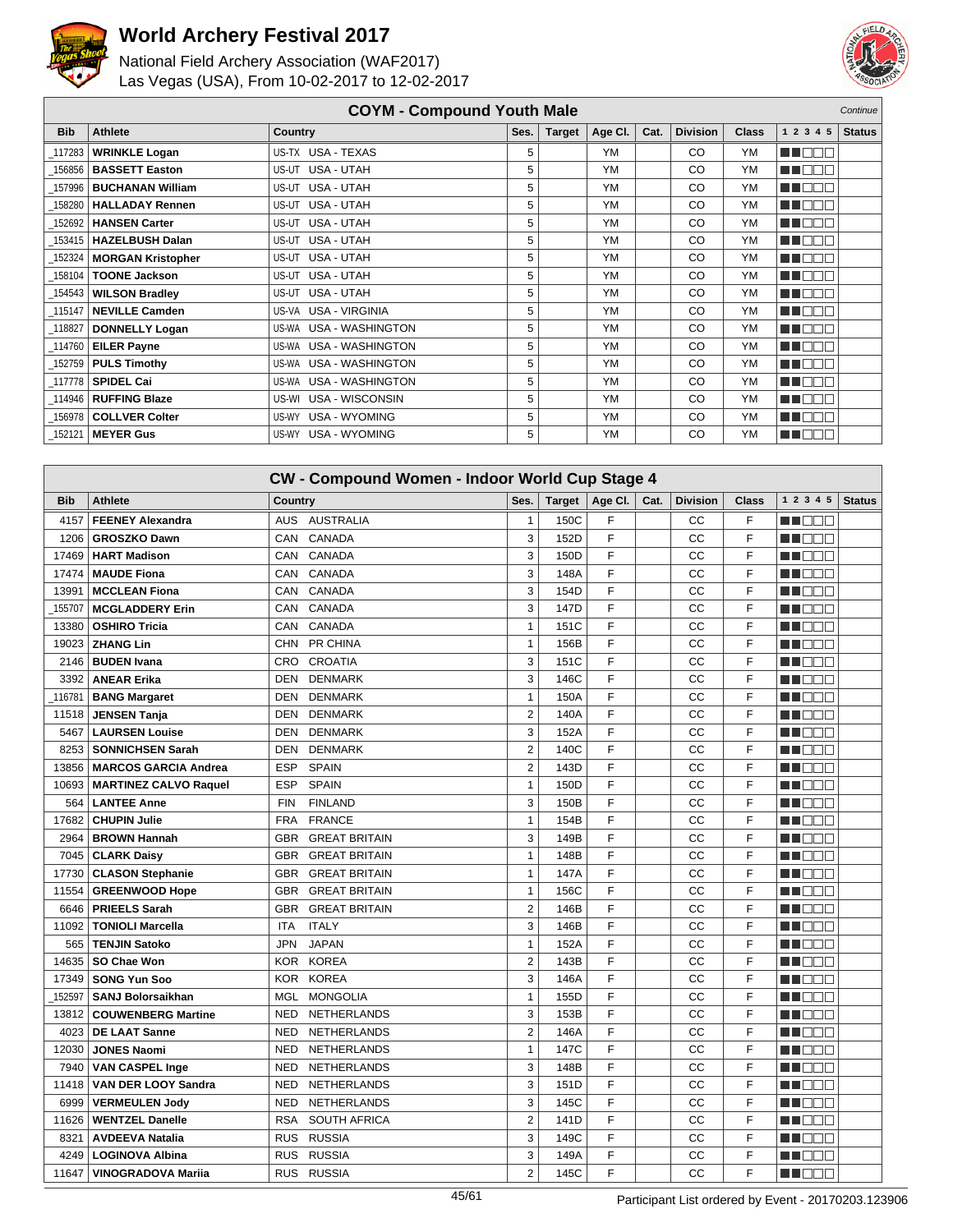



|            | <b>COYM - Compound Youth Male</b><br>Continue                                   |                        |      |               |         |      |                 |           |           |               |
|------------|---------------------------------------------------------------------------------|------------------------|------|---------------|---------|------|-----------------|-----------|-----------|---------------|
| <b>Bib</b> | <b>Athlete</b>                                                                  | <b>Country</b>         | Ses. | <b>Target</b> | Age CI. | Cat. | <b>Division</b> | Class     | 1 2 3 4 5 | <b>Status</b> |
| 117283     | <b>WRINKLE Logan</b>                                                            | US-TX USA - TEXAS      | 5    |               | YM      |      | <sub>CO</sub>   | <b>YM</b> | MA BEL    |               |
| 156856     | <b>BASSETT Easton</b>                                                           | US-UT USA - UTAH       | 5    |               | YM      |      | CO              | <b>YM</b> | man man   |               |
| 157996     | <b>BUCHANAN William</b>                                                         | US-UT USA - UTAH       | 5    |               | YM      |      | CO              | <b>YM</b> | N NO DE   |               |
| 158280     | <b>HALLADAY Rennen</b>                                                          | US-UT USA - UTAH       | 5    |               | YM      |      | CO              | <b>YM</b> | MA NG D   |               |
| 152692     | <b>HANSEN Carter</b>                                                            | US-UT USA - UTAH       | 5    |               | YM      |      | CO              | <b>YM</b> | man man   |               |
| 153415     | <b>HAZELBUSH Dalan</b>                                                          | US-UT USA - UTAH       | 5    |               | YM      |      | CO              | <b>YM</b> | M OO B    |               |
| 152324     | <b>MORGAN Kristopher</b>                                                        | US-UT USA - UTAH       | 5    |               | YM      |      | CO.             | <b>YM</b> | MU O O O  |               |
| 158104     | <b>TOONE Jackson</b>                                                            | US-UT USA - UTAH       | 5    |               | YM      |      | CO              | <b>YM</b> | ME DE E   |               |
| 154543     | <b>WILSON Bradley</b>                                                           | US-UT USA - UTAH       | 5    |               | YM      |      | CO.             | <b>YM</b> | man ma    |               |
| 115147     | <b>NEVILLE Camden</b>                                                           | US-VA USA - VIRGINIA   | 5    |               | YM      |      | CO.             | <b>YM</b> | MA DE E   |               |
| 118827     | <b>DONNELLY Logan</b>                                                           | US-WA USA - WASHINGTON | 5    |               | YM      |      | CO              | <b>YM</b> | MU O O O  |               |
| 114760     | <b>EILER Payne</b>                                                              | US-WA USA - WASHINGTON | 5    |               | YM      |      | CO              | <b>YM</b> | MN 888    |               |
| 152759     | <b>PULS Timothy</b>                                                             | US-WA USA - WASHINGTON | 5    |               | YM      |      | CO              | <b>YM</b> | MA OO B   |               |
| 117778     | <b>SPIDEL Cai</b>                                                               | US-WA USA - WASHINGTON | 5    |               | YM      |      | CO              | <b>YM</b> | MA DE E   |               |
| 114946     | <b>RUFFING Blaze</b>                                                            | US-WI USA - WISCONSIN  | 5    |               | YM      |      | CO              | <b>YM</b> | ME E E E  |               |
| 156978     | <b>COLLVER Colter</b>                                                           | US-WY USA - WYOMING    | 5    |               | YM      |      | <sub>CO</sub>   | <b>YM</b> | ME E E E  |               |
| $-152121$  | US-WY USA - WYOMING<br>5<br>YM<br><b>YM</b><br>MA OOO<br>CO<br><b>MEYER Gus</b> |                        |      |               |         |      |                 |           |           |               |

|            | <b>CW - Compound Women - Indoor World Cup Stage 4</b> |            |                      |                |               |         |      |                 |       |            |               |
|------------|-------------------------------------------------------|------------|----------------------|----------------|---------------|---------|------|-----------------|-------|------------|---------------|
| <b>Bib</b> | Athlete                                               | Country    |                      | Ses.           | <b>Target</b> | Age CI. | Cat. | <b>Division</b> | Class | 1 2 3 4 5  | <b>Status</b> |
| 4157       | <b>FEENEY Alexandra</b>                               |            | AUS AUSTRALIA        | $\mathbf{1}$   | 150C          | F       |      | CC              | F     | n de s     |               |
| 1206       | <b>GROSZKO Dawn</b>                                   | CAN        | <b>CANADA</b>        | 3              | 152D          | F       |      | CC              | F     | MA NO U    |               |
| 17469      | <b>HART Madison</b>                                   | CAN        | CANADA               | 3              | 150D          | F       |      | CC              | F     | MA BEL     |               |
| 17474      | <b>MAUDE Fiona</b>                                    | CAN        | CANADA               | 3              | 148A          | F       |      | CC              | F     | MA KABU    |               |
| 13991      | <b>MCCLEAN Fiona</b>                                  | CAN        | CANADA               | 3              | 154D          | F       |      | CC              | F     | M OO O     |               |
| 155707     | <b>MCGLADDERY Erin</b>                                | CAN        | CANADA               | 3              | 147D          | F       |      | CC              | F     | n i BBC    |               |
| 13380      | <b>OSHIRO Tricia</b>                                  | CAN        | CANADA               | $\mathbf{1}$   | 151C          | F       |      | CC              | F     | MA BEL     |               |
| 19023      | <b>ZHANG Lin</b>                                      | <b>CHN</b> | PR CHINA             | $\mathbf{1}$   | 156B          | F       |      | CC              | F     | MA MAT     |               |
| 2146       | <b>BUDEN Ivana</b>                                    | <b>CRO</b> | <b>CROATIA</b>       | 3              | 151C          | F       |      | CC              | F     | n in Eise  |               |
| 3392       | <b>ANEAR Erika</b>                                    | DEN        | <b>DENMARK</b>       | 3              | 146C          | F       |      | CC              | F     | M DE O     |               |
| 116781     | <b>BANG Margaret</b>                                  | <b>DEN</b> | <b>DENMARK</b>       | $\mathbf{1}$   | 150A          | F       |      | CC              | F     | MA DO O    |               |
| 11518      | <b>JENSEN Tanja</b>                                   | DEN        | <b>DENMARK</b>       | $\overline{2}$ | 140A          | F       |      | CC              | F     | HI EE E    |               |
| 5467       | <b>LAURSEN Louise</b>                                 | <b>DEN</b> | <b>DENMARK</b>       | 3              | 152A          | F       |      | CC              | F     | n de e     |               |
| 8253       | <b>SONNICHSEN Sarah</b>                               | <b>DEN</b> | <b>DENMARK</b>       | $\overline{2}$ | 140C          | F       |      | CC              | F     | n de s     |               |
| 13856      | <b>MARCOS GARCIA Andrea</b>                           | <b>ESP</b> | <b>SPAIN</b>         | $\overline{2}$ | 143D          | F       |      | CC              | F     | n i Biblio |               |
| 10693      | <b>MARTINEZ CALVO Raquel</b>                          | <b>ESP</b> | <b>SPAIN</b>         | $\mathbf{1}$   | 150D          | F       |      | CC              | F     | n de d     |               |
| 564        | <b>LANTEE Anne</b>                                    | <b>FIN</b> | <b>FINLAND</b>       | 3              | 150B          | F       |      | CC              | F     | n de e     |               |
| 17682      | <b>CHUPIN Julie</b>                                   | <b>FRA</b> | <b>FRANCE</b>        | $\mathbf{1}$   | 154B          | F       |      | CC              | F     | n i BBE    |               |
| 2964       | <b>BROWN Hannah</b>                                   | <b>GBR</b> | <b>GREAT BRITAIN</b> | 3              | 149B          | F       |      | CC              | F     | MA BEL     |               |
| 7045       | <b>CLARK Daisy</b>                                    | <b>GBR</b> | <b>GREAT BRITAIN</b> | $\mathbf{1}$   | 148B          | F       |      | CC              | F     | MA BEL     |               |
| 17730      | <b>CLASON Stephanie</b>                               | <b>GBR</b> | <b>GREAT BRITAIN</b> | $\mathbf{1}$   | 147A          | F       |      | CC              | F     | M DO O     |               |
| 11554      | <b>GREENWOOD Hope</b>                                 | <b>GBR</b> | <b>GREAT BRITAIN</b> | $\mathbf{1}$   | 156C          | F       |      | CC              | F     | M DE O     |               |
| 6646       | <b>PRIEELS Sarah</b>                                  | <b>GBR</b> | <b>GREAT BRITAIN</b> | $\overline{2}$ | 146B          | F       |      | CC              | F     | MN 888     |               |
| 11092      | <b>TONIOLI Marcella</b>                               | <b>ITA</b> | <b>ITALY</b>         | 3              | 146B          | F       |      | CC              | F     | HI EEE     |               |
| 565        | <b>TENJIN Satoko</b>                                  | <b>JPN</b> | <b>JAPAN</b>         | $\mathbf{1}$   | 152A          | F       |      | CC              | F     | n i Biblio |               |
| 14635      | SO Chae Won                                           | <b>KOR</b> | <b>KOREA</b>         | $\overline{2}$ | 143B          | F       |      | CC              | F     | ME E E     |               |
| 17349      | <b>SONG Yun Soo</b>                                   | KOR        | <b>KOREA</b>         | 3              | 146A          | F       |      | CC              | F     | n i DDD    |               |
| 152597     | <b>SANJ Bolorsaikhan</b>                              | MGL        | <b>MONGOLIA</b>      | $\mathbf{1}$   | 155D          | F       |      | CC              | F     | MA BEL     |               |
| 13812      | <b>COUWENBERG Martine</b>                             | NED.       | <b>NETHERLANDS</b>   | 3              | 153B          | F       |      | CC              | F     | n n n n    |               |
| 4023       | <b>DE LAAT Sanne</b>                                  | <b>NED</b> | <b>NETHERLANDS</b>   | $\overline{2}$ | 146A          | F       |      | CC              | F     | H EET      |               |
| 12030      | <b>JONES Naomi</b>                                    | <b>NED</b> | NETHERLANDS          | $\mathbf{1}$   | 147C          | F       |      | CC              | F     | n de s     |               |
| 7940       | <b>VAN CASPEL Inge</b>                                | <b>NED</b> | <b>NETHERLANDS</b>   | 3              | 148B          | F       |      | CC              | F     | n na n     |               |
| 11418      | VAN DER LOOY Sandra                                   | <b>NED</b> | <b>NETHERLANDS</b>   | 3              | 151D          | F       |      | CC              | F     | n de d     |               |
| 6999       | <b>VERMEULEN Jody</b>                                 | <b>NED</b> | NETHERLANDS          | 3              | 145C          | F       |      | CC              | F     | n de e     |               |
| 11626      | <b>WENTZEL Danelle</b>                                | <b>RSA</b> | <b>SOUTH AFRICA</b>  | $\overline{2}$ | 141D          | F       |      | CC              | F     | n i Bele   |               |
| 8321       | <b>AVDEEVA Natalia</b>                                | <b>RUS</b> | <b>RUSSIA</b>        | 3              | 149C          | F       |      | CC              | F     | MN 880     |               |
| 4249       | <b>LOGINOVA Albina</b>                                | RUS        | <b>RUSSIA</b>        | 3              | 149A          | F       |      | CC              | F.    | HI EE      |               |
| 11647      | <b>VINOGRADOVA Marija</b>                             |            | RUS RUSSIA           | $\overline{2}$ | 145C          | F       |      | CC              | F     | n de e     |               |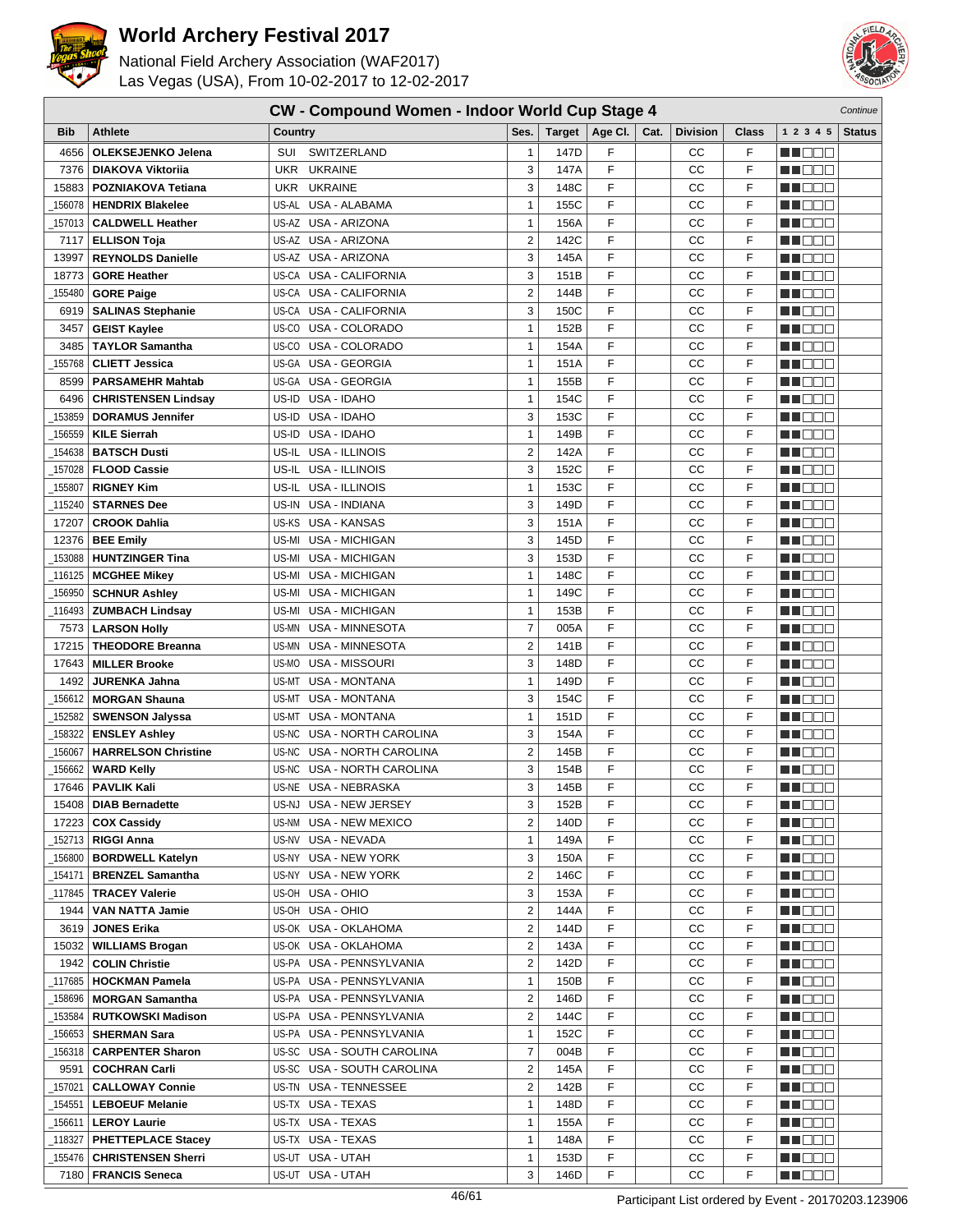



|         | CW - Compound Women - Indoor World Cup Stage 4<br>Continue |                                      |                         |        |         |      |                 |              |                      |               |
|---------|------------------------------------------------------------|--------------------------------------|-------------------------|--------|---------|------|-----------------|--------------|----------------------|---------------|
| Bib     | <b>Athlete</b>                                             | Country                              | Ses.                    | Target | Age Cl. | Cat. | <b>Division</b> | <b>Class</b> | 1 2 3 4 5            | <b>Status</b> |
| 4656    | <b>OLEKSEJENKO Jelena</b>                                  | SWITZERLAND<br>SUI                   | 1                       | 147D   | F       |      | CC              | F            | n i Biblio           |               |
| 7376    | <b>DIAKOVA Viktorija</b>                                   | UKR UKRAINE                          | 3                       | 147A   | F       |      | CC              | F            | HI DEE               |               |
| 15883   | <b>POZNIAKOVA Tetiana</b>                                  | <b>UKRAINE</b><br><b>UKR</b>         | 3                       | 148C   | F       |      | СC              | F            | n i BBC              |               |
| 156078  | <b>HENDRIX Blakelee</b>                                    | US-AL<br>USA - ALABAMA               | $\mathbf{1}$            | 155C   | F       |      | СC              | F            | N NO BIB             |               |
| 157013  | <b>CALDWELL Heather</b>                                    | US-AZ<br>USA - ARIZONA               | 1                       | 156A   | F       |      | СC              | F            | HI EE                |               |
| 7117    | <b>ELLISON Toja</b>                                        | US-AZ USA - ARIZONA                  | $\overline{c}$          | 142C   | F       |      | CC              | F            | n i De E             |               |
| 13997   | <b>REYNOLDS Danielle</b>                                   | US-AZ USA - ARIZONA                  | 3                       | 145A   | F       |      | cc              | F            | MA DE E              |               |
| 18773   | <b>GORE Heather</b>                                        | US-CA USA - CALIFORNIA               | 3                       | 151B   | F       |      | CC              | F            | MN 888               |               |
| 155480  | <b>GORE Paige</b>                                          | US-CA<br>USA - CALIFORNIA            | $\overline{2}$          | 144B   | F       |      | СC              | F            | n i Biblio           |               |
| 6919    | <b>SALINAS Stephanie</b>                                   | US-CA USA - CALIFORNIA               | 3                       | 150C   | F       |      | CC              | F            | MA DE S              |               |
| 3457    | <b>GEIST Kaylee</b>                                        | US-CO USA - COLORADO                 | $\mathbf{1}$            | 152B   | F       |      | CC              | F            | MA OO Z              |               |
| 3485    | <b>TAYLOR Samantha</b>                                     | US-CO USA - COLORADO                 | 1                       | 154A   | F       |      | CC              | F            | n i Belg             |               |
| 155768  | <b>CLIETT Jessica</b>                                      | US-GA<br><b>USA - GEORGIA</b>        | $\mathbf{1}$            | 151A   | F       |      | cc              | F            | N NOTE               |               |
| 8599    | <b>PARSAMEHR Mahtab</b>                                    | US-GA<br><b>USA - GEORGIA</b>        | 1                       | 155B   | F       |      | CC              | F            | n de d               |               |
| 6496    | <b>CHRISTENSEN Lindsay</b>                                 | US-ID<br>USA - IDAHO                 | $\mathbf{1}$            | 154C   | F       |      | cc              | F            | n nooc               |               |
| 153859  | <b>DORAMUS Jennifer</b>                                    | USA - IDAHO<br>US-ID                 | 3                       | 153C   | F       |      | CC              | F            | n i De E             |               |
| 156559  | <b>KILE Sierrah</b>                                        | US-ID USA - IDAHO                    | 1                       | 149B   | F       |      | CC              | F            | MA DE E              |               |
| 154638  | <b>BATSCH Dusti</b>                                        | USA - ILLINOIS<br>US-IL              | $\overline{2}$          | 142A   | F       |      | СC              | F            | n i Biblio           |               |
| 157028  | <b>FLOOD Cassie</b>                                        | US-IL USA - ILLINOIS                 | 3                       | 152C   | F       |      | CC              | F            | M DO B               |               |
| 155807  | <b>RIGNEY Kim</b>                                          | US-IL USA - ILLINOIS                 | $\mathbf{1}$            | 153C   | F       |      | СC              | F            | n i DDE              |               |
| 115240  | <b>STARNES Dee</b>                                         | US-IN USA - INDIANA                  | 3                       | 149D   | F       |      | CC              | F            | n i BBC              |               |
| 17207   | <b>CROOK Dahlia</b>                                        | US-KS<br><b>USA - KANSAS</b>         | 3                       | 151A   | F       |      | cc              | F            | ma mar               |               |
| 12376   | <b>BEE Emily</b>                                           | US-MI<br><b>USA - MICHIGAN</b>       | 3                       | 145D   | F       |      | CC              | F            | M DE E               |               |
| 153088  | <b>HUNTZINGER Tina</b>                                     | USA - MICHIGAN<br>US-MI              | 3                       | 153D   | F       |      | CC              | F            | M OOO                |               |
| 116125  | <b>MCGHEE Mikey</b>                                        | <b>USA - MICHIGAN</b><br>US-MI       | 1                       | 148C   | F       |      | CC              | F            | n i BBC              |               |
| 156950  | <b>SCHNUR Ashley</b>                                       | USA - MICHIGAN<br>US-MI              | 1                       | 149C   | F       |      | СC              | F            | M DOO                |               |
| 116493  | <b>ZUMBACH Lindsay</b>                                     | US-MI<br>USA - MICHIGAN              | 1                       | 153B   | F       |      | СC              | F            | MA DE S              |               |
| 7573    | <b>LARSON Holly</b>                                        | US-MN USA - MINNESOTA                | $\overline{7}$          | 005A   | F       |      | CC              | F            | MU DO B              |               |
| 17215   | <b>THEODORE Breanna</b>                                    | US-MN USA - MINNESOTA                | $\overline{2}$          | 141B   | F       |      | CC              | F            | n i BBC              |               |
| 17643   | <b>MILLER Brooke</b>                                       | US-MO USA - MISSOURI                 | 3                       | 148D   | F       |      | CC              | F            | n i Biblio           |               |
| 1492    | <b>JURENKA Jahna</b>                                       | <b>USA - MONTANA</b><br>US-MT        | 1                       | 149D   | F       |      | cc              | F            | n i De E             |               |
| 156612  | <b>MORGAN Shauna</b>                                       | US-MT<br><b>USA - MONTANA</b>        | 3                       | 154C   | F       |      | CC              | F            | MU DO B              |               |
| 152582  | <b>SWENSON Jalyssa</b>                                     | <b>USA - MONTANA</b><br>US-MT        | $\mathbf{1}$            | 151D   | F       |      | cc              | F            | M DOO                |               |
| 158322  | <b>ENSLEY Ashley</b>                                       | <b>USA - NORTH CAROLINA</b><br>US-NC | 3                       | 154A   | F       |      | CC              | F            | n i Bele             |               |
| 156067  | <b>HARRELSON Christine</b>                                 | <b>USA - NORTH CAROLINA</b><br>US-NC | 2                       | 145B   | F       |      | CC              | F            | n i De E             |               |
| 156662  | <b>WARD Kelly</b>                                          | USA - NORTH CAROLINA<br>US-NC        | 3                       | 154B   | F       |      | СC              | F            | M DE E               |               |
|         | 17646   PAVLIK Kali                                        | US-NE USA - NEBRASKA                 | 3                       | 145B   | F       |      | CC              | F            | NN OOO               |               |
| 15408   | <b>DIAB Bernadette</b>                                     | US-NJ USA - NEW JERSEY               | 3                       | 152B   | F       |      | CС              | F            | MA DE S              |               |
| 17223   | <b>COX Cassidy</b>                                         | US-NM USA - NEW MEXICO               | $\overline{c}$          | 140D   | F       |      | СC              | F            | <u>Li Libid</u>      |               |
| 152713  | <b>RIGGI Anna</b>                                          | US-NV USA - NEVADA                   | 1                       | 149A   | F       |      | CC              | F            | MU O O O             |               |
| 156800  | <b>BORDWELL Katelyn</b>                                    | US-NY USA - NEW YORK                 | 3                       | 150A   | F       |      | CC              | F            | M DE S               |               |
| 154171  | <b>BRENZEL Samantha</b>                                    | US-NY USA - NEW YORK                 | 2                       | 146C   | F       |      | CC              | F            | MUOOO                |               |
| 117845  | <b>TRACEY Valerie</b>                                      | US-OH USA - OHIO                     | 3                       | 153A   | F       |      | CС              | F            | <u>Li de d</u>       |               |
| 1944    | <b>VAN NATTA Jamie</b>                                     | US-OH USA - OHIO                     | 2                       | 144A   | F       |      | CС              | F            | WU O O O             |               |
| 3619    | <b>JONES Erika</b>                                         | US-OK USA - OKLAHOMA                 | 2                       | 144D   | F       |      | CС              | F            | WO OO U              |               |
| 15032   | <b>WILLIAMS Brogan</b>                                     | US-OK USA - OKLAHOMA                 | $\overline{c}$          | 143A   | F       |      | CC              | F            | <u>in ja sis</u>     |               |
|         | 1942   COLIN Christie                                      | US-PA USA - PENNSYLVANIA             | $\overline{\mathbf{c}}$ | 142D   | F       |      | CC              | F            | <u>Li de d</u>       |               |
|         | 117685   HOCKMAN Pamela                                    | US-PA USA - PENNSYLVANIA             | 1                       | 150B   | F       |      | СC              | F            | MA DE E              |               |
| 158696  | <b>MORGAN Samantha</b>                                     | US-PA USA - PENNSYLVANIA             | 2                       | 146D   | F       |      | CC              | F            | WU 88                |               |
| 153584  | <b>RUTKOWSKI Madison</b>                                   | US-PA USA - PENNSYLVANIA             | 2                       | 144C   | F       |      | CC              | F            | M DE S               |               |
| 156653  | <b>SHERMAN Sara</b>                                        | US-PA USA - PENNSYLVANIA             | 1                       | 152C   | F       |      | CC              | F            | <u> El Ser</u>       |               |
| 156318  | <b>CARPENTER Sharon</b>                                    | US-SC USA - SOUTH CAROLINA           | $\overline{7}$          | 004B   | F       |      | CС              | F            | <u>Li Sec</u>        |               |
| 9591    | <b>COCHRAN Carli</b>                                       | US-SC USA - SOUTH CAROLINA           | 2                       | 145A   | F       |      | CС              | F            | MU BER               |               |
| 157021  | <b>CALLOWAY Connie</b>                                     | US-TN USA - TENNESSEE                | 2                       | 142B   | F       |      | CС              | F            | MA KATA              |               |
| 154551  | <b>LEBOEUF Melanie</b>                                     | US-TX USA - TEXAS                    | 1                       | 148D   | F       |      | CC              | F            | <u>in din Biblio</u> |               |
|         | 156611   LEROY Laurie                                      | US-TX USA - TEXAS                    | $\mathbf{1}$            | 155A   | F       |      | CC              | F            | M DE S               |               |
| _118327 | <b>PHETTEPLACE Stacey</b>                                  | US-TX USA - TEXAS                    | 1                       | 148A   | F       |      | СC              | F            | <u> Liberal Se</u>   |               |
|         | 155476   CHRISTENSEN Sherri                                | US-UT USA - UTAH                     | 1                       | 153D   | F       |      | CC              | F            | MUOOO                |               |
|         | 7180   FRANCIS Seneca                                      | US-UT USA - UTAH                     | 3                       | 146D   | F       |      | cc              | F            | NN BOO               |               |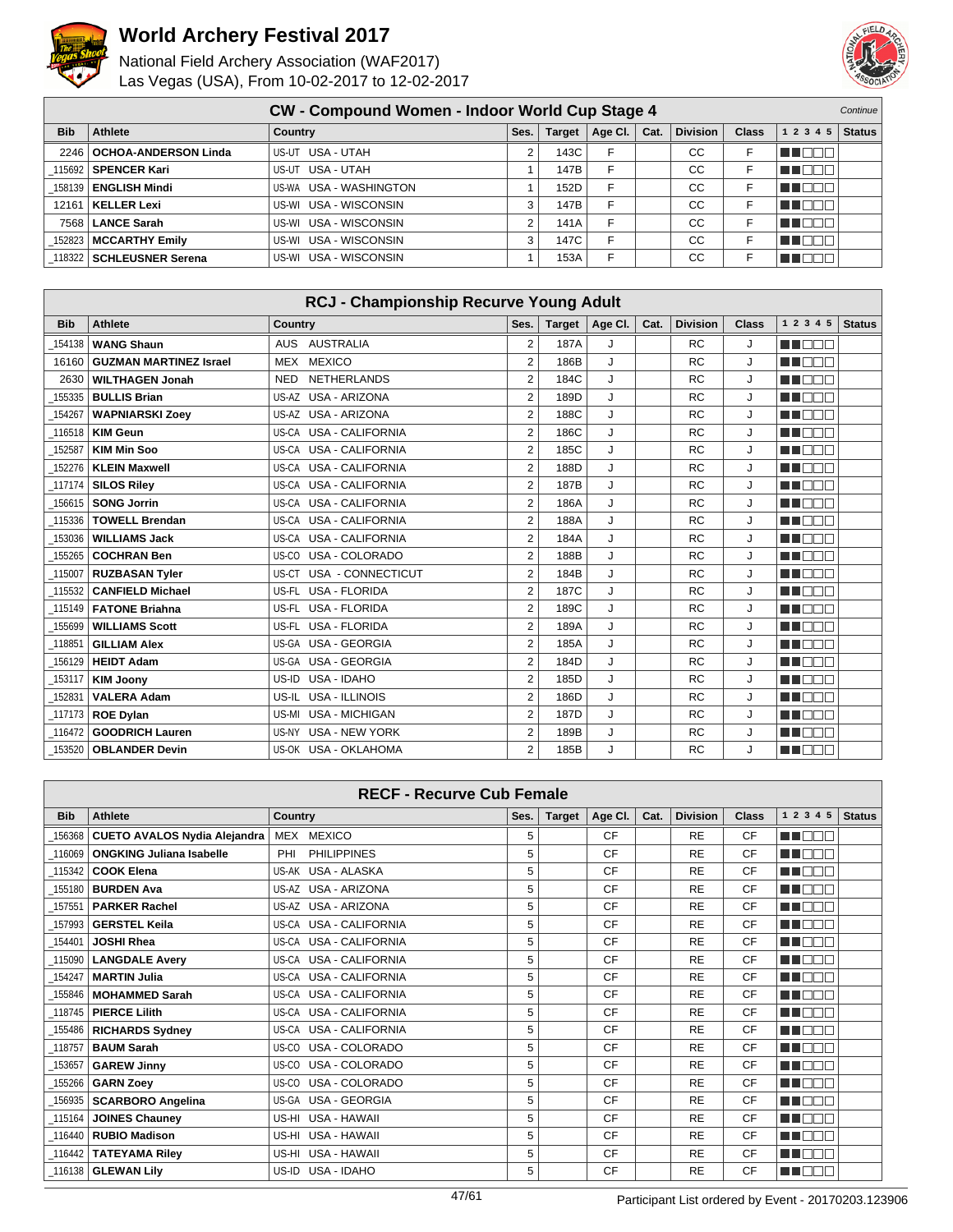



|            | <b>CW - Compound Women - Indoor World Cup Stage 4</b> |                        |      |               |         |      |                 |              |           | <b>Continue</b> |
|------------|-------------------------------------------------------|------------------------|------|---------------|---------|------|-----------------|--------------|-----------|-----------------|
| <b>Bib</b> | Athlete                                               | Country                | Ses. | <b>Target</b> | Age Cl. | Cat. | <b>Division</b> | <b>Class</b> | 1 2 3 4 5 | <b>Status</b>   |
|            | 2246   OCHOA-ANDERSON Linda                           | US-UT USA - UTAH       |      | 143C          |         |      | CС              |              | THE EN    |                 |
|            | 115692   SPENCER Kari                                 | US-UT USA - UTAH       |      | 147B          |         |      | CC.             |              | T E E E   |                 |
|            | 158139   ENGLISH Mindi                                | US-WA USA - WASHINGTON |      | 152D          |         |      | <b>CC</b>       |              | n El Ele  |                 |
| 12161      | KELLER Lexi                                           | US-WI USA - WISCONSIN  |      | 147B          |         |      | CС              |              | MOOO      |                 |
|            | 7568   LANCE Sarah                                    | US-WI USA - WISCONSIN  |      | 141A          |         |      | CC              |              | THEED     |                 |
|            | 152823   MCCARTHY Emily                               | US-WI USA - WISCONSIN  |      | 147C          |         |      | CC.             |              | T FE E E  |                 |
|            | 118322   SCHLEUSNER Serena                            | US-WI USA - WISCONSIN  |      | 153A          |         |      | CC              |              | 000       |                 |

|            | <b>RCJ - Championship Recurve Young Adult</b> |                                  |                |               |         |      |                 |       |              |               |  |
|------------|-----------------------------------------------|----------------------------------|----------------|---------------|---------|------|-----------------|-------|--------------|---------------|--|
| <b>Bib</b> | <b>Athlete</b>                                | <b>Country</b>                   | Ses.           | <b>Target</b> | Age Cl. | Cat. | <b>Division</b> | Class | 1 2 3 4 5    | <b>Status</b> |  |
| 154138     | <b>WANG Shaun</b>                             | AUSTRALIA<br><b>AUS</b>          | $\overline{2}$ | 187A          | J       |      | <b>RC</b>       | J     | man man      |               |  |
| 16160      | <b>GUZMAN MARTINEZ Israel</b>                 | <b>MEXICO</b><br><b>MEX</b>      | $\overline{2}$ | 186B          | J       |      | <b>RC</b>       | J     | man ma       |               |  |
| 2630       | <b>WILTHAGEN Jonah</b>                        | <b>NETHERLANDS</b><br><b>NED</b> | $\overline{2}$ | 184C          | J       |      | <b>RC</b>       | J     | UN DELA      |               |  |
| 155335     | <b>BULLIS Brian</b>                           | US-AZ USA - ARIZONA              | $\overline{2}$ | 189D          | J       |      | <b>RC</b>       | J     | UN DELL'     |               |  |
| 154267     | <b>WAPNIARSKI Zoey</b>                        | <b>USA - ARIZONA</b><br>US-AZ    | $\overline{2}$ | 188C          | J       |      | <b>RC</b>       | J     | n mana       |               |  |
| 116518     | <b>KIM Geun</b>                               | US-CA USA - CALIFORNIA           | 2              | 186C          | J       |      | <b>RC</b>       | J     | UU NOO       |               |  |
| 152587     | <b>KIM Min Soo</b>                            | US-CA USA - CALIFORNIA           | $\overline{2}$ | 185C          | J       |      | <b>RC</b>       | J     | man man      |               |  |
| 152276     | <b>KLEIN Maxwell</b>                          | <b>USA - CALIFORNIA</b><br>US-CA | $\overline{2}$ | 188D          | J       |      | <b>RC</b>       | J     | UN DELL'     |               |  |
| 117174     | <b>SILOS Rilev</b>                            | US-CA USA - CALIFORNIA           | $\overline{2}$ | 187B          | J       |      | <b>RC</b>       | J     | MA NA MA     |               |  |
| 156615     | <b>SONG Jorrin</b>                            | US-CA USA - CALIFORNIA           | 2              | 186A          | J       |      | <b>RC</b>       | J     | TI DE L      |               |  |
| 115336     | <b>TOWELL Brendan</b>                         | US-CA USA - CALIFORNIA           | $\overline{2}$ | 188A          | J       |      | <b>RC</b>       | J     | UN DEL S     |               |  |
| 153036     | <b>WILLIAMS Jack</b>                          | US-CA USA - CALIFORNIA           | $\overline{2}$ | 184A          | J       |      | <b>RC</b>       | J     | <b>RENAR</b> |               |  |
| 155265     | <b>COCHRAN Ben</b>                            | USA - COLORADO<br>US-CO          | $\overline{2}$ | 188B          | J       |      | <b>RC</b>       | J     | n n n n      |               |  |
| 115007     | <b>RUZBASAN Tyler</b>                         | USA - CONNECTICUT<br>US-CT       | 2              | 184B          | J       |      | <b>RC</b>       | J     | man man      |               |  |
| 115532     | <b>CANFIELD Michael</b>                       | <b>USA - FLORIDA</b><br>US-FL    | $\overline{2}$ | 187C          | J       |      | <b>RC</b>       | J     | n n n n n    |               |  |
| 115149     | <b>FATONE Briahna</b>                         | US-FL USA - FLORIDA              | $\overline{2}$ | 189C          | J       |      | <b>RC</b>       | J     | NA NA NA     |               |  |
| 155699     | <b>WILLIAMS Scott</b>                         | <b>USA - FLORIDA</b><br>US-FL    | $\overline{2}$ | 189A          | J       |      | <b>RC</b>       | J     | manan s      |               |  |
| 118851     | <b>GILLIAM Alex</b>                           | US-GA USA - GEORGIA              | $\overline{2}$ | 185A          | J       |      | <b>RC</b>       | J     | UU DOO       |               |  |
| 156129     | <b>HEIDT Adam</b>                             | US-GA USA - GEORGIA              | 2              | 184D          | J       |      | <b>RC</b>       | J     | man man      |               |  |
| 153117     | <b>KIM Joonv</b>                              | USA - IDAHO<br>US-ID             | $\overline{2}$ | 185D          | J       |      | <b>RC</b>       | J     | UN DEL S     |               |  |
| 152831     | <b>VALERA Adam</b>                            | US-IL<br>USA - ILLINOIS          | $\overline{2}$ | 186D          | J       |      | <b>RC</b>       | J     | TO OO        |               |  |
| 117173     | <b>ROE Dylan</b>                              | <b>USA - MICHIGAN</b><br>US-MI   | $\overline{2}$ | 187D          | J       |      | <b>RC</b>       | J     | n n n n n    |               |  |
| 116472     | <b>GOODRICH Lauren</b>                        | <b>USA - NEW YORK</b><br>US-NY   | $\overline{2}$ | 189B          | J       |      | <b>RC</b>       | J     | UU NOO       |               |  |
| 153520     | <b>OBLANDER Devin</b>                         | US-OK USA - OKLAHOMA             | $\overline{2}$ | 185B          | J       |      | <b>RC</b>       | J     | N N N N N    |               |  |

| <b>RECF - Recurve Cub Female</b> |                                     |                           |      |               |         |      |                 |              |                                  |               |
|----------------------------------|-------------------------------------|---------------------------|------|---------------|---------|------|-----------------|--------------|----------------------------------|---------------|
| <b>Bib</b>                       | <b>Athlete</b>                      | <b>Country</b>            | Ses. | <b>Target</b> | Age CI. | Cat. | <b>Division</b> | <b>Class</b> | 1 2 3 4 5                        | <b>Status</b> |
| 156368                           | <b>CUETO AVALOS Nydia Alejandra</b> | MEX<br><b>MEXICO</b>      | 5    |               | CF      |      | <b>RE</b>       | CF           | n in m<br>┐Г                     |               |
| 116069                           | <b>ONGKING Juliana Isabelle</b>     | PHI<br><b>PHILIPPINES</b> | 5    |               | CF      |      | <b>RE</b>       | CF           | m m<br>$\mathbb{C} \mathbb{T}$ : |               |
| 115342                           | <b>COOK Elena</b>                   | US-AK USA - ALASKA        | 5    |               | CF      |      | <b>RE</b>       | <b>CF</b>    | T E FIT<br>╖┎                    |               |
| 155180                           | <b>BURDEN Ava</b>                   | US-AZ USA - ARIZONA       | 5    |               | CF      |      | <b>RE</b>       | CF           | ma mata                          |               |
| 157551                           | <b>PARKER Rachel</b>                | US-AZ USA - ARIZONA       | 5    |               | CF      |      | <b>RE</b>       | CF           | n di M<br>┱╓                     |               |
| 157993                           | <b>GERSTEL Keila</b>                | US-CA USA - CALIFORNIA    | 5    |               | CF      |      | <b>RE</b>       | <b>CF</b>    | ma mar                           |               |
| 154401                           | <b>JOSHI Rhea</b>                   | US-CA USA - CALIFORNIA    | 5    |               | CF      |      | <b>RE</b>       | CF           | <b>RENAT</b>                     |               |
| 115090                           | <b>LANGDALE Avery</b>               | US-CA USA - CALIFORNIA    | 5    |               | CF      |      | <b>RE</b>       | <b>CF</b>    | n na mats                        |               |
| 154247                           | <b>MARTIN Julia</b>                 | US-CA USA - CALIFORNIA    | 5    |               | CF      |      | <b>RE</b>       | CF           | ma m<br>┱╓                       |               |
| 155846                           | <b>MOHAMMED Sarah</b>               | US-CA USA - CALIFORNIA    | 5    |               | CF      |      | <b>RE</b>       | CF           | HE NOT                           |               |
| 118745                           | <b>PIERCE Lilith</b>                | US-CA USA - CALIFORNIA    | 5    |               | CF      |      | <b>RE</b>       | CF           | UN DELL'                         |               |
| 155486                           | <b>RICHARDS Sydney</b>              | US-CA USA - CALIFORNIA    | 5    |               | CF      |      | <b>RE</b>       | CF           | ma mmm                           |               |
| 118757                           | <b>BAUM Sarah</b>                   | US-CO USA - COLORADO      | 5    |               | CF      |      | <b>RE</b>       | CF           | n n<br>╖┌                        |               |
| 153657                           | <b>GAREW Jinny</b>                  | USA - COLORADO<br>US-CO   | 5    |               | CF      |      | <b>RE</b>       | <b>CF</b>    | n na m                           |               |
| 155266                           | <b>GARN Zoev</b>                    | US-CO USA - COLORADO      | 5    |               | CF      |      | <b>RE</b>       | CF           | UN DELL'                         |               |
| 156935                           | <b>SCARBORO Angelina</b>            | US-GA USA - GEORGIA       | 5    |               | CF      |      | <b>RE</b>       | CF           | ma mata                          |               |
| 115164                           | <b>JOINES Chauney</b>               | US-HI USA - HAWAII        | 5    |               | CF      |      | <b>RE</b>       | <b>CF</b>    | ┱<br>70 O O                      |               |
| 116440                           | <b>RUBIO Madison</b>                | US-HI USA - HAWAII        | 5    |               | CF      |      | <b>RE</b>       | CF           | HI NOT                           |               |
|                                  | 116442   TATEYAMA Riley             | US-HI USA - HAWAII        | 5    |               | CF      |      | <b>RE</b>       | CF           | E DOC                            |               |
|                                  | 116138   GLEWAN Lilv                | USA - IDAHO<br>US-ID      | 5    |               | CF      |      | <b>RE</b>       | <b>CF</b>    | MA DOC                           |               |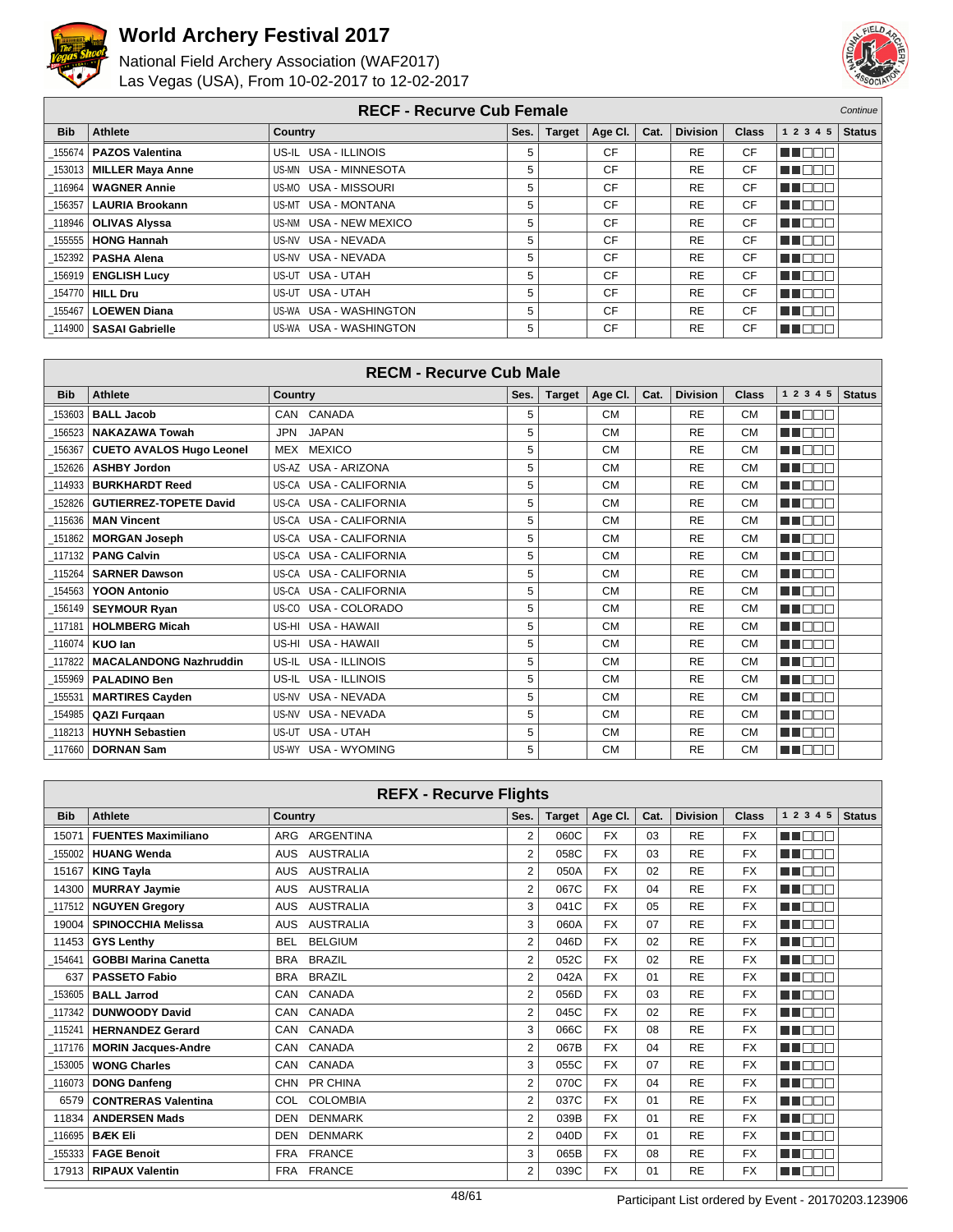



|            | <b>RECF - Recurve Cub Female</b> |                           |      |               |         |      |                 |              |             | Continue      |
|------------|----------------------------------|---------------------------|------|---------------|---------|------|-----------------|--------------|-------------|---------------|
| <b>Bib</b> | <b>Athlete</b>                   | <b>Country</b>            | Ses. | <b>Target</b> | Age CI. | Cat. | <b>Division</b> | <b>Class</b> | 1 2 3 4 5   | <b>Status</b> |
|            | 155674   PAZOS Valentina         | US-IL USA - ILLINOIS      | 5    |               | CF      |      | <b>RE</b>       | CF           | u n         |               |
|            | 153013   MILLER Maya Anne        | US-MN USA - MINNESOTA     | 5    |               | CF      |      | <b>RE</b>       | <b>CF</b>    | TI DOT      |               |
| 116964     | <b>WAGNER Annie</b>              | US-MO USA - MISSOURI      | 5    |               | CF      |      | <b>RE</b>       | <b>CF</b>    | n n n n     |               |
| 156357     | <b>LAURIA Brookann</b>           | US-MT USA - MONTANA       | 5    |               | CF      |      | <b>RE</b>       | <b>CF</b>    | <b>TENT</b> |               |
|            | 118946   OLIVAS Alyssa           | US-NM USA - NEW MEXICO    | 5    |               | CF      |      | <b>RE</b>       | CF           | u a mata    |               |
|            | 155555   HONG Hannah             | USA - NEVADA<br>US-NV     | 5    |               | CF      |      | <b>RE</b>       | CF           | T E E E     |               |
|            | 152392   PASHA Alena             | USA - NEVADA<br>US-NV     | 5    |               | CF      |      | <b>RE</b>       | <b>CF</b>    | TE ELE      |               |
|            | 156919   ENGLISH Lucy            | US-UT USA - UTAH          | 5    |               | CF      |      | <b>RE</b>       | CF           | U NOC       |               |
|            | 154770 HILL Dru                  | US-UT USA - UTAH          | 5    |               | CF      |      | <b>RE</b>       | <b>CF</b>    | TE ELECT    |               |
| 155467     | <b>LOEWEN Diana</b>              | US-WA USA - WASHINGTON    | 5    |               | CF      |      | <b>RE</b>       | <b>CF</b>    | N N B B B   |               |
|            | 114900   SASAI Gabrielle         | USA - WASHINGTON<br>US-WA | 5    |               | CF      |      | <b>RE</b>       | CF           | N D O C     |               |

|            | <b>RECM - Recurve Cub Male</b>  |                            |      |               |           |      |                 |              |             |               |
|------------|---------------------------------|----------------------------|------|---------------|-----------|------|-----------------|--------------|-------------|---------------|
| <b>Bib</b> | <b>Athlete</b>                  | <b>Country</b>             | Ses. | <b>Target</b> | Age Cl.   | Cat. | <b>Division</b> | <b>Class</b> | 1 2 3 4 5   | <b>Status</b> |
| 153603     | <b>BALL Jacob</b>               | CAN CANADA                 | 5    |               | <b>CM</b> |      | <b>RE</b>       | <b>CM</b>    | n n n n     |               |
| 156523     | <b>NAKAZAWA Towah</b>           | <b>JAPAN</b><br><b>JPN</b> | 5    |               | <b>CM</b> |      | <b>RE</b>       | <b>CM</b>    | MA MAR      |               |
| 156367     | <b>CUETO AVALOS Hugo Leonel</b> | MEX MEXICO                 | 5    |               | <b>CM</b> |      | <b>RE</b>       | <b>CM</b>    | <b>HELL</b> |               |
| 152626     | <b>ASHBY Jordon</b>             | US-AZ USA - ARIZONA        | 5    |               | <b>CM</b> |      | <b>RE</b>       | <b>CM</b>    | un mm       |               |
| 114933     | <b>BURKHARDT Reed</b>           | US-CA USA - CALIFORNIA     | 5    |               | <b>CM</b> |      | <b>RE</b>       | <b>CM</b>    | n n n n     |               |
| 152826     | <b>GUTIERREZ-TOPETE David</b>   | US-CA USA - CALIFORNIA     | 5    |               | <b>CM</b> |      | <b>RE</b>       | <b>CM</b>    | n in Biblio |               |
| 115636     | <b>MAN Vincent</b>              | US-CA USA - CALIFORNIA     | 5    |               | <b>CM</b> |      | <b>RE</b>       | <b>CM</b>    | un mm       |               |
| 151862     | <b>MORGAN Joseph</b>            | US-CA USA - CALIFORNIA     | 5    |               | <b>CM</b> |      | <b>RE</b>       | <b>CM</b>    | UN FIELD    |               |
| 117132     | <b>PANG Calvin</b>              | US-CA USA - CALIFORNIA     | 5    |               | <b>CM</b> |      | <b>RE</b>       | <b>CM</b>    | nn nn n     |               |
| 115264     | <b>SARNER Dawson</b>            | US-CA USA - CALIFORNIA     | 5    |               | <b>CM</b> |      | <b>RE</b>       | <b>CM</b>    | UU NAM      |               |
| 154563     | <b>YOON Antonio</b>             | US-CA USA - CALIFORNIA     | 5    |               | <b>CM</b> |      | <b>RE</b>       | <b>CM</b>    | TE E E E    |               |
| 156149     | <b>SEYMOUR Ryan</b>             | US-CO USA - COLORADO       | 5    |               | <b>CM</b> |      | <b>RE</b>       | <b>CM</b>    | un an a     |               |
| 117181     | <b>HOLMBERG Micah</b>           | US-HI USA - HAWAII         | 5    |               | <b>CM</b> |      | <b>RE</b>       | <b>CM</b>    | UN DELL'    |               |
| 116074     | <b>KUO lan</b>                  | US-HI USA - HAWAII         | 5    |               | <b>CM</b> |      | <b>RE</b>       | <b>CM</b>    | ma mar      |               |
| 117822     | <b>MACALANDONG Nazhruddin</b>   | US-IL USA - ILLINOIS       | 5    |               | <b>CM</b> |      | <b>RE</b>       | <b>CM</b>    | T FEE       |               |
| 155969     | <b>PALADINO Ben</b>             | US-IL USA - ILLINOIS       | 5    |               | <b>CM</b> |      | <b>RE</b>       | <b>CM</b>    | NN E EIG    |               |
| 155531     | <b>MARTIRES Cayden</b>          | US-NV USA - NEVADA         | 5    |               | <b>CM</b> |      | <b>RE</b>       | <b>CM</b>    | MA NA TIL   |               |
| 154985     | <b>QAZI Furgaan</b>             | US-NV USA - NEVADA         | 5    |               | <b>CM</b> |      | <b>RE</b>       | <b>CM</b>    | un noo      |               |
| 118213     | <b>HUYNH Sebastien</b>          | US-UT USA - UTAH           | 5    |               | <b>CM</b> |      | <b>RE</b>       | <b>CM</b>    | UN DEL T    |               |
|            | 117660   DORNAN Sam             | US-WY USA - WYOMING        | 5    |               | <b>CM</b> |      | <b>RE</b>       | <b>CM</b>    | M OO B      |               |

| <b>REFX - Recurve Flights</b> |                             |                                |                |               |           |      |                 |              |             |               |  |
|-------------------------------|-----------------------------|--------------------------------|----------------|---------------|-----------|------|-----------------|--------------|-------------|---------------|--|
| <b>Bib</b>                    | <b>Athlete</b>              | Country                        | Ses.           | <b>Target</b> | Age CI.   | Cat. | <b>Division</b> | <b>Class</b> | 1 2 3 4 5   | <b>Status</b> |  |
| 15071                         | <b>FUENTES Maximiliano</b>  | ARGENTINA<br>ARG               | 2              | 060C          | <b>FX</b> | 03   | <b>RE</b>       | <b>FX</b>    | n na m      |               |  |
| 155002                        | <b>HUANG Wenda</b>          | <b>AUSTRALIA</b><br><b>AUS</b> | 2              | 058C          | <b>FX</b> | 03   | <b>RE</b>       | <b>FX</b>    | ma mar      |               |  |
| 15167                         | <b>KING Tayla</b>           | <b>AUSTRALIA</b><br><b>AUS</b> | 2              | 050A          | <b>FX</b> | 02   | <b>RE</b>       | <b>FX</b>    | man ma      |               |  |
| 14300                         | <b>MURRAY Jaymie</b>        | <b>AUSTRALIA</b><br><b>AUS</b> | 2              | 067C          | <b>FX</b> | 04   | <b>RE</b>       | <b>FX</b>    | 300<br>a pr |               |  |
| 117512                        | <b>NGUYEN Gregory</b>       | <b>AUSTRALIA</b><br><b>AUS</b> | 3              | 041C          | <b>FX</b> | 05   | <b>RE</b>       | <b>FX</b>    | UU DOO      |               |  |
| 19004                         | <b>SPINOCCHIA Melissa</b>   | <b>AUSTRALIA</b><br><b>AUS</b> | 3              | 060A          | <b>FX</b> | 07   | <b>RE</b>       | <b>FX</b>    | ma man      |               |  |
| 11453                         | <b>GYS Lenthy</b>           | <b>BELGIUM</b><br><b>BEL</b>   | 2              | 046D          | <b>FX</b> | 02   | <b>RE</b>       | <b>FX</b>    | MN 888      |               |  |
| 154641                        | <b>GOBBI Marina Canetta</b> | <b>BRAZIL</b><br><b>BRA</b>    | 2              | 052C          | <b>FX</b> | 02   | <b>RE</b>       | <b>FX</b>    | n n n n     |               |  |
| 637                           | <b>PASSETO Fabio</b>        | <b>BRAZIL</b><br><b>BRA</b>    | 2              | 042A          | <b>FX</b> | 01   | <b>RE</b>       | <b>FX</b>    | ME BEL      |               |  |
| 153605                        | <b>BALL Jarrod</b>          | CANADA<br>CAN                  | 2              | 056D          | <b>FX</b> | 03   | <b>RE</b>       | <b>FX</b>    | M BEE       |               |  |
| 117342                        | <b>DUNWOODY David</b>       | CANADA<br>CAN                  | $\overline{2}$ | 045C          | <b>FX</b> | 02   | <b>RE</b>       | <b>FX</b>    | UN DELL'    |               |  |
| 115241                        | <b>HERNANDEZ Gerard</b>     | CANADA<br>CAN                  | 3              | 066C          | <b>FX</b> | 08   | <b>RE</b>       | <b>FX</b>    | MA NA MA    |               |  |
| 117176                        | <b>MORIN Jacques-Andre</b>  | CANADA<br>CAN                  | 2              | 067B          | <b>FX</b> | 04   | <b>RE</b>       | <b>FX</b>    | MA MAT      |               |  |
| 153005                        | <b>WONG Charles</b>         | CANADA<br>CAN                  | 3              | 055C          | <b>FX</b> | 07   | <b>RE</b>       | <b>FX</b>    | n de e      |               |  |
| 116073                        | <b>DONG Danfeng</b>         | CHN PR CHINA                   | $\overline{2}$ | 070C          | <b>FX</b> | 04   | <b>RE</b>       | <b>FX</b>    | TI E E E    |               |  |
| 6579                          | <b>CONTRERAS Valentina</b>  | <b>COLOMBIA</b><br><b>COL</b>  | 2              | 037C          | <b>FX</b> | 01   | <b>RE</b>       | <b>FX</b>    | man man     |               |  |
| 11834                         | <b>ANDERSEN Mads</b>        | <b>DENMARK</b><br><b>DEN</b>   | 2              | 039B          | <b>FX</b> | 01   | <b>RE</b>       | <b>FX</b>    | n na m      |               |  |
| 116695                        | <b>BÆK Eli</b>              | <b>DENMARK</b><br><b>DEN</b>   | 2              | 040D          | <b>FX</b> | 01   | <b>RE</b>       | <b>FX</b>    | THE EN      |               |  |
|                               | 155333   FAGE Benoit        | <b>FRANCE</b><br>FRA           | 3              | 065B          | <b>FX</b> | 08   | <b>RE</b>       | <b>FX</b>    | ME E E E    |               |  |
|                               | 17913   RIPAUX Valentin     | <b>FRANCE</b><br><b>FRA</b>    | $\overline{2}$ | 039C          | <b>FX</b> | 01   | <b>RE</b>       | <b>FX</b>    | UN DELL'    |               |  |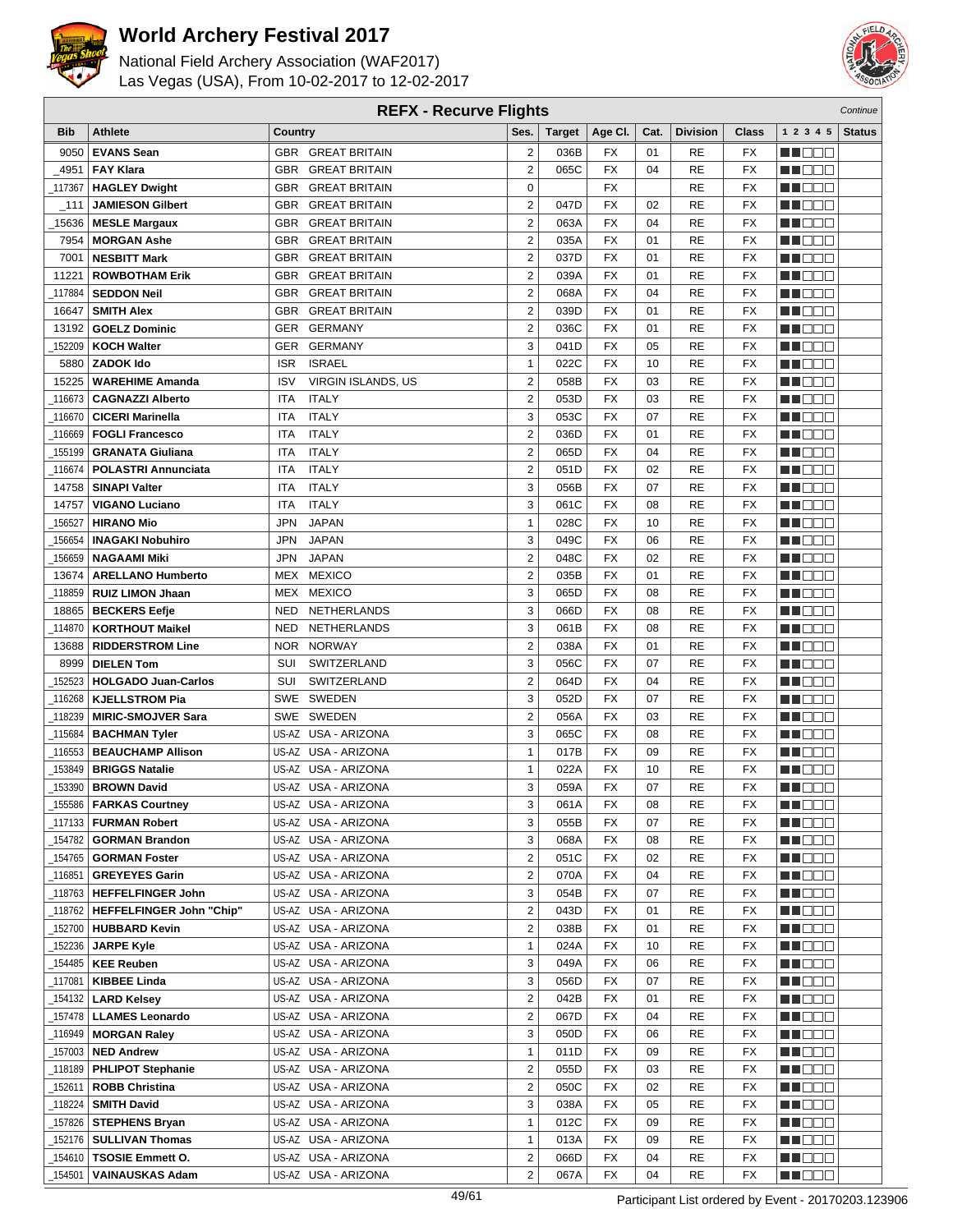



| <b>REFX - Recurve Flights</b> |                                                 |                          |                                     |                         |               |                        |      |                 |                          | Continue           |               |
|-------------------------------|-------------------------------------------------|--------------------------|-------------------------------------|-------------------------|---------------|------------------------|------|-----------------|--------------------------|--------------------|---------------|
| <b>Bib</b>                    | <b>Athlete</b>                                  | Country                  |                                     | Ses.                    | <b>Target</b> | Age CI.                | Cat. | <b>Division</b> | <b>Class</b>             | 1 2 3 4 5          | <b>Status</b> |
| 9050                          | <b>EVANS Sean</b>                               |                          | GBR GREAT BRITAIN                   | $\mathbf 2$             | 036B          | FX                     | 01   | RE              | <b>FX</b>                | e de e             |               |
| 4951                          | <b>FAY Klara</b>                                |                          | <b>GBR GREAT BRITAIN</b>            | $\overline{2}$          | 065C          | <b>FX</b>              | 04   | <b>RE</b>       | <b>FX</b>                | n i De E           |               |
| 117367                        | <b>HAGLEY Dwight</b>                            |                          | <b>GBR GREAT BRITAIN</b>            | $\mathbf 0$             |               | <b>FX</b>              |      | <b>RE</b>       | <b>FX</b>                | MOOO               |               |
| _111                          | <b>JAMIESON Gilbert</b>                         |                          | <b>GBR GREAT BRITAIN</b>            | $\overline{2}$          | 047D          | <b>FX</b>              | 02   | RE              | <b>FX</b>                | MA DE E            |               |
| 15636                         | <b>MESLE Margaux</b>                            | <b>GBR</b>               | <b>GREAT BRITAIN</b>                | $\overline{2}$          | 063A          | <b>FX</b>              | 04   | RE              | <b>FX</b>                | M DE B             |               |
| 7954                          | <b>MORGAN Ashe</b>                              | <b>GBR</b>               | <b>GREAT BRITAIN</b>                | $\overline{2}$          | 035A          | FX                     | 01   | RE              | <b>FX</b>                | M DO B             |               |
| 7001                          |                                                 |                          | <b>GREAT BRITAIN</b>                | $\overline{2}$          | 037D          | <b>FX</b>              | 01   | RE              | FX                       | ME E E E           |               |
| 11221                         | <b>NESBITT Mark</b>                             | <b>GBR</b><br><b>GBR</b> | <b>GREAT BRITAIN</b>                | $\overline{2}$          | 039A          | <b>FX</b>              | 01   | <b>RE</b>       | <b>FX</b>                | MN 888             |               |
|                               | <b>ROWBOTHAM Erik</b>                           |                          |                                     |                         |               |                        |      |                 |                          |                    |               |
| 117884                        | <b>SEDDON Neil</b>                              | <b>GBR</b>               | <b>GREAT BRITAIN</b>                | $\overline{2}$          | 068A          | <b>FX</b>              | 04   | RE              | <b>FX</b>                | MO DO O            |               |
| 16647                         | <b>SMITH Alex</b>                               | <b>GBR</b>               | <b>GREAT BRITAIN</b><br>GER GERMANY | $\mathbf 2$             | 039D          | <b>FX</b><br><b>FX</b> | 01   | <b>RE</b>       | <b>FX</b>                | M DEE              |               |
| 13192                         | <b>GOELZ Dominic</b>                            |                          |                                     | $\overline{2}$<br>3     | 036C          | <b>FX</b>              | 01   | <b>RE</b>       | <b>FX</b><br><b>FX</b>   | MU DO B            |               |
| 152209                        | <b>KOCH Walter</b>                              |                          | GER GERMANY                         |                         | 041D          |                        | 05   | RE              |                          | n i De E           |               |
| 5880                          | <b>ZADOK Ido</b>                                | <b>ISR</b>               | <b>ISRAEL</b>                       | $\mathbf{1}$            | 022C          | FX                     | 10   | RE              | FX                       | MA DE E            |               |
| 15225                         | <b>WAREHIME Amanda</b>                          | <b>ISV</b>               | VIRGIN ISLANDS, US                  | $\overline{2}$          | 058B          | <b>FX</b>              | 03   | RE              | <b>FX</b>                | MA DE C            |               |
| 116673                        | <b>CAGNAZZI Alberto</b>                         | ITA                      | <b>ITALY</b>                        | $\overline{2}$          | 053D          | FX                     | 03   | RE              | <b>FX</b>                | MU DO B            |               |
| 116670                        | <b>CICERI Marinella</b>                         | <b>ITA</b>               | <b>ITALY</b>                        | 3                       | 053C          | <b>FX</b>              | 07   | <b>RE</b>       | FX                       | MN 888             |               |
| 116669                        | <b>FOGLI Francesco</b>                          | ITA                      | <b>ITALY</b>                        | $\overline{2}$          | 036D          | <b>FX</b>              | 01   | <b>RE</b>       | <b>FX</b>                | MN OO O            |               |
| 155199                        | <b>GRANATA Giuliana</b>                         | ITA                      | <b>ITALY</b>                        | $\overline{2}$          | 065D          | <b>FX</b>              | 04   | RE              | <b>FX</b>                | MU DO 2            |               |
| 116674                        | <b>POLASTRI Annunciata</b>                      | ITA                      | <b>ITALY</b>                        | $\mathbf 2$             | 051D          | <b>FX</b>              | 02   | RE              | <b>FX</b>                | M DO B             |               |
| 14758                         | <b>SINAPI Valter</b>                            | ITA                      | <b>ITALY</b>                        | 3                       | 056B          | <b>FX</b>              | 07   | <b>RE</b>       | <b>FX</b>                | MN 888             |               |
| 14757                         | <b>VIGANO Luciano</b>                           | ITA                      | <b>ITALY</b>                        | 3                       | 061C          | <b>FX</b>              | 08   | RE              | <b>FX</b>                | MT DE E            |               |
| 156527                        | <b>HIRANO Mio</b>                               | <b>JPN</b>               | <b>JAPAN</b>                        | $\mathbf{1}$            | 028C          | FX                     | 10   | RE              | FX                       | M DE B             |               |
| 156654                        | <b>INAGAKI Nobuhiro</b>                         | <b>JPN</b>               | <b>JAPAN</b>                        | 3                       | 049C          | <b>FX</b>              | 06   | RE              | <b>FX</b>                | M DO B             |               |
| 156659                        | <b>NAGAAMI Miki</b>                             | <b>JPN</b>               | <b>JAPAN</b>                        | $\overline{2}$          | 048C          | <b>FX</b>              | 02   | RE              | <b>FX</b>                | MA OO B            |               |
| 13674                         | <b>ARELLANO Humberto</b>                        | MEX                      | <b>MEXICO</b>                       | $\overline{2}$          | 035B          | <b>FX</b>              | 01   | RE              | <b>FX</b>                | MN 888             |               |
| 118859                        | <b>RUIZ LIMON Jhaan</b>                         | MEX                      | <b>MEXICO</b>                       | 3                       | 065D          | <b>FX</b>              | 08   | <b>RE</b>       | <b>FX</b>                | MN OO O            |               |
| 18865                         | <b>BECKERS Eefje</b>                            | NED                      | NETHERLANDS                         | 3                       | 066D          | <b>FX</b>              | 08   | <b>RE</b>       | <b>FX</b>                | MA DE S            |               |
| 114870                        | <b>KORTHOUT Maikel</b>                          | <b>NED</b>               | NETHERLANDS                         | 3                       | 061B          | <b>FX</b>              | 08   | <b>RE</b>       | <b>FX</b>                | MU DO B            |               |
| 13688                         | <b>RIDDERSTROM Line</b>                         |                          | NOR NORWAY                          | $\overline{2}$          | 038A          | <b>FX</b>              | 01   | <b>RE</b>       | <b>FX</b>                | MN 888             |               |
| 8999                          | <b>DIELEN Tom</b>                               | SUI                      | SWITZERLAND                         | 3                       | 056C          | <b>FX</b>              | 07   | RE              | <b>FX</b>                | n i Biblio         |               |
| 152523                        | <b>HOLGADO Juan-Carlos</b>                      | SUI                      | SWITZERLAND                         | $\overline{2}$          | 064D          | FX                     | 04   | RE              | <b>FX</b>                | MA DE C            |               |
| 116268                        | <b>KJELLSTROM Pia</b>                           |                          | SWE SWEDEN                          | 3                       | 052D          | <b>FX</b>              | 07   | RE              | FX                       | MU DO B            |               |
| 118239                        | <b>MIRIC-SMOJVER Sara</b>                       | SWE                      | <b>SWEDEN</b>                       | $\overline{2}$          | 056A          | FX                     | 03   | RE              | <b>FX</b>                | MN 888             |               |
| 115684                        | <b>BACHMAN Tyler</b>                            |                          | US-AZ USA - ARIZONA                 | 3                       | 065C          | <b>FX</b>              | 08   | RE              | <b>FX</b>                | MA DE E            |               |
| 116553                        | <b>BEAUCHAMP Allison</b>                        |                          | US-AZ USA - ARIZONA                 | 1                       | 017B          | <b>FX</b>              | 09   | RE              | <b>FX</b>                | M DE B             |               |
| 153849                        | <b>BRIGGS Natalie</b>                           |                          | US-AZ USA - ARIZONA                 | $\mathbf{1}$            | 022A          | <b>FX</b>              | 10   | RE              | <b>FX</b>                | M DO D             |               |
| 153390                        | <b>BROWN David</b>                              |                          | US-AZ USA - ARIZONA                 | 3                       | 059A          | <b>FX</b>              | 07   | RE              | <b>FX</b>                | MN DO B            |               |
|                               | $\overline{\phantom{0}}$ 155586 FARKAS Courtney |                          | US-AZ USA - ARIZONA                 | 3                       | 061A          | $\overline{FX}$        | 08   | RE              | $\overline{\mathsf{FX}}$ | <b>NH</b> OOO      |               |
|                               | _117133   FURMAN Robert                         |                          | US-AZ USA - ARIZONA                 | 3                       | 055B          | FX                     | 07   | RE              | FX                       | <u> Literatu</u>   |               |
|                               | 154782   GORMAN Brandon                         |                          | US-AZ USA - ARIZONA                 | 3                       | 068A          | FX                     | 08   | RE              | FX                       | MU O O O           |               |
|                               | <sub>_154765</sub>   GORMAN Foster              |                          | US-AZ USA - ARIZONA                 | $\overline{2}$          | 051C          | FX                     | 02   | RE              | FX                       | M DE S             |               |
| _116851                       | <b>GREYEYES Garin</b>                           |                          | US-AZ USA - ARIZONA                 | $\overline{2}$          | 070A          | FX                     | 04   | RE              | FX                       | MA DE E            |               |
|                               | _118763   HEFFELFINGER John                     |                          | US-AZ USA - ARIZONA                 | 3                       | 054B          | FX                     | 07   | RE              | FX                       | <u>Li Bee</u>      |               |
|                               | _118762   HEFFELFINGER John "Chip"              |                          | US-AZ USA - ARIZONA                 | $\overline{\mathbf{c}}$ | 043D          | FX                     | 01   | RE              | FX                       | W OOO              |               |
|                               | _152700   <b>HUBBARD Kevin</b>                  |                          | US-AZ USA - ARIZONA                 | $\overline{\mathbf{c}}$ | 038B          | FX                     | 01   | RE              | FX                       | WO OO U            |               |
| 152236                        | <b>JARPE Kyle</b>                               |                          | US-AZ USA - ARIZONA                 | $\mathbf{1}$            | 024A          | FX                     | 10   | RE              | FX                       | <u>in ja sis</u>   |               |
|                               | 154485   KEE Reuben                             |                          | US-AZ USA - ARIZONA                 | 3                       | 049A          | FX                     | 06   | RE              | FX                       | <u> Here</u>       |               |
|                               | 117081   KIBBEE Linda                           |                          | US-AZ USA - ARIZONA                 | 3                       | 056D          | FX                     | 07   | RE              | FX                       | <u>LI OOD</u>      |               |
|                               | 154132   LARD Kelsey                            |                          | US-AZ USA - ARIZONA                 | $\overline{2}$          | 042B          | FX                     | 01   | RE              | FX                       | WU 88              |               |
|                               | 157478   LLAMES Leonardo                        |                          | US-AZ USA - ARIZONA                 | $\overline{2}$          | 067D          | FX                     | 04   | RE              | FX                       | MUOOO              |               |
|                               | 116949   MORGAN Raley                           |                          | US-AZ USA - ARIZONA                 | 3                       | 050D          | FX                     | 06   | RE              | FX                       | <u> DEE</u>        |               |
|                               | _157003 <b>  NED Andrew</b>                     |                          | US-AZ USA - ARIZONA                 | $\mathbf{1}$            | 011D          | FX                     | 09   | RE              | FX                       | M DE S             |               |
|                               | 118189   PHLIPOT Stephanie                      |                          | US-AZ USA - ARIZONA                 | $\overline{\mathbf{c}}$ | 055D          | FX                     | 03   | RE              | FX                       | WU 88              |               |
| _152611                       | <b>ROBB Christina</b>                           |                          | US-AZ USA - ARIZONA                 | $\overline{\mathbf{c}}$ | 050C          | FX                     | 02   | RE              | FX                       | NN O O O           |               |
| _118224                       | <b>SMITH David</b>                              |                          | US-AZ USA - ARIZONA                 | 3                       | 038A          | FX                     | 05   | RE              | FX                       | <u> Literatu</u>   |               |
|                               | 157826   STEPHENS Bryan                         |                          | US-AZ USA - ARIZONA                 | $\mathbf{1}$            | 012C          | FX                     | 09   | RE              | FX                       | <u> Here de la</u> |               |
|                               | 152176   SULLIVAN Thomas                        |                          | US-AZ USA - ARIZONA                 | $\mathbf{1}$            | 013A          | FX                     | 09   | RE              | FX                       | <u> HELEL</u>      |               |
| _154610丨                      | <b>TSOSIE Emmett O.</b>                         |                          | US-AZ USA - ARIZONA                 | $\overline{2}$          | 066D          | FX                     | 04   | RE              | FX                       | M DE S             |               |
| 154501                        | <b>VAINAUSKAS Adam</b>                          |                          | US-AZ USA - ARIZONA                 | $\overline{2}$          | 067A          | FX                     | 04   | RE              | FX                       | <b>MARGO</b>       |               |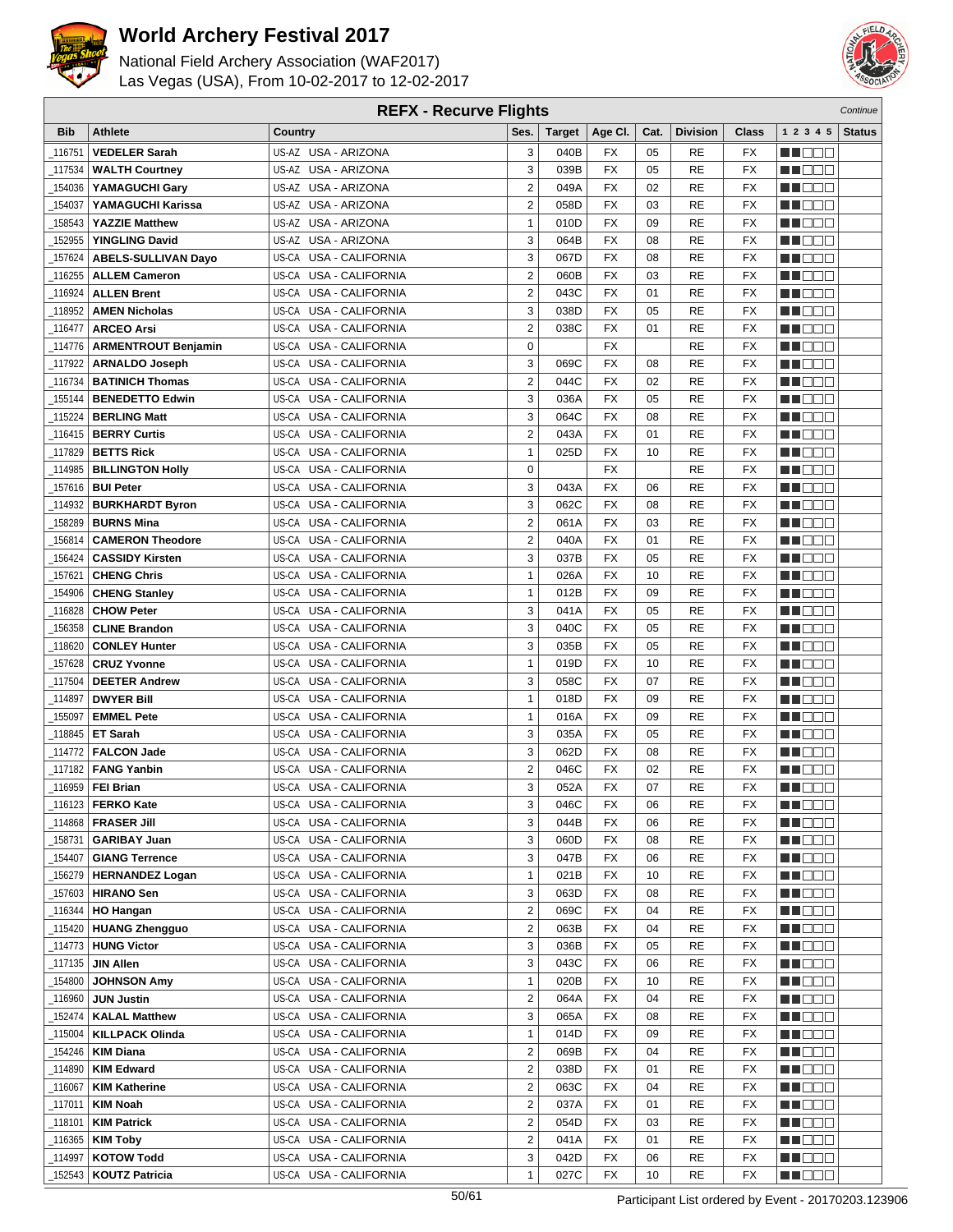



| <b>REFX - Recurve Flights</b> |                                              |                                  |                         |               |                 |      |                 |                 | Continue          |               |
|-------------------------------|----------------------------------------------|----------------------------------|-------------------------|---------------|-----------------|------|-----------------|-----------------|-------------------|---------------|
| <b>Bib</b>                    | <b>Athlete</b>                               | Country                          | Ses.                    | <b>Target</b> | Age CI.         | Cat. | <b>Division</b> | Class           | 1 2 3 4 5         | <b>Status</b> |
| 116751                        | <b>VEDELER Sarah</b>                         | US-AZ USA - ARIZONA              | 3                       | 040B          | FX              | 05   | RE              | FX              | e de e            |               |
| 117534                        | <b>WALTH Courtney</b>                        | US-AZ USA - ARIZONA              | 3                       | 039B          | <b>FX</b>       | 05   | <b>RE</b>       | <b>FX</b>       | n i De E          |               |
| 154036                        | YAMAGUCHI Gary                               | US-AZ USA - ARIZONA              | $\overline{2}$          | 049A          | <b>FX</b>       | 02   | RE              | <b>FX</b>       | MOOO              |               |
| 154037                        | YAMAGUCHI Karissa                            | US-AZ USA - ARIZONA              | $\overline{2}$          | 058D          | FX              | 03   | RE              | FX              | MN 888            |               |
| 158543                        | <b>YAZZIE Matthew</b>                        | US-AZ USA - ARIZONA              | $\mathbf{1}$            | 010D          | <b>FX</b>       | 09   | RE              | <b>FX</b>       | n i Bele          |               |
| 152955                        | <b>YINGLING David</b>                        | US-AZ USA - ARIZONA              | 3                       | 064B          | FX              | 08   | RE              | <b>FX</b>       | M DO B            |               |
| 157624                        | <b>ABELS-SULLIVAN Dayo</b>                   | US-CA USA - CALIFORNIA           | 3                       | 067D          | <b>FX</b>       | 08   | RE              | <b>FX</b>       | ME E E E          |               |
| 116255                        |                                              | US-CA USA - CALIFORNIA           | $\overline{2}$          | 060B          | <b>FX</b>       | 03   | <b>RE</b>       | <b>FX</b>       | MN 888            |               |
|                               | <b>ALLEM Cameron</b>                         |                                  |                         |               |                 |      |                 |                 |                   |               |
| 116924                        | <b>ALLEN Brent</b>                           | US-CA USA - CALIFORNIA           | $\overline{2}$          | 043C          | <b>FX</b>       | 01   | RE              | <b>FX</b>       | MO DO O           |               |
| 118952_                       | <b>AMEN Nicholas</b>                         | <b>USA - CALIFORNIA</b><br>US-CA | 3                       | 038D          | <b>FX</b>       | 05   | RE              | <b>FX</b>       | M DEE             |               |
| 116477_                       | <b>ARCEO Arsi</b>                            | US-CA USA - CALIFORNIA           | $\overline{2}$          | 038C          | <b>FX</b>       | 01   | RE              | <b>FX</b>       | MU DO B           |               |
| _114776                       | <b>ARMENTROUT Benjamin</b>                   | US-CA USA - CALIFORNIA           | $\mathbf 0$             |               | <b>FX</b>       |      | RE              | <b>FX</b>       | n i De E          |               |
| 117922                        | <b>ARNALDO Joseph</b>                        | US-CA USA - CALIFORNIA           | 3                       | 069C          | FX              | 08   | RE              | <b>FX</b>       | MA DE E           |               |
| 116734                        | <b>BATINICH Thomas</b>                       | USA - CALIFORNIA<br>US-CA        | $\overline{2}$          | 044C          | <b>FX</b>       | 02   | RE              | <b>FX</b>       | MA DE C           |               |
| 155144                        | <b>BENEDETTO Edwin</b>                       | US-CA<br>USA - CALIFORNIA        | 3                       | 036A          | FX              | 05   | RE              | <b>FX</b>       | MU DO B           |               |
| 115224                        | <b>BERLING Matt</b>                          | US-CA USA - CALIFORNIA           | 3                       | 064C          | <b>FX</b>       | 08   | RE              | <b>FX</b>       | n nooc            |               |
| 116415                        | <b>BERRY Curtis</b>                          | US-CA USA - CALIFORNIA           | $\overline{2}$          | 043A          | <b>FX</b>       | 01   | <b>RE</b>       | <b>FX</b>       | MO DO O           |               |
| 117829                        | <b>BETTS Rick</b>                            | US-CA USA - CALIFORNIA           | $\mathbf{1}$            | 025D          | <b>FX</b>       | 10   | RE              | FX              | M DE B            |               |
| 114985_                       | <b>BILLINGTON Holly</b>                      | US-CA USA - CALIFORNIA           | $\mathbf 0$             |               | <b>FX</b>       |      | RE              | <b>FX</b>       | M DO B            |               |
| 157616                        | <b>BUI Peter</b>                             | US-CA USA - CALIFORNIA           | 3                       | 043A          | <b>FX</b>       | 06   | RE              | <b>FX</b>       | MN 888            |               |
|                               | 114932   BURKHARDT Byron                     | US-CA USA - CALIFORNIA           | 3                       | 062C          | <b>FX</b>       | 08   | RE              | <b>FX</b>       | MT DE E           |               |
| 158289                        | <b>BURNS Mina</b>                            | US-CA USA - CALIFORNIA           | $\overline{2}$          | 061A          | FX              | 03   | RE              | <b>FX</b>       | M DE B            |               |
| 156814                        | <b>CAMERON Theodore</b>                      | <b>USA - CALIFORNIA</b><br>US-CA | $\overline{2}$          | 040A          | <b>FX</b>       | 01   | RE              | <b>FX</b>       | M DO B            |               |
| 156424                        | <b>CASSIDY Kirsten</b>                       | US-CA<br>USA - CALIFORNIA        | 3                       | 037B          | FX              | 05   | RE              | <b>FX</b>       | MA OO B           |               |
| 157621                        | <b>CHENG Chris</b>                           | US-CA USA - CALIFORNIA           | $\mathbf{1}$            | 026A          | <b>FX</b>       | 10   | RE              | <b>FX</b>       | MN 888            |               |
| 154906                        | <b>CHENG Stanley</b>                         | USA - CALIFORNIA<br>US-CA        | 1                       | 012B          | <b>FX</b>       | 09   | RE              | <b>FX</b>       | MO DO O           |               |
| 116828                        | <b>CHOW Peter</b>                            | USA - CALIFORNIA<br>US-CA        | 3                       | 041A          | <b>FX</b>       | 05   | <b>RE</b>       | <b>FX</b>       | MA DE S           |               |
| 156358                        | <b>CLINE Brandon</b>                         | USA - CALIFORNIA<br>US-CA        | 3                       | 040C          | <b>FX</b>       | 05   | RE              | <b>FX</b>       | W OOO             |               |
| 118620                        | <b>CONLEY Hunter</b>                         | US-CA USA - CALIFORNIA           | 3                       | 035B          | <b>FX</b>       | 05   | RE              | <b>FX</b>       | MN 888            |               |
| 157628                        | <b>CRUZ Yvonne</b>                           | US-CA USA - CALIFORNIA           | $\mathbf{1}$            | 019D          | <b>FX</b>       | 10   | RE              | <b>FX</b>       | n i Biblio        |               |
| 117504                        | <b>DEETER Andrew</b>                         | US-CA USA - CALIFORNIA           | 3                       | 058C          | FX              | 07   | RE              | <b>FX</b>       | MA DE C           |               |
| 114897                        | <b>DWYER Bill</b>                            | USA - CALIFORNIA<br>US-CA        | $\mathbf{1}$            | 018D          | <b>FX</b>       | 09   | RE              | FX              | MU DO B           |               |
| 155097                        | <b>EMMEL Pete</b>                            | US-CA<br><b>USA - CALIFORNIA</b> | $\mathbf{1}$            | 016A          | FX              | 09   | RE              | <b>FX</b>       | MA OO B           |               |
| 118845                        | <b>ET Sarah</b>                              | US-CA USA - CALIFORNIA           | 3                       | 035A          | <b>FX</b>       | 05   | RE              | <b>FX</b>       | MA DE E           |               |
| _114772                       | <b>FALCON Jade</b>                           | <b>USA - CALIFORNIA</b><br>US-CA | 3                       | 062D          | FX              | 08   | RE              | FX              | M D D D           |               |
| 117182                        | <b>FANG Yanbin</b>                           | USA - CALIFORNIA<br>US-CA        | $\overline{2}$          | 046C          | <b>FX</b>       | 02   | RE              | <b>FX</b>       | M DO D            |               |
| 116959_                       | <b>FEI Brian</b>                             | US-CA USA - CALIFORNIA           | 3                       | 052A          | <b>FX</b>       | 07   | <b>RE</b>       | <b>FX</b>       | MN DO B           |               |
|                               | $\overline{\phantom{0}}$ 116123   FERKO Kate | US-CA USA - CALIFORNIA           | 3                       | 046C          | $\overline{FX}$ | 06   | <b>RE</b>       | $\overline{FX}$ | <b>HE</b> OOO     |               |
|                               | _114868 <b>  FRASER Jill</b>                 | US-CA USA - CALIFORNIA           | 3                       | 044B          | FX              | 06   | RE              | FX              | MA DE E           |               |
|                               | 158731   GARIBAY Juan                        | US-CA USA - CALIFORNIA           | 3                       | 060D          | FX              | 08   | RE              | FX              | M DEE             |               |
| 154407_                       | <b>GIANG Terrence</b>                        | US-CA USA - CALIFORNIA           | 3                       | 047B          | FX              | 06   | RE              | FX              | MU O O O          |               |
|                               | 156279   HERNANDEZ Logan                     | US-CA USA - CALIFORNIA           | $\mathbf{1}$            | 021B          | FX              | 10   | RE              | FX              | NN OO E           |               |
| _157603                       | <b>HIRANO Sen</b>                            | US-CA USA - CALIFORNIA           | 3                       | 063D          | FX              | 08   | RE              | FX              | <b>MA</b> DOO     |               |
| _116344                       | <b>HO Hangan</b>                             | US-CA USA - CALIFORNIA           | $\mathbf 2$             | 069C          | FX              | 04   | RE              | FX              | WU O O O          |               |
| _115420丨                      | <b>HUANG Zhengguo</b>                        | US-CA USA - CALIFORNIA           | $\mathbf 2$             | 063B          | FX              | 04   | RE              | FX              | MU O O O          |               |
|                               | 114773   HUNG Victor                         | US-CA USA - CALIFORNIA           | 3                       | 036B          | FX              | 05   | RE              | FX              | <u>in ja sis</u>  |               |
| 117135                        | <b>JIN Allen</b>                             | US-CA USA - CALIFORNIA           | 3                       | 043C          | FX              | 06   | RE              | FX              | n i Biblio        |               |
| 154800                        | <b>JOHNSON Amy</b>                           | US-CA USA - CALIFORNIA           | $\mathbf{1}$            | 020B          | FX              | 10   | RE              | FX              | <u>LI OOD</u>     |               |
| 116960                        | <b>JUN Justin</b>                            | US-CA USA - CALIFORNIA           | $\overline{2}$          | 064A          | FX              | 04   | RE              | FX              | W OOO             |               |
| 152474                        | <b>KALAL Matthew</b>                         | US-CA USA - CALIFORNIA           | 3                       | 065A          | FX              | 08   | RE              | FX              | MU DO O           |               |
| 115004                        | <b>KILLPACK Olinda</b>                       | US-CA USA - CALIFORNIA           | $\mathbf{1}$            | 014D          | FX              | 09   | RE              | FX              | e de la p         |               |
| 154246                        | <b>KIM Diana</b>                             | US-CA USA - CALIFORNIA           | $\overline{\mathbf{c}}$ | 069B          | FX              | 04   | RE              | FX              | MU DO D           |               |
| _114890                       | <b>KIM Edward</b>                            | US-CA USA - CALIFORNIA           | $\mathbf 2$             | 038D          | FX              | 01   | RE              | FX              | WU 88             |               |
| 116067                        | <b>KIM Katherine</b>                         | US-CA USA - CALIFORNIA           | $\mathbf 2$             | 063C          | FX              | 04   | RE              | FX              | MUOOO             |               |
| _117011                       | <b>KIM Noah</b>                              | US-CA USA - CALIFORNIA           | $\mathbf 2$             | 037A          | FX              | 01   | RE              | FX              | <u> Literatur</u> |               |
| _118101                       | <b>KIM Patrick</b>                           | US-CA USA - CALIFORNIA           | $\overline{2}$          | 054D          | FX              | 03   | RE              | FX              | <u> Hees</u>      |               |
| _116365丨                      | <b>KIM Toby</b>                              | US-CA USA - CALIFORNIA           | $\overline{2}$          | 041A          | FX              | 01   | RE              | FX              | WU O O O          |               |
| 114997_                       | <b>KOTOW Todd</b>                            | US-CA USA - CALIFORNIA           | 3                       | 042D          | FX              | 06   | RE              | FX              | <u>sa sa sa</u>   |               |
| _152543                       | <b>KOUTZ Patricia</b>                        | US-CA USA - CALIFORNIA           | $\mathbf{1}$            | 027C          | FX              | 10   | RE              | FX              | MU DO D           |               |
|                               |                                              |                                  |                         |               |                 |      |                 |                 |                   |               |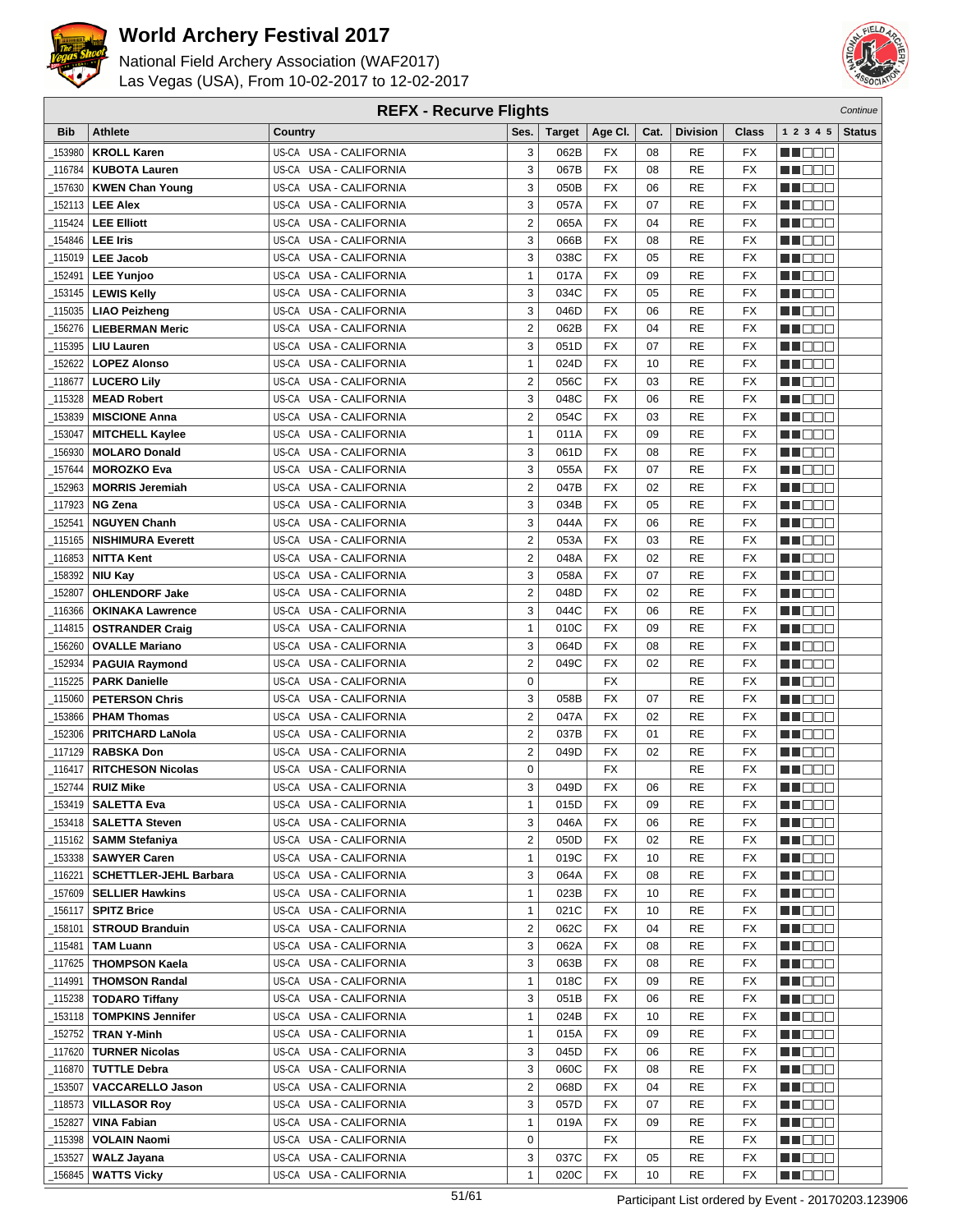



| <b>REFX - Recurve Flights</b> |                               |                                  |                         |               |                 |      |                 |                          |                  | Continue      |
|-------------------------------|-------------------------------|----------------------------------|-------------------------|---------------|-----------------|------|-----------------|--------------------------|------------------|---------------|
| <b>Bib</b>                    | <b>Athlete</b>                | Country                          | Ses.                    | <b>Target</b> | Age CI.         | Cat. | <b>Division</b> | Class                    | 1 2 3 4 5        | <b>Status</b> |
| 153980                        | <b>KROLL Karen</b>            | US-CA USA - CALIFORNIA           | 3                       | 062B          | FX              | 08   | RE              | FX                       | e de e           |               |
| 116784                        | <b>KUBOTA Lauren</b>          | US-CA USA - CALIFORNIA           | 3                       | 067B          | <b>FX</b>       | 08   | <b>RE</b>       | <b>FX</b>                | n i De E         |               |
| 157630                        | <b>KWEN Chan Young</b>        | US-CA USA - CALIFORNIA           | 3                       | 050B          | <b>FX</b>       | 06   | RE              | <b>FX</b>                | MOOO             |               |
| 152113                        | LEE Alex                      | US-CA USA - CALIFORNIA           | 3                       | 057A          | FX              | 07   | RE              | FX                       | MA DE E          |               |
| 115424                        | <b>LEE Elliott</b>            | US-CA USA - CALIFORNIA           | $\overline{2}$          | 065A          | <b>FX</b>       | 04   | RE              | <b>FX</b>                | n i Bele         |               |
| 154846                        | <b>LEE Iris</b>               | US-CA<br>USA - CALIFORNIA        | 3                       | 066B          | FX              | 08   | RE              | <b>FX</b>                | M DO B           |               |
|                               | 115019   LEE Jacob            | US-CA USA - CALIFORNIA           | 3                       | 038C          | <b>FX</b>       | 05   | RE              | FX                       | ME E E E         |               |
|                               |                               | US-CA USA - CALIFORNIA           | $\mathbf{1}$            | 017A          | <b>FX</b>       | 09   | RE              | <b>FX</b>                |                  |               |
| 152491                        | <b>LEE Yunjoo</b>             |                                  |                         |               |                 |      |                 |                          | MN 888           |               |
| 153145                        | <b>LEWIS Kelly</b>            | US-CA USA - CALIFORNIA           | 3                       | 034C          | FX              | 05   | RE              | <b>FX</b>                | MO DO O          |               |
| 115035_                       | <b>LIAO Peizheng</b>          | USA - CALIFORNIA<br>US-CA        | 3                       | 046D          | <b>FX</b>       | 06   | RE              | <b>FX</b>                | n i De E         |               |
| 156276                        | <b>LIEBERMAN Meric</b>        | US-CA USA - CALIFORNIA           | $\overline{2}$          | 062B          | <b>FX</b>       | 04   | <b>RE</b>       | <b>FX</b>                | MU DO B          |               |
| 115395                        | <b>LIU Lauren</b>             | US-CA USA - CALIFORNIA           | 3                       | 051D          | <b>FX</b>       | 07   | RE              | <b>FX</b>                | n i De E         |               |
| 152622                        | <b>LOPEZ Alonso</b>           | US-CA USA - CALIFORNIA           | $\mathbf{1}$            | 024D          | FX              | 10   | RE              | <b>FX</b>                | MA DE E          |               |
| 118677                        | <b>LUCERO Lily</b>            | US-CA USA - CALIFORNIA           | $\overline{2}$          | 056C          | <b>FX</b>       | 03   | RE              | <b>FX</b>                | MA DE C          |               |
| 115328                        | <b>MEAD Robert</b>            | US-CA<br>USA - CALIFORNIA        | 3                       | 048C          | FX              | 06   | <b>RE</b>       | <b>FX</b>                | MU DO B          |               |
| 153839                        | <b>MISCIONE Anna</b>          | US-CA USA - CALIFORNIA           | $\overline{2}$          | 054C          | <b>FX</b>       | 03   | <b>RE</b>       | FX                       | n i DDE          |               |
| 153047                        | <b>MITCHELL Kaylee</b>        | US-CA USA - CALIFORNIA           | $\mathbf{1}$            | 011A          | <b>FX</b>       | 09   | <b>RE</b>       | <b>FX</b>                | MO DO O          |               |
| 156930                        | <b>MOLARO Donald</b>          | US-CA USA - CALIFORNIA           | 3                       | 061D          | <b>FX</b>       | 08   | RE              | <b>FX</b>                | MA DE E          |               |
| 157644                        | <b>MOROZKO Eva</b>            | US-CA USA - CALIFORNIA           | 3                       | 055A          | <b>FX</b>       | 07   | RE              | <b>FX</b>                | M DO B           |               |
| 152963                        | <b>MORRIS Jeremiah</b>        | US-CA USA - CALIFORNIA           | $\overline{2}$          | 047B          | <b>FX</b>       | 02   | <b>RE</b>       | <b>FX</b>                | MN 888           |               |
| 117923                        | <b>NG Zena</b>                | US-CA USA - CALIFORNIA           | 3                       | 034B          | <b>FX</b>       | 05   | RE              | <b>FX</b>                | MT DE E          |               |
| 152541                        | <b>NGUYEN Chanh</b>           | US-CA USA - CALIFORNIA           | 3                       | 044A          | FX              | 06   | RE              | FX                       | M DE B           |               |
| 115165                        | <b>NISHIMURA Everett</b>      | US-CA USA - CALIFORNIA           | $\overline{2}$          | 053A          | <b>FX</b>       | 03   | RE              | FX                       | M DO B           |               |
| 116853                        | <b>NITTA Kent</b>             | US-CA<br>USA - CALIFORNIA        | $\overline{2}$          | 048A          | <b>FX</b>       | 02   | RE              | <b>FX</b>                | MA OO B          |               |
| 158392                        | <b>NIU Kay</b>                | US-CA USA - CALIFORNIA           | 3                       | 058A          | <b>FX</b>       | 07   | RE              | <b>FX</b>                | MN 888           |               |
| 152807                        | <b>OHLENDORF Jake</b>         | <b>USA - CALIFORNIA</b><br>US-CA | $\overline{\mathbf{c}}$ | 048D          | FX              | 02   | RE              | <b>FX</b>                | MO DO O          |               |
| 116366                        | <b>OKINAKA Lawrence</b>       | US-CA USA - CALIFORNIA           | 3                       | 044C          | <b>FX</b>       | 06   | <b>RE</b>       | <b>FX</b>                | MA DE S          |               |
| 114815                        | <b>OSTRANDER Craig</b>        | US-CA<br>USA - CALIFORNIA        | $\mathbf{1}$            | 010C          | <b>FX</b>       | 09   | RE              | <b>FX</b>                | W OOO            |               |
| 156260                        | <b>OVALLE Mariano</b>         | US-CA USA - CALIFORNIA           | 3                       | 064D          | <b>FX</b>       | 08   | RE              | <b>FX</b>                | MN 888           |               |
| 152934                        | <b>PAGUIA Raymond</b>         | US-CA USA - CALIFORNIA           | $\overline{2}$          | 049C          | <b>FX</b>       | 02   | RE              | <b>FX</b>                | n i Biblio       |               |
| 115225                        | <b>PARK Danielle</b>          | US-CA USA - CALIFORNIA           | $\mathbf 0$             |               | FX              |      | RE              | <b>FX</b>                | MA DE C          |               |
| 115060                        | <b>PETERSON Chris</b>         | US-CA USA - CALIFORNIA           | 3                       | 058B          | <b>FX</b>       | 07   | RE              | FX                       | MU DO B          |               |
| 153866                        | <b>PHAM Thomas</b>            | US-CA<br><b>USA - CALIFORNIA</b> | $\overline{2}$          | 047A          | FX              | 02   | RE              | <b>FX</b>                | n i DDE          |               |
| 152306                        | <b>PRITCHARD LaNola</b>       | US-CA USA - CALIFORNIA           | $\overline{2}$          | 037B          | <b>FX</b>       | 01   | RE              | <b>FX</b>                | MA DE E          |               |
| _117129                       | <b>RABSKA Don</b>             | US-CA USA - CALIFORNIA           | $\overline{2}$          | 049D          | FX              | 02   | RE              | FX                       | MA DE C          |               |
| 116417                        | <b>RITCHESON Nicolas</b>      | US-CA USA - CALIFORNIA           | 0                       |               | <b>FX</b>       |      | RE              | <b>FX</b>                | MU DE S          |               |
| 152744                        | <b>RUIZ Mike</b>              | US-CA USA - CALIFORNIA           | 3                       | 049D          | <b>FX</b>       | 06   | RE              | <b>FX</b>                | MN DO B          |               |
|                               | $-153419$ SALETTA Eva         | US-CA USA - CALIFORNIA           | 1                       | 015D          | $\overline{FX}$ | 09   | RE              | $\overline{\mathsf{FX}}$ | <b>NH</b> OOO    |               |
|                               | 153418   SALETTA Steven       | US-CA USA - CALIFORNIA           | 3                       | 046A          | FX              | 06   | RE              | FX                       | M DE S           |               |
|                               | _115162   SAMM Stefaniya      | US-CA USA - CALIFORNIA           | $\overline{2}$          | 050D          | FX              | 02   | RE              | FX                       | M DE E           |               |
|                               | _153338   SAWYER Caren        | US-CA USA - CALIFORNIA           | $\mathbf{1}$            | 019C          | FX              | 10   | RE              | FX                       | M DE S           |               |
| _116221                       | <b>SCHETTLER-JEHL Barbara</b> | US-CA USA - CALIFORNIA           | 3                       | 064A          | FX              | 08   | RE              | FX                       | <u>in ja sis</u> |               |
| _157609                       | <b>SELLIER Hawkins</b>        | US-CA USA - CALIFORNIA           | $\mathbf{1}$            | 023B          | FX              | 10   | RE              | FX                       | N DE B           |               |
|                               | _156117 <b>  SPITZ Brice</b>  | US-CA USA - CALIFORNIA           | 1                       | 021C          | FX              | 10   | RE              | FX                       | W OOO            |               |
| _158101                       | <b>STROUD Branduin</b>        | US-CA USA - CALIFORNIA           | $\overline{\mathbf{c}}$ | 062C          | FX              | 04   | RE              | FX                       | N DO O           |               |
| _115481                       | <b>TAM Luann</b>              | US-CA USA - CALIFORNIA           | 3                       | 062A          | FX              | 08   | RE              | FX                       | <u> Literatu</u> |               |
| 117625                        | <b>THOMPSON Kaela</b>         | US-CA USA - CALIFORNIA           | 3                       | 063B          | FX              | 08   | RE              | FX                       | M DE S           |               |
| _114991                       | <b>THOMSON Randal</b>         | US-CA USA - CALIFORNIA           | $\mathbf{1}$            | 018C          | FX              | 09   | RE              | FX                       | <u> HELLI</u>    |               |
|                               | 115238   TODARO Tiffany       | US-CA USA - CALIFORNIA           | 3                       | 051B          | FX              | 06   | RE              | FX                       | WU 88            |               |
| _153118                       | <b>TOMPKINS Jennifer</b>      | US-CA USA - CALIFORNIA           | $\mathbf{1}$            | 024B          | FX              | 10   | RE              | FX                       | MUOOO            |               |
| _152752                       | <b>TRAN Y-Minh</b>            | US-CA USA - CALIFORNIA           | $\mathbf{1}$            | 015A          | FX              | 09   | RE              | FX                       | <u> DEE</u>      |               |
| _117620                       | <b>TURNER Nicolas</b>         | US-CA USA - CALIFORNIA           | 3                       | 045D          | FX              | 06   | RE              | FX                       | M DE S           |               |
| _116870丨                      | <b>TUTTLE Debra</b>           | US-CA USA - CALIFORNIA           | 3                       | 060C          | FX              | 08   | RE              | FX                       | W OO D           |               |
| _153507                       | <b>VACCARELLO Jason</b>       | US-CA USA - CALIFORNIA           | $\overline{\mathbf{c}}$ | 068D          | FX              | 04   | RE              | FX                       | NN O O O         |               |
| _118573                       | <b>VILLASOR Roy</b>           | US-CA USA - CALIFORNIA           | 3                       | 057D          | FX              | 07   | RE              | FX                       | <u> Literatu</u> |               |
| 152827                        | <b>VINA Fabian</b>            | US-CA USA - CALIFORNIA           | $\mathbf{1}$            | 019A          | FX              | 09   | RE              | FX                       | <u> HELLI</u>    |               |
| _115398                       | <b>VOLAIN Naomi</b>           | US-CA USA - CALIFORNIA           | $\mathbf 0$             |               | FX              |      | RE              | FX                       | <u> HELEL</u>    |               |
| 153527                        | WALZ Jayana                   | US-CA USA - CALIFORNIA           | 3                       | 037C          | FX              | 05   | RE              | FX                       | M DE S           |               |
| 156845                        | <b>WATTS Vicky</b>            | US-CA USA - CALIFORNIA           | $\mathbf{1}$            | 020C          | FX              | 10   | RE              | FX                       | <b>MARGO</b>     |               |
|                               |                               |                                  |                         |               |                 |      |                 |                          |                  |               |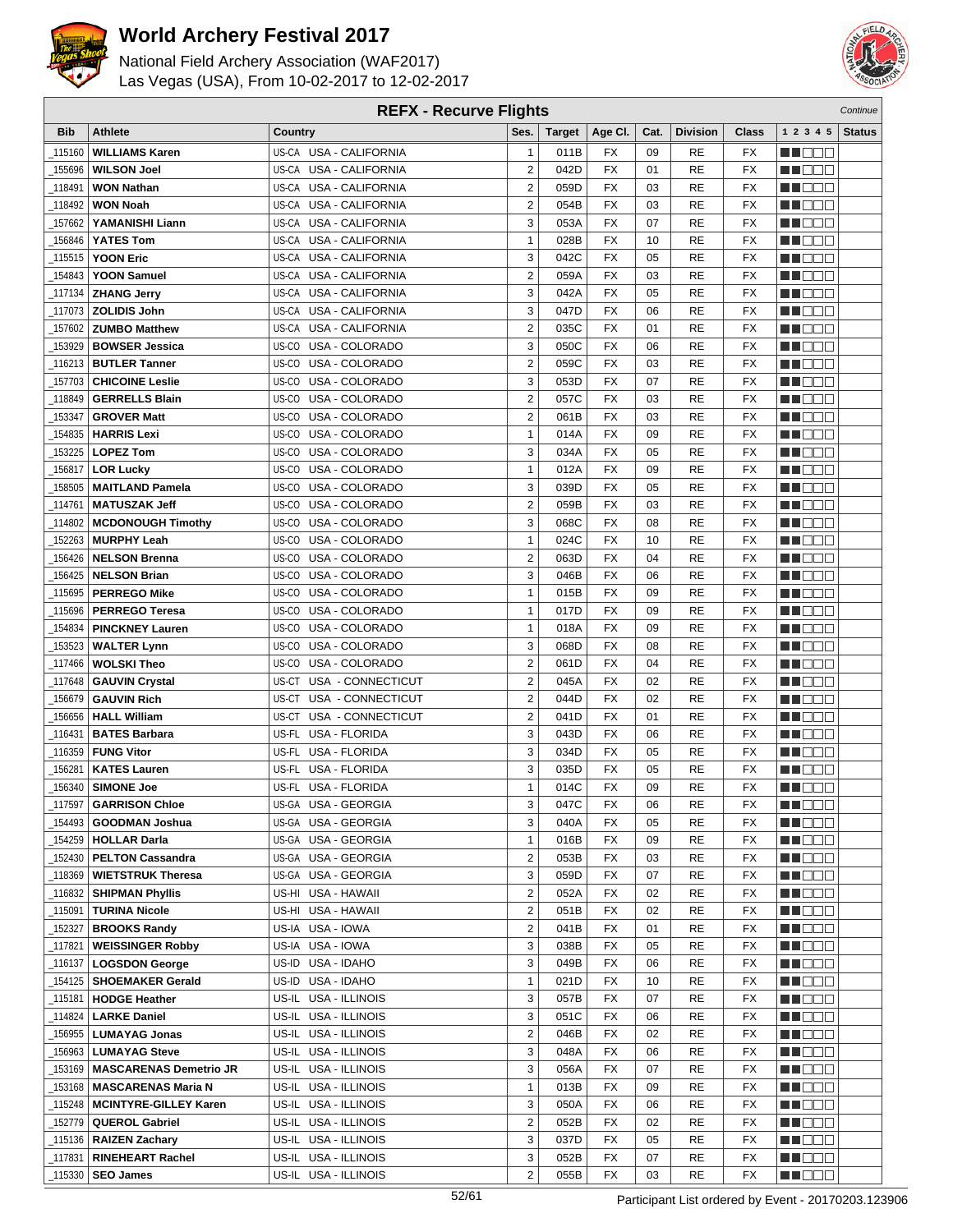



| <b>REFX - Recurve Flights</b> |                               |                                  |                         |               |                          |      |                 |                 | Continue          |               |
|-------------------------------|-------------------------------|----------------------------------|-------------------------|---------------|--------------------------|------|-----------------|-----------------|-------------------|---------------|
| <b>Bib</b>                    | <b>Athlete</b>                | Country                          | Ses.                    | <b>Target</b> | Age CI.                  | Cat. | <b>Division</b> | <b>Class</b>    | 1 2 3 4 5         | <b>Status</b> |
| 115160                        | <b>WILLIAMS Karen</b>         | US-CA USA - CALIFORNIA           | $\mathbf{1}$            | 011B          | FX                       | 09   | RE              | FX              | HI EE             |               |
| 155696                        | <b>WILSON Joel</b>            | US-CA USA - CALIFORNIA           | $\overline{2}$          | 042D          | ${\sf FX}$               | 01   | <b>RE</b>       | <b>FX</b>       | MU O O O          |               |
| 118491                        | <b>WON Nathan</b>             | US-CA USA - CALIFORNIA           | $\mathbf 2$             | 059D          | <b>FX</b>                | 03   | RE              | FX              | n i Ooc           |               |
| 118492                        | <b>WON Noah</b>               | US-CA USA - CALIFORNIA           | $\overline{2}$          | 054B          | <b>FX</b>                | 03   | <b>RE</b>       | FX              | MN 888            |               |
| 157662                        | YAMANISHI Liann               | US-CA USA - CALIFORNIA           | 3                       | 053A          | <b>FX</b>                | 07   | <b>RE</b>       | <b>FX</b>       | MU DE B           |               |
| 156846                        | <b>YATES Tom</b>              | US-CA<br><b>USA - CALIFORNIA</b> | $\mathbf{1}$            | 028B          | <b>FX</b>                | 10   | <b>RE</b>       | <b>FX</b>       | M OO O            |               |
| 115515                        | <b>YOON Eric</b>              | US-CA USA - CALIFORNIA           | 3                       | 042C          | <b>FX</b>                | 05   | RE              | FX              | MN DO B           |               |
| 154843                        | <b>YOON Samuel</b>            | US-CA USA - CALIFORNIA           | $\overline{2}$          | 059A          | FX                       | 03   | <b>RE</b>       | FX              | MN OO B           |               |
| 117134                        | <b>ZHANG Jerry</b>            | US-CA USA - CALIFORNIA           | 3                       | 042A          | <b>FX</b>                | 05   | <b>RE</b>       | FX              | M DOO             |               |
| 117073                        | <b>ZOLIDIS John</b>           | US-CA USA - CALIFORNIA           | 3                       | 047D          | <b>FX</b>                | 06   | <b>RE</b>       | FX              | MU DO B           |               |
| 157602                        | <b>ZUMBO Matthew</b>          | US-CA USA - CALIFORNIA           | $\overline{2}$          | 035C          | <b>FX</b>                | 01   | <b>RE</b>       | FX              | MU DO B           |               |
| 153929                        | <b>BOWSER Jessica</b>         | US-CO USA - COLORADO             | 3                       | 050C          | <b>FX</b>                | 06   | RE              | FX              | M DE S            |               |
| 116213                        | <b>BUTLER Tanner</b>          | US-CO USA - COLORADO             | $\overline{2}$          | 059C          | FX                       | 03   | <b>RE</b>       | FX              | n i Bele          |               |
|                               | <b>CHICOINE Leslie</b>        | US-CO USA - COLORADO             | 3                       | 053D          | FX                       | 07   | RE              | FX              | MA DE L           |               |
| 157703                        | <b>GERRELLS Blain</b>         | US-CO<br>USA - COLORADO          | $\overline{2}$          | 057C          |                          | 03   |                 |                 |                   |               |
| 118849                        |                               | US-CO USA - COLORADO             | $\overline{2}$          |               | FX<br>FX                 | 03   | <b>RE</b>       | FX<br>FX        | M DE O            |               |
| 153347                        | <b>GROVER Matt</b>            |                                  |                         | 061B          |                          |      | RE              |                 | n i DDE           |               |
| 154835                        | <b>HARRIS Lexi</b>            | US-CO USA - COLORADO             | $\mathbf{1}$            | 014A          | FX                       | 09   | <b>RE</b>       | FX              | MN OO O           |               |
| 153225                        | <b>LOPEZ Tom</b>              | US-CO USA - COLORADO             | 3                       | 034A          | <b>FX</b>                | 05   | <b>RE</b>       | FX              | MU DO O           |               |
| 156817                        | <b>LOR Lucky</b>              | US-CO USA - COLORADO             | $\mathbf{1}$            | 012A          | <b>FX</b>                | 09   | <b>RE</b>       | FX              | MU DO B           |               |
| 158505                        | <b>MAITLAND Pamela</b>        | US-CO USA - COLORADO             | 3                       | 039D          | <b>FX</b>                | 05   | <b>RE</b>       | FX              | MU DE B           |               |
| 114761                        | <b>MATUSZAK Jeff</b>          | US-CO USA - COLORADO             | $\mathbf 2$             | 059B          | <b>FX</b>                | 03   | RE              | FX              | MN D D D          |               |
| 114802                        | <b>MCDONOUGH Timothy</b>      | US-CO USA - COLORADO             | 3                       | 068C          | FX                       | 08   | RE              | FX              | <b>HELLO</b>      |               |
| 152263                        | <b>MURPHY Leah</b>            | USA - COLORADO<br>US-CO          | $\mathbf{1}$            | 024C          | <b>FX</b>                | 10   | RE              | FX              | MA EL B           |               |
| 156426                        | <b>NELSON Brenna</b>          | US-CO<br>USA - COLORADO          | $\overline{2}$          | 063D          | <b>FX</b>                | 04   | <b>RE</b>       | FX              | M O O O           |               |
| 156425                        | <b>NELSON Brian</b>           | US-CO USA - COLORADO             | 3                       | 046B          | FX                       | 06   | RE              | FX              | MN 888            |               |
| 115695                        | <b>PERREGO Mike</b>           | USA - COLORADO<br>US-CO          | $\mathbf{1}$            | 015B          | <b>FX</b>                | 09   | RE              | FX              | MA DOO            |               |
| 115696                        | <b>PERREGO Teresa</b>         | US-CO USA - COLORADO             | $\mathbf{1}$            | 017D          | <b>FX</b>                | 09   | <b>RE</b>       | FX              | MU DO O           |               |
| 154834                        | <b>PINCKNEY Lauren</b>        | USA - COLORADO<br>US-CO          | $\mathbf{1}$            | 018A          | <b>FX</b>                | 09   | <b>RE</b>       | FX              | MU DO B           |               |
| 153523                        | <b>WALTER Lynn</b>            | US-CO USA - COLORADO             | 3                       | 068D          | ${\sf FX}$               | 08   | <b>RE</b>       | FX              | MUOOO             |               |
| 117466                        | <b>WOLSKI Theo</b>            | US-CO USA - COLORADO             | $\overline{2}$          | 061D          | <b>FX</b>                | 04   | <b>RE</b>       | FX              | e de e            |               |
| 117648                        | <b>GAUVIN Crystal</b>         | US-CT USA - CONNECTICUT          | $\overline{2}$          | 045A          | <b>FX</b>                | 02   | <b>RE</b>       | FX              | MA DE C           |               |
| 156679                        | <b>GAUVIN Rich</b>            | USA - CONNECTICUT<br>US-CT       | $\overline{2}$          | 044D          | <b>FX</b>                | 02   | <b>RE</b>       | FX              | M DE O            |               |
| 156656                        | <b>HALL William</b>           | US-CT<br>USA - CONNECTICUT       | $\overline{2}$          | 041D          | <b>FX</b>                | 01   | <b>RE</b>       | <b>FX</b>       | M DO O            |               |
| 116431                        | <b>BATES Barbara</b>          | US-FL USA - FLORIDA              | 3                       | 043D          | <b>FX</b>                | 06   | <b>RE</b>       | FX              | MU DO O           |               |
| 116359                        | <b>FUNG Vitor</b>             | US-FL USA - FLORIDA              | 3                       | 034D          | <b>FX</b>                | 05   | RE              | FX              | MA DE C           |               |
| 156281                        | <b>KATES Lauren</b>           | US-FL USA - FLORIDA              | 3                       | 035D          | <b>FX</b>                | 05   | <b>RE</b>       | FX              | MU DEL            |               |
| 156340                        | <b>SIMONE Joe</b>             | US-FL USA - FLORIDA              | $\mathbf{1}$            | 014C          | <b>FX</b>                | 09   | <b>RE</b>       | <b>FX</b>       | MN DO B           |               |
| $\_117597$                    | <b>GARRISON Chloe</b>         | US-GA USA - GEORGIA              | 3                       | 047C          | $\overline{\mathsf{FX}}$ | 06   | RE              | $\overline{FX}$ | <b>BECOO</b>      |               |
| 154493                        | <b>GOODMAN Joshua</b>         | US-GA USA - GEORGIA              | 3                       | 040A          | <b>FX</b>                | 05   | RE              | FX              | <u>Li Bec</u>     |               |
| _154259                       | <b>HOLLAR Darla</b>           | US-GA USA - GEORGIA              | $\mathbf{1}$            | 016B          | FX                       | 09   | RE              | FX              | WU O O O          |               |
| 152430                        | <b>PELTON Cassandra</b>       | US-GA USA - GEORGIA              | $\overline{2}$          | 053B          | <b>FX</b>                | 03   | RE              | FX              | MUOOO             |               |
| _118369                       | <b>WIETSTRUK Theresa</b>      | US-GA USA - GEORGIA              | 3                       | 059D          | FX                       | 07   | RE              | FX              | M DE LU           |               |
| _116832                       | <b>SHIPMAN Phyllis</b>        | US-HI USA - HAWAII               | $\overline{\mathbf{c}}$ | 052A          | FX                       | 02   | RE              | FX              | <b>MA</b> DOO     |               |
| _115091                       | <b>TURINA Nicole</b>          | US-HI USA - HAWAII               | $\overline{2}$          | 051B          | FX                       | 02   | RE              | FX              | <u>Li de la</u>   |               |
| 152327                        | <b>BROOKS Randy</b>           | US-IA USA - IOWA                 | $\overline{\mathbf{c}}$ | 041B          | FX                       | 01   | RE              | FX              | MOOO I            |               |
| _117821                       | <b>WEISSINGER Robby</b>       | US-IA USA - IOWA                 | 3                       | 038B          | FX                       | 05   | RE              | FX              | <u> Here e</u>    |               |
| _116137                       | <b>LOGSDON George</b>         | US-ID USA - IDAHO                | 3                       | 049B          | FX                       | 06   | <b>RE</b>       | FX              | <u>Li Ber</u>     |               |
|                               | 154125   SHOEMAKER Gerald     | US-ID USA - IDAHO                | $\mathbf{1}$            | 021D          | FX                       | 10   | RE              | FX              | MU DO O I         |               |
| _115181                       | <b>HODGE Heather</b>          | US-IL USA - ILLINOIS             | 3                       | 057B          | FX                       | 07   | RE              | FX              | WU 88             |               |
| _114824                       | <b>LARKE Daniel</b>           | US-IL USA - ILLINOIS             | 3                       | 051C          | FX                       | 06   | RE              | FX              | MUOOO             |               |
| _156955                       | <b>LUMAYAG Jonas</b>          | US-IL USA - ILLINOIS             | $\overline{2}$          | 046B          | FX                       | 02   | RE              | FX              | M DE LU           |               |
| 156963                        | <b>LUMAYAG Steve</b>          | US-IL USA - ILLINOIS             | 3                       | 048A          | FX                       | 06   | RE              | FX              | MU DE EL          |               |
| _153169                       | <b>MASCARENAS Demetrio JR</b> | US-IL USA - ILLINOIS             | 3                       | 056A          | FX                       | 07   | RE              | FX              | ME SE S           |               |
| _153168                       | <b>MASCARENAS Maria N</b>     | US-IL USA - ILLINOIS             | $\mathbf{1}$            | 013B          | FX                       | 09   | RE              | FX              | MU DO D           |               |
| _115248                       | <b>MCINTYRE-GILLEY Karen</b>  | US-IL USA - ILLINOIS             | 3                       | 050A          | FX                       | 06   | RE              | FX              | <u>Li de la</u>   |               |
| _152779                       | <b>QUEROL Gabriel</b>         | US-IL USA - ILLINOIS             | $\overline{\mathbf{c}}$ | 052B          | FX                       | 02   | <b>RE</b>       | FX              | <u> Literatur</u> |               |
|                               | 115136   RAIZEN Zachary       | US-IL USA - ILLINOIS             | 3                       | 037D          | FX                       | 05   | RE              | FX              | MU DELI           |               |
| _117831                       | <b>RINEHEART Rachel</b>       | US-IL USA - ILLINOIS             | 3                       | 052B          | FX                       | 07   | RE              | FX              | ME SE             |               |
| _115330                       | <b>SEO James</b>              | US-IL USA - ILLINOIS             | $\overline{2}$          | 055B          | FX                       | 03   | RE              | FX              | <b>MA</b> OOO     |               |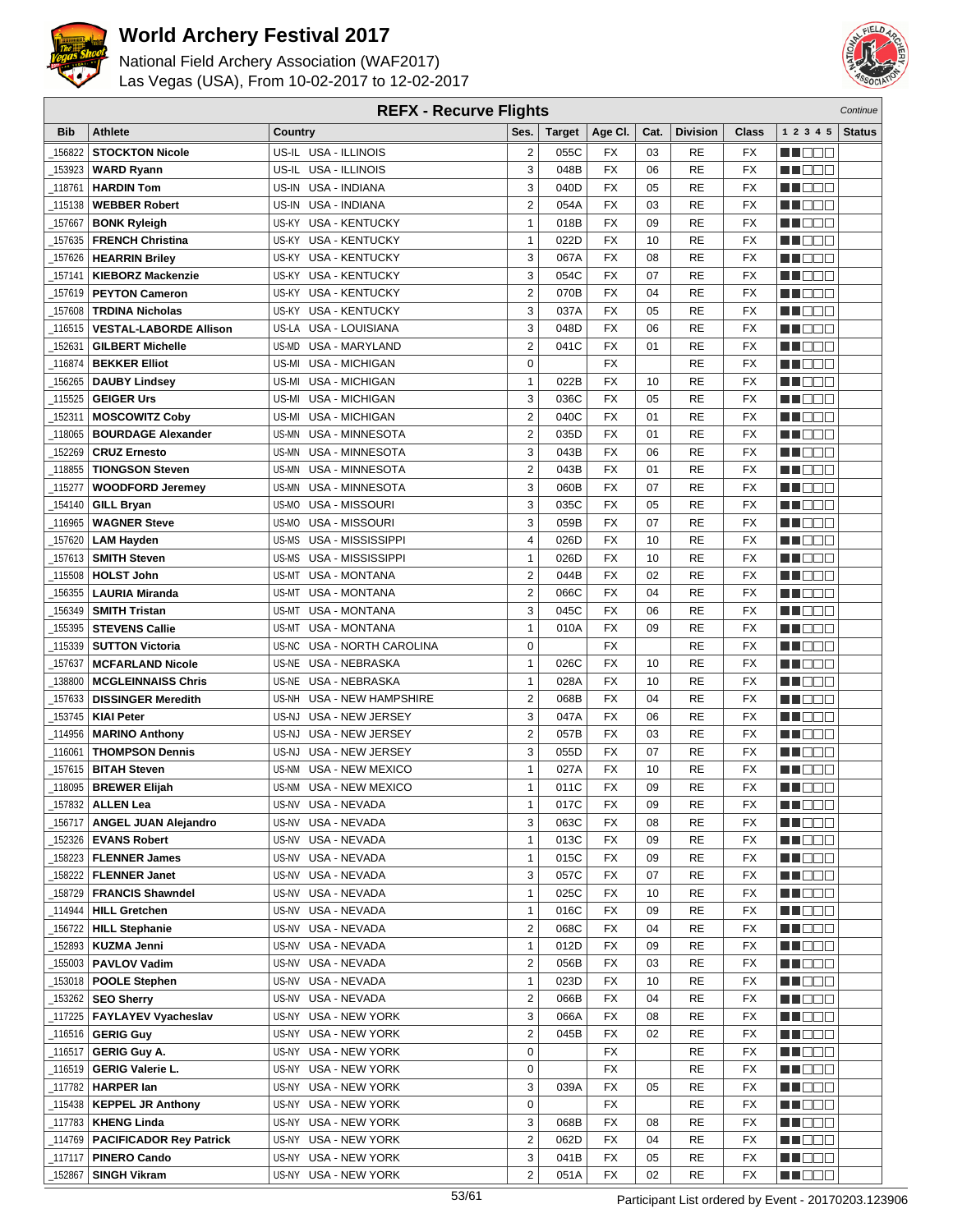



| <b>REFX - Recurve Flights</b> |                                                 |                                          |                                         |               |                 |      |                 |                          |                      | Continue      |
|-------------------------------|-------------------------------------------------|------------------------------------------|-----------------------------------------|---------------|-----------------|------|-----------------|--------------------------|----------------------|---------------|
| <b>Bib</b>                    | <b>Athlete</b>                                  | Country                                  | Ses.                                    | <b>Target</b> | Age CI.         | Cat. | <b>Division</b> | <b>Class</b>             | 1 2 3 4 5            | <b>Status</b> |
| 156822                        | <b>STOCKTON Nicole</b>                          | US-IL USA - ILLINOIS                     | $\boldsymbol{2}$                        | 055C          | FX              | 03   | RE              | FX                       | e de e               |               |
| 153923                        | <b>WARD Ryann</b>                               | US-IL USA - ILLINOIS                     | 3                                       | 048B          | <b>FX</b>       | 06   | <b>RE</b>       | <b>FX</b>                | n in Biblio          |               |
| 118761                        | <b>HARDIN Tom</b>                               | US-IN USA - INDIANA                      | 3                                       | 040D          | <b>FX</b>       | 05   | RE              | <b>FX</b>                | MOOO                 |               |
| 115138                        | <b>WEBBER Robert</b>                            | US-IN USA - INDIANA                      | 2                                       | 054A          | <b>FX</b>       | 03   | RE              | FX                       | MN 888               |               |
| 157667                        | <b>BONK Ryleigh</b>                             | <b>USA - KENTUCKY</b><br>US-KY           | $\mathbf{1}$                            | 018B          | <b>FX</b>       | 09   | RE              | <b>FX</b>                | <b>HELL</b>          |               |
| 157635                        | <b>FRENCH Christina</b>                         | US-KY<br><b>USA - KENTUCKY</b>           | $\mathbf{1}$                            | 022D          | <b>FX</b>       | 10   | RE              | <b>FX</b>                | MU OO O              |               |
| _157626                       | <b>HEARRIN Briley</b>                           | US-KY USA - KENTUCKY                     | 3                                       | 067A          | <b>FX</b>       | 08   | RE              | <b>FX</b>                | MA OO B              |               |
|                               |                                                 | <b>USA - KENTUCKY</b><br>US-KY           | 3                                       | 054C          | <b>FX</b>       | 07   | RE              | <b>FX</b>                |                      |               |
| 157141                        | <b>KIEBORZ Mackenzie</b>                        |                                          |                                         |               | <b>FX</b>       |      |                 |                          | MN 888               |               |
| 157619                        | <b>PEYTON Cameron</b>                           | <b>USA - KENTUCKY</b><br>US-KY           | $\overline{2}$                          | 070B          |                 | 04   | RE              | <b>FX</b>                | MO DO O              |               |
| 157608                        | <b>TRDINA Nicholas</b>                          | <b>USA - KENTUCKY</b><br>US-KY           | 3                                       | 037A          | <b>FX</b>       | 05   | <b>RE</b>       | <b>FX</b>                | M DEE                |               |
| 116515                        | <b>VESTAL-LABORDE Allison</b>                   | US-LA USA - LOUISIANA                    | 3                                       | 048D          | <b>FX</b>       | 06   | <b>RE</b>       | <b>FX</b>                | MU DO B              |               |
| 152631                        | <b>GILBERT Michelle</b>                         | US-MD USA - MARYLAND                     | $\overline{2}$                          | 041C          | <b>FX</b>       | 01   | RE              | <b>FX</b>                | MN D D D             |               |
| 116874                        | <b>BEKKER Elliot</b>                            | US-MI<br><b>USA - MICHIGAN</b>           | $\mathbf 0$                             |               | FX              |      | RE              | <b>FX</b>                | MA DE E              |               |
| 156265                        | <b>DAUBY Lindsey</b>                            | US-MI<br>USA - MICHIGAN                  | $\mathbf{1}$                            | 022B          | <b>FX</b>       | 10   | RE              | <b>FX</b>                | M D D D              |               |
| 115525                        | <b>GEIGER Urs</b>                               | US-MI<br><b>USA - MICHIGAN</b>           | 3                                       | 036C          | <b>FX</b>       | 05   | RE              | <b>FX</b>                | MU DO B              |               |
| _152311                       | <b>MOSCOWITZ Coby</b>                           | <b>USA - MICHIGAN</b><br>US-MI           | $\overline{2}$                          | 040C          | <b>FX</b>       | 01   | RE              | <b>FX</b>                | MN 888               |               |
| 118065                        | <b>BOURDAGE Alexander</b>                       | <b>USA - MINNESOTA</b><br>US-MN          | $\overline{2}$                          | 035D          | FX              | 01   | RE              | FX                       | MA DE E              |               |
| 152269                        | <b>CRUZ Ernesto</b>                             | <b>USA - MINNESOTA</b><br>US-MN          | 3                                       | 043B          | <b>FX</b>       | 06   | RE              | <b>FX</b>                | MU DO O              |               |
| 118855                        | <b>TIONGSON Steven</b>                          | USA - MINNESOTA<br>US-MN                 | $\overline{2}$                          | 043B          | <b>FX</b>       | 01   | <b>RE</b>       | <b>FX</b>                | M DO B               |               |
| 115277                        | <b>WOODFORD Jeremey</b>                         | US-MN USA - MINNESOTA                    | 3                                       | 060B          | <b>FX</b>       | 07   | <b>RE</b>       | <b>FX</b>                | MN DO B              |               |
| 154140                        | <b>GILL Bryan</b>                               | US-MO USA - MISSOURI                     | 3                                       | 035C          | <b>FX</b>       | 05   | RE              | <b>FX</b>                | MT DE E              |               |
| 116965                        | <b>WAGNER Steve</b>                             | USA - MISSOURI<br>US-MO                  | 3                                       | 059B          | <b>FX</b>       | 07   | RE              | <b>FX</b>                | <b>HELLO</b>         |               |
| 157620                        | <b>LAM Hayden</b>                               | US-MS<br>USA - MISSISSIPPI               | 4                                       | 026D          | <b>FX</b>       | 10   | RE              | <b>FX</b>                | ME E E E             |               |
| 157613                        | <b>SMITH Steven</b>                             | US-MS<br>USA - MISSISSIPPI               | $\mathbf{1}$                            | 026D          | <b>FX</b>       | 10   | RE              | <b>FX</b>                | MA OO B              |               |
| 115508                        | <b>HOLST John</b>                               | <b>USA - MONTANA</b><br>US-MT            | $\overline{2}$                          | 044B          | <b>FX</b>       | 02   | RE              | <b>FX</b>                | MN 888               |               |
| 156355                        | <b>LAURIA Miranda</b>                           | <b>USA - MONTANA</b><br>US-MT            | $\overline{2}$                          | 066C          | <b>FX</b>       | 04   | RE              | <b>FX</b>                | MN OO O              |               |
| 156349                        | <b>SMITH Tristan</b>                            | <b>USA - MONTANA</b><br>US-MT            | 3                                       | 045C          | <b>FX</b>       | 06   | <b>RE</b>       | <b>FX</b>                | MU DO O              |               |
| 155395                        | <b>STEVENS Callie</b>                           | <b>USA - MONTANA</b><br>US-MT            | $\mathbf{1}$                            | 010A          | <b>FX</b>       | 09   | <b>RE</b>       | <b>FX</b>                | MU DO B              |               |
| _115339                       | <b>SUTTON Victoria</b>                          | US-NC USA - NORTH CAROLINA               | 0                                       |               | <b>FX</b>       |      | <b>RE</b>       | <b>FX</b>                | MN OO B              |               |
| 157637                        | <b>MCFARLAND Nicole</b>                         | US-NE USA - NEBRASKA                     | $\mathbf{1}$                            | 026C          | <b>FX</b>       | 10   | RE              | <b>FX</b>                | n de de              |               |
| 138800                        | <b>MCGLEINNAISS Chris</b>                       | US-NE USA - NEBRASKA                     | $\mathbf{1}$                            | 028A          | FX              | 10   | RE              | <b>FX</b>                | MA DE C              |               |
| 157633                        | <b>DISSINGER Meredith</b>                       | US-NH<br>USA - NEW HAMPSHIRE             | $\overline{2}$                          | 068B          | <b>FX</b>       | 04   | <b>RE</b>       | FX                       | MU DO B              |               |
| 153745                        | <b>KIAI Peter</b>                               | US-NJ<br>USA - NEW JERSEY                | 3                                       | 047A          | FX              | 06   | RE              | <b>FX</b>                | MN 888               |               |
| 114956                        | <b>MARINO Anthony</b>                           | USA - NEW JERSEY<br>US-NJ                | $\overline{2}$                          | 057B          | <b>FX</b>       | 03   | RE              | <b>FX</b>                | MA DE E              |               |
| 116061                        | <b>THOMPSON Dennis</b>                          | USA - NEW JERSEY<br>US-NJ                | 3                                       | 055D          | <b>FX</b>       | 07   | RE              | FX                       | M D D D              |               |
| 157615                        | <b>BITAH Steven</b>                             | <b>USA - NEW MEXICO</b><br>US-NM         | $\mathbf{1}$                            | 027A          | <b>FX</b>       | 10   | RE              | <b>FX</b>                | MU DE S              |               |
| 118095                        | <b>BREWER Elijah</b>                            | US-NM USA - NEW MEXICO                   | $\mathbf{1}$                            | 011C          | <b>FX</b>       | 09   | <b>RE</b>       | <b>FX</b>                | MN DO B              |               |
|                               | $\_$ 157832 ALLEN Lea                           | US-NV USA - NEVADA                       | 1                                       | 017C          | $\overline{FX}$ | 09   | <b>RE</b>       | $\overline{\mathsf{FX}}$ | <b>HOOD</b>          |               |
| 156717_                       | <b>ANGEL JUAN Alejandro</b>                     | US-NV USA - NEVADA                       | 3                                       | 063C          | FX              | 08   | RE              | FX                       | M DE S               |               |
|                               |                                                 |                                          | $\mathbf{1}$                            |               | FX              | 09   | RE              | FX                       |                      |               |
| 152326<br>_158223             | <b>EVANS Robert</b><br><b>FLENNER James</b>     | US-NV USA - NEVADA<br>US-NV USA - NEVADA | $\mathbf{1}$                            | 013C<br>015C  | FX              | 09   | <b>RE</b>       | FX                       | WU O O O<br>MUOOO    |               |
| _158222                       |                                                 | US-NV USA - NEVADA                       | 3                                       | 057C          | FX              | 07   | RE              | FX                       |                      |               |
|                               | <b>FLENNER Janet</b><br><b>FRANCIS Shawndel</b> | US-NV USA - NEVADA                       | $\mathbf{1}$                            | 025C          | FX              | 10   | <b>RE</b>       | FX                       | <u>in ja sis</u>     |               |
| _158729                       |                                                 |                                          | $\mathbf{1}$                            |               |                 | 09   |                 |                          | <u>Li Bee</u>        |               |
| _114944                       | <b>HILL Gretchen</b>                            | US-NV USA - NEVADA                       |                                         | 016C          | FX              |      | RE              | FX                       | W OOO                |               |
| 156722                        | <b>HILL Stephanie</b>                           | US-NV USA - NEVADA                       | $\overline{\mathbf{c}}$<br>$\mathbf{1}$ | 068C          | FX              | 04   | <b>RE</b>       | FX                       | MU O O O             |               |
| _152893                       | <b>KUZMA Jenni</b>                              | US-NV USA - NEVADA                       |                                         | 012D          | FX              | 09   | <b>RE</b>       | FX                       | <u>in ja sis</u>     |               |
| _155003                       | <b>PAVLOV Vadim</b>                             | US-NV USA - NEVADA                       | $\overline{\mathbf{c}}$                 | 056B          | FX              | 03   | RE              | FX                       | MA E E E             |               |
|                               | 153018   POOLE Stephen                          | US-NV USA - NEVADA                       | $\mathbf{1}$                            | 023D          | FX              | 10   | <b>RE</b>       | FX                       | <u>LI OOD</u>        |               |
| 153262                        | <b>SEO Sherry</b>                               | US-NV USA - NEVADA                       | $\overline{2}$                          | 066B          | FX              | 04   | RE              | FX                       | WU 88                |               |
| _117225                       | <b>FAYLAYEV Vyacheslav</b>                      | US-NY USA - NEW YORK                     | 3                                       | 066A          | FX              | 08   | RE              | FX                       | MUOOO                |               |
| _116516                       | <b>GERIG Guy</b>                                | <b>USA - NEW YORK</b><br>US-NY           | $\overline{2}$                          | 045B          | FX              | 02   | RE              | FX                       | <u> El Ser</u>       |               |
| _116517                       | <b>GERIG Guy A.</b>                             | US-NY USA - NEW YORK                     | 0                                       |               | FX              |      | <b>RE</b>       | FX                       | <u>Li Sec</u>        |               |
| _116519                       | <b>GERIG Valerie L.</b>                         | US-NY USA - NEW YORK                     | 0                                       |               | FX              |      | RE              | FX                       | WU 88                |               |
| _117782                       | <b>HARPER lan</b>                               | US-NY USA - NEW YORK                     | 3                                       | 039A          | FX              | 05   | RE              | FX                       | NN O O O             |               |
| _115438                       | <b>KEPPEL JR Anthony</b>                        | US-NY USA - NEW YORK                     | 0                                       |               | FX              |      | RE              | FX                       | <u>in din Biblio</u> |               |
| _117783                       | <b>KHENG Linda</b>                              | US-NY USA - NEW YORK                     | 3                                       | 068B          | FX              | 08   | RE              | FX                       | <u>LI DEB</u>        |               |
| _114769                       | <b>PACIFICADOR Rey Patrick</b>                  | US-NY USA - NEW YORK                     | $\overline{\mathbf{c}}$                 | 062D          | FX              | 04   | RE              | FX                       | WU O O O             |               |
| _117117                       | <b>PINERO Cando</b>                             | US-NY USA - NEW YORK                     | 3                                       | 041B          | FX              | 05   | RE              | FX                       | MUOOO                |               |
| _152867                       | <b>SINGH Vikram</b>                             | US-NY USA - NEW YORK                     | $\overline{2}$                          | 051A          | FX              | 02   | RE              | FX                       | MU DO D              |               |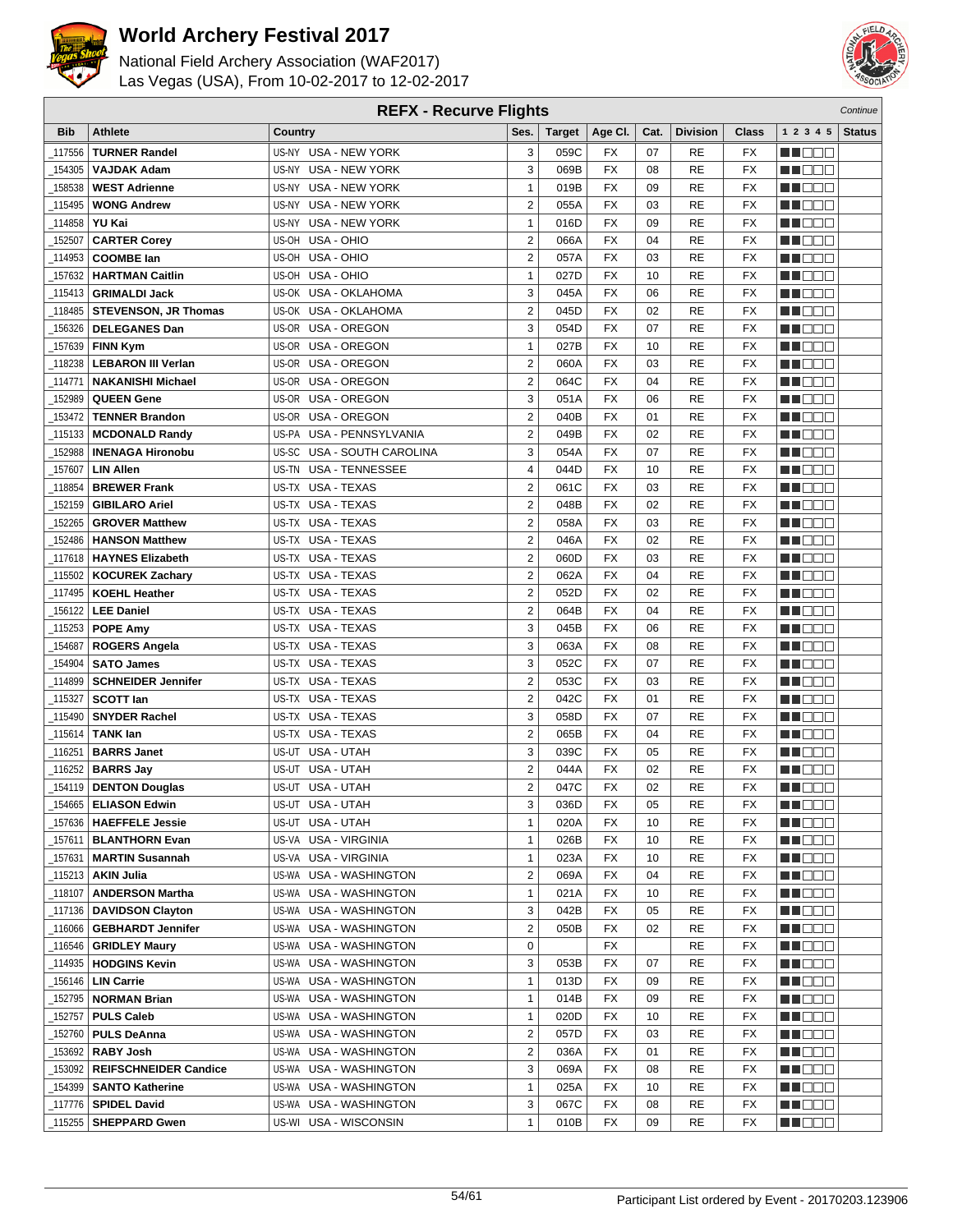



| <b>REFX - Recurve Flights</b> |                                              |                                |                         |        |                          |      |                 |                 | Continue       |               |
|-------------------------------|----------------------------------------------|--------------------------------|-------------------------|--------|--------------------------|------|-----------------|-----------------|----------------|---------------|
| <b>Bib</b>                    | <b>Athlete</b>                               | Country                        | Ses.                    | Target | Age CI.                  | Cat. | <b>Division</b> | <b>Class</b>    | 1 2 3 4 5      | <b>Status</b> |
| 117556                        | <b>TURNER Randel</b>                         | US-NY USA - NEW YORK           | 3                       | 059C   | FX                       | 07   | RE              | FX              | HI EE E        |               |
| 154305                        | <b>VAJDAK Adam</b>                           | US-NY USA - NEW YORK           | 3                       | 069B   | <b>FX</b>                | 08   | <b>RE</b>       | <b>FX</b>       | MU DE S        |               |
| 158538                        | <b>WEST Adrienne</b>                         | US-NY USA - NEW YORK           | $\mathbf{1}$            | 019B   | <b>FX</b>                | 09   | <b>RE</b>       | FX              | n i de e       |               |
| 115495                        | <b>WONG Andrew</b>                           | US-NY USA - NEW YORK           | $\overline{\mathbf{c}}$ | 055A   | <b>FX</b>                | 03   | <b>RE</b>       | FX              | MU O O O       |               |
| 114858                        | YU Kai                                       | <b>USA - NEW YORK</b><br>US-NY | $\mathbf{1}$            | 016D   | <b>FX</b>                | 09   | <b>RE</b>       | FX              | ME DE L        |               |
| 152507                        | <b>CARTER Corey</b>                          | US-OH<br>USA - OHIO            | $\overline{2}$          | 066A   | <b>FX</b>                | 04   | <b>RE</b>       | <b>FX</b>       | MA DE E        |               |
| 114953                        | <b>COOMBE lan</b>                            | US-OH USA - OHIO               | $\overline{2}$          | 057A   | <b>FX</b>                | 03   | <b>RE</b>       | FX              | M O O O        |               |
| 157632                        | <b>HARTMAN Caitlin</b>                       | US-OH USA - OHIO               | $\mathbf{1}$            | 027D   | <b>FX</b>                | 10   | <b>RE</b>       | FX              | MU DEL         |               |
| 115413                        | <b>GRIMALDI Jack</b>                         | US-OK USA - OKLAHOMA           | 3                       | 045A   | <b>FX</b>                | 06   | <b>RE</b>       | FX              | MN OO O        |               |
| 118485                        | <b>STEVENSON, JR Thomas</b>                  | US-OK USA - OKLAHOMA           | $\overline{2}$          | 045D   | <b>FX</b>                | 02   | <b>RE</b>       | FX              | MA DE E        |               |
| 156326                        | <b>DELEGANES Dan</b>                         | US-OR USA - OREGON             | 3                       | 054D   | <b>FX</b>                | 07   | <b>RE</b>       | <b>FX</b>       | M OOO          |               |
| 157639                        | FINN Kym                                     | US-OR USA - OREGON             | $\mathbf{1}$            | 027B   | <b>FX</b>                | 10   | <b>RE</b>       | FX              | NN O O O       |               |
| 118238                        | <b>LEBARON III Verlan</b>                    | US-OR USA - OREGON             | $\boldsymbol{2}$        | 060A   | <b>FX</b>                | 03   | <b>RE</b>       | FX              | MU DE B        |               |
| 114771                        | <b>NAKANISHI Michael</b>                     | US-OR USA - OREGON             | $\overline{2}$          | 064C   | <b>FX</b>                | 04   | <b>RE</b>       | FX              | M DE S         |               |
| 152989                        | <b>QUEEN Gene</b>                            | US-OR<br>USA - OREGON          | 3                       | 051A   | <b>FX</b>                | 06   | <b>RE</b>       | FX              | MU O O U       |               |
| 153472                        | <b>TENNER Brandon</b>                        | US-OR USA - OREGON             | $\overline{2}$          | 040B   | <b>FX</b>                | 01   | <b>RE</b>       | FX              | N I O O O      |               |
| 115133                        | <b>MCDONALD Randy</b>                        | US-PA USA - PENNSYLVANIA       | $\overline{2}$          | 049B   | <b>FX</b>                | 02   | <b>RE</b>       | FX              | NN DE E        |               |
| 152988                        | <b>INENAGA Hironobu</b>                      | US-SC USA - SOUTH CAROLINA     | 3                       | 054A   | <b>FX</b>                | 07   | <b>RE</b>       | FX              | MU DO O        |               |
| 157607                        | <b>LIN Allen</b>                             | US-TN USA - TENNESSEE          | $\overline{\mathbf{4}}$ | 044D   | <b>FX</b>                | 10   | <b>RE</b>       | <b>FX</b>       | MU O O O       |               |
| 118854                        | <b>BREWER Frank</b>                          | US-TX USA - TEXAS              | $\overline{2}$          | 061C   | <b>FX</b>                | 03   | <b>RE</b>       | FX              | MU DO U        |               |
| 152159                        | <b>GIBILARO Ariel</b>                        | US-TX USA - TEXAS              | $\overline{2}$          | 048B   | <b>FX</b>                | 02   | <b>RE</b>       | FX              | NN O O O       |               |
| 152265                        | <b>GROVER Matthew</b>                        | US-TX USA - TEXAS              | $\overline{\mathbf{c}}$ | 058A   | <b>FX</b>                | 03   | <b>RE</b>       | <b>FX</b>       | MA DE E        |               |
| 152486                        | <b>HANSON Matthew</b>                        | US-TX USA - TEXAS              | $\overline{2}$          | 046A   | <b>FX</b>                | 02   | <b>RE</b>       | FX              | MA DE E        |               |
| 117618                        | <b>HAYNES Elizabeth</b>                      | US-TX USA - TEXAS              | $\overline{2}$          | 060D   | <b>FX</b>                | 03   | <b>RE</b>       | <b>FX</b>       | MU DEL         |               |
| 115502                        | <b>KOCUREK Zachary</b>                       | US-TX USA - TEXAS              | $\overline{2}$          | 062A   | <b>FX</b>                | 04   | <b>RE</b>       | FX              | MUOOO          |               |
| 117495                        | <b>KOEHL Heather</b>                         | US-TX USA - TEXAS              | $\boldsymbol{2}$        | 052D   | <b>FX</b>                | 02   | <b>RE</b>       | FX              | M DE L         |               |
| 156122                        | <b>LEE Daniel</b>                            | US-TX USA - TEXAS              | $\overline{2}$          | 064B   | <b>FX</b>                | 04   | <b>RE</b>       | FX              | MU DO D        |               |
| 115253                        | <b>POPE Amy</b>                              | US-TX USA - TEXAS              | 3                       | 045B   | <b>FX</b>                | 06   | <b>RE</b>       | FX              | MU DE E        |               |
| 154687                        | <b>ROGERS Angela</b>                         | US-TX USA - TEXAS              | 3                       | 063A   | <b>FX</b>                | 08   | <b>RE</b>       | FX              | M DO D         |               |
| 154904                        | <b>SATO James</b>                            | US-TX USA - TEXAS              | 3                       | 052C   | <b>FX</b>                | 07   | <b>RE</b>       | FX              | HI E E E       |               |
| 114899                        | <b>SCHNEIDER Jennifer</b>                    | US-TX USA - TEXAS              | $\overline{2}$          | 053C   | <b>FX</b>                | 03   | <b>RE</b>       | FX              | MU DO D        |               |
| 115327                        | <b>SCOTT lan</b>                             | US-TX USA - TEXAS              | $\overline{2}$          | 042C   | <b>FX</b>                | 01   | <b>RE</b>       | <b>FX</b>       | M DE O         |               |
| 115490                        | <b>SNYDER Rachel</b>                         | US-TX USA - TEXAS              | 3                       | 058D   | <b>FX</b>                | 07   | <b>RE</b>       | FX              | M DO B         |               |
| 115614                        | <b>TANK lan</b>                              | US-TX USA - TEXAS              | $\overline{2}$          | 065B   | <b>FX</b>                | 04   | <b>RE</b>       | FX              | MU DO D        |               |
| 116251                        | <b>BARRS Janet</b>                           | US-UT USA - UTAH               | 3                       | 039C   | <b>FX</b>                | 05   | <b>RE</b>       | FX              | MA DE L        |               |
| 116252                        | <b>BARRS Jay</b>                             | US-UT USA - UTAH               | $\mathbf 2$             | 044A   | <b>FX</b>                | 02   | <b>RE</b>       | FX              | MA O O O       |               |
| _154119                       | <b>DENTON Douglas</b>                        | US-UT USA - UTAH               | $\mathbf 2$             | 047C   | <b>FX</b>                | 02   | <b>RE</b>       | FX              | M O O O        |               |
|                               | $\overline{154665}$ ELIASON Edwin            | US-UT USA - UTAH               | 3                       | 036D   | $\overline{\mathsf{FX}}$ | 05   | <b>RE</b>       | $\overline{FX}$ | <b>NOOD</b>    |               |
|                               | <sub>-</sub> 157636   <b>HAEFFELE Jessie</b> | US-UT USA - UTAH               | $\mathbf{1}$            | 020A   | FX                       | 10   | RE              | FX              | <u> HEES</u>   |               |
| _157611                       | <b>BLANTHORN Evan</b>                        | US-VA USA - VIRGINIA           | $\mathbf{1}$            | 026B   | FX                       | 10   | RE              | FX              | MU BI BI       |               |
|                               | 157631   MARTIN Susannah                     | US-VA USA - VIRGINIA           | $\mathbf{1}$            | 023A   | FX                       | 10   | <b>RE</b>       | FX              | NN O O O       |               |
| _115213                       | <b>AKIN Julia</b>                            | US-WA USA - WASHINGTON         | $\overline{2}$          | 069A   | FX                       | 04   | RE              | FX              | MUOOO          |               |
| _118107                       | <b>ANDERSON Martha</b>                       | US-WA USA - WASHINGTON         | $\mathbf{1}$            | 021A   | FX                       | 10   | RE              | FX              | <b>MNOOO</b>   |               |
|                               | 117136   DAVIDSON Clayton                    | US-WA USA - WASHINGTON         | 3                       | 042B   | FX                       | 05   | RE              | FX              | M DE E         |               |
| _116066                       | <b>GEBHARDT Jennifer</b>                     | US-WA USA - WASHINGTON         | $\overline{\mathbf{c}}$ | 050B   | FX                       | 02   | RE              | FX              | MUO OO         |               |
|                               | _116546   GRIDLEY Maury                      | US-WA USA - WASHINGTON         | 0                       |        | FX                       |      | RE              | FX              | <u> Hara</u>   |               |
|                               |                                              | US-WA USA - WASHINGTON         | 3                       | 053B   | FX                       | 07   | RE              | FX              | <u>Li Bee</u>  |               |
|                               | 156146   LIN Carrie                          | US-WA USA - WASHINGTON         | $\mathbf{1}$            | 013D   | FX                       | 09   | <b>RE</b>       | FX              | MU O D O       |               |
|                               | 152795   NORMAN Brian                        | US-WA USA - WASHINGTON         | $\mathbf{1}$            | 014B   | FX                       | 09   | RE              | FX              | MU BER         |               |
|                               | _152757   PULS Caleb                         | US-WA USA - WASHINGTON         | $\mathbf{1}$            | 020D   | FX                       | 10   | <b>RE</b>       | FX              | NN O O O       |               |
| 152760                        | <b>PULS DeAnna</b>                           | US-WA USA - WASHINGTON         | $\overline{\mathbf{c}}$ | 057D   | FX                       | 03   | <b>RE</b>       | FX              | <u> DEE</u>    |               |
| 153692                        | <b>RABY Josh</b>                             | US-WA USA - WASHINGTON         | $\overline{2}$          | 036A   | FX                       | 01   | RE              | FX              | MUOOO          |               |
|                               | 153092   REIFSCHNEIDER Candice               | US-WA USA - WASHINGTON         | 3                       | 069A   | FX                       | 08   | RE              | FX              | <u>LL OOC</u>  |               |
| _154399                       | <b>SANTO Katherine</b>                       | US-WA USA - WASHINGTON         | $\mathbf{1}$            | 025A   | FX                       | 10   | RE              | FX              | MA DE EL       |               |
|                               | 117776   SPIDEL David                        | US-WA USA - WASHINGTON         | 3                       | 067C   | FX                       | 08   | RE              | FX              | <u> Hara</u>   |               |
| <sub>-</sub> 115255           | <b>SHEPPARD Gwen</b>                         | US-WI USA - WISCONSIN          | $\mathbf{1}$            | 010B   | FX                       | 09   | RE              | FX              | <u>ka kata</u> |               |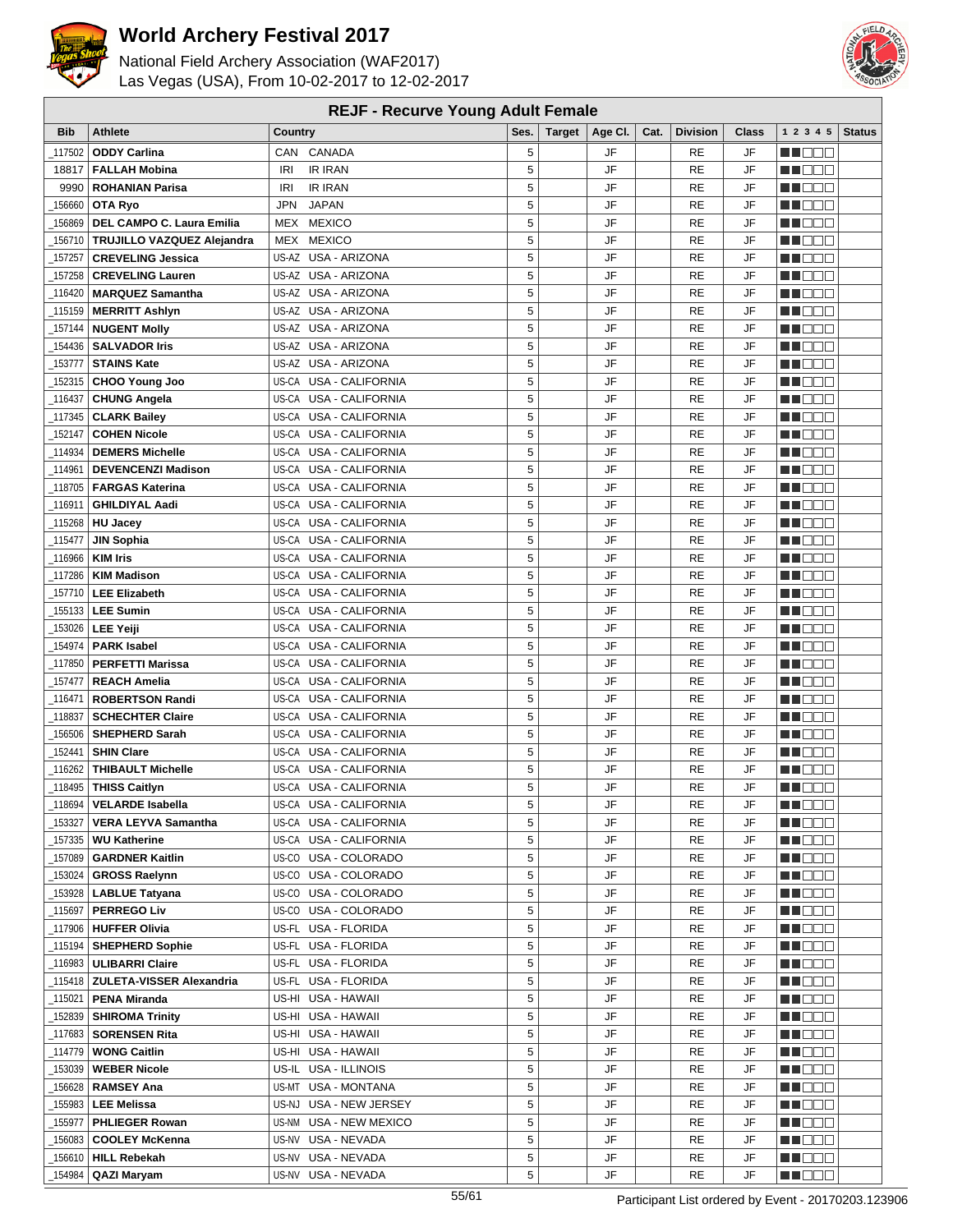

National Field Archery Association (WAF2017) Las Vegas (USA), From 10-02-2017 to 12-02-2017



#### **REJF - Recurve Young Adult Female**

| Bib     | <b>Athlete</b>                                | Country                                      | Ses.   | <b>Target</b> | Age CI.  | Cat. | <b>Division</b> | Class    | 1 2 3 4 5                   | <b>Status</b> |
|---------|-----------------------------------------------|----------------------------------------------|--------|---------------|----------|------|-----------------|----------|-----------------------------|---------------|
| 117502  | <b>ODDY Carlina</b>                           | CAN CANADA                                   | 5      |               | JF       |      | RE              | JF       | HI EE                       |               |
| 18817   | <b>FALLAH Mobina</b>                          | <b>IR IRAN</b><br><b>IRI</b>                 | 5      |               | JF       |      | <b>RE</b>       | JF       | M DEE                       |               |
| 9990    | <b>ROHANIAN Parisa</b>                        | <b>IR IRAN</b><br>IRI                        | 5      |               | JF       |      | RE              | JF       | MU DO B                     |               |
| 156660  | OTA Ryo                                       | <b>JAPAN</b><br><b>JPN</b>                   | 5      |               | JF       |      | RE              | JF       | MA DO O                     |               |
| 156869  | DEL CAMPO C. Laura Emilia                     | MEX MEXICO                                   | 5      |               | JF       |      | <b>RE</b>       | JF       | M DE B                      |               |
| 156710  | TRUJILLO VAZQUEZ Alejandra                    | MEX MEXICO                                   | 5      |               | JF       |      | RE              | JF       | M DEE                       |               |
| 157257  | <b>CREVELING Jessica</b>                      | US-AZ USA - ARIZONA                          | 5      |               | JF       |      | <b>RE</b>       | JF       | MU O O O                    |               |
| 157258  | <b>CREVELING Lauren</b>                       | US-AZ USA - ARIZONA                          | 5      |               | JF       |      | RE              | JF       | MA DO O                     |               |
| 116420  | <b>MARQUEZ Samantha</b>                       | US-AZ USA - ARIZONA                          | 5      |               | JF       |      | RE              | JF       | n n n n                     |               |
| 115159  | <b>MERRITT Ashlyn</b>                         | US-AZ USA - ARIZONA                          | 5      |               | JF       |      | <b>RE</b>       | JF       | MA DE S                     |               |
| 157144  | <b>NUGENT Molly</b>                           | US-AZ USA - ARIZONA                          | 5      |               | JF       |      | <b>RE</b>       | JF       | MU DO B                     |               |
| 154436  | <b>SALVADOR Iris</b>                          | US-AZ USA - ARIZONA                          | 5      |               | JF       |      | <b>RE</b>       | JF       | MN 888                      |               |
| 153777  | <b>STAINS Kate</b>                            | US-AZ USA - ARIZONA                          | 5      |               | JF       |      | RE              | JF       | n i Bele                    |               |
| 152315  | <b>CHOO Young Joo</b>                         | US-CA USA - CALIFORNIA                       | 5      |               | JF       |      | RE              | JF       | n i De E                    |               |
| 116437  | <b>CHUNG Angela</b>                           | US-CA USA - CALIFORNIA                       | 5      |               | JF       |      | RE              | JF       | W DOO                       |               |
| 117345_ | <b>CLARK Bailey</b>                           | US-CA USA - CALIFORNIA                       | 5      |               | JF       |      | <b>RE</b>       | JF       | MU DO O                     |               |
| 152147  | <b>COHEN Nicole</b>                           | US-CA USA - CALIFORNIA                       | 5      |               | JF       |      | RE              | JF       | N NO DE                     |               |
| 114934  | <b>DEMERS Michelle</b>                        | US-CA USA - CALIFORNIA                       | 5      |               | JF       |      | RE              | JF       | MA DE E                     |               |
| 114961  | <b>DEVENCENZI Madison</b>                     | US-CA<br>USA - CALIFORNIA                    | 5      |               | JF       |      | <b>RE</b>       | JF       | M DO B                      |               |
| 118705  | <b>FARGAS Katerina</b>                        | US-CA<br>USA - CALIFORNIA                    | 5      |               | JF       |      | <b>RE</b>       | JF       | n i Bele                    |               |
| 116911_ | <b>GHILDIYAL Aadi</b>                         | <b>USA - CALIFORNIA</b><br>US-CA             | 5      |               | JF       |      | RE              | JF       | NN OO E                     |               |
| 115268  | <b>HU Jacey</b>                               | US-CA USA - CALIFORNIA                       | 5      |               | JF       |      | RE              | JF       | man man                     |               |
| 115477  | <b>JIN Sophia</b>                             | US-CA USA - CALIFORNIA                       | 5      |               | JF       |      | RE              | JF       | M DO B                      |               |
| 116966  | <b>KIM Iris</b>                               | US-CA USA - CALIFORNIA                       | 5      |               | JF       |      | RE              | JF       | n nooc                      |               |
| 117286  | <b>KIM Madison</b>                            | US-CA USA - CALIFORNIA                       | 5      |               | JF       |      | <b>RE</b>       | JF       | MN D D D                    |               |
|         | 157710   LEE Elizabeth                        | US-CA USA - CALIFORNIA                       | 5      |               | JF       |      | <b>RE</b>       | JF       | n de e                      |               |
|         | 155133   LEE Sumin                            | US-CA USA - CALIFORNIA                       | 5      |               | JF       |      | RE              | JF       | e de e                      |               |
|         | 153026   LEE Yeiji                            | US-CA USA - CALIFORNIA                       | 5      |               | JF       |      | RE              | JF       | MU DO B                     |               |
| 154974  | <b>PARK Isabel</b>                            | US-CA<br>USA - CALIFORNIA                    | 5      |               | JF       |      | <b>RE</b>       | JF       | N NO BIB                    |               |
| 117850  | <b>PERFETTI Marissa</b>                       | US-CA<br>USA - CALIFORNIA                    | 5      |               | JF       |      | RE              | JF       | n i Bele                    |               |
| 157477  | <b>REACH Amelia</b>                           | US-CA USA - CALIFORNIA                       | 5      |               | JF       |      | RE              | JF       | n i De E                    |               |
| 116471  | <b>ROBERTSON Randi</b>                        | US-CA USA - CALIFORNIA                       | 5      |               | JF       |      | <b>RE</b>       | JF       | MU DO B                     |               |
| 118837  | <b>SCHECHTER Claire</b>                       | US-CA USA - CALIFORNIA                       | 5      |               | JF       |      | RE              | JF       | n i DDE                     |               |
| 156506  | <b>SHEPHERD Sarah</b>                         | US-CA USA - CALIFORNIA                       | 5      |               | JF       |      | <b>RE</b>       | JF       | e de la p                   |               |
| 152441  | <b>SHIN Clare</b>                             | US-CA USA - CALIFORNIA                       | 5      |               | JF       |      | <b>RE</b>       | JF       | HEER                        |               |
| 116262  | <b>THIBAULT Michelle</b>                      | US-CA USA - CALIFORNIA                       | 5      |               | JF       |      | RE              | JF       | MA DE E                     |               |
| 118495  | <b>THISS Caitlyn</b>                          | US-CA USA - CALIFORNIA                       | 5      |               | JF       |      | RE              | JF       | MN 888                      |               |
| 118694  | <b>VELARDE Isabella</b>                       | US-CA USA - CALIFORNIA                       | 5      |               | JF       |      | <b>RE</b>       | JF       | MU DO O                     |               |
| 153327  | <b>VERA LEYVA Samantha</b>                    | US-CA USA - CALIFORNIA                       | 5      |               | JF       |      | RE              | JF       | <b>MA</b> OOO               |               |
| 157335  | <b>WU Katherine</b>                           | US-CA USA - CALIFORNIA                       | 5      |               | JF       |      | RE              | JF       | M DE E                      |               |
| 157089  | <b>GARDNER Kaitlin</b>                        | US-CO USA - COLORADO                         | 5      |               | JF       |      | RE              | JF       | M DE S                      |               |
| 153024  | <b>GROSS Raelynn</b>                          | US-CO USA - COLORADO                         | 5      |               | JF       |      | RE              | JF       | <u> Literatur</u>           |               |
| 153928  | <b>LABLUE Tatyana</b>                         | US-CO USA - COLORADO<br>US-CO USA - COLORADO | 5<br>5 |               | JF<br>JF |      | RE<br>RE        | JF<br>JF | <u> Heriotik</u>            |               |
| 115697_ | <b>PERREGO Liv</b><br>_117906   HUFFER Olivia | US-FL USA - FLORIDA                          | 5      |               | JF       |      | RE              | JF       | <u>in ja sis</u><br>MA DE E |               |
| _115194 | <b>SHEPHERD Sophie</b>                        | US-FL USA - FLORIDA                          | 5      |               | JF       |      | RE              | JF       | MU DO O                     |               |
| 116983  | <b>ULIBARRI Claire</b>                        | US-FL USA - FLORIDA                          | 5      |               | JF       |      | RE              | JF       | e de e                      |               |
| 115418  | <b>ZULETA-VISSER Alexandria</b>               | US-FL USA - FLORIDA                          | 5      |               | JF       |      | RE              | JF       | MU DO B                     |               |
| _115021 | <b>PENA Miranda</b>                           | US-HI USA - HAWAII                           | 5      |               | JF       |      | RE              | JF       | WU 88                       |               |
| 152839  | <b>SHIROMA Trinity</b>                        | US-HI USA - HAWAII                           | 5      |               | JF       |      | RE              | JF       | M DE S                      |               |
| _117683 | <b>SORENSEN Rita</b>                          | US-HI USA - HAWAII                           | 5      |               | JF       |      | RE              | JF       | <b>MARGE</b>                |               |
| _114779 | <b>WONG Caitlin</b>                           | US-HI USA - HAWAII                           | 5      |               | JF       |      | RE              | JF       | <u> Here de la</u>          |               |
| _153039 | <b>WEBER Nicole</b>                           | US-IL USA - ILLINOIS                         | 5      |               | JF       |      | RE              | JF       | W DOO                       |               |
|         | 156628   <b>RAMSEY Ana</b>                    | US-MT USA - MONTANA                          | 5      |               | JF       |      | RE              | JF       | <u>sa sa sa</u>             |               |
|         | 155983   LEE Melissa                          | US-NJ USA - NEW JERSEY                       | 5      |               | JF       |      | RE              | JF       | MU DO D                     |               |
| 155977_ | <b>PHLIEGER Rowan</b>                         | US-NM USA - NEW MEXICO                       | 5      |               | JF       |      | RE              | JF       | e de e                      |               |
| 156083  | <b>COOLEY McKenna</b>                         | US-NV USA - NEVADA                           | 5      |               | JF       |      | RE              | JF       | MU DO B                     |               |
| _156610 | <b>HILL Rebekah</b>                           | US-NV USA - NEVADA                           | 5      |               | JF       |      | RE              | JF       | MUOOO                       |               |
| 154984  | QAZI Maryam                                   | US-NV USA - NEVADA                           | 5      |               | JF       |      | RE              | JF       | <u> Literatu</u>            |               |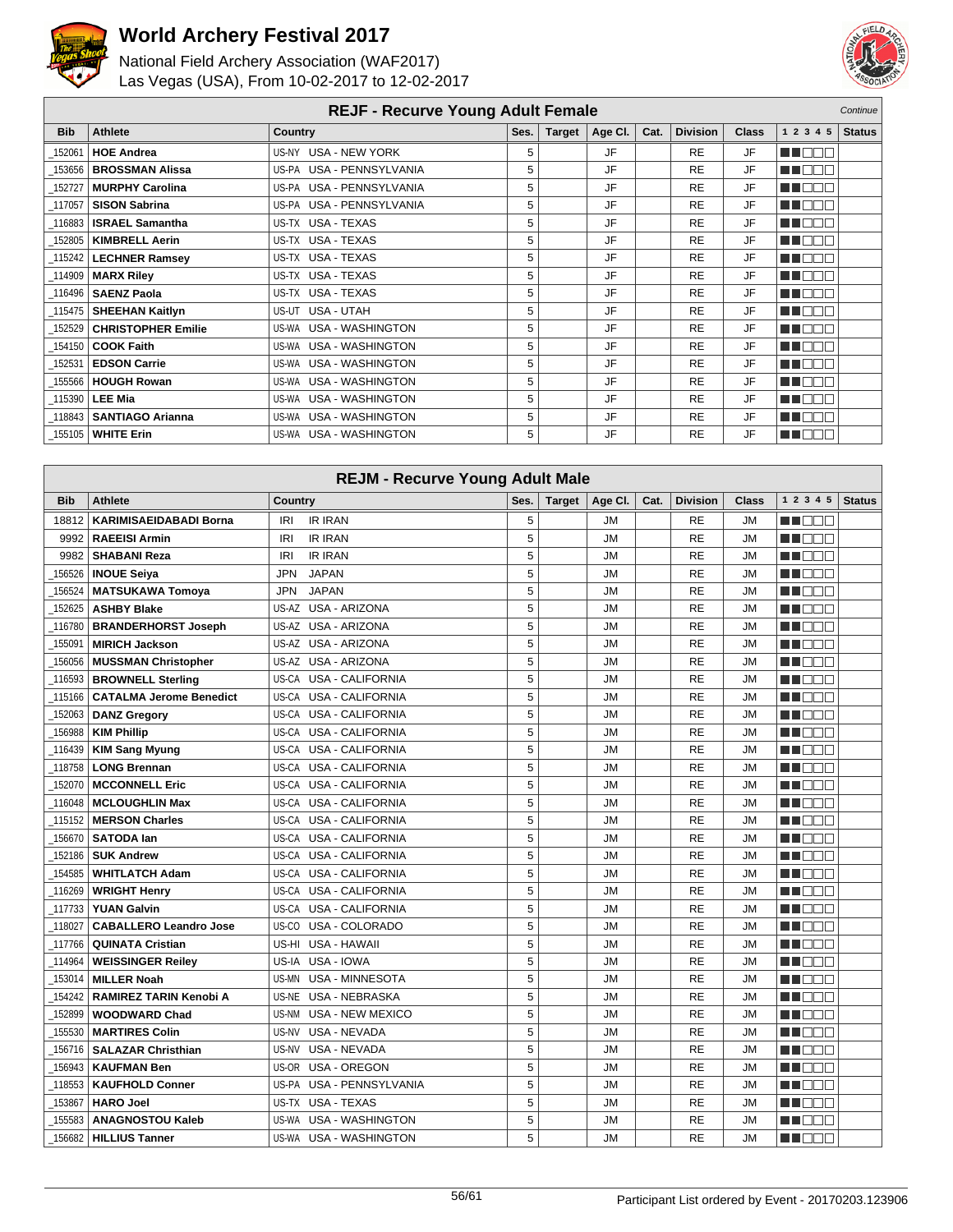



|            | <b>REJF - Recurve Young Adult Female</b><br>Continue |                          |      |        |           |      |                 |              |             |               |
|------------|------------------------------------------------------|--------------------------|------|--------|-----------|------|-----------------|--------------|-------------|---------------|
| <b>Bib</b> | <b>Athlete</b>                                       | Country                  | Ses. | Target | Age Cl.   | Cat. | <b>Division</b> | <b>Class</b> | 1 2 3 4 5   | <b>Status</b> |
| 152061     | <b>HOE Andrea</b>                                    | US-NY USA - NEW YORK     | 5    |        | <b>JF</b> |      | <b>RE</b>       | JF           | HI NOT      |               |
| 153656     | <b>BROSSMAN Alissa</b>                               | US-PA USA - PENNSYLVANIA | 5    |        | JF        |      | <b>RE</b>       | JF           | UN DO T     |               |
| 152727     | <b>MURPHY Carolina</b>                               | US-PA USA - PENNSYLVANIA | 5    |        | JF.       |      | <b>RE</b>       | JF           | T DE E      |               |
| 117057     | <b>SISON Sabrina</b>                                 | US-PA USA - PENNSYLVANIA | 5    |        | <b>JF</b> |      | <b>RE</b>       | JF           | MA DELE     |               |
| 116883     | <b>ISRAEL Samantha</b>                               | US-TX USA - TEXAS        | 5    |        | <b>JF</b> |      | <b>RE</b>       | JF           | NA TITULI   |               |
| 152805     | <b>KIMBRELL Aerin</b>                                | US-TX USA - TEXAS        | 5    |        | <b>JF</b> |      | <b>RE</b>       | <b>JF</b>    | n na m      |               |
| 115242     | <b>LECHNER Ramsey</b>                                | US-TX USA - TEXAS        | 5    |        | JF        |      | <b>RE</b>       | JF           | UN ELET     |               |
| 114909     | <b>MARX Riley</b>                                    | US-TX USA - TEXAS        | 5    |        | JF        |      | <b>RE</b>       | JF           | TE ELE      |               |
| 116496     | <b>SAENZ Paola</b>                                   | US-TX USA - TEXAS        | 5    |        | JF        |      | <b>RE</b>       | JF           | u man       |               |
| 115475     | <b>SHEEHAN Kaitlyn</b>                               | US-UT USA - UTAH         | 5    |        | <b>JF</b> |      | <b>RE</b>       | JF           | un dem      |               |
| 152529     | <b>CHRISTOPHER Emilie</b>                            | US-WA USA - WASHINGTON   | 5    |        | <b>JF</b> |      | <b>RE</b>       | JF           | n de la C   |               |
| 154150     | <b>COOK Faith</b>                                    | US-WA USA - WASHINGTON   | 5    |        | JF        |      | <b>RE</b>       | JF           | <b>TENT</b> |               |
| 152531     | <b>EDSON Carrie</b>                                  | US-WA USA - WASHINGTON   | 5    |        | JF        |      | <b>RE</b>       | JF           | n na m      |               |
| 155566     | <b>HOUGH Rowan</b>                                   | US-WA USA - WASHINGTON   | 5    |        | JF        |      | <b>RE</b>       | JF           | n mar       |               |
| 115390     | <b>LEE Mia</b>                                       | US-WA USA - WASHINGTON   | 5    |        | JF        |      | <b>RE</b>       | JF           | UN DELL'    |               |
| 118843     | <b>SANTIAGO Arianna</b>                              | US-WA USA - WASHINGTON   | 5    |        | <b>JF</b> |      | <b>RE</b>       | JF           | n de la     |               |
| 155105     | <b>WHITE Erin</b>                                    | US-WA USA - WASHINGTON   | 5    |        | JF        |      | <b>RE</b>       | JF           | HI NOTI     |               |

| <b>REJM - Recurve Young Adult Male</b> |                                |                                  |      |               |           |      |                 |           |                                                                                                                |               |
|----------------------------------------|--------------------------------|----------------------------------|------|---------------|-----------|------|-----------------|-----------|----------------------------------------------------------------------------------------------------------------|---------------|
| <b>Bib</b>                             | <b>Athlete</b>                 | Country                          | Ses. | <b>Target</b> | Age Cl.   | Cat. | <b>Division</b> | Class     | 1 2 3 4 5                                                                                                      | <b>Status</b> |
| 18812                                  | <b>KARIMISAEIDABADI Borna</b>  | <b>IR IRAN</b><br>IRI            | 5    |               | <b>JM</b> |      | RE              | JM        | man ma                                                                                                         |               |
| 9992                                   | <b>RAEEISI Armin</b>           | <b>IRI</b><br><b>IR IRAN</b>     | 5    |               | <b>JM</b> |      | <b>RE</b>       | <b>JM</b> | n de e                                                                                                         |               |
| 9982                                   | <b>SHABANI Reza</b>            | <b>IRI</b><br><b>IR IRAN</b>     | 5    |               | <b>JM</b> |      | RE              | <b>JM</b> | .                                                                                                              |               |
| 156526                                 | <b>INOUE Seiya</b>             | <b>JAPAN</b><br><b>JPN</b>       | 5    |               | <b>JM</b> |      | <b>RE</b>       | JM        | HI EEE                                                                                                         |               |
| 156524                                 | <b>MATSUKAWA Tomoya</b>        | <b>JPN</b><br><b>JAPAN</b>       | 5    |               | <b>JM</b> |      | RE              | <b>JM</b> | n de s                                                                                                         |               |
| 152625                                 | <b>ASHBY Blake</b>             | US-AZ USA - ARIZONA              | 5    |               | <b>JM</b> |      | <b>RE</b>       | <b>JM</b> | a de la co                                                                                                     |               |
| 116780                                 | <b>BRANDERHORST Joseph</b>     | US-AZ USA - ARIZONA              | 5    |               | <b>JM</b> |      | <b>RE</b>       | <b>JM</b> | n n n n                                                                                                        |               |
| 155091                                 | <b>MIRICH Jackson</b>          | USA - ARIZONA<br>US-AZ           | 5    |               | <b>JM</b> |      | <b>RE</b>       | JM        | H EES                                                                                                          |               |
| 156056                                 | <b>MUSSMAN Christopher</b>     | US-AZ<br>USA - ARIZONA           | 5    |               | <b>JM</b> |      | <b>RE</b>       | <b>JM</b> | M DE O                                                                                                         |               |
| 116593                                 | <b>BROWNELL Sterling</b>       | US-CA<br><b>USA - CALIFORNIA</b> | 5    |               | <b>JM</b> |      | <b>RE</b>       | JM        | UU BEE                                                                                                         |               |
| 115166                                 | <b>CATALMA Jerome Benedict</b> | USA - CALIFORNIA<br>US-CA        | 5    |               | <b>JM</b> |      | <b>RE</b>       | JM        | n in Eise                                                                                                      |               |
| 152063                                 | <b>DANZ Gregory</b>            | <b>USA - CALIFORNIA</b><br>US-CA | 5    |               | <b>JM</b> |      | RE              | <b>JM</b> | HI DE E                                                                                                        |               |
| 156988                                 | <b>KIM Phillip</b>             | USA - CALIFORNIA<br>US-CA        | 5    |               | <b>JM</b> |      | RE              | <b>JM</b> | n in die E                                                                                                     |               |
| 116439                                 | <b>KIM Sang Myung</b>          | <b>USA - CALIFORNIA</b><br>US-CA | 5    |               | <b>JM</b> |      | <b>RE</b>       | <b>JM</b> | MA DE E                                                                                                        |               |
| 118758                                 | <b>LONG Brennan</b>            | USA - CALIFORNIA<br>US-CA        | 5    |               | <b>JM</b> |      | <b>RE</b>       | <b>JM</b> | n i Biblio                                                                                                     |               |
| 152070                                 | <b>MCCONNELL Eric</b>          | USA - CALIFORNIA<br>US-CA        | 5    |               | <b>JM</b> |      | <b>RE</b>       | <b>JM</b> | HI DE S                                                                                                        |               |
| $-116048$                              | <b>MCLOUGHLIN Max</b>          | <b>USA - CALIFORNIA</b><br>US-CA | 5    |               | <b>JM</b> |      | <b>RE</b>       | <b>JM</b> | HI DE E                                                                                                        |               |
| 115152                                 | <b>MERSON Charles</b>          | US-CA USA - CALIFORNIA           | 5    |               | <b>JM</b> |      | <b>RE</b>       | <b>JM</b> | n i de e                                                                                                       |               |
| 156670                                 | <b>SATODA lan</b>              | US-CA<br><b>USA - CALIFORNIA</b> | 5    |               | <b>JM</b> |      | <b>RE</b>       | <b>JM</b> | HI E E E                                                                                                       |               |
| _152186                                | <b>SUK Andrew</b>              | USA - CALIFORNIA<br>US-CA        | 5    |               | <b>JM</b> |      | <b>RE</b>       | <b>JM</b> | e de la construction de la construction de la consegue de la consegue de la consegue de la consegue de la cons |               |
| _154585                                | <b>WHITLATCH Adam</b>          | US-CA<br><b>USA - CALIFORNIA</b> | 5    |               | <b>JM</b> |      | <b>RE</b>       | <b>JM</b> | man ma                                                                                                         |               |
| _116269                                | <b>WRIGHT Henry</b>            | US-CA<br>USA - CALIFORNIA        | 5    |               | <b>JM</b> |      | <b>RE</b>       | <b>JM</b> | M OO O                                                                                                         |               |
| $-117733$                              | <b>YUAN Galvin</b>             | US-CA<br><b>USA - CALIFORNIA</b> | 5    |               | <b>JM</b> |      | <b>RE</b>       | <b>JM</b> | MA DOC                                                                                                         |               |
| $-118027$                              | <b>CABALLERO Leandro Jose</b>  | USA - COLORADO<br>US-CO          | 5    |               | <b>JM</b> |      | <b>RE</b>       | JM        | E E E E E                                                                                                      |               |
| 117766                                 | <b>QUINATA Cristian</b>        | <b>USA - HAWAII</b><br>US-HI     | 5    |               | <b>JM</b> |      | <b>RE</b>       | <b>JM</b> | M DE S                                                                                                         |               |
| 114964                                 | <b>WEISSINGER Reiley</b>       | USA - IOWA<br>US-IA              | 5    |               | <b>JM</b> |      | <b>RE</b>       | JM.       | MN OO B                                                                                                        |               |
| 153014                                 | <b>MILLER Noah</b>             | <b>USA - MINNESOTA</b><br>US-MN  | 5    |               | <b>JM</b> |      | <b>RE</b>       | <b>JM</b> | MA DE E                                                                                                        |               |
| 154242                                 | <b>RAMIREZ TARIN Kenobi A</b>  | <b>USA - NEBRASKA</b><br>US-NE   | 5    |               | <b>JM</b> |      | <b>RE</b>       | <b>JM</b> | mana n                                                                                                         |               |
| 152899                                 | <b>WOODWARD Chad</b>           | USA - NEW MEXICO<br>US-NM        | 5    |               | <b>JM</b> |      | <b>RE</b>       | <b>JM</b> | HI I E E E                                                                                                     |               |
| 155530                                 | <b>MARTIRES Colin</b>          | <b>USA - NEVADA</b><br>US-NV     | 5    |               | <b>JM</b> |      | <b>RE</b>       | <b>JM</b> | HI DEE                                                                                                         |               |
| 156716                                 | <b>SALAZAR Christhian</b>      | USA - NEVADA<br>US-NV            | 5    |               | ЛU        |      | <b>RE</b>       | JM        | n i Bel                                                                                                        |               |
| 156943                                 | <b>KAUFMAN Ben</b>             | US-OR USA - OREGON               | 5    |               | <b>JM</b> |      | <b>RE</b>       | <b>JM</b> | TI DE C                                                                                                        |               |
| 118553                                 | <b>KAUFHOLD Conner</b>         | US-PA USA - PENNSYLVANIA         | 5    |               | <b>JM</b> |      | <b>RE</b>       | <b>JM</b> |                                                                                                                |               |
| 153867                                 | <b>HARO Joel</b>               | US-TX USA - TEXAS                | 5    |               | <b>JM</b> |      | <b>RE</b>       | <b>JM</b> | M DE E                                                                                                         |               |
| 155583                                 | <b>ANAGNOSTOU Kaleb</b>        | US-WA<br>USA - WASHINGTON        | 5    |               | JM        |      | RE              | JM        | HI DE E                                                                                                        |               |
| 156682                                 | <b>HILLIUS Tanner</b>          | US-WA USA - WASHINGTON           | 5    |               | <b>JM</b> |      | <b>RE</b>       | <b>JM</b> | MA DE E                                                                                                        |               |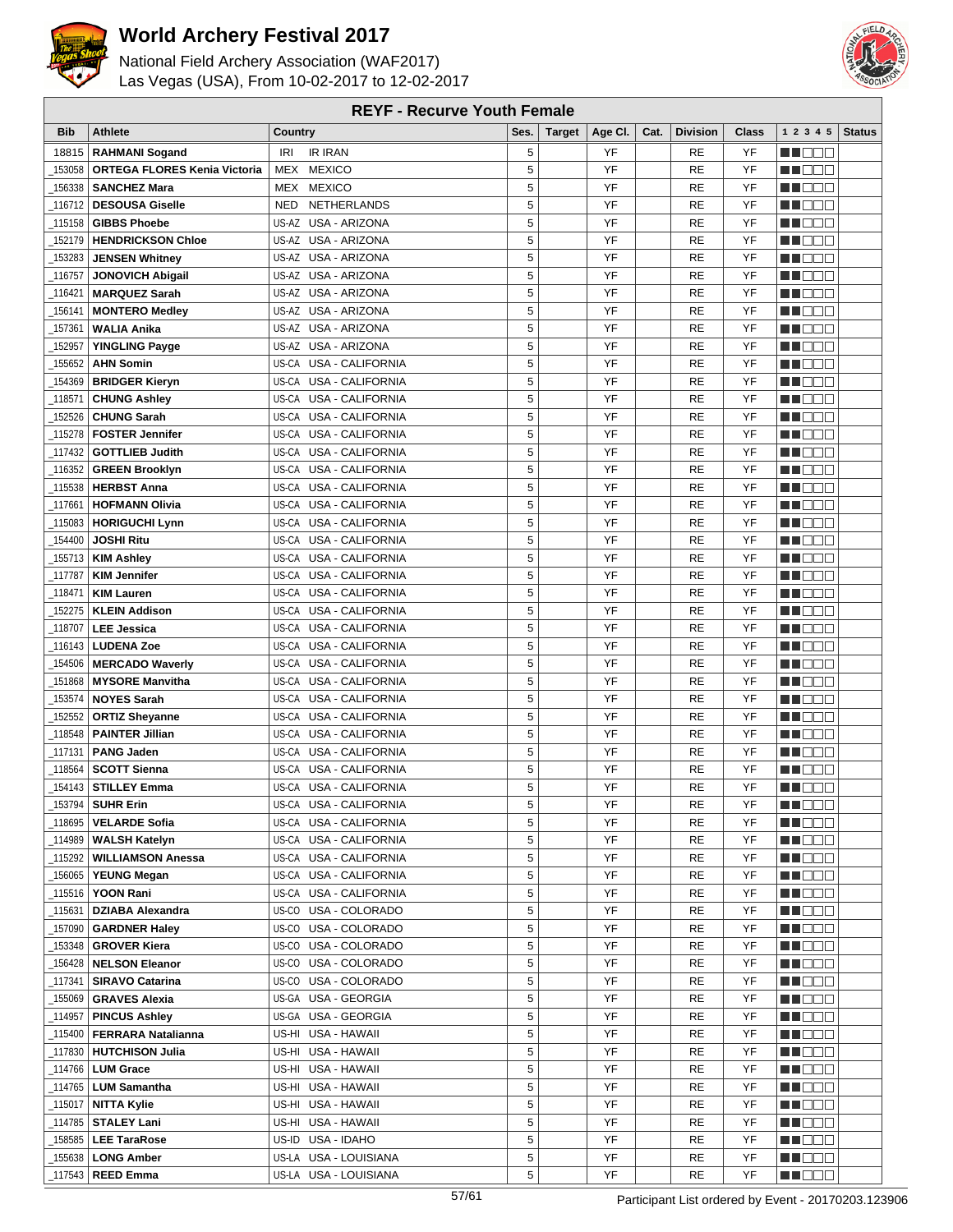

National Field Archery Association (WAF2017) Las Vegas (USA), From 10-02-2017 to 12-02-2017



| <b>Bib</b> | <b>Athlete</b>                      | Country                   | Ses. | Target   Age Cl. | Cat. | <b>Division</b> | Class | 1 2 3 4 5   Status |  |
|------------|-------------------------------------|---------------------------|------|------------------|------|-----------------|-------|--------------------|--|
| 18815      | <b>RAHMANI Sogand</b>               | <b>IR IRAN</b><br>IRI     | 5    | YF               |      | RE              | YF    | man man            |  |
| 153058     | <b>ORTEGA FLORES Kenia Victoria</b> | MEX MEXICO                | 5    | YF               |      | <b>RE</b>       | YF    | MU O O O           |  |
| 156338     | <b>SANCHEZ Mara</b>                 | MEX MEXICO                | 5    | YF               |      | <b>RE</b>       | YF    | MUOOO              |  |
| 116712     | <b>DESOUSA Giselle</b>              | NETHERLANDS<br>NED        | 5    | YF               |      | <b>RE</b>       | YF    | N I DE E           |  |
| 115158     | <b>GIBBS Phoebe</b>                 | US-AZ USA - ARIZONA       | 5    | YF               |      | <b>RE</b>       | YF    | MA E E E           |  |
|            | <b>HENDRICKSON Chloe</b>            |                           | 5    | YF               |      | <b>RE</b>       | YF    |                    |  |
| 152179     |                                     | US-AZ USA - ARIZONA       |      |                  |      |                 |       | MU DO D            |  |
| 153283     | <b>JENSEN Whitney</b>               | US-AZ USA - ARIZONA       | 5    | YF               |      | <b>RE</b>       | YF    | n i de e           |  |
| 116757     | <b>JONOVICH Abigail</b>             | US-AZ USA - ARIZONA       | 5    | YF               |      | <b>RE</b>       | YF    | UU OOO             |  |
| 116421     | <b>MARQUEZ Sarah</b>                | US-AZ USA - ARIZONA       | 5    | YF               |      | <b>RE</b>       | YF    | n de e             |  |
| _156141    | <b>MONTERO Medley</b>               | US-AZ USA - ARIZONA       | 5    | YF               |      | <b>RE</b>       | YF    | MU DO O            |  |
| 157361     | <b>WALIA Anika</b>                  | US-AZ USA - ARIZONA       | 5    | YF               |      | <b>RE</b>       | YF    | MUOOO              |  |
| 152957     | <b>YINGLING Payge</b>               | US-AZ USA - ARIZONA       | 5    | YF               |      | <b>RE</b>       | YF    | MNO OO             |  |
| 155652     | <b>AHN Somin</b>                    | US-CA USA - CALIFORNIA    | 5    | YF               |      | <b>RE</b>       | YF    | MN 888             |  |
| 154369     | <b>BRIDGER Kieryn</b>               | US-CA USA - CALIFORNIA    | 5    | YF               |      | <b>RE</b>       | YF    | <u> Hose</u>       |  |
| 118571     | <b>CHUNG Ashley</b>                 | US-CA USA - CALIFORNIA    | 5    | YF               |      | <b>RE</b>       | YF    | n i De B           |  |
| 152526     | <b>CHUNG Sarah</b>                  | US-CA USA - CALIFORNIA    | 5    | YF               |      | <b>RE</b>       | YF    | n i BBE            |  |
| _115278    | <b>FOSTER Jennifer</b>              | US-CA USA - CALIFORNIA    | 5    | YF               |      | <b>RE</b>       | YF    | MA BEL             |  |
| 117432     | <b>GOTTLIEB Judith</b>              | US-CA USA - CALIFORNIA    | 5    | YF               |      | <b>RE</b>       | YF    | N DE L             |  |
| 116352     | <b>GREEN Brooklyn</b>               | US-CA<br>USA - CALIFORNIA | 5    | YF               |      | <b>RE</b>       | YF    | MA DE E            |  |
|            | <b>HERBST Anna</b>                  | US-CA USA - CALIFORNIA    | 5    | YF               |      |                 | YF    |                    |  |
| 115538     |                                     |                           |      |                  |      | <b>RE</b>       |       | n i Bele           |  |
| 117661     | <b>HOFMANN Olivia</b>               | US-CA USA - CALIFORNIA    | 5    | YF               |      | <b>RE</b>       | YF    | N I DE E           |  |
| 115083     | <b>HORIGUCHI Lynn</b>               | US-CA USA - CALIFORNIA    | 5    | YF               |      | <b>RE</b>       | YF    | MU DO 2            |  |
| 154400     | <b>JOSHI Ritu</b>                   | US-CA USA - CALIFORNIA    | 5    | YF               |      | <b>RE</b>       | YF    | M DE E             |  |
| 155713     | <b>KIM Ashley</b>                   | US-CA USA - CALIFORNIA    | 5    | YF               |      | <b>RE</b>       | YF    | NN OO D            |  |
| 117787     | <b>KIM Jennifer</b>                 | US-CA USA - CALIFORNIA    | 5    | YF               |      | <b>RE</b>       | YF    | N I DE E           |  |
| 118471     | <b>KIM Lauren</b>                   | US-CA USA - CALIFORNIA    | 5    | YF               |      | <b>RE</b>       | YF    | n de c             |  |
| 152275     | <b>KLEIN Addison</b>                | US-CA USA - CALIFORNIA    | 5    | YF               |      | <b>RE</b>       | YF    | n i Biblio         |  |
| 118707     | <b>LEE Jessica</b>                  | US-CA<br>USA - CALIFORNIA | 5    | YF               |      | <b>RE</b>       | YF    | M DE O             |  |
| 116143_    | <b>LUDENA Zoe</b>                   | US-CA USA - CALIFORNIA    | 5    | YF               |      | <b>RE</b>       | YF    | n i De E           |  |
| 154506     | <b>MERCADO Waverly</b>              | US-CA USA - CALIFORNIA    | 5    | YF               |      | <b>RE</b>       | YF    | MU DE B            |  |
| 151868     | <b>MYSORE Manvitha</b>              | US-CA USA - CALIFORNIA    | 5    | YF               |      | <b>RE</b>       | YF    | MU DO D            |  |
| _153574    | <b>NOYES Sarah</b>                  | US-CA USA - CALIFORNIA    | 5    | YF               |      | <b>RE</b>       | YF    | M DE E             |  |
| 152552     | <b>ORTIZ Sheyanne</b>               | US-CA USA - CALIFORNIA    | 5    | YF               |      | <b>RE</b>       | YF    | M DE O             |  |
| _118548    | <b>PAINTER Jillian</b>              | US-CA USA - CALIFORNIA    | 5    | YF               |      | <b>RE</b>       | YF    | n i Biblio         |  |
|            | <b>PANG Jaden</b>                   | US-CA USA - CALIFORNIA    |      | YF               |      |                 | YF    |                    |  |
| 117131     |                                     |                           | 5    |                  |      | <b>RE</b>       |       | n de d             |  |
| 118564     | <b>SCOTT Sienna</b>                 | US-CA USA - CALIFORNIA    | 5    | YF               |      | <b>RE</b>       | YF    | M DOC              |  |
| _154143    | <b>STILLEY Emma</b>                 | US-CA USA - CALIFORNIA    | 5    | YF               |      | <b>RE</b>       | YF    | n i Bele           |  |
| 153794     | <b>SUHR Erin</b>                    | US-CA USA - CALIFORNIA    | 5    | YF               |      | <b>RE</b>       | YF    | N NO BIG           |  |
| 118695     | <b>VELARDE Sofia</b>                | US-CA USA - CALIFORNIA    | 5    | YF               |      | <b>RE</b>       | YF    | N DE B             |  |
| 114989_    | <b>WALSH Katelyn</b>                | US-CA USA - CALIFORNIA    | 5    | YF               |      | RE              | YF    | MU DO B            |  |
| _115292    | <b>WILLIAMSON Anessa</b>            | US-CA USA - CALIFORNIA    | 5    | YF               |      | RE              | YF    | M D D D            |  |
| _156065    | <b>YEUNG Megan</b>                  | US-CA USA - CALIFORNIA    | 5    | YF               |      | RE              | YF    | N DO D             |  |
| _115516    | YOON Rani                           | US-CA USA - CALIFORNIA    | 5    | YF               |      | RE              | YF    | <u>Li Bee</u>      |  |
| _115631    | <b>DZIABA Alexandra</b>             | US-CO USA - COLORADO      | 5    | YF               |      | RE              | YF    | N NO DEI           |  |
| _157090    | <b>GARDNER Haley</b>                | US-CO USA - COLORADO      | 5    | YF               |      | RE              | YF    | WU 88              |  |
| _153348    | <b>GROVER Kiera</b>                 | US-CO USA - COLORADO      | 5    | YF               |      | RE              | YF    | M OO O             |  |
| _156428    | <b>NELSON Eleanor</b>               | US-CO USA - COLORADO      | 5    | YF               |      | RE              | YF    | <b>MARGE</b>       |  |
| _117341    | <b>SIRAVO Catarina</b>              | US-CO USA - COLORADO      | 5    | YF               |      | RE              | YF    | <u>Li Libid</u>    |  |
|            |                                     |                           | 5    | YF               |      |                 |       |                    |  |
| _155069    | <b>GRAVES Alexia</b>                | US-GA USA - GEORGIA       |      |                  |      | RE              | YF    | <u>LL DOO</u>      |  |
| _114957    | <b>PINCUS Ashley</b>                | US-GA USA - GEORGIA       | 5    | YF               |      | RE              | YF    | M D D D            |  |
| _115400    | FERRARA Natalianna                  | US-HI USA - HAWAII        | 5    | YF               |      | RE              | YF    | <u> Literatu</u>   |  |
| _117830    | <b>HUTCHISON Julia</b>              | US-HI USA - HAWAII        | 5    | YF               |      | RE              | YF    | <u> Heleta B</u>   |  |
| _114766    | <b>LUM Grace</b>                    | US-HI USA - HAWAII        | 5    | YF               |      | RE              | YF    | WO OO U            |  |
| _114765    | <b>LUM Samantha</b>                 | US-HI USA - HAWAII        | 5    | YF               |      | RE              | YF    | MUOOO              |  |
| _115017    | <b>NITTA Kylie</b>                  | US-HI USA - HAWAII        | 5    | YF               |      | RE              | YF    | <u> Literatu</u>   |  |
| _114785    | <b>STALEY Lani</b>                  | US-HI USA - HAWAII        | 5    | YF               |      | RE              | YF    | <u>Li dec</u>      |  |
| _158585    | <b>LEE TaraRose</b>                 | US-ID USA - IDAHO         | 5    | YF               |      | RE              | YF    | <u>Li dec</u>      |  |
| _155638    | <b>LONG Amber</b>                   | US-LA USA - LOUISIANA     | 5    | YF               |      | RE              | YF    | MN O O O           |  |
| _117543    | <b>REED Emma</b>                    | US-LA USA - LOUISIANA     | 5    | YF               |      | RE              | YF    | M OO O             |  |

**REYF - Recurve Youth Female**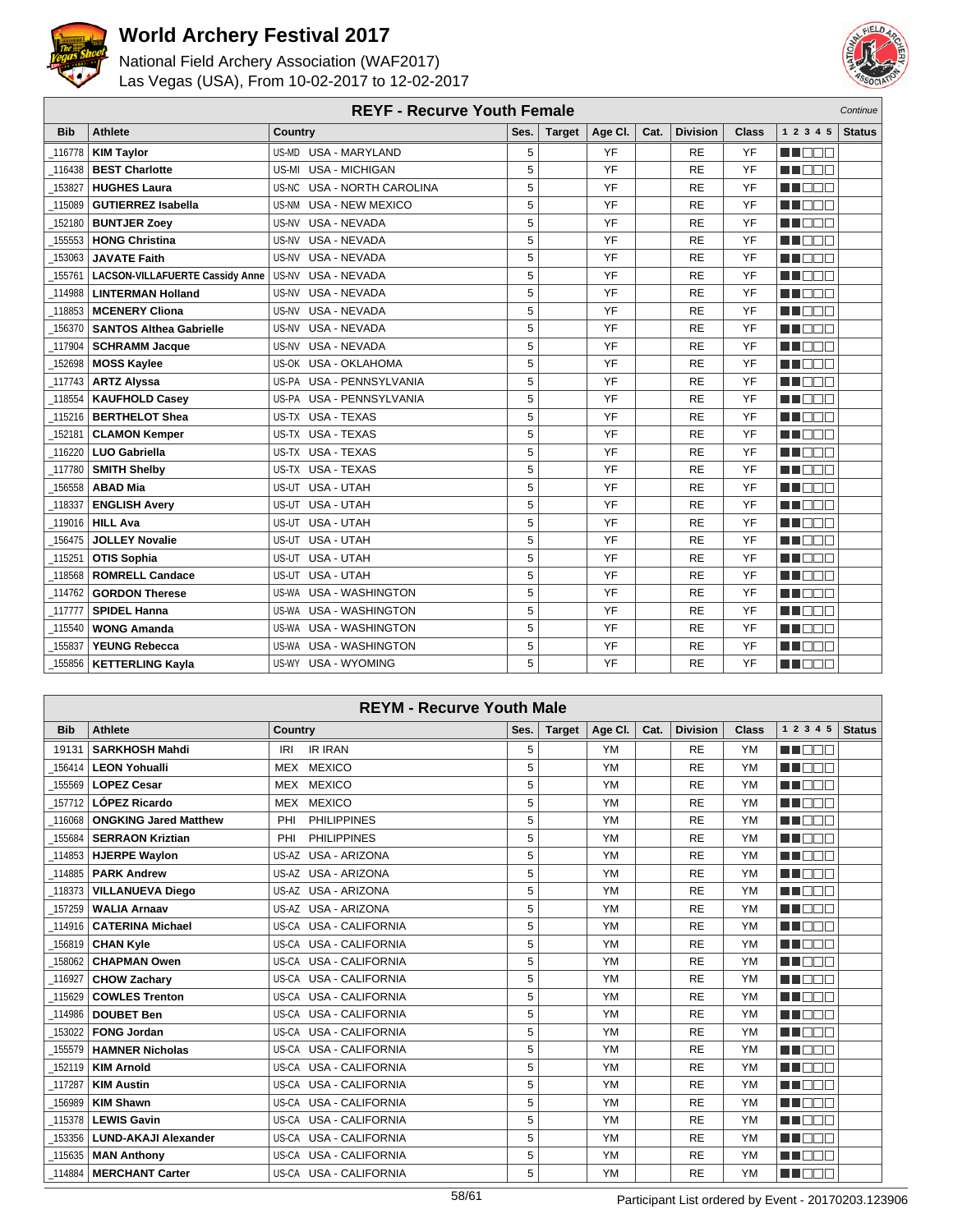



| <b>REYF - Recurve Youth Female</b><br>Continue |                                        |                                      |      |               |         |      |                 |              |                 |               |
|------------------------------------------------|----------------------------------------|--------------------------------------|------|---------------|---------|------|-----------------|--------------|-----------------|---------------|
| <b>Bib</b>                                     | <b>Athlete</b>                         | Country                              | Ses. | <b>Target</b> | Age CI. | Cat. | <b>Division</b> | <b>Class</b> | 1 2 3 4 5       | <b>Status</b> |
| 116778                                         | <b>KIM Taylor</b>                      | US-MD USA - MARYLAND                 | 5    |               | YF      |      | RE              | YF           | man man         |               |
| 116438                                         | <b>BEST Charlotte</b>                  | <b>USA - MICHIGAN</b><br>US-MI       | 5    |               | YF      |      | <b>RE</b>       | YF           | M BEE           |               |
| 153827                                         | <b>HUGHES Laura</b>                    | US-NC<br><b>USA - NORTH CAROLINA</b> | 5    |               | YF      |      | <b>RE</b>       | YF           | n nooc          |               |
| 115089                                         | <b>GUTIERREZ Isabella</b>              | <b>USA - NEW MEXICO</b><br>US-NM     | 5    |               | YF      |      | <b>RE</b>       | YF           | manan s         |               |
| 152180                                         | <b>BUNTJER Zoey</b>                    | <b>USA - NEVADA</b><br>US-NV         | 5    |               | YF      |      | <b>RE</b>       | YF           | MI DEC          |               |
| 155553                                         | <b>HONG Christina</b>                  | <b>USA - NEVADA</b><br>US-NV         | 5    |               | YF      |      | <b>RE</b>       | YF           | n nooc          |               |
| 153063                                         | <b>JAVATE Faith</b>                    | USA - NEVADA<br>US-NV                | 5    |               | YF      |      | <b>RE</b>       | YF           | M B B B         |               |
| 155761                                         | <b>LACSON-VILLAFUERTE Cassidy Anne</b> | US-NV<br><b>USA - NEVADA</b>         | 5    |               | YF      |      | <b>RE</b>       | YF           | MN O BO         |               |
| 114988                                         | <b>LINTERMAN Holland</b>               | <b>USA - NEVADA</b><br>US-NV         | 5    |               | YF      |      | <b>RE</b>       | YF           | M DEC           |               |
| 118853                                         | <b>MCENERY Cliona</b>                  | US-NV<br><b>USA - NEVADA</b>         | 5    |               | YF      |      | <b>RE</b>       | YF           | n i De E        |               |
| 156370                                         | <b>SANTOS Althea Gabrielle</b>         | USA - NEVADA<br>US-NV                | 5    |               | YF      |      | <b>RE</b>       | YF           | M BEE           |               |
| 117904                                         | <b>SCHRAMM Jacque</b>                  | <b>USA - NEVADA</b><br>US-NV         | 5    |               | YF      |      | <b>RE</b>       | YF           | ma a a a        |               |
| 152698                                         | <b>MOSS Kaylee</b>                     | US-OK USA - OKLAHOMA                 | 5    |               | YF      |      | <b>RE</b>       | YF           | M DOO           |               |
| 117743                                         | <b>ARTZ Alyssa</b>                     | US-PA USA - PENNSYLVANIA             | 5    |               | YF      |      | <b>RE</b>       | YF           | M DOO           |               |
| 118554                                         | <b>KAUFHOLD Casey</b>                  | US-PA USA - PENNSYLVANIA             | 5    |               | YF      |      | <b>RE</b>       | YF           | <b>HELL</b>     |               |
| 115216                                         | <b>BERTHELOT Shea</b>                  | US-TX USA - TEXAS                    | 5    |               | YF      |      | <b>RE</b>       | YF           | M OO B          |               |
| 152181                                         | <b>CLAMON Kemper</b>                   | US-TX USA - TEXAS                    | 5    |               | YF      |      | <b>RE</b>       | YF           | MA DE L         |               |
| 116220                                         | <b>LUO Gabriella</b>                   | US-TX USA - TEXAS                    | 5    |               | YF      |      | <b>RE</b>       | YF           | <b>RATION</b>   |               |
| 117780                                         | <b>SMITH Shelby</b>                    | US-TX USA - TEXAS                    | 5    |               | YF      |      | <b>RE</b>       | YF           | MA DE E         |               |
| 156558                                         | <b>ABAD Mia</b>                        | US-UT USA - UTAH                     | 5    |               | YF      |      | RE              | YF           | M OO B          |               |
| 118337                                         | <b>ENGLISH Avery</b>                   | USA - UTAH<br>US-UT                  | 5    |               | YF      |      | <b>RE</b>       | YF           | MN OO O         |               |
| 119016                                         | <b>HILL Ava</b>                        | US-UT<br>USA - UTAH                  | 5    |               | YF      |      | <b>RE</b>       | YF           | <b>RENATION</b> |               |
| 156475                                         | <b>JOLLEY Novalie</b>                  | USA - UTAH<br>US-UT                  | 5    |               | YF      |      | <b>RE</b>       | YF           | ME BEL          |               |
| 115251                                         | <b>OTIS Sophia</b>                     | USA - UTAH<br>US-UT                  | 5    |               | YF      |      | <b>RE</b>       | YF           | MA E E E        |               |
| 118568                                         | <b>ROMRELL Candace</b>                 | US-UT USA - UTAH                     | 5    |               | YF      |      | <b>RE</b>       | YF           | ma an a         |               |
| 114762                                         | <b>GORDON Therese</b>                  | US-WA<br><b>USA - WASHINGTON</b>     | 5    |               | YF      |      | <b>RE</b>       | YF           | M DOO           |               |
| 117777                                         | <b>SPIDEL Hanna</b>                    | US-WA USA - WASHINGTON               | 5    |               | YF      |      | <b>RE</b>       | YF           | MU DO O         |               |
| 115540                                         | <b>WONG Amanda</b>                     | US-WA USA - WASHINGTON               | 5    |               | YF      |      | <b>RE</b>       | YF           | M BEE           |               |
| 155837                                         | <b>YEUNG Rebecca</b>                   | <b>USA - WASHINGTON</b><br>US-WA     | 5    |               | YF      |      | <b>RE</b>       | YF           | ME E E E        |               |
| 155856                                         | <b>KETTERLING Kayla</b>                | US-WY USA - WYOMING                  | 5    |               | YF      |      | <b>RE</b>       | YF           | MA DO O         |               |

| <b>REYM - Recurve Youth Male</b> |                              |                                  |      |               |           |      |                 |           |                  |               |
|----------------------------------|------------------------------|----------------------------------|------|---------------|-----------|------|-----------------|-----------|------------------|---------------|
| <b>Bib</b>                       | <b>Athlete</b>               | <b>Country</b>                   | Ses. | <b>Target</b> | Age Cl.   | Cat. | <b>Division</b> | Class     | 1 2 3 4 5        | <b>Status</b> |
| 19131                            | <b>SARKHOSH Mahdi</b>        | <b>IR IRAN</b><br><b>IRI</b>     | 5    |               | YM        |      | <b>RE</b>       | <b>YM</b> | an din m         |               |
| 156414                           | <b>LEON Yohualli</b>         | <b>MEXICO</b><br><b>MEX</b>      | 5    |               | <b>YM</b> |      | <b>RE</b>       | <b>YM</b> | man man          |               |
| 155569                           | <b>LOPEZ Cesar</b>           | <b>MEXICO</b><br><b>MEX</b>      | 5    |               | <b>YM</b> |      | <b>RE</b>       | <b>YM</b> | MA DA DA         |               |
| 157712                           | LÓPEZ Ricardo                | <b>MEXICO</b><br><b>MEX</b>      | 5    |               | YM        |      | <b>RE</b>       | <b>YM</b> | man man          |               |
| 116068                           | <b>ONGKING Jared Matthew</b> | <b>PHILIPPINES</b><br>PHI        | 5    |               | <b>YM</b> |      | <b>RE</b>       | <b>YM</b> | man man          |               |
| 155684                           | <b>SERRAON Kriztian</b>      | <b>PHILIPPINES</b><br>PHI        | 5    |               | YM        |      | <b>RE</b>       | <b>YM</b> | <b>REDEE</b>     |               |
| 114853                           | <b>HJERPE Waylon</b>         | US-AZ USA - ARIZONA              | 5    |               | YM        |      | <b>RE</b>       | <b>YM</b> | man man          |               |
| 114885                           | <b>PARK Andrew</b>           | US-AZ USA - ARIZONA              | 5    |               | YM        |      | <b>RE</b>       | <b>YM</b> | man man          |               |
| 118373                           | <b>VILLANUEVA Diego</b>      | US-AZ USA - ARIZONA              | 5    |               | YM        |      | <b>RE</b>       | <b>YM</b> | ma mara          |               |
| 157259                           | <b>WALIA Arnaav</b>          | US-AZ USA - ARIZONA              | 5    |               | YM        |      | <b>RE</b>       | <b>YM</b> | man man          |               |
| 114916                           | <b>CATERINA Michael</b>      | US-CA USA - CALIFORNIA           | 5    |               | YM        |      | <b>RE</b>       | <b>YM</b> | man na m         |               |
| 156819                           | <b>CHAN Kyle</b>             | US-CA USA - CALIFORNIA           | 5    |               | YM        |      | <b>RE</b>       | <b>YM</b> | man man          |               |
| 158062                           | <b>CHAPMAN Owen</b>          | US-CA USA - CALIFORNIA           | 5    |               | YM        |      | <b>RE</b>       | <b>YM</b> | n na m           |               |
| 116927                           | <b>CHOW Zachary</b>          | US-CA USA - CALIFORNIA           | 5    |               | YM        |      | <b>RE</b>       | <b>YM</b> | man man          |               |
| 115629                           | <b>COWLES Trenton</b>        | <b>USA - CALIFORNIA</b><br>US-CA | 5    |               | YM        |      | <b>RE</b>       | <b>YM</b> | an an Din        |               |
| 114986                           | <b>DOUBET Ben</b>            | US-CA USA - CALIFORNIA           | 5    |               | YM        |      | <b>RE</b>       | <b>YM</b> | n n n n          |               |
| 153022                           | <b>FONG Jordan</b>           | <b>USA - CALIFORNIA</b><br>US-CA | 5    |               | <b>YM</b> |      | <b>RE</b>       | <b>YM</b> | man man          |               |
| 155579                           | <b>HAMNER Nicholas</b>       | US-CA USA - CALIFORNIA           | 5    |               | YM        |      | <b>RE</b>       | <b>YM</b> | man man          |               |
| $-152119$                        | <b>KIM Arnold</b>            | US-CA USA - CALIFORNIA           | 5    |               | YM        |      | <b>RE</b>       | <b>YM</b> | TIN DELL'        |               |
| 117287                           | <b>KIM Austin</b>            | <b>USA - CALIFORNIA</b><br>US-CA | 5    |               | YM        |      | <b>RE</b>       | <b>YM</b> | <b>REFERENC</b>  |               |
| 156989                           | <b>KIM Shawn</b>             | <b>USA - CALIFORNIA</b><br>US-CA | 5    |               | YM        |      | <b>RE</b>       | <b>YM</b> | n nam            |               |
| $-115378$                        | <b>LEWIS Gavin</b>           | US-CA USA - CALIFORNIA           | 5    |               | YM        |      | <b>RE</b>       | <b>YM</b> | ma mara          |               |
| 153356                           | <b>LUND-AKAJI Alexander</b>  | <b>USA - CALIFORNIA</b><br>US-CA | 5    |               | YM        |      | <b>RE</b>       | <b>YM</b> | a a mara         |               |
| 115635                           | <b>MAN Anthony</b>           | US-CA USA - CALIFORNIA           | 5    |               | <b>YM</b> |      | <b>RE</b>       | <b>YM</b> | <b>THE LIGHT</b> |               |
| $\_114884$                       | <b>MERCHANT Carter</b>       | US-CA USA - CALIFORNIA           | 5    |               | YM        |      | <b>RE</b>       | <b>YM</b> | M DO V           |               |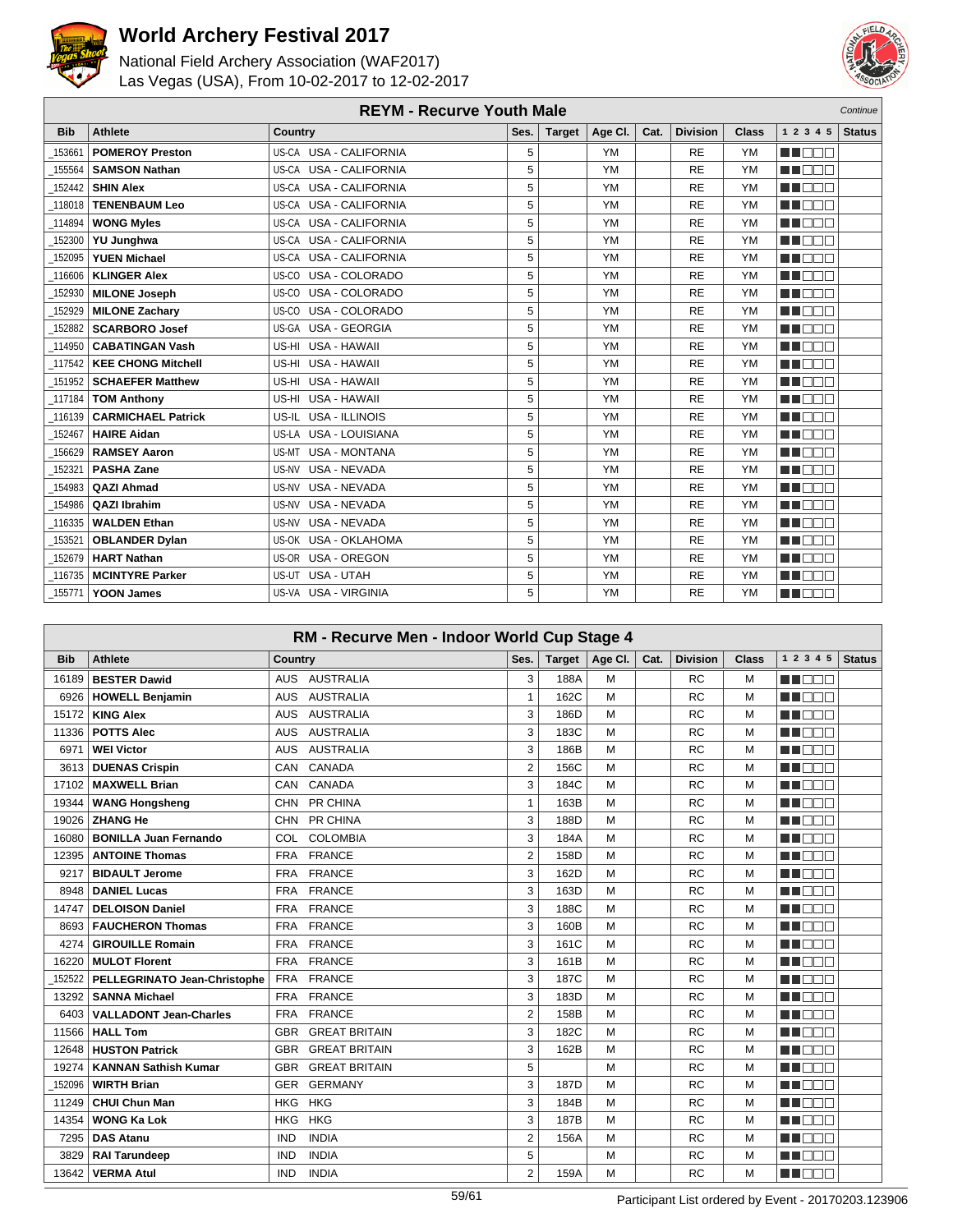



| <b>REYM - Recurve Youth Male</b><br>Continue |                           |                               |      |               |           |      |                 |              |               |               |
|----------------------------------------------|---------------------------|-------------------------------|------|---------------|-----------|------|-----------------|--------------|---------------|---------------|
| <b>Bib</b>                                   | Athlete                   | Country                       | Ses. | <b>Target</b> | Age Cl.   | Cat. | <b>Division</b> | <b>Class</b> | 1 2 3 4 5     | <b>Status</b> |
| 153661                                       | <b>POMEROY Preston</b>    | US-CA USA - CALIFORNIA        | 5    |               | <b>YM</b> |      | <b>RE</b>       | <b>YM</b>    | ma mata       |               |
| 155564                                       | <b>SAMSON Nathan</b>      | US-CA USA - CALIFORNIA        | 5    |               | <b>YM</b> |      | <b>RE</b>       | <b>YM</b>    | n n n n n     |               |
| 152442                                       | <b>SHIN Alex</b>          | US-CA USA - CALIFORNIA        | 5    |               | <b>YM</b> |      | <b>RE</b>       | <b>YM</b>    | <b>RENAR</b>  |               |
| 118018                                       | <b>TENENBAUM Leo</b>      | US-CA USA - CALIFORNIA        | 5    |               | <b>YM</b> |      | <b>RE</b>       | <b>YM</b>    | MA DE L       |               |
| 114894                                       | <b>WONG Myles</b>         | US-CA USA - CALIFORNIA        | 5    |               | <b>YM</b> |      | <b>RE</b>       | <b>YM</b>    | NA NA MA      |               |
| 152300                                       | <b>YU Junghwa</b>         | US-CA USA - CALIFORNIA        | 5    |               | <b>YM</b> |      | <b>RE</b>       | <b>YM</b>    | <b>RENAND</b> |               |
| 152095                                       | <b>YUEN Michael</b>       | US-CA USA - CALIFORNIA        | 5    |               | <b>YM</b> |      | <b>RE</b>       | <b>YM</b>    | ME E E E      |               |
| 116606                                       | <b>KLINGER Alex</b>       | US-CO USA - COLORADO          | 5    |               | <b>YM</b> |      | <b>RE</b>       | <b>YM</b>    | NN DE EI      |               |
| 152930                                       | <b>MILONE Joseph</b>      | USA - COLORADO<br>US-CO       | 5    |               | <b>YM</b> |      | <b>RE</b>       | <b>YM</b>    | MA DELL'INT   |               |
| 152929                                       | <b>MILONE Zachary</b>     | US-CO USA - COLORADO          | 5    |               | <b>YM</b> |      | <b>RE</b>       | <b>YM</b>    | NA NA T       |               |
| 152882                                       | <b>SCARBORO Josef</b>     | US-GA USA - GEORGIA           | 5    |               | <b>YM</b> |      | <b>RE</b>       | <b>YM</b>    | M OO B        |               |
| 114950                                       | <b>CABATINGAN Vash</b>    | US-HI USA - HAWAII            | 5    |               | <b>YM</b> |      | <b>RE</b>       | <b>YM</b>    | M E E E       |               |
| 117542                                       | <b>KEE CHONG Mitchell</b> | US-HI USA - HAWAII            | 5    |               | <b>YM</b> |      | <b>RE</b>       | <b>YM</b>    | manan s       |               |
| 151952                                       | <b>SCHAEFER Matthew</b>   | US-HI USA - HAWAII            | 5    |               | <b>YM</b> |      | <b>RE</b>       | <b>YM</b>    | man man       |               |
| 117184                                       | <b>TOM Anthony</b>        | US-HI USA - HAWAII            | 5    |               | <b>YM</b> |      | <b>RE</b>       | <b>YM</b>    | <b>RENAND</b> |               |
| 116139                                       | <b>CARMICHAEL Patrick</b> | US-IL USA - ILLINOIS          | 5    |               | <b>YM</b> |      | <b>RE</b>       | <b>YM</b>    | n de a        |               |
| 152467                                       | <b>HAIRE Aidan</b>        | US-LA USA - LOUISIANA         | 5    |               | <b>YM</b> |      | <b>RE</b>       | <b>YM</b>    | man man       |               |
| 156629                                       | <b>RAMSEY Aaron</b>       | <b>USA - MONTANA</b><br>US-MT | 5    |               | <b>YM</b> |      | <b>RE</b>       | <b>YM</b>    | min ni n      |               |
| 152321                                       | <b>PASHA Zane</b>         | US-NV USA - NEVADA            | 5    |               | <b>YM</b> |      | <b>RE</b>       | <b>YM</b>    | man man       |               |
| 154983                                       | <b>QAZI Ahmad</b>         | US-NV USA - NEVADA            | 5    |               | <b>YM</b> |      | <b>RE</b>       | <b>YM</b>    | MA DE L       |               |
| 154986                                       | <b>QAZI Ibrahim</b>       | US-NV USA - NEVADA            | 5    |               | <b>YM</b> |      | <b>RE</b>       | <b>YM</b>    | NA NA BI      |               |
| 116335                                       | <b>WALDEN Ethan</b>       | USA - NEVADA<br>US-NV         | 5    |               | <b>YM</b> |      | <b>RE</b>       | <b>YM</b>    | MATI DELL'    |               |
| 153521                                       | <b>OBLANDER Dylan</b>     | US-OK USA - OKLAHOMA          | 5    |               | <b>YM</b> |      | <b>RE</b>       | <b>YM</b>    | n in Biblio   |               |
| 152679                                       | <b>HART Nathan</b>        | US-OR USA - OREGON            | 5    |               | <b>YM</b> |      | <b>RE</b>       | <b>YM</b>    | n de s        |               |
| 116735                                       | <b>MCINTYRE Parker</b>    | US-UT USA - UTAH              | 5    |               | <b>YM</b> |      | <b>RE</b>       | <b>YM</b>    | manan sa      |               |
| 155771                                       | <b>YOON James</b>         | US-VA USA - VIRGINIA          | 5    |               | <b>YM</b> |      | <b>RE</b>       | <b>YM</b>    | MA DELL'      |               |

| RM - Recurve Men - Indoor World Cup Stage 4 |                               |                                    |                |               |         |      |                 |              |              |               |
|---------------------------------------------|-------------------------------|------------------------------------|----------------|---------------|---------|------|-----------------|--------------|--------------|---------------|
| <b>Bib</b>                                  | <b>Athlete</b>                | Country                            | Ses.           | <b>Target</b> | Age Cl. | Cat. | <b>Division</b> | <b>Class</b> | 1 2 3 4 5    | <b>Status</b> |
| 16189                                       | <b>BESTER Dawid</b>           | <b>AUSTRALIA</b><br>AUS.           | 3              | 188A          | M       |      | <b>RC</b>       | M            | N NO DO      |               |
| 6926                                        | <b>HOWELL Benjamin</b>        | <b>AUSTRALIA</b><br><b>AUS</b>     | 1              | 162C          | M       |      | <b>RC</b>       | M            | MA NA TITO   |               |
| 15172                                       | <b>KING Alex</b>              | <b>AUSTRALIA</b><br><b>AUS</b>     | 3              | 186D          | M       |      | <b>RC</b>       | м            | man man      |               |
| 11336                                       | <b>POTTS Alec</b>             | <b>AUSTRALIA</b><br><b>AUS</b>     | 3              | 183C          | M       |      | <b>RC</b>       | M            | n de s       |               |
| 6971                                        | <b>WEI Victor</b>             | <b>AUSTRALIA</b><br><b>AUS</b>     | 3              | 186B          | M       |      | <b>RC</b>       | М            | E E E E E    |               |
| 3613                                        | <b>DUENAS Crispin</b>         | CANADA<br>CAN                      | $\overline{2}$ | 156C          | M       |      | <b>RC</b>       | M            | TI DO O      |               |
| 17102                                       | <b>MAXWELL Brian</b>          | CANADA<br><b>CAN</b>               | 3              | 184C          | M       |      | <b>RC</b>       | M            | n n n n      |               |
| 19344                                       | <b>WANG Hongsheng</b>         | PR CHINA<br><b>CHN</b>             | 1              | 163B          | M       |      | <b>RC</b>       | M            | <b>RADOR</b> |               |
| 19026                                       | <b>ZHANG He</b>               | PR CHINA<br><b>CHN</b>             | 3              | 188D          | M       |      | <b>RC</b>       | M            | NN REIB      |               |
| 16080                                       | <b>BONILLA Juan Fernando</b>  | <b>COLOMBIA</b><br>COL.            | 3              | 184A          | M       |      | <b>RC</b>       | М            | UN DELL'     |               |
| 12395                                       | <b>ANTOINE Thomas</b>         | <b>FRANCE</b><br><b>FRA</b>        | $\overline{2}$ | 158D          | M       |      | <b>RC</b>       | М            | n nan        |               |
| 9217                                        | <b>BIDAULT Jerome</b>         | <b>FRANCE</b><br><b>FRA</b>        | 3              | 162D          | M       |      | <b>RC</b>       | M            | n nan        |               |
| 8948                                        | <b>DANIEL Lucas</b>           | <b>FRANCE</b><br><b>FRA</b>        | 3              | 163D          | M       |      | <b>RC</b>       | м            | E E E E E    |               |
| 14747                                       | <b>DELOISON Daniel</b>        | <b>FRANCE</b><br><b>FRA</b>        | 3              | 188C          | M       |      | <b>RC</b>       | М            | n na na      |               |
| 8693                                        | <b>FAUCHERON Thomas</b>       | <b>FRANCE</b><br><b>FRA</b>        | 3              | 160B          | M       |      | <b>RC</b>       | M            | HI NOTE      |               |
| 4274                                        | <b>GIROUILLE Romain</b>       | <b>FRANCE</b><br><b>FRA</b>        | 3              | 161C          | M       |      | <b>RC</b>       | М            | man man      |               |
| 16220                                       | <b>MULOT Florent</b>          | <b>FRANCE</b><br><b>FRA</b>        | 3              | 161B          | M       |      | <b>RC</b>       | M            | n de la c    |               |
| 152522                                      | PELLEGRINATO Jean-Christophe  | <b>FRANCE</b><br><b>FRA</b>        | 3              | 187C          | M       |      | <b>RC</b>       | М            | HE E E E     |               |
| 13292                                       | <b>SANNA Michael</b>          | <b>FRANCE</b><br><b>FRA</b>        | 3              | 183D          | M       |      | <b>RC</b>       | М            | TIN DELL     |               |
| 6403                                        | <b>VALLADONT Jean-Charles</b> | <b>FRANCE</b><br><b>FRA</b>        | $\overline{2}$ | 158B          | M       |      | <b>RC</b>       | М            | <b>RADOR</b> |               |
| 11566                                       | <b>HALL Tom</b>               | <b>GREAT BRITAIN</b><br><b>GBR</b> | 3              | 182C          | M       |      | <b>RC</b>       | M            | T E E E      |               |
| 12648                                       | <b>HUSTON Patrick</b>         | <b>GREAT BRITAIN</b><br><b>GBR</b> | 3              | 162B          | M       |      | <b>RC</b>       | М            | ME E E E     |               |
| 19274                                       | <b>KANNAN Sathish Kumar</b>   | GBR<br><b>GREAT BRITAIN</b>        | 5              |               | M       |      | <b>RC</b>       | М            | UN DEL L     |               |
| 152096                                      | <b>WIRTH Brian</b>            | <b>GERMANY</b><br><b>GER</b>       | 3              | 187D          | M       |      | <b>RC</b>       | М            | n n n n      |               |
| 11249                                       | <b>CHUI Chun Man</b>          | <b>HKG</b><br><b>HKG</b>           | 3              | 184B          | M       |      | <b>RC</b>       | М            | <b>RADOR</b> |               |
| 14354                                       | <b>WONG Ka Lok</b>            | <b>HKG</b><br><b>HKG</b>           | 3              | 187B          | M       |      | <b>RC</b>       | M            | NN REIB      |               |
| 7295                                        | <b>DAS Atanu</b>              | <b>INDIA</b><br><b>IND</b>         | 2              | 156A          | M       |      | <b>RC</b>       | M            | NA NA T      |               |
| 3829                                        | <b>RAI Tarundeep</b>          | <b>IND</b><br><b>INDIA</b>         | 5              |               | M       |      | <b>RC</b>       | M            | n mana       |               |
| 13642                                       | <b>VERMA Atul</b>             | <b>INDIA</b><br><b>IND</b>         | 2              | 159A          | M       |      | <b>RC</b>       | M            | THE EL       |               |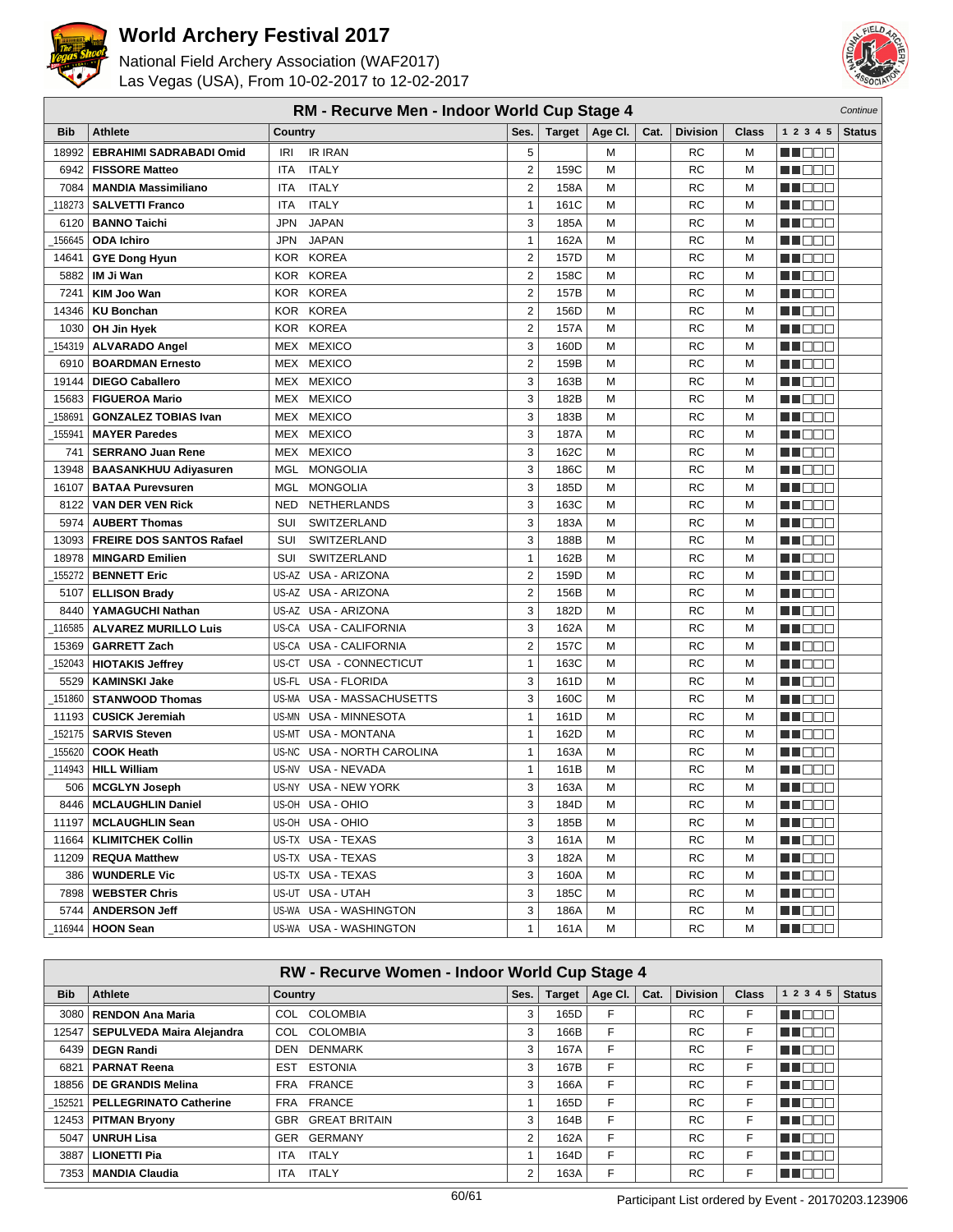



|            | RM - Recurve Men - Indoor World Cup Stage 4<br>Continue |                               |                  |      |                         |      |                 |              |                                                                                                                       |               |
|------------|---------------------------------------------------------|-------------------------------|------------------|------|-------------------------|------|-----------------|--------------|-----------------------------------------------------------------------------------------------------------------------|---------------|
| <b>Bib</b> | <b>Athlete</b>                                          | Country                       | Ses.             |      | Target $ $ Age Cl.      | Cat. | <b>Division</b> | <b>Class</b> | 1 2 3 4 5                                                                                                             | <b>Status</b> |
| 18992      | <b>EBRAHIMI SADRABADI Omid</b>                          | <b>IR IRAN</b><br>IRI         | 5                |      | M                       |      | RC              | М            | HI EE E                                                                                                               |               |
| 6942       | <b>FISSORE Matteo</b>                                   | <b>ITALY</b><br><b>ITA</b>    | $\overline{2}$   | 159C | M                       |      | <b>RC</b>       | M            | M DE E                                                                                                                |               |
| 7084       | <b>MANDIA Massimiliano</b>                              | <b>ITALY</b><br><b>ITA</b>    | $\overline{2}$   | 158A | M                       |      | <b>RC</b>       | М            | n i de e                                                                                                              |               |
| 118273     | <b>SALVETTI Franco</b>                                  | <b>ITALY</b><br>ITA           | $\mathbf{1}$     | 161C | M                       |      | <b>RC</b>       | M            | MOOO                                                                                                                  |               |
| 6120       | <b>BANNO Taichi</b>                                     | <b>JAPAN</b><br>JPN           | 3                | 185A | M                       |      | RC              | M            | M DO O                                                                                                                |               |
| 156645     | <b>ODA Ichiro</b>                                       | <b>JPN</b><br><b>JAPAN</b>    | $\mathbf{1}$     | 162A | M                       |      | <b>RC</b>       | M            | MA DE E                                                                                                               |               |
| 14641      | <b>GYE Dong Hyun</b>                                    | <b>KOREA</b><br>KOR.          | $\overline{2}$   | 157D | M                       |      | RC              | М            | MN DO B                                                                                                               |               |
| 5882       | IM Ji Wan                                               | <b>KOREA</b><br>KOR           | $\overline{2}$   | 158C | M                       |      | <b>RC</b>       | м            | NN OOO                                                                                                                |               |
| 7241       | KIM Joo Wan                                             | KOR KOREA                     | $\overline{2}$   | 157B | M                       |      | <b>RC</b>       | M            | NN DE O                                                                                                               |               |
| 14346      | <b>KU Bonchan</b>                                       | KOREA<br>KOR                  | $\overline{2}$   | 156D | M                       |      | <b>RC</b>       | М            | MU DE E                                                                                                               |               |
| 1030       | OH Jin Hyek                                             | KOR KOREA                     | $\overline{2}$   | 157A | M                       |      | <b>RC</b>       | M            | MU DE EI                                                                                                              |               |
| 154319     | <b>ALVARADO Angel</b>                                   | MEX MEXICO                    | 3                | 160D | M                       |      | RC              | М            | an dae                                                                                                                |               |
| 6910       | <b>BOARDMAN Ernesto</b>                                 | MEX MEXICO                    | $\boldsymbol{2}$ | 159B | M                       |      | <b>RC</b>       | M            | n i Bele                                                                                                              |               |
| 19144      | <b>DIEGO Caballero</b>                                  | MEX<br><b>MEXICO</b>          | 3                | 163B | M                       |      | <b>RC</b>       | M            | MA DE L                                                                                                               |               |
| 15683      | <b>FIGUEROA Mario</b>                                   | <b>MEXICO</b><br>MEX          | 3                | 182B | M                       |      | <b>RC</b>       | м            | M DE O                                                                                                                |               |
| 158691     | <b>GONZALEZ TOBIAS Ivan</b>                             | MEX MEXICO                    | 3                | 183B | M                       |      | <b>RC</b>       | М            | MU DO O                                                                                                               |               |
| 155941     | <b>MAYER Paredes</b>                                    | MEX MEXICO                    | 3                | 187A | M                       |      | <b>RC</b>       | М            | MA DEL                                                                                                                |               |
| 741        | <b>SERRANO Juan Rene</b>                                | MEX MEXICO                    | 3                | 162C | M                       |      | <b>RC</b>       | М            | MU O O O                                                                                                              |               |
| 13948      | <b>BAASANKHUU Adiyasuren</b>                            | <b>MONGOLIA</b><br>MGL        | 3                | 186C | M                       |      | <b>RC</b>       | М            | M DE E                                                                                                                |               |
| 16107      | <b>BATAA Purevsuren</b>                                 | MGL MONGOLIA                  | 3                | 185D | M                       |      | <b>RC</b>       | M            | MOOO                                                                                                                  |               |
| 8122       | <b>VAN DER VEN Rick</b>                                 | NED.<br>NETHERLANDS           | 3                | 163C | M                       |      | <b>RC</b>       | М            | n de E                                                                                                                |               |
| 5974       | <b>AUBERT Thomas</b>                                    | SWITZERLAND<br>SUI            | 3                | 183A | M                       |      | <b>RC</b>       | М            | MT BEEL                                                                                                               |               |
| 13093      | <b>FREIRE DOS SANTOS Rafael</b>                         | SUI<br>SWITZERLAND            | 3                | 188B | M                       |      | <b>RC</b>       | M            | MA EL B                                                                                                               |               |
| 18978      | <b>MINGARD Emilien</b>                                  | SWITZERLAND<br>SUI            | $\mathbf{1}$     | 162B | M                       |      | <b>RC</b>       | М            | M NO BIG                                                                                                              |               |
| 155272     | <b>BENNETT Eric</b>                                     | USA - ARIZONA<br>US-AZ        | $\overline{2}$   | 159D | M                       |      | RC              | М            | MN OO O                                                                                                               |               |
| 5107       | <b>ELLISON Brady</b>                                    | US-AZ USA - ARIZONA           | $\overline{2}$   | 156B | M                       |      | RC              | М            | n de de                                                                                                               |               |
| 8440       | YAMAGUCHI Nathan                                        | US-AZ USA - ARIZONA           | 3                | 182D | M                       |      | <b>RC</b>       | М            | MU O O O                                                                                                              |               |
| 116585     | <b>ALVAREZ MURILLO Luis</b>                             | US-CA USA - CALIFORNIA        | 3                | 162A | M                       |      | <b>RC</b>       | М            | MU DO B                                                                                                               |               |
| 15369      | <b>GARRETT Zach</b>                                     | US-CA USA - CALIFORNIA        | $\overline{2}$   | 157C | M                       |      | <b>RC</b>       | M            | NN DE S                                                                                                               |               |
| 152043     | <b>HIOTAKIS Jeffrey</b>                                 | US-CT USA - CONNECTICUT       | $\mathbf{1}$     | 163C | M                       |      | <b>RC</b>       | М            | e de la co                                                                                                            |               |
| 5529       | <b>KAMINSKI Jake</b>                                    | US-FL USA - FLORIDA           | 3                | 161D | M                       |      | RC              | М            | N NO D O                                                                                                              |               |
| 151860     | <b>STANWOOD Thomas</b>                                  | US-MA<br>USA - MASSACHUSETTS  | 3                | 160C | M                       |      | RC              | M            | M DE O                                                                                                                |               |
| 11193      | <b>CUSICK Jeremiah</b>                                  | US-MN<br>USA - MINNESOTA      | $\mathbf{1}$     | 161D | M                       |      | <b>RC</b>       | м            | N I O O O                                                                                                             |               |
| 152175     | <b>SARVIS Steven</b>                                    | <b>USA - MONTANA</b><br>US-MT | $\mathbf{1}$     | 162D | M                       |      | <b>RC</b>       | М            | MN O O O                                                                                                              |               |
| 155620     | <b>COOK Heath</b>                                       | USA - NORTH CAROLINA<br>US-NC | $\mathbf{1}$     | 163A | M                       |      | RC              | М            | N I BE B                                                                                                              |               |
| 114943     | <b>HILL William</b>                                     | <b>USA - NEVADA</b><br>US-NV  | $\mathbf{1}$     | 161B | M                       |      | <b>RC</b>       | М            | MA BELI                                                                                                               |               |
| 506        | <b>MCGLYN Joseph</b>                                    | US-NY USA - NEW YORK          | 3                | 163A | M                       |      | <b>RC</b>       | М            | n i BBE                                                                                                               |               |
|            | 8446   MCLAUGHLIN Daniel                                | US-OH USA - OHIO              | 3                | 184D | $\overline{\mathsf{M}}$ |      | ${\sf RC}$      | M            | <b>NOOD</b>                                                                                                           |               |
| 11197      | <b>MCLAUGHLIN Sean</b>                                  | US-OH USA - OHIO              | 3                | 185B | М                       |      | RC              | М            | <u>Li dec</u>                                                                                                         |               |
| 11664      | <b>KLIMITCHEK Collin</b>                                | US-TX USA - TEXAS             | 3                | 161A | М                       |      | RC              | м            | <u>Li dec</u>                                                                                                         |               |
| 11209      | <b>REQUA Matthew</b>                                    | US-TX USA - TEXAS             | 3                | 182A | M                       |      | RC              | М            | N O O O                                                                                                               |               |
| 386        | <b>WUNDERLE Vic</b>                                     | US-TX USA - TEXAS             | 3                | 160A | M                       |      | RC              | М            | <u> Literatur</u>                                                                                                     |               |
| 7898       | <b>WEBSTER Chris</b>                                    | US-UT USA - UTAH              | 3                | 185C | М                       |      | RC              | М            | <u>Li dec</u>                                                                                                         |               |
| 5744       | <b>ANDERSON Jeff</b>                                    | US-WA USA - WASHINGTON        | 3                | 186A | М                       |      | RC              | м            | <u> - 1000 - 100 - 100 - 100 - 100 - 100 - 100 - 100 - 100 - 100 - 100 - 100 - 100 - 100 - 100 - 100 - 100 - 100 </u> |               |
| 116944     | <b>HOON Sean</b>                                        | US-WA USA - WASHINGTON        | $\mathbf{1}$     | 161A | М                       |      | RC              | М            | MU DO O                                                                                                               |               |

| RW - Recurve Women - Indoor World Cup Stage 4 |                               |                              |                |               |         |      |                 |              |                            |               |
|-----------------------------------------------|-------------------------------|------------------------------|----------------|---------------|---------|------|-----------------|--------------|----------------------------|---------------|
| <b>Bib</b>                                    | Athlete                       | Country                      | Ses.           | <b>Target</b> | Age Cl. | Cat. | <b>Division</b> | <b>Class</b> | 1 2 3 4 5                  | <b>Status</b> |
|                                               | 3080   RENDON Ana Maria       | <b>COLOMBIA</b><br>COL       | 3              | 165D          | F       |      | <b>RC</b>       | F            | T FIT                      |               |
| 12547                                         | SEPULVEDA Maira Alejandra     | COL COLOMBIA                 | 3              | 166B          | F       |      | <b>RC</b>       | F.           | A EN TIT<br>┰              |               |
|                                               | 6439   DEGN Randi             | <b>DENMARK</b><br>DEN        | 3              | 167A          | F       |      | <b>RC</b>       | F            | <b>AUL</b><br>$\mathbb{L}$ |               |
| 6821                                          | <b>PARNAT Reena</b>           | <b>ESTONIA</b><br><b>EST</b> | 3              | 167B          | F       |      | <b>RC</b>       | F            | TEN                        |               |
|                                               | 18856 DE GRANDIS Melina       | FRANCE<br>FRA                | 3              | 166A          | F       |      | <b>RC</b>       | F            | T DI<br>T                  |               |
| 152521                                        | <b>PELLEGRINATO Catherine</b> | FRA FRANCE                   |                | 165D          | F       |      | <b>RC</b>       | F            | n in Fi<br>╖┌              |               |
|                                               | 12453   PITMAN Bryony         | <b>GBR GREAT BRITAIN</b>     | 3              | 164B          | F       |      | <b>RC</b>       | F            | U N<br>ПF                  |               |
| 5047                                          | UNRUH Lisa                    | GER GERMANY                  | 2              | 162A          | F       |      | <b>RC</b>       | F            | <b>THEEE</b>               |               |
| 3887                                          | <b>LIONETTI Pia</b>           | <b>ITALY</b><br>ITA          |                | 164D          | F       |      | <b>RC</b>       | F            | T EI<br>┱                  |               |
|                                               | 7353   MANDIA Claudia         | <b>ITALY</b><br><b>ITA</b>   | $\overline{2}$ | 163A          | F       |      | <b>RC</b>       | F            | N DE E                     |               |